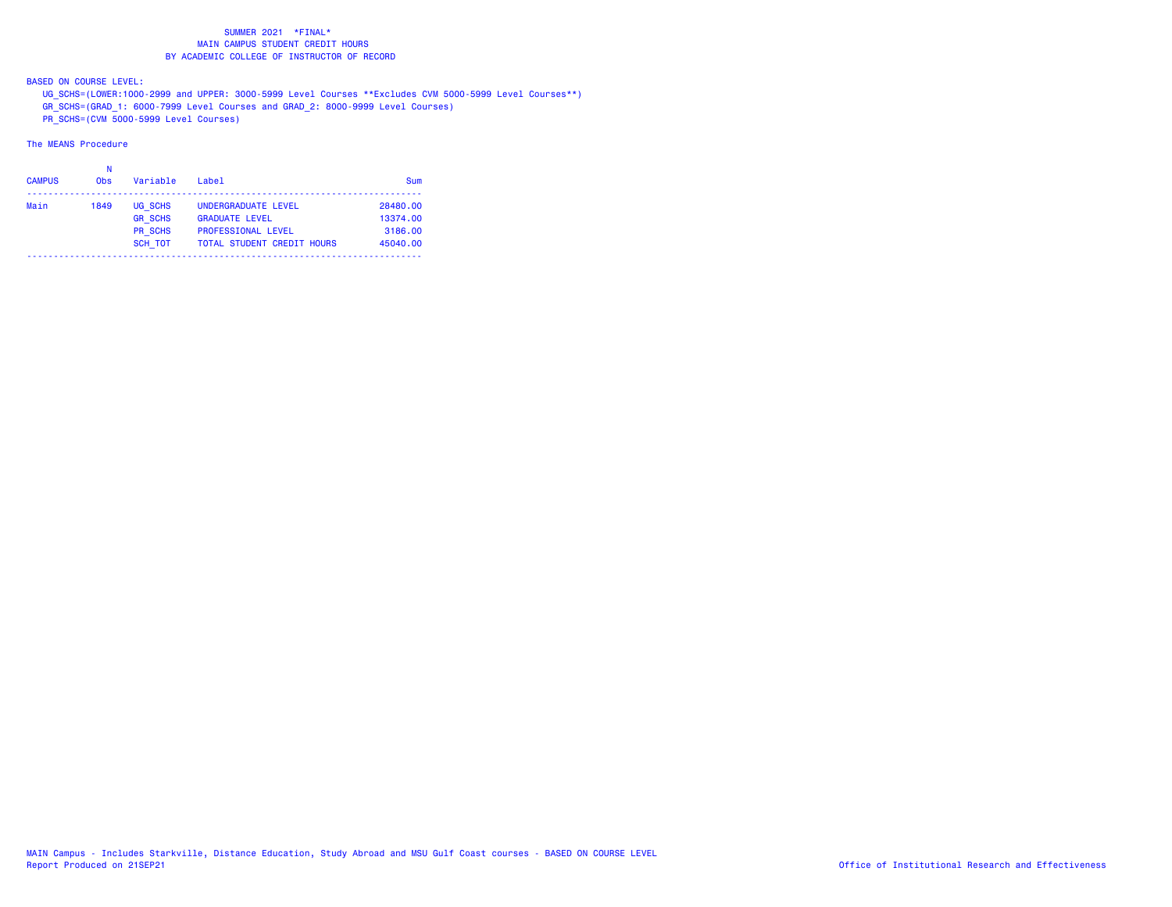BASED ON COURSE LEVEL:

UG\_SCHS=(LOWER:1000-2999 and UPPER: 3000-5999 Level Courses \*\*Excludes CVM 5000-5999 Level Courses\*\*)

GR\_SCHS=(GRAD\_1: 6000-7999 Level Courses and GRAD\_2: 8000-9999 Level Courses)

PR\_SCHS=(CVM 5000-5999 Level Courses)

| <b>CAMPUS</b> | <b>Obs</b> | Variable       | Label                             | Sum      |
|---------------|------------|----------------|-----------------------------------|----------|
| Main          | 1849       | UG SCHS        | UNDERGRADUATE LEVEL               | 28480.00 |
|               |            | <b>GR SCHS</b> | <b>GRADUATE LEVEL</b>             | 13374.00 |
|               |            | <b>PR SCHS</b> | <b>PROFESSIONAL LEVEL</b>         | 3186.00  |
|               |            | <b>SCH TOT</b> | <b>TOTAL STUDENT CREDIT HOURS</b> | 45040.00 |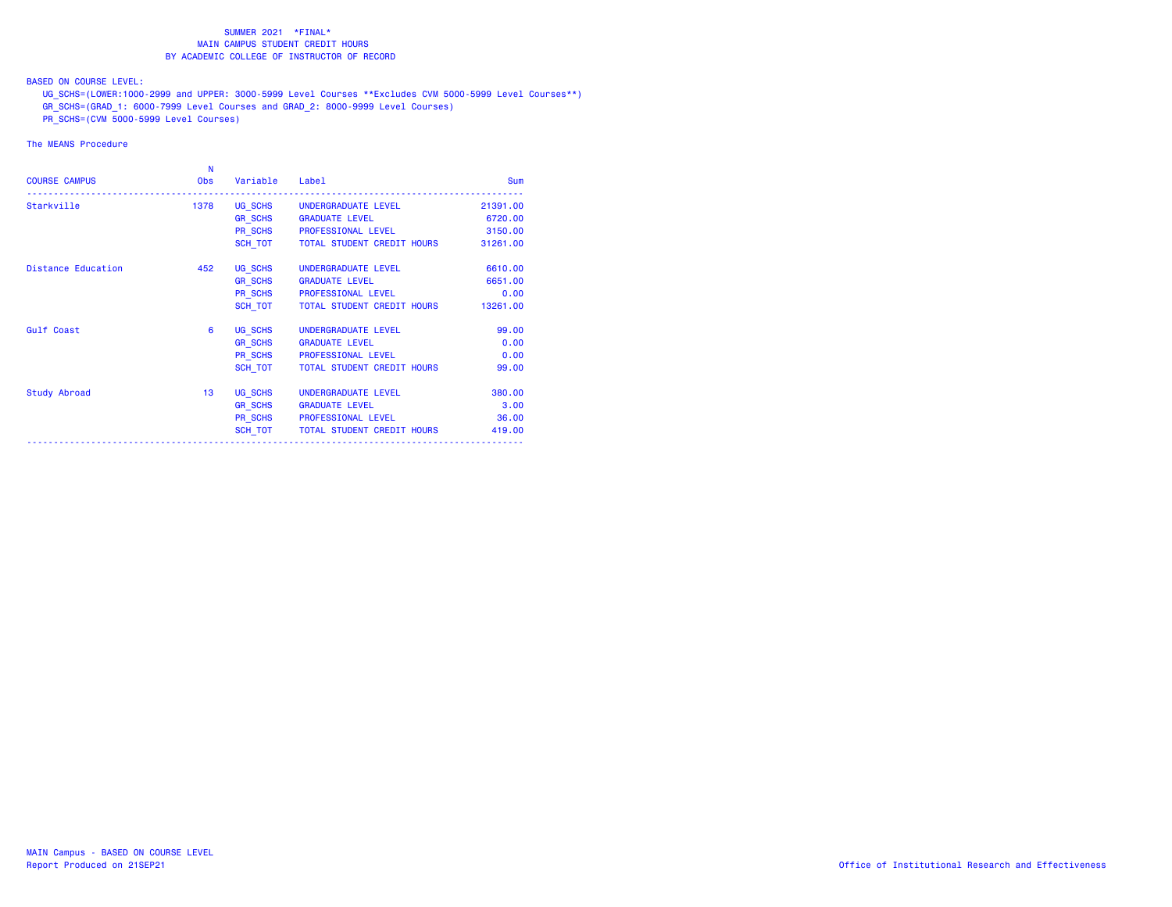BASED ON COURSE LEVEL:

UG\_SCHS=(LOWER:1000-2999 and UPPER: 3000-5999 Level Courses \*\*Excludes CVM 5000-5999 Level Courses\*\*)

GR\_SCHS=(GRAD\_1: 6000-7999 Level Courses and GRAD\_2: 8000-9999 Level Courses)

PR\_SCHS=(CVM 5000-5999 Level Courses)

| <b>COURSE CAMPUS</b> | N<br><b>Obs</b> | Variable Label |                                      | <b>Sum</b> |
|----------------------|-----------------|----------------|--------------------------------------|------------|
| Starkville           | 1378            |                | UG SCHS UNDERGRADUATE LEVEL          | 21391.00   |
|                      |                 | <b>GR SCHS</b> | <b>GRADUATE LEVEL</b>                | 6720.00    |
|                      |                 |                | PR SCHS PROFESSIONAL LEVEL           | 3150.00    |
|                      |                 |                | SCH TOT   TOTAL STUDENT CREDIT HOURS | 31261.00   |
| Distance Education   | 452             | UG SCHS        | UNDERGRADUATE LEVEL                  | 6610.00    |
|                      |                 | <b>GR SCHS</b> | <b>GRADUATE LEVEL</b>                | 6651.00    |
|                      |                 |                | PR SCHS PROFESSIONAL LEVEL           | 0.00       |
|                      |                 | SCH TOT        | TOTAL STUDENT CREDIT HOURS           | 13261.00   |
| <b>Gulf Coast</b>    | 6               | UG SCHS        | UNDERGRADUATE LEVEL                  | 99.00      |
|                      |                 | <b>GR SCHS</b> | <b>GRADUATE LEVEL</b>                | 0.00       |
|                      |                 | PR SCHS        | PROFESSIONAL LEVEL                   | 0.00       |
|                      |                 | SCH TOT        | TOTAL STUDENT CREDIT HOURS           | 99.00      |
| Study Abroad         | 13              | UG SCHS        | UNDERGRADUATE LEVEL                  | 380.00     |
|                      |                 | <b>GR SCHS</b> | <b>GRADUATE LEVEL</b>                | 3.00       |
|                      |                 |                | PR SCHS PROFESSIONAL LEVEL           | 36.00      |
|                      |                 |                | SCH TOT TOTAL STUDENT CREDIT HOURS   | 419.00     |
|                      |                 |                |                                      |            |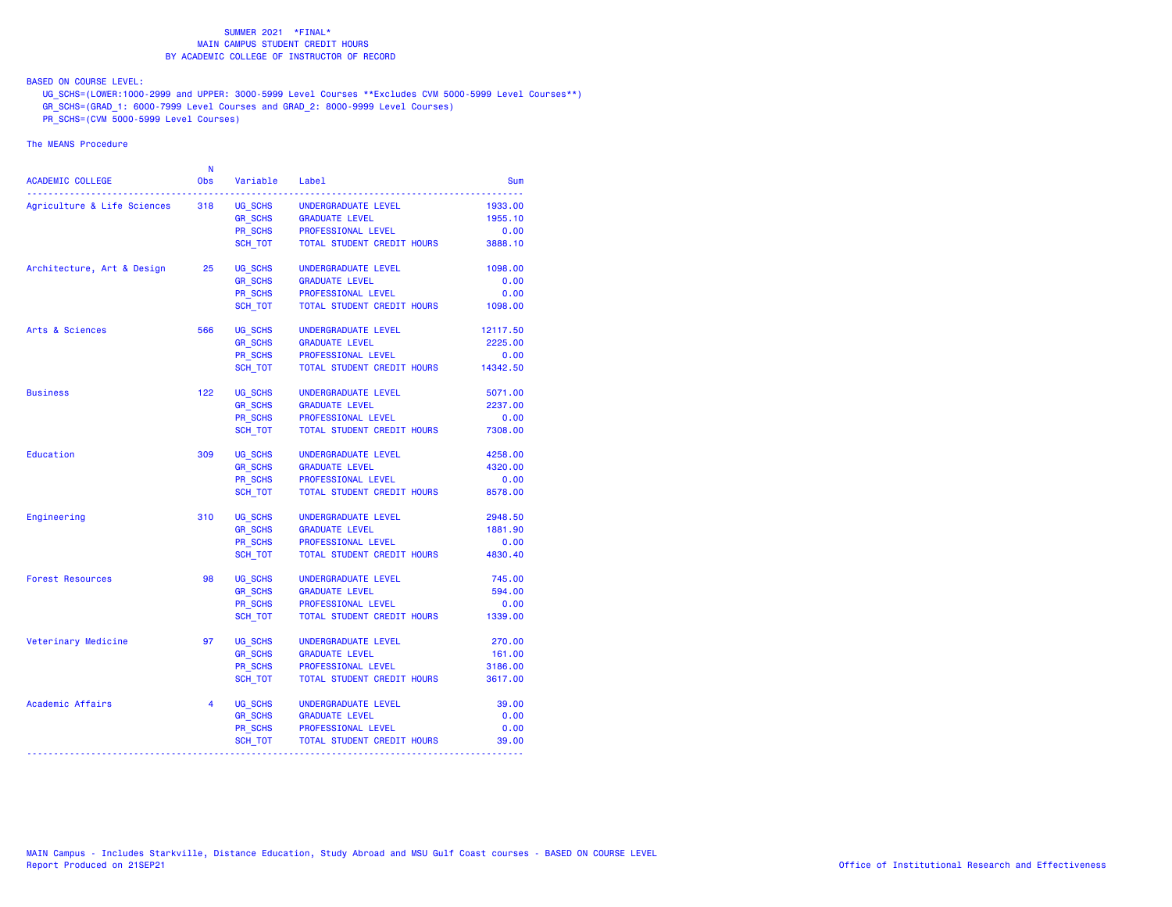BASED ON COURSE LEVEL:

UG\_SCHS=(LOWER:1000-2999 and UPPER: 3000-5999 Level Courses \*\*Excludes CVM 5000-5999 Level Courses\*\*)

GR\_SCHS=(GRAD\_1: 6000-7999 Level Courses and GRAD\_2: 8000-9999 Level Courses)

PR\_SCHS=(CVM 5000-5999 Level Courses)

| ACADEMIC COLLEGE            | N<br><b>Obs</b> | Variable       | Label                      | Sum      |
|-----------------------------|-----------------|----------------|----------------------------|----------|
| Agriculture & Life Sciences | 318             | UG SCHS        | UNDERGRADUATE LEVEL        | 1933.00  |
|                             |                 | GR_SCHS        | <b>GRADUATE LEVEL</b>      | 1955.10  |
|                             |                 | PR_SCHS        | PROFESSIONAL LEVEL         | 0.00     |
|                             |                 | SCH TOT        | TOTAL STUDENT CREDIT HOURS | 3888.10  |
| Architecture, Art & Design  | 25              | UG SCHS        | UNDERGRADUATE LEVEL        | 1098.00  |
|                             |                 | <b>GR SCHS</b> | <b>GRADUATE LEVEL</b>      | 0.00     |
|                             |                 | <b>PR SCHS</b> | PROFESSIONAL LEVEL         | 0.00     |
|                             |                 | SCH TOT        | TOTAL STUDENT CREDIT HOURS | 1098.00  |
| Arts & Sciences             | 566             | UG SCHS        | UNDERGRADUATE LEVEL        | 12117.50 |
|                             |                 | <b>GR_SCHS</b> | <b>GRADUATE LEVEL</b>      | 2225.00  |
|                             |                 | PR SCHS        | PROFESSIONAL LEVEL         | 0.00     |
|                             |                 | SCH_TOT        | TOTAL STUDENT CREDIT HOURS | 14342.50 |
| <b>Business</b>             | 122             | UG SCHS        | UNDERGRADUATE LEVEL        | 5071.00  |
|                             |                 | <b>GR_SCHS</b> | <b>GRADUATE LEVEL</b>      | 2237.00  |
|                             |                 | <b>PR SCHS</b> | PROFESSIONAL LEVEL         | 0.00     |
|                             |                 | SCH TOT        | TOTAL STUDENT CREDIT HOURS | 7308.00  |
| Education                   | 309             | UG SCHS        | UNDERGRADUATE LEVEL        | 4258.00  |
|                             |                 | <b>GR SCHS</b> | <b>GRADUATE LEVEL</b>      | 4320.00  |
|                             |                 | <b>PR SCHS</b> | PROFESSIONAL LEVEL         | 0.00     |
|                             |                 | SCH TOT        | TOTAL STUDENT CREDIT HOURS | 8578.00  |
| Engineering                 | 310             | UG SCHS        | UNDERGRADUATE LEVEL        | 2948.50  |
|                             |                 | <b>GR_SCHS</b> | <b>GRADUATE LEVEL</b>      | 1881.90  |
|                             |                 | PR_SCHS        | PROFESSIONAL LEVEL         | 0.00     |
|                             |                 | SCH_TOT        | TOTAL STUDENT CREDIT HOURS | 4830.40  |
| <b>Forest Resources</b>     | 98              | UG_SCHS        | UNDERGRADUATE LEVEL        | 745.00   |
|                             |                 | <b>GR SCHS</b> | <b>GRADUATE LEVEL</b>      | 594.00   |
|                             |                 | <b>PR SCHS</b> | PROFESSIONAL LEVEL         | 0.00     |
|                             |                 | SCH TOT        | TOTAL STUDENT CREDIT HOURS | 1339.00  |
| Veterinary Medicine         | 97              | UG SCHS        | UNDERGRADUATE LEVEL        | 270.00   |
|                             |                 | <b>GR SCHS</b> | <b>GRADUATE LEVEL</b>      | 161.00   |
|                             |                 | <b>PR SCHS</b> | PROFESSIONAL LEVEL         | 3186.00  |
|                             |                 | SCH TOT        | TOTAL STUDENT CREDIT HOURS | 3617.00  |
| Academic Affairs            | $\overline{4}$  | UG_SCHS        | UNDERGRADUATE LEVEL        | 39.00    |
|                             |                 | <b>GR_SCHS</b> | <b>GRADUATE LEVEL</b>      | 0.00     |
|                             |                 | PR_SCHS        | PROFESSIONAL LEVEL         | 0.00     |
|                             |                 | SCH_TOT        | TOTAL STUDENT CREDIT HOURS | 39.00    |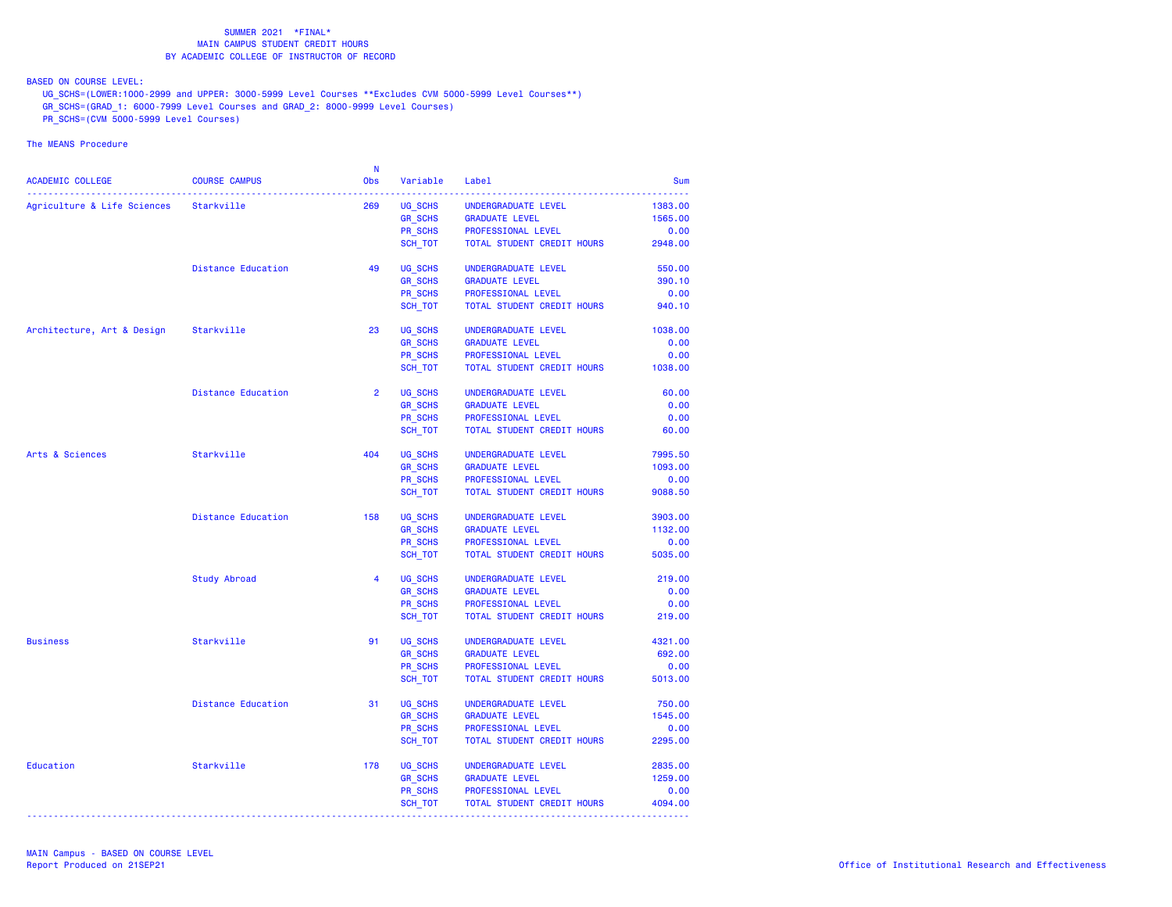BASED ON COURSE LEVEL:

UG\_SCHS=(LOWER:1000-2999 and UPPER: 3000-5999 Level Courses \*\*Excludes CVM 5000-5999 Level Courses\*\*)

- GR\_SCHS=(GRAD\_1: 6000-7999 Level Courses and GRAD\_2: 8000-9999 Level Courses)
- PR\_SCHS=(CVM 5000-5999 Level Courses)

|                                        |                           | - N            |                |                            |            |
|----------------------------------------|---------------------------|----------------|----------------|----------------------------|------------|
| ACADEMIC COLLEGE                       | <b>COURSE CAMPUS</b>      | Obs            | Variable       | Label                      | <b>Sum</b> |
| Agriculture & Life Sciences Starkville |                           | 269            | UG SCHS        | UNDERGRADUATE LEVEL        | 1383.00    |
|                                        |                           |                | <b>GR_SCHS</b> | <b>GRADUATE LEVEL</b>      | 1565.00    |
|                                        |                           |                | PR SCHS        | PROFESSIONAL LEVEL         | 0.00       |
|                                        |                           |                | SCH TOT        | TOTAL STUDENT CREDIT HOURS | 2948.00    |
|                                        |                           |                |                |                            |            |
|                                        | Distance Education        | 49             | UG SCHS        | UNDERGRADUATE LEVEL        | 550.00     |
|                                        |                           |                | <b>GR SCHS</b> | <b>GRADUATE LEVEL</b>      | 390.10     |
|                                        |                           |                | PR_SCHS        | PROFESSIONAL LEVEL         | 0.00       |
|                                        |                           |                | SCH_TOT        | TOTAL STUDENT CREDIT HOURS | 940.10     |
| Architecture, Art & Design             | Starkville                | 23             | UG_SCHS        | UNDERGRADUATE LEVEL        | 1038.00    |
|                                        |                           |                | <b>GR SCHS</b> | <b>GRADUATE LEVEL</b>      | 0.00       |
|                                        |                           |                | PR SCHS        | PROFESSIONAL LEVEL         | 0.00       |
|                                        |                           |                | SCH_TOT        | TOTAL STUDENT CREDIT HOURS | 1038.00    |
|                                        | <b>Distance Education</b> | $\overline{2}$ | UG SCHS        | UNDERGRADUATE LEVEL        | 60.00      |
|                                        |                           |                | <b>GR SCHS</b> | <b>GRADUATE LEVEL</b>      | 0.00       |
|                                        |                           |                | PR_SCHS        | PROFESSIONAL LEVEL         | 0.00       |
|                                        |                           |                | SCH_TOT        | TOTAL STUDENT CREDIT HOURS | 60.00      |
| Arts & Sciences                        | Starkville                | 404            | UG SCHS        | UNDERGRADUATE LEVEL        | 7995.50    |
|                                        |                           |                | <b>GR_SCHS</b> | <b>GRADUATE LEVEL</b>      | 1093.00    |
|                                        |                           |                | PR SCHS        | PROFESSIONAL LEVEL         | 0.00       |
|                                        |                           |                | SCH_TOT        | TOTAL STUDENT CREDIT HOURS | 9088.50    |
|                                        | <b>Distance Education</b> | 158            | UG SCHS        | UNDERGRADUATE LEVEL        | 3903.00    |
|                                        |                           |                | <b>GR_SCHS</b> | <b>GRADUATE LEVEL</b>      | 1132.00    |
|                                        |                           |                | <b>PR SCHS</b> | PROFESSIONAL LEVEL         | 0.00       |
|                                        |                           |                | SCH_TOT        | TOTAL STUDENT CREDIT HOURS | 5035.00    |
|                                        | Study Abroad              | 4              | UG SCHS        | UNDERGRADUATE LEVEL        | 219.00     |
|                                        |                           |                | GR_SCHS        | <b>GRADUATE LEVEL</b>      | 0.00       |
|                                        |                           |                | PR SCHS        | PROFESSIONAL LEVEL         | 0.00       |
|                                        |                           |                | SCH_TOT        | TOTAL STUDENT CREDIT HOURS | 219.00     |
| <b>Business</b>                        | Starkville                | 91             | UG_SCHS        | UNDERGRADUATE LEVEL        | 4321.00    |
|                                        |                           |                | <b>GR SCHS</b> | <b>GRADUATE LEVEL</b>      | 692.00     |
|                                        |                           |                | <b>PR SCHS</b> | PROFESSIONAL LEVEL         | 0.00       |
|                                        |                           |                | SCH_TOT        | TOTAL STUDENT CREDIT HOURS | 5013.00    |
|                                        | <b>Distance Education</b> | 31             | UG_SCHS        | UNDERGRADUATE LEVEL        | 750.00     |
|                                        |                           |                | <b>GR SCHS</b> | <b>GRADUATE LEVEL</b>      | 1545.00    |
|                                        |                           |                | PR SCHS        | PROFESSIONAL LEVEL         | 0.00       |
|                                        |                           |                | SCH_TOT        | TOTAL STUDENT CREDIT HOURS | 2295.00    |
| Education                              | Starkville                | 178            | UG SCHS        | UNDERGRADUATE LEVEL        | 2835.00    |
|                                        |                           |                | <b>GR_SCHS</b> | <b>GRADUATE LEVEL</b>      | 1259.00    |
|                                        |                           |                | PR SCHS        | PROFESSIONAL LEVEL         | 0.00       |
|                                        |                           |                | SCH_TOT        | TOTAL STUDENT CREDIT HOURS | 4094.00    |
|                                        |                           |                |                |                            |            |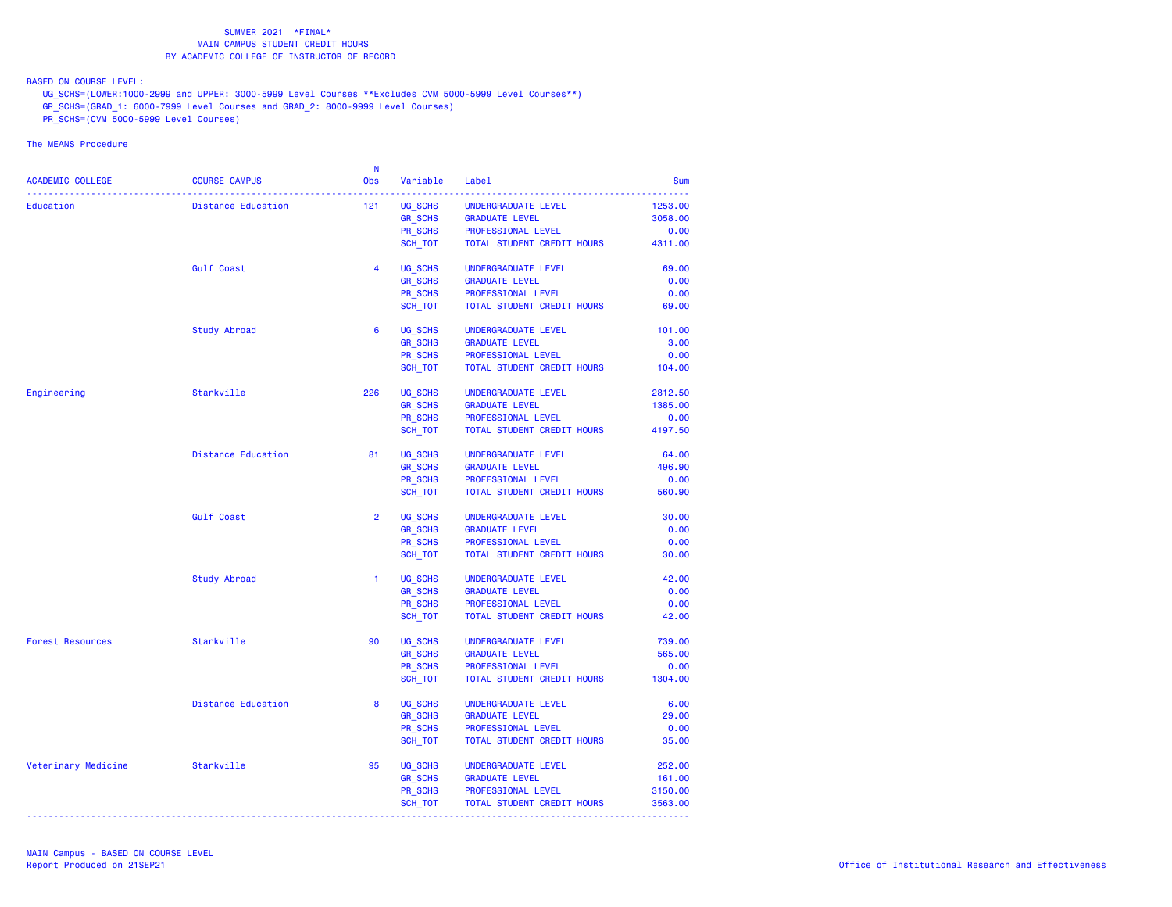BASED ON COURSE LEVEL:

UG\_SCHS=(LOWER:1000-2999 and UPPER: 3000-5999 Level Courses \*\*Excludes CVM 5000-5999 Level Courses\*\*)

- GR\_SCHS=(GRAD\_1: 6000-7999 Level Courses and GRAD\_2: 8000-9999 Level Courses)
- PR\_SCHS=(CVM 5000-5999 Level Courses)

| ACADEMIC COLLEGE<br><b>COURSE CAMPUS</b><br>Obs<br>Variable<br>Label<br><b>Sum</b><br>UG_SCHS<br>Education<br><b>Distance Education</b><br>121<br>UNDERGRADUATE LEVEL<br>1253.00<br><b>GR_SCHS</b><br><b>GRADUATE LEVEL</b><br>3058.00<br>PROFESSIONAL LEVEL<br>PR SCHS<br>0.00<br>SCH TOT<br>TOTAL STUDENT CREDIT HOURS<br>4311.00<br>UG SCHS<br>Gulf Coast<br>$\overline{4}$<br>UNDERGRADUATE LEVEL<br>69.00<br><b>GR SCHS</b><br>0.00<br><b>GRADUATE LEVEL</b><br>PR SCHS<br>PROFESSIONAL LEVEL<br>0.00<br>SCH_TOT<br>TOTAL STUDENT CREDIT HOURS<br>69.00<br><b>Study Abroad</b><br>UG_SCHS<br>6<br>UNDERGRADUATE LEVEL<br>101.00<br><b>GR SCHS</b><br><b>GRADUATE LEVEL</b><br>3.00<br>PR_SCHS<br>PROFESSIONAL LEVEL<br>0.00<br>SCH_TOT<br>TOTAL STUDENT CREDIT HOURS<br>104.00<br>226<br>UG SCHS<br>Engineering<br>Starkville<br>UNDERGRADUATE LEVEL<br>2812.50<br><b>GR SCHS</b><br><b>GRADUATE LEVEL</b><br>1385.00<br>PR SCHS<br>PROFESSIONAL LEVEL<br>0.00<br>TOTAL STUDENT CREDIT HOURS<br>SCH_TOT<br>4197.50<br><b>Distance Education</b><br>81<br>UG_SCHS<br>UNDERGRADUATE LEVEL<br>64.00<br><b>GR_SCHS</b><br>496.90<br><b>GRADUATE LEVEL</b><br>PR SCHS<br>PROFESSIONAL LEVEL<br>0.00<br>SCH TOT<br>TOTAL STUDENT CREDIT HOURS<br>560.90<br>UG SCHS<br><b>Gulf Coast</b><br>$\overline{2}$<br>UNDERGRADUATE LEVEL<br>30.00<br><b>GR_SCHS</b><br><b>GRADUATE LEVEL</b><br>0.00<br>PR SCHS<br>PROFESSIONAL LEVEL<br>0.00<br>SCH_TOT<br>TOTAL STUDENT CREDIT HOURS<br>30.00<br><b>Study Abroad</b><br>1.<br>UG SCHS<br>UNDERGRADUATE LEVEL<br>42.00<br><b>GR_SCHS</b><br><b>GRADUATE LEVEL</b><br>0.00<br>PR SCHS<br>0.00<br>PROFESSIONAL LEVEL<br>SCH_TOT<br>TOTAL STUDENT CREDIT HOURS<br>42.00<br>Starkville<br>90<br>UG SCHS<br>739.00<br><b>Forest Resources</b><br>UNDERGRADUATE LEVEL<br><b>GR SCHS</b><br>565.00<br><b>GRADUATE LEVEL</b><br><b>PR SCHS</b><br>PROFESSIONAL LEVEL<br>0.00<br>SCH_TOT<br>TOTAL STUDENT CREDIT HOURS<br>1304.00<br>8<br>UG SCHS<br><b>Distance Education</b><br>UNDERGRADUATE LEVEL<br>6.00<br><b>GR SCHS</b><br><b>GRADUATE LEVEL</b><br>29.00<br>PR SCHS<br>PROFESSIONAL LEVEL<br>0.00<br>SCH_TOT<br>TOTAL STUDENT CREDIT HOURS<br>35.00<br>Starkville<br>UG SCHS<br>Veterinary Medicine<br>95<br>252.00<br>UNDERGRADUATE LEVEL<br><b>GR_SCHS</b><br><b>GRADUATE LEVEL</b><br>161.00<br><b>PR SCHS</b><br>PROFESSIONAL LEVEL<br>3150.00<br>SCH_TOT<br>TOTAL STUDENT CREDIT HOURS<br>3563.00 |  | - N |  |  |
|------------------------------------------------------------------------------------------------------------------------------------------------------------------------------------------------------------------------------------------------------------------------------------------------------------------------------------------------------------------------------------------------------------------------------------------------------------------------------------------------------------------------------------------------------------------------------------------------------------------------------------------------------------------------------------------------------------------------------------------------------------------------------------------------------------------------------------------------------------------------------------------------------------------------------------------------------------------------------------------------------------------------------------------------------------------------------------------------------------------------------------------------------------------------------------------------------------------------------------------------------------------------------------------------------------------------------------------------------------------------------------------------------------------------------------------------------------------------------------------------------------------------------------------------------------------------------------------------------------------------------------------------------------------------------------------------------------------------------------------------------------------------------------------------------------------------------------------------------------------------------------------------------------------------------------------------------------------------------------------------------------------------------------------------------------------------------------------------------------------------------------------------------------------------------------------------------------------------------------------------------------------------------------------------------------------------------------------------------------------------------------------------------------------------------------------------|--|-----|--|--|
|                                                                                                                                                                                                                                                                                                                                                                                                                                                                                                                                                                                                                                                                                                                                                                                                                                                                                                                                                                                                                                                                                                                                                                                                                                                                                                                                                                                                                                                                                                                                                                                                                                                                                                                                                                                                                                                                                                                                                                                                                                                                                                                                                                                                                                                                                                                                                                                                                                                |  |     |  |  |
|                                                                                                                                                                                                                                                                                                                                                                                                                                                                                                                                                                                                                                                                                                                                                                                                                                                                                                                                                                                                                                                                                                                                                                                                                                                                                                                                                                                                                                                                                                                                                                                                                                                                                                                                                                                                                                                                                                                                                                                                                                                                                                                                                                                                                                                                                                                                                                                                                                                |  |     |  |  |
|                                                                                                                                                                                                                                                                                                                                                                                                                                                                                                                                                                                                                                                                                                                                                                                                                                                                                                                                                                                                                                                                                                                                                                                                                                                                                                                                                                                                                                                                                                                                                                                                                                                                                                                                                                                                                                                                                                                                                                                                                                                                                                                                                                                                                                                                                                                                                                                                                                                |  |     |  |  |
|                                                                                                                                                                                                                                                                                                                                                                                                                                                                                                                                                                                                                                                                                                                                                                                                                                                                                                                                                                                                                                                                                                                                                                                                                                                                                                                                                                                                                                                                                                                                                                                                                                                                                                                                                                                                                                                                                                                                                                                                                                                                                                                                                                                                                                                                                                                                                                                                                                                |  |     |  |  |
|                                                                                                                                                                                                                                                                                                                                                                                                                                                                                                                                                                                                                                                                                                                                                                                                                                                                                                                                                                                                                                                                                                                                                                                                                                                                                                                                                                                                                                                                                                                                                                                                                                                                                                                                                                                                                                                                                                                                                                                                                                                                                                                                                                                                                                                                                                                                                                                                                                                |  |     |  |  |
|                                                                                                                                                                                                                                                                                                                                                                                                                                                                                                                                                                                                                                                                                                                                                                                                                                                                                                                                                                                                                                                                                                                                                                                                                                                                                                                                                                                                                                                                                                                                                                                                                                                                                                                                                                                                                                                                                                                                                                                                                                                                                                                                                                                                                                                                                                                                                                                                                                                |  |     |  |  |
|                                                                                                                                                                                                                                                                                                                                                                                                                                                                                                                                                                                                                                                                                                                                                                                                                                                                                                                                                                                                                                                                                                                                                                                                                                                                                                                                                                                                                                                                                                                                                                                                                                                                                                                                                                                                                                                                                                                                                                                                                                                                                                                                                                                                                                                                                                                                                                                                                                                |  |     |  |  |
|                                                                                                                                                                                                                                                                                                                                                                                                                                                                                                                                                                                                                                                                                                                                                                                                                                                                                                                                                                                                                                                                                                                                                                                                                                                                                                                                                                                                                                                                                                                                                                                                                                                                                                                                                                                                                                                                                                                                                                                                                                                                                                                                                                                                                                                                                                                                                                                                                                                |  |     |  |  |
|                                                                                                                                                                                                                                                                                                                                                                                                                                                                                                                                                                                                                                                                                                                                                                                                                                                                                                                                                                                                                                                                                                                                                                                                                                                                                                                                                                                                                                                                                                                                                                                                                                                                                                                                                                                                                                                                                                                                                                                                                                                                                                                                                                                                                                                                                                                                                                                                                                                |  |     |  |  |
|                                                                                                                                                                                                                                                                                                                                                                                                                                                                                                                                                                                                                                                                                                                                                                                                                                                                                                                                                                                                                                                                                                                                                                                                                                                                                                                                                                                                                                                                                                                                                                                                                                                                                                                                                                                                                                                                                                                                                                                                                                                                                                                                                                                                                                                                                                                                                                                                                                                |  |     |  |  |
|                                                                                                                                                                                                                                                                                                                                                                                                                                                                                                                                                                                                                                                                                                                                                                                                                                                                                                                                                                                                                                                                                                                                                                                                                                                                                                                                                                                                                                                                                                                                                                                                                                                                                                                                                                                                                                                                                                                                                                                                                                                                                                                                                                                                                                                                                                                                                                                                                                                |  |     |  |  |
|                                                                                                                                                                                                                                                                                                                                                                                                                                                                                                                                                                                                                                                                                                                                                                                                                                                                                                                                                                                                                                                                                                                                                                                                                                                                                                                                                                                                                                                                                                                                                                                                                                                                                                                                                                                                                                                                                                                                                                                                                                                                                                                                                                                                                                                                                                                                                                                                                                                |  |     |  |  |
|                                                                                                                                                                                                                                                                                                                                                                                                                                                                                                                                                                                                                                                                                                                                                                                                                                                                                                                                                                                                                                                                                                                                                                                                                                                                                                                                                                                                                                                                                                                                                                                                                                                                                                                                                                                                                                                                                                                                                                                                                                                                                                                                                                                                                                                                                                                                                                                                                                                |  |     |  |  |
|                                                                                                                                                                                                                                                                                                                                                                                                                                                                                                                                                                                                                                                                                                                                                                                                                                                                                                                                                                                                                                                                                                                                                                                                                                                                                                                                                                                                                                                                                                                                                                                                                                                                                                                                                                                                                                                                                                                                                                                                                                                                                                                                                                                                                                                                                                                                                                                                                                                |  |     |  |  |
|                                                                                                                                                                                                                                                                                                                                                                                                                                                                                                                                                                                                                                                                                                                                                                                                                                                                                                                                                                                                                                                                                                                                                                                                                                                                                                                                                                                                                                                                                                                                                                                                                                                                                                                                                                                                                                                                                                                                                                                                                                                                                                                                                                                                                                                                                                                                                                                                                                                |  |     |  |  |
|                                                                                                                                                                                                                                                                                                                                                                                                                                                                                                                                                                                                                                                                                                                                                                                                                                                                                                                                                                                                                                                                                                                                                                                                                                                                                                                                                                                                                                                                                                                                                                                                                                                                                                                                                                                                                                                                                                                                                                                                                                                                                                                                                                                                                                                                                                                                                                                                                                                |  |     |  |  |
|                                                                                                                                                                                                                                                                                                                                                                                                                                                                                                                                                                                                                                                                                                                                                                                                                                                                                                                                                                                                                                                                                                                                                                                                                                                                                                                                                                                                                                                                                                                                                                                                                                                                                                                                                                                                                                                                                                                                                                                                                                                                                                                                                                                                                                                                                                                                                                                                                                                |  |     |  |  |
|                                                                                                                                                                                                                                                                                                                                                                                                                                                                                                                                                                                                                                                                                                                                                                                                                                                                                                                                                                                                                                                                                                                                                                                                                                                                                                                                                                                                                                                                                                                                                                                                                                                                                                                                                                                                                                                                                                                                                                                                                                                                                                                                                                                                                                                                                                                                                                                                                                                |  |     |  |  |
|                                                                                                                                                                                                                                                                                                                                                                                                                                                                                                                                                                                                                                                                                                                                                                                                                                                                                                                                                                                                                                                                                                                                                                                                                                                                                                                                                                                                                                                                                                                                                                                                                                                                                                                                                                                                                                                                                                                                                                                                                                                                                                                                                                                                                                                                                                                                                                                                                                                |  |     |  |  |
|                                                                                                                                                                                                                                                                                                                                                                                                                                                                                                                                                                                                                                                                                                                                                                                                                                                                                                                                                                                                                                                                                                                                                                                                                                                                                                                                                                                                                                                                                                                                                                                                                                                                                                                                                                                                                                                                                                                                                                                                                                                                                                                                                                                                                                                                                                                                                                                                                                                |  |     |  |  |
|                                                                                                                                                                                                                                                                                                                                                                                                                                                                                                                                                                                                                                                                                                                                                                                                                                                                                                                                                                                                                                                                                                                                                                                                                                                                                                                                                                                                                                                                                                                                                                                                                                                                                                                                                                                                                                                                                                                                                                                                                                                                                                                                                                                                                                                                                                                                                                                                                                                |  |     |  |  |
|                                                                                                                                                                                                                                                                                                                                                                                                                                                                                                                                                                                                                                                                                                                                                                                                                                                                                                                                                                                                                                                                                                                                                                                                                                                                                                                                                                                                                                                                                                                                                                                                                                                                                                                                                                                                                                                                                                                                                                                                                                                                                                                                                                                                                                                                                                                                                                                                                                                |  |     |  |  |
|                                                                                                                                                                                                                                                                                                                                                                                                                                                                                                                                                                                                                                                                                                                                                                                                                                                                                                                                                                                                                                                                                                                                                                                                                                                                                                                                                                                                                                                                                                                                                                                                                                                                                                                                                                                                                                                                                                                                                                                                                                                                                                                                                                                                                                                                                                                                                                                                                                                |  |     |  |  |
|                                                                                                                                                                                                                                                                                                                                                                                                                                                                                                                                                                                                                                                                                                                                                                                                                                                                                                                                                                                                                                                                                                                                                                                                                                                                                                                                                                                                                                                                                                                                                                                                                                                                                                                                                                                                                                                                                                                                                                                                                                                                                                                                                                                                                                                                                                                                                                                                                                                |  |     |  |  |
|                                                                                                                                                                                                                                                                                                                                                                                                                                                                                                                                                                                                                                                                                                                                                                                                                                                                                                                                                                                                                                                                                                                                                                                                                                                                                                                                                                                                                                                                                                                                                                                                                                                                                                                                                                                                                                                                                                                                                                                                                                                                                                                                                                                                                                                                                                                                                                                                                                                |  |     |  |  |
|                                                                                                                                                                                                                                                                                                                                                                                                                                                                                                                                                                                                                                                                                                                                                                                                                                                                                                                                                                                                                                                                                                                                                                                                                                                                                                                                                                                                                                                                                                                                                                                                                                                                                                                                                                                                                                                                                                                                                                                                                                                                                                                                                                                                                                                                                                                                                                                                                                                |  |     |  |  |
|                                                                                                                                                                                                                                                                                                                                                                                                                                                                                                                                                                                                                                                                                                                                                                                                                                                                                                                                                                                                                                                                                                                                                                                                                                                                                                                                                                                                                                                                                                                                                                                                                                                                                                                                                                                                                                                                                                                                                                                                                                                                                                                                                                                                                                                                                                                                                                                                                                                |  |     |  |  |
|                                                                                                                                                                                                                                                                                                                                                                                                                                                                                                                                                                                                                                                                                                                                                                                                                                                                                                                                                                                                                                                                                                                                                                                                                                                                                                                                                                                                                                                                                                                                                                                                                                                                                                                                                                                                                                                                                                                                                                                                                                                                                                                                                                                                                                                                                                                                                                                                                                                |  |     |  |  |
|                                                                                                                                                                                                                                                                                                                                                                                                                                                                                                                                                                                                                                                                                                                                                                                                                                                                                                                                                                                                                                                                                                                                                                                                                                                                                                                                                                                                                                                                                                                                                                                                                                                                                                                                                                                                                                                                                                                                                                                                                                                                                                                                                                                                                                                                                                                                                                                                                                                |  |     |  |  |
|                                                                                                                                                                                                                                                                                                                                                                                                                                                                                                                                                                                                                                                                                                                                                                                                                                                                                                                                                                                                                                                                                                                                                                                                                                                                                                                                                                                                                                                                                                                                                                                                                                                                                                                                                                                                                                                                                                                                                                                                                                                                                                                                                                                                                                                                                                                                                                                                                                                |  |     |  |  |
|                                                                                                                                                                                                                                                                                                                                                                                                                                                                                                                                                                                                                                                                                                                                                                                                                                                                                                                                                                                                                                                                                                                                                                                                                                                                                                                                                                                                                                                                                                                                                                                                                                                                                                                                                                                                                                                                                                                                                                                                                                                                                                                                                                                                                                                                                                                                                                                                                                                |  |     |  |  |
|                                                                                                                                                                                                                                                                                                                                                                                                                                                                                                                                                                                                                                                                                                                                                                                                                                                                                                                                                                                                                                                                                                                                                                                                                                                                                                                                                                                                                                                                                                                                                                                                                                                                                                                                                                                                                                                                                                                                                                                                                                                                                                                                                                                                                                                                                                                                                                                                                                                |  |     |  |  |
|                                                                                                                                                                                                                                                                                                                                                                                                                                                                                                                                                                                                                                                                                                                                                                                                                                                                                                                                                                                                                                                                                                                                                                                                                                                                                                                                                                                                                                                                                                                                                                                                                                                                                                                                                                                                                                                                                                                                                                                                                                                                                                                                                                                                                                                                                                                                                                                                                                                |  |     |  |  |
|                                                                                                                                                                                                                                                                                                                                                                                                                                                                                                                                                                                                                                                                                                                                                                                                                                                                                                                                                                                                                                                                                                                                                                                                                                                                                                                                                                                                                                                                                                                                                                                                                                                                                                                                                                                                                                                                                                                                                                                                                                                                                                                                                                                                                                                                                                                                                                                                                                                |  |     |  |  |
|                                                                                                                                                                                                                                                                                                                                                                                                                                                                                                                                                                                                                                                                                                                                                                                                                                                                                                                                                                                                                                                                                                                                                                                                                                                                                                                                                                                                                                                                                                                                                                                                                                                                                                                                                                                                                                                                                                                                                                                                                                                                                                                                                                                                                                                                                                                                                                                                                                                |  |     |  |  |
|                                                                                                                                                                                                                                                                                                                                                                                                                                                                                                                                                                                                                                                                                                                                                                                                                                                                                                                                                                                                                                                                                                                                                                                                                                                                                                                                                                                                                                                                                                                                                                                                                                                                                                                                                                                                                                                                                                                                                                                                                                                                                                                                                                                                                                                                                                                                                                                                                                                |  |     |  |  |
|                                                                                                                                                                                                                                                                                                                                                                                                                                                                                                                                                                                                                                                                                                                                                                                                                                                                                                                                                                                                                                                                                                                                                                                                                                                                                                                                                                                                                                                                                                                                                                                                                                                                                                                                                                                                                                                                                                                                                                                                                                                                                                                                                                                                                                                                                                                                                                                                                                                |  |     |  |  |
|                                                                                                                                                                                                                                                                                                                                                                                                                                                                                                                                                                                                                                                                                                                                                                                                                                                                                                                                                                                                                                                                                                                                                                                                                                                                                                                                                                                                                                                                                                                                                                                                                                                                                                                                                                                                                                                                                                                                                                                                                                                                                                                                                                                                                                                                                                                                                                                                                                                |  |     |  |  |
|                                                                                                                                                                                                                                                                                                                                                                                                                                                                                                                                                                                                                                                                                                                                                                                                                                                                                                                                                                                                                                                                                                                                                                                                                                                                                                                                                                                                                                                                                                                                                                                                                                                                                                                                                                                                                                                                                                                                                                                                                                                                                                                                                                                                                                                                                                                                                                                                                                                |  |     |  |  |
|                                                                                                                                                                                                                                                                                                                                                                                                                                                                                                                                                                                                                                                                                                                                                                                                                                                                                                                                                                                                                                                                                                                                                                                                                                                                                                                                                                                                                                                                                                                                                                                                                                                                                                                                                                                                                                                                                                                                                                                                                                                                                                                                                                                                                                                                                                                                                                                                                                                |  |     |  |  |
|                                                                                                                                                                                                                                                                                                                                                                                                                                                                                                                                                                                                                                                                                                                                                                                                                                                                                                                                                                                                                                                                                                                                                                                                                                                                                                                                                                                                                                                                                                                                                                                                                                                                                                                                                                                                                                                                                                                                                                                                                                                                                                                                                                                                                                                                                                                                                                                                                                                |  |     |  |  |
|                                                                                                                                                                                                                                                                                                                                                                                                                                                                                                                                                                                                                                                                                                                                                                                                                                                                                                                                                                                                                                                                                                                                                                                                                                                                                                                                                                                                                                                                                                                                                                                                                                                                                                                                                                                                                                                                                                                                                                                                                                                                                                                                                                                                                                                                                                                                                                                                                                                |  |     |  |  |
|                                                                                                                                                                                                                                                                                                                                                                                                                                                                                                                                                                                                                                                                                                                                                                                                                                                                                                                                                                                                                                                                                                                                                                                                                                                                                                                                                                                                                                                                                                                                                                                                                                                                                                                                                                                                                                                                                                                                                                                                                                                                                                                                                                                                                                                                                                                                                                                                                                                |  |     |  |  |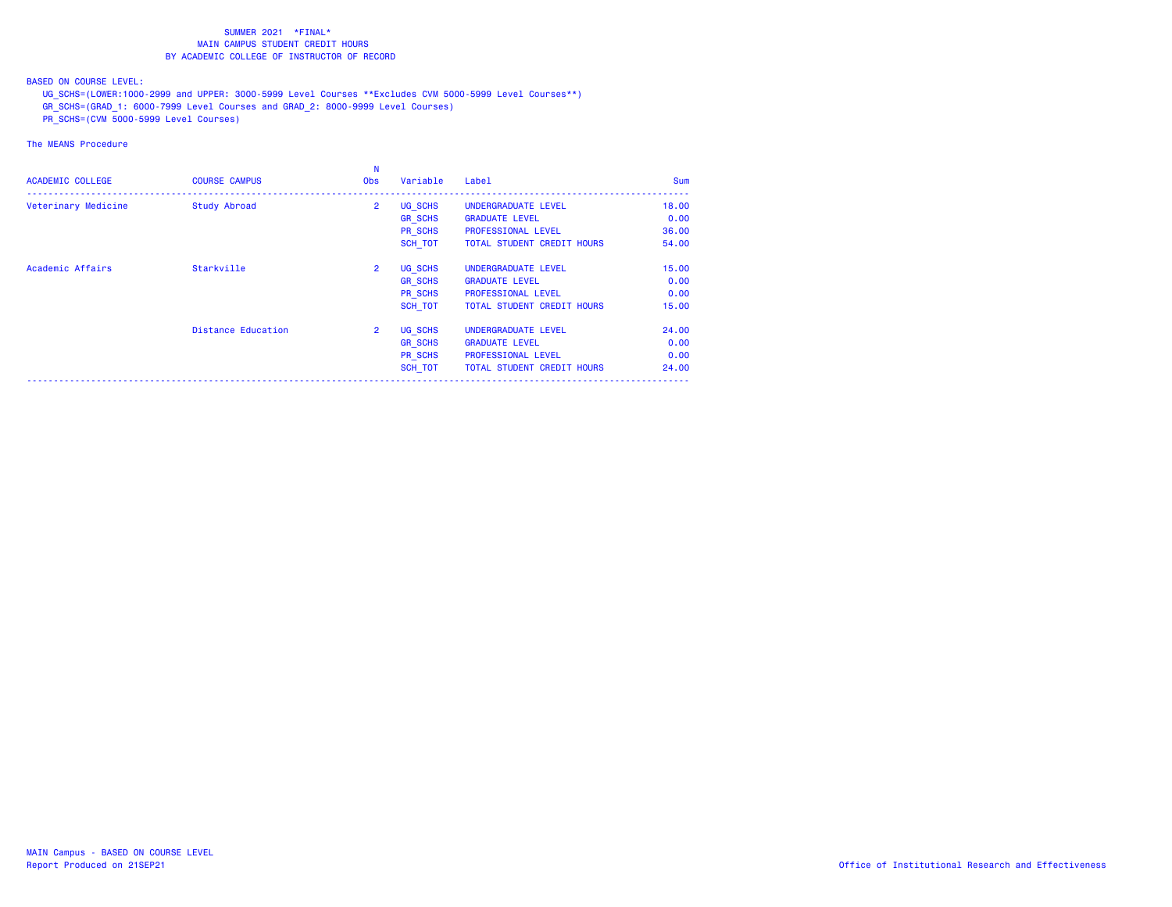BASED ON COURSE LEVEL:

UG\_SCHS=(LOWER:1000-2999 and UPPER: 3000-5999 Level Courses \*\*Excludes CVM 5000-5999 Level Courses\*\*)

- GR\_SCHS=(GRAD\_1: 6000-7999 Level Courses and GRAD\_2: 8000-9999 Level Courses)
- PR\_SCHS=(CVM 5000-5999 Level Courses)

| <b>ACADEMIC COLLEGE</b> | <b>COURSE CAMPUS</b> | <b>Obs</b>     | Variable       | Label                             | <b>Sum</b> |
|-------------------------|----------------------|----------------|----------------|-----------------------------------|------------|
| Veterinary Medicine     | Study Abroad         | $\overline{2}$ | UG SCHS        | UNDERGRADUATE LEVEL               | 18,00      |
|                         |                      |                | <b>GR SCHS</b> | <b>GRADUATE LEVEL</b>             | 0.00       |
|                         |                      |                | PR SCHS        | PROFESSIONAL LEVEL                | 36.00      |
|                         |                      |                | SCH TOT        | <b>TOTAL STUDENT CREDIT HOURS</b> | 54.00      |
| Academic Affairs        | Starkville           | $\overline{2}$ | UG SCHS        | UNDERGRADUATE LEVEL               | 15.00      |
|                         |                      |                | <b>GR SCHS</b> | <b>GRADUATE LEVEL</b>             | 0.00       |
|                         |                      |                | PR SCHS        | <b>PROFESSIONAL LEVEL</b>         | 0.00       |
|                         |                      |                | SCH TOT        | TOTAL STUDENT CREDIT HOURS        | 15.00      |
|                         | Distance Education   | $\overline{2}$ | UG SCHS        | UNDERGRADUATE LEVEL               | 24,00      |
|                         |                      |                | <b>GR SCHS</b> | <b>GRADUATE LEVEL</b>             | 0.00       |
|                         |                      |                | PR SCHS        | PROFESSIONAL LEVEL                | 0.00       |
|                         |                      |                | <b>SCH TOT</b> | TOTAL STUDENT CREDIT HOURS        | 24,00      |
|                         |                      |                |                |                                   |            |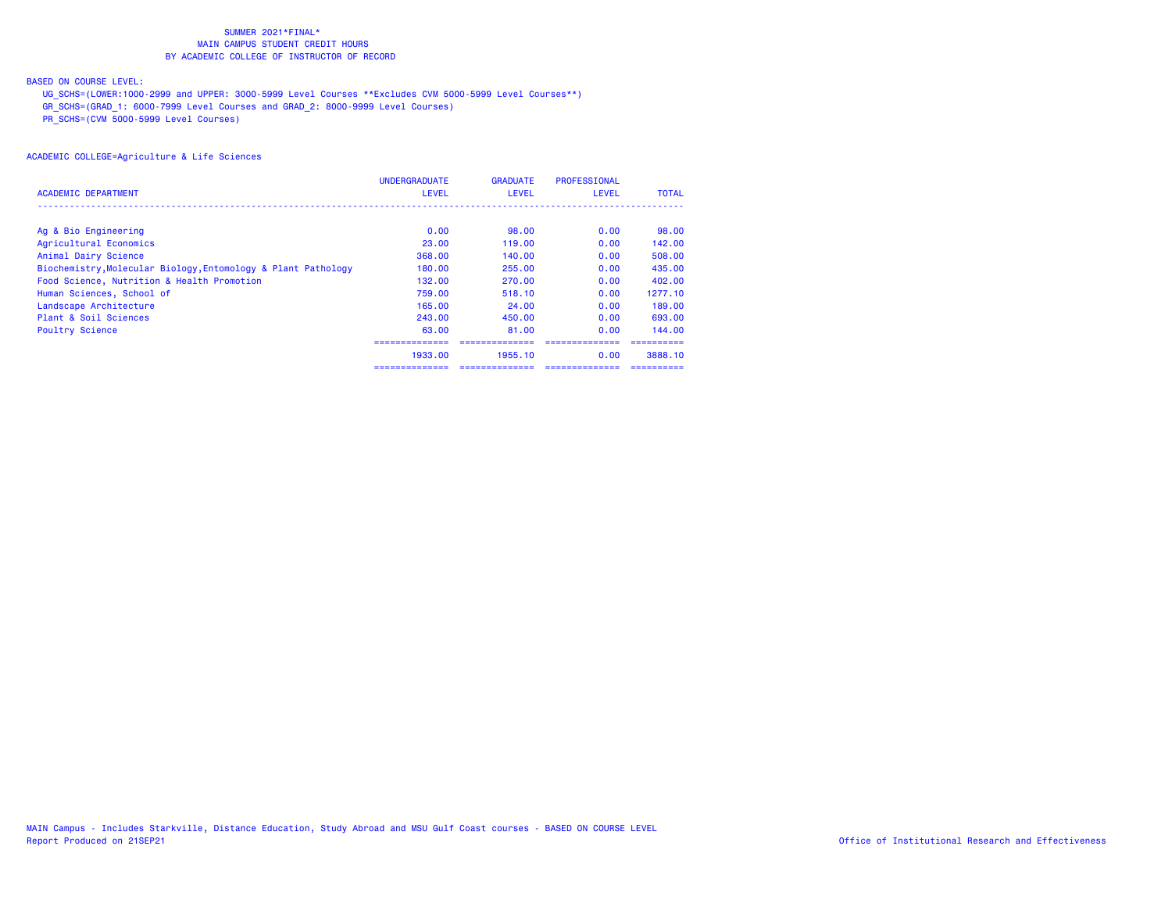## BASED ON COURSE LEVEL:

UG\_SCHS=(LOWER:1000-2999 and UPPER: 3000-5999 Level Courses \*\*Excludes CVM 5000-5999 Level Courses\*\*)

GR\_SCHS=(GRAD\_1: 6000-7999 Level Courses and GRAD\_2: 8000-9999 Level Courses)

PR\_SCHS=(CVM 5000-5999 Level Courses)

|                                                               | <b>UNDERGRADUATE</b> | <b>GRADUATE</b> | PROFESSIONAL |              |
|---------------------------------------------------------------|----------------------|-----------------|--------------|--------------|
| ACADEMIC DEPARTMENT                                           | <b>LEVEL</b>         | <b>LEVEL</b>    | <b>LEVEL</b> | <b>TOTAL</b> |
|                                                               |                      |                 |              |              |
| Ag & Bio Engineering                                          | 0.00                 | 98.00           | 0.00         | 98.00        |
| Agricultural Economics                                        | 23,00                | 119.00          | 0.00         | 142.00       |
| Animal Dairy Science                                          | 368.00               | 140.00          | 0.00         | 508.00       |
| Biochemistry, Molecular Biology, Entomology & Plant Pathology | 180,00               | 255,00          | 0.00         | 435,00       |
| Food Science, Nutrition & Health Promotion                    | 132,00               | 270.00          | 0.00         | 402,00       |
| Human Sciences, School of                                     | 759.00               | 518.10          | 0.00         | 1277.10      |
| Landscape Architecture                                        | 165,00               | 24,00           | 0.00         | 189,00       |
| Plant & Soil Sciences                                         | 243.00               | 450,00          | 0.00         | 693.00       |
| <b>Poultry Science</b>                                        | 63.00                | 81.00           | 0.00         | 144.00       |
|                                                               |                      |                 |              |              |
|                                                               | 1933.00              | 1955.10         | 0.00         | 3888.10      |
|                                                               |                      |                 |              |              |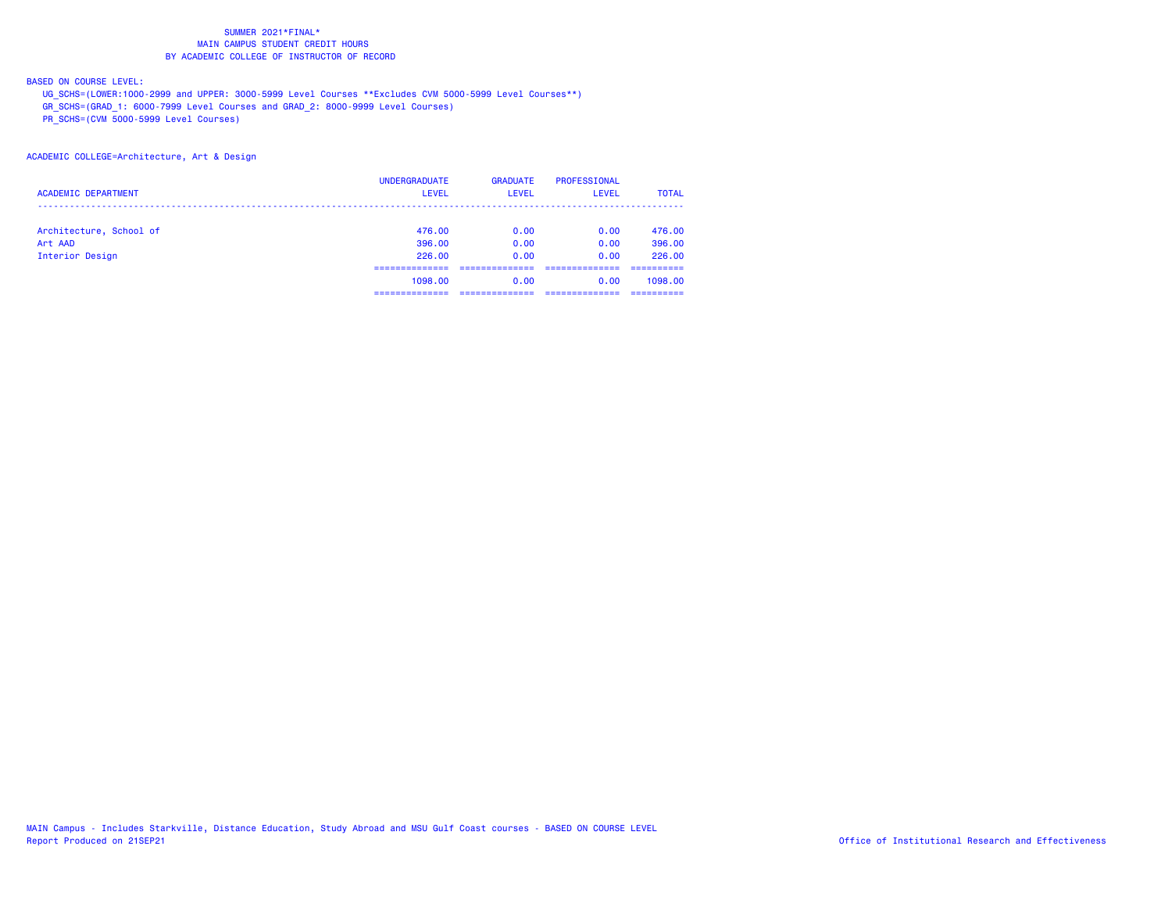## BASED ON COURSE LEVEL:

UG\_SCHS=(LOWER:1000-2999 and UPPER: 3000-5999 Level Courses \*\*Excludes CVM 5000-5999 Level Courses\*\*)

GR\_SCHS=(GRAD\_1: 6000-7999 Level Courses and GRAD\_2: 8000-9999 Level Courses)

PR\_SCHS=(CVM 5000-5999 Level Courses)

### ACADEMIC COLLEGE=Architecture, Art & Design

|                            | <b>UNDERGRADUATE</b> | <b>GRADUATE</b> | PROFESSIONAL |              |
|----------------------------|----------------------|-----------------|--------------|--------------|
| <b>ACADEMIC DEPARTMENT</b> | <b>LEVEL</b>         | <b>LEVEL</b>    | LEVEL        | <b>TOTAL</b> |
|                            |                      |                 |              |              |
| Architecture, School of    | 476.00               | 0.00            | 0.00         | 476.00       |
| Art AAD                    | 396,00               | 0.00            | 0.00         | 396,00       |
| Interior Design            | 226,00               | 0.00            | 0.00         | 226.00       |
|                            |                      |                 |              |              |
|                            | 1098,00              | 0.00            | 0.00         | 1098.00      |
|                            |                      |                 |              |              |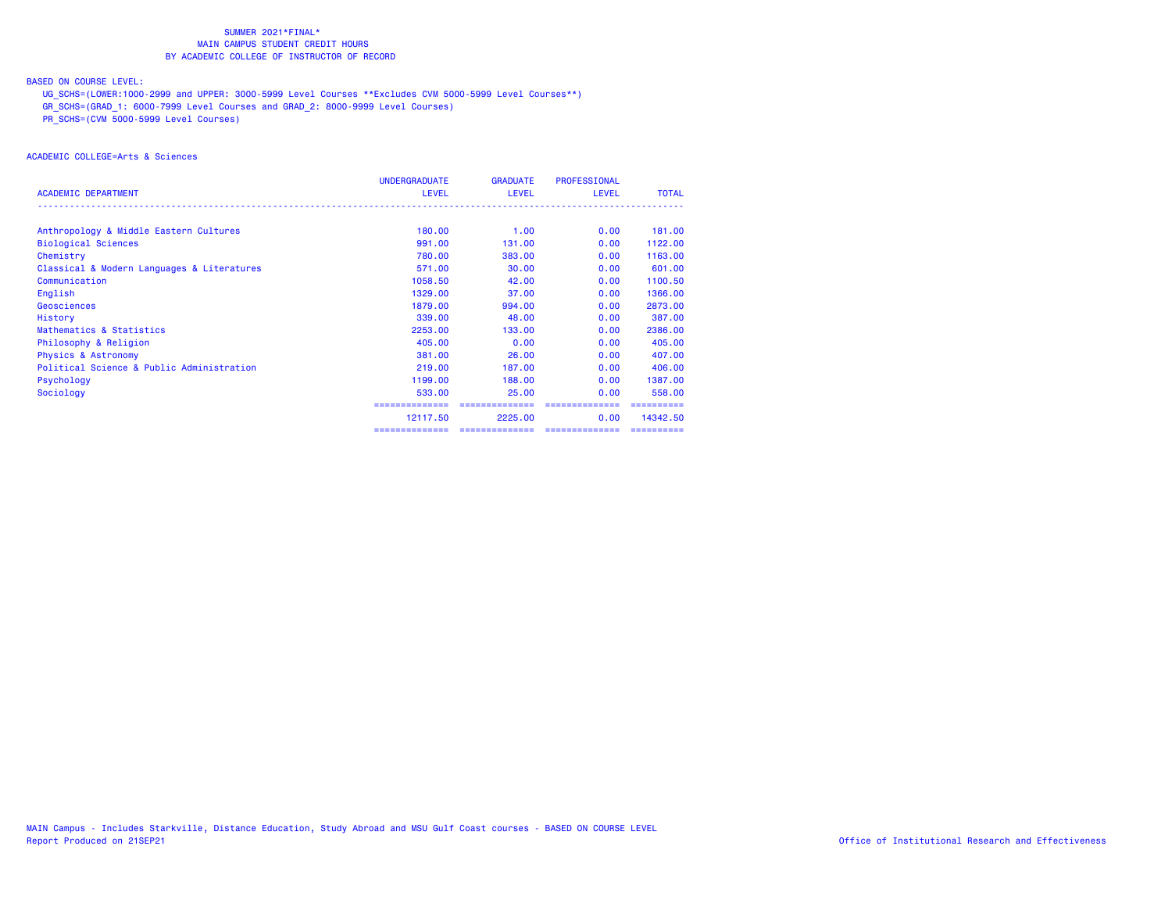## BASED ON COURSE LEVEL:

UG\_SCHS=(LOWER:1000-2999 and UPPER: 3000-5999 Level Courses \*\*Excludes CVM 5000-5999 Level Courses\*\*)

GR\_SCHS=(GRAD\_1: 6000-7999 Level Courses and GRAD\_2: 8000-9999 Level Courses)

PR\_SCHS=(CVM 5000-5999 Level Courses)

# ACADEMIC COLLEGE=Arts & Sciences

|                                            | <b>UNDERGRADUATE</b> | <b>GRADUATE</b> | <b>PROFESSIONAL</b> |              |
|--------------------------------------------|----------------------|-----------------|---------------------|--------------|
| <b>ACADEMIC DEPARTMENT</b>                 | <b>LEVEL</b>         | <b>LEVEL</b>    | <b>LEVEL</b>        | <b>TOTAL</b> |
|                                            |                      |                 |                     |              |
| Anthropology & Middle Eastern Cultures     | 180,00               | 1.00            | 0.00                | 181.00       |
| <b>Biological Sciences</b>                 | 991,00               | 131.00          | 0.00                | 1122.00      |
| Chemistry                                  | 780.00               | 383,00          | 0.00                | 1163.00      |
| Classical & Modern Languages & Literatures | 571.00               | 30.00           | 0.00                | 601,00       |
| Communication                              | 1058.50              | 42.00           | 0.00                | 1100.50      |
| English                                    | 1329,00              | 37.00           | 0.00                | 1366.00      |
| Geosciences                                | 1879.00              | 994.00          | 0.00                | 2873.00      |
| History                                    | 339,00               | 48.00           | 0.00                | 387,00       |
| Mathematics & Statistics                   | 2253.00              | 133,00          | 0.00                | 2386.00      |
| Philosophy & Religion                      | 405,00               | 0.00            | 0.00                | 405.00       |
| <b>Physics &amp; Astronomy</b>             | 381,00               | 26.00           | 0.00                | 407.00       |
| Political Science & Public Administration  | 219,00               | 187.00          | 0.00                | 406,00       |
| Psychology                                 | 1199.00              | 188,00          | 0.00                | 1387.00      |
| Sociology                                  | 533,00               | 25.00           | 0.00                | 558.00       |
|                                            |                      |                 |                     |              |
|                                            | 12117.50             | 2225,00         | 0.00                | 14342.50     |
|                                            | ==============       | ==============  | ==============      |              |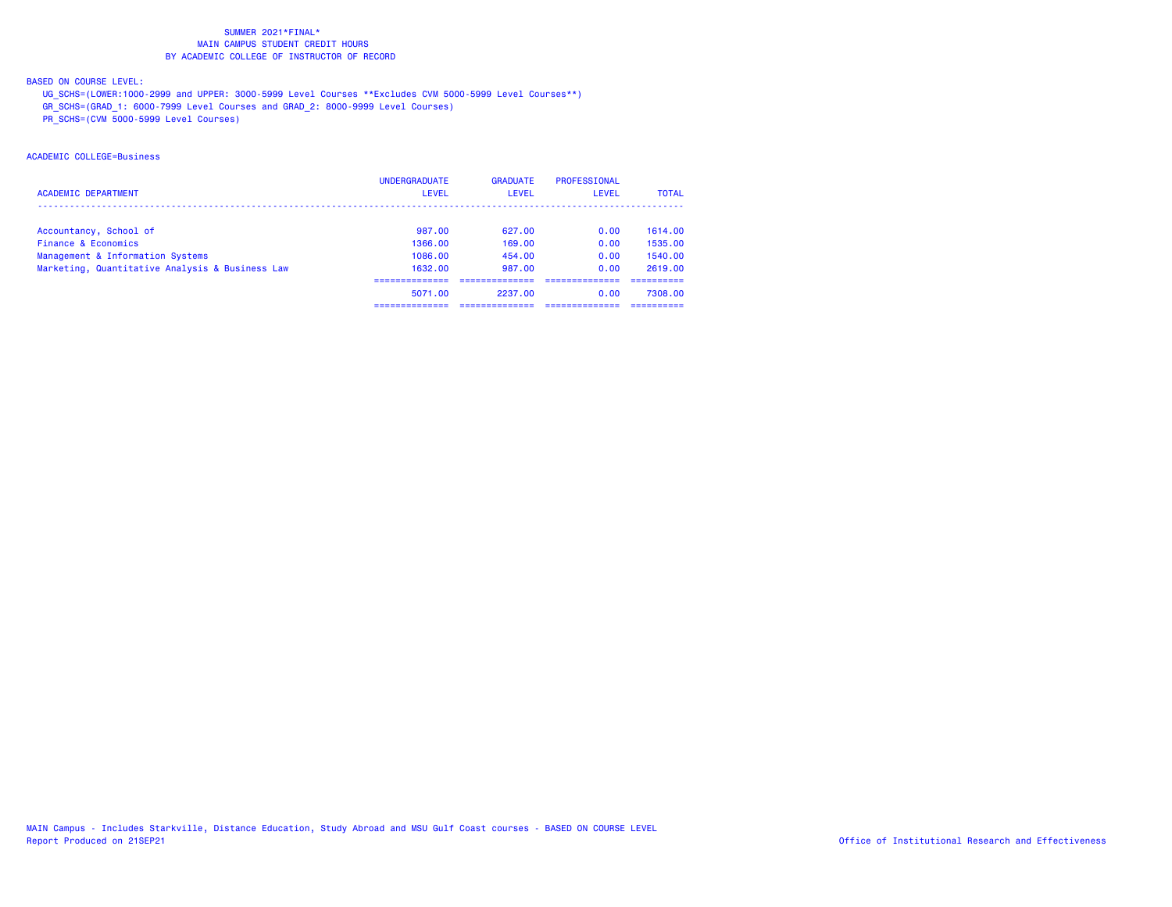## BASED ON COURSE LEVEL:

UG\_SCHS=(LOWER:1000-2999 and UPPER: 3000-5999 Level Courses \*\*Excludes CVM 5000-5999 Level Courses\*\*)

GR\_SCHS=(GRAD\_1: 6000-7999 Level Courses and GRAD\_2: 8000-9999 Level Courses)

PR\_SCHS=(CVM 5000-5999 Level Courses)

# ACADEMIC COLLEGE=Business

|                                                 | <b>UNDERGRADUATE</b> | <b>GRADUATE</b> | PROFESSIONAL |              |
|-------------------------------------------------|----------------------|-----------------|--------------|--------------|
| <b>ACADEMIC DEPARTMENT</b>                      | <b>LEVEL</b>         | LEVEL           | LEVEL        | <b>TOTAL</b> |
|                                                 |                      |                 |              |              |
| Accountancy, School of                          | 987.00               | 627.00          | 0.00         | 1614.00      |
| Finance & Economics                             | 1366.00              | 169.00          | 0.00         | 1535.00      |
| Management & Information Systems                | 1086.00              | 454.00          | 0.00         | 1540.00      |
| Marketing, Quantitative Analysis & Business Law | 1632.00              | 987.00          | 0.00         | 2619.00      |
|                                                 |                      |                 |              |              |
|                                                 | 5071.00              | 2237.00         | 0.00         | 7308.00      |
|                                                 |                      |                 |              |              |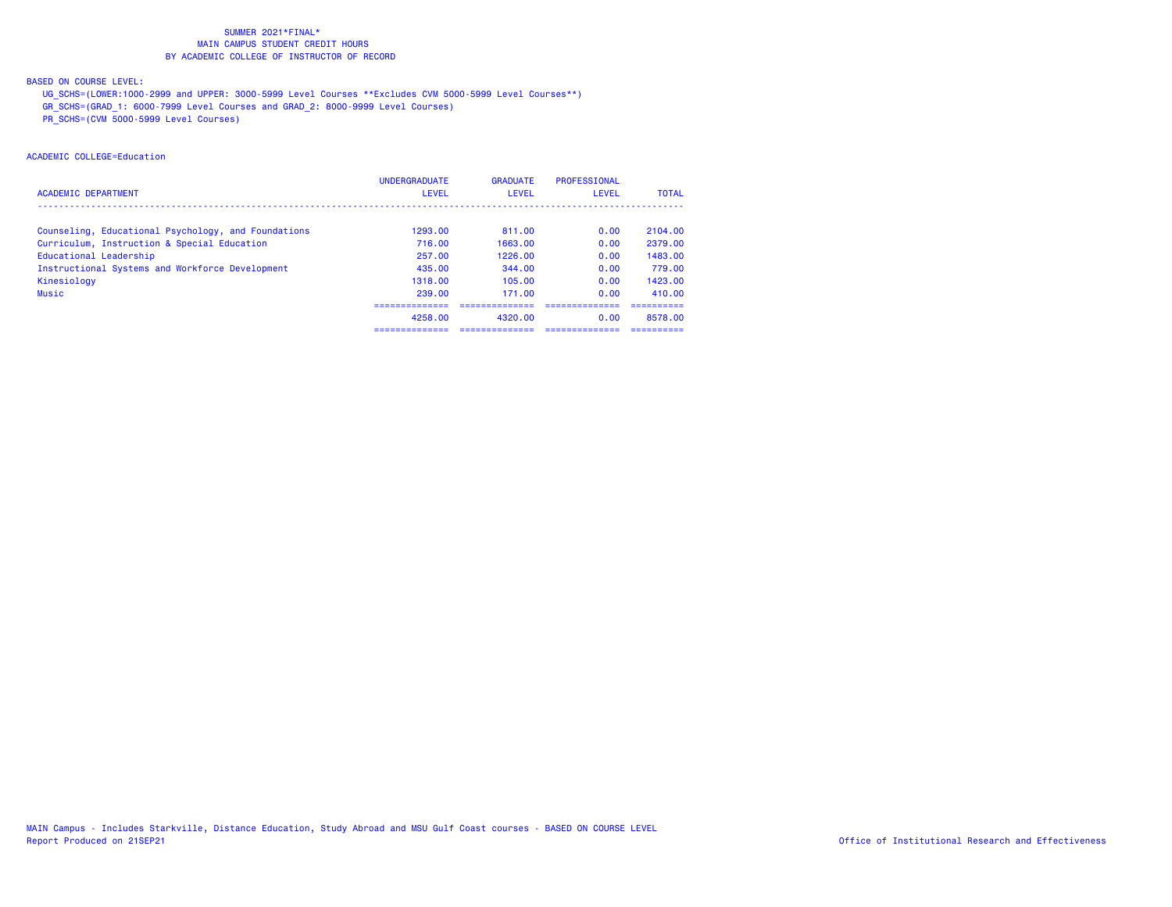## BASED ON COURSE LEVEL:

UG\_SCHS=(LOWER:1000-2999 and UPPER: 3000-5999 Level Courses \*\*Excludes CVM 5000-5999 Level Courses\*\*)

GR\_SCHS=(GRAD\_1: 6000-7999 Level Courses and GRAD\_2: 8000-9999 Level Courses)

PR\_SCHS=(CVM 5000-5999 Level Courses)

# ACADEMIC COLLEGE=Education

|                                                     | <b>UNDERGRADUATE</b> | <b>GRADUATE</b> | PROFESSIONAL |              |
|-----------------------------------------------------|----------------------|-----------------|--------------|--------------|
| <b>ACADEMIC DEPARTMENT</b>                          | <b>LEVEL</b>         | LEVEL           | LEVEL        | <b>TOTAL</b> |
|                                                     |                      |                 |              |              |
| Counseling, Educational Psychology, and Foundations | 1293.00              | 811.00          | 0.00         | 2104.00      |
| Curriculum, Instruction & Special Education         | 716.00               | 1663.00         | 0.00         | 2379.00      |
| Educational Leadership                              | 257.00               | 1226.00         | 0.00         | 1483.00      |
| Instructional Systems and Workforce Development     | 435.00               | 344.00          | 0.00         | 779.00       |
| Kinesiology                                         | 1318.00              | 105.00          | 0.00         | 1423.00      |
| <b>Music</b>                                        | 239.00               | 171.00          | 0.00         | 410.00       |
|                                                     |                      |                 |              |              |
|                                                     | 4258.00              | 4320.00         | 0.00         | 8578.00      |
|                                                     | -----------          |                 |              |              |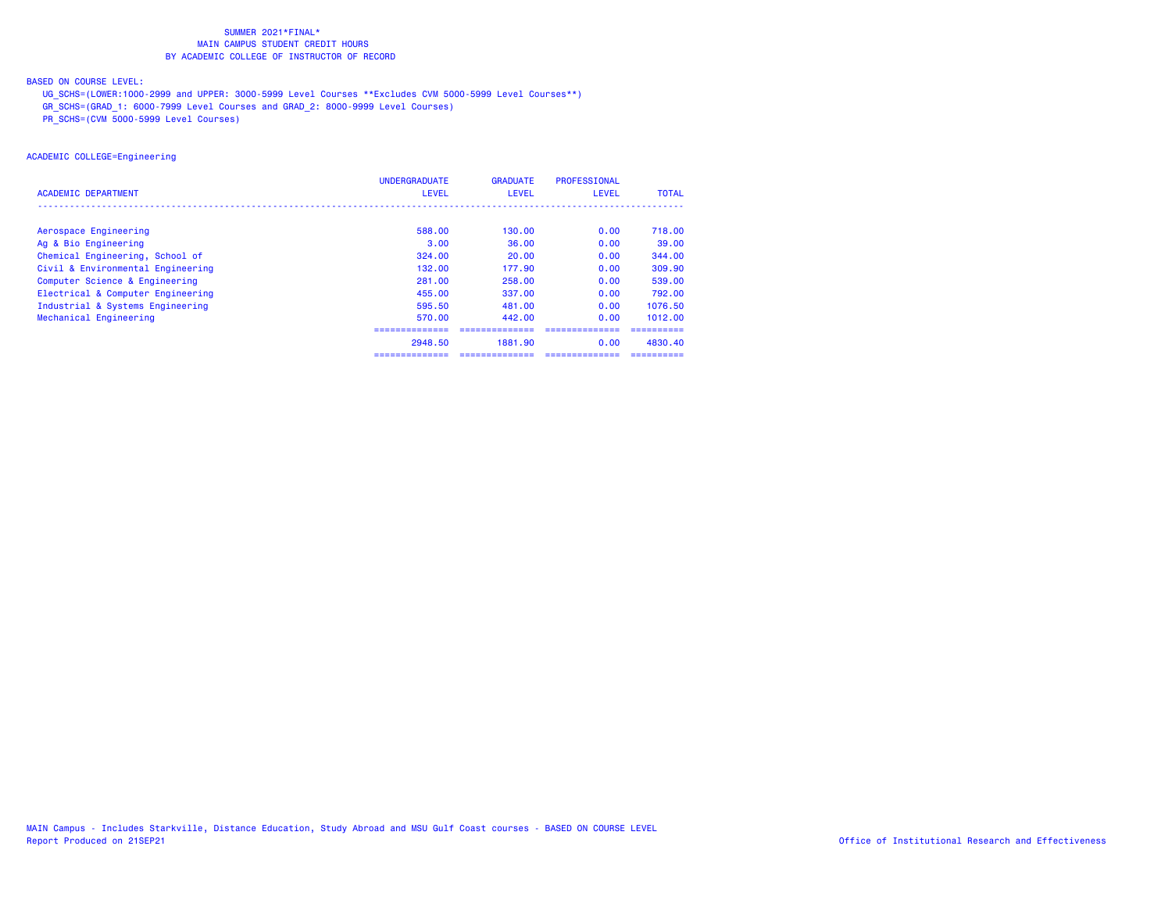## BASED ON COURSE LEVEL:

UG\_SCHS=(LOWER:1000-2999 and UPPER: 3000-5999 Level Courses \*\*Excludes CVM 5000-5999 Level Courses\*\*)

GR\_SCHS=(GRAD\_1: 6000-7999 Level Courses and GRAD\_2: 8000-9999 Level Courses)

PR\_SCHS=(CVM 5000-5999 Level Courses)

## ACADEMIC COLLEGE=Engineering

|                                   | <b>UNDERGRADUATE</b> | <b>GRADUATE</b> | <b>PROFESSIONAL</b> |              |
|-----------------------------------|----------------------|-----------------|---------------------|--------------|
| ACADEMIC DEPARTMENT               | <b>LEVEL</b>         | <b>LEVEL</b>    | <b>LEVEL</b>        | <b>TOTAL</b> |
|                                   |                      |                 |                     |              |
| Aerospace Engineering             | 588.00               | 130.00          | 0.00                | 718.00       |
| Ag & Bio Engineering              | 3.00                 | 36,00           | 0.00                | 39.00        |
| Chemical Engineering, School of   | 324.00               | 20.00           | 0.00                | 344,00       |
| Civil & Environmental Engineering | 132,00               | 177.90          | 0.00                | 309.90       |
| Computer Science & Engineering    | 281,00               | 258,00          | 0.00                | 539,00       |
| Electrical & Computer Engineering | 455.00               | 337.00          | 0.00                | 792.00       |
| Industrial & Systems Engineering  | 595.50               | 481.00          | 0.00                | 1076.50      |
| Mechanical Engineering            | 570.00               | 442.00          | 0.00                | 1012.00      |
|                                   |                      |                 |                     |              |
|                                   | 2948.50              | 1881.90         | 0.00                | 4830.40      |
|                                   | .                    |                 |                     |              |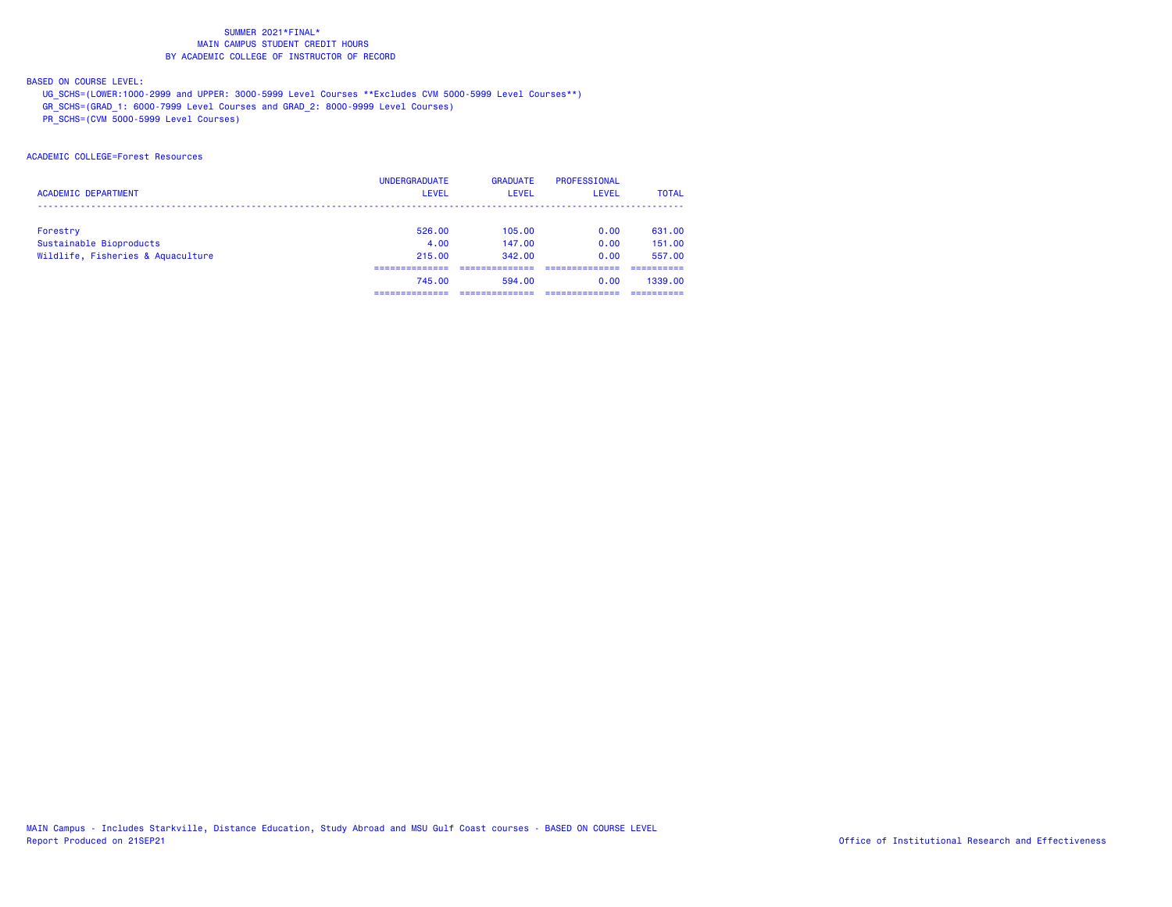## BASED ON COURSE LEVEL:

UG\_SCHS=(LOWER:1000-2999 and UPPER: 3000-5999 Level Courses \*\*Excludes CVM 5000-5999 Level Courses\*\*)

GR\_SCHS=(GRAD\_1: 6000-7999 Level Courses and GRAD\_2: 8000-9999 Level Courses)

PR\_SCHS=(CVM 5000-5999 Level Courses)

## ACADEMIC COLLEGE=Forest Resources

|                                   | <b>UNDERGRADUATE</b> | <b>GRADUATE</b> | PROFESSIONAL |              |
|-----------------------------------|----------------------|-----------------|--------------|--------------|
| <b>ACADEMIC DEPARTMENT</b>        | <b>LEVEL</b>         | <b>LEVEL</b>    | <b>LEVEL</b> | <b>TOTAL</b> |
|                                   |                      |                 |              |              |
| Forestry                          | 526.00               | 105.00          | 0.00         | 631.00       |
| Sustainable Bioproducts           | 4.00                 | 147.00          | 0.00         | 151.00       |
| Wildlife, Fisheries & Aquaculture | 215,00               | 342.00          | 0.00         | 557.00       |
|                                   |                      |                 |              |              |
|                                   | 745.00               | 594.00          | 0.00         | 1339.00      |
|                                   |                      |                 |              |              |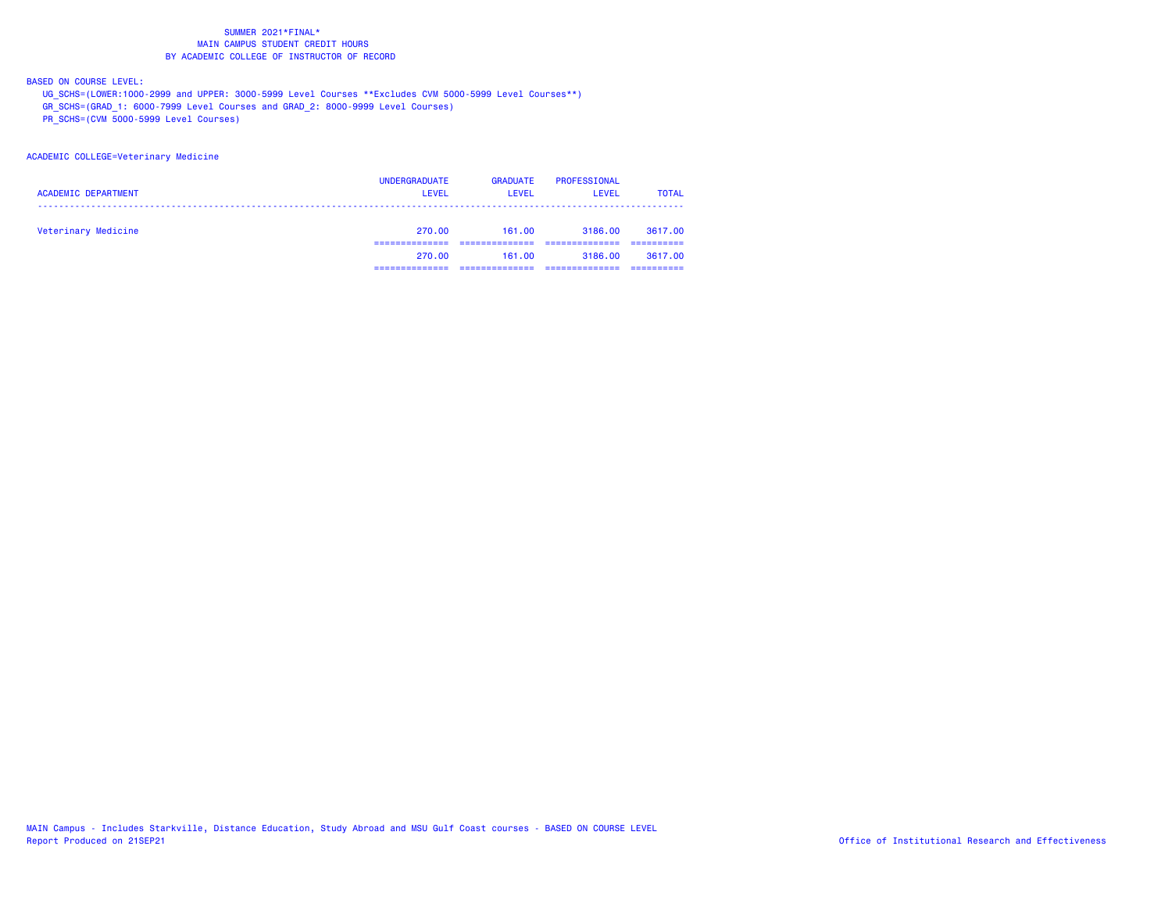BASED ON COURSE LEVEL:

UG\_SCHS=(LOWER:1000-2999 and UPPER: 3000-5999 Level Courses \*\*Excludes CVM 5000-5999 Level Courses\*\*)

GR\_SCHS=(GRAD\_1: 6000-7999 Level Courses and GRAD\_2: 8000-9999 Level Courses)

PR\_SCHS=(CVM 5000-5999 Level Courses)

#### ACADEMIC COLLEGE=Veterinary Medicine

| <b>ACADEMIC DEPARTMENT</b> | <b>UNDERGRADUATE</b><br><b>LEVEL</b> | <b>GRADUATE</b><br><b>LEVEL</b> | PROFESSIONAL<br><b>LEVEL</b> | <b>TOTAL</b> |
|----------------------------|--------------------------------------|---------------------------------|------------------------------|--------------|
| Veterinary Medicine        | 270.00                               | 161.00                          | 3186.00                      | 3617.00      |
|                            | 270.00                               | 161.00                          | 3186.00                      | 3617.00      |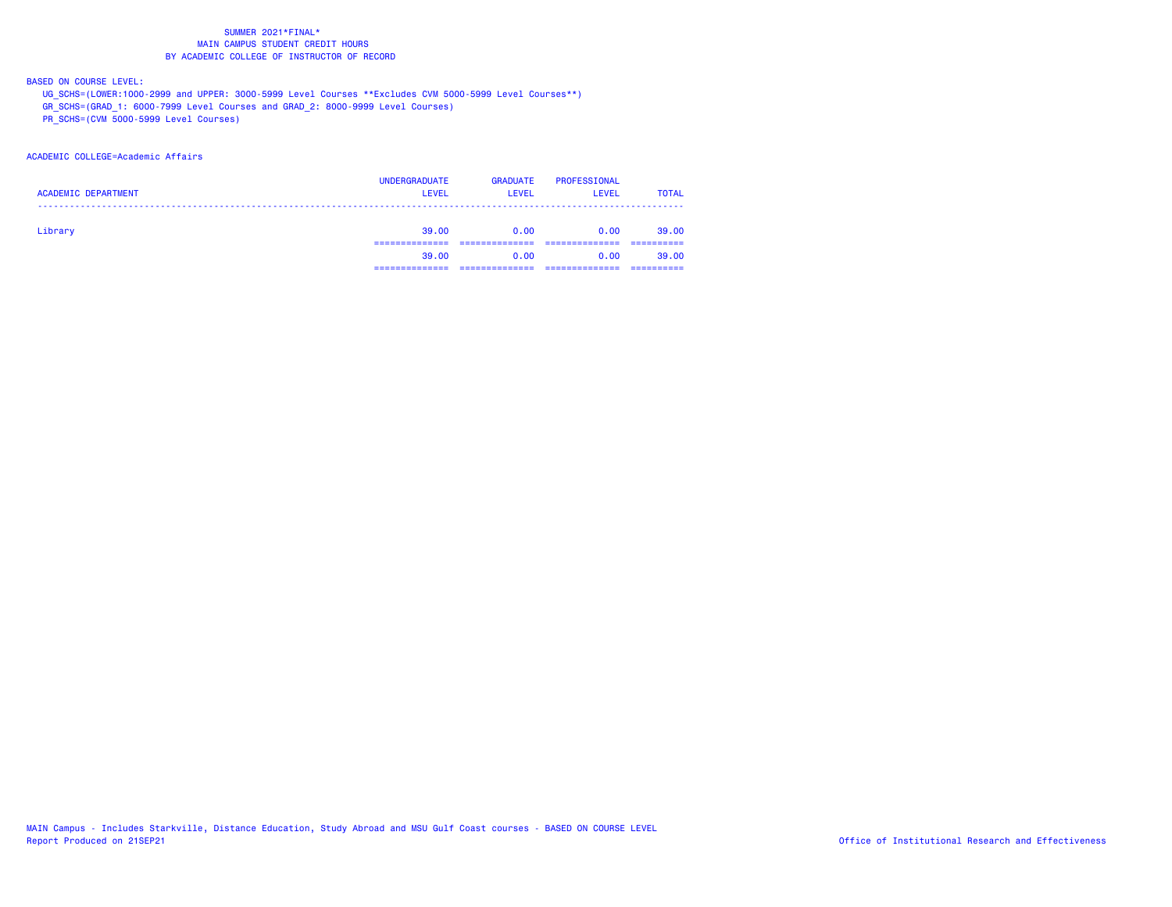BASED ON COURSE LEVEL:

UG\_SCHS=(LOWER:1000-2999 and UPPER: 3000-5999 Level Courses \*\*Excludes CVM 5000-5999 Level Courses\*\*)

GR\_SCHS=(GRAD\_1: 6000-7999 Level Courses and GRAD\_2: 8000-9999 Level Courses)

PR\_SCHS=(CVM 5000-5999 Level Courses)

## ACADEMIC COLLEGE=Academic Affairs

| <b>ACADEMIC DEPARTMENT</b> | <b>UNDERGRADUATE</b><br><b>LEVEL</b> | <b>GRADUATE</b><br><b>LEVEL</b> | <b>PROFESSIONAL</b><br><b>LEVEL</b> | <b>TOTAL</b> |
|----------------------------|--------------------------------------|---------------------------------|-------------------------------------|--------------|
| Library                    | 39.00                                | 0.00                            | 0.00                                | 39,00        |
|                            | 39.00                                | 0.00                            | 0.00                                | 39,00        |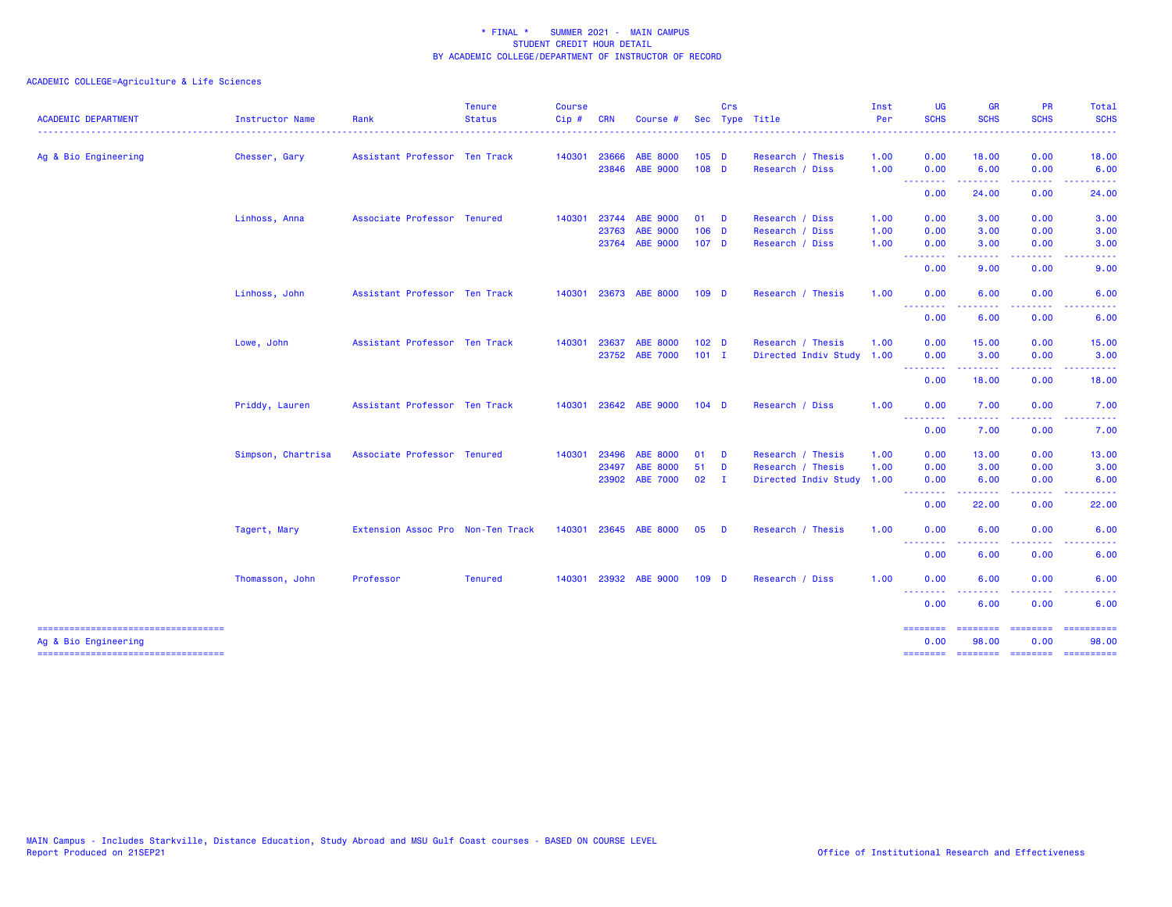| <b>ACADEMIC DEPARTMENT</b>                                  | Instructor Name    | Rank                              | <b>Tenure</b><br><b>Status</b> | <b>Course</b><br>Cip# | <b>CRN</b>   | Course #        |                  | Crs      | Sec Type Title            | Inst<br>Per | <b>UG</b><br><b>SCHS</b>                                                                      | <b>GR</b><br><b>SCHS</b> | <b>PR</b><br><b>SCHS</b> | Total<br><b>SCHS</b>                                                                                                                                         |
|-------------------------------------------------------------|--------------------|-----------------------------------|--------------------------------|-----------------------|--------------|-----------------|------------------|----------|---------------------------|-------------|-----------------------------------------------------------------------------------------------|--------------------------|--------------------------|--------------------------------------------------------------------------------------------------------------------------------------------------------------|
| Ag & Bio Engineering                                        | Chesser, Gary      | Assistant Professor Ten Track     |                                | 140301                | 23666        | <b>ABE 8000</b> | $105$ D          |          | Research / Thesis         | 1.00        | 0.00                                                                                          | 18.00                    | 0.00                     | 18.00                                                                                                                                                        |
|                                                             |                    |                                   |                                |                       | 23846        | <b>ABE 9000</b> | $108$ D          |          | Research / Diss           | 1.00        | 0.00<br>.                                                                                     | 6.00<br>.                | 0.00                     | 6.00                                                                                                                                                         |
|                                                             |                    |                                   |                                |                       |              |                 |                  |          |                           |             | 0.00                                                                                          | 24.00                    | 0.00                     | 24.00                                                                                                                                                        |
|                                                             | Linhoss, Anna      | Associate Professor Tenured       |                                |                       | 140301 23744 | <b>ABE 9000</b> | $01$ D           |          | Research / Diss           | 1.00        | 0.00                                                                                          | 3.00                     | 0.00                     | 3.00                                                                                                                                                         |
|                                                             |                    |                                   |                                |                       | 23763        | <b>ABE 9000</b> | $106$ D          |          | Research / Diss           | 1.00        | 0.00                                                                                          | 3.00                     | 0.00                     | 3.00                                                                                                                                                         |
|                                                             |                    |                                   |                                |                       |              | 23764 ABE 9000  | 107 <sub>D</sub> |          | Research / Diss           | 1.00        | 0.00<br><b>.</b> .                                                                            | 3.00<br>.                | 0.00<br>.                | 3.00<br>$\frac{1}{2} \left( \frac{1}{2} \right) \left( \frac{1}{2} \right) \left( \frac{1}{2} \right) \left( \frac{1}{2} \right) \left( \frac{1}{2} \right)$ |
|                                                             |                    |                                   |                                |                       |              |                 |                  |          |                           |             | 0.00                                                                                          | 9.00                     | 0.00                     | 9.00                                                                                                                                                         |
|                                                             | Linhoss, John      | Assistant Professor Ten Track     |                                | 140301                |              | 23673 ABE 8000  | 109 <sub>D</sub> |          | Research / Thesis         | 1.00        | 0.00                                                                                          | 6.00                     | 0.00                     | 6.00                                                                                                                                                         |
|                                                             |                    |                                   |                                |                       |              |                 |                  |          |                           |             | <u>.</u><br>0.00                                                                              | 6.00                     | 0.00                     | 6.00                                                                                                                                                         |
|                                                             | Lowe, John         | Assistant Professor Ten Track     |                                | 140301                | 23637        | <b>ABE 8000</b> | 102 <sub>D</sub> |          | Research / Thesis         | 1.00        | 0.00                                                                                          | 15.00                    | 0.00                     | 15.00                                                                                                                                                        |
|                                                             |                    |                                   |                                |                       | 23752        | <b>ABE 7000</b> | $101$ I          |          | Directed Indiv Study 1.00 |             | 0.00                                                                                          | 3.00                     | 0.00                     | 3.00                                                                                                                                                         |
|                                                             |                    |                                   |                                |                       |              |                 |                  |          |                           |             | <b></b><br>0.00                                                                               | 18.00                    | 0.00                     | 18.00                                                                                                                                                        |
|                                                             | Priddy, Lauren     | Assistant Professor Ten Track     |                                | 140301                |              | 23642 ABE 9000  | $104$ D          |          | Research / Diss           | 1.00        | 0.00                                                                                          | 7.00                     | 0.00                     | 7.00                                                                                                                                                         |
|                                                             |                    |                                   |                                |                       |              |                 |                  |          |                           |             | <u>.</u><br>0.00                                                                              | . <u>.</u> .<br>7.00     | .<br>0.00                | 7.00                                                                                                                                                         |
|                                                             | Simpson, Chartrisa | Associate Professor Tenured       |                                | 140301                | 23496        | <b>ABE 8000</b> | 01               | D        | Research / Thesis         | 1.00        | 0.00                                                                                          | 13.00                    | 0.00                     | 13.00                                                                                                                                                        |
|                                                             |                    |                                   |                                |                       | 23497        | <b>ABE 8000</b> | 51 D             |          | Research / Thesis         | 1.00        | 0.00                                                                                          | 3.00                     | 0.00                     | 3.00                                                                                                                                                         |
|                                                             |                    |                                   |                                |                       |              | 23902 ABE 7000  | $02 \qquad I$    |          | Directed Indiv Study 1.00 |             | 0.00<br>.                                                                                     | 6.00<br>. <u>.</u> .     | 0.00<br>.                | 6.00                                                                                                                                                         |
|                                                             |                    |                                   |                                |                       |              |                 |                  |          |                           |             | 0.00                                                                                          | 22.00                    | 0.00                     | 22.00                                                                                                                                                        |
|                                                             | Tagert, Mary       | Extension Assoc Pro Non-Ten Track |                                | 140301                |              | 23645 ABE 8000  | 05               | <b>D</b> | Research / Thesis         | 1.00        | 0.00                                                                                          | 6.00                     | 0.00                     | 6.00                                                                                                                                                         |
|                                                             |                    |                                   |                                |                       |              |                 |                  |          |                           |             | $\sim$ $\sim$ $\sim$ $\sim$<br>$\frac{1}{2} \left( \frac{1}{2} \right) = \frac{1}{2}$<br>0.00 | 6.00                     | 0.00                     | 6.00                                                                                                                                                         |
|                                                             | Thomasson, John    | Professor                         | <b>Tenured</b>                 | 140301                |              | 23932 ABE 9000  | 109 <sub>D</sub> |          | Research / Diss           | 1.00        | 0.00                                                                                          | 6.00                     | 0.00                     | 6.00                                                                                                                                                         |
|                                                             |                    |                                   |                                |                       |              |                 |                  |          |                           |             | .<br>0.00                                                                                     | 6.00                     | 0.00                     | 6.00                                                                                                                                                         |
|                                                             |                    |                                   |                                |                       |              |                 |                  |          |                           |             |                                                                                               |                          |                          | ==========                                                                                                                                                   |
| -----------------------------------<br>Ag & Bio Engineering |                    |                                   |                                |                       |              |                 |                  |          |                           |             | --------<br>0.00                                                                              | 98.00                    | 0.00                     | 98.00                                                                                                                                                        |
| ------------------------------------                        |                    |                                   |                                |                       |              |                 |                  |          |                           |             |                                                                                               |                          |                          | -------- ------- -------- ---------                                                                                                                          |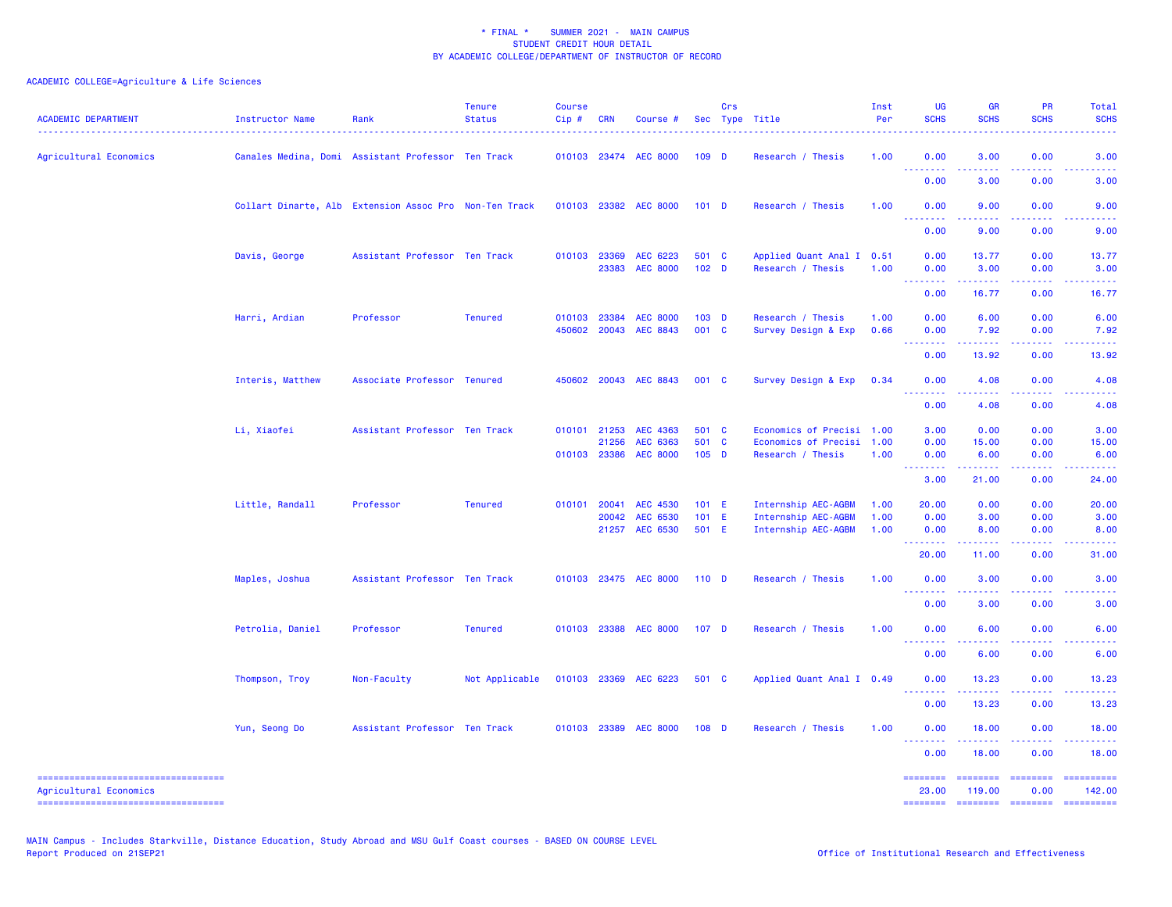| <b>ACADEMIC DEPARTMENT</b>                                      | Instructor Name  | Rank                                                   | <b>Tenure</b><br><b>Status</b> | <b>Course</b><br>Cip# | <b>CRN</b> | Course #              |                  | Crs | Sec Type Title            | Inst<br>Per | <b>UG</b><br><b>SCHS</b>               | <b>GR</b><br><b>SCHS</b>                                                                                                                                      | PR<br><b>SCHS</b>                                                                                                                 | Total<br><b>SCHS</b>                                                                                                                                                                                                                                                                                                                                                                                                                                                                   |
|-----------------------------------------------------------------|------------------|--------------------------------------------------------|--------------------------------|-----------------------|------------|-----------------------|------------------|-----|---------------------------|-------------|----------------------------------------|---------------------------------------------------------------------------------------------------------------------------------------------------------------|-----------------------------------------------------------------------------------------------------------------------------------|----------------------------------------------------------------------------------------------------------------------------------------------------------------------------------------------------------------------------------------------------------------------------------------------------------------------------------------------------------------------------------------------------------------------------------------------------------------------------------------|
| Agricultural Economics                                          |                  | Canales Medina, Domi Assistant Professor Ten Track     |                                |                       |            | 010103 23474 AEC 8000 | 109 <sub>D</sub> |     | Research / Thesis         | 1.00        | 0.00<br>$\sim$ $\sim$ $\sim$<br>$   -$ | 3.00                                                                                                                                                          | 0.00<br>$\frac{1}{2} \left( \frac{1}{2} \right) \left( \frac{1}{2} \right) \left( \frac{1}{2} \right) \left( \frac{1}{2} \right)$ | 3.00                                                                                                                                                                                                                                                                                                                                                                                                                                                                                   |
|                                                                 |                  |                                                        |                                |                       |            |                       |                  |     |                           |             | 0.00                                   | 3.00                                                                                                                                                          | 0.00                                                                                                                              | 3.00                                                                                                                                                                                                                                                                                                                                                                                                                                                                                   |
|                                                                 |                  | Collart Dinarte, Alb Extension Assoc Pro Non-Ten Track |                                |                       |            | 010103 23382 AEC 8000 | $101$ D          |     | Research / Thesis         | 1.00        | 0.00                                   | 9.00                                                                                                                                                          | 0.00                                                                                                                              | 9.00                                                                                                                                                                                                                                                                                                                                                                                                                                                                                   |
|                                                                 |                  |                                                        |                                |                       |            |                       |                  |     |                           |             | .<br>0.00                              | 9.00                                                                                                                                                          | بالمحام<br>0.00                                                                                                                   | 9.00                                                                                                                                                                                                                                                                                                                                                                                                                                                                                   |
|                                                                 | Davis, George    | Assistant Professor Ten Track                          |                                | 010103 23369          |            | AEC 6223              | 501 C            |     | Applied Quant Anal I      | 0.51        | 0.00                                   | 13.77                                                                                                                                                         | 0.00                                                                                                                              | 13.77                                                                                                                                                                                                                                                                                                                                                                                                                                                                                  |
|                                                                 |                  |                                                        |                                |                       | 23383      | <b>AEC 8000</b>       | 102 <sub>D</sub> |     | Research / Thesis         | 1.00        | 0.00<br><u>.</u>                       | 3.00<br>بالمستعا                                                                                                                                              | 0.00                                                                                                                              | 3.00                                                                                                                                                                                                                                                                                                                                                                                                                                                                                   |
|                                                                 |                  |                                                        |                                |                       |            |                       |                  |     |                           |             | 0.00                                   | 16.77                                                                                                                                                         | 0.00                                                                                                                              | 16.77                                                                                                                                                                                                                                                                                                                                                                                                                                                                                  |
|                                                                 | Harri, Ardian    | Professor                                              | <b>Tenured</b>                 | 010103                | 23384      | <b>AEC 8000</b>       | $103$ D          |     | Research / Thesis         | 1.00        | 0.00                                   | 6.00                                                                                                                                                          | 0.00                                                                                                                              | 6.00                                                                                                                                                                                                                                                                                                                                                                                                                                                                                   |
|                                                                 |                  |                                                        |                                | 450602                | 20043      | AEC 8843              | 001 C            |     | Survey Design & Exp       | 0.66        | 0.00<br>بالأباب                        | 7.92<br>$\omega$ is a set                                                                                                                                     | 0.00<br>المتمالين                                                                                                                 | 7.92<br>.                                                                                                                                                                                                                                                                                                                                                                                                                                                                              |
|                                                                 |                  |                                                        |                                |                       |            |                       |                  |     |                           |             | 0.00                                   | 13.92                                                                                                                                                         | 0.00                                                                                                                              | 13.92                                                                                                                                                                                                                                                                                                                                                                                                                                                                                  |
|                                                                 | Interis, Matthew | Associate Professor Tenured                            |                                | 450602                |            | 20043 AEC 8843        | 001 C            |     | Survey Design & Exp       | 0.34        | 0.00                                   | 4.08                                                                                                                                                          | 0.00                                                                                                                              | 4.08                                                                                                                                                                                                                                                                                                                                                                                                                                                                                   |
|                                                                 |                  |                                                        |                                |                       |            |                       |                  |     |                           |             | بالاند<br>.<br>0.00                    | 4.08                                                                                                                                                          | <b><i><u>ALLA</u></i></b><br>0.00                                                                                                 | 4.08                                                                                                                                                                                                                                                                                                                                                                                                                                                                                   |
|                                                                 | Li, Xiaofei      | Assistant Professor Ten Track                          |                                | 010101 21253          |            | AEC 4363              | 501 C            |     | Economics of Precisi 1.00 |             | 3.00                                   | 0.00                                                                                                                                                          | 0.00                                                                                                                              | 3.00                                                                                                                                                                                                                                                                                                                                                                                                                                                                                   |
|                                                                 |                  |                                                        |                                |                       | 21256      | AEC 6363              | 501 C            |     | Economics of Precisi 1.00 |             | 0.00                                   | 15.00                                                                                                                                                         | 0.00                                                                                                                              | 15.00                                                                                                                                                                                                                                                                                                                                                                                                                                                                                  |
|                                                                 |                  |                                                        |                                | 010103 23386          |            | <b>AEC 8000</b>       | $105$ D          |     | Research / Thesis         | 1.00        | 0.00                                   | 6.00                                                                                                                                                          | 0.00                                                                                                                              | 6.00                                                                                                                                                                                                                                                                                                                                                                                                                                                                                   |
|                                                                 |                  |                                                        |                                |                       |            |                       |                  |     |                           |             | <u>.</u><br>3.00                       | $\frac{1}{2} \left( \frac{1}{2} \right) \left( \frac{1}{2} \right) \left( \frac{1}{2} \right) \left( \frac{1}{2} \right) \left( \frac{1}{2} \right)$<br>21.00 | المتمالين<br>0.00                                                                                                                 | 24.00                                                                                                                                                                                                                                                                                                                                                                                                                                                                                  |
|                                                                 | Little, Randall  | Professor                                              | <b>Tenured</b>                 | 010101                | 20041      | <b>AEC 4530</b>       | 101 E            |     | Internship AEC-AGBM       | 1.00        | 20.00                                  | 0.00                                                                                                                                                          | 0.00                                                                                                                              | 20.00                                                                                                                                                                                                                                                                                                                                                                                                                                                                                  |
|                                                                 |                  |                                                        |                                |                       | 20042      | AEC 6530              | 101 E            |     | Internship AEC-AGBM       | 1.00        | 0.00                                   | 3.00                                                                                                                                                          | 0.00                                                                                                                              | 3.00                                                                                                                                                                                                                                                                                                                                                                                                                                                                                   |
|                                                                 |                  |                                                        |                                |                       |            | 21257 AEC 6530        | 501 E            |     | Internship AEC-AGBM       | 1.00        | 0.00<br>.                              | 8.00<br>------                                                                                                                                                | 0.00<br>.                                                                                                                         | 8.00                                                                                                                                                                                                                                                                                                                                                                                                                                                                                   |
|                                                                 |                  |                                                        |                                |                       |            |                       |                  |     |                           |             | 20.00                                  | 11.00                                                                                                                                                         | 0.00                                                                                                                              | 31.00                                                                                                                                                                                                                                                                                                                                                                                                                                                                                  |
|                                                                 | Maples, Joshua   | Assistant Professor Ten Track                          |                                | 010103                |            | 23475 AEC 8000        | 110 <sub>D</sub> |     | Research / Thesis         | 1.00        | 0.00                                   | 3.00                                                                                                                                                          | 0.00                                                                                                                              | 3.00                                                                                                                                                                                                                                                                                                                                                                                                                                                                                   |
|                                                                 |                  |                                                        |                                |                       |            |                       |                  |     |                           |             | $\sim$ $\sim$ $\sim$<br>.<br>0.00      | .<br>3.00                                                                                                                                                     | د د د د<br>0.00                                                                                                                   | 3.00                                                                                                                                                                                                                                                                                                                                                                                                                                                                                   |
|                                                                 | Petrolia, Daniel | Professor                                              | <b>Tenured</b>                 |                       |            | 010103 23388 AEC 8000 | 107 <sub>D</sub> |     | Research / Thesis         | 1.00        | 0.00                                   | 6.00                                                                                                                                                          | 0.00                                                                                                                              | 6.00                                                                                                                                                                                                                                                                                                                                                                                                                                                                                   |
|                                                                 |                  |                                                        |                                |                       |            |                       |                  |     |                           |             | 222<br>.<br>0.00                       | 6.00                                                                                                                                                          | 0.00                                                                                                                              | 6.00                                                                                                                                                                                                                                                                                                                                                                                                                                                                                   |
|                                                                 | Thompson, Troy   | Non-Faculty                                            | Not Applicable                 |                       |            | 010103 23369 AEC 6223 | 501 C            |     | Applied Quant Anal I 0.49 |             | 0.00                                   | 13.23                                                                                                                                                         | 0.00                                                                                                                              | 13.23                                                                                                                                                                                                                                                                                                                                                                                                                                                                                  |
|                                                                 |                  |                                                        |                                |                       |            |                       |                  |     |                           |             | <b>.</b><br>.<br>0.00                  | 13.23                                                                                                                                                         | 0.00                                                                                                                              | 13.23                                                                                                                                                                                                                                                                                                                                                                                                                                                                                  |
|                                                                 | Yun, Seong Do    | Assistant Professor Ten Track                          |                                |                       |            | 010103 23389 AEC 8000 | $108$ D          |     | Research / Thesis         | 1.00        | 0.00                                   | 18.00                                                                                                                                                         | 0.00                                                                                                                              | 18.00                                                                                                                                                                                                                                                                                                                                                                                                                                                                                  |
|                                                                 |                  |                                                        |                                |                       |            |                       |                  |     |                           |             | <u>.</u>                               | .                                                                                                                                                             | .                                                                                                                                 |                                                                                                                                                                                                                                                                                                                                                                                                                                                                                        |
|                                                                 |                  |                                                        |                                |                       |            |                       |                  |     |                           |             | 0.00                                   | 18.00                                                                                                                                                         | 0.00                                                                                                                              | 18.00                                                                                                                                                                                                                                                                                                                                                                                                                                                                                  |
| =====================================<br>Agricultural Economics |                  |                                                        |                                |                       |            |                       |                  |     |                           |             | ========<br>23.00                      | ========<br>119.00                                                                                                                                            | ========<br>0.00                                                                                                                  | $-22222222222$<br>142.00                                                                                                                                                                                                                                                                                                                                                                                                                                                               |
| -----------------------------------                             |                  |                                                        |                                |                       |            |                       |                  |     |                           |             | <b>EEEEEEEE</b>                        | <b>CONSIDER</b>                                                                                                                                               | <b>CONSIGNS</b>                                                                                                                   | $\begin{array}{cccccccccc} \multicolumn{2}{c}{} & \multicolumn{2}{c}{} & \multicolumn{2}{c}{} & \multicolumn{2}{c}{} & \multicolumn{2}{c}{} & \multicolumn{2}{c}{} & \multicolumn{2}{c}{} & \multicolumn{2}{c}{} & \multicolumn{2}{c}{} & \multicolumn{2}{c}{} & \multicolumn{2}{c}{} & \multicolumn{2}{c}{} & \multicolumn{2}{c}{} & \multicolumn{2}{c}{} & \multicolumn{2}{c}{} & \multicolumn{2}{c}{} & \multicolumn{2}{c}{} & \multicolumn{2}{c}{} & \multicolumn{2}{c}{} & \mult$ |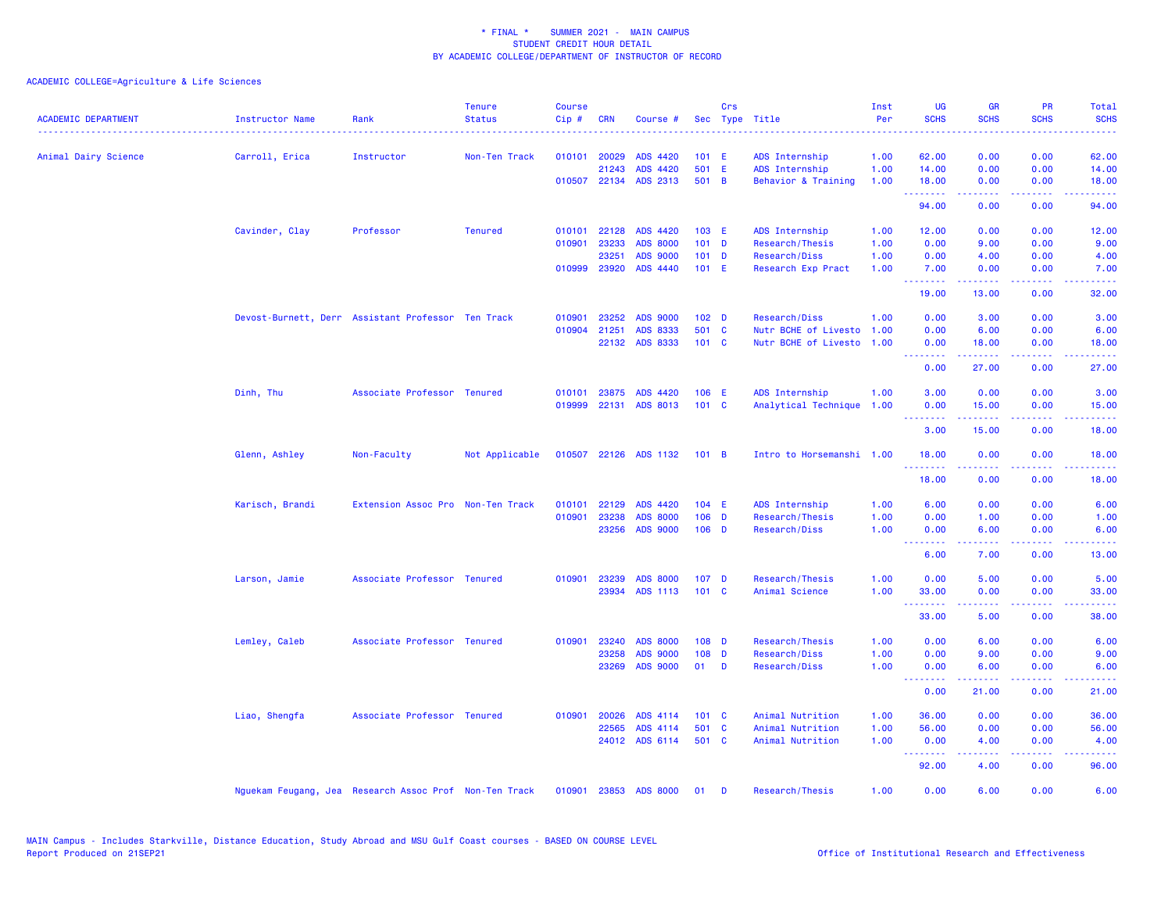| <b>ACADEMIC DEPARTMENT</b> | Instructor Name                                        | Rank                              | <b>Tenure</b><br><b>Status</b> | <b>Course</b><br>Cip# | <b>CRN</b>   | Course #              |                  | Crs          | Sec Type Title            | Inst<br>Per | <b>UG</b><br><b>SCHS</b>                                                                                                                                                                                                                                                                                                                                                                                                                                                                       | <b>GR</b><br><b>SCHS</b>                                                                                                                                                                                                                                                                                                                                                                                                                                                                       | <b>PR</b><br><b>SCHS</b> | Total<br><b>SCHS</b>                                                                                                                                         |
|----------------------------|--------------------------------------------------------|-----------------------------------|--------------------------------|-----------------------|--------------|-----------------------|------------------|--------------|---------------------------|-------------|------------------------------------------------------------------------------------------------------------------------------------------------------------------------------------------------------------------------------------------------------------------------------------------------------------------------------------------------------------------------------------------------------------------------------------------------------------------------------------------------|------------------------------------------------------------------------------------------------------------------------------------------------------------------------------------------------------------------------------------------------------------------------------------------------------------------------------------------------------------------------------------------------------------------------------------------------------------------------------------------------|--------------------------|--------------------------------------------------------------------------------------------------------------------------------------------------------------|
| Animal Dairy Science       | Carroll, Erica                                         | Instructor                        | Non-Ten Track                  |                       | 010101 20029 | ADS 4420              | 101 E            |              | ADS Internship            | 1.00        | 62.00                                                                                                                                                                                                                                                                                                                                                                                                                                                                                          | 0.00                                                                                                                                                                                                                                                                                                                                                                                                                                                                                           | 0.00                     | 62.00                                                                                                                                                        |
|                            |                                                        |                                   |                                |                       | 21243        | ADS 4420              | 501 E            |              | ADS Internship            | 1.00        | 14.00                                                                                                                                                                                                                                                                                                                                                                                                                                                                                          | 0.00                                                                                                                                                                                                                                                                                                                                                                                                                                                                                           | 0.00                     | 14.00                                                                                                                                                        |
|                            |                                                        |                                   |                                |                       |              | 010507 22134 ADS 2313 | 501 B            |              | Behavior & Training       | 1.00        | 18.00                                                                                                                                                                                                                                                                                                                                                                                                                                                                                          | 0.00                                                                                                                                                                                                                                                                                                                                                                                                                                                                                           | 0.00                     | 18.00                                                                                                                                                        |
|                            |                                                        |                                   |                                |                       |              |                       |                  |              |                           |             | .<br>94.00                                                                                                                                                                                                                                                                                                                                                                                                                                                                                     | $\begin{array}{cccccccccccccc} \multicolumn{2}{c}{} & \multicolumn{2}{c}{} & \multicolumn{2}{c}{} & \multicolumn{2}{c}{} & \multicolumn{2}{c}{} & \multicolumn{2}{c}{} & \multicolumn{2}{c}{} & \multicolumn{2}{c}{} & \multicolumn{2}{c}{} & \multicolumn{2}{c}{} & \multicolumn{2}{c}{} & \multicolumn{2}{c}{} & \multicolumn{2}{c}{} & \multicolumn{2}{c}{} & \multicolumn{2}{c}{} & \multicolumn{2}{c}{} & \multicolumn{2}{c}{} & \multicolumn{2}{c}{} & \multicolumn{2}{c}{} & \$<br>0.00 | .<br>0.00                | .<br>94.00                                                                                                                                                   |
|                            | Cavinder, Clay                                         | Professor                         | <b>Tenured</b>                 |                       | 010101 22128 | ADS 4420              | 103 E            |              | ADS Internship            | 1.00        | 12.00                                                                                                                                                                                                                                                                                                                                                                                                                                                                                          | 0.00                                                                                                                                                                                                                                                                                                                                                                                                                                                                                           | 0.00                     | 12.00                                                                                                                                                        |
|                            |                                                        |                                   |                                |                       | 010901 23233 | <b>ADS 8000</b>       | $101$ D          |              | Research/Thesis           | 1.00        | 0.00                                                                                                                                                                                                                                                                                                                                                                                                                                                                                           | 9.00                                                                                                                                                                                                                                                                                                                                                                                                                                                                                           | 0.00                     | 9.00                                                                                                                                                         |
|                            |                                                        |                                   |                                |                       | 23251        | <b>ADS 9000</b>       | $101$ D          |              | Research/Diss             | 1.00        | 0.00                                                                                                                                                                                                                                                                                                                                                                                                                                                                                           | 4.00                                                                                                                                                                                                                                                                                                                                                                                                                                                                                           | 0.00                     | 4.00                                                                                                                                                         |
|                            |                                                        |                                   |                                |                       | 010999 23920 | ADS 4440              | 101 E            |              | Research Exp Pract        | 1.00        | 7.00<br><b></b>                                                                                                                                                                                                                                                                                                                                                                                                                                                                                | 0.00<br>$\frac{1}{2} \left( \frac{1}{2} \right) \left( \frac{1}{2} \right) \left( \frac{1}{2} \right) \left( \frac{1}{2} \right) \left( \frac{1}{2} \right)$                                                                                                                                                                                                                                                                                                                                   | 0.00<br>.                | 7.00<br>$\frac{1}{2} \left( \frac{1}{2} \right) \left( \frac{1}{2} \right) \left( \frac{1}{2} \right) \left( \frac{1}{2} \right) \left( \frac{1}{2} \right)$ |
|                            |                                                        |                                   |                                |                       |              |                       |                  |              |                           |             | 19.00                                                                                                                                                                                                                                                                                                                                                                                                                                                                                          | 13.00                                                                                                                                                                                                                                                                                                                                                                                                                                                                                          | 0.00                     | 32.00                                                                                                                                                        |
|                            | Devost-Burnett, Derr Assistant Professor Ten Track     |                                   |                                | 010901                | 23252        | <b>ADS 9000</b>       | 102 <sub>D</sub> |              | Research/Diss             | 1.00        | 0.00                                                                                                                                                                                                                                                                                                                                                                                                                                                                                           | 3.00                                                                                                                                                                                                                                                                                                                                                                                                                                                                                           | 0.00                     | 3.00                                                                                                                                                         |
|                            |                                                        |                                   |                                | 010904                | 21251        | ADS 8333              | 501 C            |              | Nutr BCHE of Livesto 1.00 |             | 0.00                                                                                                                                                                                                                                                                                                                                                                                                                                                                                           | 6.00                                                                                                                                                                                                                                                                                                                                                                                                                                                                                           | 0.00                     | 6.00                                                                                                                                                         |
|                            |                                                        |                                   |                                |                       |              | 22132 ADS 8333        | 101 C            |              | Nutr BCHE of Livesto 1.00 |             | 0.00<br>$\begin{array}{cccccccccc} \multicolumn{2}{c}{} & \multicolumn{2}{c}{} & \multicolumn{2}{c}{} & \multicolumn{2}{c}{} & \multicolumn{2}{c}{} & \multicolumn{2}{c}{} & \multicolumn{2}{c}{} & \multicolumn{2}{c}{} & \multicolumn{2}{c}{} & \multicolumn{2}{c}{} & \multicolumn{2}{c}{} & \multicolumn{2}{c}{} & \multicolumn{2}{c}{} & \multicolumn{2}{c}{} & \multicolumn{2}{c}{} & \multicolumn{2}{c}{} & \multicolumn{2}{c}{} & \multicolumn{2}{c}{} & \multicolumn{2}{c}{} & \mult$ | 18.00<br>.                                                                                                                                                                                                                                                                                                                                                                                                                                                                                     | 0.00<br>.                | 18.00<br>.                                                                                                                                                   |
|                            |                                                        |                                   |                                |                       |              |                       |                  |              |                           |             | 0.00                                                                                                                                                                                                                                                                                                                                                                                                                                                                                           | 27.00                                                                                                                                                                                                                                                                                                                                                                                                                                                                                          | 0.00                     | 27.00                                                                                                                                                        |
|                            | Dinh, Thu                                              | Associate Professor Tenured       |                                |                       |              | 010101 23875 ADS 4420 | 106 E            |              | ADS Internship            | 1.00        | 3.00                                                                                                                                                                                                                                                                                                                                                                                                                                                                                           | 0.00                                                                                                                                                                                                                                                                                                                                                                                                                                                                                           | 0.00                     | 3.00                                                                                                                                                         |
|                            |                                                        |                                   |                                | 019999                |              | 22131 ADS 8013        | 101 C            |              | Analytical Technique      | 1.00        | 0.00                                                                                                                                                                                                                                                                                                                                                                                                                                                                                           | 15.00                                                                                                                                                                                                                                                                                                                                                                                                                                                                                          | 0.00                     | 15.00                                                                                                                                                        |
|                            |                                                        |                                   |                                |                       |              |                       |                  |              |                           |             | .                                                                                                                                                                                                                                                                                                                                                                                                                                                                                              | .                                                                                                                                                                                                                                                                                                                                                                                                                                                                                              | .                        | .                                                                                                                                                            |
|                            |                                                        |                                   |                                |                       |              |                       |                  |              |                           |             | 3.00                                                                                                                                                                                                                                                                                                                                                                                                                                                                                           | 15.00                                                                                                                                                                                                                                                                                                                                                                                                                                                                                          | 0.00                     | 18.00                                                                                                                                                        |
|                            | Glenn, Ashley                                          | Non-Faculty                       | Not Applicable                 |                       |              | 010507 22126 ADS 1132 | $101$ B          |              | Intro to Horsemanshi 1.00 |             | 18.00<br>.                                                                                                                                                                                                                                                                                                                                                                                                                                                                                     | 0.00                                                                                                                                                                                                                                                                                                                                                                                                                                                                                           | 0.00                     | 18.00                                                                                                                                                        |
|                            |                                                        |                                   |                                |                       |              |                       |                  |              |                           |             | 18.00                                                                                                                                                                                                                                                                                                                                                                                                                                                                                          | 0.00                                                                                                                                                                                                                                                                                                                                                                                                                                                                                           | 0.00                     | 18.00                                                                                                                                                        |
|                            | Karisch, Brandi                                        | Extension Assoc Pro Non-Ten Track |                                | 010101                | 22129        | ADS 4420              | 104 E            |              | ADS Internship            | 1.00        | 6.00                                                                                                                                                                                                                                                                                                                                                                                                                                                                                           | 0.00                                                                                                                                                                                                                                                                                                                                                                                                                                                                                           | 0.00                     | 6.00                                                                                                                                                         |
|                            |                                                        |                                   |                                | 010901                | 23238        | <b>ADS 8000</b>       | $106$ D          |              | Research/Thesis           | 1.00        | 0.00                                                                                                                                                                                                                                                                                                                                                                                                                                                                                           | 1.00                                                                                                                                                                                                                                                                                                                                                                                                                                                                                           | 0.00                     | 1.00                                                                                                                                                         |
|                            |                                                        |                                   |                                |                       | 23256        | <b>ADS 9000</b>       | $106$ D          |              | Research/Diss             | 1.00        | 0.00<br>.                                                                                                                                                                                                                                                                                                                                                                                                                                                                                      | 6.00                                                                                                                                                                                                                                                                                                                                                                                                                                                                                           | 0.00                     | 6.00                                                                                                                                                         |
|                            |                                                        |                                   |                                |                       |              |                       |                  |              |                           |             | 6.00                                                                                                                                                                                                                                                                                                                                                                                                                                                                                           | 7.00                                                                                                                                                                                                                                                                                                                                                                                                                                                                                           | 0.00                     | 13.00                                                                                                                                                        |
|                            | Larson, Jamie                                          | Associate Professor Tenured       |                                |                       | 010901 23239 | <b>ADS 8000</b>       | 107 D            |              | Research/Thesis           | 1.00        | 0.00                                                                                                                                                                                                                                                                                                                                                                                                                                                                                           | 5.00                                                                                                                                                                                                                                                                                                                                                                                                                                                                                           | 0.00                     | 5.00                                                                                                                                                         |
|                            |                                                        |                                   |                                |                       | 23934        | ADS 1113              | 101 C            |              | Animal Science            | 1.00        | 33.00                                                                                                                                                                                                                                                                                                                                                                                                                                                                                          | 0.00                                                                                                                                                                                                                                                                                                                                                                                                                                                                                           | 0.00                     | 33.00                                                                                                                                                        |
|                            |                                                        |                                   |                                |                       |              |                       |                  |              |                           |             | .<br>33.00                                                                                                                                                                                                                                                                                                                                                                                                                                                                                     | $\frac{1}{2} \left( \frac{1}{2} \right) \left( \frac{1}{2} \right) \left( \frac{1}{2} \right) \left( \frac{1}{2} \right) \left( \frac{1}{2} \right)$<br>5.00                                                                                                                                                                                                                                                                                                                                   | .<br>0.00                | .<br>38.00                                                                                                                                                   |
|                            | Lemley, Caleb                                          | Associate Professor Tenured       |                                | 010901                | 23240        | <b>ADS 8000</b>       | 108 D            |              | Research/Thesis           | 1.00        | 0.00                                                                                                                                                                                                                                                                                                                                                                                                                                                                                           | 6.00                                                                                                                                                                                                                                                                                                                                                                                                                                                                                           | 0.00                     | 6.00                                                                                                                                                         |
|                            |                                                        |                                   |                                |                       | 23258        | <b>ADS 9000</b>       | 108 D            |              | Research/Diss             | 1.00        | 0.00                                                                                                                                                                                                                                                                                                                                                                                                                                                                                           | 9.00                                                                                                                                                                                                                                                                                                                                                                                                                                                                                           | 0.00                     | 9.00                                                                                                                                                         |
|                            |                                                        |                                   |                                |                       | 23269        | <b>ADS 9000</b>       | 01               | $\mathbf{D}$ | Research/Diss             | 1.00        | 0.00                                                                                                                                                                                                                                                                                                                                                                                                                                                                                           | 6.00                                                                                                                                                                                                                                                                                                                                                                                                                                                                                           | 0.00                     | 6.00                                                                                                                                                         |
|                            | Liao, Shengfa                                          |                                   |                                |                       |              |                       |                  |              |                           |             | <b></b><br>0.00                                                                                                                                                                                                                                                                                                                                                                                                                                                                                | .<br>21.00                                                                                                                                                                                                                                                                                                                                                                                                                                                                                     | .<br>0.00                | .<br>21.00                                                                                                                                                   |
|                            |                                                        | Associate Professor Tenured       |                                | 010901                | 20026        | ADS 4114              | 101 C            |              | Animal Nutrition          | 1.00        | 36.00                                                                                                                                                                                                                                                                                                                                                                                                                                                                                          | 0.00                                                                                                                                                                                                                                                                                                                                                                                                                                                                                           | 0.00                     | 36.00                                                                                                                                                        |
|                            |                                                        |                                   |                                |                       | 22565        | ADS 4114              | 501 C            |              | Animal Nutrition          | 1.00        | 56.00                                                                                                                                                                                                                                                                                                                                                                                                                                                                                          | 0.00                                                                                                                                                                                                                                                                                                                                                                                                                                                                                           | 0.00                     | 56.00                                                                                                                                                        |
|                            |                                                        |                                   |                                |                       |              | 24012 ADS 6114        | 501 C            |              | Animal Nutrition          | 1.00        | 0.00                                                                                                                                                                                                                                                                                                                                                                                                                                                                                           | 4.00                                                                                                                                                                                                                                                                                                                                                                                                                                                                                           | 0.00                     | 4.00                                                                                                                                                         |
|                            |                                                        |                                   |                                |                       |              |                       |                  |              |                           |             | .<br>92.00                                                                                                                                                                                                                                                                                                                                                                                                                                                                                     | $\frac{1}{2} \left( \frac{1}{2} \right) \left( \frac{1}{2} \right) \left( \frac{1}{2} \right) \left( \frac{1}{2} \right) \left( \frac{1}{2} \right)$<br>4.00                                                                                                                                                                                                                                                                                                                                   | .<br>0.00                | وعاعاها<br>96.00                                                                                                                                             |
|                            | Nguekam Feugang, Jea Research Assoc Prof Non-Ten Track |                                   |                                |                       |              | 010901 23853 ADS 8000 | 01               | D            | Research/Thesis           | 1.00        | 0.00                                                                                                                                                                                                                                                                                                                                                                                                                                                                                           | 6.00                                                                                                                                                                                                                                                                                                                                                                                                                                                                                           | 0.00                     | 6.00                                                                                                                                                         |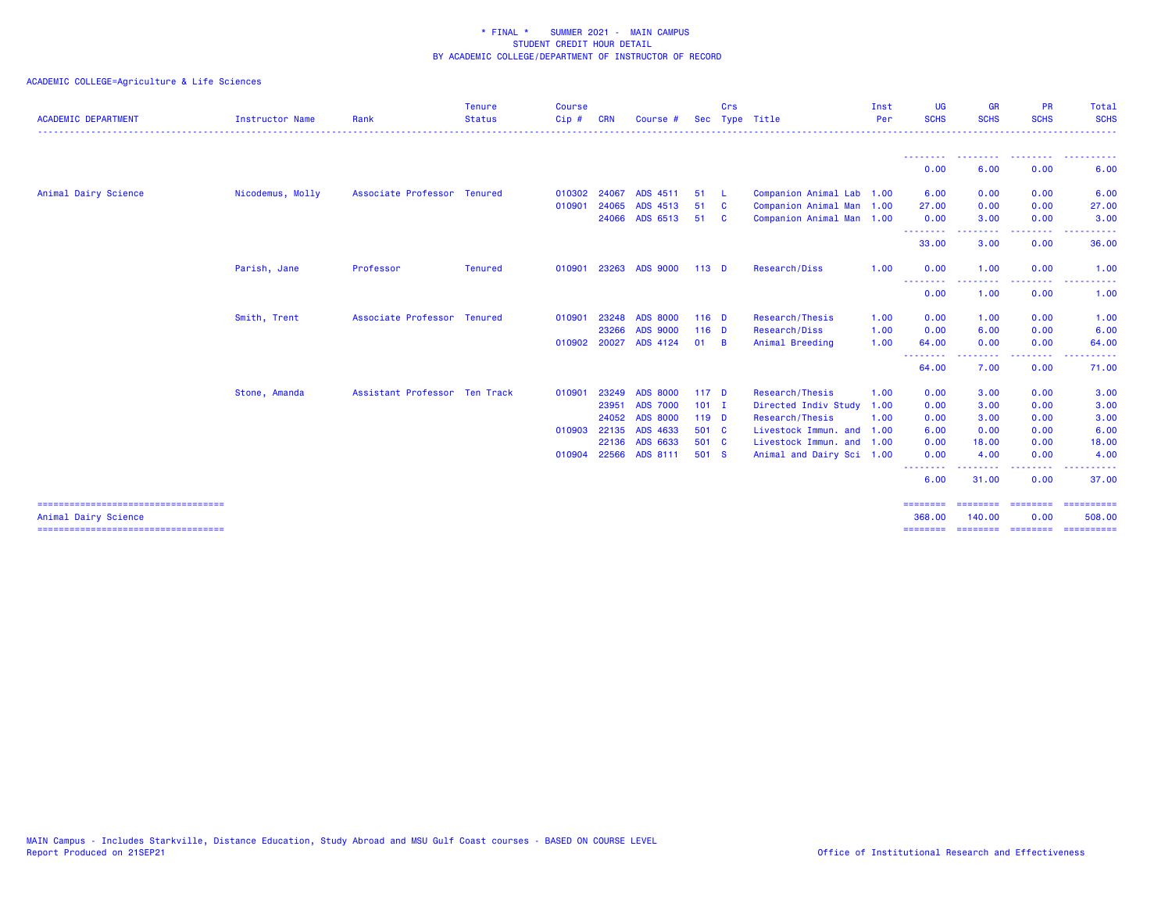| <b>ACADEMIC DEPARTMENT</b> | <b>Instructor Name</b> | Rank                          | <b>Tenure</b><br><b>Status</b> | <b>Course</b><br>$Cip$ # | <b>CRN</b> | Course #        |                  | Crs            | Sec Type Title            | Inst<br>Per | <b>UG</b><br><b>SCHS</b>                                                                                                          | <b>GR</b><br><b>SCHS</b> | <b>PR</b><br><b>SCHS</b> | <b>Total</b><br><b>SCHS</b> |
|----------------------------|------------------------|-------------------------------|--------------------------------|--------------------------|------------|-----------------|------------------|----------------|---------------------------|-------------|-----------------------------------------------------------------------------------------------------------------------------------|--------------------------|--------------------------|-----------------------------|
|                            |                        |                               |                                |                          |            |                 |                  |                |                           |             |                                                                                                                                   |                          |                          |                             |
|                            |                        |                               |                                |                          |            |                 |                  |                |                           |             | --------<br>0.00                                                                                                                  | .<br>6.00                | .<br>0.00                | . <u>.</u> .<br>6.00        |
| Animal Dairy Science       | Nicodemus, Molly       | Associate Professor Tenured   |                                | 010302 24067             |            | ADS 4511        | 51               | - L            | Companion Animal Lab 1.00 |             | 6.00                                                                                                                              | 0.00                     | 0.00                     | 6.00                        |
|                            |                        |                               |                                | 010901                   | 24065      | ADS 4513        | 51               | $\mathbf{C}$   | Companion Animal Man 1.00 |             | 27.00                                                                                                                             | 0.00                     | 0.00                     | 27.00                       |
|                            |                        |                               |                                |                          |            | 24066 ADS 6513  | 51               | - C            | Companion Animal Man 1.00 |             | 0.00<br>.                                                                                                                         | 3.00<br>.                | 0.00<br>-----            | 3.00<br>. <b>.</b> .        |
|                            |                        |                               |                                |                          |            |                 |                  |                |                           |             | 33.00                                                                                                                             | 3.00                     | 0.00                     | 36.00                       |
|                            | Parish, Jane           | Professor                     | Tenured                        | 010901                   | 23263      | <b>ADS 9000</b> | $113$ D          |                | Research/Diss             | 1.00        | 0.00                                                                                                                              | 1.00                     | 0.00                     | 1.00                        |
|                            |                        |                               |                                |                          |            |                 |                  |                |                           |             | <b><i><u><u> - - - - - - - -</u></u></i></b><br>0.00                                                                              | --------<br>1.00         | <b>.</b><br>0.00         | .<br>1.00                   |
|                            | Smith, Trent           | Associate Professor Tenured   |                                | 010901                   | 23248      | <b>ADS 8000</b> | $116$ D          |                | Research/Thesis           | 1.00        | 0.00                                                                                                                              | 1.00                     | 0.00                     | 1.00                        |
|                            |                        |                               |                                |                          | 23266      | <b>ADS 9000</b> | $116$ D          |                | Research/Diss             | 1.00        | 0.00                                                                                                                              | 6.00                     | 0.00                     | 6.00                        |
|                            |                        |                               |                                | 010902 20027             |            | ADS 4124        | 01               | $\overline{B}$ | Animal Breeding           | 1.00        | 64.00                                                                                                                             | 0.00<br><u>.</u>         | 0.00<br>.                | 64.00<br>. <b>.</b>         |
|                            |                        |                               |                                |                          |            |                 |                  |                |                           |             | --------<br>64.00                                                                                                                 | 7.00                     | 0.00                     | 71.00                       |
|                            | Stone, Amanda          | Assistant Professor Ten Track |                                | 010901                   | 23249      | <b>ADS 8000</b> | 117 <sub>D</sub> |                | Research/Thesis           | 1.00        | 0.00                                                                                                                              | 3.00                     | 0.00                     | 3.00                        |
|                            |                        |                               |                                |                          | 23951      | <b>ADS 7000</b> | $101$ I          |                | Directed Indiv Study      | 1.00        | 0.00                                                                                                                              | 3.00                     | 0.00                     | 3.00                        |
|                            |                        |                               |                                |                          | 24052      | <b>ADS 8000</b> | 119 D            |                | Research/Thesis           | 1.00        | 0.00                                                                                                                              | 3.00                     | 0.00                     | 3.00                        |
|                            |                        |                               |                                | 010903 22135             |            | ADS 4633        | 501 C            |                | Livestock Immun. and 1.00 |             | 6.00                                                                                                                              | 0.00                     | 0.00                     | 6.00                        |
|                            |                        |                               |                                |                          | 22136      | ADS 6633        | 501 C            |                | Livestock Immun. and 1.00 |             | 0.00                                                                                                                              | 18.00                    | 0.00                     | 18.00                       |
|                            |                        |                               |                                | 010904                   |            | 22566 ADS 8111  | 501 S            |                | Animal and Dairy Sci 1.00 |             | 0.00<br>$\frac{1}{2} \left( \frac{1}{2} \right) \left( \frac{1}{2} \right) \left( \frac{1}{2} \right) \left( \frac{1}{2} \right)$ | 4.00<br>. <b>.</b> .     | 0.00<br>.                | 4.00                        |
|                            |                        |                               |                                |                          |            |                 |                  |                |                           |             | 6.00                                                                                                                              | 31.00                    | 0.00                     | 37.00                       |
| Animal Dairy Science       |                        |                               |                                |                          |            |                 |                  |                |                           |             | ========<br>368,00                                                                                                                | ========<br>140.00       | ========<br>0.00         | ==========<br>508.00        |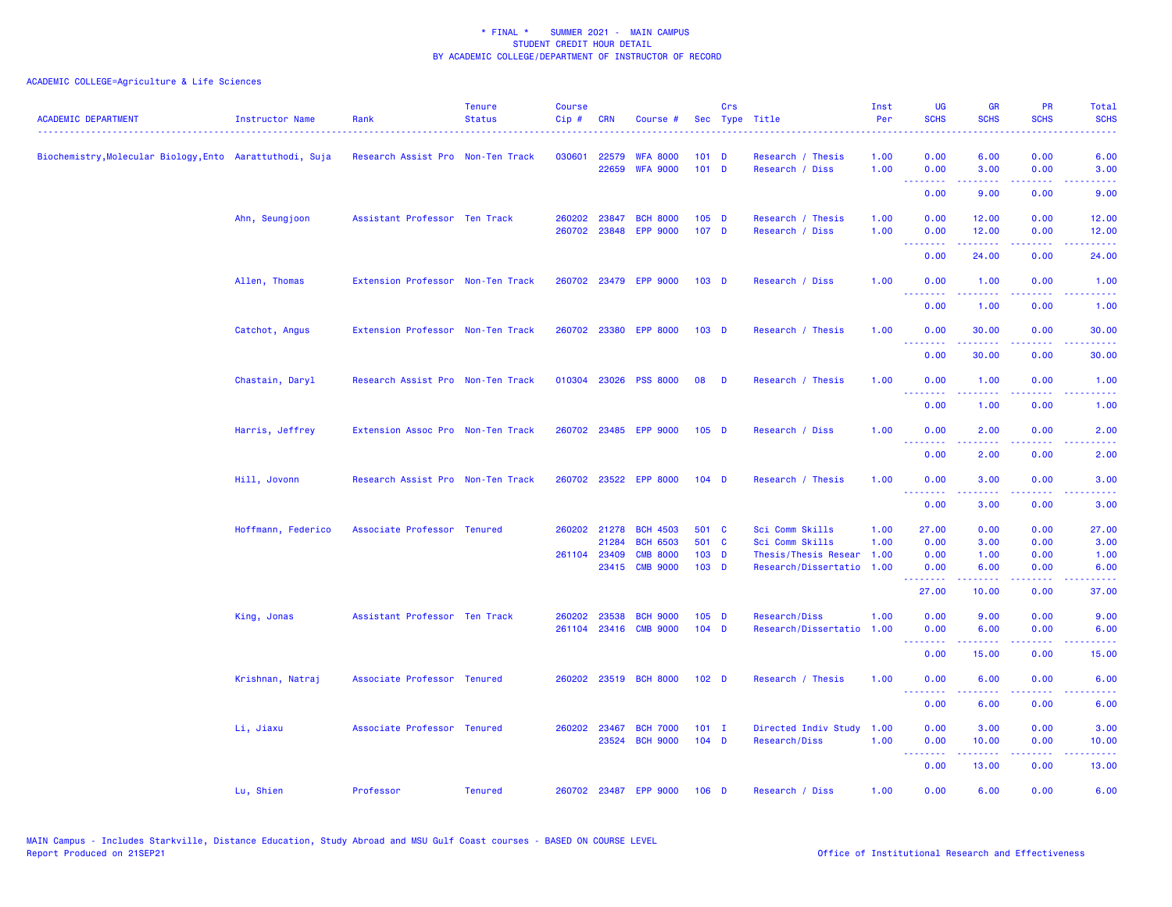| <b>ACADEMIC DEPARTMENT</b>                               | <b>Instructor Name</b> | Rank                              | <b>Tenure</b><br><b>Status</b> | <b>Course</b><br>Cip# | <b>CRN</b>     | Course #                                 |                           | Crs | Sec Type Title                               | Inst<br>Per<br>. | <b>UG</b><br><b>SCHS</b>                                                                               | <b>GR</b><br><b>SCHS</b>                                                                                                                                     | <b>PR</b><br><b>SCHS</b>                                                                                                          | <b>Total</b><br><b>SCHS</b>                                                                                                       |
|----------------------------------------------------------|------------------------|-----------------------------------|--------------------------------|-----------------------|----------------|------------------------------------------|---------------------------|-----|----------------------------------------------|------------------|--------------------------------------------------------------------------------------------------------|--------------------------------------------------------------------------------------------------------------------------------------------------------------|-----------------------------------------------------------------------------------------------------------------------------------|-----------------------------------------------------------------------------------------------------------------------------------|
| Biochemistry, Molecular Biology, Ento Aarattuthodi, Suja |                        | Research Assist Pro Non-Ten Track |                                | 030601                | 22579<br>22659 | <b>WFA 8000</b><br><b>WFA 9000</b>       | $101$ D<br>$101$ D        |     | Research / Thesis<br>Research / Diss         | 1.00<br>1.00     | 0.00<br>0.00                                                                                           | 6.00<br>3.00                                                                                                                                                 | 0.00<br>0.00                                                                                                                      | 6.00<br>3.00                                                                                                                      |
|                                                          |                        |                                   |                                |                       |                |                                          |                           |     |                                              |                  | .<br>0.00                                                                                              | .<br>9.00                                                                                                                                                    | $\frac{1}{2} \left( \frac{1}{2} \right) \left( \frac{1}{2} \right) \left( \frac{1}{2} \right)$<br>0.00                            | .<br>9.00                                                                                                                         |
|                                                          | Ahn, Seungjoon         | Assistant Professor Ten Track     |                                | 260202                | 23847          | <b>BCH 8000</b><br>260702 23848 EPP 9000 | $105$ D<br>107 D          |     | Research / Thesis<br>Research / Diss         | 1.00<br>1.00     | 0.00<br>0.00                                                                                           | 12.00<br>12.00                                                                                                                                               | 0.00<br>0.00                                                                                                                      | 12.00<br>12.00                                                                                                                    |
|                                                          |                        |                                   |                                |                       |                |                                          |                           |     |                                              |                  | <u>.</u><br>0.00                                                                                       | 24.00                                                                                                                                                        | $\omega_{\rm{eff}}$ and $\omega_{\rm{eff}}$<br>0.00                                                                               | 24.00                                                                                                                             |
|                                                          | Allen, Thomas          | Extension Professor Non-Ten Track |                                |                       |                | 260702 23479 EPP 9000                    | 103 <sub>D</sub>          |     | Research / Diss                              | 1.00             | 0.00<br>.                                                                                              | 1.00<br>$\frac{1}{2} \left( \frac{1}{2} \right) \left( \frac{1}{2} \right) \left( \frac{1}{2} \right) \left( \frac{1}{2} \right) \left( \frac{1}{2} \right)$ | 0.00<br>بالمحام                                                                                                                   | 1.00<br>$\frac{1}{2} \left( \frac{1}{2} \right) \left( \frac{1}{2} \right) \left( \frac{1}{2} \right) \left( \frac{1}{2} \right)$ |
|                                                          |                        |                                   |                                |                       |                |                                          |                           |     |                                              |                  | 0.00                                                                                                   | 1.00                                                                                                                                                         | 0.00                                                                                                                              | 1.00                                                                                                                              |
|                                                          | Catchot, Angus         | Extension Professor Non-Ten Track |                                |                       |                | 260702 23380 EPP 8000                    | 103 <sub>D</sub>          |     | Research / Thesis                            | 1.00             | 0.00<br><u> - - - - - - - -</u>                                                                        | 30.00                                                                                                                                                        | 0.00<br>$\frac{1}{2} \left( \frac{1}{2} \right) \left( \frac{1}{2} \right) \left( \frac{1}{2} \right) \left( \frac{1}{2} \right)$ | 30.00                                                                                                                             |
|                                                          |                        |                                   |                                |                       |                |                                          |                           |     |                                              |                  | 0.00                                                                                                   | 30.00                                                                                                                                                        | 0.00                                                                                                                              | 30.00                                                                                                                             |
|                                                          | Chastain, Daryl        | Research Assist Pro Non-Ten Track |                                |                       |                | 010304 23026 PSS 8000                    | 08                        | D   | Research / Thesis                            | 1.00             | 0.00<br><u>.</u>                                                                                       | 1.00<br>.                                                                                                                                                    | 0.00<br>$\frac{1}{2} \left( \frac{1}{2} \right) \left( \frac{1}{2} \right) \left( \frac{1}{2} \right) \left( \frac{1}{2} \right)$ | 1.00<br>.                                                                                                                         |
|                                                          |                        |                                   |                                |                       |                |                                          |                           |     |                                              |                  | 0.00                                                                                                   | 1.00                                                                                                                                                         | 0.00                                                                                                                              | 1.00                                                                                                                              |
|                                                          | Harris, Jeffrey        | Extension Assoc Pro Non-Ten Track |                                |                       |                | 260702 23485 EPP 9000                    | $105$ D                   |     | Research / Diss                              | 1.00             | 0.00<br>$\frac{1}{2} \left( \frac{1}{2} \right) \left( \frac{1}{2} \right) \left( \frac{1}{2} \right)$ | 2.00                                                                                                                                                         | 0.00<br>$\sim$ $\sim$ $\sim$ $\sim$                                                                                               | 2.00                                                                                                                              |
|                                                          |                        |                                   |                                |                       |                |                                          |                           |     |                                              |                  | 0.00                                                                                                   | 2.00                                                                                                                                                         | 0.00                                                                                                                              | 2.00                                                                                                                              |
|                                                          | Hill, Jovonn           | Research Assist Pro Non-Ten Track |                                |                       |                | 260702 23522 EPP 8000                    | $104$ D                   |     | Research / Thesis                            | 1.00             | 0.00<br>.                                                                                              | 3.00<br>.                                                                                                                                                    | 0.00<br>$\frac{1}{2} \left( \frac{1}{2} \right) \left( \frac{1}{2} \right) \left( \frac{1}{2} \right)$                            | 3.00<br><u>.</u>                                                                                                                  |
|                                                          |                        |                                   |                                |                       |                |                                          |                           |     |                                              |                  | 0.00                                                                                                   | 3.00                                                                                                                                                         | 0.00                                                                                                                              | 3.00                                                                                                                              |
|                                                          | Hoffmann, Federico     | Associate Professor Tenured       |                                |                       | 260202 21278   | <b>BCH 4503</b>                          | 501 C                     |     | Sci Comm Skills                              | 1.00             | 27.00                                                                                                  | 0.00                                                                                                                                                         | 0.00                                                                                                                              | 27.00                                                                                                                             |
|                                                          |                        |                                   |                                | 261104 23409          | 21284          | <b>BCH 6503</b><br><b>CMB 8000</b>       | 501 C<br>103 <sub>D</sub> |     | Sci Comm Skills                              | 1.00<br>1.00     | 0.00<br>0.00                                                                                           | 3.00<br>1.00                                                                                                                                                 | 0.00<br>0.00                                                                                                                      | 3.00                                                                                                                              |
|                                                          |                        |                                   |                                |                       | 23415          | <b>CMB 9000</b>                          | 103 D                     |     | Thesis/Thesis Resear<br>Research/Dissertatio | 1.00             | 0.00                                                                                                   | 6.00                                                                                                                                                         | 0.00                                                                                                                              | 1.00<br>6.00                                                                                                                      |
|                                                          |                        |                                   |                                |                       |                |                                          |                           |     |                                              |                  | .<br>27.00                                                                                             | .<br>10.00                                                                                                                                                   | 0.00                                                                                                                              | 37.00                                                                                                                             |
|                                                          | King, Jonas            | Assistant Professor Ten Track     |                                | 260202                | 23538          | <b>BCH 9000</b>                          | $105$ D                   |     | Research/Diss                                | 1.00             | 0.00                                                                                                   | 9.00                                                                                                                                                         | 0.00                                                                                                                              | 9.00                                                                                                                              |
|                                                          |                        |                                   |                                | 261104                |                | 23416 CMB 9000                           | $104$ D                   |     | Research/Dissertatio                         | 1.00             | 0.00<br><b><i><u><u> - - - - - - -</u></u></i></b>                                                     | 6.00<br>22222                                                                                                                                                | 0.00<br>بالمحام                                                                                                                   | 6.00<br>والمرامين مرابط                                                                                                           |
|                                                          |                        |                                   |                                |                       |                |                                          |                           |     |                                              |                  | 0.00                                                                                                   | 15.00                                                                                                                                                        | 0.00                                                                                                                              | 15.00                                                                                                                             |
|                                                          | Krishnan, Natraj       | Associate Professor Tenured       |                                | 260202                |                | 23519 BCH 8000                           | 102 <sub>D</sub>          |     | Research / Thesis                            | 1.00             | 0.00<br><u> - - - - - - - -</u>                                                                        | 6.00                                                                                                                                                         | 0.00                                                                                                                              | 6.00                                                                                                                              |
|                                                          |                        |                                   |                                |                       |                |                                          |                           |     |                                              |                  | 0.00                                                                                                   | 6.00                                                                                                                                                         | 0.00                                                                                                                              | 6.00                                                                                                                              |
|                                                          | Li, Jiaxu              | Associate Professor Tenured       |                                | 260202                |                | 23467 BCH 7000                           | $101$ I                   |     | Directed Indiv Study                         | 1.00             | 0.00                                                                                                   | 3.00                                                                                                                                                         | 0.00                                                                                                                              | 3.00                                                                                                                              |
|                                                          |                        |                                   |                                |                       |                | 23524 BCH 9000                           | $104$ D                   |     | Research/Diss                                | 1.00             | 0.00<br><b><i><u><u> - - - - - - -</u></u></i></b>                                                     | 10.00<br>.                                                                                                                                                   | 0.00<br>22222                                                                                                                     | 10.00<br>.                                                                                                                        |
|                                                          |                        |                                   |                                |                       |                |                                          |                           |     |                                              |                  | 0.00                                                                                                   | 13.00                                                                                                                                                        | 0.00                                                                                                                              | 13.00                                                                                                                             |
|                                                          | Lu, Shien              | Professor                         | <b>Tenured</b>                 |                       |                | 260702 23487 EPP 9000                    | $106$ D                   |     | Research / Diss                              | 1.00             | 0.00                                                                                                   | 6.00                                                                                                                                                         | 0.00                                                                                                                              | 6.00                                                                                                                              |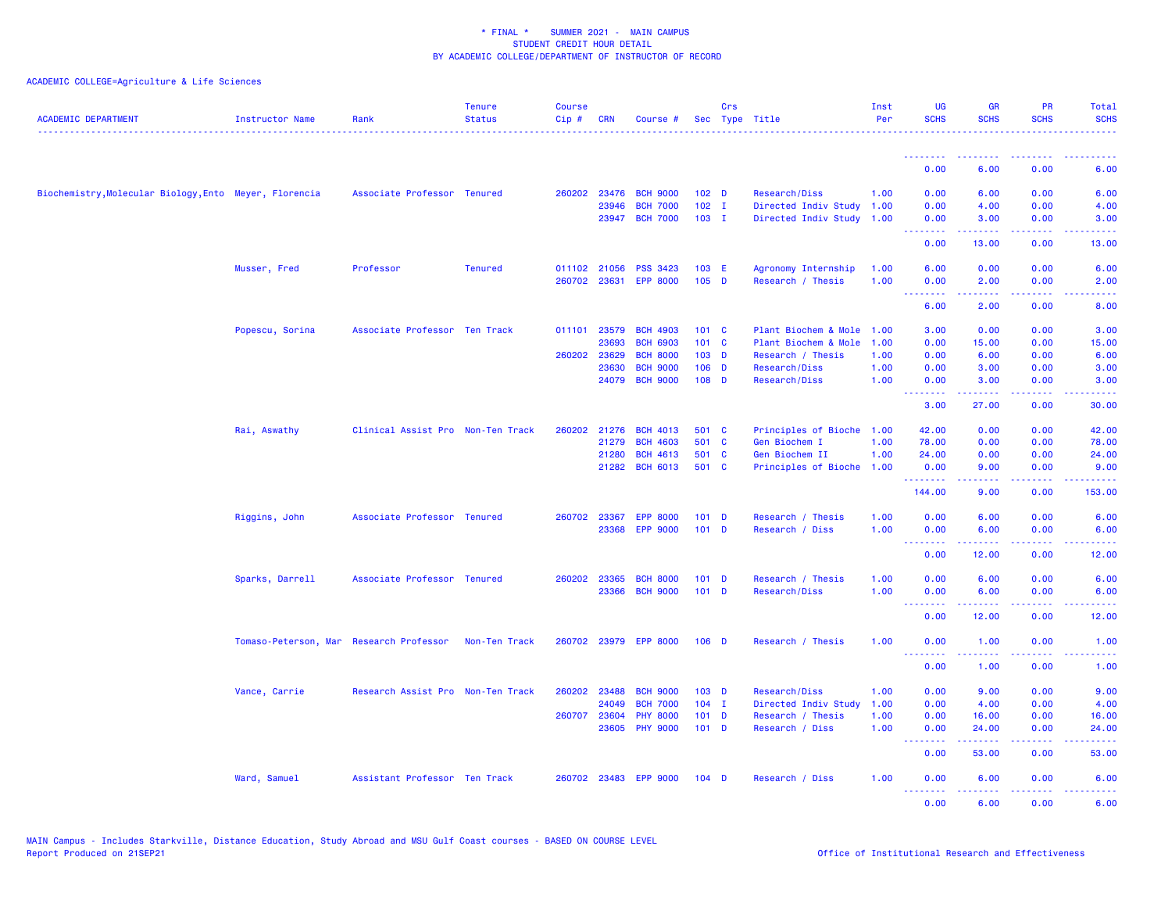| <b>ACADEMIC DEPARTMENT</b>                             | Instructor Name                         | Rank                              | <b>Tenure</b><br><b>Status</b> | <b>Course</b><br>Cip # | <b>CRN</b> | Course #        |                  | Crs | Sec Type Title            | Inst<br>Per | <b>UG</b><br><b>SCHS</b>        | <b>GR</b><br><b>SCHS</b>                                                                                                                                      | <b>PR</b><br><b>SCHS</b>                                                                 | <b>Total</b><br><b>SCHS</b>                                                                                                                                  |
|--------------------------------------------------------|-----------------------------------------|-----------------------------------|--------------------------------|------------------------|------------|-----------------|------------------|-----|---------------------------|-------------|---------------------------------|---------------------------------------------------------------------------------------------------------------------------------------------------------------|------------------------------------------------------------------------------------------|--------------------------------------------------------------------------------------------------------------------------------------------------------------|
|                                                        |                                         |                                   |                                |                        |            |                 |                  |     |                           |             | 0.00                            | 6.00                                                                                                                                                          | 0.00                                                                                     | 6.00                                                                                                                                                         |
| Biochemistry, Molecular Biology, Ento Meyer, Florencia |                                         | Associate Professor Tenured       |                                | 260202                 | 23476      | <b>BCH 9000</b> | 102 <sub>D</sub> |     | Research/Diss             | 1.00        | 0.00                            | 6.00                                                                                                                                                          | 0.00                                                                                     | 6.00                                                                                                                                                         |
|                                                        |                                         |                                   |                                |                        | 23946      | <b>BCH 7000</b> | $102$ I          |     | Directed Indiv Study      | 1.00        | 0.00                            | 4.00                                                                                                                                                          | 0.00                                                                                     | 4.00                                                                                                                                                         |
|                                                        |                                         |                                   |                                |                        | 23947      | <b>BCH 7000</b> | $103$ I          |     | Directed Indiv Study      | 1.00        | 0.00                            | 3.00                                                                                                                                                          | 0.00                                                                                     | 3.00                                                                                                                                                         |
|                                                        |                                         |                                   |                                |                        |            |                 |                  |     |                           |             | <u> - - - - - - - -</u><br>0.00 | $\frac{1}{2} \left( \frac{1}{2} \right) \left( \frac{1}{2} \right) \left( \frac{1}{2} \right) \left( \frac{1}{2} \right) \left( \frac{1}{2} \right)$<br>13.00 | 22222<br>0.00                                                                            | $- - - - -$<br>13.00                                                                                                                                         |
|                                                        | Musser, Fred                            | Professor                         | <b>Tenured</b>                 | 011102 21056           |            | <b>PSS 3423</b> | 103 E            |     | Agronomy Internship       | 1.00        | 6.00                            | 0.00                                                                                                                                                          | 0.00                                                                                     | 6.00                                                                                                                                                         |
|                                                        |                                         |                                   |                                | 260702                 | 23631      | <b>EPP 8000</b> | $105$ D          |     | Research / Thesis         | 1.00        | 0.00                            | 2.00                                                                                                                                                          | 0.00                                                                                     | 2.00                                                                                                                                                         |
|                                                        |                                         |                                   |                                |                        |            |                 |                  |     |                           |             | <u>.</u><br>6.00                | .<br>2.00                                                                                                                                                     | د د د د<br>0.00                                                                          | .<br>8.00                                                                                                                                                    |
|                                                        | Popescu, Sorina                         | Associate Professor Ten Track     |                                | 011101                 | 23579      | <b>BCH 4903</b> | 101 C            |     | Plant Biochem & Mole      | 1.00        | 3.00                            | 0.00                                                                                                                                                          | 0.00                                                                                     | 3.00                                                                                                                                                         |
|                                                        |                                         |                                   |                                |                        | 23693      | <b>BCH 6903</b> | 101 C            |     | Plant Biochem & Mole      | 1.00        | 0.00                            | 15.00                                                                                                                                                         | 0.00                                                                                     | 15.00                                                                                                                                                        |
|                                                        |                                         |                                   |                                | 260202                 | 23629      | <b>BCH 8000</b> | $103$ D          |     | Research / Thesis         | 1.00        | 0.00                            | 6.00                                                                                                                                                          | 0.00                                                                                     | 6.00                                                                                                                                                         |
|                                                        |                                         |                                   |                                |                        | 23630      | <b>BCH 9000</b> | $106$ D          |     | Research/Diss             | 1.00        | 0.00                            | 3.00                                                                                                                                                          | 0.00                                                                                     | 3.00                                                                                                                                                         |
|                                                        |                                         |                                   |                                |                        | 24079      | <b>BCH 9000</b> | $108$ D          |     | Research/Diss             | 1.00        | 0.00<br>.                       | 3.00<br>22222                                                                                                                                                 | 0.00<br>.                                                                                | 3.00<br>$\frac{1}{2} \left( \frac{1}{2} \right) \left( \frac{1}{2} \right) \left( \frac{1}{2} \right) \left( \frac{1}{2} \right) \left( \frac{1}{2} \right)$ |
|                                                        |                                         |                                   |                                |                        |            |                 |                  |     |                           |             | 3.00                            | 27.00                                                                                                                                                         | 0.00                                                                                     | 30.00                                                                                                                                                        |
|                                                        | Rai, Aswathy                            | Clinical Assist Pro Non-Ten Track |                                | 260202                 | 21276      | <b>BCH 4013</b> | 501 C            |     | Principles of Bioche 1.00 |             | 42.00                           | 0.00                                                                                                                                                          | 0.00                                                                                     | 42.00                                                                                                                                                        |
|                                                        |                                         |                                   |                                |                        | 21279      | <b>BCH 4603</b> | 501 C            |     | Gen Biochem I             | 1.00        | 78.00                           | 0.00                                                                                                                                                          | 0.00                                                                                     | 78.00                                                                                                                                                        |
|                                                        |                                         |                                   |                                |                        | 21280      | <b>BCH 4613</b> | 501 C            |     | Gen Biochem II            | 1.00        | 24.00                           | 0.00                                                                                                                                                          | 0.00                                                                                     | 24.00                                                                                                                                                        |
|                                                        |                                         |                                   |                                |                        |            | 21282 BCH 6013  | 501 C            |     | Principles of Bioche      | 1.00        | 0.00<br>.                       | 9.00<br>-----                                                                                                                                                 | 0.00<br>.                                                                                | 9.00<br><u>.</u>                                                                                                                                             |
|                                                        |                                         |                                   |                                |                        |            |                 |                  |     |                           |             | 144.00                          | 9.00                                                                                                                                                          | 0.00                                                                                     | 153.00                                                                                                                                                       |
|                                                        | Riggins, John                           | Associate Professor Tenured       |                                | 260702                 | 23367      | <b>EPP 8000</b> | $101$ D          |     | Research / Thesis         | 1.00        | 0.00                            | 6.00                                                                                                                                                          | 0.00                                                                                     | 6.00                                                                                                                                                         |
|                                                        |                                         |                                   |                                |                        |            | 23368 EPP 9000  | $101$ D          |     | Research / Diss           | 1.00        | 0.00                            | 6.00                                                                                                                                                          | 0.00                                                                                     | 6.00                                                                                                                                                         |
|                                                        |                                         |                                   |                                |                        |            |                 |                  |     |                           |             | <u>.</u><br>0.00                | .<br>12.00                                                                                                                                                    | a a a a a<br>0.00                                                                        | د د د د د<br>12.00                                                                                                                                           |
|                                                        | Sparks, Darrell                         | Associate Professor Tenured       |                                | 260202                 | 23365      | <b>BCH 8000</b> | $101$ D          |     | Research / Thesis         | 1.00        | 0.00                            | 6.00                                                                                                                                                          | 0.00                                                                                     | 6.00                                                                                                                                                         |
|                                                        |                                         |                                   |                                |                        | 23366      | <b>BCH 9000</b> | $101$ D          |     | Research/Diss             | 1.00        | 0.00                            | 6.00                                                                                                                                                          | 0.00                                                                                     | 6.00                                                                                                                                                         |
|                                                        |                                         |                                   |                                |                        |            |                 |                  |     |                           |             | .<br>0.00                       | .<br>12.00                                                                                                                                                    | .<br>0.00                                                                                | د د د د د<br>12.00                                                                                                                                           |
|                                                        | Tomaso-Peterson, Mar Research Professor |                                   | Non-Ten Track                  | 260702                 | 23979      | <b>EPP 8000</b> | $106$ D          |     | Research / Thesis         | 1.00        | 0.00                            | 1.00                                                                                                                                                          | 0.00                                                                                     | 1.00                                                                                                                                                         |
|                                                        |                                         |                                   |                                |                        |            |                 |                  |     |                           |             | <u>.</u><br>0.00                | 2.2.2.2.2<br>1.00                                                                                                                                             | .<br>0.00                                                                                | $- - - - -$<br>1.00                                                                                                                                          |
|                                                        | Vance, Carrie                           | Research Assist Pro Non-Ten Track |                                | 260202                 | 23488      | <b>BCH 9000</b> | 103 D            |     | Research/Diss             | 1.00        | 0.00                            | 9.00                                                                                                                                                          | 0.00                                                                                     | 9.00                                                                                                                                                         |
|                                                        |                                         |                                   |                                |                        | 24049      | <b>BCH 7000</b> | $104$ I          |     | Directed Indiv Study      | 1.00        | 0.00                            | 4.00                                                                                                                                                          | 0.00                                                                                     | 4.00                                                                                                                                                         |
|                                                        |                                         |                                   |                                | 260707                 | 23604      | <b>PHY 8000</b> | $101$ D          |     | Research / Thesis         | 1.00        | 0.00                            | 16.00                                                                                                                                                         | 0.00                                                                                     | 16.00                                                                                                                                                        |
|                                                        |                                         |                                   |                                |                        | 23605      | <b>PHY 9000</b> | $101$ D          |     | Research / Diss           | 1.00        | 0.00                            | 24.00                                                                                                                                                         | 0.00                                                                                     | 24.00                                                                                                                                                        |
|                                                        |                                         |                                   |                                |                        |            |                 |                  |     |                           |             | .<br>0.00                       | .<br>53.00                                                                                                                                                    | .<br>0.00                                                                                | د د د د د<br>53.00                                                                                                                                           |
|                                                        | Ward, Samuel                            | Assistant Professor Ten Track     |                                | 260702                 | 23483      | <b>EPP 9000</b> | $104$ D          |     | Research / Diss           | 1.00        | 0.00                            | 6.00                                                                                                                                                          | 0.00                                                                                     | 6.00                                                                                                                                                         |
|                                                        |                                         |                                   |                                |                        |            |                 |                  |     |                           |             | .<br>0.00                       | $\frac{1}{2} \left( \frac{1}{2} \right) \left( \frac{1}{2} \right) \left( \frac{1}{2} \right) \left( \frac{1}{2} \right) \left( \frac{1}{2} \right)$<br>6.00  | $\mathbf{1} \cdot \mathbf{1} \cdot \mathbf{1} \cdot \mathbf{1} \cdot \mathbf{1}$<br>0.00 | د د د د د<br>6.00                                                                                                                                            |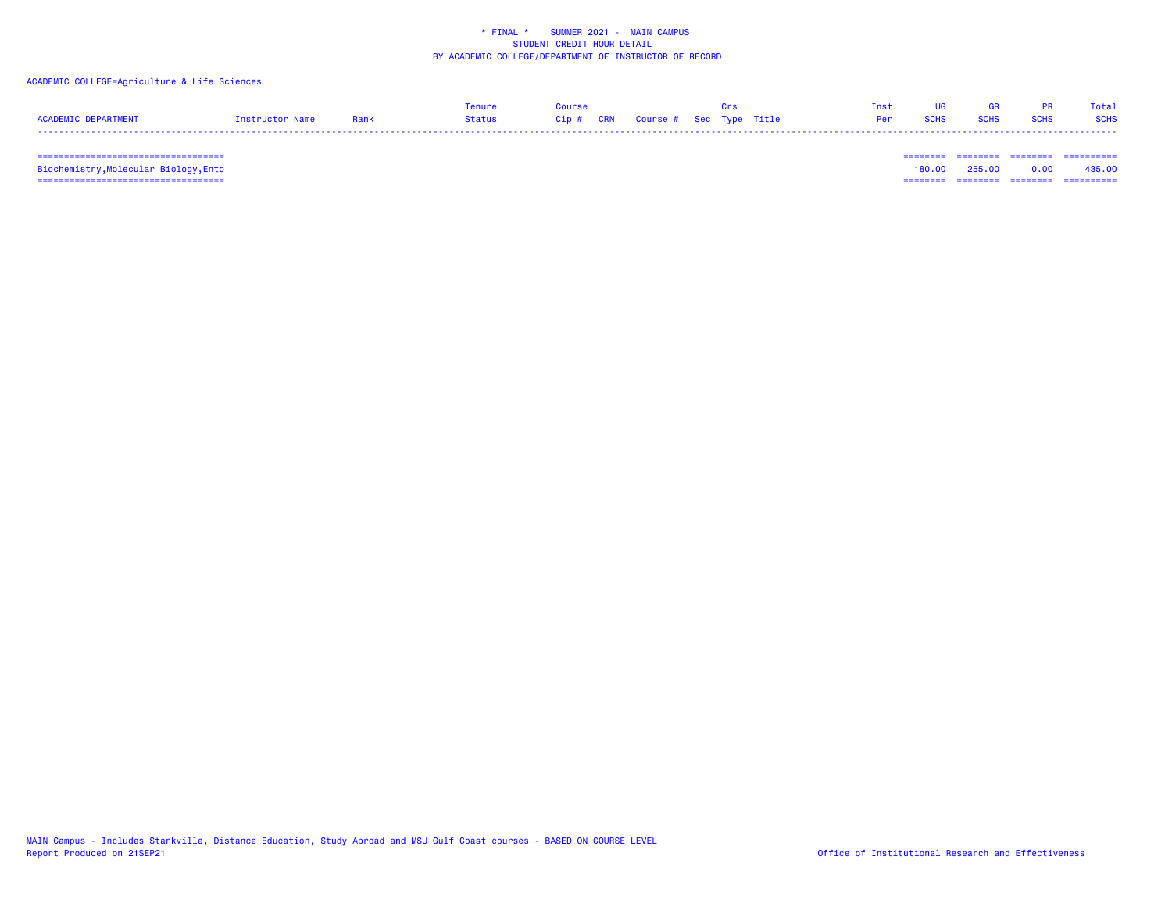## ACADEMIC COLLEGE=Agriculture & Life Sciences

|                            |                 |      | Tenure | Course |                                        |  | Tnst UG         | <b>GR</b>                                                                                                                                                                                                                           |                  | PR Total |
|----------------------------|-----------------|------|--------|--------|----------------------------------------|--|-----------------|-------------------------------------------------------------------------------------------------------------------------------------------------------------------------------------------------------------------------------------|------------------|----------|
| <b>ACADEMIC DEPARTMENT</b> | Instructor Name | Rank | Status |        | Cip # CRN   Course #  Sec  Type  Title |  | <b>Per</b> SCHS | <b>SCHS</b> and the second second second second second second second second second second second second second second second second second second second second second second second second second second second second second seco | <b>SCHS</b> SCHS |          |
|                            |                 |      |        |        |                                        |  |                 |                                                                                                                                                                                                                                     |                  |          |

=================================== ======== ======== ======== ==========

 =================================== ======== ======== ======== ========== Biochemistry,Molecular Biology,Ento 180.00 255.00 0.00 435.00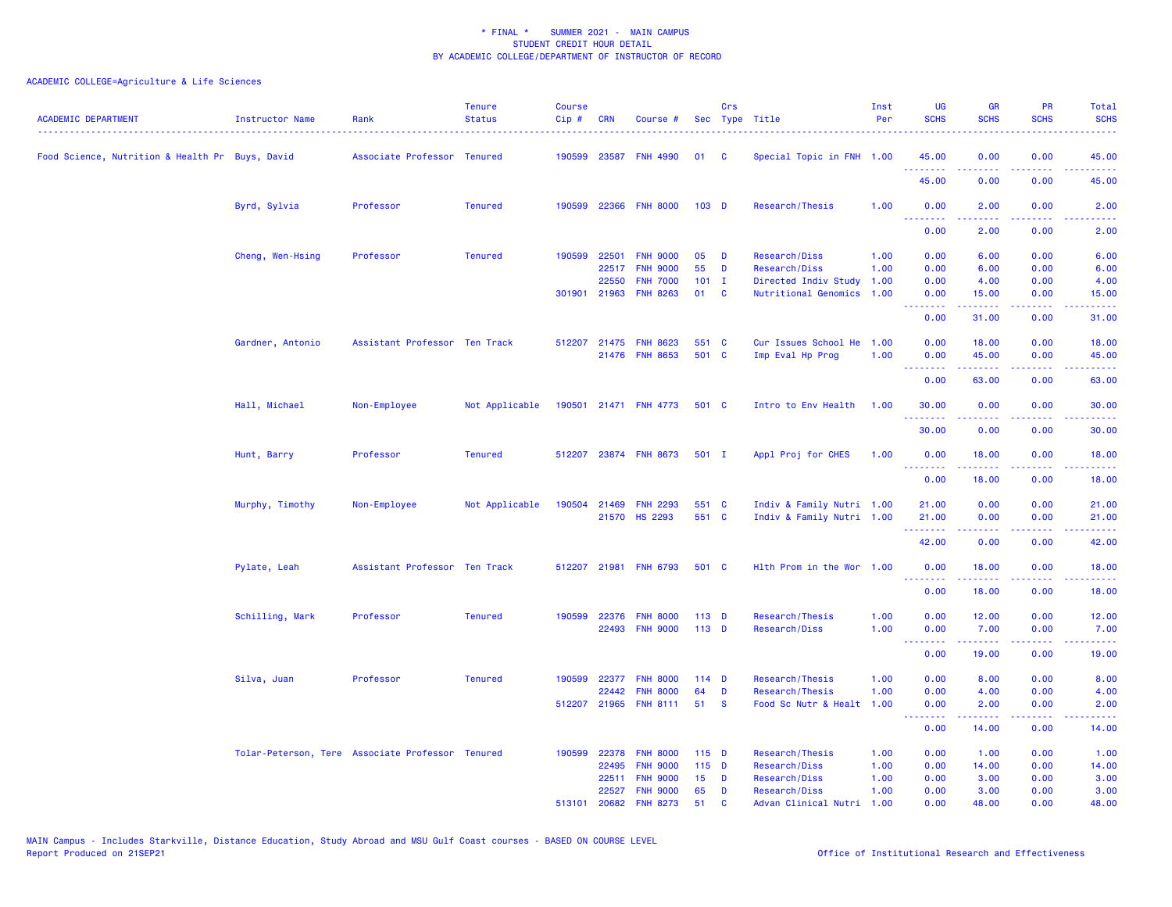| <b>ACADEMIC DEPARTMENT</b>                      | Instructor Name                                  | Rank                          | <b>Tenure</b><br><b>Status</b> | <b>Course</b><br>Cip# | <b>CRN</b>   | Course #              |                  | Crs          | Sec Type Title            | Inst<br>Per | <b>UG</b><br><b>SCHS</b>        | <b>GR</b><br><b>SCHS</b>                                                                                                           | PR<br><b>SCHS</b>                   | Total<br><b>SCHS</b>                                                                                                               |
|-------------------------------------------------|--------------------------------------------------|-------------------------------|--------------------------------|-----------------------|--------------|-----------------------|------------------|--------------|---------------------------|-------------|---------------------------------|------------------------------------------------------------------------------------------------------------------------------------|-------------------------------------|------------------------------------------------------------------------------------------------------------------------------------|
| Food Science, Nutrition & Health Pr Buys, David |                                                  | Associate Professor Tenured   |                                | 190599                | 23587        | <b>FNH 4990</b>       | 01               | C            | Special Topic in FNH 1.00 |             | 45.00<br>.                      | 0.00<br>.                                                                                                                          | 0.00<br>$\omega$ is a $\omega$      | 45.00<br>$\frac{1}{2} \left( \frac{1}{2} \right) \left( \frac{1}{2} \right) \left( \frac{1}{2} \right) \left( \frac{1}{2} \right)$ |
|                                                 |                                                  |                               |                                |                       |              |                       |                  |              |                           |             | 45.00                           | 0.00                                                                                                                               | 0.00                                | 45.00                                                                                                                              |
|                                                 | Byrd, Sylvia                                     | Professor                     | <b>Tenured</b>                 | 190599                |              | 22366 FNH 8000        | 103 <sub>D</sub> |              | Research/Thesis           | 1.00        | 0.00                            | 2.00<br>.                                                                                                                          | 0.00<br>$\sim$ $\sim$ $\sim$ $\sim$ | 2.00                                                                                                                               |
|                                                 |                                                  |                               |                                |                       |              |                       |                  |              |                           |             | 0.00                            | 2.00                                                                                                                               | 0.00                                | 2.00                                                                                                                               |
|                                                 | Cheng, Wen-Hsing                                 | Professor                     | <b>Tenured</b>                 | 190599                | 22501        | <b>FNH 9000</b>       | 05               | D            | Research/Diss             | 1.00        | 0.00                            | 6.00                                                                                                                               | 0.00                                | 6.00                                                                                                                               |
|                                                 |                                                  |                               |                                |                       | 22517        | <b>FNH 9000</b>       | 55               | D            | Research/Diss             | 1.00        | 0.00                            | 6.00                                                                                                                               | 0.00                                | 6.00                                                                                                                               |
|                                                 |                                                  |                               |                                |                       | 22550        | <b>FNH 7000</b>       | 101              | $\mathbf{I}$ | Directed Indiv Study 1.00 |             | 0.00                            | 4.00                                                                                                                               | 0.00                                | 4.00                                                                                                                               |
|                                                 |                                                  |                               |                                |                       | 301901 21963 | <b>FNH 8263</b>       | 01               | C            | Nutritional Genomics 1.00 |             | 0.00<br>.                       | 15.00<br>$\frac{1}{2} \left( \frac{1}{2} \right) \left( \frac{1}{2} \right) \left( \frac{1}{2} \right) \left( \frac{1}{2} \right)$ | 0.00<br>$\omega$ is a $\omega$      | 15.00<br>بالأباء                                                                                                                   |
|                                                 |                                                  |                               |                                |                       |              |                       |                  |              |                           |             | 0.00                            | 31.00                                                                                                                              | 0.00                                | 31.00                                                                                                                              |
|                                                 | Gardner, Antonio                                 | Assistant Professor Ten Track |                                | 512207                |              | 21475 FNH 8623        | 551 C            |              | Cur Issues School He 1.00 |             | 0.00                            | 18.00                                                                                                                              | 0.00                                | 18.00                                                                                                                              |
|                                                 |                                                  |                               |                                |                       |              | 21476 FNH 8653        | 501 C            |              | Imp Eval Hp Prog          | 1.00        | 0.00                            | 45.00                                                                                                                              | 0.00                                | 45.00                                                                                                                              |
|                                                 |                                                  |                               |                                |                       |              |                       |                  |              |                           |             | .<br>0.00                       | .<br>63.00                                                                                                                         | 22222<br>0.00                       | .<br>63.00                                                                                                                         |
|                                                 | Hall, Michael                                    | Non-Employee                  | Not Applicable                 |                       |              | 190501 21471 FNH 4773 | 501 C            |              | Intro to Env Health       | 1.00        | 30.00                           | 0.00                                                                                                                               | 0.00                                | 30.00                                                                                                                              |
|                                                 |                                                  |                               |                                |                       |              |                       |                  |              |                           |             | .<br>30.00                      | -----<br>0.00                                                                                                                      | $\sim$ $\sim$ $\sim$ $\sim$<br>0.00 | بالأبالات<br>30.00                                                                                                                 |
|                                                 | Hunt, Barry                                      | Professor                     | <b>Tenured</b>                 | 512207                |              | 23874 FNH 8673        | 501 I            |              | Appl Proj for CHES        | 1.00        | 0.00<br>.                       | 18.00<br>المستمدة                                                                                                                  | 0.00<br>.                           | 18.00<br>.                                                                                                                         |
|                                                 |                                                  |                               |                                |                       |              |                       |                  |              |                           |             | 0.00                            | 18.00                                                                                                                              | 0.00                                | 18.00                                                                                                                              |
|                                                 | Murphy, Timothy                                  | Non-Employee                  | Not Applicable                 | 190504                | 21469        | <b>FNH 2293</b>       | 551 C            |              | Indiv & Family Nutri 1.00 |             | 21.00                           | 0.00                                                                                                                               | 0.00                                | 21.00                                                                                                                              |
|                                                 |                                                  |                               |                                |                       |              | 21570 HS 2293         | 551 C            |              | Indiv & Family Nutri 1.00 |             | 21.00                           | 0.00                                                                                                                               | 0.00                                | 21.00                                                                                                                              |
|                                                 |                                                  |                               |                                |                       |              |                       |                  |              |                           |             | <u>.</u><br>42.00               | 22222<br>0.00                                                                                                                      | .<br>0.00                           | المستمال<br>42.00                                                                                                                  |
|                                                 | Pylate, Leah                                     | Assistant Professor Ten Track |                                |                       |              | 512207 21981 FNH 6793 | 501 C            |              | Hlth Prom in the Wor 1.00 |             | 0.00<br><u> - - - - - - - -</u> | 18.00<br>.                                                                                                                         | 0.00<br>$  -$                       | 18.00<br>.                                                                                                                         |
|                                                 |                                                  |                               |                                |                       |              |                       |                  |              |                           |             | 0.00                            | 18.00                                                                                                                              | 0.00                                | 18.00                                                                                                                              |
|                                                 | Schilling, Mark                                  | Professor                     | <b>Tenured</b>                 | 190599                | 22376        | <b>FNH 8000</b>       | $113$ D          |              | Research/Thesis           | 1.00        | 0.00                            | 12.00                                                                                                                              | 0.00                                | 12.00                                                                                                                              |
|                                                 |                                                  |                               |                                |                       |              | 22493 FNH 9000        | $113$ D          |              | Research/Diss             | 1.00        | 0.00                            | 7.00                                                                                                                               | 0.00                                | 7.00                                                                                                                               |
|                                                 |                                                  |                               |                                |                       |              |                       |                  |              |                           |             | <u> - - - - - - - -</u><br>0.00 | .<br>19.00                                                                                                                         | .<br>0.00                           | بالمستبط<br>19.00                                                                                                                  |
|                                                 | Silva, Juan                                      | Professor                     | <b>Tenured</b>                 | 190599                | 22377        | <b>FNH 8000</b>       | $114$ D          |              | Research/Thesis           | 1.00        | 0.00                            | 8.00                                                                                                                               | 0.00                                | 8.00                                                                                                                               |
|                                                 |                                                  |                               |                                |                       | 22442        | <b>FNH 8000</b>       | 64               | D            | Research/Thesis           | 1.00        | 0.00                            | 4.00                                                                                                                               | 0.00                                | 4.00                                                                                                                               |
|                                                 |                                                  |                               |                                | 512207                | 21965        | <b>FNH 8111</b>       | 51               | <b>S</b>     | Food Sc Nutr & Healt 1.00 |             | 0.00<br>.                       | 2.00                                                                                                                               | 0.00                                | 2.00<br>22222                                                                                                                      |
|                                                 |                                                  |                               |                                |                       |              |                       |                  |              |                           |             | 0.00                            | المتمالين<br>14.00                                                                                                                 | .<br>0.00                           | 14.00                                                                                                                              |
|                                                 | Tolar-Peterson, Tere Associate Professor Tenured |                               |                                | 190599                | 22378        | <b>FNH 8000</b>       | $115$ D          |              | Research/Thesis           | 1.00        | 0.00                            | 1.00                                                                                                                               | 0.00                                | 1.00                                                                                                                               |
|                                                 |                                                  |                               |                                |                       | 22495        | <b>FNH 9000</b>       | $115$ D          |              | Research/Diss             | 1.00        | 0.00                            | 14.00                                                                                                                              | 0.00                                | 14.00                                                                                                                              |
|                                                 |                                                  |                               |                                |                       | 22511        | <b>FNH 9000</b>       | 15               | D            | Research/Diss             | 1.00        | 0.00                            | 3.00                                                                                                                               | 0.00                                | 3.00                                                                                                                               |
|                                                 |                                                  |                               |                                |                       | 22527        | <b>FNH 9000</b>       | 65               | D            | Research/Diss             | 1.00        | 0.00                            | 3.00                                                                                                                               | 0.00                                | 3.00                                                                                                                               |
|                                                 |                                                  |                               |                                | 513101                | 20682        | <b>FNH 8273</b>       | 51               | $\mathbf{C}$ | Advan Clinical Nutri 1.00 |             | 0.00                            | 48.00                                                                                                                              | 0.00                                | 48.00                                                                                                                              |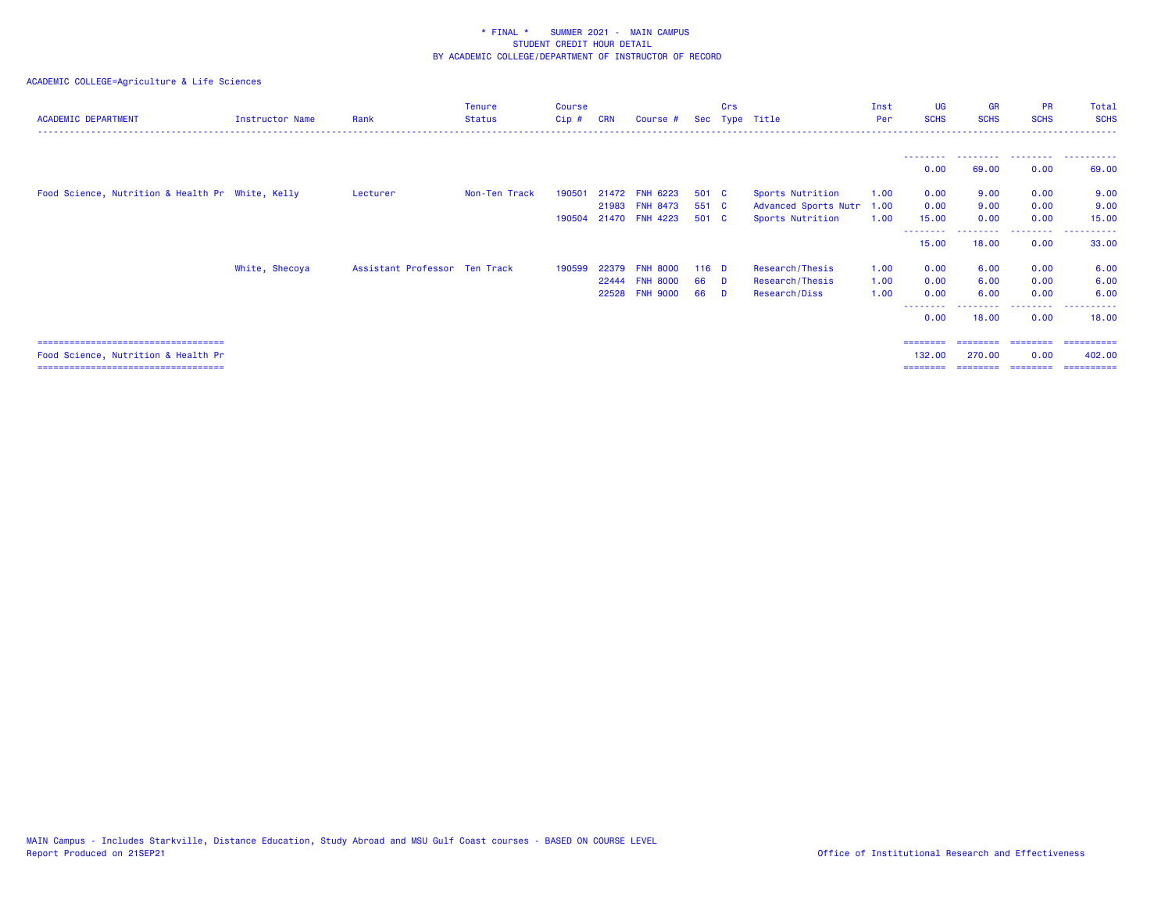| <b>ACADEMIC DEPARTMENT</b>                       | Instructor Name | Rank                          | <b>Tenure</b><br><b>Status</b> | <b>Course</b><br>Cip# | <b>CRN</b> | Course #        |         | Crs      | Sec Type Title       | Inst<br>Per | <b>UG</b><br><b>SCHS</b> | <b>GR</b><br><b>SCHS</b>                             | <b>PR</b><br><b>SCHS</b> | Total<br><b>SCHS</b> |
|--------------------------------------------------|-----------------|-------------------------------|--------------------------------|-----------------------|------------|-----------------|---------|----------|----------------------|-------------|--------------------------|------------------------------------------------------|--------------------------|----------------------|
|                                                  |                 |                               |                                |                       |            |                 |         |          |                      |             | ---------                |                                                      |                          |                      |
|                                                  |                 |                               |                                |                       |            |                 |         |          |                      |             | 0.00                     | 69.00                                                | 0.00                     | 69.00                |
| Food Science, Nutrition & Health Pr White, Kelly |                 | Lecturer                      | Non-Ten Track                  | 190501                |            | 21472 FNH 6223  | 501 C   |          | Sports Nutrition     | 1.00        | 0.00                     | 9.00                                                 | 0.00                     | 9.00                 |
|                                                  |                 |                               |                                |                       | 21983      | <b>FNH 8473</b> | 551 C   |          | Advanced Sports Nutr | 1.00        | 0.00                     | 9.00                                                 | 0.00                     | 9.00                 |
|                                                  |                 |                               |                                | 190504                |            | 21470 FNH 4223  | 501 C   |          | Sports Nutrition     | 1.00        | 15.00<br>---------       | 0.00<br><b><i><u><u> - - - - - - - -</u></u></i></b> | 0.00<br>.                | 15.00<br>.           |
|                                                  |                 |                               |                                |                       |            |                 |         |          |                      |             | 15.00                    | 18.00                                                | 0.00                     | 33.00                |
|                                                  | White, Shecoya  | Assistant Professor Ten Track |                                | 190599                | 22379      | <b>FNH 8000</b> | $116$ D |          | Research/Thesis      | 1.00        | 0.00                     | 6.00                                                 | 0.00                     | 6.00                 |
|                                                  |                 |                               |                                |                       | 22444      | <b>FNH 8000</b> | 66      | <b>D</b> | Research/Thesis      | 1.00        | 0.00                     | 6.00                                                 | 0.00                     | 6.00                 |
|                                                  |                 |                               |                                |                       |            | 22528 FNH 9000  | 66      | <b>D</b> | Research/Diss        | 1.00        | 0.00                     | 6.00                                                 | 0.00                     | 6.00                 |
|                                                  |                 |                               |                                |                       |            |                 |         |          |                      |             | 0.00                     | 18.00                                                | ---------<br>0.00        | ------<br>18,00      |
| ====================================             |                 |                               |                                |                       |            |                 |         |          |                      |             |                          |                                                      | ========                 | ==========           |
| Food Science, Nutrition & Health Pr              |                 |                               |                                |                       |            |                 |         |          |                      |             | 132.00                   | 270,00                                               | 0.00                     | 402,00               |
| ======================================           |                 |                               |                                |                       |            |                 |         |          |                      |             | ======                   | ========                                             | ---------                | ==========           |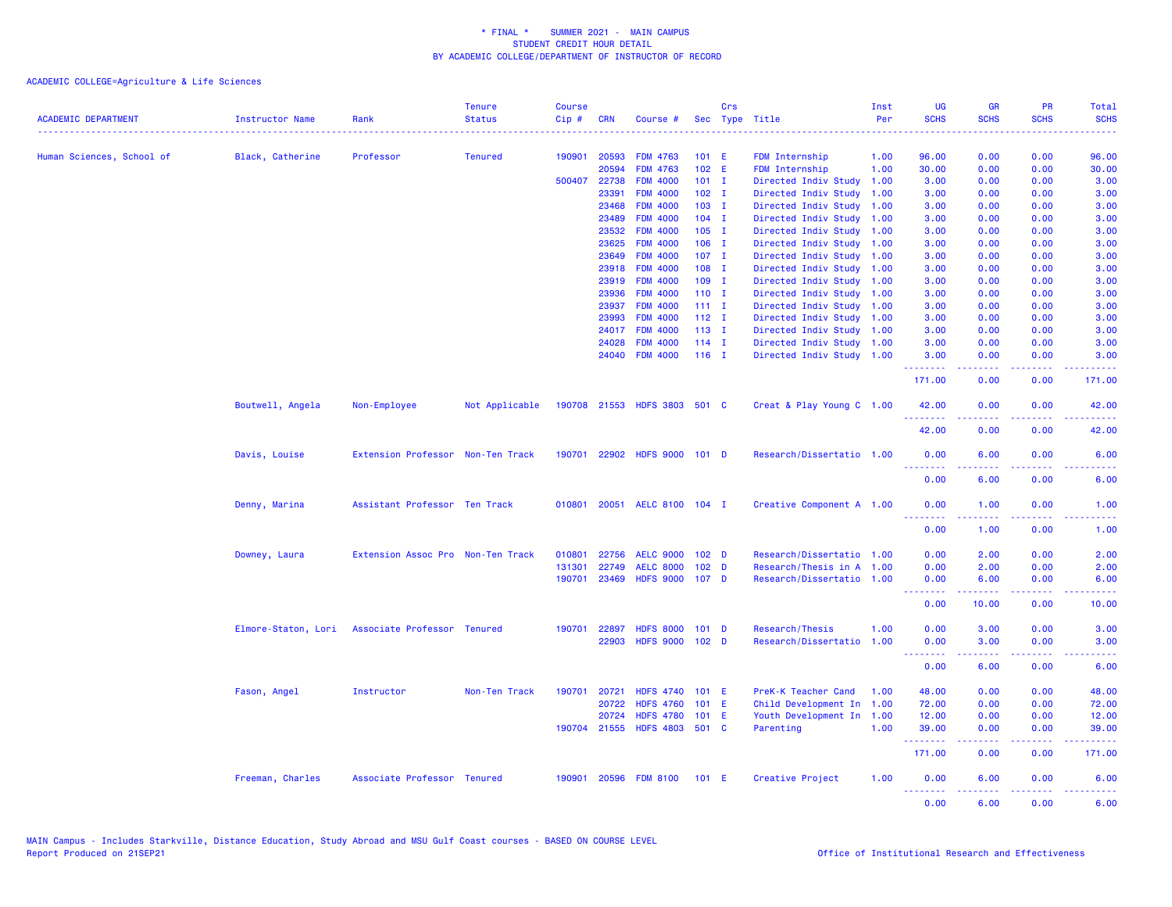| <b>ACADEMIC DEPARTMENT</b> | <b>Instructor Name</b> | Rank                                            | <b>Tenure</b><br><b>Status</b> | <b>Course</b><br>$Cip \#$ | <b>CRN</b>     | Course #                           |                    | Crs | Sec Type Title                                         | Inst<br>Per | <b>UG</b><br><b>SCHS</b>                         | <b>GR</b><br><b>SCHS</b> | PR<br><b>SCHS</b> | Total<br><b>SCHS</b> |
|----------------------------|------------------------|-------------------------------------------------|--------------------------------|---------------------------|----------------|------------------------------------|--------------------|-----|--------------------------------------------------------|-------------|--------------------------------------------------|--------------------------|-------------------|----------------------|
| Human Sciences, School of  | Black, Catherine       | Professor                                       | <b>Tenured</b>                 | 190901                    | 20593          | <b>FDM 4763</b>                    | $101$ E            |     | FDM Internship                                         | 1.00        | 96.00                                            | 0.00                     | 0.00              | 96.00                |
|                            |                        |                                                 |                                |                           | 20594          | <b>FDM 4763</b>                    | 102 E              |     | FDM Internship                                         | 1.00        | 30.00                                            | 0.00                     | 0.00              | 30.00                |
|                            |                        |                                                 |                                | 500407                    | 22738          | <b>FDM 4000</b>                    | $101$ I            |     | Directed Indiv Study                                   | 1.00        | 3.00                                             | 0.00                     | 0.00              | 3.00                 |
|                            |                        |                                                 |                                |                           | 23391          | <b>FDM 4000</b>                    | $102$ I            |     | Directed Indiv Study                                   | 1.00        | 3.00                                             | 0.00                     | 0.00              | 3.00                 |
|                            |                        |                                                 |                                |                           | 23468          | <b>FDM 4000</b>                    | $103$ I            |     | Directed Indiv Study                                   | 1.00        | 3.00                                             | 0.00                     | 0.00              | 3.00                 |
|                            |                        |                                                 |                                |                           | 23489          | <b>FDM 4000</b>                    | $104$ I            |     | Directed Indiv Study                                   | 1.00        | 3.00                                             | 0.00                     | 0.00              | 3.00                 |
|                            |                        |                                                 |                                |                           | 23532          | <b>FDM 4000</b>                    | $105$ I            |     | Directed Indiv Study                                   | 1.00        | 3.00                                             | 0.00                     | 0.00              | 3.00                 |
|                            |                        |                                                 |                                |                           | 23625          | <b>FDM 4000</b>                    | $106$ I            |     | Directed Indiv Study                                   | 1.00        | 3.00                                             | 0.00                     | 0.00              | 3.00                 |
|                            |                        |                                                 |                                |                           | 23649          | <b>FDM 4000</b>                    | $107$ I            |     | Directed Indiv Study 1.00                              |             | 3.00                                             | 0.00                     | 0.00              | 3.00                 |
|                            |                        |                                                 |                                |                           | 23918          | <b>FDM 4000</b>                    | $108$ I            |     | Directed Indiv Study                                   | 1.00        | 3.00                                             | 0.00                     | 0.00              | 3.00                 |
|                            |                        |                                                 |                                |                           | 23919          | <b>FDM 4000</b>                    | $109$ I            |     | Directed Indiv Study 1.00                              |             | 3.00                                             | 0.00                     | 0.00              | 3.00                 |
|                            |                        |                                                 |                                |                           | 23936          | <b>FDM 4000</b>                    | $110$ I            |     | Directed Indiv Study 1.00                              |             | 3.00                                             | 0.00                     | 0.00              | 3.00                 |
|                            |                        |                                                 |                                |                           | 23937          | <b>FDM 4000</b>                    | $111 \quad I$      |     | Directed Indiv Study 1.00                              |             | 3.00                                             | 0.00                     | 0.00              | 3.00                 |
|                            |                        |                                                 |                                |                           | 23993          | <b>FDM 4000</b>                    | $112$ I            |     | Directed Indiv Study 1.00                              |             | 3.00                                             | 0.00<br>0.00             | 0.00              | 3.00                 |
|                            |                        |                                                 |                                |                           | 24017<br>24028 | <b>FDM 4000</b><br><b>FDM 4000</b> | $113$ I<br>$114$ I |     | Directed Indiv Study 1.00<br>Directed Indiv Study 1.00 |             | 3.00<br>3.00                                     | 0.00                     | 0.00<br>0.00      | 3.00<br>3.00         |
|                            |                        |                                                 |                                |                           |                | 24040 FDM 4000                     | $116$ I            |     | Directed Indiv Study 1.00                              |             | 3.00                                             | 0.00                     | 0.00              | 3.00                 |
|                            |                        |                                                 |                                |                           |                |                                    |                    |     |                                                        |             | .                                                | .                        | .                 | والمتحدث للمنابذ     |
|                            |                        |                                                 |                                |                           |                |                                    |                    |     |                                                        |             | 171.00                                           | 0.00                     | 0.00              | 171.00               |
|                            | Boutwell, Angela       | Non-Employee                                    | Not Applicable                 |                           |                | 190708 21553 HDFS 3803 501 C       |                    |     | Creat & Play Young C 1.00                              |             | 42.00                                            | 0.00                     | 0.00              | 42.00                |
|                            |                        |                                                 |                                |                           |                |                                    |                    |     |                                                        |             | 42.00                                            | 0.00                     | 0.00              | 42.00                |
|                            | Davis, Louise          | Extension Professor Non-Ten Track               |                                |                           |                | 190701 22902 HDFS 9000 101 D       |                    |     | Research/Dissertatio 1.00                              |             | 0.00<br>.                                        | 6.00<br>.                | 0.00<br>.         | 6.00<br><b>.</b>     |
|                            |                        |                                                 |                                |                           |                |                                    |                    |     |                                                        |             | 0.00                                             | 6.00                     | 0.00              | 6.00                 |
|                            | Denny, Marina          | Assistant Professor Ten Track                   |                                | 010801                    | 20051          | AELC 8100 104 I                    |                    |     | Creative Component A 1.00                              |             | 0.00<br>.                                        | 1.00                     | 0.00<br>$  -$     | 1.00<br>$- - - -$    |
|                            |                        |                                                 |                                |                           |                |                                    |                    |     |                                                        |             | 0.00                                             | 1.00                     | 0.00              | 1.00                 |
|                            | Downey, Laura          | Extension Assoc Pro Non-Ten Track               |                                | 010801                    | 22756          | <b>AELC 9000</b>                   | 102 <sub>D</sub>   |     | Research/Dissertatio 1.00                              |             | 0.00                                             | 2.00                     | 0.00              | 2.00                 |
|                            |                        |                                                 |                                | 131301                    | 22749          | <b>AELC 8000</b>                   | 102 <sub>D</sub>   |     | Research/Thesis in A 1.00                              |             | 0.00                                             | 2.00                     | 0.00              | 2.00                 |
|                            |                        |                                                 |                                | 190701                    | 23469          | <b>HDFS 9000</b>                   | 107 <sub>D</sub>   |     | Research/Dissertatio 1.00                              |             | 0.00                                             | 6.00                     | 0.00              | 6.00                 |
|                            |                        |                                                 |                                |                           |                |                                    |                    |     |                                                        |             | <b><i><u><u><b>Little Little</b></u></u></i></b> | .                        | .                 | المتمامين            |
|                            |                        |                                                 |                                |                           |                |                                    |                    |     |                                                        |             | 0.00                                             | 10.00                    | 0.00              | 10.00                |
|                            |                        | Elmore-Staton, Lori Associate Professor Tenured |                                | 190701                    | 22897          | <b>HDFS 8000</b>                   | 101 <sub>D</sub>   |     | Research/Thesis                                        | 1.00        | 0.00                                             | 3.00                     | 0.00              | 3.00                 |
|                            |                        |                                                 |                                |                           | 22903          | HDFS 9000 102 D                    |                    |     | Research/Dissertatio                                   | 1.00        | 0.00<br>.                                        | 3.00<br>22222            | 0.00<br>22222     | 3.00<br>د د د د د    |
|                            |                        |                                                 |                                |                           |                |                                    |                    |     |                                                        |             | 0.00                                             | 6.00                     | 0.00              | 6.00                 |
|                            | Fason, Angel           | Instructor                                      | Non-Ten Track                  | 190701                    | 20721          | HDFS 4740 101 E                    |                    |     | PreK-K Teacher Cand                                    | 1.00        | 48.00                                            | 0.00                     | 0.00              | 48.00                |
|                            |                        |                                                 |                                |                           | 20722          | <b>HDFS 4760</b>                   | $101$ E            |     | Child Development In                                   | 1.00        | 72.00                                            | 0.00                     | 0.00              | 72.00                |
|                            |                        |                                                 |                                |                           | 20724          | <b>HDFS 4780</b>                   | 101 E              |     | Youth Development In                                   | 1.00        | 12.00                                            | 0.00                     | 0.00              | 12.00                |
|                            |                        |                                                 |                                |                           |                | 190704 21555 HDFS 4803 501 C       |                    |     | Parenting                                              | 1.00        | 39.00<br>.                                       | 0.00<br>.                | 0.00<br>د د د د   | 39.00                |
|                            |                        |                                                 |                                |                           |                |                                    |                    |     |                                                        |             | 171.00                                           | 0.00                     | 0.00              | 171.00               |
|                            | Freeman, Charles       | Associate Professor Tenured                     |                                | 190901                    |                | 20596 FDM 8100                     | $101$ E            |     | Creative Project                                       | 1.00        | 0.00<br>.                                        | 6.00<br>.                | 0.00<br>د د د د   | 6.00<br>والمستناط    |
|                            |                        |                                                 |                                |                           |                |                                    |                    |     |                                                        |             | 0.00                                             | 6.00                     | 0.00              | 6.00                 |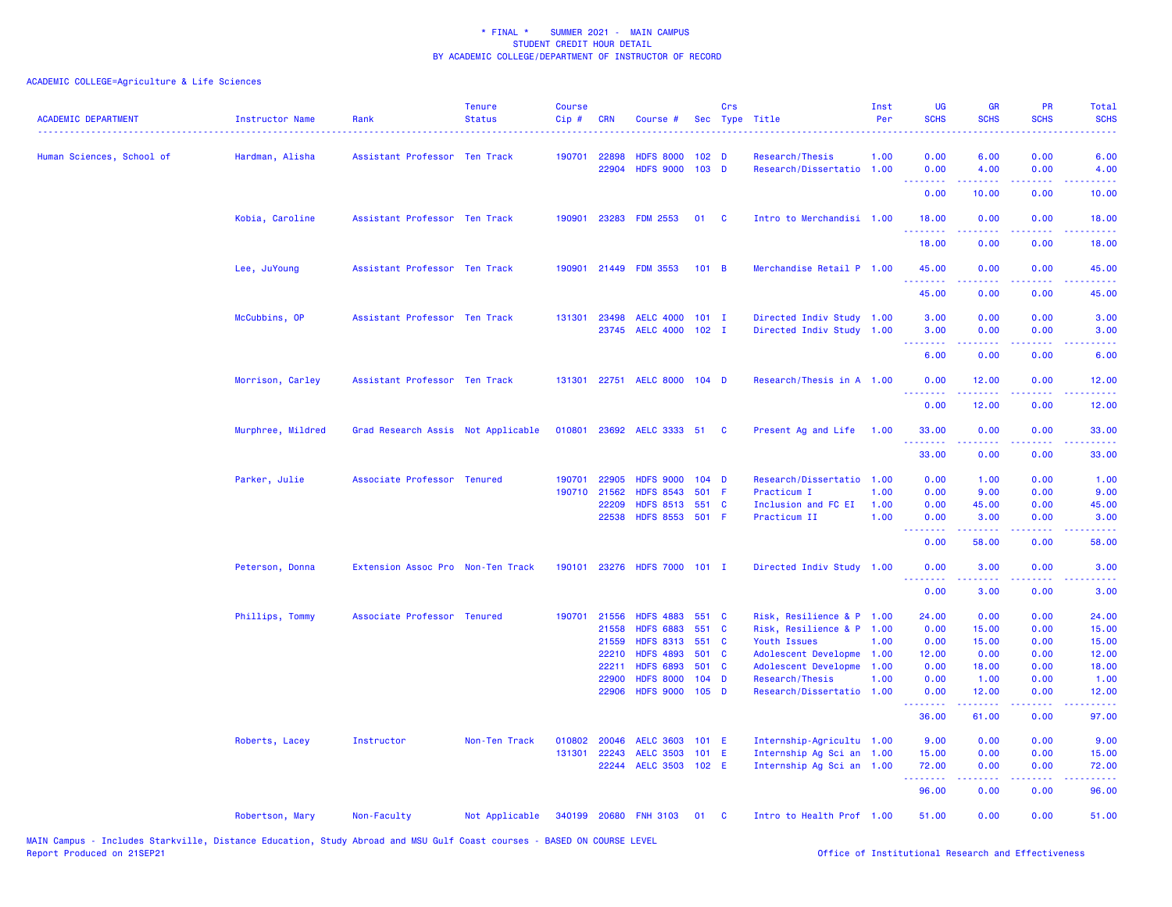| <b>ACADEMIC DEPARTMENT</b> | <b>Instructor Name</b> | Rank                               | <b>Tenure</b><br><b>Status</b> | <b>Course</b><br>Cip# | <b>CRN</b>                                                         | Course #                                                                                                                                 |                                                               | Crs            | Sec Type Title                                                                                                                                                         | Inst<br>Per                  | UG<br><b>SCHS</b>                                                          | <b>GR</b><br><b>SCHS</b>                                 | <b>PR</b><br><b>SCHS</b>                                                                                                          | Total<br><b>SCHS</b>                                       |
|----------------------------|------------------------|------------------------------------|--------------------------------|-----------------------|--------------------------------------------------------------------|------------------------------------------------------------------------------------------------------------------------------------------|---------------------------------------------------------------|----------------|------------------------------------------------------------------------------------------------------------------------------------------------------------------------|------------------------------|----------------------------------------------------------------------------|----------------------------------------------------------|-----------------------------------------------------------------------------------------------------------------------------------|------------------------------------------------------------|
| Human Sciences, School of  | Hardman, Alisha        | Assistant Professor Ten Track      |                                | 190701                | 22898<br>22904                                                     | <b>HDFS 8000</b><br><b>HDFS 9000</b>                                                                                                     | 102 <sub>D</sub><br>103 <sub>D</sub>                          |                | Research/Thesis<br>Research/Dissertatio 1.00                                                                                                                           | 1.00                         | 0.00<br>0.00                                                               | 6.00<br>4.00                                             | 0.00<br>0.00                                                                                                                      | 6.00<br>4.00                                               |
|                            |                        |                                    |                                |                       |                                                                    |                                                                                                                                          |                                                               |                |                                                                                                                                                                        |                              | .<br>0.00                                                                  | <b>.</b><br>10.00                                        | .<br>0.00                                                                                                                         | . د د د د<br>10.00                                         |
|                            | Kobia, Caroline        | Assistant Professor Ten Track      |                                | 190901                |                                                                    | 23283 FDM 2553                                                                                                                           | 01                                                            | <b>C</b>       | Intro to Merchandisi 1.00                                                                                                                                              |                              | 18.00                                                                      | 0.00                                                     | 0.00                                                                                                                              | 18.00                                                      |
|                            |                        |                                    |                                |                       |                                                                    |                                                                                                                                          |                                                               |                |                                                                                                                                                                        |                              | 18.00                                                                      | 0.00                                                     | $\sim$ $\sim$ $\sim$ .<br>0.00                                                                                                    | 18.00                                                      |
|                            | Lee, JuYoung           | Assistant Professor Ten Track      |                                | 190901                |                                                                    | 21449 FDM 3553                                                                                                                           | 101 B                                                         |                | Merchandise Retail P 1.00                                                                                                                                              |                              | 45.00<br>.                                                                 | 0.00                                                     | 0.00<br>والمحامر                                                                                                                  | 45.00                                                      |
|                            |                        |                                    |                                |                       |                                                                    |                                                                                                                                          |                                                               |                |                                                                                                                                                                        |                              | 45.00                                                                      | 0.00                                                     | 0.00                                                                                                                              | 45.00                                                      |
|                            | McCubbins, OP          | Assistant Professor Ten Track      |                                | 131301                | 23498<br>23745                                                     | <b>AELC 4000</b><br><b>AELC 4000</b>                                                                                                     | $101$ I<br>$102$ I                                            |                | Directed Indiv Study 1.00<br>Directed Indiv Study 1.00                                                                                                                 |                              | 3.00<br>3.00                                                               | 0.00<br>0.00                                             | 0.00<br>0.00                                                                                                                      | 3.00<br>3.00                                               |
|                            |                        |                                    |                                |                       |                                                                    |                                                                                                                                          |                                                               |                |                                                                                                                                                                        |                              | <u>.</u><br>6.00                                                           | .<br>0.00                                                | $\frac{1}{2} \left( \frac{1}{2} \right) \left( \frac{1}{2} \right) \left( \frac{1}{2} \right) \left( \frac{1}{2} \right)$<br>0.00 | <b>.</b> .<br>6.00                                         |
|                            | Morrison, Carley       | Assistant Professor Ten Track      |                                | 131301                |                                                                    | 22751 AELC 8000 104 D                                                                                                                    |                                                               |                | Research/Thesis in A 1.00                                                                                                                                              |                              | 0.00<br>.                                                                  | 12.00                                                    | 0.00<br>$\sim$ $\sim$ $\sim$ $\sim$                                                                                               | 12.00<br>المتماما                                          |
|                            |                        |                                    |                                |                       |                                                                    |                                                                                                                                          |                                                               |                |                                                                                                                                                                        |                              | 0.00                                                                       | 12.00                                                    | 0.00                                                                                                                              | 12.00                                                      |
|                            | Murphree, Mildred      | Grad Research Assis Not Applicable |                                | 010801                |                                                                    | 23692 AELC 3333 51                                                                                                                       |                                                               | <b>C</b>       | Present Ag and Life                                                                                                                                                    | 1.00                         | 33,00<br><u>.</u>                                                          | 0.00                                                     | 0.00                                                                                                                              | 33.00                                                      |
|                            |                        |                                    |                                |                       |                                                                    |                                                                                                                                          |                                                               |                |                                                                                                                                                                        |                              | 33.00                                                                      | 0.00                                                     | 0.00                                                                                                                              | 33.00                                                      |
|                            | Parker, Julie          | Associate Professor Tenured        |                                | 190701                | 22905<br>190710 21562<br>22209<br>22538                            | <b>HDFS 9000</b><br><b>HDFS 8543</b><br><b>HDFS 8513</b><br><b>HDFS 8553</b>                                                             | $104$ D<br>501<br>551<br>501 F                                | -F<br><b>C</b> | Research/Dissertatio 1.00<br>Practicum I<br>Inclusion and FC EI<br>Practicum II                                                                                        | 1.00<br>1.00<br>1.00         | 0.00<br>0.00<br>0.00<br>0.00<br>.                                          | 1.00<br>9.00<br>45.00<br>3.00<br>22222                   | 0.00<br>0.00<br>0.00<br>0.00<br>.                                                                                                 | 1.00<br>9.00<br>45.00<br>3.00<br>.                         |
|                            |                        |                                    |                                |                       |                                                                    |                                                                                                                                          |                                                               |                |                                                                                                                                                                        |                              | 0.00                                                                       | 58.00                                                    | 0.00                                                                                                                              | 58.00                                                      |
|                            | Peterson, Donna        | Extension Assoc Pro Non-Ten Track  |                                | 190101                |                                                                    | 23276 HDFS 7000 101 I                                                                                                                    |                                                               |                | Directed Indiv Study 1.00                                                                                                                                              |                              | 0.00                                                                       | 3.00                                                     | 0.00                                                                                                                              | 3.00                                                       |
|                            |                        |                                    |                                |                       |                                                                    |                                                                                                                                          |                                                               |                |                                                                                                                                                                        |                              | 0.00                                                                       | 3.00                                                     | 0.00                                                                                                                              | 3.00                                                       |
|                            | Phillips, Tommy        | Associate Professor Tenured        |                                |                       | 190701 21556<br>21558<br>21559<br>22210<br>22211<br>22900<br>22906 | <b>HDFS 4883</b><br><b>HDFS 6883</b><br><b>HDFS 8313</b><br><b>HDFS 4893</b><br><b>HDFS 6893</b><br><b>HDFS 8000</b><br><b>HDFS 9000</b> | 551 C<br>551<br>551 C<br>501 C<br>501 C<br>$104$ D<br>$105$ D | $\mathbf{C}$   | Risk, Resilience & P 1.00<br>Risk, Resilience & P 1.00<br>Youth Issues<br>Adolescent Developme<br>Adolescent Developme<br>Research/Thesis<br>Research/Dissertatio 1.00 | 1.00<br>1.00<br>1.00<br>1.00 | 24.00<br>0.00<br>0.00<br>12.00<br>0.00<br>0.00<br>0.00                     | 0.00<br>15.00<br>15.00<br>0.00<br>18.00<br>1.00<br>12.00 | 0.00<br>0.00<br>0.00<br>0.00<br>0.00<br>0.00<br>0.00                                                                              | 24.00<br>15.00<br>15.00<br>12.00<br>18.00<br>1.00<br>12.00 |
|                            |                        |                                    |                                |                       |                                                                    |                                                                                                                                          |                                                               |                |                                                                                                                                                                        |                              | .<br>36.00                                                                 | .<br>61.00                                               | .<br>0.00                                                                                                                         | . د د د د<br>97.00                                         |
|                            | Roberts, Lacey         | Instructor                         | Non-Ten Track                  | 010802<br>131301      | 20046<br>22243                                                     | <b>AELC 3603</b><br><b>AELC 3503</b><br>22244 AELC 3503 102 E                                                                            | 101 E<br>$101$ E                                              |                | Internship-Agricultu 1.00<br>Internship Ag Sci an 1.00<br>Internship Ag Sci an 1.00                                                                                    |                              | 9.00<br>15.00<br>72.00<br><b><i><u><u><b>Little Little</b></u></u></i></b> | 0.00<br>0.00<br>0.00<br>.                                | 0.00<br>0.00<br>0.00<br>د د د د                                                                                                   | 9.00<br>15.00<br>72.00<br>.                                |
|                            |                        |                                    |                                |                       |                                                                    |                                                                                                                                          |                                                               |                |                                                                                                                                                                        |                              | 96.00                                                                      | 0.00                                                     | 0.00                                                                                                                              | 96.00                                                      |
|                            | Robertson, Mary        | Non-Faculty                        | Not Applicable                 |                       |                                                                    | 340199 20680 FNH 3103                                                                                                                    | 01                                                            | <b>C</b>       | Intro to Health Prof 1.00                                                                                                                                              |                              | 51.00                                                                      | 0.00                                                     | 0.00                                                                                                                              | 51.00                                                      |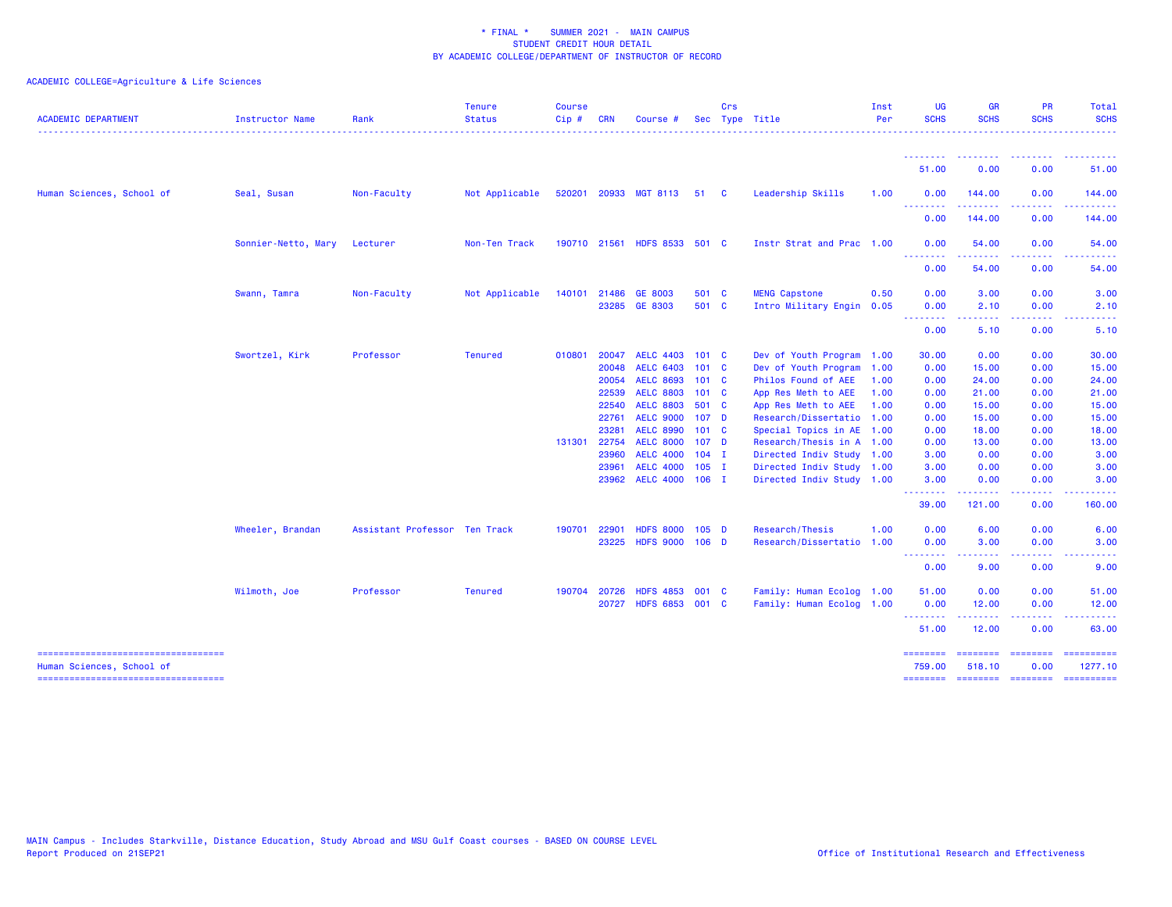| <b>ACADEMIC DEPARTMENT</b>                                         | Instructor Name     | Rank                          | <b>Tenure</b><br><b>Status</b> | <b>Course</b><br>$Cip \#$ | <b>CRN</b>   | Course                       |                  | Crs | Sec Type Title            | Inst<br>Per | <b>UG</b><br><b>SCHS</b> | <b>GR</b><br><b>SCHS</b>                                                                                                                                     | <b>PR</b><br><b>SCHS</b> | Total<br><b>SCHS</b> |
|--------------------------------------------------------------------|---------------------|-------------------------------|--------------------------------|---------------------------|--------------|------------------------------|------------------|-----|---------------------------|-------------|--------------------------|--------------------------------------------------------------------------------------------------------------------------------------------------------------|--------------------------|----------------------|
|                                                                    |                     |                               |                                |                           |              |                              |                  |     |                           |             | .<br>51.00               | 0.00                                                                                                                                                         | 0.00                     | 51.00                |
|                                                                    |                     |                               |                                |                           |              |                              |                  |     |                           |             |                          |                                                                                                                                                              |                          |                      |
| Human Sciences, School of                                          | Seal, Susan         | Non-Faculty                   | Not Applicable                 |                           |              | 520201 20933 MGT 8113 51 C   |                  |     | Leadership Skills         | 1.00        | 0.00<br><u>.</u>         | 144.00<br>------                                                                                                                                             | 0.00<br>.                | 144.00<br><u>.</u>   |
|                                                                    |                     |                               |                                |                           |              |                              |                  |     |                           |             | 0.00                     | 144.00                                                                                                                                                       | 0.00                     | 144.00               |
|                                                                    | Sonnier-Netto, Mary | Lecturer                      | Non-Ten Track                  |                           |              | 190710 21561 HDFS 8533 501 C |                  |     | Instr Strat and Prac 1.00 |             | 0.00<br><u>.</u>         | 54.00                                                                                                                                                        | 0.00                     | 54.00                |
|                                                                    |                     |                               |                                |                           |              |                              |                  |     |                           |             | 0.00                     | 54.00                                                                                                                                                        | 0.00                     | 54.00                |
|                                                                    | Swann, Tamra        | Non-Faculty                   | Not Applicable                 |                           | 140101 21486 | GE 8003                      | 501 C            |     | <b>MENG Capstone</b>      | 0.50        | 0.00                     | 3.00                                                                                                                                                         | 0.00                     | 3.00                 |
|                                                                    |                     |                               |                                |                           |              | 23285 GE 8303                | 501 C            |     | Intro Military Engin 0.05 |             | 0.00<br>بالأبابات        | 2.10                                                                                                                                                         | 0.00                     | 2.10                 |
|                                                                    |                     |                               |                                |                           |              |                              |                  |     |                           |             | 0.00                     | 5.10                                                                                                                                                         | 0.00                     | 5.10                 |
|                                                                    | Swortzel, Kirk      | Professor                     | <b>Tenured</b>                 | 010801                    | 20047        | <b>AELC 4403</b>             | 101 <sub>c</sub> |     | Dev of Youth Program 1.00 |             | 30.00                    | 0.00                                                                                                                                                         | 0.00                     | 30.00                |
|                                                                    |                     |                               |                                |                           | 20048        | <b>AELC 6403</b>             | 101 <sub>c</sub> |     | Dev of Youth Program 1.00 |             | 0.00                     | 15.00                                                                                                                                                        | 0.00                     | 15.00                |
|                                                                    |                     |                               |                                |                           | 20054        | <b>AELC 8693</b>             | 101 <sub>c</sub> |     | Philos Found of AEE       | 1.00        | 0.00                     | 24.00                                                                                                                                                        | 0.00                     | 24.00                |
|                                                                    |                     |                               |                                |                           | 22539        | <b>AELC 8803</b>             | 101 <sub>c</sub> |     | App Res Meth to AEE       | 1.00        | 0.00                     | 21.00                                                                                                                                                        | 0.00                     | 21.00                |
|                                                                    |                     |                               |                                |                           | 22540        | <b>AELC 8803</b>             | 501 C            |     | App Res Meth to AEE       | 1.00        | 0.00                     | 15.00                                                                                                                                                        | 0.00                     | 15.00                |
|                                                                    |                     |                               |                                |                           | 22761        | <b>AELC 9000</b>             | 107 <sub>D</sub> |     | Research/Dissertatio 1.00 |             | 0.00                     | 15.00                                                                                                                                                        | 0.00                     | 15.00                |
|                                                                    |                     |                               |                                |                           | 23281        | <b>AELC 8990</b>             | 101 <sub>c</sub> |     | Special Topics in AE 1.00 |             | 0.00                     | 18.00                                                                                                                                                        | 0.00                     | 18.00                |
|                                                                    |                     |                               |                                | 131301                    | 22754        | <b>AELC 8000</b>             | 107 <sub>D</sub> |     | Research/Thesis in A 1.00 |             | 0.00                     | 13.00                                                                                                                                                        | 0.00                     | 13.00                |
|                                                                    |                     |                               |                                |                           | 23960        | <b>AELC 4000</b>             | $104$ I          |     | Directed Indiv Study 1.00 |             | 3.00                     | 0.00                                                                                                                                                         | 0.00                     | 3.00                 |
|                                                                    |                     |                               |                                |                           | 23961        | <b>AELC 4000</b>             | $105$ I          |     | Directed Indiv Study 1.00 |             | 3.00                     | 0.00                                                                                                                                                         | 0.00                     | 3.00                 |
|                                                                    |                     |                               |                                |                           | 23962        | AELC 4000 106 I              |                  |     | Directed Indiv Study 1.00 |             | 3.00<br>.                | 0.00<br>.                                                                                                                                                    | 0.00<br>.                | 3.00<br><u>.</u>     |
|                                                                    |                     |                               |                                |                           |              |                              |                  |     |                           |             | 39.00                    | 121.00                                                                                                                                                       | 0.00                     | 160.00               |
|                                                                    | Wheeler, Brandan    | Assistant Professor Ten Track |                                | 190701                    | 22901        | <b>HDFS 8000</b>             | $105$ D          |     | Research/Thesis           | 1.00        | 0.00                     | 6.00                                                                                                                                                         | 0.00                     | 6.00                 |
|                                                                    |                     |                               |                                |                           | 23225        | HDFS 9000 106 D              |                  |     | Research/Dissertatio 1.00 |             | 0.00                     | 3.00                                                                                                                                                         | 0.00                     | 3.00                 |
|                                                                    |                     |                               |                                |                           |              |                              |                  |     |                           |             | .<br>0.00                | $\frac{1}{2} \left( \frac{1}{2} \right) \left( \frac{1}{2} \right) \left( \frac{1}{2} \right) \left( \frac{1}{2} \right) \left( \frac{1}{2} \right)$<br>9.00 | .<br>0.00                | $    -$<br>9.00      |
|                                                                    | Wilmoth, Joe        | Professor                     | <b>Tenured</b>                 | 190704 20726              |              | <b>HDFS 4853</b>             | 001 C            |     | Family: Human Ecolog 1.00 |             | 51.00                    | 0.00                                                                                                                                                         | 0.00                     | 51.00                |
|                                                                    |                     |                               |                                |                           | 20727        | HDFS 6853 001 C              |                  |     | Family: Human Ecolog 1.00 |             | 0.00                     | 12.00                                                                                                                                                        | 0.00                     | 12.00                |
|                                                                    |                     |                               |                                |                           |              |                              |                  |     |                           |             | <u>.</u><br>51.00        | 12.00                                                                                                                                                        | 0.00                     | 63.00                |
| ----------------------------------                                 |                     |                               |                                |                           |              |                              |                  |     |                           |             | ========                 | ========                                                                                                                                                     | ========                 | ==========           |
| Human Sciences, School of<br>===================================== |                     |                               |                                |                           |              |                              |                  |     |                           |             | 759.00                   | 518.10                                                                                                                                                       | 0.00                     | 1277.10              |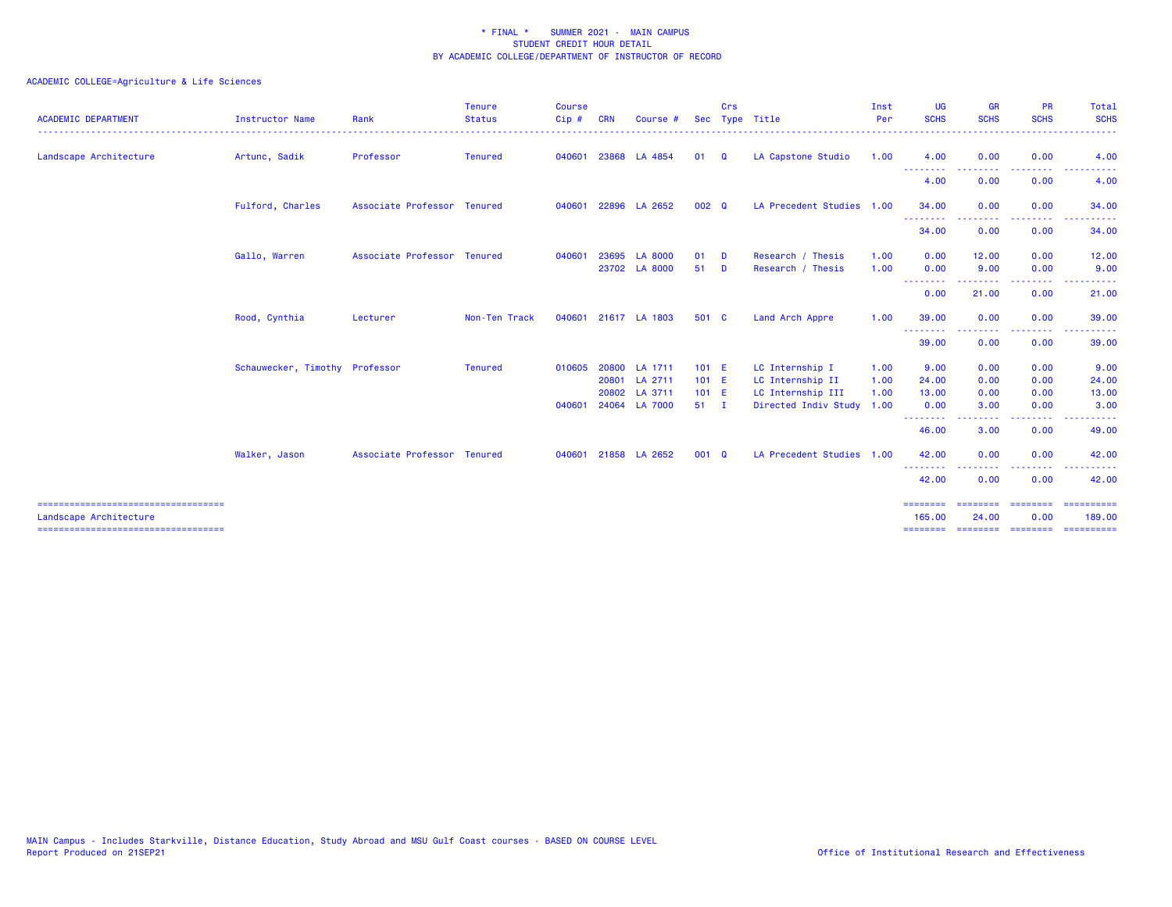| <b>ACADEMIC DEPARTMENT</b>                                     | <b>Instructor Name</b>         | Rank                        | <b>Tenure</b><br><b>Status</b> | <b>Course</b><br>Cip# | <b>CRN</b> | Course #             |              | Crs      | Sec Type Title            | Inst<br>Per | <b>UG</b><br><b>SCHS</b>        | <b>GR</b><br><b>SCHS</b> | <b>PR</b><br><b>SCHS</b> | Total<br><b>SCHS</b>                      |
|----------------------------------------------------------------|--------------------------------|-----------------------------|--------------------------------|-----------------------|------------|----------------------|--------------|----------|---------------------------|-------------|---------------------------------|--------------------------|--------------------------|-------------------------------------------|
| Landscape Architecture                                         | Artunc, Sadik                  | Professor                   | <b>Tenured</b>                 | 040601                |            | 23868 LA 4854        | 01           | Q        | LA Capstone Studio        | 1.00        | 4.00<br>--------                | 0.00<br>--------         | 0.00<br>--------         | 4.00<br>----------                        |
|                                                                |                                |                             |                                |                       |            |                      |              |          |                           |             | 4.00                            | 0.00                     | 0.00                     | 4.00                                      |
|                                                                | Fulford, Charles               | Associate Professor Tenured |                                | 040601                |            | 22896 LA 2652        | 002 Q        |          | LA Precedent Studies 1.00 |             | 34.00                           | 0.00                     | 0.00                     | 34.00                                     |
|                                                                |                                |                             |                                |                       |            |                      |              |          |                           |             | .<br>34.00                      | 0.00                     | -----<br>0.00            | $\sim$ $\sim$ $\sim$<br>$\cdots$<br>34.00 |
|                                                                | Gallo, Warren                  | Associate Professor Tenured |                                | 040601                | 23695      | <b>LA 8000</b>       | 01           | D        | Research / Thesis         | 1.00        | 0.00                            | 12.00                    | 0.00                     | 12.00                                     |
|                                                                |                                |                             |                                |                       |            | 23702 LA 8000        | 51           | <b>D</b> | Research / Thesis         | 1.00        | 0.00                            | 9.00                     | 0.00                     | 9.00                                      |
|                                                                |                                |                             |                                |                       |            |                      |              |          |                           |             | <u> - - - - - - - -</u><br>0.00 | .<br>21.00               | . <u>.</u> .<br>0.00     | 21.00                                     |
|                                                                | Rood, Cynthia                  | Lecturer                    | Non-Ten Track                  | 040601                |            | 21617 LA 1803        | 501 C        |          | Land Arch Appre           | 1.00        | 39.00                           | 0.00                     | 0.00                     | 39.00                                     |
|                                                                |                                |                             |                                |                       |            |                      |              |          |                           |             | .<br>39.00                      | .<br>0.00                | .<br>0.00                | .<br>39.00                                |
|                                                                | Schauwecker, Timothy Professor |                             | <b>Tenured</b>                 |                       |            | 010605 20800 LA 1711 | 101 E        |          | LC Internship I           | 1.00        | 9.00                            | 0.00                     | 0.00                     | 9.00                                      |
|                                                                |                                |                             |                                |                       |            | 20801 LA 2711        | 101 E        |          | LC Internship II          | 1.00        | 24.00                           | 0.00                     | 0.00                     | 24.00                                     |
|                                                                |                                |                             |                                |                       |            | 20802 LA 3711        | 101 E        |          | LC Internship III         | 1.00        | 13.00                           | 0.00                     | 0.00                     | 13.00                                     |
|                                                                |                                |                             |                                | 040601                |            | 24064 LA 7000        | $51 \quad I$ |          | Directed Indiv Study 1.00 |             | 0.00<br>--------                | 3.00                     | 0.00<br>----             | 3.00                                      |
|                                                                |                                |                             |                                |                       |            |                      |              |          |                           |             | 46.00                           | 3.00                     | 0.00                     | 49.00                                     |
|                                                                | Walker, Jason                  | Associate Professor Tenured |                                | 040601                |            | 21858 LA 2652        | 001 Q        |          | LA Precedent Studies 1.00 |             | 42.00                           | 0.00                     | 0.00                     | 42.00                                     |
|                                                                |                                |                             |                                |                       |            |                      |              |          |                           |             | .<br>42.00                      | 0.00                     | . <b>.</b><br>0.00       | 42.00                                     |
| .===================================<br>Landscape Architecture |                                |                             |                                |                       |            |                      |              |          |                           |             | 165.00                          | 24.00                    | 0.00                     | ==========<br>189.00                      |
| ====================================                           |                                |                             |                                |                       |            |                      |              |          |                           |             | ---------                       | ========                 | <b>CONCOCCO</b>          | ==========                                |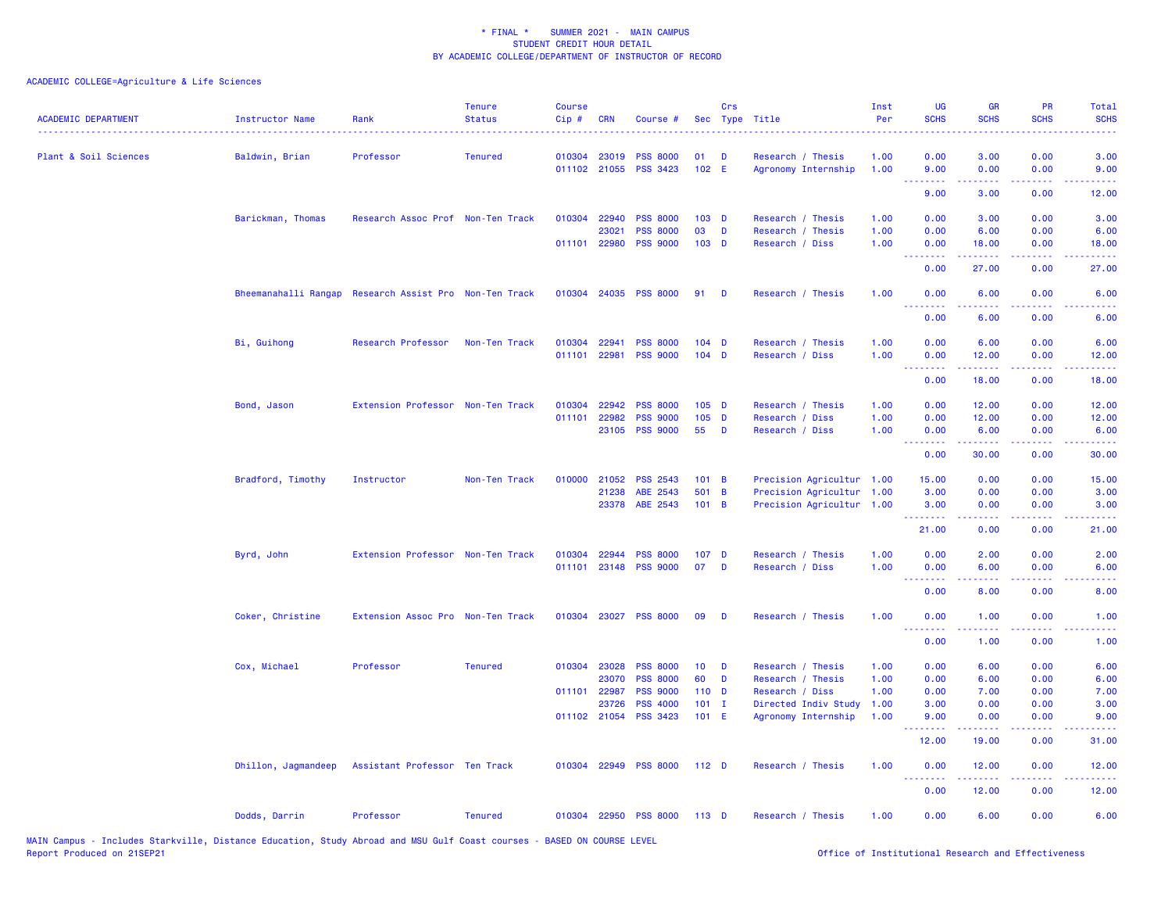| <b>ACADEMIC DEPARTMENT</b> | <b>Instructor Name</b>                                 | Rank                              | <b>Tenure</b><br><b>Status</b> | <b>Course</b><br>Cip# | <b>CRN</b>   | Course #              |                  | Crs | Sec Type Title            | Inst<br>Per | UG<br><b>SCHS</b>                     | <b>GR</b><br><b>SCHS</b> | <b>PR</b><br><b>SCHS</b>     | Total<br><b>SCHS</b> |
|----------------------------|--------------------------------------------------------|-----------------------------------|--------------------------------|-----------------------|--------------|-----------------------|------------------|-----|---------------------------|-------------|---------------------------------------|--------------------------|------------------------------|----------------------|
| Plant & Soil Sciences      | Baldwin, Brian                                         | Professor                         | <b>Tenured</b>                 |                       | 010304 23019 | <b>PSS 8000</b>       | 01               | D   | Research / Thesis         | 1.00        | 0.00                                  | 3.00                     | 0.00                         | 3.00                 |
|                            |                                                        |                                   |                                |                       |              | 011102 21055 PSS 3423 | 102 E            |     | Agronomy Internship       | 1.00        | 9.00<br>$\sim$ $\sim$ $\sim$ $\sim$   | 0.00                     | 0.00<br>ولايات               | 9.00                 |
|                            |                                                        |                                   |                                |                       |              |                       |                  |     |                           |             | 9.00                                  | 3.00                     | 0.00                         | 12.00                |
|                            | Barickman, Thomas                                      | Research Assoc Prof Non-Ten Track |                                |                       | 010304 22940 | <b>PSS 8000</b>       | $103$ D          |     | Research / Thesis         | 1.00        | 0.00                                  | 3.00                     | 0.00                         | 3.00                 |
|                            |                                                        |                                   |                                |                       | 23021        | <b>PSS 8000</b>       | 03               | D   | Research / Thesis         | 1.00        | 0.00                                  | 6.00                     | 0.00                         | 6.00                 |
|                            |                                                        |                                   |                                |                       | 011101 22980 | <b>PSS 9000</b>       | $103$ D          |     | Research / Diss           | 1.00        | 0.00<br>.                             | 18.00                    | 0.00                         | 18.00                |
|                            |                                                        |                                   |                                |                       |              |                       |                  |     |                           |             | 0.00                                  | 27.00                    | 0.00                         | 27.00                |
|                            | Bheemanahalli Rangap Research Assist Pro Non-Ten Track |                                   |                                |                       | 010304 24035 | <b>PSS 8000</b>       | 91               | - D | Research / Thesis         | 1.00        | 0.00                                  | 6.00                     | 0.00                         | 6.00                 |
|                            |                                                        |                                   |                                |                       |              |                       |                  |     |                           |             | 0.00                                  | 6.00                     | 0.00                         | 6.00                 |
|                            | Bi, Guihong                                            | Research Professor                | Non-Ten Track                  |                       | 010304 22941 | <b>PSS 8000</b>       | $104$ D          |     | Research / Thesis         | 1.00        | 0.00                                  | 6.00                     | 0.00                         | 6.00                 |
|                            |                                                        |                                   |                                |                       | 011101 22981 | <b>PSS 9000</b>       | $104$ D          |     | Research / Diss           | 1.00        | 0.00                                  | 12.00                    | 0.00                         | 12.00                |
|                            |                                                        |                                   |                                |                       |              |                       |                  |     |                           |             | <b><i><u>AAAAAAAA</u></i></b><br>0.00 | .<br>18.00               | .<br>0.00                    | .<br>18.00           |
|                            | Bond, Jason                                            | Extension Professor Non-Ten Track |                                | 010304                | 22942        | <b>PSS 8000</b>       | $105$ D          |     | Research / Thesis         | 1.00        | 0.00                                  | 12.00                    | 0.00                         | 12.00                |
|                            |                                                        |                                   |                                | 011101                | 22982        | <b>PSS 9000</b>       | $105$ D          |     | Research / Diss           | 1.00        | 0.00                                  | 12.00                    | 0.00                         | 12.00                |
|                            |                                                        |                                   |                                |                       | 23105        | <b>PSS 9000</b>       | 55               | D   | Research / Diss           | 1.00        | 0.00                                  | 6.00                     | 0.00                         | 6.00                 |
|                            |                                                        |                                   |                                |                       |              |                       |                  |     |                           |             | <u>.</u><br>0.00                      | بالمستمال<br>30.00       | 0.00                         | وساعات<br>30.00      |
|                            | Bradford, Timothy                                      | Instructor                        | Non-Ten Track                  |                       | 010000 21052 | <b>PSS 2543</b>       | $101 \quad B$    |     | Precision Agricultur 1.00 |             | 15.00                                 | 0.00                     | 0.00                         | 15.00                |
|                            |                                                        |                                   |                                |                       | 21238        | ABE 2543              | 501 B            |     | Precision Agricultur      | 1.00        | 3.00                                  | 0.00                     | 0.00                         | 3.00                 |
|                            |                                                        |                                   |                                |                       | 23378        | ABE 2543              | 101 B            |     | Precision Agricultur 1.00 |             | 3.00                                  | 0.00                     | 0.00                         | 3.00                 |
|                            |                                                        |                                   |                                |                       |              |                       |                  |     |                           |             | .<br>21.00                            | 22222<br>0.00            | .<br>0.00                    | وعاعاتها<br>21.00    |
|                            | Byrd, John                                             | Extension Professor Non-Ten Track |                                | 010304                | 22944        | <b>PSS 8000</b>       | 107 <sub>D</sub> |     | Research / Thesis         | 1.00        | 0.00                                  | 2.00                     | 0.00                         | 2.00                 |
|                            |                                                        |                                   |                                | 011101                | 23148        | <b>PSS 9000</b>       | 07               | D   | Research / Diss           | 1.00        | 0.00                                  | 6.00                     | 0.00                         | 6.00                 |
|                            |                                                        |                                   |                                |                       |              |                       |                  |     |                           |             | .<br>0.00                             | 8.00                     | 0.00                         | 8.00                 |
|                            | Coker, Christine                                       | Extension Assoc Pro Non-Ten Track |                                |                       | 010304 23027 | <b>PSS 8000</b>       | 09               | D   | Research / Thesis         | 1.00        | 0.00                                  | 1.00                     | 0.00                         | 1.00                 |
|                            |                                                        |                                   |                                |                       |              |                       |                  |     |                           |             | .<br>0.00                             | .<br>1.00                | 0.00                         | .<br>1.00            |
|                            | Cox, Michael                                           | Professor                         | <b>Tenured</b>                 |                       | 010304 23028 | <b>PSS 8000</b>       | 10 <sub>1</sub>  | D   | Research / Thesis         | 1.00        | 0.00                                  | 6.00                     | 0.00                         | 6.00                 |
|                            |                                                        |                                   |                                |                       | 23070        | <b>PSS 8000</b>       | 60               | D   | Research / Thesis         | 1.00        | 0.00                                  | 6.00                     | 0.00                         | 6.00                 |
|                            |                                                        |                                   |                                | 011101                | 22987        | <b>PSS 9000</b>       | $110$ D          |     | Research / Diss           | 1.00        | 0.00                                  | 7.00                     | 0.00                         | 7.00                 |
|                            |                                                        |                                   |                                |                       | 23726        | <b>PSS 4000</b>       | $101$ I          |     | Directed Indiv Study      | 1.00        | 3.00                                  | 0.00                     | 0.00                         | 3.00                 |
|                            |                                                        |                                   |                                |                       | 011102 21054 | <b>PSS 3423</b>       | 101 E            |     | Agronomy Internship       | 1.00        | 9.00<br>.                             | 0.00                     | 0.00<br>$\sim$ $\sim$ $\sim$ | 9.00                 |
|                            |                                                        |                                   |                                |                       |              |                       |                  |     |                           |             | 12.00                                 | 19.00                    | 0.00                         | 31.00                |
|                            | Dhillon, Jagmandeep                                    | Assistant Professor Ten Track     |                                |                       |              | 010304 22949 PSS 8000 | 112 D            |     | Research / Thesis         | 1.00        | 0.00<br><b></b>                       | 12.00<br>.               | 0.00<br>.                    | 12.00                |
|                            |                                                        |                                   |                                |                       |              |                       |                  |     |                           |             | 0.00                                  | 12.00                    | 0.00                         | 12.00                |
|                            | Dodds, Darrin                                          | Professor                         | <b>Tenured</b>                 |                       |              | 010304 22950 PSS 8000 | 113 D            |     | Research / Thesis         | 1.00        | 0.00                                  | 6.00                     | 0.00                         | 6.00                 |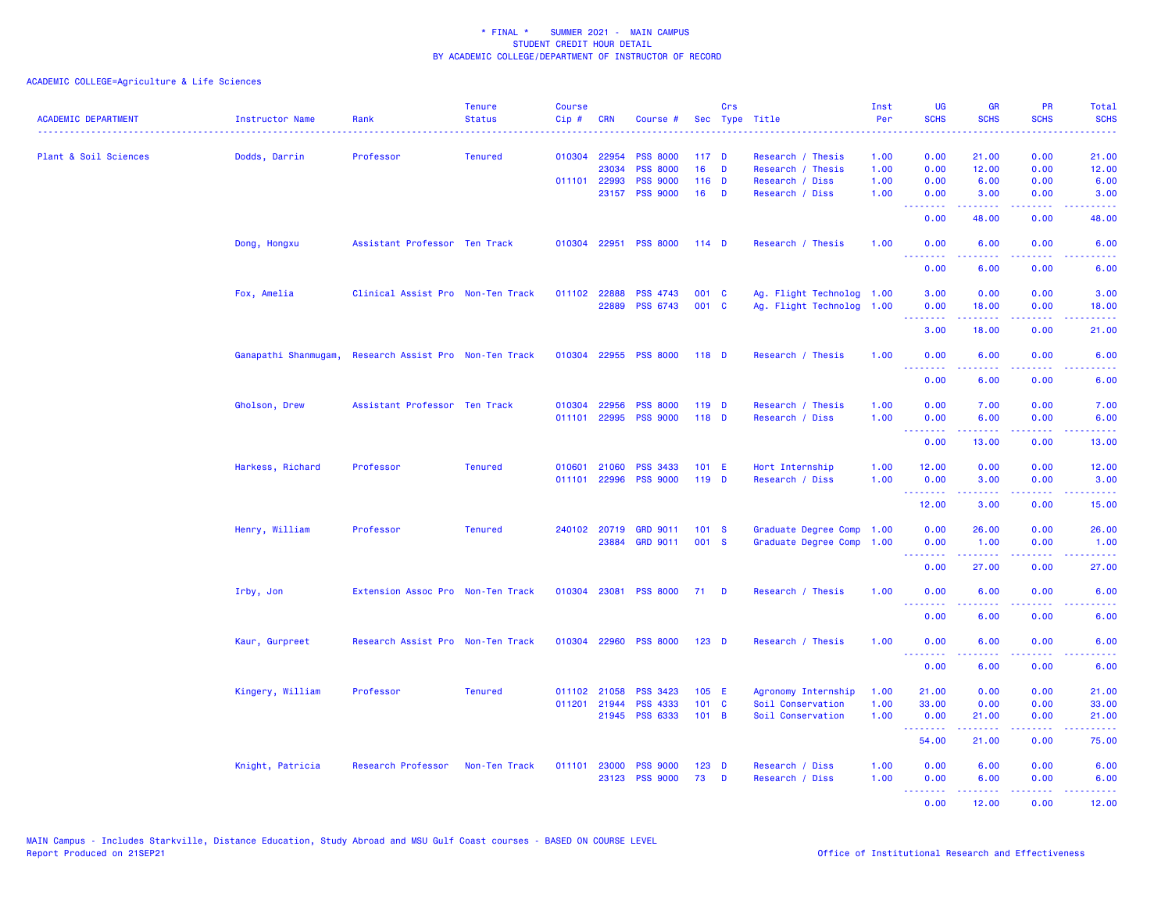| <b>ACADEMIC DEPARTMENT</b> | Instructor Name  | Rank                                                   | <b>Tenure</b><br><b>Status</b> | <b>Course</b><br>Cip# | <b>CRN</b>   | Course #              |                  | Crs          | Sec Type Title            | Inst<br>Per | <b>UG</b><br><b>SCHS</b>                           | <b>GR</b><br><b>SCHS</b> | <b>PR</b><br><b>SCHS</b> | Total<br><b>SCHS</b>  |
|----------------------------|------------------|--------------------------------------------------------|--------------------------------|-----------------------|--------------|-----------------------|------------------|--------------|---------------------------|-------------|----------------------------------------------------|--------------------------|--------------------------|-----------------------|
| Plant & Soil Sciences      | Dodds, Darrin    | Professor                                              | <b>Tenured</b>                 |                       | 010304 22954 | <b>PSS 8000</b>       | 117 <sub>D</sub> |              | Research / Thesis         | 1.00        | 0.00                                               | 21.00                    | 0.00                     | 21.00                 |
|                            |                  |                                                        |                                |                       | 23034        | <b>PSS 8000</b>       | 16 <sup>1</sup>  | D            | Research / Thesis         | 1.00        | 0.00                                               | 12.00                    | 0.00                     | 12.00                 |
|                            |                  |                                                        |                                |                       | 011101 22993 | <b>PSS 9000</b>       | $116$ D          |              | Research / Diss           | 1.00        | 0.00                                               | 6.00                     | 0.00                     | 6.00                  |
|                            |                  |                                                        |                                |                       |              | 23157 PSS 9000        | 16               | D            | Research / Diss           | 1.00        | 0.00<br><u>.</u>                                   | 3.00<br>22222            | 0.00<br>د د د د          | 3.00                  |
|                            |                  |                                                        |                                |                       |              |                       |                  |              |                           |             | 0.00                                               | 48.00                    | 0.00                     | 48.00                 |
|                            | Dong, Hongxu     | Assistant Professor Ten Track                          |                                |                       |              | 010304 22951 PSS 8000 | $114$ D          |              | Research / Thesis         | 1.00        | 0.00<br>.                                          | 6.00                     | 0.00<br>2222             | 6.00                  |
|                            |                  |                                                        |                                |                       |              |                       |                  |              |                           |             | 0.00                                               | 6.00                     | 0.00                     | 6.00                  |
|                            | Fox, Amelia      | Clinical Assist Pro Non-Ten Track                      |                                |                       | 011102 22888 | <b>PSS 4743</b>       | 001 C            |              | Ag. Flight Technolog 1.00 |             | 3.00                                               | 0.00                     | 0.00                     | 3.00                  |
|                            |                  |                                                        |                                |                       | 22889        | <b>PSS 6743</b>       | 001 C            |              | Ag. Flight Technolog 1.00 |             | 0.00<br><b><i><u><u> - - - - - - -</u></u></i></b> | 18.00<br>22222           | 0.00<br>والمحامر         | 18.00<br>المتمامين    |
|                            |                  |                                                        |                                |                       |              |                       |                  |              |                           |             | 3.00                                               | 18.00                    | 0.00                     | 21.00                 |
|                            |                  | Ganapathi Shanmugam, Research Assist Pro Non-Ten Track |                                |                       |              | 010304 22955 PSS 8000 | 118 D            |              | Research / Thesis         | 1.00        | 0.00                                               | 6.00                     | 0.00                     | 6.00                  |
|                            |                  |                                                        |                                |                       |              |                       |                  |              |                           |             | <b><i><u><u> - - - - - - -</u></u></i></b><br>0.00 | 6.00                     | 0.00                     | 6.00                  |
|                            | Gholson, Drew    | Assistant Professor Ten Track                          |                                | 010304                | 22956        | <b>PSS 8000</b>       | $119$ D          |              | Research / Thesis         | 1.00        | 0.00                                               | 7.00                     | 0.00                     | 7.00                  |
|                            |                  |                                                        |                                | 011101                | 22995        | <b>PSS 9000</b>       | $118$ D          |              | Research / Diss           | 1.00        | 0.00                                               | 6.00                     | 0.00                     | 6.00                  |
|                            |                  |                                                        |                                |                       |              |                       |                  |              |                           |             | <u>.</u>                                           | بالأبابات                | الأبالات                 | $\sim 100$ km $^{-1}$ |
|                            |                  |                                                        |                                |                       |              |                       |                  |              |                           |             | 0.00                                               | 13.00                    | 0.00                     | 13.00                 |
|                            | Harkess, Richard | Professor                                              | <b>Tenured</b>                 | 010601                | 21060        | <b>PSS 3433</b>       | $101$ E          |              | Hort Internship           | 1.00        | 12.00                                              | 0.00                     | 0.00                     | 12.00                 |
|                            |                  |                                                        |                                | 011101                |              | 22996 PSS 9000        | 119 D            |              | Research / Diss           | 1.00        | 0.00                                               | 3.00                     | 0.00                     | 3.00                  |
|                            |                  |                                                        |                                |                       |              |                       |                  |              |                           |             | <u>.</u><br>12.00                                  | 3.00                     | 0.00                     | 15.00                 |
|                            | Henry, William   | Professor                                              | <b>Tenured</b>                 |                       |              | 240102 20719 GRD 9011 | 101 S            |              | Graduate Degree Comp      | 1.00        | 0.00                                               | 26.00                    | 0.00                     | 26.00                 |
|                            |                  |                                                        |                                |                       | 23884        | <b>GRD 9011</b>       | 001 S            |              | Graduate Degree Comp      | 1.00        | 0.00                                               | 1.00                     | 0.00                     | 1.00                  |
|                            |                  |                                                        |                                |                       |              |                       |                  |              |                           |             | <b><i><u><u><b>Little Little</b></u></u></i></b>   | .                        | ن د د د                  | دعاعا عامات           |
|                            |                  |                                                        |                                |                       |              |                       |                  |              |                           |             | 0.00                                               | 27.00                    | 0.00                     | 27.00                 |
|                            | Irby, Jon        | Extension Assoc Pro Non-Ten Track                      |                                |                       | 010304 23081 | <b>PSS 8000</b>       | 71               | <b>D</b>     | Research / Thesis         | 1.00        | 0.00<br>.                                          | 6.00                     | 0.00                     | 6.00                  |
|                            |                  |                                                        |                                |                       |              |                       |                  |              |                           |             | 0.00                                               | 6.00                     | 0.00                     | 6.00                  |
|                            | Kaur, Gurpreet   | Research Assist Pro Non-Ten Track                      |                                |                       | 010304 22960 | <b>PSS 8000</b>       | $123$ D          |              | Research / Thesis         | 1.00        | 0.00<br>.                                          | 6.00                     | 0.00                     | 6.00                  |
|                            |                  |                                                        |                                |                       |              |                       |                  |              |                           |             | 0.00                                               | 6.00                     | 0.00                     | 6.00                  |
|                            | Kingery, William | Professor                                              | <b>Tenured</b>                 | 011102                | 21058        | <b>PSS 3423</b>       | 105 E            |              | Agronomy Internship       | 1.00        | 21.00                                              | 0.00                     | 0.00                     | 21.00                 |
|                            |                  |                                                        |                                | 011201                | 21944        | <b>PSS 4333</b>       | 101 C            |              | Soil Conservation         | 1.00        | 33.00                                              | 0.00                     | 0.00                     | 33.00                 |
|                            |                  |                                                        |                                |                       |              | 21945 PSS 6333        | 101 B            |              | Soil Conservation         | 1.00        | 0.00<br><b><i><u><u> - - - - - - -</u></u></i></b> | 21,00<br>.               | 0.00<br>.                | 21.00<br>.            |
|                            |                  |                                                        |                                |                       |              |                       |                  |              |                           |             | 54.00                                              | 21.00                    | 0.00                     | 75.00                 |
|                            | Knight, Patricia | Research Professor                                     | Non-Ten Track                  | 011101                |              | 23000 PSS 9000        | $123$ D          |              | Research / Diss           | 1.00        | 0.00                                               | 6.00                     | 0.00                     | 6.00                  |
|                            |                  |                                                        |                                |                       |              | 23123 PSS 9000        | 73               | $\mathbf{D}$ | Research / Diss           | 1.00        | 0.00                                               | 6.00                     | 0.00                     | 6.00                  |
|                            |                  |                                                        |                                |                       |              |                       |                  |              |                           |             | <u> - - - - - - - -</u>                            | .                        | .                        | .                     |
|                            |                  |                                                        |                                |                       |              |                       |                  |              |                           |             | 0.00                                               | 12.00                    | 0.00                     | 12.00                 |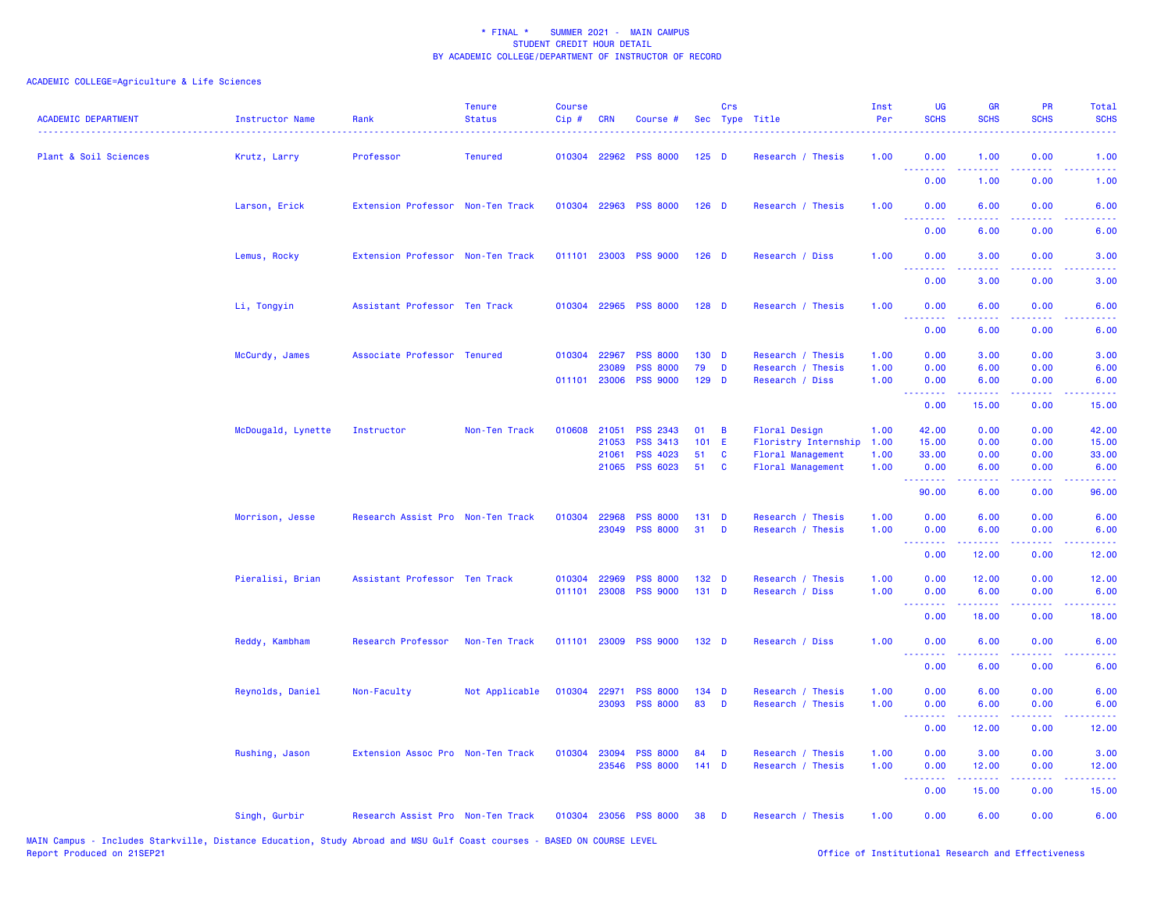# ACADEMIC COLLEGE=Agriculture & Life Sciences

| <b>ACADEMIC DEPARTMENT</b> | Instructor Name    | Rank                              | <b>Tenure</b><br><b>Status</b> | <b>Course</b><br>Cip# | <b>CRN</b>   | Course #                                |                  | Crs | Sec Type Title                         | Inst<br>Per | UG<br><b>SCHS</b>                                                                                                                                                                                                                                                                                                                                                                                                                                                                      | <b>GR</b><br><b>SCHS</b> | PR<br><b>SCHS</b>                                                                                                                 | Total<br><b>SCHS</b>            |
|----------------------------|--------------------|-----------------------------------|--------------------------------|-----------------------|--------------|-----------------------------------------|------------------|-----|----------------------------------------|-------------|----------------------------------------------------------------------------------------------------------------------------------------------------------------------------------------------------------------------------------------------------------------------------------------------------------------------------------------------------------------------------------------------------------------------------------------------------------------------------------------|--------------------------|-----------------------------------------------------------------------------------------------------------------------------------|---------------------------------|
| Plant & Soil Sciences      | Krutz, Larry       | Professor                         | <b>Tenured</b>                 |                       |              | 010304 22962 PSS 8000                   | $125$ D          |     | Research / Thesis                      | 1.00        | 0.00<br>.                                                                                                                                                                                                                                                                                                                                                                                                                                                                              | 1.00<br>.                | 0.00                                                                                                                              | 1.00<br>الوالوني                |
|                            |                    |                                   |                                |                       |              |                                         |                  |     |                                        |             | 0.00                                                                                                                                                                                                                                                                                                                                                                                                                                                                                   | 1.00                     | 0.00                                                                                                                              | 1.00                            |
|                            | Larson, Erick      | Extension Professor Non-Ten Track |                                |                       |              | 010304 22963 PSS 8000                   | $126$ D          |     | Research / Thesis                      | 1.00        | 0.00<br><u>.</u>                                                                                                                                                                                                                                                                                                                                                                                                                                                                       | 6.00                     | 0.00                                                                                                                              | 6.00                            |
|                            |                    |                                   |                                |                       |              |                                         |                  |     |                                        |             | 0.00                                                                                                                                                                                                                                                                                                                                                                                                                                                                                   | 6.00                     | 0.00                                                                                                                              | 6.00                            |
|                            | Lemus, Rocky       | Extension Professor Non-Ten Track |                                |                       |              | 011101 23003 PSS 9000                   | $126$ D          |     | Research / Diss                        | 1.00        | 0.00<br><b><i><u><u> - - - - - - -</u></u></i></b>                                                                                                                                                                                                                                                                                                                                                                                                                                     | 3.00<br>.                | 0.00<br>$\frac{1}{2} \left( \frac{1}{2} \right) \left( \frac{1}{2} \right) \left( \frac{1}{2} \right) \left( \frac{1}{2} \right)$ | 3.00                            |
|                            |                    |                                   |                                |                       |              |                                         |                  |     |                                        |             | 0.00                                                                                                                                                                                                                                                                                                                                                                                                                                                                                   | 3.00                     | 0.00                                                                                                                              | 3.00                            |
|                            | Li, Tongyin        | Assistant Professor Ten Track     |                                |                       |              | 010304 22965 PSS 8000                   | $128$ D          |     | Research / Thesis                      | 1.00        | 0.00<br>.                                                                                                                                                                                                                                                                                                                                                                                                                                                                              | 6.00                     | 0.00<br>$\omega_{\rm{eff}}$ and $\omega_{\rm{eff}}$                                                                               | 6.00                            |
|                            |                    |                                   |                                |                       |              |                                         |                  |     |                                        |             | 0.00                                                                                                                                                                                                                                                                                                                                                                                                                                                                                   | 6.00                     | 0.00                                                                                                                              | 6.00                            |
|                            | McCurdy, James     | Associate Professor Tenured       |                                | 010304                | 22967        | <b>PSS 8000</b>                         | 130 D            |     | Research / Thesis                      | 1.00        | 0.00                                                                                                                                                                                                                                                                                                                                                                                                                                                                                   | 3.00                     | 0.00                                                                                                                              | 3.00                            |
|                            |                    |                                   |                                |                       | 23089        | <b>PSS 8000</b>                         | 79               | D   | Research / Thesis                      | 1.00        | 0.00                                                                                                                                                                                                                                                                                                                                                                                                                                                                                   | 6.00                     | 0.00                                                                                                                              | 6.00                            |
|                            |                    |                                   |                                | 011101                | 23006        | <b>PSS 9000</b>                         | $129$ D          |     | Research / Diss                        | 1.00        | 0.00<br>.                                                                                                                                                                                                                                                                                                                                                                                                                                                                              | 6.00<br>.                | 0.00<br>$\sim$ $\sim$ $\sim$ $\sim$                                                                                               | 6.00<br>. د د د د               |
|                            |                    |                                   |                                |                       |              |                                         |                  |     |                                        |             | 0.00                                                                                                                                                                                                                                                                                                                                                                                                                                                                                   | 15.00                    | 0.00                                                                                                                              | 15.00                           |
|                            | McDougald, Lynette | Instructor                        | Non-Ten Track                  | 010608                | 21051        | <b>PSS 2343</b>                         | 01               | B   | Floral Design                          | 1.00        | 42.00                                                                                                                                                                                                                                                                                                                                                                                                                                                                                  | 0.00                     | 0.00                                                                                                                              | 42.00                           |
|                            |                    |                                   |                                |                       | 21053        | <b>PSS 3413</b>                         | 101              | -E  | Floristry Internship                   | 1.00        | 15.00                                                                                                                                                                                                                                                                                                                                                                                                                                                                                  | 0.00                     | 0.00                                                                                                                              | 15.00                           |
|                            |                    |                                   |                                |                       | 21061        | <b>PSS 4023</b>                         | 51               | C   | Floral Management                      | 1.00        | 33.00                                                                                                                                                                                                                                                                                                                                                                                                                                                                                  | 0.00                     | 0.00                                                                                                                              | 33.00                           |
|                            |                    |                                   |                                |                       | 21065        | <b>PSS 6023</b>                         | 51               | C   | <b>Floral Management</b>               | 1.00        | 0.00<br>.                                                                                                                                                                                                                                                                                                                                                                                                                                                                              | 6.00                     | 0.00                                                                                                                              | 6.00<br>$\omega$ is a set       |
|                            |                    |                                   |                                |                       |              |                                         |                  |     |                                        |             | 90.00                                                                                                                                                                                                                                                                                                                                                                                                                                                                                  | 6.00                     | 0.00                                                                                                                              | 96.00                           |
|                            | Morrison, Jesse    | Research Assist Pro Non-Ten Track |                                |                       | 010304 22968 | <b>PSS 8000</b>                         | 131 D            |     | Research / Thesis                      | 1.00        | 0.00                                                                                                                                                                                                                                                                                                                                                                                                                                                                                   | 6.00                     | 0.00                                                                                                                              | 6.00                            |
|                            |                    |                                   |                                |                       |              | 23049 PSS 8000                          | 31               | D   | Research / Thesis                      | 1.00        | 0.00<br><b><i><u><u> - - - - - - -</u></u></i></b>                                                                                                                                                                                                                                                                                                                                                                                                                                     | 6.00                     | 0.00<br><b><i><u><u>.</u></u></i></b>                                                                                             | 6.00<br>$- - - -$               |
|                            |                    |                                   |                                |                       |              |                                         |                  |     |                                        |             | 0.00                                                                                                                                                                                                                                                                                                                                                                                                                                                                                   | 12.00                    | 0.00                                                                                                                              | 12.00                           |
|                            | Pieralisi, Brian   | Assistant Professor Ten Track     |                                | 010304                | 22969        | <b>PSS 8000</b>                         | 132 <sub>D</sub> |     | Research / Thesis                      | 1.00        | 0.00                                                                                                                                                                                                                                                                                                                                                                                                                                                                                   | 12.00                    | 0.00                                                                                                                              | 12.00                           |
|                            |                    |                                   |                                | 011101                | 23008        | <b>PSS 9000</b>                         | 131 D            |     | Research / Diss                        | 1.00        | 0.00                                                                                                                                                                                                                                                                                                                                                                                                                                                                                   | 6.00                     | 0.00                                                                                                                              | 6.00                            |
|                            |                    |                                   |                                |                       |              |                                         |                  |     |                                        |             | <b><i><u><u> - - - - - - -</u></u></i></b><br>0.00                                                                                                                                                                                                                                                                                                                                                                                                                                     | .<br>18.00               | د د د د .<br>0.00                                                                                                                 | $\omega$ is $\omega$ .<br>18.00 |
|                            | Reddy, Kambham     | Research Professor                | Non-Ten Track                  | 011101                |              | 23009 PSS 9000                          | 132 D            |     | Research / Diss                        | 1.00        | 0.00<br>.                                                                                                                                                                                                                                                                                                                                                                                                                                                                              | 6.00<br>.                | 0.00<br>.                                                                                                                         | 6.00<br><b>.</b> .              |
|                            |                    |                                   |                                |                       |              |                                         |                  |     |                                        |             | 0.00                                                                                                                                                                                                                                                                                                                                                                                                                                                                                   | 6.00                     | 0.00                                                                                                                              | 6.00                            |
|                            | Reynolds, Daniel   | Non-Faculty                       | Not Applicable                 | 010304                | 22971        | <b>PSS 8000</b>                         | 134 D            |     | Research / Thesis                      | 1.00        | 0.00                                                                                                                                                                                                                                                                                                                                                                                                                                                                                   | 6.00                     | 0.00                                                                                                                              | 6.00                            |
|                            |                    |                                   |                                |                       |              | 23093 PSS 8000                          | 83               | D   | Research / Thesis                      | 1.00        | 0.00                                                                                                                                                                                                                                                                                                                                                                                                                                                                                   | 6.00                     | 0.00                                                                                                                              | 6.00                            |
|                            |                    |                                   |                                |                       |              |                                         |                  |     |                                        |             | <b></b><br>0.00                                                                                                                                                                                                                                                                                                                                                                                                                                                                        | .<br>12.00               | 0.00                                                                                                                              | 12.00                           |
|                            |                    |                                   |                                |                       |              |                                         |                  |     |                                        | 1.00        |                                                                                                                                                                                                                                                                                                                                                                                                                                                                                        |                          | 0.00                                                                                                                              |                                 |
|                            | Rushing, Jason     | Extension Assoc Pro Non-Ten Track |                                |                       |              | 010304 23094 PSS 8000<br>23546 PSS 8000 | 84<br>$141$ D    | D   | Research / Thesis<br>Research / Thesis | 1.00        | 0.00<br>0.00                                                                                                                                                                                                                                                                                                                                                                                                                                                                           | 3.00<br>12.00            | 0.00                                                                                                                              | 3.00<br>12.00                   |
|                            |                    |                                   |                                |                       |              |                                         |                  |     |                                        |             | $\begin{array}{cccccccccccccc} \multicolumn{2}{c}{} & \multicolumn{2}{c}{} & \multicolumn{2}{c}{} & \multicolumn{2}{c}{} & \multicolumn{2}{c}{} & \multicolumn{2}{c}{} & \multicolumn{2}{c}{} & \multicolumn{2}{c}{} & \multicolumn{2}{c}{} & \multicolumn{2}{c}{} & \multicolumn{2}{c}{} & \multicolumn{2}{c}{} & \multicolumn{2}{c}{} & \multicolumn{2}{c}{} & \multicolumn{2}{c}{} & \multicolumn{2}{c}{} & \multicolumn{2}{c}{} & \multicolumn{2}{c}{} & \multicolumn{2}{c}{} & \$ | .                        | .                                                                                                                                 | .                               |
|                            |                    |                                   |                                |                       |              |                                         |                  |     |                                        |             | 0.00                                                                                                                                                                                                                                                                                                                                                                                                                                                                                   | 15.00                    | 0.00                                                                                                                              | 15.00                           |
|                            | Singh, Gurbir      | Research Assist Pro Non-Ten Track |                                |                       |              | 010304 23056 PSS 8000                   | 38               | D   | Research / Thesis                      | 1.00        | 0.00                                                                                                                                                                                                                                                                                                                                                                                                                                                                                   | 6.00                     | 0.00                                                                                                                              | 6.00                            |

MAIN Campus - Includes Starkville, Distance Education, Study Abroad and MSU Gulf Coast courses - BASED ON COURSE LEVEL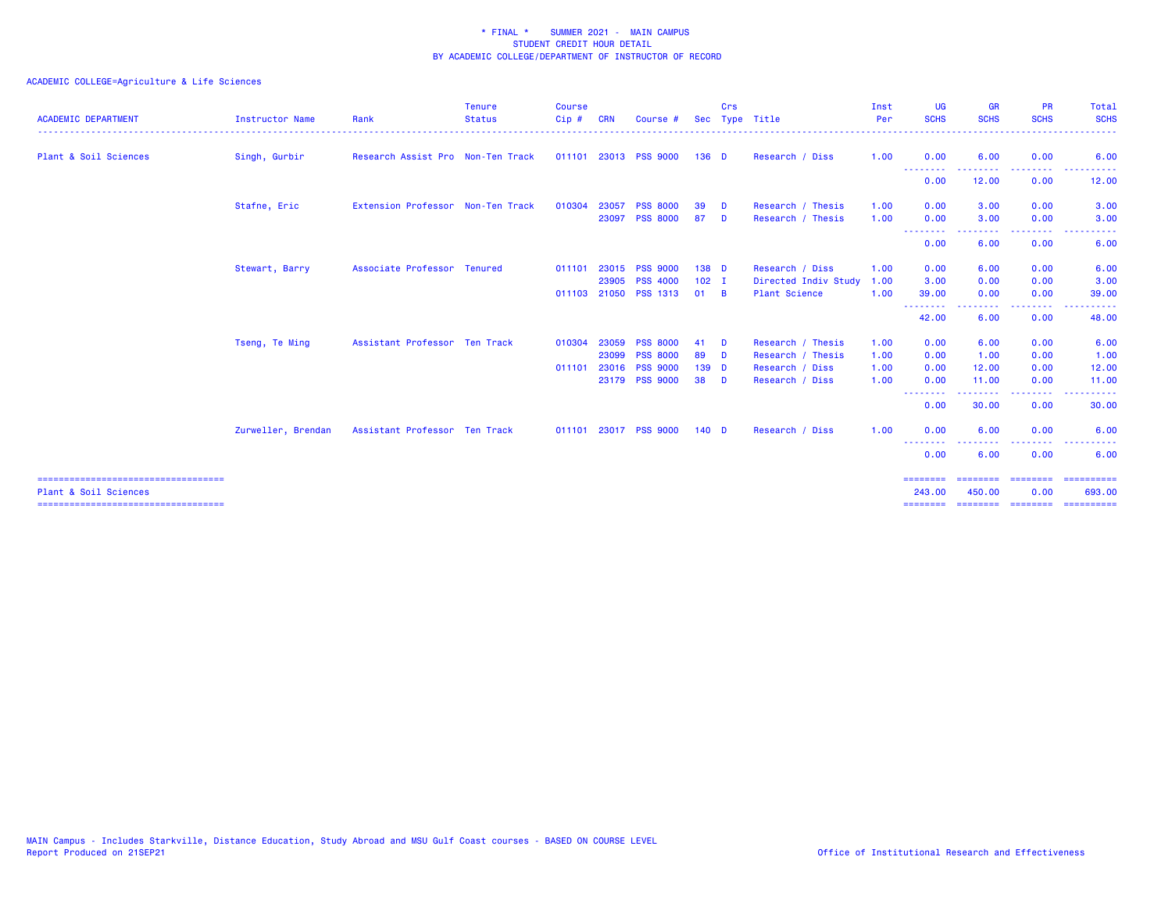| <b>ACADEMIC DEPARTMENT</b>                                      | <b>Instructor Name</b> | Rank                              | <b>Tenure</b><br><b>Status</b> | <b>Course</b><br>Cip# | <b>CRN</b> | Course #              |                  | Crs      | Sec Type Title       | Inst<br>Per | UG<br><b>SCHS</b>               | <b>GR</b><br><b>SCHS</b> | <b>PR</b><br><b>SCHS</b>                                                                               | <b>Total</b><br><b>SCHS</b> |
|-----------------------------------------------------------------|------------------------|-----------------------------------|--------------------------------|-----------------------|------------|-----------------------|------------------|----------|----------------------|-------------|---------------------------------|--------------------------|--------------------------------------------------------------------------------------------------------|-----------------------------|
| Plant & Soil Sciences                                           | Singh, Gurbir          | Research Assist Pro Non-Ten Track |                                | 011101                |            | 23013 PSS 9000        | $136$ D          |          | Research / Diss      | 1.00        | 0.00                            | 6.00                     | 0.00                                                                                                   | 6.00                        |
|                                                                 |                        |                                   |                                |                       |            |                       |                  |          |                      |             | --------<br>0.00                | 12.00                    | 0.00                                                                                                   | 12.00                       |
|                                                                 | Stafne, Eric           | Extension Professor Non-Ten Track |                                | 010304                | 23057      | <b>PSS 8000</b>       | 39               | - D      | Research / Thesis    | 1.00        | 0.00                            | 3.00                     | 0.00                                                                                                   | 3.00                        |
|                                                                 |                        |                                   |                                |                       |            | 23097 PSS 8000        | 87               | <b>D</b> | Research / Thesis    | 1.00        | 0.00                            | 3.00                     | 0.00                                                                                                   | 3.00                        |
|                                                                 |                        |                                   |                                |                       |            |                       |                  |          |                      |             | 0.00                            | 6.00                     | .<br>0.00                                                                                              | 6.00                        |
|                                                                 | Stewart, Barry         | Associate Professor Tenured       |                                | 011101                |            | 23015 PSS 9000        | 138 D            |          | Research / Diss      | 1.00        | 0.00                            | 6.00                     | 0.00                                                                                                   | 6.00                        |
|                                                                 |                        |                                   |                                |                       |            | 23905 PSS 4000        | $102$ I          |          | Directed Indiv Study | 1.00        | 3.00                            | 0.00                     | 0.00                                                                                                   | 3.00                        |
|                                                                 |                        |                                   |                                |                       |            | 011103 21050 PSS 1313 | 01               | <b>B</b> | <b>Plant Science</b> | 1.00        | 39.00<br>--------               | 0.00<br>.                | 0.00<br>.                                                                                              | 39.00<br>. <u>.</u> .       |
|                                                                 |                        |                                   |                                |                       |            |                       |                  |          |                      |             | 42.00                           | 6.00                     | 0.00                                                                                                   | 48.00                       |
|                                                                 | Tseng, Te Ming         | Assistant Professor Ten Track     |                                | 010304                |            | 23059 PSS 8000        | 41               | - D      | Research / Thesis    | 1.00        | 0.00                            | 6.00                     | 0.00                                                                                                   | 6.00                        |
|                                                                 |                        |                                   |                                |                       | 23099      | <b>PSS 8000</b>       | 89               | - D      | Research / Thesis    | 1.00        | 0.00                            | 1.00                     | 0.00                                                                                                   | 1.00                        |
|                                                                 |                        |                                   |                                | 011101                |            | 23016 PSS 9000        | 139 D            |          | Research / Diss      | 1.00        | 0.00                            | 12.00                    | 0.00                                                                                                   | 12.00                       |
|                                                                 |                        |                                   |                                |                       |            | 23179 PSS 9000        | 38               | - D      | Research / Diss      | 1.00        | 0.00                            | 11.00                    | 0.00                                                                                                   | 11.00                       |
|                                                                 |                        |                                   |                                |                       |            |                       |                  |          |                      |             | --------<br>0.00                | 30.00                    | $\frac{1}{2} \left( \frac{1}{2} \right) \left( \frac{1}{2} \right) \left( \frac{1}{2} \right)$<br>0.00 | 30.00                       |
|                                                                 | Zurweller, Brendan     | Assistant Professor Ten Track     |                                |                       |            | 011101 23017 PSS 9000 | 140 <sub>D</sub> |          | Research / Diss      | 1.00        | 0.00                            | 6.00                     | 0.00                                                                                                   | 6.00                        |
|                                                                 |                        |                                   |                                |                       |            |                       |                  |          |                      |             | <u> - - - - - - - -</u><br>0.00 | 6.00                     | 0.00                                                                                                   | 6.00                        |
| -----------------------------------                             |                        |                                   |                                |                       |            |                       |                  |          |                      |             | <b>SEBSEBED</b>                 |                          | ======== ========                                                                                      | -----------                 |
| Plant & Soil Sciences<br>====================================== |                        |                                   |                                |                       |            |                       |                  |          |                      |             | 243,00<br>---------             | 450.00<br>========       | 0.00<br>========                                                                                       | 693,00<br>==========        |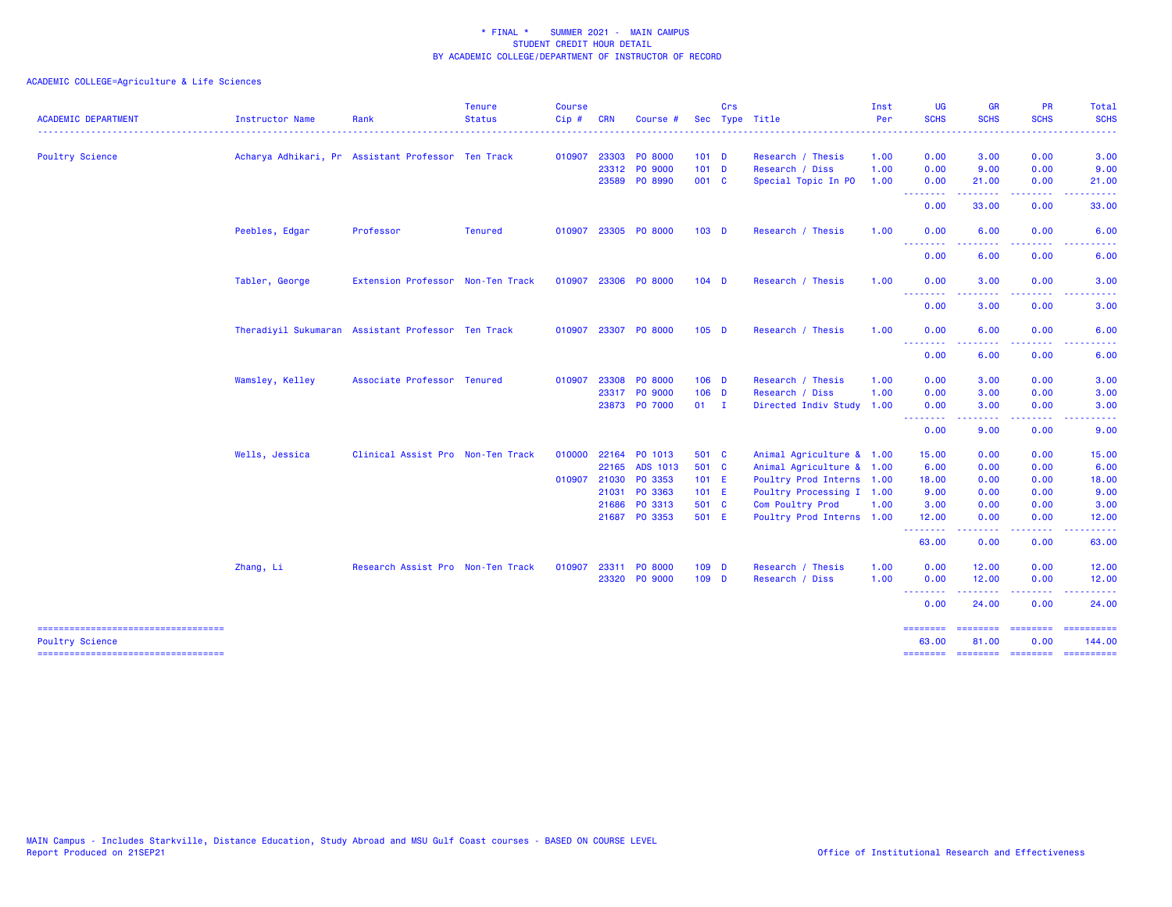| <b>ACADEMIC DEPARTMENT</b>          | Instructor Name | Rank                                               | <b>Tenure</b><br><b>Status</b> | <b>Course</b><br>$Cip$ # | <b>CRN</b> | Course #             |                  | <b>Crs</b> | Sec Type Title            | Inst<br>Per | <b>UG</b><br><b>SCHS</b> | <b>GR</b><br><b>SCHS</b>            | <b>PR</b><br><b>SCHS</b> | Total<br><b>SCHS</b>  |
|-------------------------------------|-----------------|----------------------------------------------------|--------------------------------|--------------------------|------------|----------------------|------------------|------------|---------------------------|-------------|--------------------------|-------------------------------------|--------------------------|-----------------------|
|                                     |                 |                                                    |                                |                          |            |                      |                  |            |                           |             |                          |                                     |                          |                       |
| <b>Poultry Science</b>              |                 | Acharya Adhikari, Pr Assistant Professor Ten Track |                                | 010907                   | 23303      | PO 8000              | 101 <sub>D</sub> |            | Research / Thesis         | 1.00        | 0.00                     | 3.00                                | 0.00                     | 3.00                  |
|                                     |                 |                                                    |                                |                          |            | 23312 PO 9000        | 101 <sub>D</sub> |            | Research / Diss           | 1.00        | 0.00                     | 9.00                                | 0.00                     | 9.00                  |
|                                     |                 |                                                    |                                |                          |            | 23589 PO 8990        | 001 C            |            | Special Topic In PO       | 1.00        | 0.00<br><b>.</b> .       | 21.00<br>.                          | 0.00<br>.                | 21.00<br>. <u>.</u> . |
|                                     |                 |                                                    |                                |                          |            |                      |                  |            |                           |             | 0.00                     | 33.00                               | 0.00                     | 33.00                 |
|                                     | Peebles, Edgar  | Professor                                          | <b>Tenured</b>                 | 010907                   |            | 23305 PO 8000        | 103 <sub>D</sub> |            | Research / Thesis         | 1.00        | 0.00<br><b>.</b>         | 6.00                                | 0.00                     | 6.00                  |
|                                     |                 |                                                    |                                |                          |            |                      |                  |            |                           |             | 0.00                     | 6.00                                | 0.00                     | 6.00                  |
|                                     | Tabler, George  | Extension Professor Non-Ten Track                  |                                |                          |            | 010907 23306 PO 8000 | $104$ D          |            | Research / Thesis         | 1.00        | 0.00                     | 3.00                                | 0.00                     | 3.00                  |
|                                     |                 |                                                    |                                |                          |            |                      |                  |            |                           |             | <u>.</u><br>0.00         | .<br>3.00                           | . <b>.</b> .<br>0.00     | 3.00                  |
|                                     |                 | Theradiyil Sukumaran Assistant Professor Ten Track |                                | 010907                   |            | 23307 PO 8000        | 105 <sub>D</sub> |            | Research / Thesis         | 1.00        | 0.00                     | 6.00                                | 0.00                     | 6.00                  |
|                                     |                 |                                                    |                                |                          |            |                      |                  |            |                           |             | .<br>0.00                | 6.00                                | 0.00                     | 6.00                  |
|                                     | Wamsley, Kelley | Associate Professor Tenured                        |                                | 010907                   |            | 23308 PO 8000        | $106$ D          |            | Research / Thesis         | 1.00        | 0.00                     | 3.00                                | 0.00                     | 3.00                  |
|                                     |                 |                                                    |                                |                          |            | 23317 PO 9000        | $106$ D          |            | Research / Diss           | 1.00        | 0.00                     | 3.00                                | 0.00                     | 3.00                  |
|                                     |                 |                                                    |                                |                          |            | 23873 PO 7000        | $01 \qquad I$    |            | Directed Indiv Study 1.00 |             | 0.00                     | 3.00                                | 0.00                     | 3.00                  |
|                                     |                 |                                                    |                                |                          |            |                      |                  |            |                           |             | --------<br>0.00         | .<br>9.00                           | 0.00                     | 9.00                  |
|                                     | Wells, Jessica  | Clinical Assist Pro Non-Ten Track                  |                                | 010000                   |            | 22164 PO 1013        | 501 C            |            | Animal Agriculture & 1.00 |             | 15.00                    | 0.00                                | 0.00                     | 15.00                 |
|                                     |                 |                                                    |                                |                          |            | 22165 ADS 1013       | 501 C            |            | Animal Agriculture & 1.00 |             | 6.00                     | 0.00                                | 0.00                     | 6.00                  |
|                                     |                 |                                                    |                                | 010907                   | 21030      | PO 3353              | $101$ E          |            | Poultry Prod Interns 1.00 |             | 18.00                    | 0.00                                | 0.00                     | 18.00                 |
|                                     |                 |                                                    |                                |                          | 21031      | PO 3363              | $101$ E          |            | Poultry Processing I 1.00 |             | 9.00                     | 0.00                                | 0.00                     | 9.00                  |
|                                     |                 |                                                    |                                |                          | 21686      | PO 3313              | 501 C            |            | Com Poultry Prod          | 1.00        | 3.00                     | 0.00                                | 0.00                     | 3.00                  |
|                                     |                 |                                                    |                                |                          |            | 21687 PO 3353        | 501 E            |            | Poultry Prod Interns 1.00 |             | 12.00<br>.               | 0.00<br>بالأبابات                   | 0.00<br>المستما          | 12.00                 |
|                                     |                 |                                                    |                                |                          |            |                      |                  |            |                           |             | 63.00                    | 0.00                                | 0.00                     | 63.00                 |
|                                     | Zhang, Li       | Research Assist Pro Non-Ten Track                  |                                | 010907                   | 23311      | PO 8000              | 109 D            |            | Research / Thesis         | 1.00        | 0.00                     | 12.00                               | 0.00                     | 12.00                 |
|                                     |                 |                                                    |                                |                          |            | 23320 PO 9000        | 109 D            |            | Research / Diss           | 1.00        | 0.00<br>.                | 12.00                               | 0.00                     | 12.00                 |
|                                     |                 |                                                    |                                |                          |            |                      |                  |            |                           |             | 0.00                     | 24.00                               | 0.00                     | 24.00                 |
| <b>Poultry Science</b>              |                 |                                                    |                                |                          |            |                      |                  |            |                           |             | ---------<br>63.00       | ------<br>81.00                     | 0.00                     | 144.00                |
| ----------------------------------- |                 |                                                    |                                |                          |            |                      |                  |            |                           |             |                          | -------- ------- -------- --------- |                          |                       |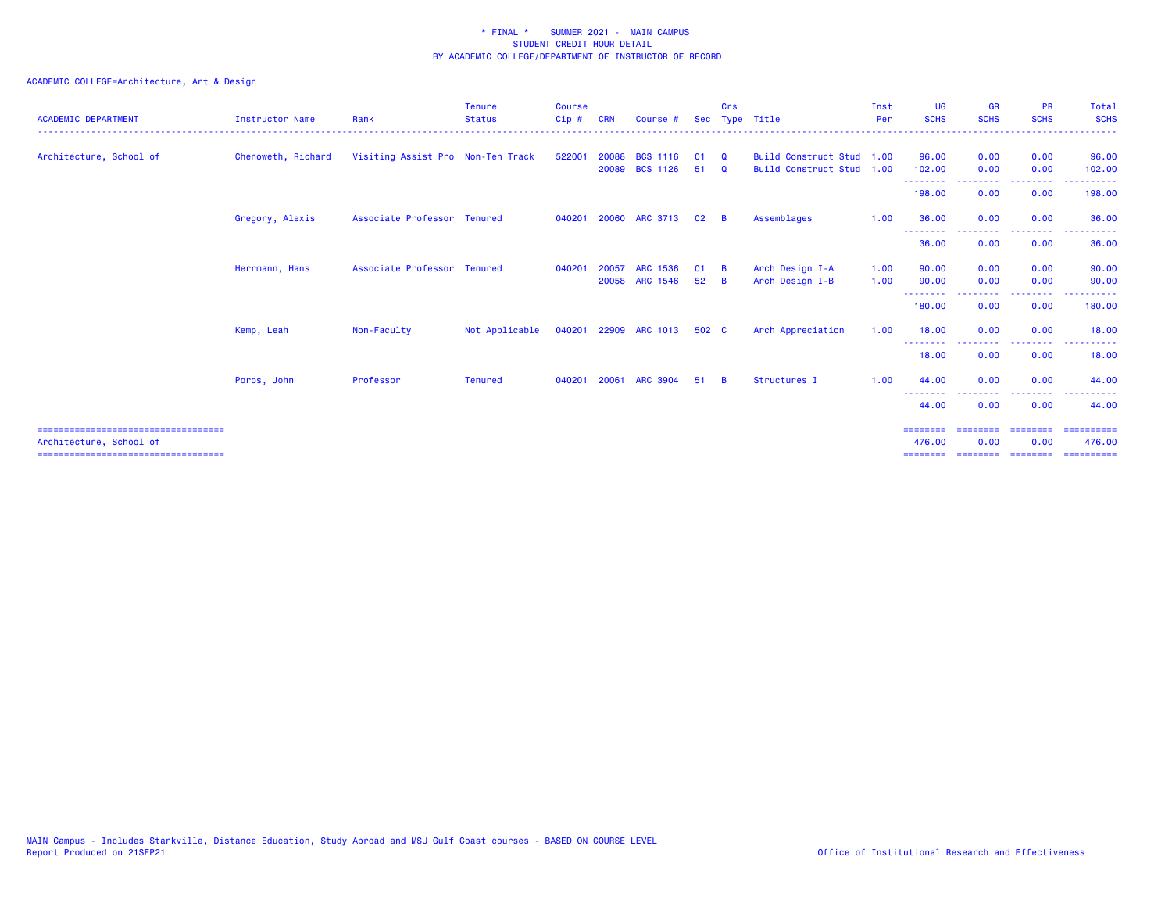## ACADEMIC COLLEGE=Architecture, Art & Design

| <b>ACADEMIC DEPARTMENT</b>                                      | <b>Instructor Name</b> | Rank                              | <b>Tenure</b><br><b>Status</b> | <b>Course</b><br>$Cip$ # | <b>CRN</b> | Course #                          | <b>Sec</b> | Crs                   | Type Title                                             | Inst<br>Per  | UG<br><b>SCHS</b>  | <b>GR</b><br><b>SCHS</b>   | <b>PR</b><br><b>SCHS</b> | Total<br><b>SCHS</b>              |
|-----------------------------------------------------------------|------------------------|-----------------------------------|--------------------------------|--------------------------|------------|-----------------------------------|------------|-----------------------|--------------------------------------------------------|--------------|--------------------|----------------------------|--------------------------|-----------------------------------|
| Architecture, School of                                         | Chenoweth, Richard     | Visiting Assist Pro Non-Ten Track |                                | 522001                   | 20088      | <b>BCS 1116</b><br>20089 BCS 1126 | 01<br>51   | <b>Q</b><br><b>Q</b>  | Build Construct Stud 1.00<br>Build Construct Stud 1.00 |              | 96.00<br>102.00    | 0.00<br>0.00               | 0.00<br>0.00             | 96.00<br>102.00                   |
|                                                                 |                        |                                   |                                |                          |            |                                   |            |                       |                                                        |              | --------<br>198.00 | --------<br>0.00           | --------<br>0.00         | -------<br>198.00                 |
|                                                                 | Gregory, Alexis        | Associate Professor Tenured       |                                | 040201                   |            | 20060 ARC 3713                    | 02         | - B                   | Assemblages                                            | 1.00         | 36.00<br>--------  | 0.00<br><u>.</u>           | 0.00<br>--------         | 36.00<br>. <b>.</b><br>. <u>.</u> |
|                                                                 |                        |                                   |                                |                          |            |                                   |            |                       |                                                        |              | 36.00              | 0.00                       | 0.00                     | 36.00                             |
|                                                                 | Herrmann, Hans         | Associate Professor Tenured       |                                | 040201                   | 20057      | ARC 1536<br>20058 ARC 1546        | 01<br>52   | - B<br>$\overline{B}$ | Arch Design I-A<br>Arch Design I-B                     | 1.00<br>1.00 | 90.00<br>90.00     | 0.00<br>0.00               | 0.00<br>0.00             | 90.00<br>90.00                    |
|                                                                 |                        |                                   |                                |                          |            |                                   |            |                       |                                                        |              | --------<br>180.00 | 0.00                       | .<br>0.00                | 180.00                            |
|                                                                 | Kemp, Leah             | Non-Faculty                       | Not Applicable                 | 040201                   |            | 22909 ARC 1013                    | 502 C      |                       | Arch Appreciation                                      | 1.00         | 18.00<br>--------  | 0.00                       | 0.00<br>.                | 18.00                             |
|                                                                 |                        |                                   |                                |                          |            |                                   |            |                       |                                                        |              | 18.00              | 0.00                       | 0.00                     | 18.00                             |
|                                                                 | Poros, John            | Professor                         | <b>Tenured</b>                 | 040201                   | 20061      | <b>ARC 3904</b>                   | 51         | - B                   | Structures I                                           | 1.00         | 44.00<br>--------  | 0.00                       | 0.00<br>----             | 44.00                             |
|                                                                 |                        |                                   |                                |                          |            |                                   |            |                       |                                                        |              | 44.00              | 0.00                       | 0.00                     | 44,00                             |
| Architecture, School of<br>==================================== |                        |                                   |                                |                          |            |                                   |            |                       |                                                        |              | ========<br>476.00 | --------- --------<br>0.00 | 0.00                     | ==========<br>476.00              |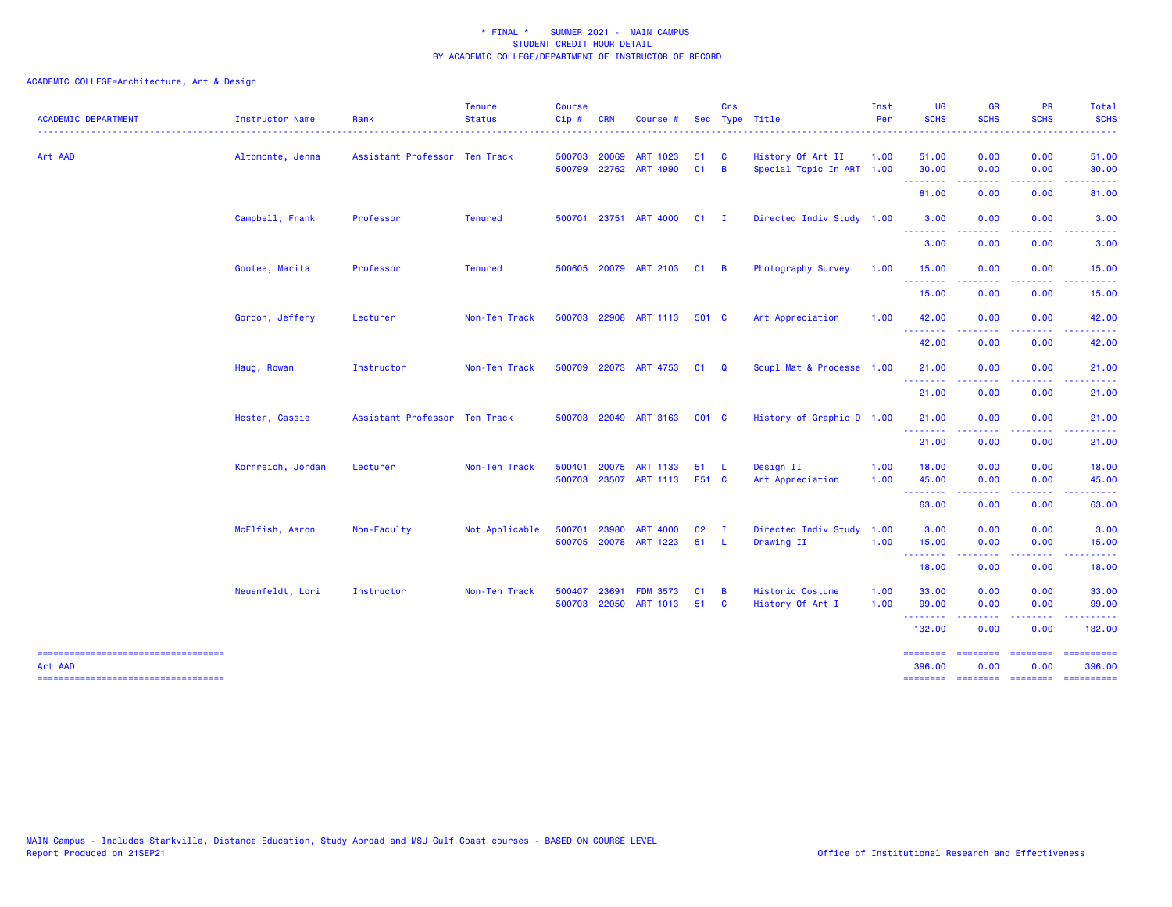ACADEMIC COLLEGE=Architecture, Art & Design

| <b>ACADEMIC DEPARTMENT</b>                        | Instructor Name   | Rank                          | <b>Tenure</b><br><b>Status</b> | <b>Course</b><br>Cip# | <b>CRN</b>     | Course                            |              | Crs                            | Sec Type Title                                 | Inst<br>Per  | <b>UG</b><br><b>SCHS</b> | <b>GR</b><br><b>SCHS</b> | PR<br><b>SCHS</b>                                                                                                                 | Total<br><b>SCHS</b>                                                                                                                                          |
|---------------------------------------------------|-------------------|-------------------------------|--------------------------------|-----------------------|----------------|-----------------------------------|--------------|--------------------------------|------------------------------------------------|--------------|--------------------------|--------------------------|-----------------------------------------------------------------------------------------------------------------------------------|---------------------------------------------------------------------------------------------------------------------------------------------------------------|
| Art AAD                                           | Altomonte, Jenna  | Assistant Professor Ten Track |                                | 500703                | 20069          | ART 1023<br>500799 22762 ART 4990 | 51<br>01     | <b>C</b><br>$\overline{B}$     | History Of Art II<br>Special Topic In ART 1.00 | 1.00         | 51.00<br>30.00           | 0.00<br>0.00             | 0.00<br>0.00                                                                                                                      | 51.00<br>30.00                                                                                                                                                |
|                                                   |                   |                               |                                |                       |                |                                   |              |                                |                                                |              | <b>.</b> .<br>81.00      | . <u>.</u> .<br>0.00     | .<br>0.00                                                                                                                         | .<br>81.00                                                                                                                                                    |
|                                                   | Campbell, Frank   | Professor                     | <b>Tenured</b>                 | 500701                |                | 23751 ART 4000                    | $01$ I       |                                | Directed Indiv Study 1.00                      |              | 3.00<br>- - - - - - - -  | 0.00<br>. <b>.</b> .     | 0.00<br>$\cdots$                                                                                                                  | 3.00<br><u>.</u>                                                                                                                                              |
|                                                   |                   |                               |                                |                       |                |                                   |              |                                |                                                |              | 3.00                     | 0.00                     | 0.00                                                                                                                              | 3.00                                                                                                                                                          |
|                                                   | Gootee, Marita    | Professor                     | <b>Tenured</b>                 |                       |                | 500605 20079 ART 2103             | $01 \quad B$ |                                | Photography Survey                             | 1.00         | 15.00<br>.               | 0.00<br>.                | 0.00<br>$\frac{1}{2} \left( \frac{1}{2} \right) \left( \frac{1}{2} \right) \left( \frac{1}{2} \right) \left( \frac{1}{2} \right)$ | 15.00<br>$\frac{1}{2} \left( \frac{1}{2} \right) \left( \frac{1}{2} \right) \left( \frac{1}{2} \right) \left( \frac{1}{2} \right) \left( \frac{1}{2} \right)$ |
|                                                   |                   |                               |                                |                       |                |                                   |              |                                |                                                |              | 15.00                    | 0.00                     | 0.00                                                                                                                              | 15.00                                                                                                                                                         |
|                                                   | Gordon, Jeffery   | Lecturer                      | Non-Ten Track                  | 500703                |                | 22908 ART 1113                    | 501 C        |                                | Art Appreciation                               | 1.00         | 42.00                    | 0.00                     | 0.00                                                                                                                              | 42.00                                                                                                                                                         |
|                                                   |                   |                               |                                |                       |                |                                   |              |                                |                                                |              | 42.00                    | 0.00                     | 0.00                                                                                                                              | 42.00                                                                                                                                                         |
|                                                   | Haug, Rowan       | Instructor                    | Non-Ten Track                  |                       |                | 500709 22073 ART 4753             | $01 \quad Q$ |                                | Scupl Mat & Processe 1.00                      |              | 21.00<br><u>.</u>        | 0.00                     | 0.00                                                                                                                              | 21.00                                                                                                                                                         |
|                                                   |                   |                               |                                |                       |                |                                   |              |                                |                                                |              | 21.00                    | 0.00                     | 0.00                                                                                                                              | 21.00                                                                                                                                                         |
|                                                   | Hester, Cassie    | Assistant Professor Ten Track |                                | 500703                |                | 22049 ART 3163                    | 001 C        |                                | History of Graphic D 1.00                      |              | 21.00<br><u>.</u>        | 0.00<br>.                | 0.00<br>$\frac{1}{2} \left( \frac{1}{2} \right) \left( \frac{1}{2} \right) \left( \frac{1}{2} \right) \left( \frac{1}{2} \right)$ | 21.00                                                                                                                                                         |
|                                                   |                   |                               |                                |                       |                |                                   |              |                                |                                                |              | 21.00                    | 0.00                     | 0.00                                                                                                                              | 21.00                                                                                                                                                         |
|                                                   | Kornreich, Jordan | Lecturer                      | Non-Ten Track                  | 500401<br>500703      | 20075<br>23507 | <b>ART 1133</b><br>ART 1113       | 51<br>E51 C  | - L                            | Design II<br>Art Appreciation                  | 1.00<br>1.00 | 18.00<br>45.00           | 0.00<br>0.00             | 0.00<br>0.00                                                                                                                      | 18.00<br>45.00                                                                                                                                                |
|                                                   |                   |                               |                                |                       |                |                                   |              |                                |                                                |              | .<br>63.00               | 0.00                     | 0.00                                                                                                                              | 63.00                                                                                                                                                         |
|                                                   | McElfish, Aaron   | Non-Faculty                   | Not Applicable                 | 500701                | 23980          | <b>ART 4000</b>                   | 02           | $\mathbf{I}$                   | Directed Indiv Study 1.00                      |              | 3.00                     | 0.00                     | 0.00                                                                                                                              | 3.00                                                                                                                                                          |
|                                                   |                   |                               |                                | 500705                |                | 20078 ART 1223                    | 51           | - L                            | Drawing II                                     | 1.00         | 15.00<br><b></b>         | 0.00                     | 0.00                                                                                                                              | 15.00                                                                                                                                                         |
|                                                   |                   |                               |                                |                       |                |                                   |              |                                |                                                |              | 18.00                    | 0.00                     | 0.00                                                                                                                              | 18.00                                                                                                                                                         |
|                                                   | Neuenfeldt, Lori  | Instructor                    | Non-Ten Track                  | 500407<br>500703      | 23691<br>22050 | <b>FDM 3573</b><br>ART 1013       | 01<br>51     | $\overline{B}$<br>$\mathbf{C}$ | Historic Costume<br>History Of Art I           | 1.00<br>1.00 | 33.00<br>99.00           | 0.00<br>0.00             | 0.00<br>0.00                                                                                                                      | 33.00<br>99.00                                                                                                                                                |
|                                                   |                   |                               |                                |                       |                |                                   |              |                                |                                                |              | <u>.</u><br>132.00       | 0.00                     | 0.00                                                                                                                              | 132.00                                                                                                                                                        |
| ======================================<br>Art AAD |                   |                               |                                |                       |                |                                   |              |                                |                                                |              | ========<br>396.00       | <b>EDESSERS</b><br>0.00  | $=$ = = = = = = =<br>0.00                                                                                                         | ==========<br>396.00                                                                                                                                          |
| ------------------------------------              |                   |                               |                                |                       |                |                                   |              |                                |                                                |              | --------                 | <b>EDEDEDED</b>          | <b>CONSIGNS</b>                                                                                                                   | $\qquad \qquad \blacksquare \qquad \blacksquare \qquad \blacksquare \qquad \blacksquare \qquad \blacksquare$                                                  |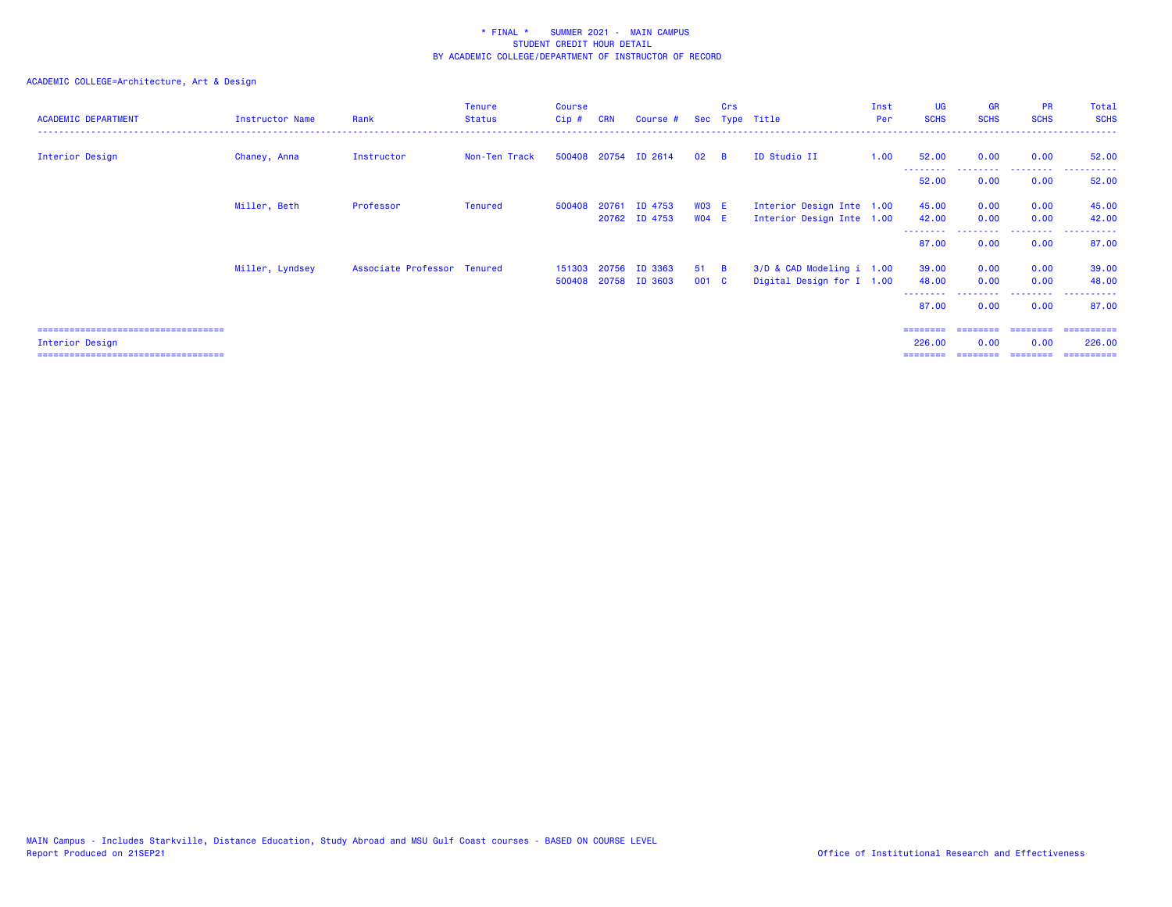## ACADEMIC COLLEGE=Architecture, Art & Design

| <b>ACADEMIC DEPARTMENT</b>           | Instructor Name | Rank                        | <b>Tenure</b><br><b>Status</b> | Course<br>$Cip$ # | <b>CRN</b> | Course #             |              | Crs      | Sec Type Title            | Inst<br>Per | <b>UG</b><br><b>SCHS</b> | <b>GR</b><br><b>SCHS</b> | <b>PR</b><br><b>SCHS</b> | Total<br><b>SCHS</b> |
|--------------------------------------|-----------------|-----------------------------|--------------------------------|-------------------|------------|----------------------|--------------|----------|---------------------------|-------------|--------------------------|--------------------------|--------------------------|----------------------|
| Interior Design                      | Chaney, Anna    | Instructor                  | Non-Ten Track                  |                   |            | 500408 20754 ID 2614 | 02           | <b>B</b> | ID Studio II              | 1.00        | 52.00                    | 0.00                     | 0.00                     | 52.00                |
|                                      |                 |                             |                                |                   |            |                      |              |          |                           |             | 52.00                    | 0.00                     | 0.00                     | 52.00                |
|                                      | Miller, Beth    | Professor                   | <b>Tenured</b>                 | 500408 20761      |            | ID 4753              | <b>WO3 E</b> |          | Interior Design Inte 1.00 |             | 45.00                    | 0.00                     | 0.00                     | 45.00                |
|                                      |                 |                             |                                |                   |            | 20762 ID 4753        | WO4 E        |          | Interior Design Inte 1.00 |             | 42.00                    | 0.00                     | 0.00                     | 42.00                |
|                                      |                 |                             |                                |                   |            |                      |              |          |                           |             | 87.00                    | 0.00                     | 0.00                     | 87.00                |
|                                      | Miller, Lyndsey | Associate Professor Tenured |                                |                   |            | 151303 20756 ID 3363 | $51 \quad B$ |          | 3/D & CAD Modeling i 1.00 |             | 39.00                    | 0.00                     | 0.00                     | 39.00                |
|                                      |                 |                             |                                |                   |            | 500408 20758 ID 3603 | 001 C        |          | Digital Design for I 1.00 |             | 48.00                    | 0.00                     | 0.00                     | 48.00                |
|                                      |                 |                             |                                |                   |            |                      |              |          |                           |             | 87.00                    | 0.00                     | 0.00                     | 87.00                |
| ==================================== |                 |                             |                                |                   |            |                      |              |          |                           |             |                          |                          |                          | =========            |

Interior Design 226.00 0.00 0.00 226.00

=================================== ======== ======== ======== ==========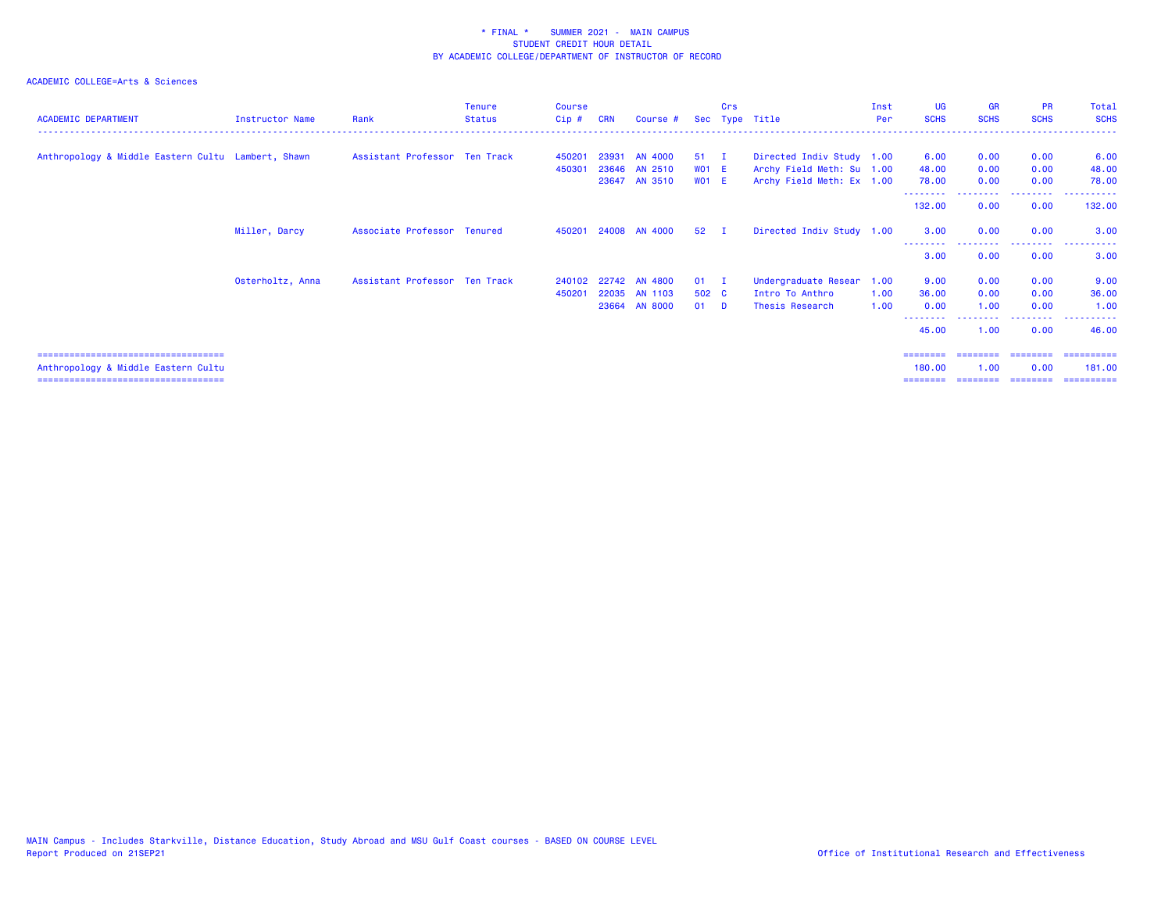## ACADEMIC COLLEGE=Arts & Sciences

| <b>ACADEMIC DEPARTMENT</b>                                                   | <b>Instructor Name</b> | Rank                          | <b>Tenure</b><br><b>Status</b> | Course<br>Cip# | <b>CRN</b> | Course #             |              | Crs | Sec Type Title            | Inst<br><b>Per</b> | <b>UG</b><br><b>SCHS</b> | <b>GR</b><br><b>SCHS</b> | <b>PR</b><br><b>SCHS</b> | Total<br><b>SCHS</b> |
|------------------------------------------------------------------------------|------------------------|-------------------------------|--------------------------------|----------------|------------|----------------------|--------------|-----|---------------------------|--------------------|--------------------------|--------------------------|--------------------------|----------------------|
|                                                                              |                        |                               |                                |                |            |                      |              |     |                           |                    |                          |                          |                          |                      |
| Anthropology & Middle Eastern Cultu Lambert, Shawn                           |                        | Assistant Professor Ten Track |                                | 450201         |            | 23931 AN 4000        | $51$ I       |     | Directed Indiv Study 1.00 |                    | 6.00                     | 0.00                     | 0.00                     | 6.00                 |
|                                                                              |                        |                               |                                | 450301         |            | 23646 AN 2510        | <b>WO1 E</b> |     | Archy Field Meth: Su 1.00 |                    | 48.00                    | 0.00                     | 0.00                     | 48.00                |
|                                                                              |                        |                               |                                |                |            | 23647 AN 3510        | $WO1$ E      |     | Archy Field Meth: Ex 1.00 |                    | 78.00                    | 0.00                     | 0.00                     | 78.00                |
|                                                                              |                        |                               |                                |                |            |                      |              |     |                           |                    | 132.00                   | 0.00                     | 0.00                     | 132.00               |
|                                                                              | Miller, Darcy          | Associate Professor Tenured   |                                |                |            | 450201 24008 AN 4000 | $52 \quad I$ |     | Directed Indiv Study 1.00 |                    | 3.00                     | 0.00                     | 0.00                     | 3.00                 |
|                                                                              |                        |                               |                                |                |            |                      |              |     |                           |                    | 3.00                     | 0.00                     | 0.00                     | 3.00                 |
|                                                                              | Osterholtz, Anna       | Assistant Professor Ten Track |                                | 240102         |            | 22742 AN 4800        | $01$ I       |     | Undergraduate Resear      | 1.00               | 9.00                     | 0.00                     | 0.00                     | 9.00                 |
|                                                                              |                        |                               |                                | 450201         |            | 22035 AN 1103        | 502 C        |     | Intro To Anthro           | 1.00               | 36.00                    | 0.00                     | 0.00                     | 36.00                |
|                                                                              |                        |                               |                                |                |            | 23664 AN 8000        | $01$ D       |     | Thesis Research           | 1.00               | 0.00                     | 1.00                     | 0.00                     | 1.00                 |
|                                                                              |                        |                               |                                |                |            |                      |              |     |                           |                    | 45.00                    | 1.00                     | 0.00                     | 46.00                |
| =====================================<br>Anthropology & Middle Eastern Cultu |                        |                               |                                |                |            |                      |              |     |                           |                    | ========<br>180.00       | ========<br>1.00         | ========<br>0.00         | ==========<br>181.00 |

=================================== ======== ======== ======== ==========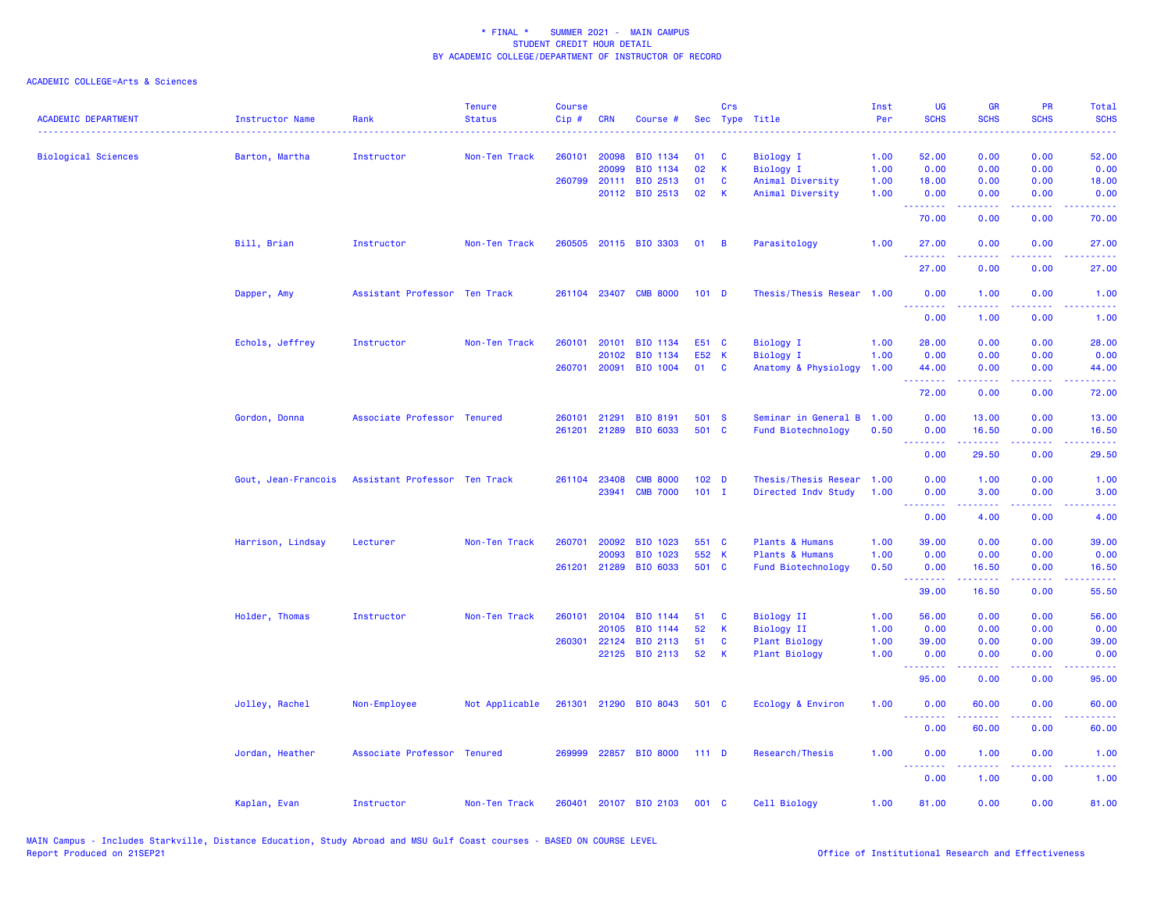| <b>ACADEMIC DEPARTMENT</b> | Instructor Name     | Rank                          | <b>Tenure</b><br><b>Status</b> | <b>Course</b><br>Cip# | <b>CRN</b>            | Course #              |                  | Crs                         | Sec Type Title                       | Inst<br>Per  | UG<br><b>SCHS</b> | <b>GR</b><br><b>SCHS</b> | PR<br><b>SCHS</b>                                                                                                                 | Total<br><b>SCHS</b>                                                                                                              |
|----------------------------|---------------------|-------------------------------|--------------------------------|-----------------------|-----------------------|-----------------------|------------------|-----------------------------|--------------------------------------|--------------|-------------------|--------------------------|-----------------------------------------------------------------------------------------------------------------------------------|-----------------------------------------------------------------------------------------------------------------------------------|
| <b>Biological Sciences</b> | Barton, Martha      | Instructor                    | Non-Ten Track                  | 260101                | 20098                 | BIO 1134              | 01               | <b>C</b>                    | Biology I                            | 1.00         | 52.00             | 0.00                     | 0.00                                                                                                                              | 52.00                                                                                                                             |
|                            |                     |                               |                                |                       | 20099<br>260799 20111 | BIO 1134<br>BIO 2513  | 02<br>01         | $\mathsf K$<br>$\mathbf{C}$ | <b>Biology I</b><br>Animal Diversity | 1.00<br>1.00 | 0.00<br>18.00     | 0.00<br>0.00             | 0.00<br>0.00                                                                                                                      | 0.00<br>18.00                                                                                                                     |
|                            |                     |                               |                                |                       |                       | 20112 BIO 2513        | 02               | - K                         | Animal Diversity                     | 1.00         | 0.00              | 0.00                     | 0.00                                                                                                                              | 0.00                                                                                                                              |
|                            |                     |                               |                                |                       |                       |                       |                  |                             |                                      |              | .<br>70.00        | 0.00                     | 0.00                                                                                                                              | 70.00                                                                                                                             |
|                            | Bill, Brian         | Instructor                    | Non-Ten Track                  |                       |                       | 260505 20115 BIO 3303 | $01 \quad B$     |                             | Parasitology                         | 1.00         | 27.00<br>.        | 0.00                     | 0.00                                                                                                                              | 27.00                                                                                                                             |
|                            |                     |                               |                                |                       |                       |                       |                  |                             |                                      |              | 27.00             | 0.00                     | 0.00                                                                                                                              | 27.00                                                                                                                             |
|                            | Dapper, Amy         | Assistant Professor Ten Track |                                |                       |                       | 261104 23407 CMB 8000 | 101 <sub>D</sub> |                             | Thesis/Thesis Resear 1.00            |              | 0.00<br>.         | 1.00<br>-----            | 0.00<br>$\frac{1}{2} \left( \frac{1}{2} \right) \left( \frac{1}{2} \right) \left( \frac{1}{2} \right) \left( \frac{1}{2} \right)$ | 1.00<br>$\frac{1}{2} \left( \frac{1}{2} \right) \left( \frac{1}{2} \right) \left( \frac{1}{2} \right) \left( \frac{1}{2} \right)$ |
|                            |                     |                               |                                |                       |                       |                       |                  |                             |                                      |              | 0.00              | 1.00                     | 0.00                                                                                                                              | 1.00                                                                                                                              |
|                            | Echols, Jeffrey     | Instructor                    | Non-Ten Track                  |                       | 260101 20101          | BIO 1134              | E51 C            |                             | Biology I                            | 1.00         | 28.00             | 0.00                     | 0.00                                                                                                                              | 28.00                                                                                                                             |
|                            |                     |                               |                                |                       | 20102                 | BIO 1134              | E52 K            |                             | <b>Biology I</b>                     | 1.00         | 0.00              | 0.00                     | 0.00                                                                                                                              | 0.00                                                                                                                              |
|                            |                     |                               |                                |                       | 260701 20091          | BIO 1004              | 01               | $\mathbf{C}$                | Anatomy & Physiology                 | 1.00         | 44.00<br>.        | 0.00                     | 0.00                                                                                                                              | 44.00                                                                                                                             |
|                            |                     |                               |                                |                       |                       |                       |                  |                             |                                      |              | 72.00             | 0.00                     | 0.00                                                                                                                              | 72.00                                                                                                                             |
|                            | Gordon, Donna       | Associate Professor Tenured   |                                |                       | 260101 21291          | BIO 8191              | 501 S            |                             | Seminar in General B 1.00            |              | 0.00              | 13.00                    | 0.00                                                                                                                              | 13.00                                                                                                                             |
|                            |                     |                               |                                |                       |                       | 261201 21289 BIO 6033 | 501 C            |                             | Fund Biotechnology                   | 0.50         | 0.00              | 16.50                    | 0.00                                                                                                                              | 16.50                                                                                                                             |
|                            |                     |                               |                                |                       |                       |                       |                  |                             |                                      |              | .<br>0.00         | .<br>29.50               | .<br>0.00                                                                                                                         | .<br>29.50                                                                                                                        |
|                            | Gout, Jean-Francois | Assistant Professor Ten Track |                                |                       | 261104 23408          | <b>CMB 8000</b>       | 102 <sub>D</sub> |                             | Thesis/Thesis Resear                 | 1.00         | 0.00              | 1.00                     | 0.00                                                                                                                              | 1.00                                                                                                                              |
|                            |                     |                               |                                |                       | 23941                 | <b>CMB 7000</b>       | $101$ I          |                             | Directed Indv Study                  | 1.00         | 0.00              | 3.00                     | 0.00                                                                                                                              | 3.00                                                                                                                              |
|                            |                     |                               |                                |                       |                       |                       |                  |                             |                                      |              | --------<br>0.00  | -----<br>4.00            | 0.00                                                                                                                              | 4.00                                                                                                                              |
|                            | Harrison, Lindsay   | Lecturer                      | Non-Ten Track                  | 260701                | 20092                 | BIO 1023              | 551 C            |                             | Plants & Humans                      | 1.00         | 39.00             | 0.00                     | 0.00                                                                                                                              | 39.00                                                                                                                             |
|                            |                     |                               |                                |                       | 20093                 | BIO 1023              | 552 K            |                             | Plants & Humans                      | 1.00         | 0.00              | 0.00                     | 0.00                                                                                                                              | 0.00                                                                                                                              |
|                            |                     |                               |                                |                       | 261201 21289          | BIO 6033              | 501 C            |                             | Fund Biotechnology                   | 0.50         | 0.00              | 16.50                    | 0.00                                                                                                                              | 16.50                                                                                                                             |
|                            |                     |                               |                                |                       |                       |                       |                  |                             |                                      |              | .<br>39.00        | .<br>16.50               | .<br>0.00                                                                                                                         | .<br>55.50                                                                                                                        |
|                            | Holder, Thomas      | Instructor                    | Non-Ten Track                  | 260101                | 20104                 | BIO 1144              | 51               | <b>C</b>                    | <b>Biology II</b>                    | 1.00         | 56.00             | 0.00                     | 0.00                                                                                                                              | 56.00                                                                                                                             |
|                            |                     |                               |                                |                       | 20105                 | BIO 1144              | 52               | $\mathbf{K}$                | <b>Biology II</b>                    | 1.00         | 0.00              | 0.00                     | 0.00                                                                                                                              | 0.00                                                                                                                              |
|                            |                     |                               |                                |                       | 260301 22124          | BIO 2113              | 51               | $\mathbf{C}$                | <b>Plant Biology</b>                 | 1.00         | 39.00             | 0.00                     | 0.00                                                                                                                              | 39.00                                                                                                                             |
|                            |                     |                               |                                |                       | 22125                 | BIO 2113              | 52               | $\mathsf{K}$                | Plant Biology                        | 1.00         | 0.00<br>.         | 0.00<br>. <u>.</u> .     | 0.00<br>$\sim$ $\sim$ $\sim$ $\sim$                                                                                               | 0.00<br>$- - - -$                                                                                                                 |
|                            |                     |                               |                                |                       |                       |                       |                  |                             |                                      |              | 95.00             | 0.00                     | 0.00                                                                                                                              | 95.00                                                                                                                             |
|                            | Jolley, Rachel      | Non-Employee                  | Not Applicable                 |                       |                       | 261301 21290 BIO 8043 | 501 C            |                             | Ecology & Environ                    | 1.00         | 0.00<br>---<br>.  | 60.00                    | 0.00                                                                                                                              | 60.00                                                                                                                             |
|                            |                     |                               |                                |                       |                       |                       |                  |                             |                                      |              | 0.00              | 60.00                    | 0.00                                                                                                                              | 60.00                                                                                                                             |
|                            | Jordan, Heather     | Associate Professor Tenured   |                                | 269999                |                       | 22857 BIO 8000        | $111$ D          |                             | Research/Thesis                      | 1.00         | 0.00<br>.         | 1.00                     | 0.00                                                                                                                              | 1.00                                                                                                                              |
|                            |                     |                               |                                |                       |                       |                       |                  |                             |                                      |              | 0.00              | 1.00                     | 0.00                                                                                                                              | 1.00                                                                                                                              |
|                            | Kaplan, Evan        | Instructor                    | Non-Ten Track                  | 260401                |                       | 20107 BIO 2103        | 001 C            |                             | Cell Biology                         | 1.00         | 81.00             | 0.00                     | 0.00                                                                                                                              | 81.00                                                                                                                             |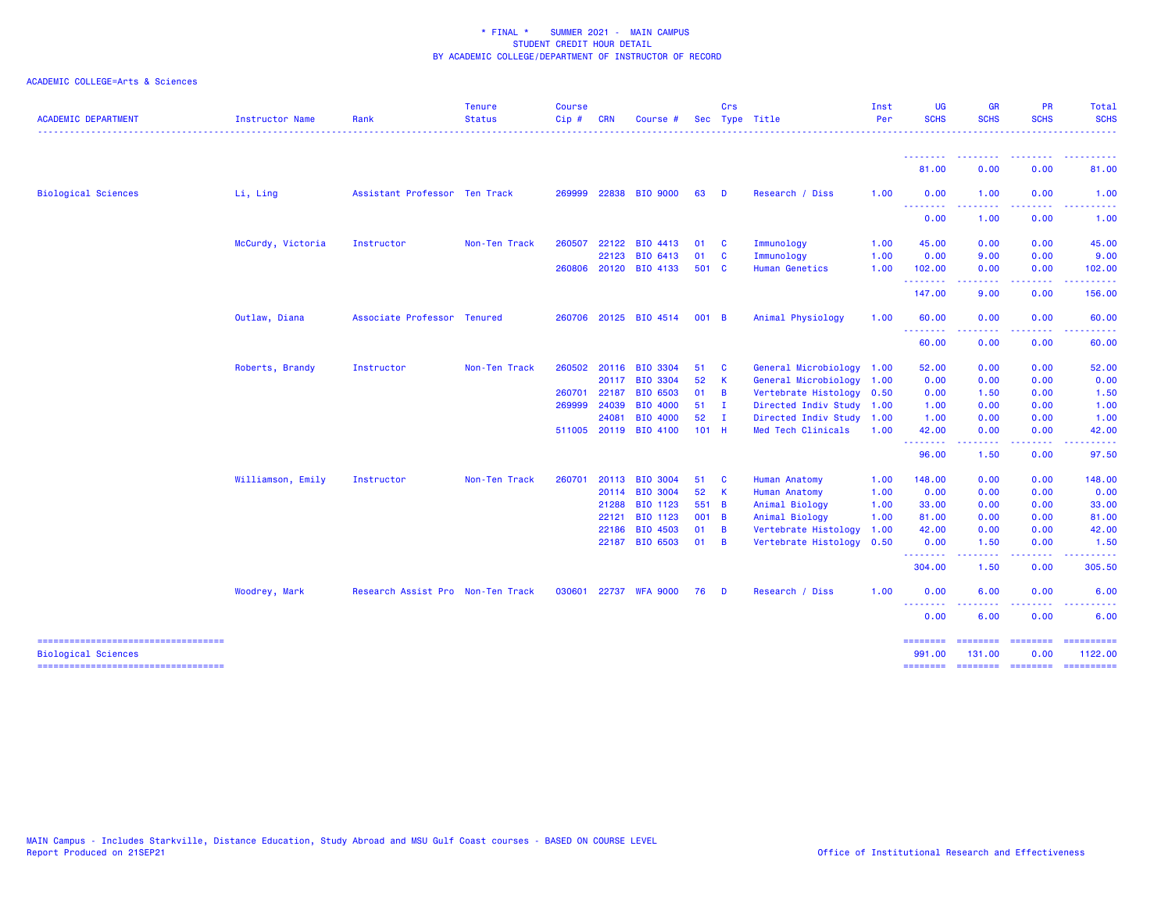| <b>ACADEMIC DEPARTMENT</b>                                          | Instructor Name   | Rank                              | <b>Tenure</b><br><b>Status</b> | <b>Course</b><br>$Cip$ # | <b>CRN</b> | Course                |              | Crs          | Sec Type Title            | Inst<br>Per | <b>UG</b><br><b>SCHS</b> | <b>GR</b><br><b>SCHS</b>                                                                                                                                     | <b>PR</b><br><b>SCHS</b>                                                                                                          | Total<br><b>SCHS</b> |
|---------------------------------------------------------------------|-------------------|-----------------------------------|--------------------------------|--------------------------|------------|-----------------------|--------------|--------------|---------------------------|-------------|--------------------------|--------------------------------------------------------------------------------------------------------------------------------------------------------------|-----------------------------------------------------------------------------------------------------------------------------------|----------------------|
|                                                                     |                   |                                   |                                |                          |            |                       |              |              |                           |             | <u> - - - - - - - -</u>  |                                                                                                                                                              |                                                                                                                                   |                      |
|                                                                     |                   |                                   |                                |                          |            |                       |              |              |                           |             | 81.00                    | 0.00                                                                                                                                                         | 0.00                                                                                                                              | 81.00                |
| <b>Biological Sciences</b>                                          | Li, Ling          | Assistant Professor Ten Track     |                                |                          |            | 269999 22838 BIO 9000 | 63           | <b>D</b>     | Research / Diss           | 1.00        | 0.00<br><u>.</u>         | 1.00<br>.                                                                                                                                                    | 0.00<br>$\frac{1}{2} \left( \frac{1}{2} \right) \left( \frac{1}{2} \right) \left( \frac{1}{2} \right) \left( \frac{1}{2} \right)$ | 1.00                 |
|                                                                     |                   |                                   |                                |                          |            |                       |              |              |                           |             | 0.00                     | 1.00                                                                                                                                                         | 0.00                                                                                                                              | 1.00                 |
|                                                                     | McCurdy, Victoria | Instructor                        | Non-Ten Track                  | 260507                   | 22122      | BIO 4413              | 01           | $\mathbf{C}$ | Immunology                | 1.00        | 45.00                    | 0.00                                                                                                                                                         | 0.00                                                                                                                              | 45.00                |
|                                                                     |                   |                                   |                                |                          | 22123      | BIO 6413              | 01           | <b>C</b>     | Immunology                | 1.00        | 0.00                     | 9.00                                                                                                                                                         | 0.00                                                                                                                              | 9.00                 |
|                                                                     |                   |                                   |                                | 260806                   |            | 20120 BIO 4133        | 501 C        |              | <b>Human Genetics</b>     | 1.00        | 102.00<br><u>.</u>       | 0.00<br>$\frac{1}{2} \left( \frac{1}{2} \right) \left( \frac{1}{2} \right) \left( \frac{1}{2} \right) \left( \frac{1}{2} \right) \left( \frac{1}{2} \right)$ | 0.00<br>$\frac{1}{2} \left( \frac{1}{2} \right) \left( \frac{1}{2} \right) \left( \frac{1}{2} \right) \left( \frac{1}{2} \right)$ | 102.00<br>.          |
|                                                                     |                   |                                   |                                |                          |            |                       |              |              |                           |             | 147.00                   | 9.00                                                                                                                                                         | 0.00                                                                                                                              | 156.00               |
|                                                                     | Outlaw, Diana     | Associate Professor Tenured       |                                |                          |            | 260706 20125 BIO 4514 | 001 B        |              | Animal Physiology         | 1.00        | 60.00<br>.               | 0.00                                                                                                                                                         | 0.00<br>.                                                                                                                         | 60.00<br>. <b>.</b>  |
|                                                                     |                   |                                   |                                |                          |            |                       |              |              |                           |             | 60.00                    | $\frac{1}{2} \left( \frac{1}{2} \right) \left( \frac{1}{2} \right) \left( \frac{1}{2} \right) \left( \frac{1}{2} \right) \left( \frac{1}{2} \right)$<br>0.00 | 0.00                                                                                                                              | 60.00                |
|                                                                     | Roberts, Brandy   | Instructor                        | Non-Ten Track                  | 260502                   |            | 20116 BIO 3304        | 51           | - C          | General Microbiology 1.00 |             | 52.00                    | 0.00                                                                                                                                                         | 0.00                                                                                                                              | 52.00                |
|                                                                     |                   |                                   |                                |                          |            | 20117 BIO 3304        | 52           | K            | General Microbiology 1.00 |             | 0.00                     | 0.00                                                                                                                                                         | 0.00                                                                                                                              | 0.00                 |
|                                                                     |                   |                                   |                                | 260701                   | 22187      | <b>BIO 6503</b>       | 01           | B            | Vertebrate Histology 0.50 |             | 0.00                     | 1.50                                                                                                                                                         | 0.00                                                                                                                              | 1.50                 |
|                                                                     |                   |                                   |                                | 269999                   | 24039      | BIO 4000              | 51           | - I          | Directed Indiv Study 1.00 |             | 1.00                     | 0.00                                                                                                                                                         | 0.00                                                                                                                              | 1.00                 |
|                                                                     |                   |                                   |                                |                          | 24081      | <b>BIO 4000</b>       | 52           | T            | Directed Indiv Study 1.00 |             | 1.00                     | 0.00                                                                                                                                                         | 0.00                                                                                                                              | 1.00                 |
|                                                                     |                   |                                   |                                |                          |            | 511005 20119 BIO 4100 | $101$ H      |              | Med Tech Clinicals        | 1.00        | 42.00                    | 0.00                                                                                                                                                         | 0.00                                                                                                                              | 42.00                |
|                                                                     |                   |                                   |                                |                          |            |                       |              |              |                           |             | .<br>96.00               | $\frac{1}{2} \left( \frac{1}{2} \right) \left( \frac{1}{2} \right) \left( \frac{1}{2} \right) \left( \frac{1}{2} \right) \left( \frac{1}{2} \right)$<br>1.50 | المستمال<br>0.00                                                                                                                  | .<br>97.50           |
|                                                                     | Williamson, Emily | Instructor                        | Non-Ten Track                  | 260701                   |            | 20113 BIO 3004        | 51           | <b>C</b>     | <b>Human Anatomy</b>      | 1.00        | 148.00                   | 0.00                                                                                                                                                         | 0.00                                                                                                                              | 148.00               |
|                                                                     |                   |                                   |                                |                          |            | 20114 BIO 3004        | 52           | $\mathbf{K}$ | Human Anatomy             | 1.00        | 0.00                     | 0.00                                                                                                                                                         | 0.00                                                                                                                              | 0.00                 |
|                                                                     |                   |                                   |                                |                          | 21288      | BIO 1123              | 551 B        |              | Animal Biology            | 1.00        | 33.00                    | 0.00                                                                                                                                                         | 0.00                                                                                                                              | 33.00                |
|                                                                     |                   |                                   |                                |                          | 22121      | BIO 1123              | 001 B        |              | Animal Biology            | 1.00        | 81.00                    | 0.00                                                                                                                                                         | 0.00                                                                                                                              | 81.00                |
|                                                                     |                   |                                   |                                |                          | 22186      | BIO 4503              | $01 \quad B$ |              | Vertebrate Histology      | 1.00        | 42.00                    | 0.00                                                                                                                                                         | 0.00                                                                                                                              | 42.00                |
|                                                                     |                   |                                   |                                |                          |            | 22187 BIO 6503        | 01           | - B          | Vertebrate Histology 0.50 |             | 0.00                     | 1.50                                                                                                                                                         | 0.00                                                                                                                              | 1.50                 |
|                                                                     |                   |                                   |                                |                          |            |                       |              |              |                           |             | .<br>304.00              | .<br>1.50                                                                                                                                                    | $\frac{1}{2} \left( \frac{1}{2} \right) \left( \frac{1}{2} \right) \left( \frac{1}{2} \right) \left( \frac{1}{2} \right)$<br>0.00 | 305.50               |
|                                                                     | Woodrey, Mark     | Research Assist Pro Non-Ten Track |                                | 030601                   |            | 22737 WFA 9000        | 76           | D            | Research / Diss           | 1.00        | 0.00                     | 6.00                                                                                                                                                         | 0.00                                                                                                                              | 6.00                 |
|                                                                     |                   |                                   |                                |                          |            |                       |              |              |                           |             | 0.00                     | 6.00                                                                                                                                                         | 0.00                                                                                                                              | 6.00                 |
| -----------------------------------                                 |                   |                                   |                                |                          |            |                       |              |              |                           |             |                          |                                                                                                                                                              |                                                                                                                                   | ==========           |
| <b>Biological Sciences</b><br>===================================== |                   |                                   |                                |                          |            |                       |              |              |                           |             | 991.00<br>========       | 131.00<br>======== =======                                                                                                                                   | 0.00                                                                                                                              | 1122.00              |
|                                                                     |                   |                                   |                                |                          |            |                       |              |              |                           |             |                          |                                                                                                                                                              |                                                                                                                                   |                      |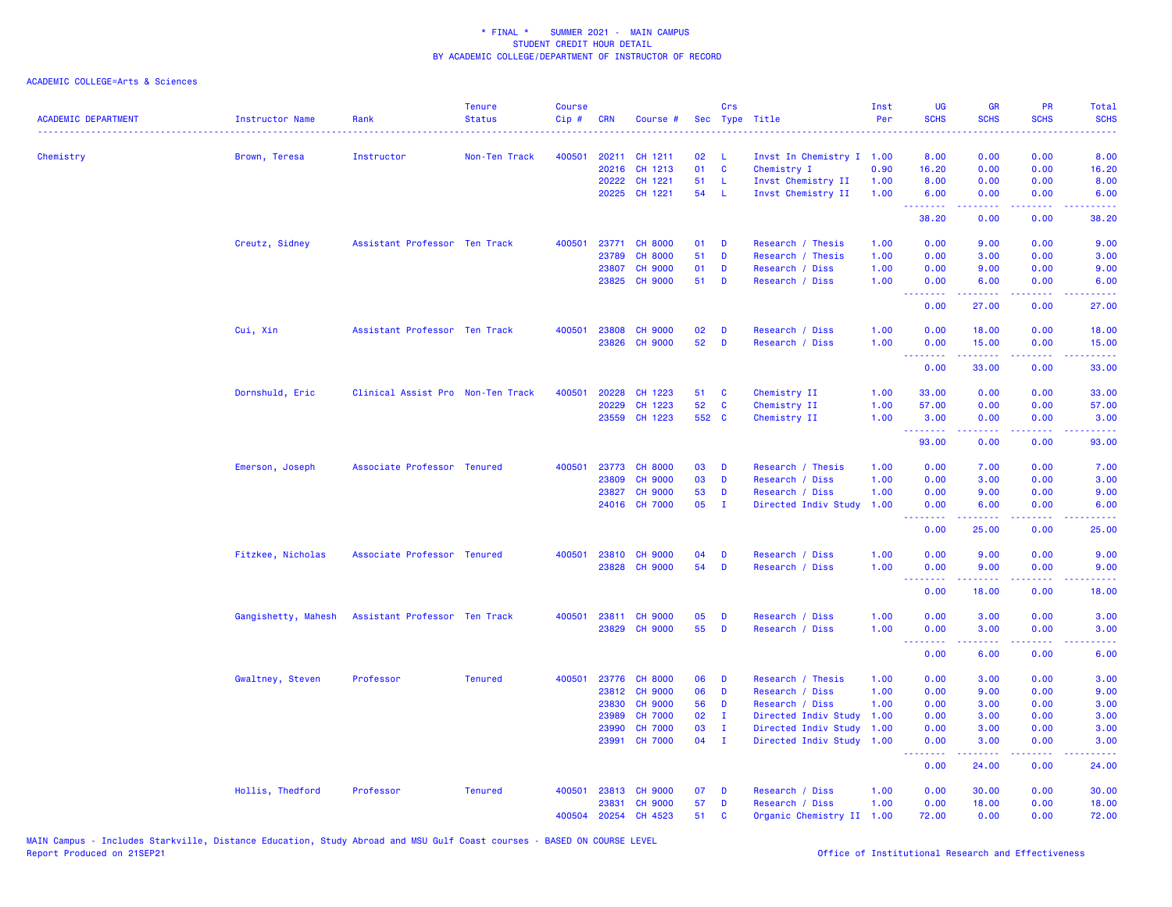| <b>ACADEMIC DEPARTMENT</b> | Instructor Name     | Rank<br>. <u>.</u> .              | <b>Tenure</b><br><b>Status</b> | <b>Course</b><br>Cip# | <b>CRN</b> | Course #             |       | Crs            | Sec Type Title<br>.       | Inst<br>Per | <b>UG</b><br><b>SCHS</b>        | <b>GR</b><br><b>SCHS</b> | <b>PR</b><br><b>SCHS</b> | <b>Total</b><br><b>SCHS</b><br>.                                                                                                   |
|----------------------------|---------------------|-----------------------------------|--------------------------------|-----------------------|------------|----------------------|-------|----------------|---------------------------|-------------|---------------------------------|--------------------------|--------------------------|------------------------------------------------------------------------------------------------------------------------------------|
| Chemistry                  | Brown, Teresa       | Instructor                        | Non-Ten Track                  | 400501                |            | 20211 CH 1211        | 02    | -L             | Invst In Chemistry I 1.00 |             | 8.00                            | 0.00                     | 0.00                     | 8.00                                                                                                                               |
|                            |                     |                                   |                                |                       | 20216      | CH 1213              | 01    | $\mathbf c$    | Chemistry I               | 0.90        | 16.20                           | 0.00                     | 0.00                     | 16.20                                                                                                                              |
|                            |                     |                                   |                                |                       | 20222      | CH 1221              | 51    | L              | Invst Chemistry II        | 1.00        | 8.00                            | 0.00                     | 0.00                     | 8.00                                                                                                                               |
|                            |                     |                                   |                                |                       |            | 20225 CH 1221        | 54    | - L            | Invst Chemistry II        | 1.00        | 6.00<br>.                       | 0.00                     | 0.00                     | 6.00                                                                                                                               |
|                            |                     |                                   |                                |                       |            |                      |       |                |                           |             | 38.20                           | 0.00                     | 0.00                     | 38.20                                                                                                                              |
|                            | Creutz, Sidney      | Assistant Professor Ten Track     |                                | 400501                |            | 23771 CH 8000        | 01    | D              | Research / Thesis         | 1.00        | 0.00                            | 9.00                     | 0.00                     | 9.00                                                                                                                               |
|                            |                     |                                   |                                |                       | 23789      | <b>CH 8000</b>       | 51    | D              | Research / Thesis         | 1.00        | 0.00                            | 3.00                     | 0.00                     | 3.00                                                                                                                               |
|                            |                     |                                   |                                |                       | 23807      | <b>CH 9000</b>       | 01    | D              | Research / Diss           | 1.00        | 0.00                            | 9.00                     | 0.00                     | 9.00                                                                                                                               |
|                            |                     |                                   |                                |                       |            | 23825 CH 9000        | 51    | D              | Research / Diss           | 1.00        | 0.00<br><b>.</b>                | 6.00<br>.                | 0.00<br>.                | 6.00<br>.                                                                                                                          |
|                            |                     |                                   |                                |                       |            |                      |       |                |                           |             | 0.00                            | 27.00                    | 0.00                     | 27.00                                                                                                                              |
|                            | Cui, Xin            | Assistant Professor Ten Track     |                                | 400501                | 23808      | <b>CH 9000</b>       | 02    | D              | Research / Diss           | 1.00        | 0.00                            | 18.00                    | 0.00                     | 18.00                                                                                                                              |
|                            |                     |                                   |                                |                       | 23826      | <b>CH 9000</b>       | 52    | D              | Research / Diss           | 1.00        | 0.00<br>.                       | 15.00<br>بالأباليات      | 0.00<br>.                | 15.00                                                                                                                              |
|                            |                     |                                   |                                |                       |            |                      |       |                |                           |             | 0.00                            | 33.00                    | 0.00                     | 33.00                                                                                                                              |
|                            | Dornshuld, Eric     | Clinical Assist Pro Non-Ten Track |                                | 400501                | 20228      | CH 1223              | 51    | C              | Chemistry II              | 1.00        | 33.00                           | 0.00                     | 0.00                     | 33.00                                                                                                                              |
|                            |                     |                                   |                                |                       | 20229      | CH 1223              | 52    | C              | Chemistry II              | 1.00        | 57.00                           | 0.00                     | 0.00                     | 57.00                                                                                                                              |
|                            |                     |                                   |                                |                       | 23559      | CH 1223              | 552 C |                | Chemistry II              | 1.00        | 3.00<br>.                       | 0.00<br>$- - - - -$      | 0.00                     | 3.00<br>.                                                                                                                          |
|                            |                     |                                   |                                |                       |            |                      |       |                |                           |             | 93.00                           | 0.00                     | 0.00                     | 93.00                                                                                                                              |
|                            | Emerson, Joseph     | Associate Professor Tenured       |                                | 400501                | 23773      | <b>CH 8000</b>       | 03    | D              | Research / Thesis         | 1.00        | 0.00                            | 7.00                     | 0.00                     | 7.00                                                                                                                               |
|                            |                     |                                   |                                |                       | 23809      | <b>CH 9000</b>       | 03    | D              | Research / Diss           | 1.00        | 0.00                            | 3.00                     | 0.00                     | 3.00                                                                                                                               |
|                            |                     |                                   |                                |                       | 23827      | <b>CH 9000</b>       | 53    | D              | Research / Diss           | 1.00        | 0.00                            | 9.00                     | 0.00                     | 9.00                                                                                                                               |
|                            |                     |                                   |                                |                       |            | 24016 CH 7000        | 05    | - I            | Directed Indiv Study      | 1.00        | 0.00<br><u>.</u>                | 6.00<br>-----            | 0.00                     | 6.00                                                                                                                               |
|                            |                     |                                   |                                |                       |            |                      |       |                |                           |             | 0.00                            | 25.00                    | 0.00                     | 25.00                                                                                                                              |
|                            | Fitzkee, Nicholas   | Associate Professor Tenured       |                                |                       |            | 400501 23810 CH 9000 | 04    | D              | Research / Diss           | 1.00        | 0.00                            | 9.00                     | 0.00                     | 9.00                                                                                                                               |
|                            |                     |                                   |                                |                       |            | 23828 CH 9000        | 54    | D              | Research / Diss           | 1.00        | 0.00                            | 9.00                     | 0.00                     | 9.00                                                                                                                               |
|                            |                     |                                   |                                |                       |            |                      |       |                |                           |             | <u> - - - - - - - -</u><br>0.00 | .<br>18.00               | .<br>0.00                | $\frac{1}{2} \left( \frac{1}{2} \right) \left( \frac{1}{2} \right) \left( \frac{1}{2} \right) \left( \frac{1}{2} \right)$<br>18.00 |
|                            | Gangishetty, Mahesh | Assistant Professor Ten Track     |                                | 400501                |            | 23811 CH 9000        | 05    | D              | Research / Diss           | 1.00        | 0.00                            | 3.00                     | 0.00                     | 3.00                                                                                                                               |
|                            |                     |                                   |                                |                       |            | 23829 CH 9000        | 55    | D              | Research / Diss           | 1.00        | 0.00<br>.                       | 3.00                     | 0.00<br>.                | 3.00                                                                                                                               |
|                            |                     |                                   |                                |                       |            |                      |       |                |                           |             | 0.00                            | 6.00                     | 0.00                     | 6.00                                                                                                                               |
|                            | Gwaltney, Steven    | Professor                         | <b>Tenured</b>                 | 400501                | 23776      | <b>CH 8000</b>       | 06    | D              | Research / Thesis         | 1.00        | 0.00                            | 3.00                     | 0.00                     | 3.00                                                                                                                               |
|                            |                     |                                   |                                |                       | 23812      | <b>CH 9000</b>       | 06    | D              | Research / Diss           | 1.00        | 0.00                            | 9.00                     | 0.00                     | 9.00                                                                                                                               |
|                            |                     |                                   |                                |                       | 23830      | <b>CH 9000</b>       | 56    | D              | Research / Diss           | 1.00        | 0.00                            | 3.00                     | 0.00                     | 3.00                                                                                                                               |
|                            |                     |                                   |                                |                       | 23989      | <b>CH 7000</b>       | 02    | $\mathbf{I}$   | Directed Indiv Study      | 1.00        | 0.00                            | 3.00                     | 0.00                     | 3.00                                                                                                                               |
|                            |                     |                                   |                                |                       | 23990      | <b>CH 7000</b>       | 03    | $\mathbf{I}$   | Directed Indiv Study      | 1.00        | 0.00                            | 3.00                     | 0.00                     | 3.00                                                                                                                               |
|                            |                     |                                   |                                |                       | 23991      | <b>CH 7000</b>       | 04    | $\blacksquare$ | Directed Indiv Study 1.00 |             | 0.00<br><u>.</u>                | 3.00<br>.                | 0.00<br>22222            | 3.00<br>الداعات عاد                                                                                                                |
|                            |                     |                                   |                                |                       |            |                      |       |                |                           |             | 0.00                            | 24.00                    | 0.00                     | 24.00                                                                                                                              |
|                            | Hollis, Thedford    | Professor                         | <b>Tenured</b>                 | 400501                | 23813      | <b>CH 9000</b>       | 07    | D              | Research / Diss           | 1.00        | 0.00                            | 30.00                    | 0.00                     | 30.00                                                                                                                              |
|                            |                     |                                   |                                |                       | 23831      | <b>CH 9000</b>       | 57    | D              | Research / Diss           | 1.00        | 0.00                            | 18.00                    | 0.00                     | 18.00                                                                                                                              |
|                            |                     |                                   |                                | 400504                |            | 20254 CH 4523        | 51    | <b>C</b>       | Organic Chemistry II      | 1.00        | 72.00                           | 0.00                     | 0.00                     | 72.00                                                                                                                              |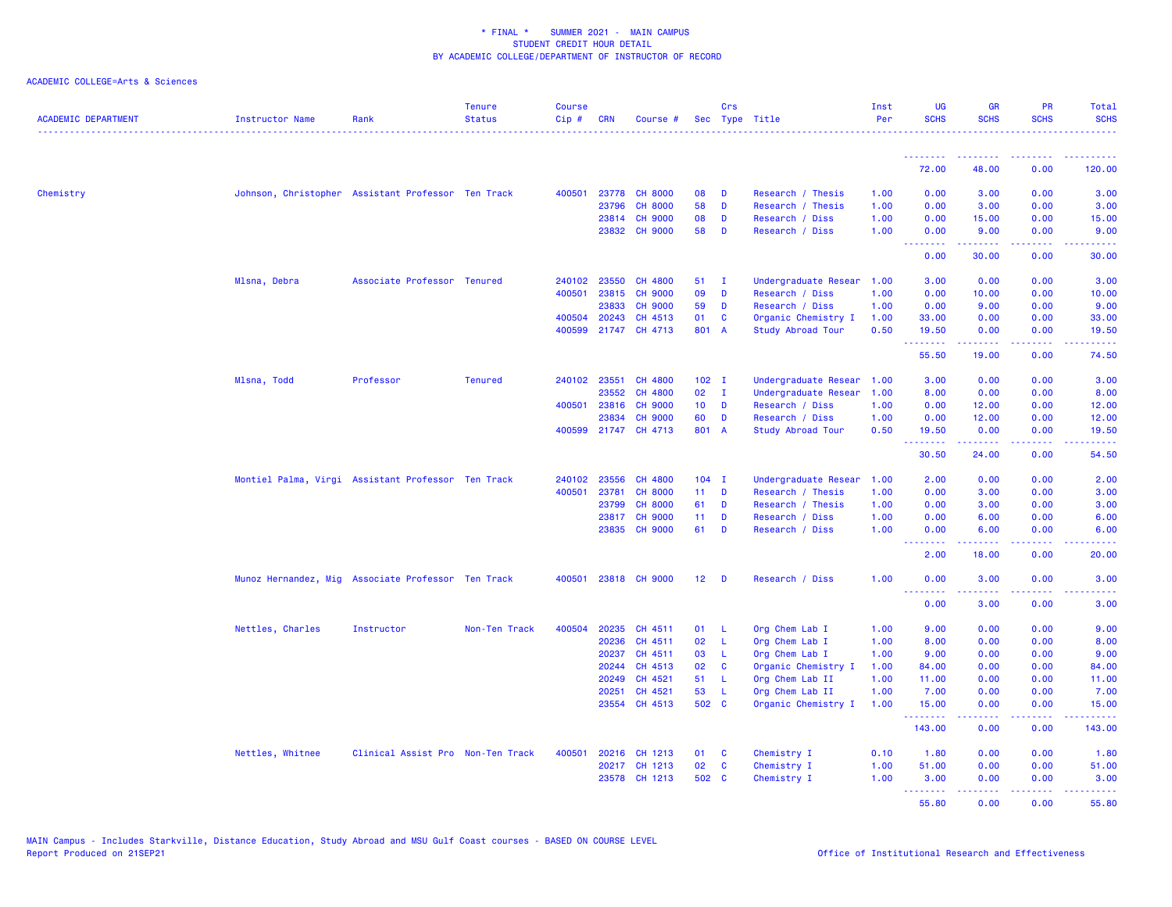| <b>ACADEMIC DEPARTMENT</b> | Instructor Name                                    | Rank                              | <b>Tenure</b><br><b>Status</b> | <b>Course</b><br>Cip# | <b>CRN</b> | Course #             |                 | Crs          | Sec Type Title            | Inst<br>Per | <b>UG</b><br><b>SCHS</b>                     | <b>GR</b><br><b>SCHS</b> | PR<br><b>SCHS</b> | Total<br><b>SCHS</b>                                                                                                               |
|----------------------------|----------------------------------------------------|-----------------------------------|--------------------------------|-----------------------|------------|----------------------|-----------------|--------------|---------------------------|-------------|----------------------------------------------|--------------------------|-------------------|------------------------------------------------------------------------------------------------------------------------------------|
|                            |                                                    |                                   |                                |                       |            |                      |                 |              |                           |             | <u>.</u>                                     | .                        | .                 | 22222                                                                                                                              |
|                            |                                                    |                                   |                                |                       |            |                      |                 |              |                           |             | 72.00                                        | 48.00                    | 0.00              | 120.00                                                                                                                             |
| Chemistry                  | Johnson, Christopher Assistant Professor Ten Track |                                   |                                | 400501                |            | 23778 CH 8000        | 08              | D            | Research / Thesis         | 1.00        | 0.00                                         | 3.00                     | 0.00              | 3.00                                                                                                                               |
|                            |                                                    |                                   |                                |                       | 23796      | <b>CH 8000</b>       | 58              | D            | Research / Thesis         | 1.00        | 0.00                                         | 3.00                     | 0.00              | 3.00                                                                                                                               |
|                            |                                                    |                                   |                                |                       | 23814      | <b>CH 9000</b>       | 08              | D            | Research / Diss           | 1.00        | 0.00                                         | 15.00                    | 0.00              | 15.00                                                                                                                              |
|                            |                                                    |                                   |                                |                       |            | 23832 CH 9000        | 58              | D            | Research / Diss           | 1.00        | 0.00<br>1.1.1.1.1.1.1                        | 9.00                     | 0.00              | 9.00                                                                                                                               |
|                            |                                                    |                                   |                                |                       |            |                      |                 |              |                           |             | 0.00                                         | 30.00                    | 0.00              | 30.00                                                                                                                              |
|                            | Mlsna, Debra                                       | Associate Professor Tenured       |                                | 240102                | 23550      | CH 4800              | 51              | $\mathbf{I}$ | Undergraduate Resear 1.00 |             | 3.00                                         | 0.00                     | 0.00              | 3.00                                                                                                                               |
|                            |                                                    |                                   |                                | 400501                | 23815      | <b>CH 9000</b>       | 09              | D            | Research / Diss           | 1.00        | 0.00                                         | 10.00                    | 0.00              | 10.00                                                                                                                              |
|                            |                                                    |                                   |                                |                       | 23833      | <b>CH 9000</b>       | 59              | D            | Research / Diss           | 1.00        | 0.00                                         | 9.00                     | 0.00              | 9.00                                                                                                                               |
|                            |                                                    |                                   |                                | 400504                | 20243      | CH 4513              | 01              | C            | Organic Chemistry I       | 1.00        | 33.00                                        | 0.00                     | 0.00              | 33.00                                                                                                                              |
|                            |                                                    |                                   |                                | 400599                |            | 21747 CH 4713        | 801 A           |              | Study Abroad Tour         | 0.50        | 19.50<br><u>.</u>                            | 0.00<br>الدامات مال      | 0.00<br>.         | 19.50<br>.                                                                                                                         |
|                            |                                                    |                                   |                                |                       |            |                      |                 |              |                           |             | 55.50                                        | 19.00                    | 0.00              | 74.50                                                                                                                              |
|                            | Mlsna, Todd                                        | Professor                         | <b>Tenured</b>                 | 240102                | 23551      | CH 4800              | $102$ I         |              | Undergraduate Resear      | 1.00        | 3.00                                         | 0.00                     | 0.00              | 3.00                                                                                                                               |
|                            |                                                    |                                   |                                |                       | 23552      | CH 4800              | 02              | $\mathbf{I}$ | Undergraduate Resear      | 1.00        | 8.00                                         | 0.00                     | 0.00              | 8.00                                                                                                                               |
|                            |                                                    |                                   |                                | 400501                | 23816      | <b>CH 9000</b>       | 10 <sub>1</sub> | D            | Research / Diss           | 1.00        | 0.00                                         | 12.00                    | 0.00              | 12.00                                                                                                                              |
|                            |                                                    |                                   |                                |                       | 23834      | <b>CH 9000</b>       | 60              | D            | Research / Diss           | 1.00        | 0.00                                         | 12.00                    | 0.00              | 12.00                                                                                                                              |
|                            |                                                    |                                   |                                |                       |            | 400599 21747 CH 4713 | 801 A           |              | <b>Study Abroad Tour</b>  | 0.50        | 19.50                                        | 0.00                     | 0.00              | 19.50                                                                                                                              |
|                            |                                                    |                                   |                                |                       |            |                      |                 |              |                           |             | <b>.</b> .<br>30.50                          | .<br>24.00               | .<br>0.00         | .<br>54.50                                                                                                                         |
|                            | Montiel Palma, Virgi Assistant Professor Ten Track |                                   |                                | 240102                | 23556      | CH 4800              | $104$ I         |              | Undergraduate Resear      | 1.00        | 2.00                                         | 0.00                     | 0.00              | 2.00                                                                                                                               |
|                            |                                                    |                                   |                                | 400501                | 23781      | <b>CH 8000</b>       | $11$ D          |              | Research / Thesis         | 1.00        | 0.00                                         | 3.00                     | 0.00              | 3.00                                                                                                                               |
|                            |                                                    |                                   |                                |                       | 23799      | <b>CH 8000</b>       | 61              | D            | Research / Thesis         | 1.00        | 0.00                                         | 3.00                     | 0.00              | 3.00                                                                                                                               |
|                            |                                                    |                                   |                                |                       | 23817      | <b>CH 9000</b>       | 11              | D            | Research / Diss           | 1.00        | 0.00                                         | 6.00                     | 0.00              | 6.00                                                                                                                               |
|                            |                                                    |                                   |                                |                       |            | 23835 CH 9000        | 61              | D            | Research / Diss           | 1.00        | 0.00                                         | 6.00                     | 0.00              | 6.00                                                                                                                               |
|                            |                                                    |                                   |                                |                       |            |                      |                 |              |                           |             | <b><i><u><u>ALLER LE</u></u></i></b><br>2.00 | .<br>18.00               | .<br>0.00         | $\frac{1}{2} \left( \frac{1}{2} \right) \left( \frac{1}{2} \right) \left( \frac{1}{2} \right) \left( \frac{1}{2} \right)$<br>20.00 |
|                            | Munoz Hernandez, Mig Associate Professor Ten Track |                                   |                                | 400501                |            | 23818 CH 9000        | 12 <sup>7</sup> | <b>D</b>     | Research / Diss           | 1.00        | 0.00<br><u>.</u>                             | 3.00<br>المتمامين        | 0.00<br>د د د د   | 3.00                                                                                                                               |
|                            |                                                    |                                   |                                |                       |            |                      |                 |              |                           |             | 0.00                                         | 3.00                     | 0.00              | والمستناط<br>3.00                                                                                                                  |
|                            | Nettles, Charles                                   | Instructor                        | Non-Ten Track                  | 400504                | 20235      | CH 4511              | 01              | - L          | Org Chem Lab I            | 1.00        | 9.00                                         | 0.00                     | 0.00              | 9.00                                                                                                                               |
|                            |                                                    |                                   |                                |                       | 20236      | CH 4511              | 02              | -L           | Org Chem Lab I            | 1.00        | 8.00                                         | 0.00                     | 0.00              | 8.00                                                                                                                               |
|                            |                                                    |                                   |                                |                       | 20237      | CH 4511              | 03              | L.           | Org Chem Lab I            | 1.00        | 9.00                                         | 0.00                     | 0.00              | 9.00                                                                                                                               |
|                            |                                                    |                                   |                                |                       | 20244      | CH 4513              | 02              | C            | Organic Chemistry I       | 1.00        | 84.00                                        | 0.00                     | 0.00              | 84.00                                                                                                                              |
|                            |                                                    |                                   |                                |                       | 20249      | CH 4521              | 51              | - L          | Org Chem Lab II           | 1.00        | 11.00                                        | 0.00                     | 0.00              | 11.00                                                                                                                              |
|                            |                                                    |                                   |                                |                       | 20251      | CH 4521              | 53              | -L           | Org Chem Lab II           | 1.00        | 7.00                                         | 0.00                     | 0.00              | 7.00                                                                                                                               |
|                            |                                                    |                                   |                                |                       | 23554      | CH 4513              | 502 C           |              | Organic Chemistry I       | 1.00        | 15.00<br>.                                   | 0.00<br>. <b>.</b>       | 0.00<br>د د د د   | 15.00<br>.                                                                                                                         |
|                            |                                                    |                                   |                                |                       |            |                      |                 |              |                           |             | 143.00                                       | 0.00                     | 0.00              | 143.00                                                                                                                             |
|                            | Nettles, Whitnee                                   | Clinical Assist Pro Non-Ten Track |                                | 400501                |            | 20216 CH 1213        | 01              | <b>C</b>     | Chemistry I               | 0.10        | 1.80                                         | 0.00                     | 0.00              | 1.80                                                                                                                               |
|                            |                                                    |                                   |                                |                       |            | 20217 CH 1213        | 02              | $\mathbf{C}$ | Chemistry I               | 1.00        | 51.00                                        | 0.00                     | 0.00              | 51.00                                                                                                                              |
|                            |                                                    |                                   |                                |                       |            | 23578 CH 1213        | 502 C           |              | Chemistry I               | 1.00        | 3.00<br>.                                    | 0.00<br>.                | 0.00<br>بالأباد   | 3.00<br>وعاعاها                                                                                                                    |
|                            |                                                    |                                   |                                |                       |            |                      |                 |              |                           |             | 55.80                                        | 0.00                     | 0.00              | 55.80                                                                                                                              |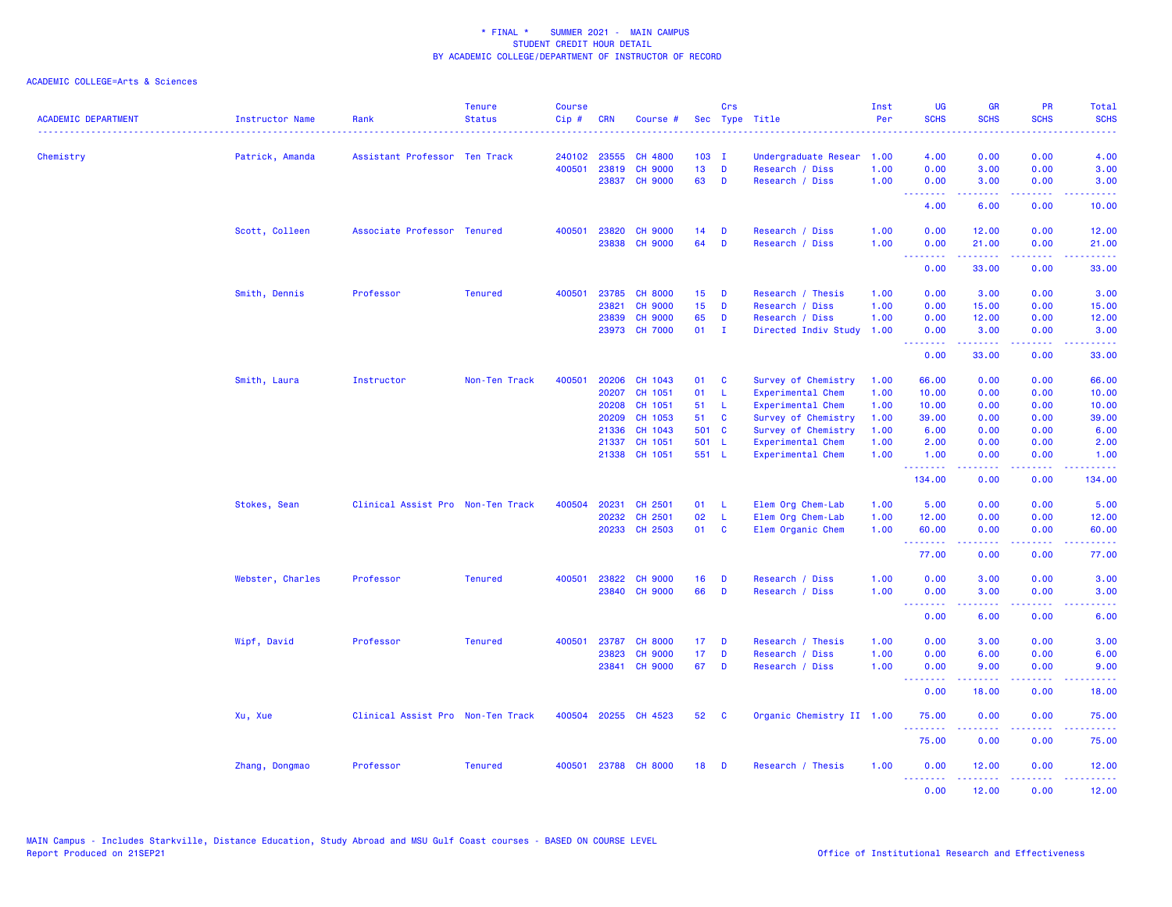| <b>ACADEMIC DEPARTMENT</b> | Instructor Name  | Rank                              | <b>Tenure</b><br><b>Status</b> | <b>Course</b><br>Cip# | <b>CRN</b> | Course #       |                 | Crs          | Sec Type Title            | Inst<br>Per | <b>UG</b><br><b>SCHS</b>                                  | <b>GR</b><br><b>SCHS</b> | <b>PR</b><br><b>SCHS</b>                                                                                                          | Total<br><b>SCHS</b>     |
|----------------------------|------------------|-----------------------------------|--------------------------------|-----------------------|------------|----------------|-----------------|--------------|---------------------------|-------------|-----------------------------------------------------------|--------------------------|-----------------------------------------------------------------------------------------------------------------------------------|--------------------------|
| Chemistry                  | Patrick, Amanda  | Assistant Professor Ten Track     |                                | 240102                | 23555      | <b>CH 4800</b> | $103$ I         |              | Undergraduate Resear      | 1.00        | 4.00                                                      | 0.00                     | 0.00                                                                                                                              | 4.00                     |
|                            |                  |                                   |                                | 400501                | 23819      | <b>CH 9000</b> | 13 <sup>7</sup> | D            | Research / Diss           | 1.00        | 0.00                                                      | 3.00                     | 0.00                                                                                                                              | 3.00                     |
|                            |                  |                                   |                                |                       | 23837      | <b>CH 9000</b> | 63              | D            | Research / Diss           | 1.00        | 0.00<br>.                                                 | 3.00<br>.                | 0.00<br>$\sim$ $\sim$ $\sim$ $\sim$                                                                                               | 3.00<br>والمرامات المراج |
|                            |                  |                                   |                                |                       |            |                |                 |              |                           |             | 4.00                                                      | 6.00                     | 0.00                                                                                                                              | 10.00                    |
|                            | Scott, Colleen   | Associate Professor Tenured       |                                | 400501                | 23820      | <b>CH 9000</b> | 14              | D            | Research / Diss           | 1.00        | 0.00                                                      | 12.00                    | 0.00                                                                                                                              | 12.00                    |
|                            |                  |                                   |                                |                       |            | 23838 CH 9000  | 64              | D            | Research / Diss           | 1.00        | 0.00<br><b></b>                                           | 21.00<br>222222          | 0.00<br>.                                                                                                                         | 21.00<br>.               |
|                            |                  |                                   |                                |                       |            |                |                 |              |                           |             | 0.00                                                      | 33.00                    | 0.00                                                                                                                              | 33.00                    |
|                            | Smith, Dennis    | Professor                         | <b>Tenured</b>                 | 400501                | 23785      | <b>CH 8000</b> | 15 <sub>1</sub> | D            | Research / Thesis         | 1.00        | 0.00                                                      | 3.00                     | 0.00                                                                                                                              | 3.00                     |
|                            |                  |                                   |                                |                       | 23821      | <b>CH 9000</b> | 15              | D            | Research / Diss           | 1.00        | 0.00                                                      | 15.00                    | 0.00                                                                                                                              | 15.00                    |
|                            |                  |                                   |                                |                       | 23839      | <b>CH 9000</b> | 65              | D            | Research / Diss           | 1.00        | 0.00                                                      | 12.00                    | 0.00                                                                                                                              | 12.00                    |
|                            |                  |                                   |                                |                       |            | 23973 CH 7000  | 01              | $\mathbf{I}$ | Directed Indiv Study      | 1.00        | 0.00<br>.                                                 | 3.00<br>المتمامين        | 0.00<br>.                                                                                                                         | 3.00<br>.                |
|                            |                  |                                   |                                |                       |            |                |                 |              |                           |             | 0.00                                                      | 33.00                    | 0.00                                                                                                                              | 33.00                    |
|                            | Smith, Laura     | Instructor                        | Non-Ten Track                  | 400501                | 20206      | CH 1043        | 01              | C            | Survey of Chemistry       | 1.00        | 66.00                                                     | 0.00                     | 0.00                                                                                                                              | 66.00                    |
|                            |                  |                                   |                                |                       | 20207      | CH 1051        | 01              | -L           | Experimental Chem         | 1.00        | 10.00                                                     | 0.00                     | 0.00                                                                                                                              | 10.00                    |
|                            |                  |                                   |                                |                       | 20208      | CH 1051        | 51              | -L           | Experimental Chem         | 1.00        | 10.00                                                     | 0.00                     | 0.00                                                                                                                              | 10.00                    |
|                            |                  |                                   |                                |                       | 20209      | CH 1053        | 51              | <b>C</b>     | Survey of Chemistry       | 1.00        | 39.00                                                     | 0.00                     | 0.00                                                                                                                              | 39.00                    |
|                            |                  |                                   |                                |                       | 21336      | CH 1043        | 501 C           |              | Survey of Chemistry       | 1.00        | 6.00                                                      | 0.00                     | 0.00                                                                                                                              | 6.00                     |
|                            |                  |                                   |                                |                       | 21337      | CH 1051        | 501 L           |              | Experimental Chem         | 1.00        | 2.00                                                      | 0.00                     | 0.00                                                                                                                              | 2.00                     |
|                            |                  |                                   |                                |                       |            | 21338 CH 1051  | 551 L           |              | Experimental Chem         | 1.00        | 1.00<br><b><i><u><u> - - - - - - -</u></u></i></b>        | 0.00<br>.                | 0.00<br>.                                                                                                                         | 1.00<br>22222)           |
|                            |                  |                                   |                                |                       |            |                |                 |              |                           |             | 134.00                                                    | 0.00                     | 0.00                                                                                                                              | 134.00                   |
|                            | Stokes, Sean     | Clinical Assist Pro Non-Ten Track |                                | 400504                | 20231      | CH 2501        | 01              | -L           | Elem Org Chem-Lab         | 1.00        | 5.00                                                      | 0.00                     | 0.00                                                                                                                              | 5.00                     |
|                            |                  |                                   |                                |                       | 20232      | CH 2501        | 02              | L            | Elem Org Chem-Lab         | 1.00        | 12.00                                                     | 0.00                     | 0.00                                                                                                                              | 12.00                    |
|                            |                  |                                   |                                |                       |            | 20233 CH 2503  | 01              | <b>C</b>     | Elem Organic Chem         | 1.00        | 60.00<br><b><i><u><u><b>Little Little</b></u></u></i></b> | 0.00<br>.                | 0.00<br>$\frac{1}{2} \left( \frac{1}{2} \right) \left( \frac{1}{2} \right) \left( \frac{1}{2} \right) \left( \frac{1}{2} \right)$ | 60.00<br>.               |
|                            |                  |                                   |                                |                       |            |                |                 |              |                           |             | 77.00                                                     | 0.00                     | 0.00                                                                                                                              | 77.00                    |
|                            | Webster, Charles | Professor                         | <b>Tenured</b>                 | 400501                | 23822      | <b>CH 9000</b> | 16              | D            | Research / Diss           | 1.00        | 0.00                                                      | 3.00                     | 0.00                                                                                                                              | 3.00                     |
|                            |                  |                                   |                                |                       |            | 23840 CH 9000  | 66              | D            | Research / Diss           | 1.00        | 0.00                                                      | 3.00                     | 0.00                                                                                                                              | 3.00                     |
|                            |                  |                                   |                                |                       |            |                |                 |              |                           |             | <u>.</u><br>0.00                                          | .<br>6.00                | د د د د<br>0.00                                                                                                                   | المتمام<br>6.00          |
|                            | Wipf, David      | Professor                         | <b>Tenured</b>                 | 400501                | 23787      | <b>CH 8000</b> | 17              | D            | Research / Thesis         | 1.00        | 0.00                                                      | 3.00                     | 0.00                                                                                                                              | 3.00                     |
|                            |                  |                                   |                                |                       | 23823      | <b>CH 9000</b> | 17              | D            | Research / Diss           | 1.00        | 0.00                                                      | 6.00                     | 0.00                                                                                                                              | 6.00                     |
|                            |                  |                                   |                                |                       |            | 23841 CH 9000  | 67              | D            | Research / Diss           | 1.00        | 0.00                                                      | 9.00                     | 0.00                                                                                                                              | 9.00                     |
|                            |                  |                                   |                                |                       |            |                |                 |              |                           |             | <b></b><br>0.00                                           | .<br>18.00               | .<br>0.00                                                                                                                         | .<br>18.00               |
|                            | Xu, Xue          | Clinical Assist Pro Non-Ten Track |                                | 400504                |            | 20255 CH 4523  | 52              | C            | Organic Chemistry II 1.00 |             | 75.00                                                     | 0.00                     | 0.00                                                                                                                              | 75.00                    |
|                            |                  |                                   |                                |                       |            |                |                 |              |                           |             | .<br>75.00                                                | 0.00                     | 0.00                                                                                                                              | 75.00                    |
|                            | Zhang, Dongmao   | Professor                         | <b>Tenured</b>                 | 400501                |            | 23788 CH 8000  | 18              | D            | Research / Thesis         | 1.00        | 0.00                                                      | 12.00                    | 0.00                                                                                                                              | 12.00                    |
|                            |                  |                                   |                                |                       |            |                |                 |              |                           |             | .<br>0.00                                                 | 22222<br>12.00           | 0.00                                                                                                                              | .<br>12.00               |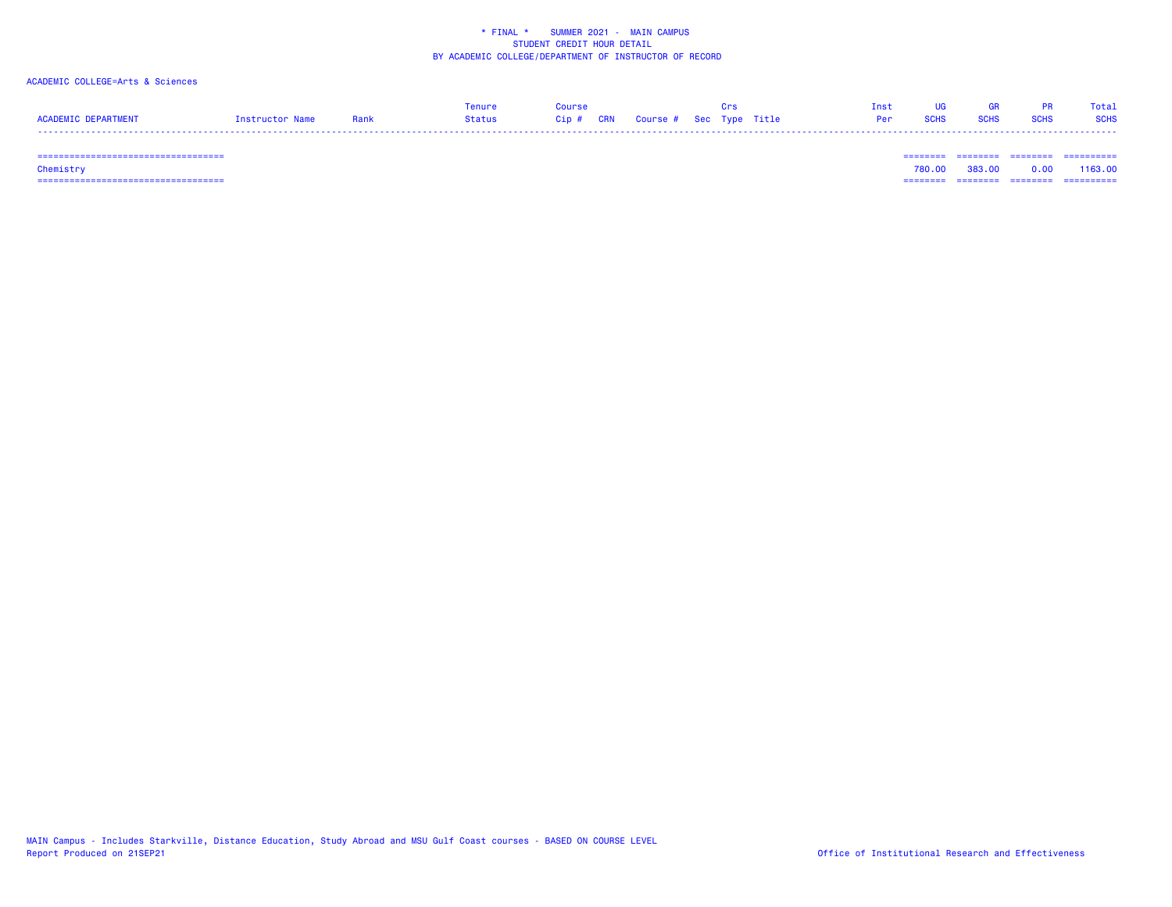### ACADEMIC COLLEGE=Arts & Sciences

|                     |                 |      | Tenure | Course                            |  |  |            |             | GR.         |      | Total       |
|---------------------|-----------------|------|--------|-----------------------------------|--|--|------------|-------------|-------------|------|-------------|
| ACADEMIC DEPARTMENT | Tostructor Name | Rank | Status | Cip # CRN Course # Sec Type Title |  |  | <b>Per</b> | <b>SCHS</b> | <b>SCHS</b> | SCHS | <b>SCHS</b> |
|                     |                 |      |        |                                   |  |  |            |             |             |      |             |

=================================== ======== ======== ======== ==========

 =================================== ======== ======== ======== ========== Chemistry 780.00 383.00 0.00 1163.00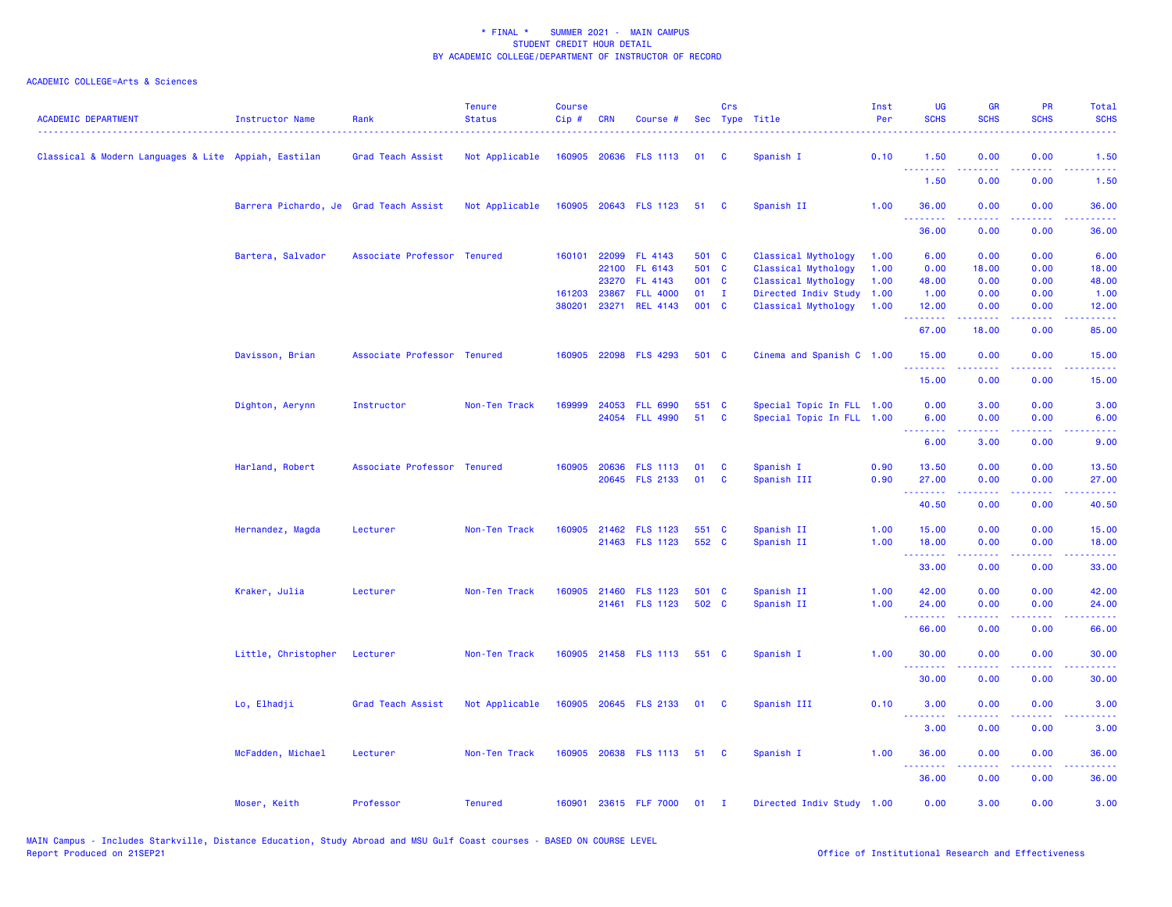| <b>ACADEMIC DEPARTMENT</b>                           | <b>Instructor Name</b>                 | Rank                        | <b>Tenure</b><br><b>Status</b> | <b>Course</b><br>Cip# | <b>CRN</b> | Course #                    |                | Crs                     | Sec Type Title            | Inst<br>Per | <b>UG</b><br><b>SCHS</b> | <b>GR</b><br><b>SCHS</b> | <b>PR</b><br><b>SCHS</b> | Total<br><b>SCHS</b>                                                                                                               |
|------------------------------------------------------|----------------------------------------|-----------------------------|--------------------------------|-----------------------|------------|-----------------------------|----------------|-------------------------|---------------------------|-------------|--------------------------|--------------------------|--------------------------|------------------------------------------------------------------------------------------------------------------------------------|
| Classical & Modern Languages & Lite Appiah, Eastilan |                                        | Grad Teach Assist           | Not Applicable                 |                       |            | 160905 20636 FLS 1113       | 01             | C                       | Spanish I                 | 0.10        | 1.50<br>.                | 0.00                     | 0.00                     | 1.50                                                                                                                               |
|                                                      |                                        |                             |                                |                       |            |                             |                |                         |                           |             | 1.50                     | 0.00                     | 0.00                     | 1.50                                                                                                                               |
|                                                      | Barrera Pichardo, Je Grad Teach Assist |                             | Not Applicable                 |                       |            | 160905 20643 FLS 1123       | 51 C           |                         | Spanish II                | 1.00        | 36.00                    | 0.00                     | 0.00                     | 36.00                                                                                                                              |
|                                                      |                                        |                             |                                |                       |            |                             |                |                         |                           |             | 36.00                    | 0.00                     | 0.00                     | 36.00                                                                                                                              |
|                                                      | Bartera, Salvador                      | Associate Professor Tenured |                                | 160101                | 22099      | FL 4143                     | 501 C          |                         | Classical Mythology       | 1.00        | 6.00                     | 0.00                     | 0.00                     | 6.00                                                                                                                               |
|                                                      |                                        |                             |                                |                       | 22100      | FL 6143                     | 501 C          |                         | Classical Mythology       | 1.00        | 0.00                     | 18.00                    | 0.00                     | 18.00                                                                                                                              |
|                                                      |                                        |                             |                                |                       | 23270      | FL 4143                     | 001 C          |                         | Classical Mythology       | 1.00        | 48.00                    | 0.00                     | 0.00                     | 48.00                                                                                                                              |
|                                                      |                                        |                             |                                | 161203 23867          |            | <b>FLL 4000</b>             | $01$ I         |                         | Directed Indiv Study      | 1.00        | 1.00                     | 0.00                     | 0.00                     | 1.00                                                                                                                               |
|                                                      |                                        |                             |                                | 380201                | 23271      | <b>REL 4143</b>             | 001 C          |                         | Classical Mythology       | 1.00        | 12.00<br><u> 22222</u>   | 0.00                     | 0.00                     | 12.00                                                                                                                              |
|                                                      |                                        |                             |                                |                       |            |                             |                |                         |                           |             | 67.00                    | 18.00                    | 0.00                     | 85.00                                                                                                                              |
|                                                      | Davisson, Brian                        | Associate Professor Tenured |                                |                       |            | 160905 22098 FLS 4293       | 501 C          |                         | Cinema and Spanish C 1.00 |             | 15.00<br>.               | 0.00                     | 0.00                     | 15.00                                                                                                                              |
|                                                      |                                        |                             |                                |                       |            |                             |                |                         |                           |             | 15.00                    | 0.00                     | 0.00                     | 15.00                                                                                                                              |
|                                                      | Dighton, Aerynn                        | Instructor                  | Non-Ten Track                  | 169999                | 24053      | <b>FLL 6990</b>             | 551 C          |                         | Special Topic In FLL 1.00 |             | 0.00                     | 3.00                     | 0.00                     | 3.00                                                                                                                               |
|                                                      |                                        |                             |                                |                       |            | 24054 FLL 4990              | 51             | $\mathbf{C}$            | Special Topic In FLL 1.00 |             | 6.00                     | 0.00                     | 0.00                     | 6.00                                                                                                                               |
|                                                      |                                        |                             |                                |                       |            |                             |                |                         |                           |             | --------                 | -----                    | .                        | $\frac{1}{2} \left( \frac{1}{2} \right) \left( \frac{1}{2} \right) \left( \frac{1}{2} \right) \left( \frac{1}{2} \right)$          |
|                                                      |                                        |                             |                                |                       |            |                             |                |                         |                           |             | 6.00                     | 3.00                     | 0.00                     | 9.00                                                                                                                               |
|                                                      | Harland, Robert                        | Associate Professor Tenured |                                | 160905                | 20636      | <b>FLS 1113</b>             | 01             | C                       | Spanish I                 | 0.90        | 13.50                    | 0.00                     | 0.00                     | 13.50                                                                                                                              |
|                                                      |                                        |                             |                                |                       |            | 20645 FLS 2133              | 01             | C                       | Spanish III               | 0.90        | 27.00                    | 0.00                     | 0.00                     | 27.00                                                                                                                              |
|                                                      |                                        |                             |                                |                       |            |                             |                |                         |                           |             | <u>.</u><br>40.50        | 0.00                     | 0.00                     | 40.50                                                                                                                              |
|                                                      |                                        |                             |                                |                       |            |                             |                |                         |                           |             |                          |                          |                          |                                                                                                                                    |
|                                                      | Hernandez, Magda                       | Lecturer                    | Non-Ten Track                  |                       |            | 160905 21462 FLS 1123       | 551 C<br>552 C |                         | Spanish II                | 1.00        | 15.00                    | 0.00                     | 0.00                     | 15.00                                                                                                                              |
|                                                      |                                        |                             |                                |                       |            | 21463 FLS 1123              |                |                         | Spanish II                | 1.00        | 18.00<br>.               | 0.00<br>.                | 0.00<br>المتحدث          | 18.00<br>$\frac{1}{2} \left( \frac{1}{2} \right) \left( \frac{1}{2} \right) \left( \frac{1}{2} \right) \left( \frac{1}{2} \right)$ |
|                                                      |                                        |                             |                                |                       |            |                             |                |                         |                           |             | 33.00                    | 0.00                     | 0.00                     | 33.00                                                                                                                              |
|                                                      | Kraker, Julia                          | Lecturer                    | Non-Ten Track                  | 160905                | 21460      | <b>FLS 1123</b>             | 501 C          |                         | Spanish II                | 1.00        | 42.00                    | 0.00                     | 0.00                     | 42.00                                                                                                                              |
|                                                      |                                        |                             |                                |                       |            | 21461 FLS 1123              | 502 C          |                         | Spanish II                | 1.00        | 24.00                    | 0.00                     | 0.00                     | 24.00                                                                                                                              |
|                                                      |                                        |                             |                                |                       |            |                             |                |                         |                           |             | .<br>66.00               | 0.00                     | 0.00                     | د د د د د<br>66.00                                                                                                                 |
|                                                      | Little, Christopher                    | Lecturer                    | Non-Ten Track                  |                       |            | 160905 21458 FLS 1113 551 C |                |                         | Spanish I                 | 1.00        | 30.00                    | 0.00                     | 0.00                     | 30.00                                                                                                                              |
|                                                      |                                        |                             |                                |                       |            |                             |                |                         |                           |             | 30.00                    | 0.00                     | 0.00                     | 30.00                                                                                                                              |
|                                                      | Lo, Elhadji                            | Grad Teach Assist           | Not Applicable                 |                       |            | 160905 20645 FLS 2133 01    |                | $\overline{\mathbf{C}}$ | Spanish III               | 0.10        | 3.00                     | 0.00                     | 0.00                     | 3.00                                                                                                                               |
|                                                      |                                        |                             |                                |                       |            |                             |                |                         |                           |             | .<br>3.00                | 0.00                     | 0.00                     | 3.00                                                                                                                               |
|                                                      | McFadden, Michael                      | Lecturer                    | Non-Ten Track                  |                       |            | 160905 20638 FLS 1113 51    |                | - C                     | Spanish I                 | 1.00        | 36.00                    | 0.00                     | 0.00                     | 36.00                                                                                                                              |
|                                                      |                                        |                             |                                |                       |            |                             |                |                         |                           |             | $  -$<br>36.00           | 0.00                     | 0.00                     | 36.00                                                                                                                              |
|                                                      | Moser, Keith                           | Professor                   | <b>Tenured</b>                 |                       |            | 160901 23615 FLF 7000       | 01             | $\mathbf{I}$            | Directed Indiv Study 1.00 |             | 0.00                     | 3.00                     | 0.00                     | 3.00                                                                                                                               |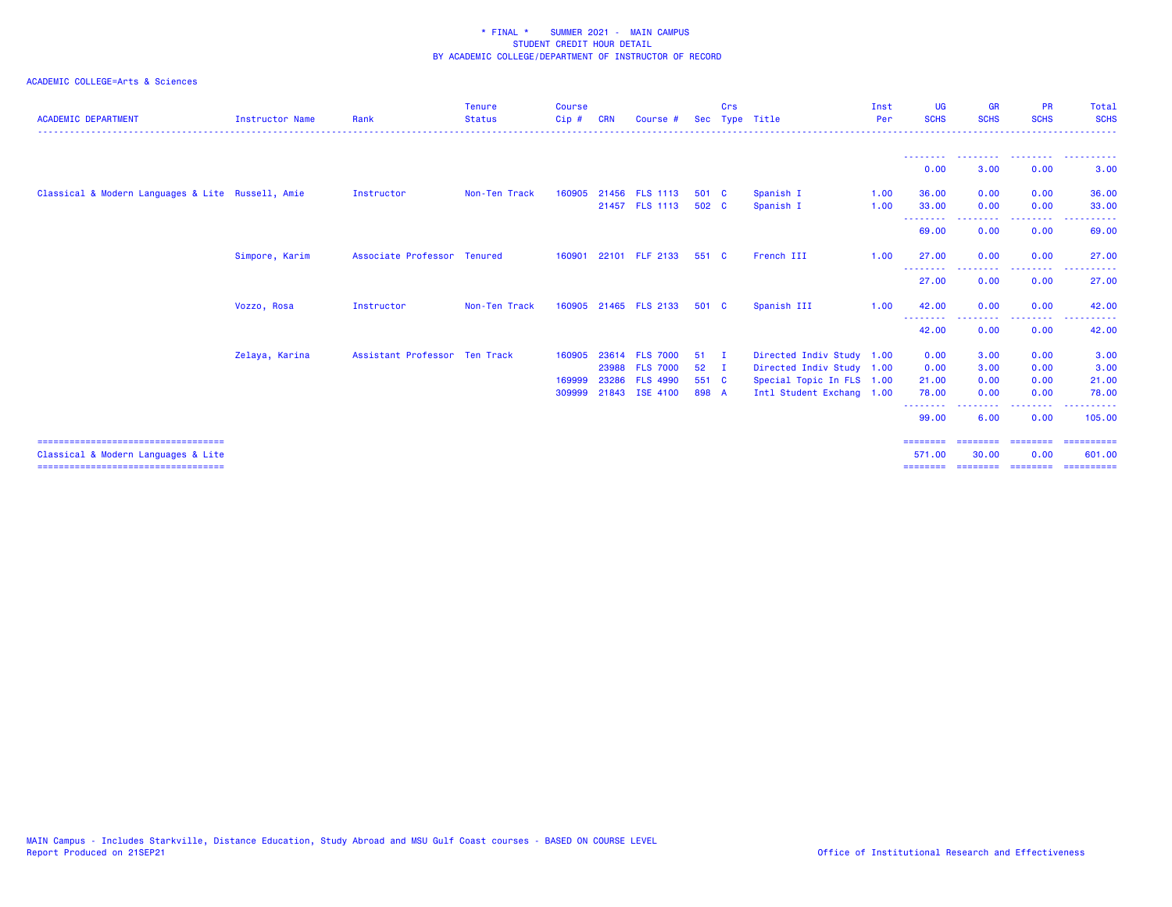| <b>ACADEMIC DEPARTMENT</b>                                                   | <b>Instructor Name</b> | Rank                          | <b>Tenure</b><br><b>Status</b><br>. | Course<br>Cip#   | <b>CRN</b> | Course #                          |                | Crs          | Sec Type Title            | Inst<br>Per<br><u>.</u> | <b>UG</b><br><b>SCHS</b> | <b>GR</b><br><b>SCHS</b>    | <b>PR</b><br><b>SCHS</b> | Total<br><b>SCHS</b><br>- - - - - - |
|------------------------------------------------------------------------------|------------------------|-------------------------------|-------------------------------------|------------------|------------|-----------------------------------|----------------|--------------|---------------------------|-------------------------|--------------------------|-----------------------------|--------------------------|-------------------------------------|
|                                                                              |                        |                               |                                     |                  |            |                                   |                |              |                           |                         | ---------                | --------- --------          |                          | . <b>.</b>                          |
|                                                                              |                        |                               |                                     |                  |            |                                   |                |              |                           |                         | 0.00                     | 3.00                        | 0.00                     | 3.00                                |
| Classical & Modern Languages & Lite Russell, Amie                            |                        | Instructor                    | Non-Ten Track                       | 160905           |            | 21456 FLS 1113                    | 501 C          |              | Spanish I                 | 1.00                    | 36.00                    | 0.00                        | 0.00                     | 36.00                               |
|                                                                              |                        |                               |                                     |                  |            | 21457 FLS 1113                    | 502 C          |              | Spanish I                 | 1.00                    | 33.00<br>--------        | 0.00<br>--------            | 0.00<br>--------         | 33,00<br>.                          |
|                                                                              |                        |                               |                                     |                  |            |                                   |                |              |                           |                         | 69.00                    | 0.00                        | 0.00                     | 69.00                               |
|                                                                              | Simpore, Karim         | Associate Professor Tenured   |                                     | 160901           |            | 22101 FLF 2133                    | 551 C          |              | French III                | 1.00                    | 27.00<br>--------        | 0.00<br>.                   | 0.00<br>.                | 27.00                               |
|                                                                              |                        |                               |                                     |                  |            |                                   |                |              |                           |                         | 27.00                    | 0.00                        | 0.00                     | 27.00                               |
|                                                                              | Vozzo, Rosa            | Instructor                    | Non-Ten Track                       |                  |            | 160905 21465 FLS 2133             | 501 C          |              | Spanish III               | 1.00                    | 42.00<br>--------        | 0.00<br>--------            | 0.00<br>--------         | 42.00<br>.                          |
|                                                                              |                        |                               |                                     |                  |            |                                   |                |              |                           |                         | 42.00                    | 0.00                        | 0.00                     | 42.00                               |
|                                                                              | Zelaya, Karina         | Assistant Professor Ten Track |                                     | 160905           |            | 23614 FLS 7000                    | 51             | $\mathbf{I}$ | Directed Indiv Study 1.00 |                         | 0.00                     | 3.00                        | 0.00                     | 3.00                                |
|                                                                              |                        |                               |                                     |                  |            | 23988 FLS 7000                    | $52 \quad I$   |              | Directed Indiv Study 1.00 |                         | 0.00                     | 3.00                        | 0.00                     | 3.00                                |
|                                                                              |                        |                               |                                     | 169999<br>309999 | 23286      | <b>FLS 4990</b><br>21843 ISE 4100 | 551 C<br>898 A |              | Special Topic In FLS 1.00 |                         | 21.00                    | 0.00<br>0.00                | 0.00<br>0.00             | 21.00<br>78.00                      |
|                                                                              |                        |                               |                                     |                  |            |                                   |                |              | Intl Student Exchang 1.00 |                         | 78.00<br>--------        |                             | $\frac{1}{2}$            | . <u>.</u>                          |
|                                                                              |                        |                               |                                     |                  |            |                                   |                |              |                           |                         | 99.00                    | 6.00                        | 0.00                     | 105,00                              |
| =====================================<br>Classical & Modern Languages & Lite |                        |                               |                                     |                  |            |                                   |                |              |                           |                         | ========<br>571.00       | ==================<br>30.00 | 0.00                     | -----------<br>601,00               |
| ====================================                                         |                        |                               |                                     |                  |            |                                   |                |              |                           |                         | ========                 | ==================          |                          | -----------                         |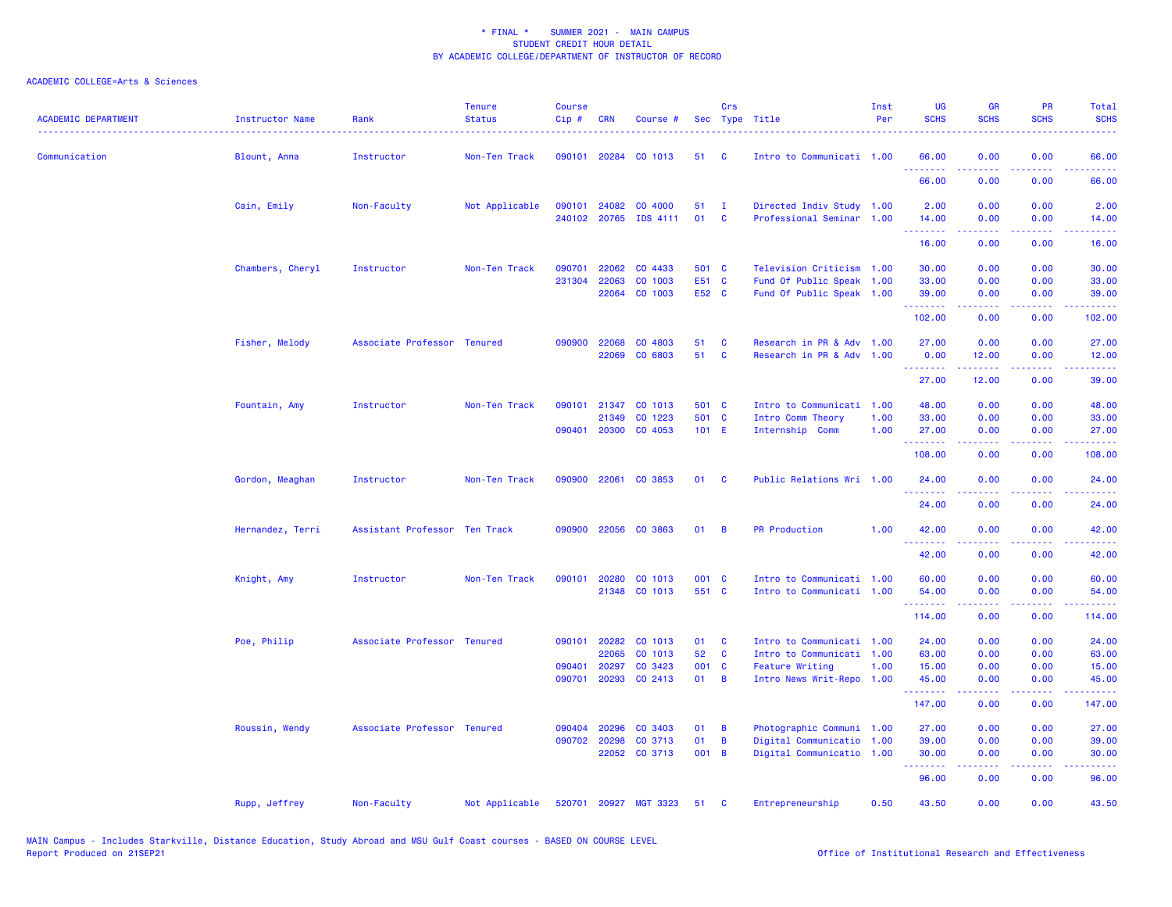| <b>ACADEMIC DEPARTMENT</b> | Instructor Name  | Rank                          | <b>Tenure</b><br><b>Status</b> | Course<br>Cip#   | <b>CRN</b>     | Course #                         |                | Crs                      | Sec Type Title                                         | Inst<br>Per | UG<br><b>SCHS</b>                                   | <b>GR</b><br><b>SCHS</b> | PR<br><b>SCHS</b>                                                                                      | Total<br><b>SCHS</b>      |
|----------------------------|------------------|-------------------------------|--------------------------------|------------------|----------------|----------------------------------|----------------|--------------------------|--------------------------------------------------------|-------------|-----------------------------------------------------|--------------------------|--------------------------------------------------------------------------------------------------------|---------------------------|
| Communication              | Blount, Anna     | Instructor                    | Non-Ten Track                  |                  |                | 090101 20284 CO 1013             | 51             | <b>C</b>                 | Intro to Communicati 1.00                              |             | 66.00<br>.                                          | 0.00                     | 0.00                                                                                                   | 66.00                     |
|                            |                  |                               |                                |                  |                |                                  |                |                          |                                                        |             | 66.00                                               | 0.00                     | 0.00                                                                                                   | 66.00                     |
|                            | Cain, Emily      | Non-Faculty                   | Not Applicable                 | 090101           | 24082          | CO 4000<br>240102 20765 IDS 4111 | 51<br>01       | $\mathbf{I}$<br><b>C</b> | Directed Indiv Study 1.00<br>Professional Seminar 1.00 |             | 2.00<br>14.00                                       | 0.00<br>0.00             | 0.00<br>0.00                                                                                           | 2.00                      |
|                            |                  |                               |                                |                  |                |                                  |                |                          |                                                        |             | <b><i><u><u> - - - - - - -</u></u></i></b><br>16.00 | المستمال<br>0.00         | الأبالات<br>0.00                                                                                       | 14.00<br>المستما<br>16.00 |
|                            |                  |                               |                                |                  |                | CO 4433                          |                |                          | Television Criticism 1.00                              |             |                                                     |                          |                                                                                                        |                           |
|                            | Chambers, Cheryl | Instructor                    | Non-Ten Track                  | 090701<br>231304 | 22062<br>22063 | CO 1003                          | 501 C<br>E51 C |                          | Fund Of Public Speak 1.00                              |             | 30.00<br>33.00                                      | 0.00<br>0.00             | 0.00<br>0.00                                                                                           | 30.00<br>33.00            |
|                            |                  |                               |                                |                  |                | 22064 CO 1003                    | E52 C          |                          | Fund Of Public Speak 1.00                              |             | 39.00                                               | 0.00                     | 0.00                                                                                                   | 39.00                     |
|                            |                  |                               |                                |                  |                |                                  |                |                          |                                                        |             | .<br>102.00                                         | 0.00                     | د د د د<br>0.00                                                                                        | المتمامين<br>102.00       |
|                            | Fisher, Melody   | Associate Professor Tenured   |                                |                  | 090900 22068   | CO 4803                          | 51             | C                        | Research in PR & Adv 1.00                              |             | 27.00                                               | 0.00                     | 0.00                                                                                                   | 27.00                     |
|                            |                  |                               |                                |                  | 22069          | CO 6803                          | 51             | <b>C</b>                 | Research in PR & Adv 1.00                              |             | 0.00<br>.                                           | 12.00                    | 0.00<br>والمحامر                                                                                       | 12.00<br>.                |
|                            |                  |                               |                                |                  |                |                                  |                |                          |                                                        |             | 27.00                                               | 12.00                    | 0.00                                                                                                   | 39.00                     |
|                            | Fountain, Amy    | Instructor                    | Non-Ten Track                  | 090101           | 21347          | CO 1013                          | 501 C          |                          | Intro to Communicati                                   | 1.00        | 48.00                                               | 0.00                     | 0.00                                                                                                   | 48.00                     |
|                            |                  |                               |                                |                  | 21349          | CO 1223                          | 501 C          |                          | Intro Comm Theory                                      | 1.00        | 33.00                                               | 0.00                     | 0.00                                                                                                   | 33.00                     |
|                            |                  |                               |                                |                  |                | 090401 20300 CO 4053             | $101$ E        |                          | Internship Comm                                        | 1.00        | 27.00                                               | 0.00                     | 0.00                                                                                                   | 27.00<br>.                |
|                            |                  |                               |                                |                  |                |                                  |                |                          |                                                        |             | .<br>108.00                                         | <b>.</b><br>0.00         | .<br>0.00                                                                                              | 108.00                    |
|                            | Gordon, Meaghan  | Instructor                    | Non-Ten Track                  | 090900           | 22061          | CO 3853                          | 01             | <b>C</b>                 | Public Relations Wri 1.00                              |             | 24.00<br><u> - - - - - - - -</u>                    | 0.00                     | 0.00                                                                                                   | 24.00                     |
|                            |                  |                               |                                |                  |                |                                  |                |                          |                                                        |             | 24.00                                               | 0.00                     | 0.00                                                                                                   | 24.00                     |
|                            | Hernandez, Terri | Assistant Professor Ten Track |                                | 090900           | 22056          | CO 3863                          | 01             | B                        | <b>PR Production</b>                                   | 1.00        | 42.00                                               | 0.00                     | 0.00                                                                                                   | 42.00                     |
|                            |                  |                               |                                |                  |                |                                  |                |                          |                                                        |             | .<br>42.00                                          | 0.00                     | $\sim$ $\sim$ $\sim$ $\sim$<br>0.00                                                                    | .<br>42.00                |
|                            | Knight, Amy      | Instructor                    | Non-Ten Track                  | 090101           | 20280          | CO 1013                          | 001 C          |                          | Intro to Communicati 1.00                              |             | 60.00                                               | 0.00                     | 0.00                                                                                                   | 60.00                     |
|                            |                  |                               |                                |                  |                | 21348 CO 1013                    | 551 C          |                          | Intro to Communicati 1.00                              |             | 54.00<br>.                                          | 0.00<br>22222            | 0.00                                                                                                   | 54.00<br>.                |
|                            |                  |                               |                                |                  |                |                                  |                |                          |                                                        |             | 114.00                                              | 0.00                     | .<br>0.00                                                                                              | 114.00                    |
|                            | Poe, Philip      | Associate Professor Tenured   |                                | 090101           | 20282          | CO 1013                          | 01             | C                        | Intro to Communicati 1.00                              |             | 24.00                                               | 0.00                     | 0.00                                                                                                   | 24.00                     |
|                            |                  |                               |                                |                  | 22065          | CO 1013                          | 52             | C                        | Intro to Communicati 1.00                              |             | 63.00                                               | 0.00                     | 0.00                                                                                                   | 63.00                     |
|                            |                  |                               |                                | 090401           | 20297          | CO 3423                          | 001 C          |                          | <b>Feature Writing</b>                                 | 1.00        | 15.00                                               | 0.00                     | 0.00                                                                                                   | 15.00                     |
|                            |                  |                               |                                | 090701           | 20293          | CO 2413                          | 01             | B                        | Intro News Writ-Repo 1.00                              |             | 45.00<br>.                                          | 0.00<br>.                | 0.00<br>$\frac{1}{2} \left( \frac{1}{2} \right) \left( \frac{1}{2} \right) \left( \frac{1}{2} \right)$ | 45.00<br>.                |
|                            |                  |                               |                                |                  |                |                                  |                |                          |                                                        |             | 147.00                                              | 0.00                     | 0.00                                                                                                   | 147.00                    |
|                            | Roussin, Wendy   | Associate Professor Tenured   |                                | 090404           | 20296          | CO 3403                          | 01             | B                        | Photographic Communi 1.00                              |             | 27.00                                               | 0.00                     | 0.00                                                                                                   | 27.00                     |
|                            |                  |                               |                                |                  | 090702 20298   | CO 3713                          | 01             | B                        | Digital Communicatio 1.00                              |             | 39.00                                               | 0.00                     | 0.00                                                                                                   | 39.00                     |
|                            |                  |                               |                                |                  |                | 22052 CO 3713                    | 001 B          |                          | Digital Communicatio 1.00                              |             | 30.00<br>.                                          | 0.00<br>بالأباب          | 0.00<br>.                                                                                              | 30.00<br>وعاويات          |
|                            |                  |                               |                                |                  |                |                                  |                |                          |                                                        |             | 96.00                                               | 0.00                     | 0.00                                                                                                   | 96.00                     |
|                            | Rupp, Jeffrey    | Non-Faculty                   | Not Applicable                 | 520701           |                | 20927 MGT 3323                   | 51             | C                        | Entrepreneurship                                       | 0.50        | 43.50                                               | 0.00                     | 0.00                                                                                                   | 43.50                     |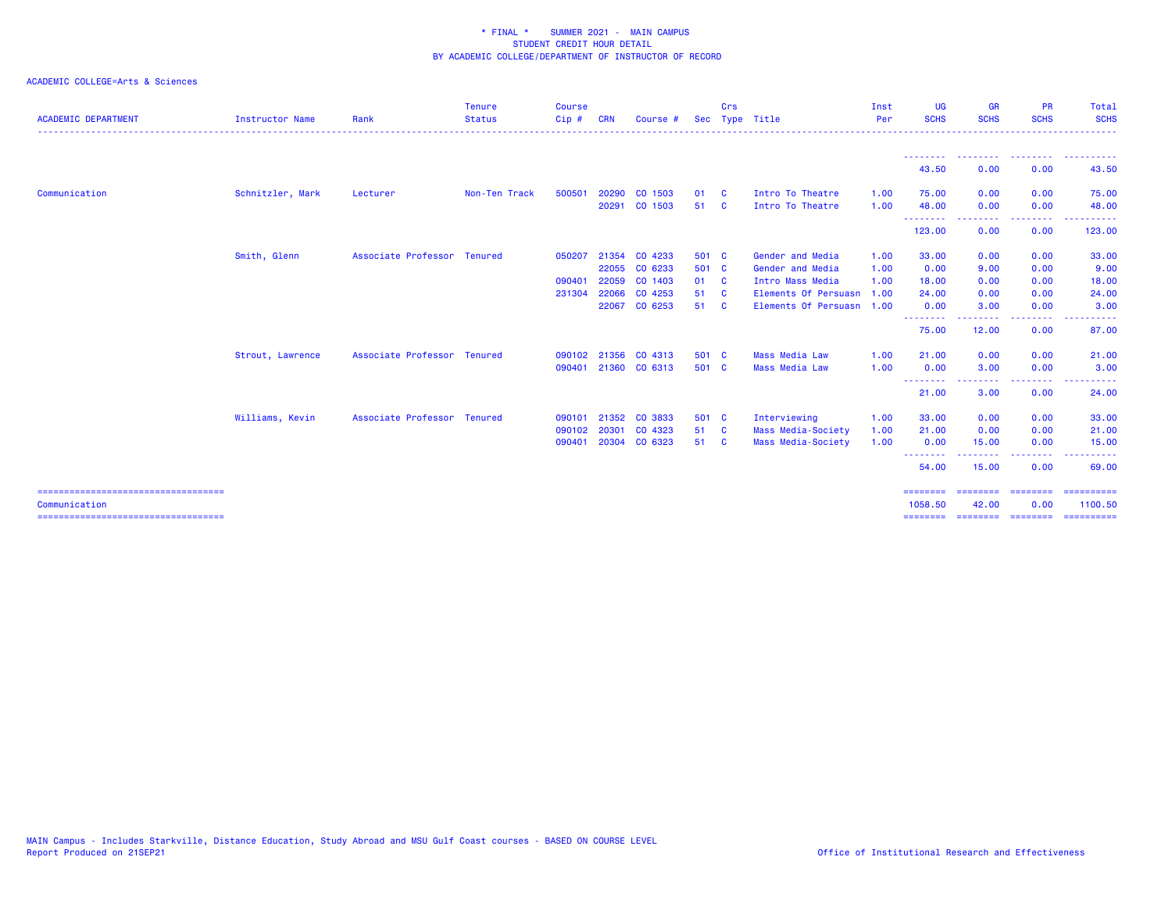| <b>ACADEMIC DEPARTMENT</b>                             | <b>Instructor Name</b> | Rank                        | <b>Tenure</b><br><b>Status</b> | <b>Course</b><br>Cip# | <b>CRN</b> | Course #      |       | Crs                     | Sec Type Title            | Inst<br>Per | <b>UG</b><br><b>SCHS</b>     | <b>GR</b><br><b>SCHS</b> | <b>PR</b><br><b>SCHS</b> | Total<br><b>SCHS</b>                                                                                                                                                                                                                                                                                                                                                                                                                                                                              |
|--------------------------------------------------------|------------------------|-----------------------------|--------------------------------|-----------------------|------------|---------------|-------|-------------------------|---------------------------|-------------|------------------------------|--------------------------|--------------------------|---------------------------------------------------------------------------------------------------------------------------------------------------------------------------------------------------------------------------------------------------------------------------------------------------------------------------------------------------------------------------------------------------------------------------------------------------------------------------------------------------|
|                                                        |                        |                             |                                |                       |            |               |       |                         |                           |             |                              |                          | <u> - - - - - - - -</u>  |                                                                                                                                                                                                                                                                                                                                                                                                                                                                                                   |
|                                                        |                        |                             |                                |                       |            |               |       |                         |                           |             | 43.50                        | 0.00                     | 0.00                     | 43.50                                                                                                                                                                                                                                                                                                                                                                                                                                                                                             |
| Communication                                          | Schnitzler, Mark       | Lecturer                    | Non-Ten Track                  | 500501                |            | 20290 CO 1503 | 01    | - C                     | Intro To Theatre          | 1.00        | 75.00                        | 0.00                     | 0.00                     | 75.00                                                                                                                                                                                                                                                                                                                                                                                                                                                                                             |
|                                                        |                        |                             |                                |                       |            | 20291 CO 1503 | 51    | <b>C</b>                | Intro To Theatre          | 1.00        | 48.00<br>- - - - - - - - -   | 0.00<br>. <b>.</b> .     | 0.00<br>-----            | 48.00<br>.                                                                                                                                                                                                                                                                                                                                                                                                                                                                                        |
|                                                        |                        |                             |                                |                       |            |               |       |                         |                           |             | 123.00                       | 0.00                     | 0.00                     | 123.00                                                                                                                                                                                                                                                                                                                                                                                                                                                                                            |
|                                                        | Smith, Glenn           | Associate Professor Tenured |                                | 050207                |            | 21354 CO 4233 | 501 C |                         | Gender and Media          | 1.00        | 33.00                        | 0.00                     | 0.00                     | 33.00                                                                                                                                                                                                                                                                                                                                                                                                                                                                                             |
|                                                        |                        |                             |                                |                       |            | 22055 CO 6233 | 501 C |                         | Gender and Media          | 1.00        | 0.00                         | 9.00                     | 0.00                     | 9.00                                                                                                                                                                                                                                                                                                                                                                                                                                                                                              |
|                                                        |                        |                             |                                | 090401                |            | 22059 CO 1403 | 01 C  |                         | Intro Mass Media          | 1.00        | 18.00                        | 0.00                     | 0.00                     | 18.00                                                                                                                                                                                                                                                                                                                                                                                                                                                                                             |
|                                                        |                        |                             |                                | 231304                |            | 22066 CO 4253 | 51    | - C                     | Elements Of Persuasn      | 1.00        | 24,00                        | 0.00                     | 0.00                     | 24.00                                                                                                                                                                                                                                                                                                                                                                                                                                                                                             |
|                                                        |                        |                             |                                |                       |            | 22067 CO 6253 | 51    | <b>C</b>                | Elements Of Persuasn 1.00 |             | 0.00                         | 3.00                     | 0.00                     | 3.00                                                                                                                                                                                                                                                                                                                                                                                                                                                                                              |
|                                                        |                        |                             |                                |                       |            |               |       |                         |                           |             | <b></b><br>75.00             | .<br>12.00               | .<br>0.00                | . <u>.</u> .<br>87.00                                                                                                                                                                                                                                                                                                                                                                                                                                                                             |
|                                                        | Strout, Lawrence       | Associate Professor Tenured |                                | 090102                | 21356      | CO 4313       | 501 C |                         | <b>Mass Media Law</b>     | 1.00        | 21.00                        | 0.00                     | 0.00                     | 21.00                                                                                                                                                                                                                                                                                                                                                                                                                                                                                             |
|                                                        |                        |                             |                                | 090401                |            | 21360 CO 6313 | 501 C |                         | <b>Mass Media Law</b>     | 1.00        | 0.00                         | 3.00                     | 0.00                     | 3.00                                                                                                                                                                                                                                                                                                                                                                                                                                                                                              |
|                                                        |                        |                             |                                |                       |            |               |       |                         |                           |             | --------<br>21.00            | . <b>.</b><br>3.00       | المستمر المسار<br>0.00   | . <u>.</u> .<br>24.00                                                                                                                                                                                                                                                                                                                                                                                                                                                                             |
|                                                        | Williams, Kevin        | Associate Professor Tenured |                                | 090101                | 21352      | CO 3833       | 501 C |                         | Interviewing              | 1.00        | 33.00                        | 0.00                     | 0.00                     | 33.00                                                                                                                                                                                                                                                                                                                                                                                                                                                                                             |
|                                                        |                        |                             |                                | 090102                | 20301      | CO 4323       | 51    | $\overline{\mathbf{C}}$ | Mass Media-Society        | 1.00        | 21.00                        | 0.00                     | 0.00                     | 21.00                                                                                                                                                                                                                                                                                                                                                                                                                                                                                             |
|                                                        |                        |                             |                                | 090401                |            | 20304 CO 6323 | 51 C  |                         | Mass Media-Society        | 1.00        | 0.00                         | 15.00                    | 0.00                     | 15.00                                                                                                                                                                                                                                                                                                                                                                                                                                                                                             |
|                                                        |                        |                             |                                |                       |            |               |       |                         |                           |             | --------<br>54.00            | 15.00                    | $- - -$<br>0.00          | 69.00                                                                                                                                                                                                                                                                                                                                                                                                                                                                                             |
| =====================================<br>Communication |                        |                             |                                |                       |            |               |       |                         |                           |             | $=$ = = = = = = =<br>1058.50 | --------<br>42.00        | ---------<br>0.00        | $\begin{array}{cccccccccc} \multicolumn{2}{c}{} & \multicolumn{2}{c}{} & \multicolumn{2}{c}{} & \multicolumn{2}{c}{} & \multicolumn{2}{c}{} & \multicolumn{2}{c}{} & \multicolumn{2}{c}{} & \multicolumn{2}{c}{} & \multicolumn{2}{c}{} & \multicolumn{2}{c}{} & \multicolumn{2}{c}{} & \multicolumn{2}{c}{} & \multicolumn{2}{c}{} & \multicolumn{2}{c}{} & \multicolumn{2}{c}{} & \multicolumn{2}{c}{} & \multicolumn{2}{c}{} & \multicolumn{2}{c}{} & \multicolumn{2}{c}{} & \mult$<br>1100.50 |
| ====================================                   |                        |                             |                                |                       |            |               |       |                         |                           |             | $=$ = = = = = = =            | ========                 | ---------                | ==========                                                                                                                                                                                                                                                                                                                                                                                                                                                                                        |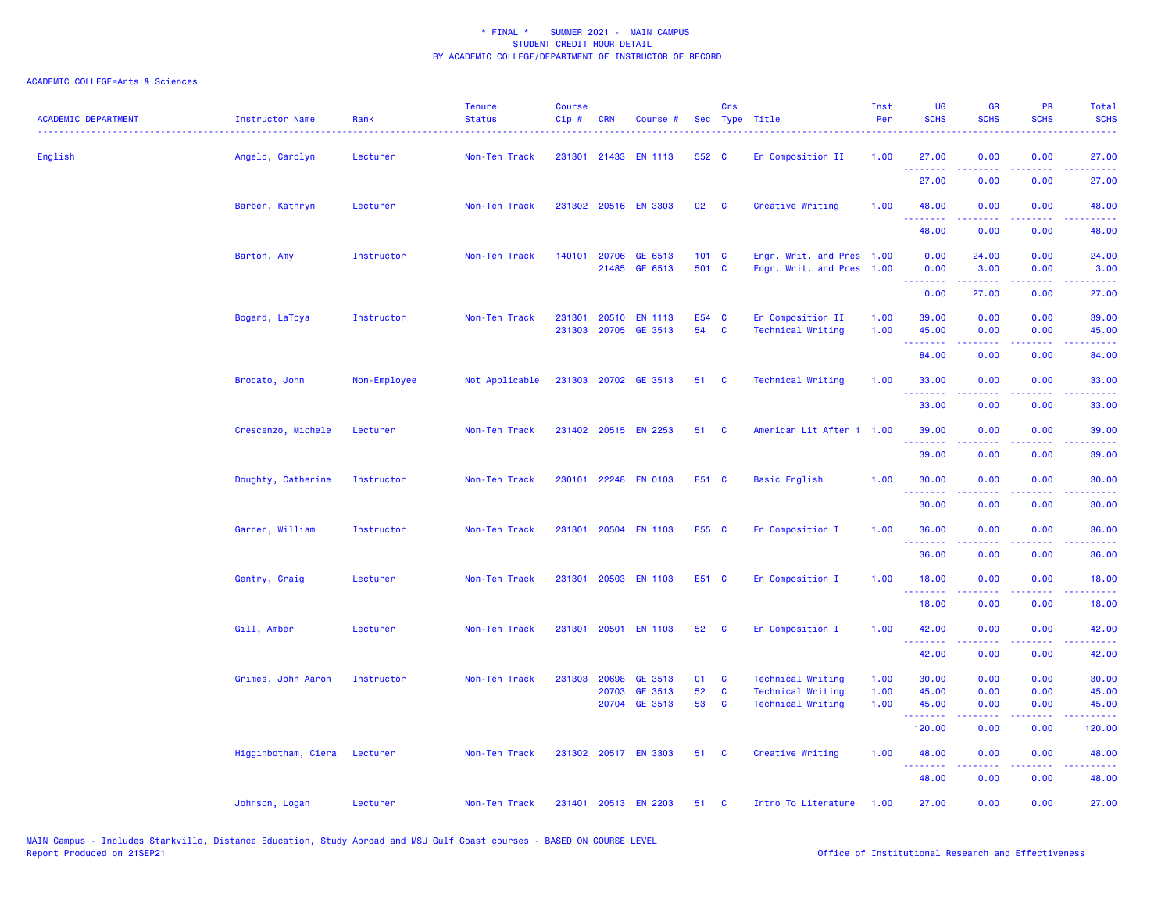| <b>ACADEMIC DEPARTMENT</b> | Instructor Name              | Rank         | <b>Tenure</b><br><b>Status</b> | <b>Course</b><br>Cip# | <b>CRN</b> | Course #             |       | Crs          | Sec Type Title            | Inst<br>Per | <b>UG</b><br><b>SCHS</b> | <b>GR</b><br><b>SCHS</b> | PR<br><b>SCHS</b>                                                                                                                 | Total<br><b>SCHS</b> |
|----------------------------|------------------------------|--------------|--------------------------------|-----------------------|------------|----------------------|-------|--------------|---------------------------|-------------|--------------------------|--------------------------|-----------------------------------------------------------------------------------------------------------------------------------|----------------------|
| English                    | Angelo, Carolyn              | Lecturer     | Non-Ten Track                  |                       |            | 231301 21433 EN 1113 | 552 C |              | En Composition II         | 1.00        | 27.00<br>.               | 0.00<br>.                | 0.00<br>$\frac{1}{2} \left( \frac{1}{2} \right) \left( \frac{1}{2} \right) \left( \frac{1}{2} \right) \left( \frac{1}{2} \right)$ | 27.00<br>.           |
|                            |                              |              |                                |                       |            |                      |       |              |                           |             | 27.00                    | 0.00                     | 0.00                                                                                                                              | 27.00                |
|                            | Barber, Kathryn              | Lecturer     | Non-Ten Track                  |                       |            | 231302 20516 EN 3303 | 02    | $\mathbf{C}$ | Creative Writing          | 1.00        | 48.00                    | 0.00                     | 0.00                                                                                                                              | 48.00                |
|                            |                              |              |                                |                       |            |                      |       |              |                           |             | 48.00                    | 0.00                     | 0.00                                                                                                                              | 48.00                |
|                            | Barton, Amy                  | Instructor   | Non-Ten Track                  | 140101                | 20706      | GE 6513              | 101 C |              | Engr. Writ. and Pres 1.00 |             | 0.00                     | 24.00                    | 0.00                                                                                                                              | 24.00                |
|                            |                              |              |                                |                       |            | 21485 GE 6513        | 501 C |              | Engr. Writ. and Pres 1.00 |             | 0.00<br>.                | 3.00                     | 0.00                                                                                                                              | 3.00                 |
|                            |                              |              |                                |                       |            |                      |       |              |                           |             | 0.00                     | 27.00                    | 0.00                                                                                                                              | 27.00                |
|                            | Bogard, LaToya               | Instructor   | Non-Ten Track                  | 231301                | 20510      | <b>EN 1113</b>       | E54 C |              | En Composition II         | 1.00        | 39.00                    | 0.00                     | 0.00                                                                                                                              | 39.00                |
|                            |                              |              |                                |                       |            | 231303 20705 GE 3513 | 54    | <b>C</b>     | <b>Technical Writing</b>  | 1.00        | 45.00                    | 0.00                     | 0.00                                                                                                                              | 45.00                |
|                            |                              |              |                                |                       |            |                      |       |              |                           |             | 84.00                    | 0.00                     | 0.00                                                                                                                              | 84.00                |
|                            | Brocato, John                | Non-Employee | Not Applicable                 |                       |            | 231303 20702 GE 3513 | 51    | C            | <b>Technical Writing</b>  | 1.00        | 33.00                    | 0.00                     | 0.00                                                                                                                              | 33.00                |
|                            |                              |              |                                |                       |            |                      |       |              |                           |             | 33.00                    | 0.00                     | 0.00                                                                                                                              | 33.00                |
|                            | Crescenzo, Michele           | Lecturer     | Non-Ten Track                  |                       |            | 231402 20515 EN 2253 | 51    | C            | American Lit After 1 1.00 |             | 39.00                    | 0.00                     | 0.00                                                                                                                              | 39.00                |
|                            |                              |              |                                |                       |            |                      |       |              |                           |             | 39.00                    | 0.00                     | 0.00                                                                                                                              | 39.00                |
|                            | Doughty, Catherine           | Instructor   | Non-Ten Track                  |                       |            | 230101 22248 EN 0103 | E51 C |              | <b>Basic English</b>      | 1.00        | 30.00                    | 0.00                     | 0.00                                                                                                                              | 30.00                |
|                            |                              |              |                                |                       |            |                      |       |              |                           |             | 30.00                    | 0.00                     | 0.00                                                                                                                              | 30.00                |
|                            | Garner, William              | Instructor   | Non-Ten Track                  |                       |            | 231301 20504 EN 1103 | E55 C |              | En Composition I          | 1.00        | 36.00                    | 0.00                     | 0.00                                                                                                                              | 36.00                |
|                            |                              |              |                                |                       |            |                      |       |              |                           |             | <u> - - - - - - - -</u>  |                          |                                                                                                                                   | <u>.</u>             |
|                            |                              |              |                                |                       |            |                      |       |              |                           |             | 36.00                    | 0.00                     | 0.00                                                                                                                              | 36.00                |
|                            | Gentry, Craig                | Lecturer     | Non-Ten Track                  |                       |            | 231301 20503 EN 1103 | E51 C |              | En Composition I          | 1.00        | 18.00                    | 0.00                     | 0.00                                                                                                                              | 18.00                |
|                            |                              |              |                                |                       |            |                      |       |              |                           |             | 18.00                    | 0.00                     | 0.00                                                                                                                              | 18.00                |
|                            | Gill, Amber                  | Lecturer     | Non-Ten Track                  | 231301                |            | 20501 EN 1103        | 52    | C            | En Composition I          | 1.00        | 42.00<br>.               | 0.00<br>المتمالين        | 0.00<br>$\omega$ is a set                                                                                                         | 42.00<br>والمستناب   |
|                            |                              |              |                                |                       |            |                      |       |              |                           |             | 42.00                    | 0.00                     | 0.00                                                                                                                              | 42.00                |
|                            | Grimes, John Aaron           | Instructor   | Non-Ten Track                  | 231303                | 20698      | GE 3513              | 01    | C            | <b>Technical Writing</b>  | 1.00        | 30.00                    | 0.00                     | 0.00                                                                                                                              | 30.00                |
|                            |                              |              |                                |                       | 20703      | GE 3513              | 52    | $\mathbf{C}$ | <b>Technical Writing</b>  | 1.00        | 45.00                    | 0.00                     | 0.00                                                                                                                              | 45.00                |
|                            |                              |              |                                |                       |            | 20704 GE 3513        | 53    | C            | <b>Technical Writing</b>  | 1.00        | 45.00<br>.               | 0.00<br>.                | 0.00<br>.                                                                                                                         | 45.00<br>.           |
|                            |                              |              |                                |                       |            |                      |       |              |                           |             | 120.00                   | 0.00                     | 0.00                                                                                                                              | 120.00               |
|                            | Higginbotham, Ciera Lecturer |              | Non-Ten Track                  |                       |            | 231302 20517 EN 3303 | 51    | <b>C</b>     | Creative Writing          | 1.00        | 48.00<br>.               | 0.00                     | 0.00<br>$\frac{1}{2} \left( \frac{1}{2} \right) \left( \frac{1}{2} \right) \left( \frac{1}{2} \right) \left( \frac{1}{2} \right)$ | 48.00<br>.           |
|                            |                              |              |                                |                       |            |                      |       |              |                           |             | 48.00                    | 0.00                     | 0.00                                                                                                                              | 48.00                |
|                            | Johnson, Logan               | Lecturer     | Non-Ten Track                  | 231401                |            | 20513 EN 2203        | 51    | C            | Intro To Literature       | 1.00        | 27.00                    | 0.00                     | 0.00                                                                                                                              | 27.00                |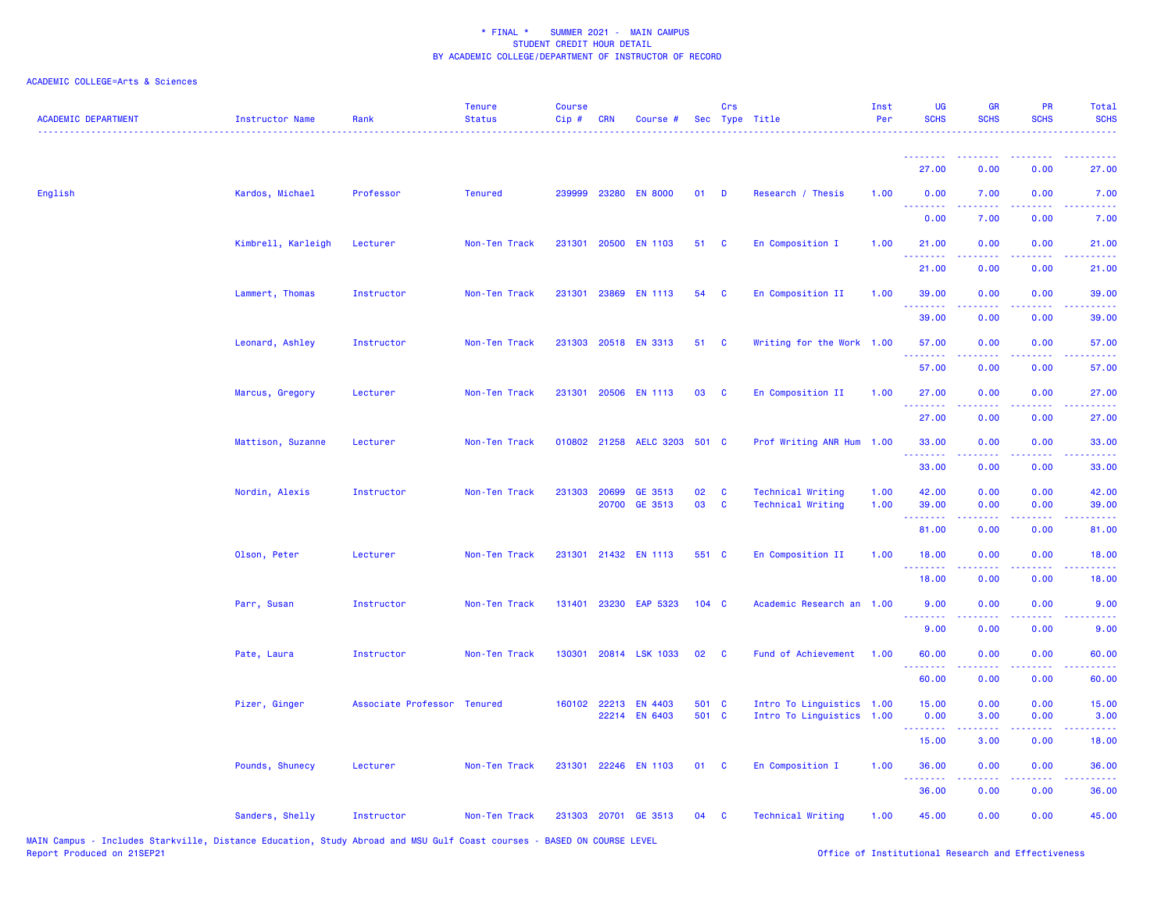| <b>ACADEMIC DEPARTMENT</b> | <b>Instructor Name</b> | Rank                        | <b>Tenure</b><br><b>Status</b> | <b>Course</b><br>Cip# | <b>CRN</b>     | Course #                     |                  | Crs          | Sec Type Title                                       | Inst<br>Per  | UG<br><b>SCHS</b>     | <b>GR</b><br><b>SCHS</b>                                                                                                                                     | <b>PR</b><br><b>SCHS</b>                                                                                                          | Total<br><b>SCHS</b> |
|----------------------------|------------------------|-----------------------------|--------------------------------|-----------------------|----------------|------------------------------|------------------|--------------|------------------------------------------------------|--------------|-----------------------|--------------------------------------------------------------------------------------------------------------------------------------------------------------|-----------------------------------------------------------------------------------------------------------------------------------|----------------------|
|                            |                        |                             |                                |                       |                |                              |                  |              |                                                      |              | 27.00                 | 0.00                                                                                                                                                         | 0.00                                                                                                                              | 27.00                |
| English                    | Kardos, Michael        | Professor                   | <b>Tenured</b>                 |                       |                | 239999 23280 EN 8000         | $01$ D           |              | Research / Thesis                                    | 1.00         | 0.00                  | 7.00                                                                                                                                                         | 0.00                                                                                                                              | 7.00                 |
|                            |                        |                             |                                |                       |                |                              |                  |              |                                                      |              | .<br>0.00             | 7.00                                                                                                                                                         | 0.00                                                                                                                              | 7.00                 |
|                            | Kimbrell, Karleigh     | Lecturer                    | Non-Ten Track                  |                       |                | 231301 20500 EN 1103         | 51               | $\mathbf{C}$ | En Composition I                                     | 1.00         | 21.00                 | 0.00                                                                                                                                                         | 0.00                                                                                                                              | 21.00                |
|                            |                        |                             |                                |                       |                |                              |                  |              |                                                      |              | .<br>21.00            | 0.00                                                                                                                                                         | 0.00                                                                                                                              | 21.00                |
|                            | Lammert, Thomas        | Instructor                  | Non-Ten Track                  |                       |                | 231301 23869 EN 1113         | 54               | C            | En Composition II                                    | 1.00         | 39.00                 | 0.00                                                                                                                                                         | 0.00                                                                                                                              | 39.00                |
|                            |                        |                             |                                |                       |                |                              |                  |              |                                                      |              | .<br>39.00            | 0.00                                                                                                                                                         | 0.00                                                                                                                              | 39.00                |
|                            | Leonard, Ashley        | Instructor                  | Non-Ten Track                  |                       |                | 231303 20518 EN 3313         | 51               | $\mathbf{C}$ | Writing for the Work 1.00                            |              | 57.00                 | 0.00                                                                                                                                                         | 0.00                                                                                                                              | 57.00                |
|                            |                        |                             |                                |                       |                |                              |                  |              |                                                      |              | .<br>57.00            | 0.00                                                                                                                                                         | 0.00                                                                                                                              | 57.00                |
|                            | Marcus, Gregory        | Lecturer                    | Non-Ten Track                  |                       |                | 231301 20506 EN 1113         | 03               | <b>C</b>     | En Composition II                                    | 1.00         | 27.00<br>. <b>.</b>   | 0.00                                                                                                                                                         | 0.00                                                                                                                              | 27.00                |
|                            |                        |                             |                                |                       |                |                              |                  |              |                                                      |              | 27.00                 | 0.00                                                                                                                                                         | 0.00                                                                                                                              | 27.00                |
|                            | Mattison, Suzanne      | Lecturer                    | Non-Ten Track                  |                       |                | 010802 21258 AELC 3203 501 C |                  |              | Prof Writing ANR Hum 1.00                            |              | 33.00<br>. <b>.</b>   | 0.00                                                                                                                                                         | 0.00<br>$\frac{1}{2} \left( \frac{1}{2} \right) \left( \frac{1}{2} \right) \left( \frac{1}{2} \right) \left( \frac{1}{2} \right)$ | 33.00                |
|                            |                        |                             |                                |                       |                |                              |                  |              |                                                      |              | 33.00                 | 0.00                                                                                                                                                         | 0.00                                                                                                                              | 33.00                |
|                            | Nordin, Alexis         | Instructor                  | Non-Ten Track                  | 231303                | 20699<br>20700 | GE 3513<br>GE 3513           | 02<br>03         | C<br>C       | <b>Technical Writing</b><br><b>Technical Writing</b> | 1.00<br>1.00 | 42.00<br>39.00        | 0.00<br>0.00                                                                                                                                                 | 0.00<br>0.00                                                                                                                      | 42.00<br>39.00       |
|                            |                        |                             |                                |                       |                |                              |                  |              |                                                      |              | 2.2.2.2.2.2<br>81.00  | 0.00                                                                                                                                                         | 0.00                                                                                                                              | 81.00                |
|                            | Olson, Peter           | Lecturer                    | Non-Ten Track                  |                       |                | 231301 21432 EN 1113         | 551 C            |              | En Composition II                                    | 1.00         | 18.00                 | 0.00                                                                                                                                                         | 0.00                                                                                                                              | 18.00                |
|                            |                        |                             |                                |                       |                |                              |                  |              |                                                      |              | 18.00                 | 0.00                                                                                                                                                         | 0.00                                                                                                                              | 18.00                |
|                            | Parr, Susan            | Instructor                  | Non-Ten Track                  |                       |                | 131401 23230 EAP 5323        | 104 <sub>C</sub> |              | Academic Research an 1.00                            |              | 9.00                  | 0.00                                                                                                                                                         | 0.00                                                                                                                              | 9.00                 |
|                            |                        |                             |                                |                       |                |                              |                  |              |                                                      |              | 9.00                  | 0.00                                                                                                                                                         | 0.00                                                                                                                              | 9.00                 |
|                            | Pate, Laura            | Instructor                  | Non-Ten Track                  |                       |                | 130301 20814 LSK 1033        | 02               | $\mathbf{C}$ | Fund of Achievement                                  | 1.00         | 60.00                 | 0.00                                                                                                                                                         | 0.00                                                                                                                              | 60.00                |
|                            |                        |                             |                                |                       |                |                              |                  |              |                                                      |              | . <u>.</u> .<br>60.00 | 0.00                                                                                                                                                         | 0.00                                                                                                                              | 60.00                |
|                            | Pizer, Ginger          | Associate Professor Tenured |                                |                       | 160102 22213   | <b>EN 4403</b>               | 501 C            |              | Intro To Linguistics 1.00                            |              | 15.00                 | 0.00                                                                                                                                                         | 0.00                                                                                                                              | 15.00                |
|                            |                        |                             |                                |                       |                | 22214 EN 6403                | 501 C            |              | Intro To Linguistics 1.00                            |              | 0.00<br>.             | 3.00                                                                                                                                                         | 0.00<br>والمستناء                                                                                                                 | 3.00                 |
|                            |                        |                             |                                |                       |                |                              |                  |              |                                                      |              | 15.00                 | 3.00                                                                                                                                                         | 0.00                                                                                                                              | 18.00                |
|                            | Pounds, Shunecy        | Lecturer                    | Non-Ten Track                  |                       |                | 231301 22246 EN 1103         | 01 C             |              | En Composition I                                     | 1.00         | 36.00<br>.            | 0.00<br>$\frac{1}{2} \left( \frac{1}{2} \right) \left( \frac{1}{2} \right) \left( \frac{1}{2} \right) \left( \frac{1}{2} \right) \left( \frac{1}{2} \right)$ | 0.00<br>.                                                                                                                         | 36.00                |
|                            |                        |                             |                                |                       |                |                              |                  |              |                                                      |              | 36.00                 | 0.00                                                                                                                                                         | 0.00                                                                                                                              | 36.00                |
|                            | Sanders, Shelly        | Instructor                  | Non-Ten Track                  |                       |                | 231303 20701 GE 3513         | 04               | C            | <b>Technical Writing</b>                             | 1.00         | 45.00                 | 0.00                                                                                                                                                         | 0.00                                                                                                                              | 45.00                |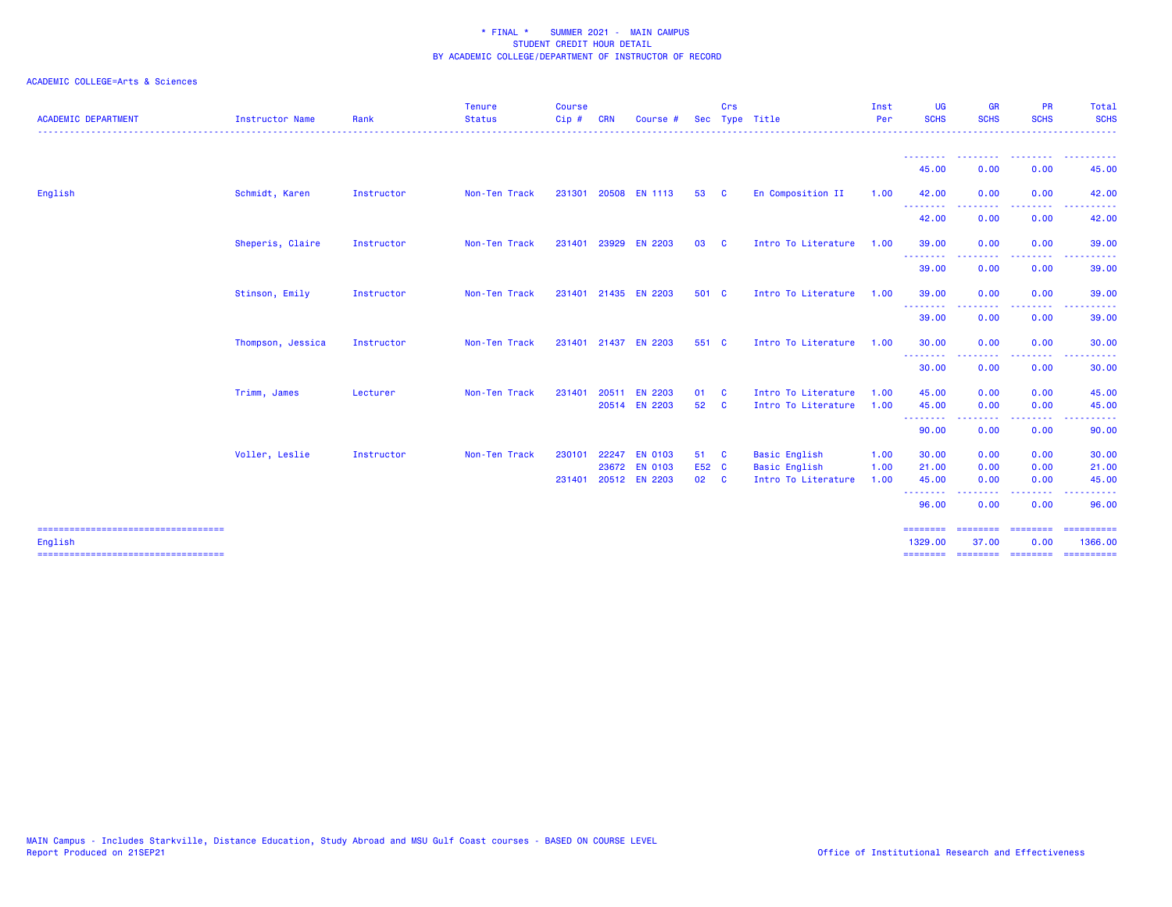| <b>ACADEMIC DEPARTMENT</b> | <b>Instructor Name</b> | Rank       | <b>Tenure</b><br><b>Status</b> | <b>Course</b><br>Cip# | <b>CRN</b> | Course #                                                |                       | Crs      | Sec Type Title                                                      | Inst<br>Per          | <b>UG</b><br><b>SCHS</b>         | <b>GR</b><br><b>SCHS</b>                                                                                                                                     | <b>PR</b><br><b>SCHS</b>                                                                                                          | Total<br><b>SCHS</b>      |
|----------------------------|------------------------|------------|--------------------------------|-----------------------|------------|---------------------------------------------------------|-----------------------|----------|---------------------------------------------------------------------|----------------------|----------------------------------|--------------------------------------------------------------------------------------------------------------------------------------------------------------|-----------------------------------------------------------------------------------------------------------------------------------|---------------------------|
|                            |                        |            |                                |                       |            |                                                         |                       |          |                                                                     |                      | --------<br>45.00                | --------<br>0.00                                                                                                                                             | --------<br>0.00                                                                                                                  | .<br>45.00                |
| English                    | Schmidt, Karen         | Instructor | Non-Ten Track                  | 231301                |            | 20508 EN 1113                                           | 53                    | <b>C</b> | En Composition II                                                   | 1.00                 | 42.00                            | 0.00                                                                                                                                                         | 0.00                                                                                                                              | 42.00                     |
|                            |                        |            |                                |                       |            |                                                         |                       |          |                                                                     |                      | --------<br>42.00                | $\frac{1}{2} \left( \frac{1}{2} \right) \left( \frac{1}{2} \right) \left( \frac{1}{2} \right) \left( \frac{1}{2} \right) \left( \frac{1}{2} \right)$<br>0.00 | $\frac{1}{2} \left( \frac{1}{2} \right) \left( \frac{1}{2} \right) \left( \frac{1}{2} \right) \left( \frac{1}{2} \right)$<br>0.00 | 42.00                     |
|                            | Sheperis, Claire       | Instructor | Non-Ten Track                  | 231401                | 23929      | <b>EN 2203</b>                                          | 03                    | - C      | Intro To Literature                                                 | 1.00                 | 39.00                            | 0.00                                                                                                                                                         | 0.00                                                                                                                              | 39.00                     |
|                            |                        |            |                                |                       |            |                                                         |                       |          |                                                                     |                      | --------<br>39.00                | 0.00                                                                                                                                                         | 0.00                                                                                                                              | 39.00                     |
|                            | Stinson, Emily         | Instructor | Non-Ten Track                  |                       |            | 231401 21435 EN 2203                                    | 501 C                 |          | Intro To Literature                                                 | 1.00                 | 39.00                            | 0.00                                                                                                                                                         | 0.00                                                                                                                              | 39.00                     |
|                            |                        |            |                                |                       |            |                                                         |                       |          |                                                                     |                      | --------<br>39.00                | 0.00                                                                                                                                                         | 0.00                                                                                                                              | 39.00                     |
|                            | Thompson, Jessica      | Instructor | Non-Ten Track                  |                       |            | 231401 21437 EN 2203                                    | 551 C                 |          | Intro To Literature                                                 | 1.00                 | 30.00                            | 0.00                                                                                                                                                         | 0.00                                                                                                                              | 30.00                     |
|                            |                        |            |                                |                       |            |                                                         |                       |          |                                                                     |                      | --------<br>30.00                | 0.00                                                                                                                                                         | 0.00                                                                                                                              | 30.00                     |
|                            | Trimm, James           | Lecturer   | Non-Ten Track                  | 231401                |            | 20511 EN 2203<br>20514 EN 2203                          | 01<br>52 C            | <b>C</b> | Intro To Literature<br>Intro To Literature                          | 1.00<br>1.00         | 45.00<br>45.00                   | 0.00<br>0.00                                                                                                                                                 | 0.00<br>0.00                                                                                                                      | 45.00<br>45.00            |
|                            |                        |            |                                |                       |            |                                                         |                       |          |                                                                     |                      | ---------<br>90.00               | ------<br>0.00                                                                                                                                               | .<br>0.00                                                                                                                         | 90.00                     |
|                            | Voller, Leslie         | Instructor | Non-Ten Track                  | 230101                | 22247      | <b>EN 0103</b><br>23672 EN 0103<br>231401 20512 EN 2203 | 51 C<br>E52 C<br>02 C |          | <b>Basic English</b><br><b>Basic English</b><br>Intro To Literature | 1.00<br>1.00<br>1.00 | 30.00<br>21.00<br>45.00          | 0.00<br>0.00<br>0.00                                                                                                                                         | 0.00<br>0.00<br>0.00                                                                                                              | 30.00<br>21.00<br>45.00   |
|                            |                        |            |                                |                       |            |                                                         |                       |          |                                                                     |                      | .<br>96.00                       | $\frac{1}{2} \left( \frac{1}{2} \right) \left( \frac{1}{2} \right) \left( \frac{1}{2} \right) \left( \frac{1}{2} \right)$<br>0.00                            | 0.00                                                                                                                              | 96.00                     |
| English                    |                        |            |                                |                       |            |                                                         |                       |          |                                                                     |                      | ========<br>1329,00<br>========= | <b>EBBERER</b><br>37.00                                                                                                                                      | <b>EEEEEEE</b><br>0.00                                                                                                            | $=$ ==========<br>1366.00 |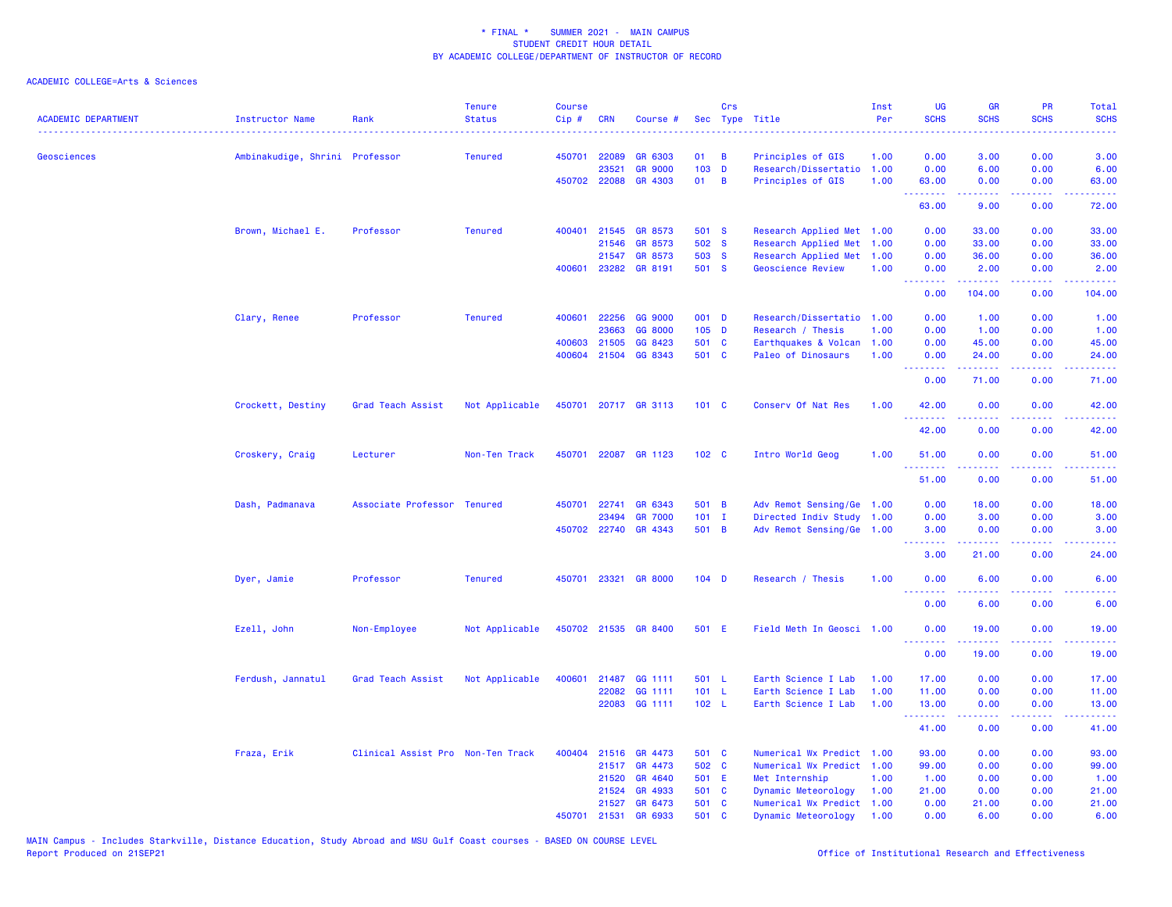| <b>ACADEMIC DEPARTMENT</b> | <b>Instructor Name</b>         | Rank                              | <b>Tenure</b><br><b>Status</b> | <b>Course</b><br>Cip# | <b>CRN</b> | Course #             |                  | Crs      | Sec Type Title            | Inst<br>Per | <b>UG</b><br><b>SCHS</b>                                                                                                          | <b>GR</b><br><b>SCHS</b>                                                                                                           | PR<br><b>SCHS</b>                   | Total<br><b>SCHS</b>            |
|----------------------------|--------------------------------|-----------------------------------|--------------------------------|-----------------------|------------|----------------------|------------------|----------|---------------------------|-------------|-----------------------------------------------------------------------------------------------------------------------------------|------------------------------------------------------------------------------------------------------------------------------------|-------------------------------------|---------------------------------|
|                            |                                |                                   |                                |                       |            |                      |                  |          |                           |             |                                                                                                                                   |                                                                                                                                    |                                     |                                 |
| Geosciences                | Ambinakudige, Shrini Professor |                                   | <b>Tenured</b>                 | 450701                | 22089      | GR 6303              | 01               | B        | Principles of GIS         | 1.00        | 0.00                                                                                                                              | 3.00                                                                                                                               | 0.00                                | 3.00                            |
|                            |                                |                                   |                                |                       | 23521      | <b>GR 9000</b>       | 103 D            |          | Research/Dissertatio      | 1.00        | 0.00                                                                                                                              | 6.00                                                                                                                               | 0.00                                | 6.00                            |
|                            |                                |                                   |                                |                       |            | 450702 22088 GR 4303 | 01               | B        | Principles of GIS         | 1.00        | 63.00<br>.                                                                                                                        | 0.00<br>22222                                                                                                                      | 0.00<br>.                           | 63.00<br>.                      |
|                            |                                |                                   |                                |                       |            |                      |                  |          |                           |             | 63.00                                                                                                                             | 9.00                                                                                                                               | 0.00                                | 72.00                           |
|                            | Brown, Michael E.              | Professor                         | <b>Tenured</b>                 | 400401                |            | 21545 GR 8573        | 501 S            |          | Research Applied Met 1.00 |             | 0.00                                                                                                                              | 33.00                                                                                                                              | 0.00                                | 33.00                           |
|                            |                                |                                   |                                |                       | 21546      | GR 8573              | 502 S            |          | Research Applied Met      | 1.00        | 0.00                                                                                                                              | 33.00                                                                                                                              | 0.00                                | 33.00                           |
|                            |                                |                                   |                                |                       | 21547      | GR 8573              | 503 S            |          | Research Applied Met      | 1.00        | 0.00                                                                                                                              | 36.00                                                                                                                              | 0.00                                | 36.00                           |
|                            |                                |                                   |                                | 400601                |            | 23282 GR 8191        | 501 S            |          | <b>Geoscience Review</b>  | 1.00        | 0.00<br>.                                                                                                                         | 2.00<br>المتمالين                                                                                                                  | 0.00<br>.                           | 2.00<br>.                       |
|                            |                                |                                   |                                |                       |            |                      |                  |          |                           |             | 0.00                                                                                                                              | 104.00                                                                                                                             | 0.00                                | 104.00                          |
|                            | Clary, Renee                   | Professor                         | <b>Tenured</b>                 | 400601                | 22256      | GG 9000              | 001 D            |          | Research/Dissertatio      | 1.00        | 0.00                                                                                                                              | 1.00                                                                                                                               | 0.00                                | 1.00                            |
|                            |                                |                                   |                                |                       | 23663      | GG 8000              | $105$ D          |          | Research / Thesis         | 1.00        | 0.00                                                                                                                              | 1.00                                                                                                                               | 0.00                                | 1.00                            |
|                            |                                |                                   |                                | 400603                | 21505      | GG 8423              | 501 C            |          | Earthquakes & Volcan      | 1.00        | 0.00                                                                                                                              | 45.00                                                                                                                              | 0.00                                | 45.00                           |
|                            |                                |                                   |                                | 400604                | 21504      | GG 8343              | 501 C            |          | Paleo of Dinosaurs        | 1.00        | 0.00<br><u>.</u>                                                                                                                  | 24.00<br>بالأبادي                                                                                                                  | 0.00<br>د د د د .                   | 24.00<br>.                      |
|                            |                                |                                   |                                |                       |            |                      |                  |          |                           |             | 0.00                                                                                                                              | 71.00                                                                                                                              | 0.00                                | 71.00                           |
|                            | Crockett, Destiny              | Grad Teach Assist                 | Not Applicable                 | 450701                |            | 20717 GR 3113        | 101 C            |          | Conserv Of Nat Res        | 1.00        | 42.00                                                                                                                             | 0.00                                                                                                                               | 0.00                                | 42.00                           |
|                            |                                |                                   |                                |                       |            |                      |                  |          |                           |             | .<br>42.00                                                                                                                        | .<br>0.00                                                                                                                          | ----<br>0.00                        | .<br>42.00                      |
|                            | Croskery, Craig                | Lecturer                          | Non-Ten Track                  | 450701                |            | 22087 GR 1123        | 102 <sub>c</sub> |          | Intro World Geog          | 1.00        | 51.00                                                                                                                             | 0.00                                                                                                                               | 0.00                                | 51.00                           |
|                            |                                |                                   |                                |                       |            |                      |                  |          |                           |             | 51.00                                                                                                                             | 0.00                                                                                                                               | 0.00                                | 51.00                           |
|                            | Dash, Padmanava                | Associate Professor Tenured       |                                | 450701                | 22741      | GR 6343              | 501 B            |          | Adv Remot Sensing/Ge 1.00 |             | 0.00                                                                                                                              | 18.00                                                                                                                              | 0.00                                | 18.00                           |
|                            |                                |                                   |                                |                       | 23494      | <b>GR 7000</b>       | $101$ I          |          | Directed Indiv Study 1.00 |             | 0.00                                                                                                                              | 3.00                                                                                                                               | 0.00                                | 3.00                            |
|                            |                                |                                   |                                |                       |            | 450702 22740 GR 4343 | 501 B            |          | Adv Remot Sensing/Ge 1.00 |             | 3.00                                                                                                                              | 0.00                                                                                                                               | 0.00                                | 3.00                            |
|                            |                                |                                   |                                |                       |            |                      |                  |          |                           |             | .<br>3.00                                                                                                                         | $\frac{1}{2} \left( \frac{1}{2} \right) \left( \frac{1}{2} \right) \left( \frac{1}{2} \right) \left( \frac{1}{2} \right)$<br>21.00 | د د د د<br>0.00                     | $\omega$ is $\omega$ .<br>24.00 |
|                            | Dyer, Jamie                    | Professor                         | <b>Tenured</b>                 | 450701                | 23321      | <b>GR 8000</b>       | $104$ D          |          | Research / Thesis         | 1.00        | 0.00<br>.                                                                                                                         | 6.00<br>.                                                                                                                          | 0.00<br>$\sim$ $\sim$ $\sim$ $\sim$ | 6.00<br>2222.                   |
|                            |                                |                                   |                                |                       |            |                      |                  |          |                           |             | 0.00                                                                                                                              | 6.00                                                                                                                               | 0.00                                | 6.00                            |
|                            | Ezell, John                    | Non-Employee                      | Not Applicable                 |                       |            | 450702 21535 GR 8400 | 501 E            |          | Field Meth In Geosci 1.00 |             | 0.00<br>$\frac{1}{2} \left( \frac{1}{2} \right) \left( \frac{1}{2} \right) \left( \frac{1}{2} \right) \left( \frac{1}{2} \right)$ | 19.00                                                                                                                              | 0.00                                | 19.00                           |
|                            |                                |                                   |                                |                       |            |                      |                  |          |                           |             | 0.00                                                                                                                              | 19.00                                                                                                                              | 0.00                                | 19.00                           |
|                            | Ferdush, Jannatul              | Grad Teach Assist                 | Not Applicable                 | 400601                | 21487      | GG 1111              | 501 L            |          | Earth Science I Lab       | 1.00        | 17.00                                                                                                                             | 0.00                                                                                                                               | 0.00                                | 17.00                           |
|                            |                                |                                   |                                |                       |            | 22082 GG 1111        | 101 L            |          | Earth Science I Lab       | 1.00        | 11.00                                                                                                                             | 0.00                                                                                                                               | 0.00                                | 11.00                           |
|                            |                                |                                   |                                |                       |            | 22083 GG 1111        | 102 L            |          | Earth Science I Lab       | 1.00        | 13.00<br><u>.</u>                                                                                                                 | 0.00<br>22222                                                                                                                      | 0.00<br>.                           | 13.00<br>.                      |
|                            |                                |                                   |                                |                       |            |                      |                  |          |                           |             | 41.00                                                                                                                             | 0.00                                                                                                                               | 0.00                                | 41.00                           |
|                            | Fraza, Erik                    | Clinical Assist Pro Non-Ten Track |                                | 400404                | 21516      | GR 4473              | 501 C            |          | Numerical Wx Predict 1.00 |             | 93.00                                                                                                                             | 0.00                                                                                                                               | 0.00                                | 93.00                           |
|                            |                                |                                   |                                |                       | 21517      | GR 4473              | 502 C            |          | Numerical Wx Predict 1.00 |             | 99.00                                                                                                                             | 0.00                                                                                                                               | 0.00                                | 99.00                           |
|                            |                                |                                   |                                |                       | 21520      | GR 4640              | 501 E            |          | Met Internship            | 1.00        | 1.00                                                                                                                              | 0.00                                                                                                                               | 0.00                                | 1.00                            |
|                            |                                |                                   |                                |                       | 21524      | GR 4933              | 501 C            |          | Dynamic Meteorology       | 1.00        | 21.00                                                                                                                             | 0.00                                                                                                                               | 0.00                                | 21.00                           |
|                            |                                |                                   |                                |                       | 21527      | GR 6473              | 501 C            |          | Numerical Wx Predict 1.00 |             | 0.00                                                                                                                              | 21.00                                                                                                                              | 0.00                                | 21.00                           |
|                            |                                |                                   |                                | 450701                | 21531      | GR 6933              | 501              | <b>C</b> | Dynamic Meteorology       | 1.00        | 0.00                                                                                                                              | 6.00                                                                                                                               | 0.00                                | 6.00                            |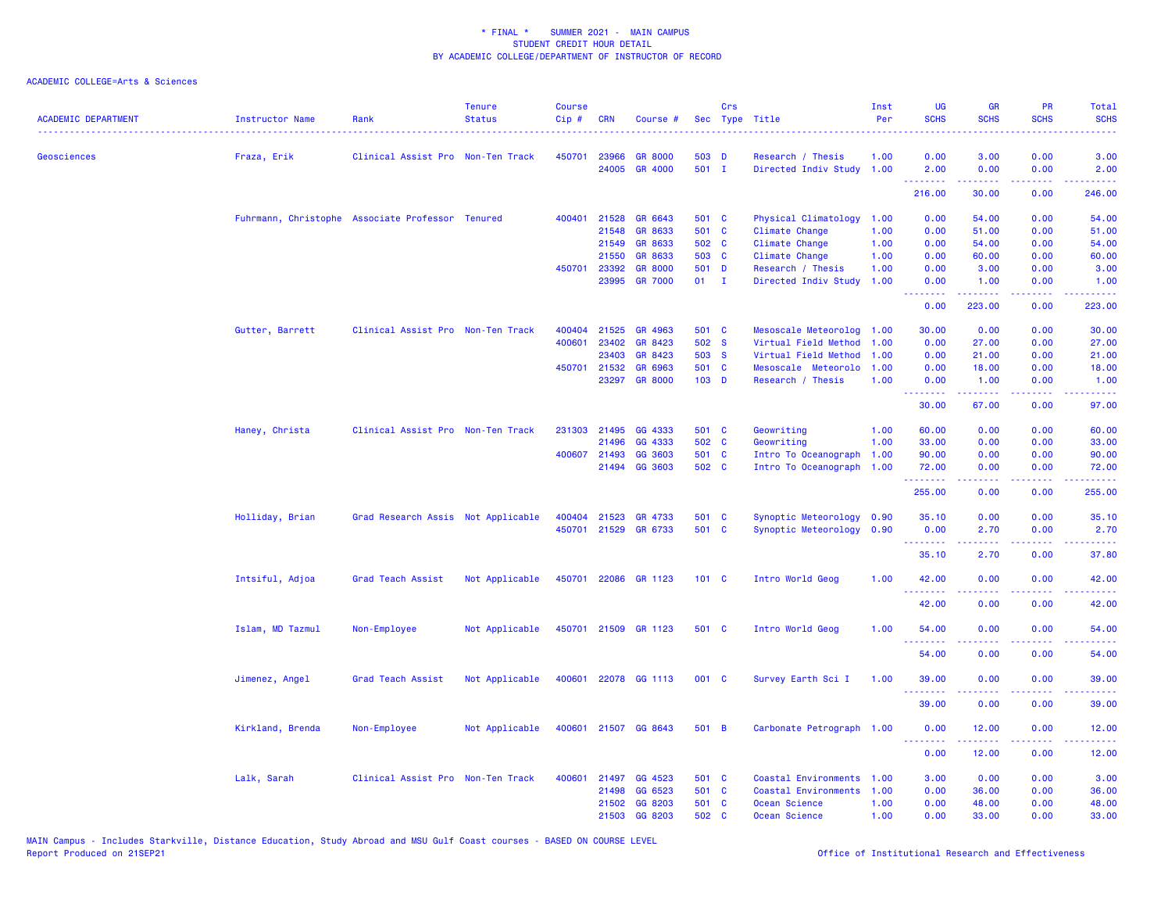| <b>ACADEMIC DEPARTMENT</b> | Instructor Name<br><u>.</u> | Rank                                             | <b>Tenure</b><br><b>Status</b> | <b>Course</b><br>Cip# | <b>CRN</b>   | Course #             |                  | Crs | Sec Type Title            | Inst<br>Per | <b>UG</b><br><b>SCHS</b> | <b>GR</b><br><b>SCHS</b>                                                                                                                                     | <b>PR</b><br><b>SCHS</b>                                                                                                          | Total<br><b>SCHS</b> |
|----------------------------|-----------------------------|--------------------------------------------------|--------------------------------|-----------------------|--------------|----------------------|------------------|-----|---------------------------|-------------|--------------------------|--------------------------------------------------------------------------------------------------------------------------------------------------------------|-----------------------------------------------------------------------------------------------------------------------------------|----------------------|
| Geosciences                | Fraza, Erik                 | Clinical Assist Pro Non-Ten Track                |                                | 450701                | 23966        | <b>GR 8000</b>       | 503 D            |     | Research / Thesis         | 1.00        | 0.00                     | 3.00                                                                                                                                                         | 0.00                                                                                                                              | 3.00                 |
|                            |                             |                                                  |                                |                       | 24005        | GR 4000              | 501 I            |     | Directed Indiv Study 1.00 |             | 2.00<br>.                | 0.00<br>$\frac{1}{2} \left( \frac{1}{2} \right) \left( \frac{1}{2} \right) \left( \frac{1}{2} \right) \left( \frac{1}{2} \right) \left( \frac{1}{2} \right)$ | 0.00<br>والمحامر                                                                                                                  | 2.00                 |
|                            |                             |                                                  |                                |                       |              |                      |                  |     |                           |             | 216.00                   | 30.00                                                                                                                                                        | 0.00                                                                                                                              | 246.00               |
|                            |                             | Fuhrmann, Christophe Associate Professor Tenured |                                | 400401                | 21528        | GR 6643              | 501 C            |     | Physical Climatology      | 1.00        | 0.00                     | 54.00                                                                                                                                                        | 0.00                                                                                                                              | 54.00                |
|                            |                             |                                                  |                                |                       | 21548        | GR 8633              | 501 C            |     | Climate Change            | 1.00        | 0.00                     | 51.00                                                                                                                                                        | 0.00                                                                                                                              | 51.00                |
|                            |                             |                                                  |                                |                       | 21549        | GR 8633              | 502 C            |     | Climate Change            | 1.00        | 0.00                     | 54.00                                                                                                                                                        | 0.00                                                                                                                              | 54.00                |
|                            |                             |                                                  |                                |                       | 21550        | GR 8633              | 503 C            |     | Climate Change            | 1.00        | 0.00                     | 60.00                                                                                                                                                        | 0.00                                                                                                                              | 60.00                |
|                            |                             |                                                  |                                |                       | 450701 23392 | <b>GR 8000</b>       | 501 D            |     | Research / Thesis         | 1.00        | 0.00                     | 3.00                                                                                                                                                         | 0.00                                                                                                                              | 3.00                 |
|                            |                             |                                                  |                                |                       | 23995        | <b>GR 7000</b>       | $01$ I           |     | Directed Indiv Study      | 1.00        | 0.00<br>.                | 1.00<br>.                                                                                                                                                    | 0.00<br>.                                                                                                                         | 1.00<br>22222        |
|                            |                             |                                                  |                                |                       |              |                      |                  |     |                           |             | 0.00                     | 223.00                                                                                                                                                       | 0.00                                                                                                                              | 223.00               |
|                            | Gutter, Barrett             | Clinical Assist Pro Non-Ten Track                |                                | 400404                | 21525        | GR 4963              | 501 C            |     | Mesoscale Meteorolog      | 1.00        | 30.00                    | 0.00                                                                                                                                                         | 0.00                                                                                                                              | 30.00                |
|                            |                             |                                                  |                                | 400601                | 23402        | GR 8423              | 502 S            |     | Virtual Field Method      | 1.00        | 0.00                     | 27.00                                                                                                                                                        | 0.00                                                                                                                              | 27.00                |
|                            |                             |                                                  |                                |                       | 23403        | GR 8423              | 503 S            |     | Virtual Field Method      | 1.00        | 0.00                     | 21.00                                                                                                                                                        | 0.00                                                                                                                              | 21.00                |
|                            |                             |                                                  |                                |                       | 450701 21532 | GR 6963              | 501 C            |     | Mesoscale Meteorolo       | 1.00        | 0.00                     | 18.00                                                                                                                                                        | 0.00                                                                                                                              | 18.00                |
|                            |                             |                                                  |                                |                       | 23297        | <b>GR 8000</b>       | 103 <sub>D</sub> |     | Research / Thesis         | 1.00        | 0.00<br>.                | 1.00<br>.                                                                                                                                                    | 0.00<br>.                                                                                                                         | 1.00<br>.            |
|                            |                             |                                                  |                                |                       |              |                      |                  |     |                           |             | 30.00                    | 67.00                                                                                                                                                        | 0.00                                                                                                                              | 97.00                |
|                            | Haney, Christa              | Clinical Assist Pro Non-Ten Track                |                                |                       | 231303 21495 | GG 4333              | 501 C            |     | Geowriting                | 1.00        | 60.00                    | 0.00                                                                                                                                                         | 0.00                                                                                                                              | 60.00                |
|                            |                             |                                                  |                                |                       | 21496        | GG 4333              | 502 C            |     | Geowriting                | 1.00        | 33.00                    | 0.00                                                                                                                                                         | 0.00                                                                                                                              | 33.00                |
|                            |                             |                                                  |                                |                       | 400607 21493 | GG 3603              | 501 C            |     | Intro To Oceanograph      | 1.00        | 90.00                    | 0.00                                                                                                                                                         | 0.00                                                                                                                              | 90.00                |
|                            |                             |                                                  |                                |                       |              | 21494 GG 3603        | 502 C            |     | Intro To Oceanograph 1.00 |             | 72.00<br>.               | 0.00<br>.                                                                                                                                                    | 0.00<br>$\frac{1}{2} \left( \frac{1}{2} \right) \left( \frac{1}{2} \right) \left( \frac{1}{2} \right) \left( \frac{1}{2} \right)$ | 72.00<br>.           |
|                            |                             |                                                  |                                |                       |              |                      |                  |     |                           |             | 255.00                   | 0.00                                                                                                                                                         | 0.00                                                                                                                              | 255.00               |
|                            | Holliday, Brian             | Grad Research Assis Not Applicable               |                                |                       | 400404 21523 | GR 4733              | 501 C            |     | Synoptic Meteorology      | 0.90        | 35.10                    | 0.00                                                                                                                                                         | 0.00                                                                                                                              | 35.10                |
|                            |                             |                                                  |                                |                       | 450701 21529 | GR 6733              | 501 C            |     | Synoptic Meteorology 0.90 |             | 0.00                     | 2.70                                                                                                                                                         | 0.00                                                                                                                              | 2.70                 |
|                            |                             |                                                  |                                |                       |              |                      |                  |     |                           |             | .<br>35.10               | 22222<br>2.70                                                                                                                                                | د د د د .<br>0.00                                                                                                                 | المتمامين<br>37.80   |
|                            | Intsiful, Adjoa             | Grad Teach Assist                                | Not Applicable                 | 450701                |              | 22086 GR 1123        | 101 C            |     | Intro World Geog          | 1.00        | 42.00                    | 0.00                                                                                                                                                         | 0.00                                                                                                                              | 42.00                |
|                            |                             |                                                  |                                |                       |              |                      |                  |     |                           |             | .<br>42.00               | .<br>0.00                                                                                                                                                    | $\frac{1}{2}$<br>0.00                                                                                                             | .<br>42.00           |
|                            |                             |                                                  |                                |                       |              |                      |                  |     |                           |             |                          |                                                                                                                                                              |                                                                                                                                   |                      |
|                            | Islam, MD Tazmul            | Non-Employee                                     | Not Applicable                 |                       |              | 450701 21509 GR 1123 | 501 C            |     | Intro World Geog          | 1.00        | 54.00                    | 0.00                                                                                                                                                         | 0.00                                                                                                                              | 54.00                |
|                            |                             |                                                  |                                |                       |              |                      |                  |     |                           |             | 54.00                    | 0.00                                                                                                                                                         | 0.00                                                                                                                              | 54.00                |
|                            | Jimenez, Angel              | Grad Teach Assist                                | Not Applicable                 |                       |              | 400601 22078 GG 1113 | 001 C            |     | Survey Earth Sci I        | 1.00        | 39.00<br>.               | 0.00                                                                                                                                                         | 0.00                                                                                                                              | 39.00                |
|                            |                             |                                                  |                                |                       |              |                      |                  |     |                           |             | 39.00                    | 0.00                                                                                                                                                         | 0.00                                                                                                                              | 39.00                |
|                            | Kirkland, Brenda            | Non-Employee                                     | Not Applicable                 |                       |              | 400601 21507 GG 8643 | 501 B            |     | Carbonate Petrograph 1.00 |             | 0.00                     | 12.00                                                                                                                                                        | 0.00                                                                                                                              | 12.00                |
|                            |                             |                                                  |                                |                       |              |                      |                  |     |                           |             | . <b>.</b><br>0.00       | 12.00                                                                                                                                                        | 0.00                                                                                                                              | .<br>12.00           |
|                            | Lalk, Sarah                 | Clinical Assist Pro Non-Ten Track                |                                | 400601                | 21497        | GG 4523              | 501 C            |     | Coastal Environments      | 1.00        | 3.00                     | 0.00                                                                                                                                                         | 0.00                                                                                                                              | 3.00                 |
|                            |                             |                                                  |                                |                       | 21498        | GG 6523              | 501 C            |     | Coastal Environments      | 1.00        | 0.00                     | 36.00                                                                                                                                                        | 0.00                                                                                                                              | 36.00                |
|                            |                             |                                                  |                                |                       | 21502        | GG 8203              | 501 C            |     | Ocean Science             | 1.00        | 0.00                     | 48.00                                                                                                                                                        | 0.00                                                                                                                              | 48.00                |
|                            |                             |                                                  |                                |                       | 21503        | GG 8203              | 502 C            |     | Ocean Science             | 1.00        | 0.00                     | 33.00                                                                                                                                                        | 0.00                                                                                                                              | 33.00                |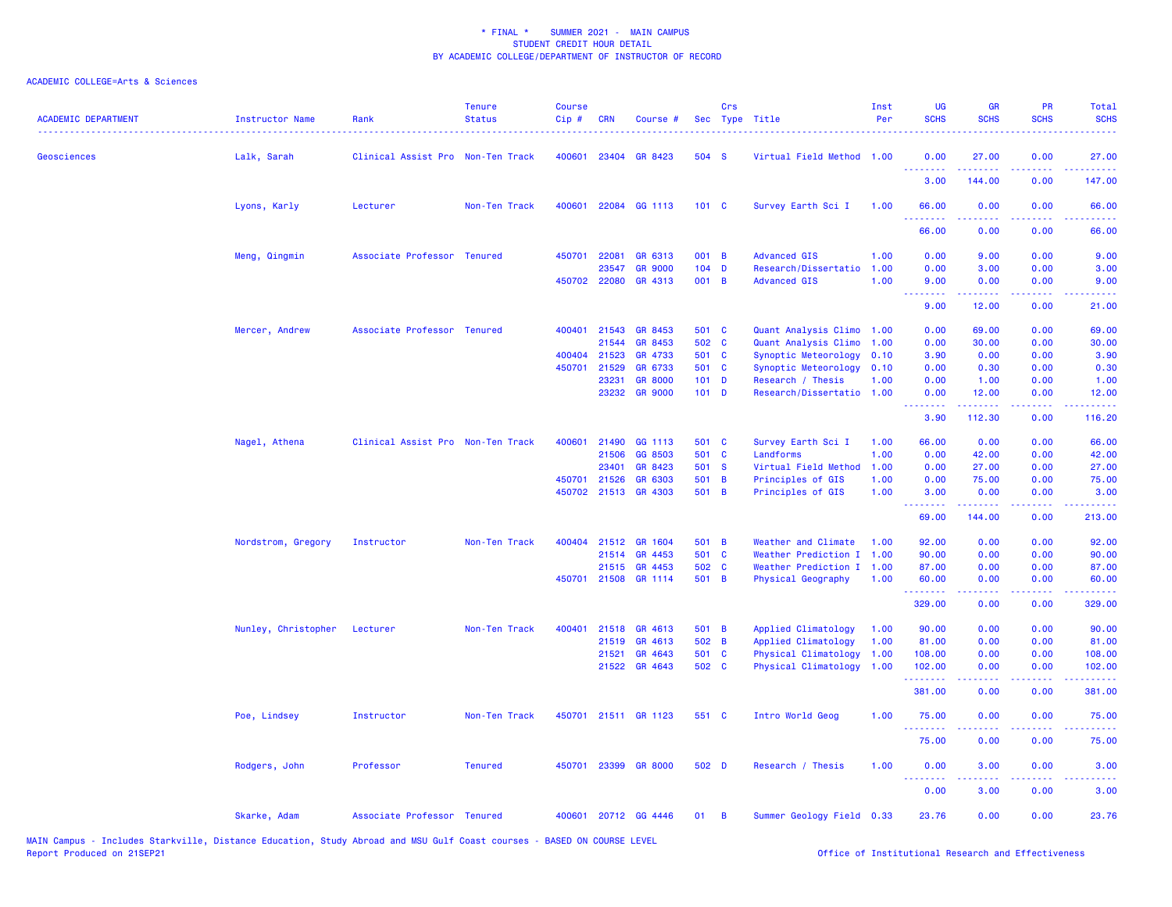## ACADEMIC COLLEGE=Arts & Sciences

| <b>ACADEMIC DEPARTMENT</b> | <b>Instructor Name</b> | Rank                              | <b>Tenure</b><br><b>Status</b> | <b>Course</b><br>Cip# | CRN          | Course #             |         | Crs            | Sec Type Title            | Inst<br>Per | <b>UG</b><br><b>SCHS</b>        | <b>GR</b><br><b>SCHS</b>                                                                                                                                     | <b>PR</b><br><b>SCHS</b>     | Total<br><b>SCHS</b>                                                                                                                                           |
|----------------------------|------------------------|-----------------------------------|--------------------------------|-----------------------|--------------|----------------------|---------|----------------|---------------------------|-------------|---------------------------------|--------------------------------------------------------------------------------------------------------------------------------------------------------------|------------------------------|----------------------------------------------------------------------------------------------------------------------------------------------------------------|
| Geosciences                | Lalk, Sarah            | Clinical Assist Pro Non-Ten Track |                                |                       | 400601 23404 | GR 8423              | 504 S   |                | Virtual Field Method 1.00 |             | 0.00<br>.                       | 27.00                                                                                                                                                        | 0.00<br>$\sim$ $\sim$ $\sim$ | 27.00<br>. <b>.</b>                                                                                                                                            |
|                            |                        |                                   |                                |                       |              |                      |         |                |                           |             | 3.00                            | 144.00                                                                                                                                                       | 0.00                         | 147.00                                                                                                                                                         |
|                            | Lyons, Karly           | Lecturer                          | Non-Ten Track                  | 400601                |              | 22084 GG 1113        | 101 C   |                | Survey Earth Sci I        | 1.00        | 66.00<br>.                      | 0.00                                                                                                                                                         | 0.00                         | 66.00                                                                                                                                                          |
|                            |                        |                                   |                                |                       |              |                      |         |                |                           |             | 66.00                           | 0.00                                                                                                                                                         | 0.00                         | 66.00                                                                                                                                                          |
|                            | Meng, Qingmin          | Associate Professor Tenured       |                                | 450701                | 22081        | GR 6313              | 001 B   |                | <b>Advanced GIS</b>       | 1.00        | 0.00                            | 9.00                                                                                                                                                         | 0.00                         | 9.00                                                                                                                                                           |
|                            |                        |                                   |                                |                       | 23547        | <b>GR 9000</b>       | $104$ D |                | Research/Dissertatio      | 1.00        | 0.00                            | 3.00                                                                                                                                                         | 0.00                         | 3.00                                                                                                                                                           |
|                            |                        |                                   |                                |                       | 450702 22080 | GR 4313              | 001 B   |                | <b>Advanced GIS</b>       | 1.00        | 9.00                            | 0.00                                                                                                                                                         | 0.00                         | 9.00                                                                                                                                                           |
|                            |                        |                                   |                                |                       |              |                      |         |                |                           |             | <u> - - - - - - - -</u><br>9.00 | .<br>12.00                                                                                                                                                   | .<br>0.00                    | .<br>21.00                                                                                                                                                     |
|                            | Mercer, Andrew         | Associate Professor Tenured       |                                | 400401                | 21543        | GR 8453              | 501 C   |                | Quant Analysis Climo 1.00 |             | 0.00                            | 69.00                                                                                                                                                        | 0.00                         | 69.00                                                                                                                                                          |
|                            |                        |                                   |                                |                       | 21544        | GR 8453              | 502 C   |                | Quant Analysis Climo      | 1.00        | 0.00                            | 30.00                                                                                                                                                        | 0.00                         | 30.00                                                                                                                                                          |
|                            |                        |                                   |                                |                       | 400404 21523 | GR 4733              | 501 C   |                | Synoptic Meteorology      | 0.10        | 3.90                            | 0.00                                                                                                                                                         | 0.00                         | 3.90                                                                                                                                                           |
|                            |                        |                                   |                                | 450701                | 21529        | GR 6733              | 501 C   |                | Synoptic Meteorology      | 0.10        | 0.00                            | 0.30                                                                                                                                                         | 0.00                         | 0.30                                                                                                                                                           |
|                            |                        |                                   |                                |                       | 23231        | <b>GR 8000</b>       | $101$ D |                | Research / Thesis         | 1.00        | 0.00                            | 1.00                                                                                                                                                         | 0.00                         | 1.00                                                                                                                                                           |
|                            |                        |                                   |                                |                       |              | 23232 GR 9000        | $101$ D |                | Research/Dissertatio 1.00 |             | 0.00                            | 12.00                                                                                                                                                        | 0.00                         | 12.00                                                                                                                                                          |
|                            |                        |                                   |                                |                       |              |                      |         |                |                           |             | .<br>3.90                       | بالأبادي<br>112.30                                                                                                                                           | 0.00                         | .<br>116.20                                                                                                                                                    |
|                            | Nagel, Athena          | Clinical Assist Pro Non-Ten Track |                                | 400601                | 21490        | GG 1113              | 501 C   |                | Survey Earth Sci I        | 1.00        | 66.00                           | 0.00                                                                                                                                                         | 0.00                         | 66.00                                                                                                                                                          |
|                            |                        |                                   |                                |                       | 21506        | GG 8503              | 501 C   |                | Landforms                 | 1.00        | 0.00                            | 42.00                                                                                                                                                        | 0.00                         | 42.00                                                                                                                                                          |
|                            |                        |                                   |                                |                       | 23401        | GR 8423              | 501 S   |                | Virtual Field Method      | 1.00        | 0.00                            | 27.00                                                                                                                                                        | 0.00                         | 27.00                                                                                                                                                          |
|                            |                        |                                   |                                |                       | 450701 21526 | GR 6303              | 501 B   |                | Principles of GIS         | 1.00        | 0.00                            | 75.00                                                                                                                                                        | 0.00                         | 75.00                                                                                                                                                          |
|                            |                        |                                   |                                |                       |              | 450702 21513 GR 4303 | 501 B   |                | Principles of GIS         | 1.00        | 3.00                            | 0.00                                                                                                                                                         | 0.00                         | 3.00                                                                                                                                                           |
|                            |                        |                                   |                                |                       |              |                      |         |                |                           |             | .<br>69.00                      | 144.00                                                                                                                                                       | 0.00                         | 213.00                                                                                                                                                         |
|                            | Nordstrom, Gregory     | Instructor                        | Non-Ten Track                  |                       |              | 400404 21512 GR 1604 | 501 B   |                | Weather and Climate       | 1.00        | 92.00                           | 0.00                                                                                                                                                         | 0.00                         | 92.00                                                                                                                                                          |
|                            |                        |                                   |                                |                       | 21514        | GR 4453              | 501 C   |                | Weather Prediction I      | 1.00        | 90.00                           | 0.00                                                                                                                                                         | 0.00                         | 90.00                                                                                                                                                          |
|                            |                        |                                   |                                |                       | 21515        | GR 4453              | 502 C   |                | Weather Prediction I      | 1.00        | 87.00                           | 0.00                                                                                                                                                         | 0.00                         | 87.00                                                                                                                                                          |
|                            |                        |                                   |                                |                       |              | 450701 21508 GR 1114 | 501 B   |                | Physical Geography        | 1.00        | 60.00                           | 0.00                                                                                                                                                         | 0.00                         | 60.00                                                                                                                                                          |
|                            |                        |                                   |                                |                       |              |                      |         |                |                           |             | .<br>329.00                     | $\frac{1}{2} \left( \frac{1}{2} \right) \left( \frac{1}{2} \right) \left( \frac{1}{2} \right) \left( \frac{1}{2} \right) \left( \frac{1}{2} \right)$<br>0.00 | .<br>0.00                    | .<br>329.00                                                                                                                                                    |
|                            | Nunley, Christopher    | Lecturer                          | Non-Ten Track                  | 400401                | 21518        | GR 4613              | 501 B   |                | Applied Climatology       | 1.00        | 90.00                           | 0.00                                                                                                                                                         | 0.00                         | 90.00                                                                                                                                                          |
|                            |                        |                                   |                                |                       | 21519        | GR 4613              | 502 B   |                | Applied Climatology       | 1.00        | 81.00                           | 0.00                                                                                                                                                         | 0.00                         | 81.00                                                                                                                                                          |
|                            |                        |                                   |                                |                       | 21521        | GR 4643              | 501 C   |                | Physical Climatology      | 1.00        | 108.00                          | 0.00                                                                                                                                                         | 0.00                         | 108.00                                                                                                                                                         |
|                            |                        |                                   |                                |                       |              | 21522 GR 4643        | 502 C   |                | Physical Climatology      | 1.00        | 102.00                          | 0.00                                                                                                                                                         | 0.00                         | 102.00                                                                                                                                                         |
|                            |                        |                                   |                                |                       |              |                      |         |                |                           |             | .<br>381.00                     | 0.00                                                                                                                                                         | 0.00                         | $\frac{1}{2} \left( \frac{1}{2} \right) \left( \frac{1}{2} \right) \left( \frac{1}{2} \right) \left( \frac{1}{2} \right) \left( \frac{1}{2} \right)$<br>381.00 |
|                            | Poe, Lindsey           | Instructor                        | Non-Ten Track                  |                       |              | 450701 21511 GR 1123 | 551 C   |                | Intro World Geog          | 1.00        | 75.00                           | 0.00                                                                                                                                                         | 0.00                         | 75.00                                                                                                                                                          |
|                            |                        |                                   |                                |                       |              |                      |         |                |                           |             | .<br>75.00                      | 0.00                                                                                                                                                         | 0.00                         | 75.00                                                                                                                                                          |
|                            | Rodgers, John          | Professor                         | <b>Tenured</b>                 |                       |              | 450701 23399 GR 8000 | 502 D   |                | Research / Thesis         | 1.00        | 0.00                            | 3.00                                                                                                                                                         | 0.00                         | 3.00                                                                                                                                                           |
|                            |                        |                                   |                                |                       |              |                      |         |                |                           |             | <u> - - - - - - - -</u><br>0.00 | 3.00                                                                                                                                                         | 0.00                         | 3.00                                                                                                                                                           |
|                            | Skarke, Adam           | Associate Professor Tenured       |                                |                       |              | 400601 20712 GG 4446 | 01      | $\overline{B}$ | Summer Geology Field 0.33 |             | 23.76                           | 0.00                                                                                                                                                         | 0.00                         | 23.76                                                                                                                                                          |

MAIN Campus - Includes Starkville, Distance Education, Study Abroad and MSU Gulf Coast courses - BASED ON COURSE LEVEL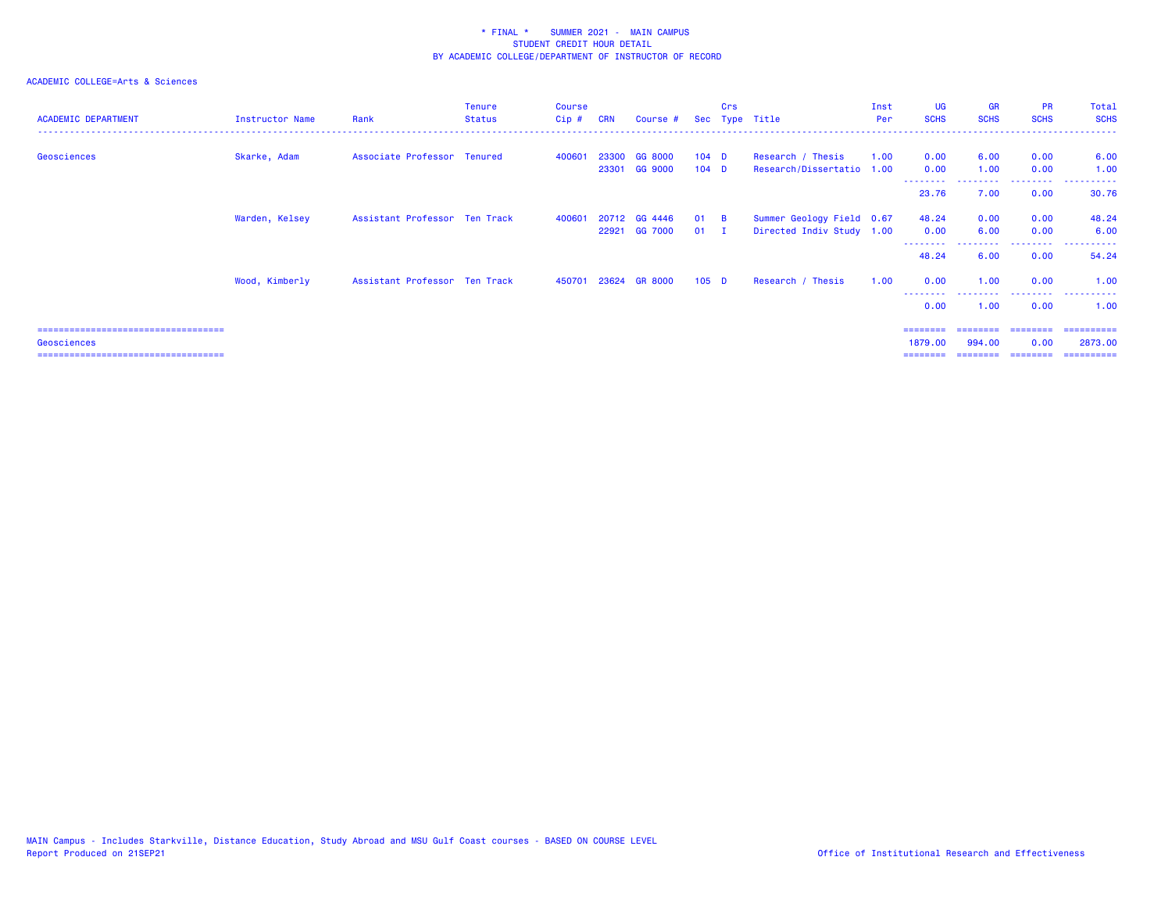### ACADEMIC COLLEGE=Arts & Sciences

| <b>ACADEMIC DEPARTMENT</b>          | Instructor Name | Rank                          | <b>Tenure</b><br><b>Status</b> | <b>Course</b><br>$Cip$ # | <b>CRN</b> | Course # Sec Type Title |         | <b>Crs</b> |                           | Inst<br>Per | <b>UG</b><br><b>SCHS</b> | <b>GR</b><br><b>SCHS</b> | <b>PR</b><br><b>SCHS</b> | Total<br><b>SCHS</b> |
|-------------------------------------|-----------------|-------------------------------|--------------------------------|--------------------------|------------|-------------------------|---------|------------|---------------------------|-------------|--------------------------|--------------------------|--------------------------|----------------------|
| Geosciences                         | Skarke, Adam    | Associate Professor Tenured   |                                | 400601                   | 23300      | <b>GG 8000</b>          | $104$ D |            | Research / Thesis         | 1.00        | 0.00                     | 6.00                     | 0.00                     | 6.00                 |
|                                     |                 |                               |                                |                          |            | 23301 GG 9000           | $104$ D |            | Research/Dissertatio 1.00 |             | 0.00                     | 1.00                     | 0.00                     | 1.00                 |
|                                     |                 |                               |                                |                          |            |                         |         |            |                           |             | -----<br>23.76           | 7.00                     | 0.00                     | ------<br>30.76      |
|                                     | Warden, Kelsey  | Assistant Professor Ten Track |                                | 400601                   |            | 20712 GG 4446           | $01$ B  |            | Summer Geology Field 0.67 |             | 48.24                    | 0.00                     | 0.00                     | 48.24                |
|                                     |                 |                               |                                |                          |            | 22921 GG 7000           | $01$ I  |            | Directed Indiv Study 1.00 |             | 0.00                     | 6.00                     | 0.00                     | 6.00                 |
|                                     |                 |                               |                                |                          |            |                         |         |            |                           |             | 48.24                    | 6.00                     | .<br>0.00                | ------<br>54.24      |
|                                     | Wood, Kimberly  | Assistant Professor Ten Track |                                |                          |            | 450701 23624 GR 8000    | $105$ D |            | Research / Thesis         | 1.00        | 0.00                     | 1.00                     | 0.00                     | 1.00                 |
|                                     |                 |                               |                                |                          |            |                         |         |            |                           |             | 0.00                     | 1.00                     | 0.00                     | 1.00                 |
| =================================== |                 |                               |                                |                          |            |                         |         |            |                           |             |                          |                          | ========                 | -----------          |

Geosciences 1879.00 994.00 0.00 2873.00

=================================== ======== ======== ======== ==========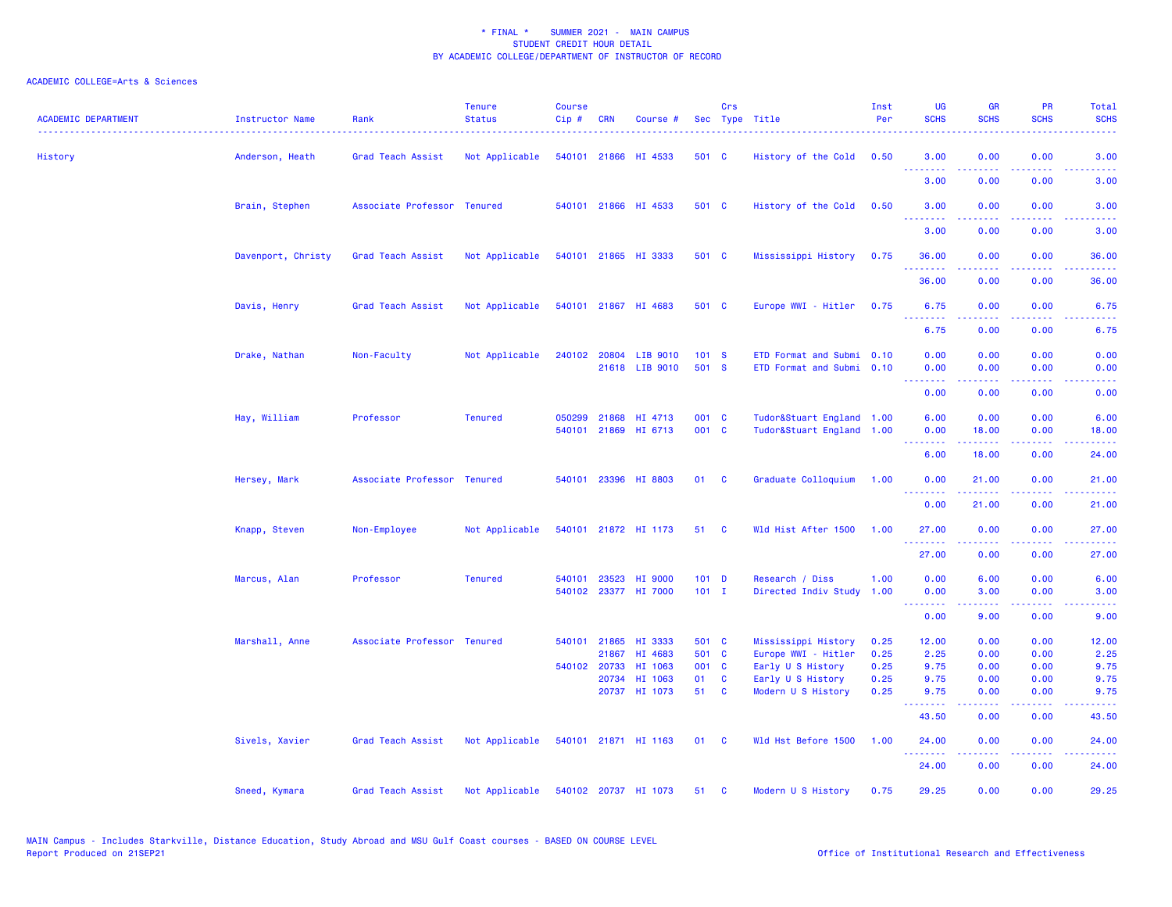| <b>ACADEMIC DEPARTMENT</b> | <b>Instructor Name</b> | Rank                        | <b>Tenure</b><br><b>Status</b> | <b>Course</b><br>Cip# | <b>CRN</b>   | Course #              |         | Crs | Sec Type Title            | Inst<br>Per | <b>UG</b><br><b>SCHS</b> | <b>GR</b><br><b>SCHS</b>                                                                                                                                     | <b>PR</b><br><b>SCHS</b>            | Total<br><b>SCHS</b> |
|----------------------------|------------------------|-----------------------------|--------------------------------|-----------------------|--------------|-----------------------|---------|-----|---------------------------|-------------|--------------------------|--------------------------------------------------------------------------------------------------------------------------------------------------------------|-------------------------------------|----------------------|
| History                    | Anderson, Heath        | Grad Teach Assist           | Not Applicable                 |                       |              | 540101 21866 HI 4533  | 501 C   |     | History of the Cold       | 0.50        | 3.00<br>.                | 0.00                                                                                                                                                         | 0.00                                | 3.00                 |
|                            |                        |                             |                                |                       |              |                       |         |     |                           |             | 3.00                     | 0.00                                                                                                                                                         | 0.00                                | 3.00                 |
|                            | Brain, Stephen         | Associate Professor Tenured |                                |                       |              | 540101 21866 HI 4533  | 501 C   |     | History of the Cold       | 0.50        | 3.00<br>د د د د          | 0.00<br>.                                                                                                                                                    | 0.00<br>$\sim$ $\sim$ $\sim$ $\sim$ | 3.00                 |
|                            |                        |                             |                                |                       |              |                       |         |     |                           |             | 3.00                     | 0.00                                                                                                                                                         | 0.00                                | 3.00                 |
|                            | Davenport, Christy     | Grad Teach Assist           | Not Applicable                 |                       |              | 540101 21865 HI 3333  | 501 C   |     | Mississippi History       | 0.75        | 36.00                    | 0.00                                                                                                                                                         | 0.00                                | 36.00                |
|                            |                        |                             |                                |                       |              |                       |         |     |                           |             | 36.00                    | 0.00                                                                                                                                                         | 0.00                                | 36.00                |
|                            | Davis, Henry           | Grad Teach Assist           | Not Applicable                 |                       |              | 540101 21867 HI 4683  | 501 C   |     | Europe WWI - Hitler       | 0.75        | 6.75<br><u>.</u>         | 0.00<br>.                                                                                                                                                    | 0.00                                | 6.75<br>.            |
|                            |                        |                             |                                |                       |              |                       |         |     |                           |             | 6.75                     | 0.00                                                                                                                                                         | 0.00                                | 6.75                 |
|                            | Drake, Nathan          | Non-Faculty                 | Not Applicable                 |                       |              | 240102 20804 LIB 9010 | 101 S   |     | ETD Format and Submi 0.10 |             | 0.00                     | 0.00                                                                                                                                                         | 0.00                                | 0.00                 |
|                            |                        |                             |                                |                       |              | 21618 LIB 9010        | 501 S   |     | ETD Format and Submi 0.10 |             | 0.00<br>.                | 0.00                                                                                                                                                         | 0.00                                | 0.00                 |
|                            |                        |                             |                                |                       |              |                       |         |     |                           |             | 0.00                     | 0.00                                                                                                                                                         | 0.00                                | 0.00                 |
|                            | Hay, William           | Professor                   | <b>Tenured</b>                 | 050299                | 21868        | HI 4713               | 001 C   |     | Tudor&Stuart England 1.00 |             | 6.00                     | 0.00                                                                                                                                                         | 0.00                                | 6.00                 |
|                            |                        |                             |                                |                       |              | 540101 21869 HI 6713  | 001 C   |     | Tudor&Stuart England 1.00 |             | 0.00<br>.                | 18.00<br>.                                                                                                                                                   | 0.00<br>.                           | 18.00<br>.           |
|                            |                        |                             |                                |                       |              |                       |         |     |                           |             | 6.00                     | 18.00                                                                                                                                                        | 0.00                                | 24.00                |
|                            | Hersey, Mark           | Associate Professor Tenured |                                |                       |              | 540101 23396 HI 8803  | 01 C    |     | Graduate Colloquium       | 1.00        | 0.00<br>.                | 21.00<br>.                                                                                                                                                   | 0.00<br>.                           | 21.00<br>.           |
|                            |                        |                             |                                |                       |              |                       |         |     |                           |             | 0.00                     | 21.00                                                                                                                                                        | 0.00                                | 21.00                |
|                            | Knapp, Steven          | Non-Employee                | Not Applicable                 |                       |              | 540101 21872 HI 1173  | 51 C    |     | Wld Hist After 1500       | 1.00        | 27.00<br>.               | 0.00                                                                                                                                                         | 0.00                                | 27.00                |
|                            |                        |                             |                                |                       |              |                       |         |     |                           |             | 27.00                    | 0.00                                                                                                                                                         | 0.00                                | 27.00                |
|                            | Marcus, Alan           | Professor                   | <b>Tenured</b>                 | 540101                | 23523        | HI 9000               | $101$ D |     | Research / Diss           | 1.00        | 0.00                     | 6.00                                                                                                                                                         | 0.00                                | 6.00                 |
|                            |                        |                             |                                |                       |              | 540102 23377 HI 7000  | $101$ I |     | Directed Indiv Study 1.00 |             | 0.00<br>.                | 3.00                                                                                                                                                         | 0.00                                | 3.00                 |
|                            |                        |                             |                                |                       |              |                       |         |     |                           |             | 0.00                     | $\frac{1}{2} \left( \frac{1}{2} \right) \left( \frac{1}{2} \right) \left( \frac{1}{2} \right) \left( \frac{1}{2} \right) \left( \frac{1}{2} \right)$<br>9.00 | .<br>0.00                           | د د د د د<br>9.00    |
|                            | Marshall, Anne         | Associate Professor Tenured |                                |                       | 540101 21865 | HI 3333               | 501 C   |     | Mississippi History       | 0.25        | 12.00                    | 0.00                                                                                                                                                         | 0.00                                | 12.00                |
|                            |                        |                             |                                |                       | 21867        | HI 4683               | 501 C   |     | Europe WWI - Hitler       | 0.25        | 2.25                     | 0.00                                                                                                                                                         | 0.00                                | 2.25                 |
|                            |                        |                             |                                |                       | 540102 20733 | HI 1063               | 001 C   |     | Early U S History         | 0.25        | 9.75                     | 0.00                                                                                                                                                         | 0.00                                | 9.75                 |
|                            |                        |                             |                                |                       | 20734        | HI 1063               | 01 C    |     | Early U S History         | 0.25        | 9.75                     | 0.00                                                                                                                                                         | 0.00                                | 9.75                 |
|                            |                        |                             |                                |                       |              | 20737 HI 1073         | 51 C    |     | Modern U S History        | 0.25        | 9.75<br>-----            | 0.00                                                                                                                                                         | 0.00                                | 9.75                 |
|                            |                        |                             |                                |                       |              |                       |         |     |                           |             | 43.50                    | 0.00                                                                                                                                                         | 0.00                                | 43.50                |
|                            | Sivels, Xavier         | Grad Teach Assist           | Not Applicable                 |                       |              | 540101 21871 HI 1163  | 01 C    |     | Wld Hst Before 1500       | 1.00        | 24.00<br>.               | 0.00<br>22222                                                                                                                                                | 0.00<br>.                           | 24.00<br>.           |
|                            |                        |                             |                                |                       |              |                       |         |     |                           |             | 24.00                    | 0.00                                                                                                                                                         | 0.00                                | 24.00                |
|                            | Sneed, Kymara          | Grad Teach Assist           | Not Applicable                 |                       |              | 540102 20737 HI 1073  | 51 C    |     | Modern U S History        | 0.75        | 29.25                    | 0.00                                                                                                                                                         | 0.00                                | 29.25                |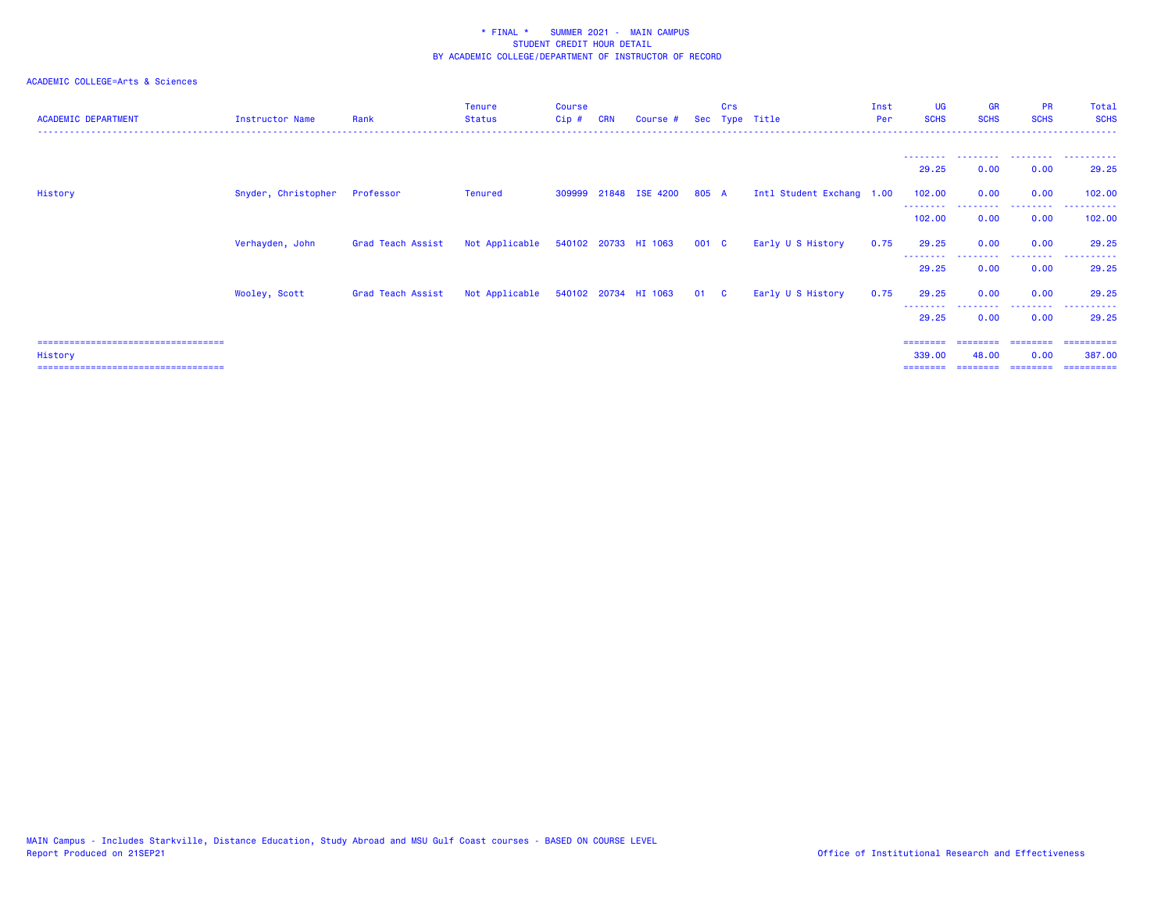| <b>ACADEMIC DEPARTMENT</b>                        | Instructor Name     | Rank              | Tenure<br><b>Status</b>                  | Course<br>Cip# | <b>CRN</b> | Course #                    |       | Crs | Sec Type Title            | Inst<br>Per | <b>UG</b><br><b>SCHS</b> | <b>GR</b><br><b>SCHS</b>     | <b>PR</b><br><b>SCHS</b> | Total<br><b>SCHS</b> |
|---------------------------------------------------|---------------------|-------------------|------------------------------------------|----------------|------------|-----------------------------|-------|-----|---------------------------|-------------|--------------------------|------------------------------|--------------------------|----------------------|
|                                                   |                     |                   |                                          |                |            |                             |       |     |                           |             |                          | --------  --------  -------- |                          | .                    |
|                                                   |                     |                   |                                          |                |            |                             |       |     |                           |             | 29.25                    | 0.00                         | 0.00                     | 29.25                |
| History                                           | Snyder, Christopher | Professor         | <b>Tenured</b>                           |                |            | 309999 21848 ISE 4200 805 A |       |     | Intl Student Exchang 1.00 |             | 102.00<br>--------       | 0.00                         | 0.00                     | 102,00               |
|                                                   |                     |                   |                                          |                |            |                             |       |     |                           |             | 102.00                   | 0.00                         | 0.00                     | 102.00               |
|                                                   | Verhayden, John     | Grad Teach Assist | Not Applicable 540102 20733 HI 1063      |                |            |                             | 001 C |     | Early U S History         | 0.75        | 29.25                    | 0.00                         | 0.00                     | 29.25                |
|                                                   |                     |                   |                                          |                |            |                             |       |     |                           |             | 29.25                    | 0.00                         | 0.00                     | 29.25                |
|                                                   | Wooley, Scott       | Grad Teach Assist | Not Applicable 540102 20734 HI 1063 01 C |                |            |                             |       |     | Early U S History         | 0.75        | 29.25                    | 0.00                         | 0.00                     | 29.25                |
|                                                   |                     |                   |                                          |                |            |                             |       |     |                           |             | 29.25                    | 0.00                         | 0.00                     | 29.25                |
| =====================================             |                     |                   |                                          |                |            |                             |       |     |                           |             |                          |                              |                          |                      |
| History<br>====================================== |                     |                   |                                          |                |            |                             |       |     |                           |             | 339,00<br>========       | 48.00<br>========            | 0.00<br>---------        | 387.00<br>========== |
|                                                   |                     |                   |                                          |                |            |                             |       |     |                           |             |                          |                              |                          |                      |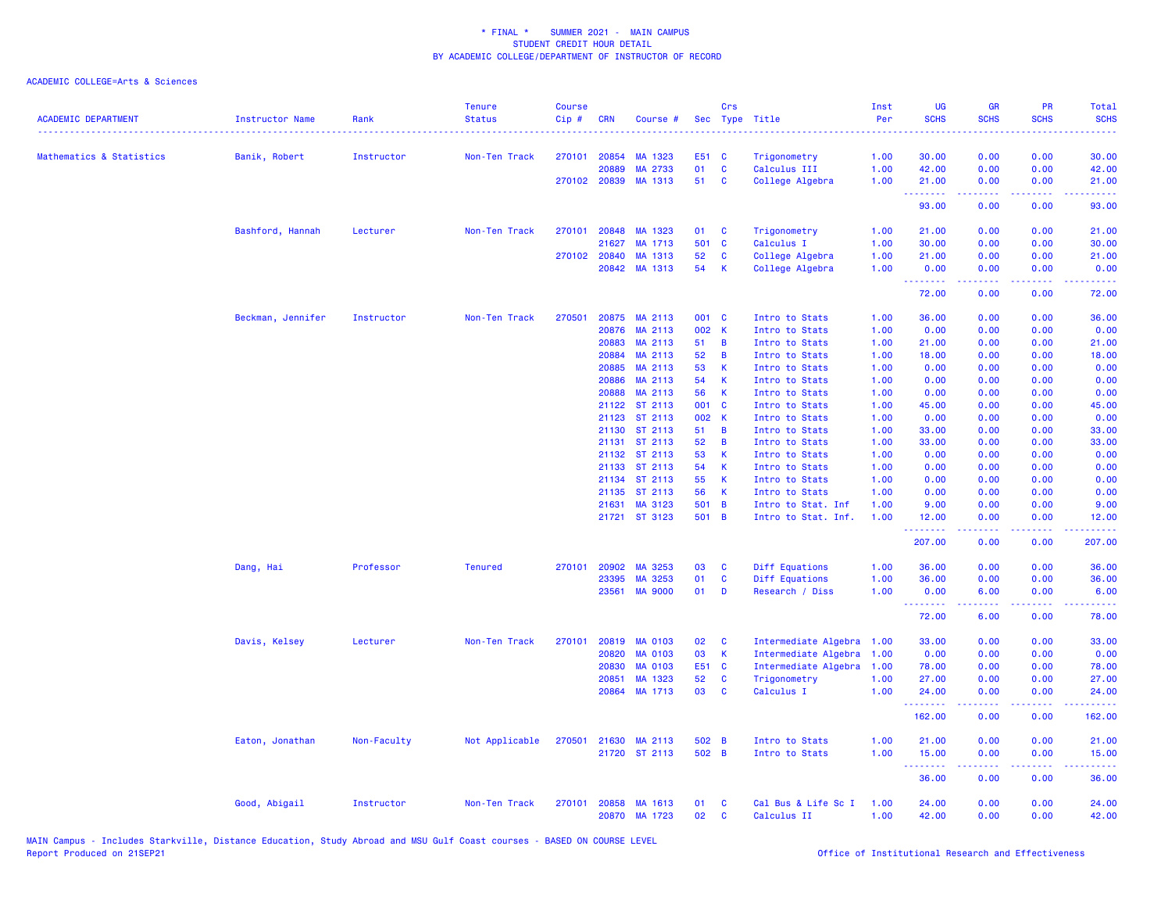| <b>ACADEMIC DEPARTMENT</b> | <b>Instructor Name</b> | Rank        | <b>Tenure</b><br><b>Status</b> | <b>Course</b><br>Cip# | <b>CRN</b>     | Course #             |             | Crs         | Sec Type Title                   | Inst<br>Per  | <b>UG</b><br><b>SCHS</b>                                    | <b>GR</b><br><b>SCHS</b> | PR<br><b>SCHS</b> | <b>Total</b><br><b>SCHS</b> |
|----------------------------|------------------------|-------------|--------------------------------|-----------------------|----------------|----------------------|-------------|-------------|----------------------------------|--------------|-------------------------------------------------------------|--------------------------|-------------------|-----------------------------|
| Mathematics & Statistics   | Banik, Robert          | Instructor  | Non-Ten Track                  | 270101                | 20854          | MA 1323              | E51 C       |             | Trigonometry                     | 1.00         | 30.00                                                       | 0.00                     | 0.00              | 30.00                       |
|                            |                        |             |                                |                       | 20889          | MA 2733              | 01          | C           | Calculus III                     | 1.00         | 42.00                                                       | 0.00                     | 0.00              | 42.00                       |
|                            |                        |             |                                |                       |                | 270102 20839 MA 1313 | 51          | C           | College Algebra                  | 1.00         | 21.00                                                       | 0.00                     | 0.00              | 21.00                       |
|                            |                        |             |                                |                       |                |                      |             |             |                                  |              | <b><i><u><u><b>a</b></u></u> a a a a a a a</i></b><br>93.00 | .<br>0.00                | .<br>0.00         | .<br>93.00                  |
|                            | Bashford, Hannah       | Lecturer    | Non-Ten Track                  | 270101                | 20848          | MA 1323              | 01          | C           | Trigonometry                     | 1.00         | 21.00                                                       | 0.00                     | 0.00              | 21.00                       |
|                            |                        |             |                                |                       | 21627          | MA 1713              | 501         | <b>C</b>    | Calculus I                       | 1.00         | 30.00                                                       | 0.00                     | 0.00              | 30.00                       |
|                            |                        |             |                                | 270102                | 20840          | MA 1313              | 52          | C           | College Algebra                  | 1.00         | 21.00                                                       | 0.00                     | 0.00              | 21.00                       |
|                            |                        |             |                                |                       |                | 20842 MA 1313        | 54          | К           | College Algebra                  | 1.00         | 0.00<br>.                                                   | 0.00<br>.                | 0.00<br>.         | 0.00<br>.                   |
|                            |                        |             |                                |                       |                |                      |             |             |                                  |              | 72.00                                                       | 0.00                     | 0.00              | 72.00                       |
|                            | Beckman, Jennifer      | Instructor  | Non-Ten Track                  | 270501                | 20875          | MA 2113              | 001 C       |             | Intro to Stats                   | 1.00         | 36.00                                                       | 0.00                     | 0.00              | 36.00                       |
|                            |                        |             |                                |                       | 20876          | MA 2113              | 002 K       |             | Intro to Stats                   | 1.00         | 0.00                                                        | 0.00                     | 0.00              | 0.00                        |
|                            |                        |             |                                |                       | 20883          | MA 2113              | 51          | B           | Intro to Stats                   | 1.00         | 21.00                                                       | 0.00                     | 0.00              | 21.00                       |
|                            |                        |             |                                |                       | 20884          | MA 2113              | 52          | B           | Intro to Stats                   | 1.00         | 18.00                                                       | 0.00                     | 0.00              | 18.00                       |
|                            |                        |             |                                |                       | 20885          | MA 2113              | 53          | К           | Intro to Stats                   | 1.00         | 0.00                                                        | 0.00                     | 0.00              | 0.00                        |
|                            |                        |             |                                |                       | 20886          | MA 2113              | 54          | К           | Intro to Stats                   | 1.00         | 0.00                                                        | 0.00                     | 0.00              | 0.00                        |
|                            |                        |             |                                |                       | 20888          | MA 2113              | 56          | $\mathsf K$ | Intro to Stats                   | 1.00         | 0.00                                                        | 0.00                     | 0.00              | 0.00                        |
|                            |                        |             |                                |                       | 21122          | ST 2113              | 001 C       |             | Intro to Stats                   | 1.00         | 45.00                                                       | 0.00                     | 0.00              | 45.00                       |
|                            |                        |             |                                |                       | 21123          | ST 2113<br>ST 2113   | 002 K<br>51 | B           | Intro to Stats                   | 1.00         | 0.00<br>33.00                                               | 0.00                     | 0.00              | 0.00<br>33.00               |
|                            |                        |             |                                |                       | 21130<br>21131 | ST 2113              | 52          | B           | Intro to Stats<br>Intro to Stats | 1.00<br>1.00 | 33.00                                                       | 0.00<br>0.00             | 0.00<br>0.00      | 33.00                       |
|                            |                        |             |                                |                       | 21132          | ST 2113              | 53          | K           | Intro to Stats                   | 1.00         | 0.00                                                        | 0.00                     | 0.00              | 0.00                        |
|                            |                        |             |                                |                       | 21133          | ST 2113              | 54          | К           | Intro to Stats                   | 1.00         | 0.00                                                        | 0.00                     | 0.00              | 0.00                        |
|                            |                        |             |                                |                       |                | 21134 ST 2113        | 55          | K           | Intro to Stats                   | 1.00         | 0.00                                                        | 0.00                     | 0.00              | 0.00                        |
|                            |                        |             |                                |                       | 21135          | ST 2113              | 56          | К           | Intro to Stats                   | 1.00         | 0.00                                                        | 0.00                     | 0.00              | 0.00                        |
|                            |                        |             |                                |                       | 21631          | MA 3123              | 501         | B           | Intro to Stat. Inf               | 1.00         | 9.00                                                        | 0.00                     | 0.00              | 9.00                        |
|                            |                        |             |                                |                       |                | 21721 ST 3123        | 501 B       |             | Intro to Stat. Inf.              | 1.00         | 12.00                                                       | 0.00                     | 0.00              | 12.00                       |
|                            |                        |             |                                |                       |                |                      |             |             |                                  |              | .                                                           | .                        | .                 | والمتحدث للمنابذ            |
|                            |                        |             |                                |                       |                |                      |             |             |                                  |              | 207.00                                                      | 0.00                     | 0.00              | 207.00                      |
|                            | Dang, Hai              | Professor   | <b>Tenured</b>                 | 270101                | 20902          | MA 3253              | 03          | C           | Diff Equations                   | 1.00         | 36.00                                                       | 0.00                     | 0.00              | 36.00                       |
|                            |                        |             |                                |                       | 23395          | MA 3253              | 01          | C           | Diff Equations                   | 1.00         | 36.00                                                       | 0.00                     | 0.00              | 36.00                       |
|                            |                        |             |                                |                       | 23561          | <b>MA 9000</b>       | 01          | D           | Research / Diss                  | 1.00         | 0.00<br>.                                                   | 6.00<br>.                | 0.00<br>بالمحام   | 6.00<br>وعاعاها             |
|                            |                        |             |                                |                       |                |                      |             |             |                                  |              | 72.00                                                       | 6.00                     | 0.00              | 78.00                       |
|                            | Davis, Kelsey          | Lecturer    | Non-Ten Track                  | 270101                | 20819          | MA 0103              | 02          | C           | Intermediate Algebra             | 1.00         | 33.00                                                       | 0.00                     | 0.00              | 33.00                       |
|                            |                        |             |                                |                       | 20820          | <b>MA 0103</b>       | 03          | К           | Intermediate Algebra             | 1.00         | 0.00                                                        | 0.00                     | 0.00              | 0.00                        |
|                            |                        |             |                                |                       | 20830          | <b>MA 0103</b>       | E51 C       |             | Intermediate Algebra             | 1.00         | 78.00                                                       | 0.00                     | 0.00              | 78.00                       |
|                            |                        |             |                                |                       | 20851          | MA 1323              | 52          | C           | Trigonometry                     | 1.00         | 27.00                                                       | 0.00                     | 0.00              | 27.00                       |
|                            |                        |             |                                |                       | 20864          | MA 1713              | 03          | C           | Calculus I                       | 1.00         | 24.00<br>.                                                  | 0.00<br>.                | 0.00<br>.         | 24.00<br>.                  |
|                            |                        |             |                                |                       |                |                      |             |             |                                  |              | 162.00                                                      | 0.00                     | 0.00              | 162.00                      |
|                            | Eaton, Jonathan        | Non-Faculty | Not Applicable                 | 270501                |                | 21630 MA 2113        | 502 B       |             | Intro to Stats                   | 1.00         | 21.00                                                       | 0.00                     | 0.00              | 21.00                       |
|                            |                        |             |                                |                       |                | 21720 ST 2113        | 502 B       |             | Intro to Stats                   | 1.00         | 15.00                                                       | 0.00                     | 0.00              | 15.00                       |
|                            |                        |             |                                |                       |                |                      |             |             |                                  |              | <u>.</u><br>36.00                                           | .<br>0.00                | .<br>0.00         | .<br>36.00                  |
|                            | Good, Abigail          | Instructor  | Non-Ten Track                  | 270101                | 20858          | MA 1613              | 01          | C           | Cal Bus & Life Sc I              | 1.00         | 24.00                                                       | 0.00                     | 0.00              | 24.00                       |
|                            |                        |             |                                |                       |                | 20870 MA 1723        | 02          | C           | Calculus II                      | 1.00         | 42.00                                                       | 0.00                     | 0.00              | 42.00                       |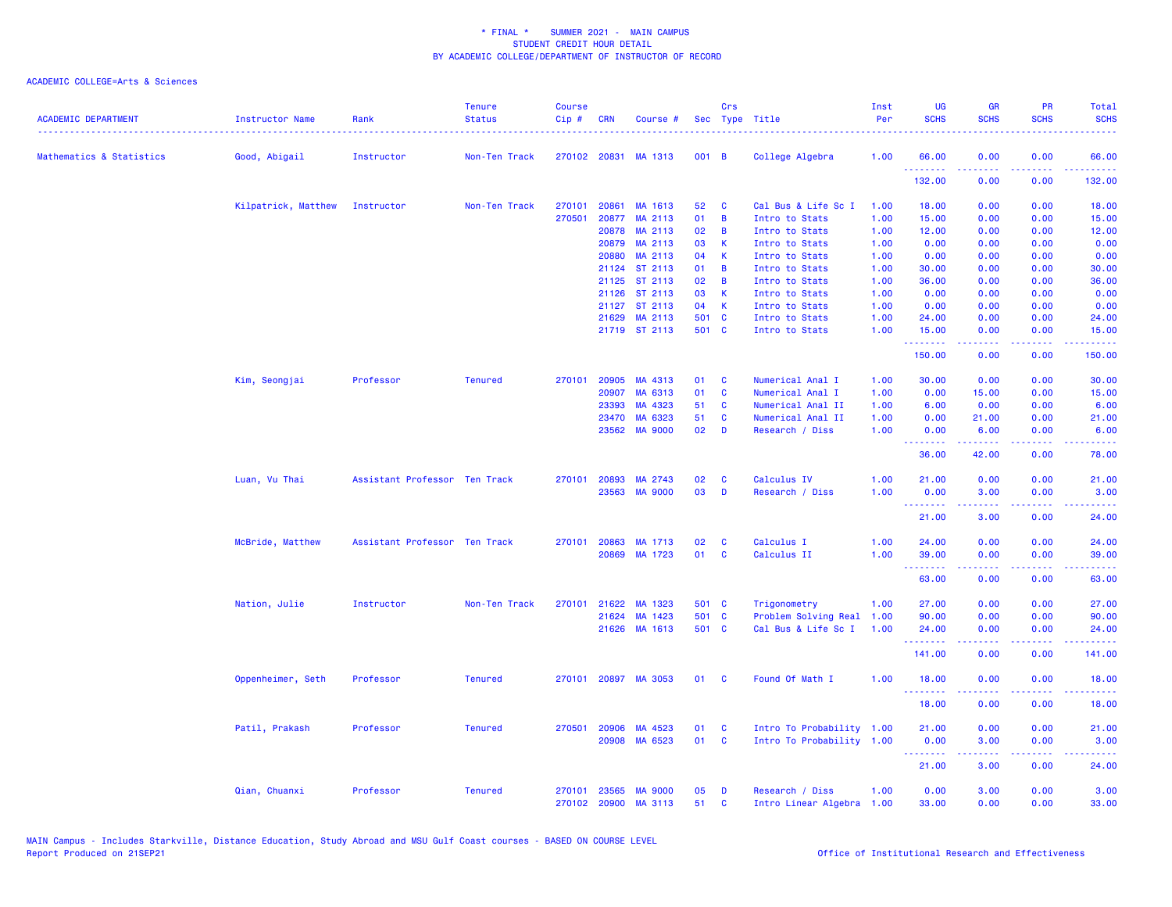| <b>ACADEMIC DEPARTMENT</b> | <b>Instructor Name</b> | Rank                          | <b>Tenure</b><br><b>Status</b> | <b>Course</b><br>Cip# | <b>CRN</b>   | Course #       |       | Crs         | Sec Type Title            | Inst<br>Per<br>. | <b>UG</b><br><b>SCHS</b>                   | <b>GR</b><br><b>SCHS</b> | PR<br><b>SCHS</b> | Total<br><b>SCHS</b><br>$\frac{1}{2} \left( \frac{1}{2} \right) \left( \frac{1}{2} \right) \left( \frac{1}{2} \right) \left( \frac{1}{2} \right)$ |
|----------------------------|------------------------|-------------------------------|--------------------------------|-----------------------|--------------|----------------|-------|-------------|---------------------------|------------------|--------------------------------------------|--------------------------|-------------------|---------------------------------------------------------------------------------------------------------------------------------------------------|
| Mathematics & Statistics   | Good, Abigail          | Instructor                    | Non-Ten Track                  |                       | 270102 20831 | MA 1313        | 001 B |             | College Algebra           | 1.00             | 66.00<br>.                                 | 0.00                     | 0.00              | 66.00<br>.                                                                                                                                        |
|                            |                        |                               |                                |                       |              |                |       |             |                           |                  | 132.00                                     | 0.00                     | د د د د<br>0.00   | 132.00                                                                                                                                            |
|                            | Kilpatrick, Matthew    | Instructor                    | Non-Ten Track                  | 270101                | 20861        | MA 1613        | 52    | C           | Cal Bus & Life Sc I       | 1.00             | 18.00                                      | 0.00                     | 0.00              | 18.00                                                                                                                                             |
|                            |                        |                               |                                | 270501                | 20877        | MA 2113        | 01    | B           | Intro to Stats            | 1.00             | 15.00                                      | 0.00                     | 0.00              | 15.00                                                                                                                                             |
|                            |                        |                               |                                |                       | 20878        | MA 2113        | 02    | B           | Intro to Stats            | 1.00             | 12.00                                      | 0.00                     | 0.00              | 12.00                                                                                                                                             |
|                            |                        |                               |                                |                       | 20879        | MA 2113        | 03    | K           | Intro to Stats            | 1.00             | 0.00                                       | 0.00                     | 0.00              | 0.00                                                                                                                                              |
|                            |                        |                               |                                |                       | 20880        | MA 2113        | 04    | $\mathsf K$ | Intro to Stats            | 1.00             | 0.00                                       | 0.00                     | 0.00              | 0.00                                                                                                                                              |
|                            |                        |                               |                                |                       | 21124        | ST 2113        | 01    | B           | Intro to Stats            | 1.00             | 30.00                                      | 0.00                     | 0.00              | 30.00                                                                                                                                             |
|                            |                        |                               |                                |                       |              | 21125 ST 2113  | 02    | B           | Intro to Stats            | 1.00             | 36.00                                      | 0.00                     | 0.00              | 36.00                                                                                                                                             |
|                            |                        |                               |                                |                       |              | 21126 ST 2113  | 03    | $\mathsf K$ | Intro to Stats            | 1.00             | 0.00                                       | 0.00                     | 0.00              | 0.00                                                                                                                                              |
|                            |                        |                               |                                |                       | 21127        | ST 2113        | 04    | K           | Intro to Stats            | 1.00             | 0.00                                       | 0.00                     | 0.00              | 0.00                                                                                                                                              |
|                            |                        |                               |                                |                       | 21629        | MA 2113        | 501 C |             | Intro to Stats            | 1.00             | 24.00                                      | 0.00                     | 0.00              | 24.00                                                                                                                                             |
|                            |                        |                               |                                |                       |              | 21719 ST 2113  | 501 C |             | Intro to Stats            | 1.00             | 15.00<br><b></b>                           | 0.00<br>-----            | 0.00<br>.         | 15.00<br>.                                                                                                                                        |
|                            |                        |                               |                                |                       |              |                |       |             |                           |                  | 150.00                                     | 0.00                     | 0.00              | 150.00                                                                                                                                            |
|                            | Kim, Seongjai          | Professor                     | <b>Tenured</b>                 | 270101                | 20905        | MA 4313        | 01    | C           | Numerical Anal I          | 1.00             | 30.00                                      | 0.00                     | 0.00              | 30.00                                                                                                                                             |
|                            |                        |                               |                                |                       | 20907        | MA 6313        | 01    | <b>C</b>    | Numerical Anal I          | 1.00             | 0.00                                       | 15.00                    | 0.00              | 15.00                                                                                                                                             |
|                            |                        |                               |                                |                       | 23393        | MA 4323        | 51    | C           | Numerical Anal II         | 1.00             | 6.00                                       | 0.00                     | 0.00              | 6.00                                                                                                                                              |
|                            |                        |                               |                                |                       | 23470        | MA 6323        | 51    | C           | Numerical Anal II         | 1.00             | 0.00                                       | 21.00                    | 0.00              | 21.00                                                                                                                                             |
|                            |                        |                               |                                |                       | 23562        | <b>MA 9000</b> | 02    | D           | Research / Diss           | 1.00             | 0.00                                       | 6.00                     | 0.00              | 6.00                                                                                                                                              |
|                            |                        |                               |                                |                       |              |                |       |             |                           |                  | .                                          |                          | .                 | وعاديات                                                                                                                                           |
|                            |                        |                               |                                |                       |              |                |       |             |                           |                  | 36.00                                      | 42.00                    | 0.00              | 78.00                                                                                                                                             |
|                            | Luan, Vu Thai          | Assistant Professor Ten Track |                                | 270101                | 20893        | MA 2743        | 02    | C           | Calculus IV               | 1.00             | 21.00                                      | 0.00                     | 0.00              | 21.00                                                                                                                                             |
|                            |                        |                               |                                |                       |              | 23563 MA 9000  | 03    | D           | Research / Diss           | 1.00             | 0.00<br><b></b>                            | 3.00<br>.                | 0.00<br>د د د د   | 3.00<br>.                                                                                                                                         |
|                            |                        |                               |                                |                       |              |                |       |             |                           |                  | 21.00                                      | 3.00                     | 0.00              | 24.00                                                                                                                                             |
|                            | McBride, Matthew       | Assistant Professor Ten Track |                                | 270101                | 20863        | MA 1713        | 02    | C           | Calculus I                | 1.00             | 24.00                                      | 0.00                     | 0.00              | 24.00                                                                                                                                             |
|                            |                        |                               |                                |                       |              | 20869 MA 1723  | 01    | <b>C</b>    | Calculus II               | 1.00             | 39.00                                      | 0.00                     | 0.00              | 39.00                                                                                                                                             |
|                            |                        |                               |                                |                       |              |                |       |             |                           |                  | <b><i><u><u> - - - - - - -</u></u></i></b> |                          |                   | $\sim$ $\sim$ $\sim$ $\sim$ $\sim$                                                                                                                |
|                            |                        |                               |                                |                       |              |                |       |             |                           |                  | 63.00                                      | 0.00                     | 0.00              | 63.00                                                                                                                                             |
|                            | Nation, Julie          | Instructor                    | Non-Ten Track                  | 270101                | 21622        | MA 1323        | 501 C |             | Trigonometry              | 1.00             | 27.00                                      | 0.00                     | 0.00              | 27.00                                                                                                                                             |
|                            |                        |                               |                                |                       | 21624        | MA 1423        | 501 C |             | Problem Solving Real      | 1.00             | 90.00                                      | 0.00                     | 0.00              | 90.00                                                                                                                                             |
|                            |                        |                               |                                |                       |              | 21626 MA 1613  | 501 C |             | Cal Bus & Life Sc I       | 1.00             | 24.00<br>.                                 | 0.00                     | 0.00<br>وعاعات    | 24.00<br>.                                                                                                                                        |
|                            |                        |                               |                                |                       |              |                |       |             |                           |                  | 141.00                                     | 0.00                     | 0.00              | 141.00                                                                                                                                            |
|                            | Oppenheimer, Seth      | Professor                     | <b>Tenured</b>                 | 270101                |              | 20897 MA 3053  | 01    | <b>C</b>    | Found Of Math I           | 1.00             | 18.00                                      | 0.00                     | 0.00              | 18.00                                                                                                                                             |
|                            |                        |                               |                                |                       |              |                |       |             |                           |                  | .<br>18.00                                 | 0.00                     | د د د د<br>0.00   | .<br>18.00                                                                                                                                        |
|                            |                        |                               |                                |                       |              |                |       |             |                           |                  |                                            |                          |                   |                                                                                                                                                   |
|                            | Patil, Prakash         | Professor                     | <b>Tenured</b>                 | 270501                | 20906        | MA 4523        | 01    | C           | Intro To Probability 1.00 |                  | 21.00                                      | 0.00                     | 0.00              | 21.00                                                                                                                                             |
|                            |                        |                               |                                |                       | 20908        | MA 6523        | 01    | C           | Intro To Probability 1.00 |                  | 0.00<br><b><i><u>AAAAAAA</u></i></b>       | 3.00<br>. <b>.</b>       | 0.00<br>.         | 3.00<br>.                                                                                                                                         |
|                            |                        |                               |                                |                       |              |                |       |             |                           |                  | 21.00                                      | 3.00                     | 0.00              | 24.00                                                                                                                                             |
|                            | Qian, Chuanxi          | Professor                     | <b>Tenured</b>                 | 270101                | 23565        | <b>MA 9000</b> | 05    | D           | Research / Diss           | 1.00             | 0.00                                       | 3.00                     | 0.00              | 3.00                                                                                                                                              |
|                            |                        |                               |                                | 270102                | 20900        | MA 3113        | 51    | C           | Intro Linear Algebra 1.00 |                  | 33.00                                      | 0.00                     | 0.00              | 33.00                                                                                                                                             |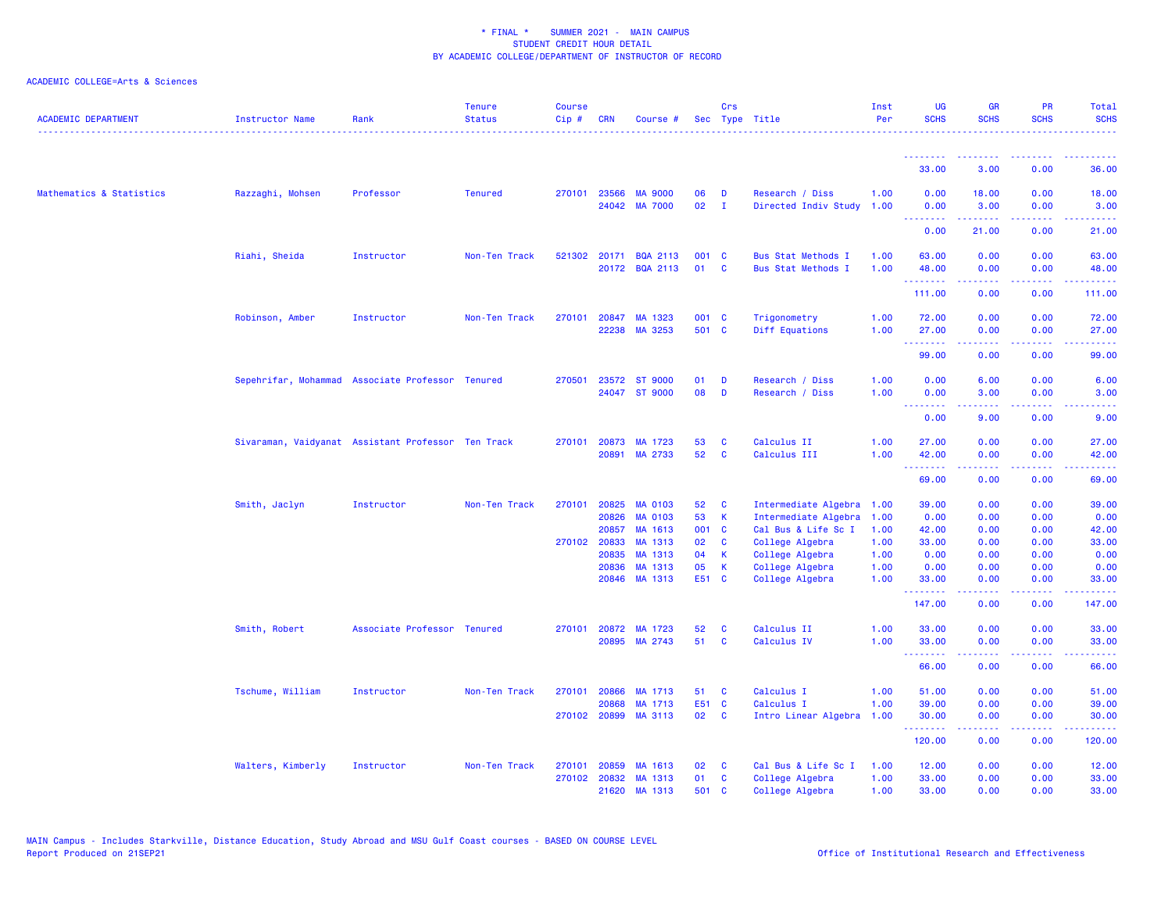| <b>ACADEMIC DEPARTMENT</b> | <b>Instructor Name</b> | Rank                                               | <b>Tenure</b><br><b>Status</b> | <b>Course</b><br>Cip# | <b>CRN</b>     | Course #                         |                       | Crs          | Sec Type Title                               | Inst<br>Per  | <b>UG</b><br><b>SCHS</b>                                                                                                                                                                                                                                                                                                                                                                                                                                                                        | <b>GR</b><br><b>SCHS</b> | <b>PR</b><br><b>SCHS</b>                                                                               | Total<br><b>SCHS</b> |
|----------------------------|------------------------|----------------------------------------------------|--------------------------------|-----------------------|----------------|----------------------------------|-----------------------|--------------|----------------------------------------------|--------------|-------------------------------------------------------------------------------------------------------------------------------------------------------------------------------------------------------------------------------------------------------------------------------------------------------------------------------------------------------------------------------------------------------------------------------------------------------------------------------------------------|--------------------------|--------------------------------------------------------------------------------------------------------|----------------------|
|                            |                        |                                                    |                                |                       |                |                                  |                       |              |                                              |              | <u> - - - - - - - -</u>                                                                                                                                                                                                                                                                                                                                                                                                                                                                         |                          |                                                                                                        |                      |
|                            |                        |                                                    |                                |                       |                |                                  |                       |              |                                              |              | 33.00                                                                                                                                                                                                                                                                                                                                                                                                                                                                                           | 3.00                     | 0.00                                                                                                   | 36.00                |
| Mathematics & Statistics   | Razzaghi, Mohsen       | Professor                                          | <b>Tenured</b>                 | 270101                | 23566          | <b>MA 9000</b>                   | 06                    | D            | Research / Diss                              | 1.00         | 0.00                                                                                                                                                                                                                                                                                                                                                                                                                                                                                            | 18.00                    | 0.00                                                                                                   | 18.00                |
|                            |                        |                                                    |                                |                       |                | 24042 MA 7000                    | 02                    | $\mathbf{I}$ | Directed Indiv Study 1.00                    |              | 0.00<br>.                                                                                                                                                                                                                                                                                                                                                                                                                                                                                       | 3.00<br>.                | 0.00<br>د د د د                                                                                        | 3.00<br>المتمامين    |
|                            |                        |                                                    |                                |                       |                |                                  |                       |              |                                              |              | 0.00                                                                                                                                                                                                                                                                                                                                                                                                                                                                                            | 21.00                    | 0.00                                                                                                   | 21.00                |
|                            | Riahi, Sheida          | Instructor                                         | Non-Ten Track                  |                       |                | 521302 20171 BQA 2113            | 001 C                 |              | Bus Stat Methods I                           | 1.00         | 63.00                                                                                                                                                                                                                                                                                                                                                                                                                                                                                           | 0.00                     | 0.00                                                                                                   | 63.00                |
|                            |                        |                                                    |                                |                       |                | 20172 BQA 2113                   | 01                    | $\mathbf{C}$ | <b>Bus Stat Methods I</b>                    | 1.00         | 48.00                                                                                                                                                                                                                                                                                                                                                                                                                                                                                           | 0.00                     | 0.00                                                                                                   | 48.00                |
|                            |                        |                                                    |                                |                       |                |                                  |                       |              |                                              |              | .<br>111.00                                                                                                                                                                                                                                                                                                                                                                                                                                                                                     | .<br>0.00                | $\frac{1}{2} \left( \frac{1}{2} \right) \left( \frac{1}{2} \right) \left( \frac{1}{2} \right)$<br>0.00 | .<br>111.00          |
|                            | Robinson, Amber        | Instructor                                         | Non-Ten Track                  | 270101                |                | 20847 MA 1323                    | 001 C                 |              | Trigonometry                                 | 1.00         | 72.00                                                                                                                                                                                                                                                                                                                                                                                                                                                                                           | 0.00                     | 0.00                                                                                                   | 72.00                |
|                            |                        |                                                    |                                |                       |                | 22238 MA 3253                    | 501 C                 |              | Diff Equations                               | 1.00         | 27.00                                                                                                                                                                                                                                                                                                                                                                                                                                                                                           | 0.00                     | 0.00                                                                                                   | 27.00                |
|                            |                        |                                                    |                                |                       |                |                                  |                       |              |                                              |              | .                                                                                                                                                                                                                                                                                                                                                                                                                                                                                               | <b><i><u></u></i></b>    | .                                                                                                      | .                    |
|                            |                        |                                                    |                                |                       |                |                                  |                       |              |                                              |              | 99.00                                                                                                                                                                                                                                                                                                                                                                                                                                                                                           | 0.00                     | 0.00                                                                                                   | 99.00                |
|                            |                        | Sepehrifar, Mohammad Associate Professor Tenured   |                                | 270501                |                | 23572 ST 9000                    | 01                    | D            | Research / Diss                              | 1.00         | 0.00                                                                                                                                                                                                                                                                                                                                                                                                                                                                                            | 6.00                     | 0.00                                                                                                   | 6.00                 |
|                            |                        |                                                    |                                |                       |                | 24047 ST 9000                    | 08                    | D            | Research / Diss                              | 1.00         | 0.00                                                                                                                                                                                                                                                                                                                                                                                                                                                                                            | 3.00                     | 0.00                                                                                                   | 3.00                 |
|                            |                        |                                                    |                                |                       |                |                                  |                       |              |                                              |              | .<br>0.00                                                                                                                                                                                                                                                                                                                                                                                                                                                                                       | . <b>.</b><br>9.00       | د د د د<br>0.00                                                                                        | والمواليات<br>9.00   |
|                            |                        | Sivaraman, Vaidyanat Assistant Professor Ten Track |                                |                       | 270101 20873   | MA 1723                          | 53                    | <b>C</b>     | Calculus II                                  | 1.00         | 27.00                                                                                                                                                                                                                                                                                                                                                                                                                                                                                           | 0.00                     | 0.00                                                                                                   | 27.00                |
|                            |                        |                                                    |                                |                       | 20891          | MA 2733                          | 52                    | C            | Calculus III                                 | 1.00         | 42.00                                                                                                                                                                                                                                                                                                                                                                                                                                                                                           | 0.00                     | 0.00                                                                                                   | 42.00                |
|                            |                        |                                                    |                                |                       |                |                                  |                       |              |                                              |              | <u>.</u><br>69.00                                                                                                                                                                                                                                                                                                                                                                                                                                                                               | 0.00                     | 0.00                                                                                                   | 69.00                |
|                            |                        |                                                    |                                |                       |                |                                  |                       |              |                                              |              |                                                                                                                                                                                                                                                                                                                                                                                                                                                                                                 |                          |                                                                                                        |                      |
|                            | Smith, Jaclyn          | Instructor                                         | Non-Ten Track                  | 270101                | 20825<br>20826 | <b>MA 0103</b><br><b>MA 0103</b> | 52 <sub>2</sub><br>53 | C<br>K       | Intermediate Algebra<br>Intermediate Algebra | 1.00<br>1.00 | 39.00<br>0.00                                                                                                                                                                                                                                                                                                                                                                                                                                                                                   | 0.00<br>0.00             | 0.00<br>0.00                                                                                           | 39.00<br>0.00        |
|                            |                        |                                                    |                                |                       | 20857          | MA 1613                          | 001 C                 |              | Cal Bus & Life Sc I                          | 1.00         | 42.00                                                                                                                                                                                                                                                                                                                                                                                                                                                                                           | 0.00                     | 0.00                                                                                                   | 42.00                |
|                            |                        |                                                    |                                |                       | 270102 20833   | MA 1313                          | 02                    | C            | College Algebra                              | 1.00         | 33.00                                                                                                                                                                                                                                                                                                                                                                                                                                                                                           | 0.00                     | 0.00                                                                                                   | 33.00                |
|                            |                        |                                                    |                                |                       | 20835          | MA 1313                          | 04                    | К            | College Algebra                              | 1.00         | 0.00                                                                                                                                                                                                                                                                                                                                                                                                                                                                                            | 0.00                     | 0.00                                                                                                   | 0.00                 |
|                            |                        |                                                    |                                |                       | 20836          | MA 1313                          | 05                    | $\mathsf K$  | College Algebra                              | 1.00         | 0.00                                                                                                                                                                                                                                                                                                                                                                                                                                                                                            | 0.00                     | 0.00                                                                                                   | 0.00                 |
|                            |                        |                                                    |                                |                       | 20846          | MA 1313                          | E51 C                 |              | College Algebra                              | 1.00         | 33.00<br>.                                                                                                                                                                                                                                                                                                                                                                                                                                                                                      | 0.00<br>.                | 0.00<br>المتمامين                                                                                      | 33.00<br>.           |
|                            |                        |                                                    |                                |                       |                |                                  |                       |              |                                              |              | 147.00                                                                                                                                                                                                                                                                                                                                                                                                                                                                                          | 0.00                     | 0.00                                                                                                   | 147.00               |
|                            | Smith, Robert          | Associate Professor Tenured                        |                                |                       |                | 270101 20872 MA 1723             | 52                    | <b>C</b>     | Calculus II                                  | 1.00         | 33.00                                                                                                                                                                                                                                                                                                                                                                                                                                                                                           | 0.00                     | 0.00                                                                                                   | 33.00                |
|                            |                        |                                                    |                                |                       |                | 20895 MA 2743                    | 51                    | C            | Calculus IV                                  | 1.00         | 33.00                                                                                                                                                                                                                                                                                                                                                                                                                                                                                           | 0.00                     | 0.00                                                                                                   | 33.00                |
|                            |                        |                                                    |                                |                       |                |                                  |                       |              |                                              |              | $\begin{array}{cccccccccccccc} \multicolumn{2}{c}{} & \multicolumn{2}{c}{} & \multicolumn{2}{c}{} & \multicolumn{2}{c}{} & \multicolumn{2}{c}{} & \multicolumn{2}{c}{} & \multicolumn{2}{c}{} & \multicolumn{2}{c}{} & \multicolumn{2}{c}{} & \multicolumn{2}{c}{} & \multicolumn{2}{c}{} & \multicolumn{2}{c}{} & \multicolumn{2}{c}{} & \multicolumn{2}{c}{} & \multicolumn{2}{c}{} & \multicolumn{2}{c}{} & \multicolumn{2}{c}{} & \multicolumn{2}{c}{} & \multicolumn{2}{c}{} & \$<br>66.00 | .<br>0.00                | .<br>0.00                                                                                              | .<br>66.00           |
|                            | Tschume, William       | Instructor                                         | Non-Ten Track                  | 270101                | 20866          | MA 1713                          | 51                    | C            | Calculus I                                   | 1.00         | 51.00                                                                                                                                                                                                                                                                                                                                                                                                                                                                                           | 0.00                     | 0.00                                                                                                   | 51.00                |
|                            |                        |                                                    |                                |                       | 20868          | MA 1713                          | E51 C                 |              | Calculus I                                   | 1.00         | 39.00                                                                                                                                                                                                                                                                                                                                                                                                                                                                                           | 0.00                     | 0.00                                                                                                   | 39.00                |
|                            |                        |                                                    |                                |                       | 270102 20899   | MA 3113                          | 02                    | $\mathbf{C}$ | Intro Linear Algebra                         | 1.00         | 30.00                                                                                                                                                                                                                                                                                                                                                                                                                                                                                           | 0.00                     | 0.00                                                                                                   | 30.00                |
|                            |                        |                                                    |                                |                       |                |                                  |                       |              |                                              |              | .<br>120.00                                                                                                                                                                                                                                                                                                                                                                                                                                                                                     | .<br>0.00                | $\sim$ $\sim$ $\sim$ $\sim$<br>0.00                                                                    | 120.00               |
|                            | Walters, Kimberly      | Instructor                                         | Non-Ten Track                  | 270101                | 20859          | MA 1613                          | 02                    | <b>C</b>     | Cal Bus & Life Sc I                          | 1.00         | 12.00                                                                                                                                                                                                                                                                                                                                                                                                                                                                                           | 0.00                     | 0.00                                                                                                   | 12.00                |
|                            |                        |                                                    |                                |                       | 270102 20832   | MA 1313                          | 01                    | <b>C</b>     | College Algebra                              | 1.00         | 33.00                                                                                                                                                                                                                                                                                                                                                                                                                                                                                           | 0.00                     | 0.00                                                                                                   | 33.00                |
|                            |                        |                                                    |                                |                       |                | 21620 MA 1313                    | 501                   | <b>C</b>     | College Algebra                              | 1.00         | 33.00                                                                                                                                                                                                                                                                                                                                                                                                                                                                                           | 0.00                     | 0.00                                                                                                   | 33.00                |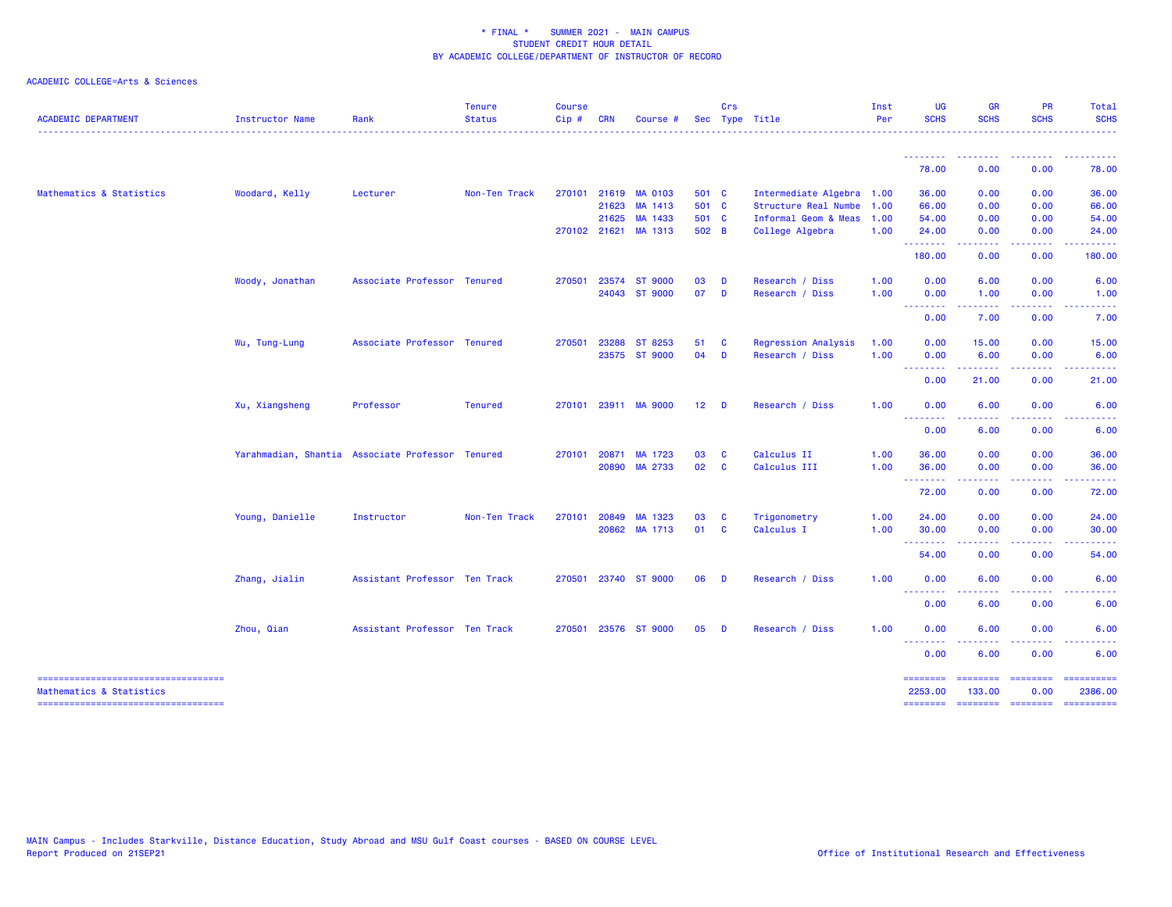| <b>ACADEMIC DEPARTMENT</b>                                       | <b>Instructor Name</b> | Rank                                             | <b>Tenure</b><br><b>Status</b> | <b>Course</b><br>Cip# | <b>CRN</b> | Course               |                 | Crs          | Sec Type Title            | Inst<br>Per | <b>UG</b><br><b>SCHS</b> | <b>GR</b><br><b>SCHS</b>  | <b>PR</b><br><b>SCHS</b> | Total<br><b>SCHS</b> |
|------------------------------------------------------------------|------------------------|--------------------------------------------------|--------------------------------|-----------------------|------------|----------------------|-----------------|--------------|---------------------------|-------------|--------------------------|---------------------------|--------------------------|----------------------|
|                                                                  |                        |                                                  |                                |                       |            |                      |                 |              |                           |             |                          |                           |                          |                      |
|                                                                  |                        |                                                  |                                |                       |            |                      |                 |              |                           |             | 78.00                    | 0.00                      | 0.00                     | 78.00                |
| Mathematics & Statistics                                         | Woodard, Kelly         | Lecturer                                         | Non-Ten Track                  | 270101                |            | 21619 MA 0103        | 501 C           |              | Intermediate Algebra 1.00 |             | 36.00                    | 0.00                      | 0.00                     | 36.00                |
|                                                                  |                        |                                                  |                                |                       | 21623      | MA 1413              | 501 C           |              | Structure Real Numbe      | 1.00        | 66.00                    | 0.00                      | 0.00                     | 66.00                |
|                                                                  |                        |                                                  |                                |                       | 21625      | MA 1433              | 501 C           |              | Informal Geom & Meas      | 1.00        | 54.00                    | 0.00                      | 0.00                     | 54.00                |
|                                                                  |                        |                                                  |                                |                       |            | 270102 21621 MA 1313 | 502 B           |              | College Algebra           | 1.00        | 24.00                    | 0.00                      | 0.00                     | 24.00                |
|                                                                  |                        |                                                  |                                |                       |            |                      |                 |              |                           |             | .<br>180.00              | $- - - - -$<br>0.00       | .<br>0.00                | .<br>180.00          |
|                                                                  | Woody, Jonathan        | Associate Professor Tenured                      |                                | 270501                | 23574      | <b>ST 9000</b>       | 03              | D            | Research / Diss           | 1.00        | 0.00                     | 6.00                      | 0.00                     | 6.00                 |
|                                                                  |                        |                                                  |                                |                       |            | 24043 ST 9000        | 07              | $\mathbf{D}$ | Research / Diss           | 1.00        | 0.00                     | 1.00                      | 0.00                     | 1.00                 |
|                                                                  |                        |                                                  |                                |                       |            |                      |                 |              |                           |             | <u>.</u><br>0.00         | 7.00                      | 0.00                     | 7.00                 |
|                                                                  | Wu, Tung-Lung          | Associate Professor Tenured                      |                                | 270501                | 23288      | ST 8253              | 51              | <b>C</b>     | Regression Analysis       | 1.00        | 0.00                     | 15.00                     | 0.00                     | 15.00                |
|                                                                  |                        |                                                  |                                |                       |            | 23575 ST 9000        | 04              | $\mathbf{D}$ | Research / Diss           | 1.00        | 0.00                     | 6.00                      | 0.00                     | 6.00                 |
|                                                                  |                        |                                                  |                                |                       |            |                      |                 |              |                           |             | <b>.</b> .<br>0.00       | .<br>21.00                | .<br>0.00                | . <b>.</b><br>21.00  |
|                                                                  |                        |                                                  |                                |                       |            |                      |                 |              |                           |             |                          |                           |                          |                      |
|                                                                  | Xu, Xiangsheng         | Professor                                        | <b>Tenured</b>                 |                       |            | 270101 23911 MA 9000 | 12 <sub>2</sub> | <b>D</b>     | Research / Diss           | 1.00        | 0.00<br>.<br>---         | 6.00                      | 0.00                     | 6.00                 |
|                                                                  |                        |                                                  |                                |                       |            |                      |                 |              |                           |             | 0.00                     | 6.00                      | 0.00                     | 6.00                 |
|                                                                  |                        | Yarahmadian, Shantia Associate Professor Tenured |                                | 270101                | 20871      | MA 1723              | 03              | <b>C</b>     | Calculus II               | 1.00        | 36.00                    | 0.00                      | 0.00                     | 36.00                |
|                                                                  |                        |                                                  |                                |                       | 20890      | MA 2733              | 02              | <b>C</b>     | Calculus III              | 1.00        | 36.00                    | 0.00                      | 0.00                     | 36.00                |
|                                                                  |                        |                                                  |                                |                       |            |                      |                 |              |                           |             | <u>.</u><br>72.00        | -----<br>0.00             | .<br>0.00                | 72.00                |
|                                                                  | Young, Danielle        | Instructor                                       | Non-Ten Track                  | 270101                | 20849      | MA 1323              | 03              | <b>C</b>     | Trigonometry              | 1.00        | 24.00                    | 0.00                      | 0.00                     | 24.00                |
|                                                                  |                        |                                                  |                                |                       |            | 20862 MA 1713        | 01 C            |              | Calculus I                | 1.00        | 30.00                    | 0.00                      | 0.00                     | 30.00                |
|                                                                  |                        |                                                  |                                |                       |            |                      |                 |              |                           |             | - - - - - - - -          | .                         | .                        | .                    |
|                                                                  |                        |                                                  |                                |                       |            |                      |                 |              |                           |             | 54.00                    | 0.00                      | 0.00                     | 54.00                |
|                                                                  | Zhang, Jialin          | Assistant Professor Ten Track                    |                                | 270501                |            | 23740 ST 9000        | 06              | $\mathbf{D}$ | Research / Diss           | 1.00        | 0.00                     | 6.00                      | 0.00                     | 6.00                 |
|                                                                  |                        |                                                  |                                |                       |            |                      |                 |              |                           |             | <u>.</u><br>0.00         | 6.00                      | 0.00                     | 6.00                 |
|                                                                  | Zhou, Qian             | Assistant Professor Ten Track                    |                                | 270501                |            | 23576 ST 9000        | 05              | <b>D</b>     | Research / Diss           | 1.00        | 0.00                     | 6.00                      | 0.00                     | 6.00                 |
|                                                                  |                        |                                                  |                                |                       |            |                      |                 |              |                           |             | .<br>0.00                | 6.00                      | 0.00                     | 6.00                 |
| =====================================                            |                        |                                                  |                                |                       |            |                      |                 |              |                           |             | ========                 | $=$ = = = = = = =         | $=$ = = = = = = =        | ==========           |
| Mathematics & Statistics<br>------------------------------------ |                        |                                                  |                                |                       |            |                      |                 |              |                           |             | 2253.00<br>========      | 133.00<br><b>EDESSERS</b> | 0.00<br><b>CONSISTS</b>  | 2386.00              |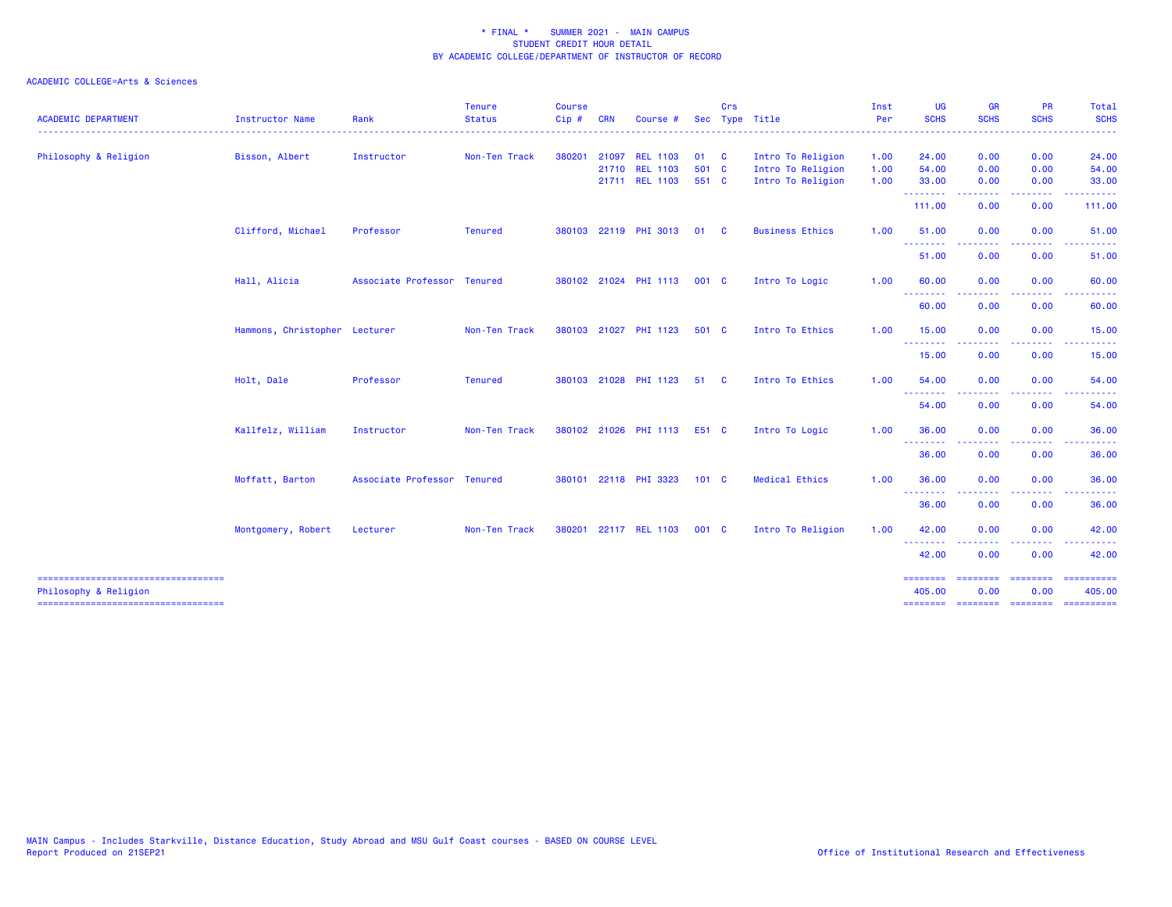|                                                              |                               |                             | <b>Tenure</b>  | <b>Course</b> |            |                       |               | Crs          |                        | Inst     | <b>UG</b>                                                   | GR                | PR                      | Total                    |
|--------------------------------------------------------------|-------------------------------|-----------------------------|----------------|---------------|------------|-----------------------|---------------|--------------|------------------------|----------|-------------------------------------------------------------|-------------------|-------------------------|--------------------------|
| <b>ACADEMIC DEPARTMENT</b>                                   | <b>Instructor Name</b>        | Rank                        | <b>Status</b>  | Cip#          | <b>CRN</b> | Course                |               |              | Sec Type Title         | Per<br>. | <b>SCHS</b>                                                 | <b>SCHS</b><br>.  | <b>SCHS</b>             | <b>SCHS</b>              |
| Philosophy & Religion                                        | Bisson, Albert                | Instructor                  | Non-Ten Track  | 380201        |            | 21097 REL 1103        | 01            | $\mathbf{C}$ | Intro To Religion      | 1.00     | 24.00                                                       | 0.00              | 0.00                    | 24.00                    |
|                                                              |                               |                             |                |               |            | 21710 REL 1103        | 501 C         |              | Intro To Religion      | 1.00     | 54.00                                                       | 0.00              | 0.00                    | 54.00                    |
|                                                              |                               |                             |                |               |            | 21711 REL 1103        | 551 C         |              | Intro To Religion      | 1.00     | 33.00                                                       | 0.00              | 0.00                    | 33.00                    |
|                                                              |                               |                             |                |               |            |                       |               |              |                        |          | --------<br>111.00                                          | -----<br>0.00     | -----<br>0.00           | .<br>111.00              |
|                                                              | Clifford, Michael             | Professor                   | <b>Tenured</b> | 380103        |            | 22119 PHI 3013        | 01            | - C          | <b>Business Ethics</b> | 1.00     | 51.00<br><u>.</u>                                           | 0.00              | 0.00<br>.               | 51.00<br>.               |
|                                                              |                               |                             |                |               |            |                       |               |              |                        |          | 51.00                                                       | -----<br>0.00     | 0.00                    | 51.00                    |
|                                                              | Hall, Alicia                  | Associate Professor Tenured |                |               |            | 380102 21024 PHI 1113 | 001 C         |              | Intro To Logic         | 1.00     | 60.00                                                       | 0.00              | 0.00                    | 60.00                    |
|                                                              |                               |                             |                |               |            |                       |               |              |                        |          | --------<br>60.00                                           | 0.00              | ----<br>0.00            | 60.00                    |
|                                                              | Hammons, Christopher Lecturer |                             | Non-Ten Track  |               |            | 380103 21027 PHI 1123 | 501 C         |              | Intro To Ethics        | 1.00     | 15.00                                                       | 0.00              | 0.00                    | 15.00                    |
|                                                              |                               |                             |                |               |            |                       |               |              |                        |          | <b><i><u><u><b>A</b></u></u> A A A A A A A</i></b><br>15.00 | 0.00              | 0.00                    | 15.00                    |
|                                                              | Holt, Dale                    | Professor                   | <b>Tenured</b> |               |            | 380103 21028 PHI 1123 | 51            | - C          | Intro To Ethics        | 1.00     | 54.00                                                       | 0.00              | 0.00                    | 54.00                    |
|                                                              |                               |                             |                |               |            |                       |               |              |                        |          | --------<br>54.00                                           | $\cdots$<br>0.00  | ----<br>0.00            | 54.00                    |
|                                                              | Kallfelz, William             | Instructor                  | Non-Ten Track  |               |            | 380102 21026 PHI 1113 | E51 C         |              | Intro To Logic         | 1.00     | 36.00                                                       | 0.00              | 0.00                    | 36.00                    |
|                                                              |                               |                             |                |               |            |                       |               |              |                        |          | <b></b><br>36.00                                            | .<br>0.00         | .<br>0.00               | .<br>36.00               |
|                                                              | Moffatt, Barton               | Associate Professor Tenured |                |               |            | 380101 22118 PHI 3323 | $101 \quad C$ |              | <b>Medical Ethics</b>  | 1.00     | 36.00                                                       | 0.00              | 0.00                    | 36.00                    |
|                                                              |                               |                             |                |               |            |                       |               |              |                        |          | <b><i><u><u><b>a</b></u></u> a a a a a a a</i></b><br>36.00 | 0.00              | 0.00                    | 36.00                    |
|                                                              | Montgomery, Robert            | Lecturer                    | Non-Ten Track  | 380201        |            | 22117 REL 1103        | 001 C         |              | Intro To Religion      | 1.00     | 42.00                                                       | 0.00              | 0.00                    | 42.00                    |
|                                                              |                               |                             |                |               |            |                       |               |              |                        |          | <u> - - - - - - - -</u><br>42.00                            | -----<br>0.00     | .<br>0.00               | .<br>42.00               |
| -----------------------------------<br>Philosophy & Religion |                               |                             |                |               |            |                       |               |              |                        |          | ========<br>405.00                                          | ---------<br>0.00 | <b>EBBERSER</b><br>0.00 | $=$ ==========<br>405.00 |
| =====================================                        |                               |                             |                |               |            |                       |               |              |                        |          |                                                             |                   |                         |                          |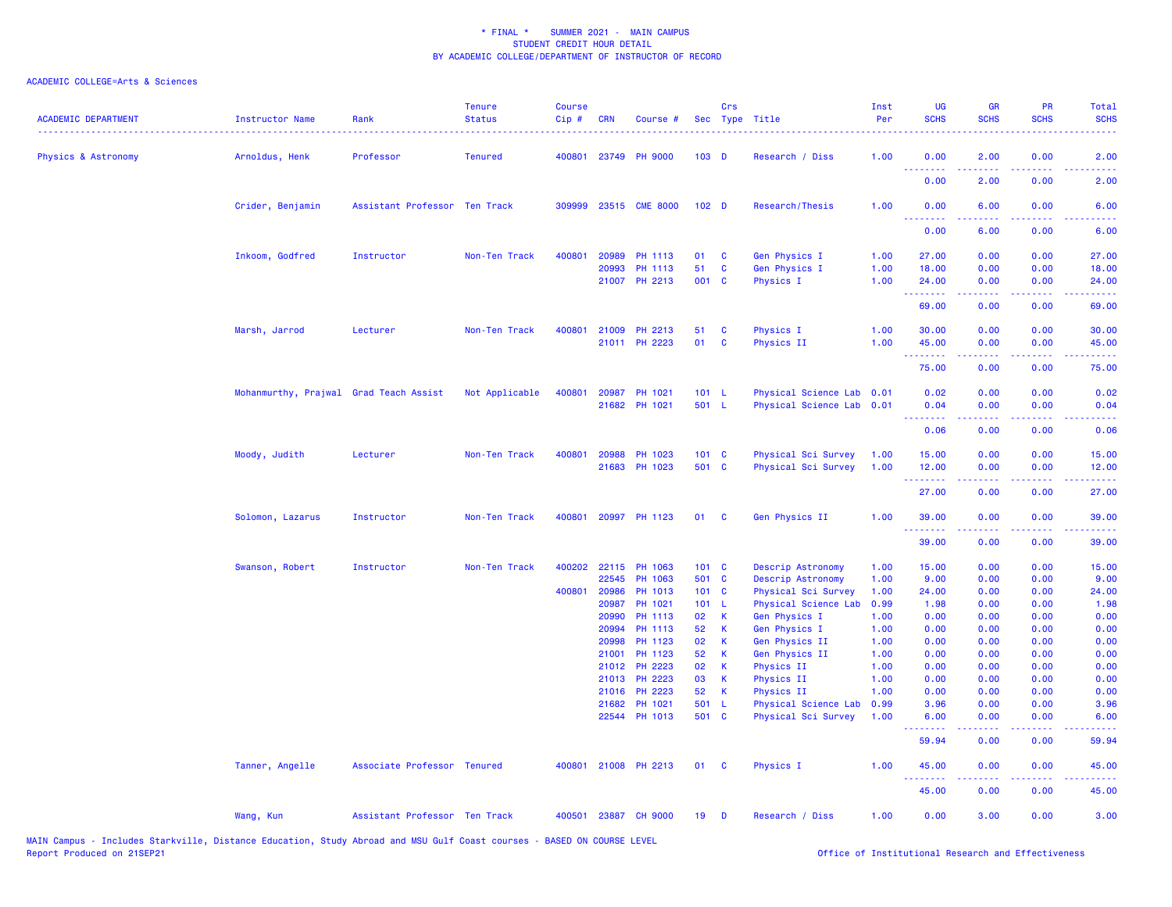| <b>ACADEMIC DEPARTMENT</b> | <b>Instructor Name</b>                 | Rank                          | <b>Tenure</b><br><b>Status</b> | <b>Course</b><br>Cip # | <b>CRN</b>   | Course #                 |                  | Crs          | Sec Type Title            | Inst<br>Per  | <b>UG</b><br><b>SCHS</b> | <b>GR</b><br><b>SCHS</b> | PR<br><b>SCHS</b>                                                                                                         | Total<br><b>SCHS</b>        |
|----------------------------|----------------------------------------|-------------------------------|--------------------------------|------------------------|--------------|--------------------------|------------------|--------------|---------------------------|--------------|--------------------------|--------------------------|---------------------------------------------------------------------------------------------------------------------------|-----------------------------|
| Physics & Astronomy        | Arnoldus, Henk                         | Professor                     | <b>Tenured</b>                 |                        |              | 400801 23749 PH 9000     | $103$ D          |              | Research / Diss           | 1.00         | 0.00<br>.                | 2.00                     | 0.00                                                                                                                      | 2.00                        |
|                            |                                        |                               |                                |                        |              |                          |                  |              |                           |              | 0.00                     | 2.00                     | 0.00                                                                                                                      | 2.00                        |
|                            | Crider, Benjamin                       | Assistant Professor Ten Track |                                | 309999                 |              | 23515 CME 8000           | 102 <sub>D</sub> |              | Research/Thesis           | 1.00         | 0.00<br>.                | 6.00                     | 0.00                                                                                                                      | 6.00                        |
|                            |                                        |                               |                                |                        |              |                          |                  |              |                           |              | 0.00                     | 6.00                     | 0.00                                                                                                                      | 6.00                        |
|                            | Inkoom, Godfred                        | Instructor                    | Non-Ten Track                  | 400801                 | 20989        | PH 1113                  | 01               | C            | Gen Physics I             | 1.00         | 27.00                    | 0.00                     | 0.00                                                                                                                      | 27.00                       |
|                            |                                        |                               |                                |                        | 20993        | PH 1113                  | 51               | $\mathbf c$  | Gen Physics I             | 1.00         | 18.00                    | 0.00                     | 0.00                                                                                                                      | 18.00                       |
|                            |                                        |                               |                                |                        | 21007        | PH 2213                  | 001 C            |              | Physics I                 | 1.00         | 24.00                    | 0.00                     | 0.00                                                                                                                      | 24.00                       |
|                            |                                        |                               |                                |                        |              |                          |                  |              |                           |              | <u> 22222</u><br>69.00   | 0.00                     | 0.00                                                                                                                      | 69.00                       |
|                            | Marsh, Jarrod                          | Lecturer                      | Non-Ten Track                  | 400801                 | 21009        | PH 2213                  | 51               | C            | Physics I                 | 1.00         | 30,00                    | 0.00                     | 0.00                                                                                                                      | 30.00                       |
|                            |                                        |                               |                                |                        |              | 21011 PH 2223            | 01               | C            | <b>Physics II</b>         | 1.00         | 45.00                    | 0.00                     | 0.00                                                                                                                      | 45.00                       |
|                            |                                        |                               |                                |                        |              |                          |                  |              |                           |              | .                        | .                        | $\frac{1}{2} \left( \frac{1}{2} \right) \left( \frac{1}{2} \right) \left( \frac{1}{2} \right) \left( \frac{1}{2} \right)$ | .                           |
|                            |                                        |                               |                                |                        |              |                          |                  |              |                           |              | 75.00                    | 0.00                     | 0.00                                                                                                                      | 75.00                       |
|                            | Mohanmurthy, Prajwal Grad Teach Assist |                               | Not Applicable                 | 400801                 | 20987        | PH 1021                  | 101 L            |              | Physical Science Lab 0.01 |              | 0.02                     | 0.00                     | 0.00                                                                                                                      | 0.02                        |
|                            |                                        |                               |                                |                        | 21682        | <b>PH 1021</b>           | 501 L            |              | Physical Science Lab 0.01 |              | 0.04                     | 0.00                     | 0.00                                                                                                                      | 0.04                        |
|                            |                                        |                               |                                |                        |              |                          |                  |              |                           |              | .<br>0.06                | .<br>0.00                | $\sim$ $\sim$ $\sim$ $\sim$<br>0.00                                                                                       | 0.06                        |
|                            | Moody, Judith                          | Lecturer                      | Non-Ten Track                  | 400801                 | 20988        | PH 1023                  | 101 C            |              | Physical Sci Survey       | 1.00         | 15.00                    | 0.00                     | 0.00                                                                                                                      | 15.00                       |
|                            |                                        |                               |                                |                        | 21683        | PH 1023                  | 501 C            |              | Physical Sci Survey       | 1.00         | 12.00                    | 0.00                     | 0.00                                                                                                                      | 12.00                       |
|                            |                                        |                               |                                |                        |              |                          |                  |              |                           |              | .<br>27.00               | .<br>0.00                | 0.00                                                                                                                      | 27.00                       |
|                            | Solomon, Lazarus                       | Instructor                    | Non-Ten Track                  | 400801                 |              | 20997 PH 1123            | 01               | <b>C</b>     | Gen Physics II            | 1.00         | 39.00                    | 0.00                     | 0.00                                                                                                                      | 39.00                       |
|                            |                                        |                               |                                |                        |              |                          |                  |              |                           |              | .<br>39.00               | 0.00                     | 0.00                                                                                                                      | 39.00                       |
|                            | Swanson, Robert                        | Instructor                    | Non-Ten Track                  | 400202                 | 22115        | PH 1063                  | 101 C            |              | Descrip Astronomy         | 1.00         | 15.00                    | 0.00                     | 0.00                                                                                                                      | 15.00                       |
|                            |                                        |                               |                                |                        | 22545        | PH 1063                  | 501 C            |              | Descrip Astronomy         | 1.00         | 9.00                     | 0.00                     | 0.00                                                                                                                      | 9.00                        |
|                            |                                        |                               |                                |                        | 400801 20986 | PH 1013                  | 101 C            |              | Physical Sci Survey       | 1.00         | 24.00                    | 0.00                     | 0.00                                                                                                                      | 24.00                       |
|                            |                                        |                               |                                |                        | 20987        | PH 1021                  | 101 L            |              | Physical Science Lab      | 0.99         | 1.98                     | 0.00                     | 0.00                                                                                                                      | 1.98                        |
|                            |                                        |                               |                                |                        | 20990        | PH 1113                  | 02               | К            | Gen Physics I             | 1.00         | 0.00                     | 0.00                     | 0.00                                                                                                                      | 0.00                        |
|                            |                                        |                               |                                |                        | 20994        | PH 1113                  | 52               | $\mathsf K$  | Gen Physics I             | 1.00         | 0.00                     | 0.00                     | 0.00                                                                                                                      | 0.00                        |
|                            |                                        |                               |                                |                        | 20998        | PH 1123                  | 02               | K            | Gen Physics II            | 1.00         | 0.00                     | 0.00                     | 0.00                                                                                                                      | 0.00                        |
|                            |                                        |                               |                                |                        | 21001        | PH 1123                  | 52               | K            | Gen Physics II            | 1.00         | 0.00                     | 0.00                     | 0.00                                                                                                                      | 0.00                        |
|                            |                                        |                               |                                |                        | 21012        | PH 2223                  | 02               | $\mathsf{K}$ | Physics II                | 1.00         | 0.00                     | 0.00                     | 0.00                                                                                                                      | 0.00                        |
|                            |                                        |                               |                                |                        | 21013        | PH 2223                  | 03               | K            | Physics II                | 1.00         | 0.00                     | 0.00                     | 0.00                                                                                                                      | 0.00                        |
|                            |                                        |                               |                                |                        | 21016        | PH 2223                  | 52               | K            | Physics II                | 1.00         | 0.00                     | 0.00                     | 0.00                                                                                                                      | 0.00                        |
|                            |                                        |                               |                                |                        | 21682        | PH 1021<br>22544 PH 1013 | 501 L<br>501 C   |              | Physical Science Lab      | 0.99<br>1.00 | 3.96<br>6.00             | 0.00<br>0.00             | 0.00<br>0.00                                                                                                              | 3.96<br>6.00                |
|                            |                                        |                               |                                |                        |              |                          |                  |              | Physical Sci Survey       |              | .                        | 22222                    | $\sim$ $\sim$ $\sim$ $\sim$                                                                                               | $\sim$ $\sim$ $\sim$ $\sim$ |
|                            |                                        |                               |                                |                        |              |                          |                  |              |                           |              | 59.94                    | 0.00                     | 0.00                                                                                                                      | 59.94                       |
|                            | Tanner, Angelle                        | Associate Professor Tenured   |                                |                        |              | 400801 21008 PH 2213     | 01               | <b>C</b>     | Physics I                 | 1.00         | 45.00<br>.               | 0.00                     | 0.00<br>$\sim$ $\sim$ $\sim$ $\sim$                                                                                       | 45.00                       |
|                            |                                        |                               |                                |                        |              |                          |                  |              |                           |              | 45.00                    | 0.00                     | 0.00                                                                                                                      | 45.00                       |
|                            | Wang, Kun                              | Assistant Professor Ten Track |                                | 400501                 |              | 23887 CH 9000            | 19               | D            | Research / Diss           | 1.00         | 0.00                     | 3.00                     | 0.00                                                                                                                      | 3.00                        |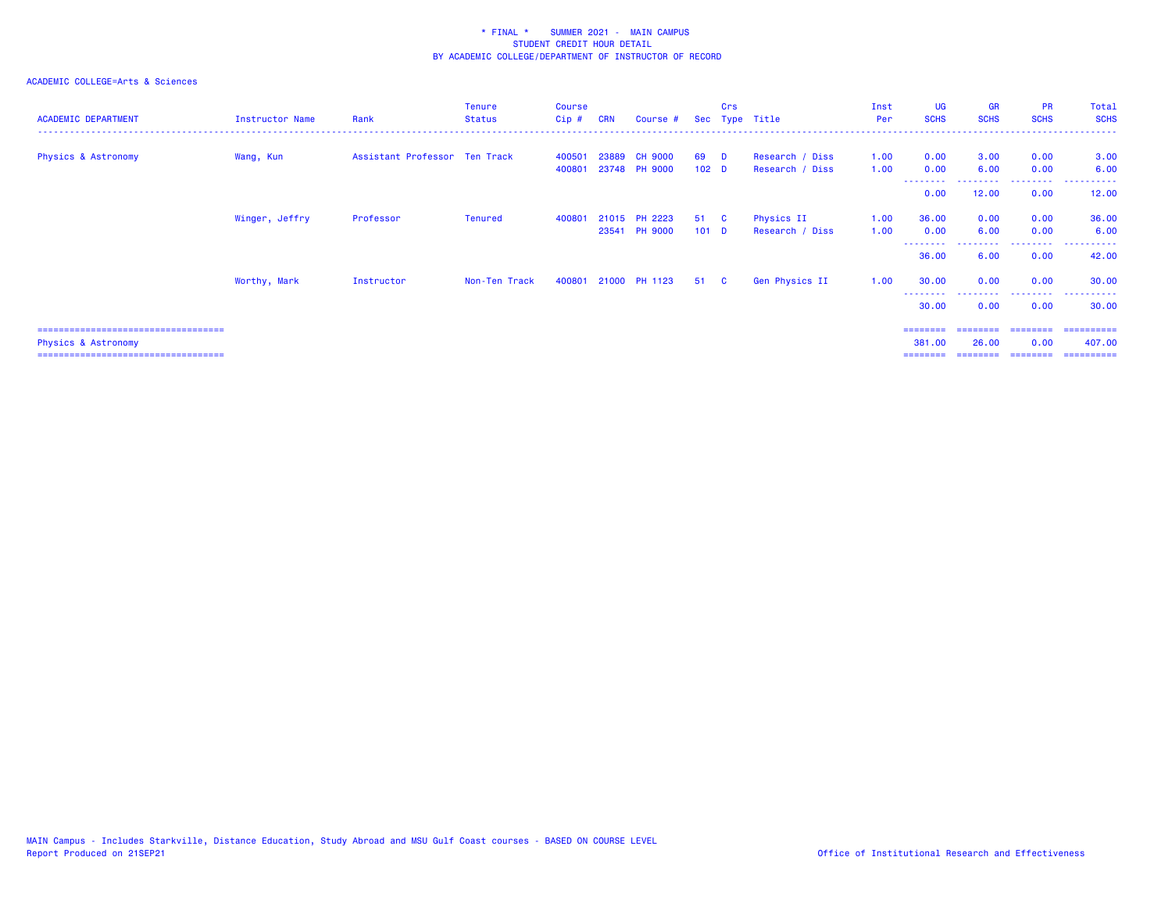### ACADEMIC COLLEGE=Arts & Sciences

| <b>ACADEMIC DEPARTMENT</b>            | Instructor Name | Rank                          | <b>Tenure</b><br><b>Status</b> | <b>Course</b><br>Cip# | <b>CRN</b> | Course #             |                  | Crs      | Sec Type Title  | Inst<br>Per | <b>UG</b><br><b>SCHS</b> | <b>GR</b><br><b>SCHS</b> | <b>PR</b><br><b>SCHS</b> | Total<br><b>SCHS</b> |
|---------------------------------------|-----------------|-------------------------------|--------------------------------|-----------------------|------------|----------------------|------------------|----------|-----------------|-------------|--------------------------|--------------------------|--------------------------|----------------------|
| <b>Physics &amp; Astronomy</b>        | Wang, Kun       | Assistant Professor Ten Track |                                | 400501                | 23889      | <b>CH 9000</b>       | 69               | <b>D</b> | Research / Diss | 1.00        | 0.00                     | 3.00                     | 0.00                     | 3.00                 |
|                                       |                 |                               |                                | 400801                |            | 23748 PH 9000        | 102 <sub>D</sub> |          | Research / Diss | 1.00        | 0.00                     | 6.00                     | 0.00                     | 6.00                 |
|                                       |                 |                               |                                |                       |            |                      |                  |          |                 |             | 0.00                     | 12.00                    | .<br>0.00                | ------<br>12.00      |
|                                       | Winger, Jeffry  | Professor                     | <b>Tenured</b>                 | 400801                |            | 21015 PH 2223        | 51 C             |          | Physics II      | 1.00        | 36.00                    | 0.00                     | 0.00                     | 36.00                |
|                                       |                 |                               |                                |                       |            | 23541 PH 9000        | 101 <sub>D</sub> |          | Research / Diss | 1.00        | 0.00                     | 6.00                     | 0.00                     | 6.00                 |
|                                       |                 |                               |                                |                       |            |                      |                  |          |                 |             | --------<br>36.00        | 6.00                     | .<br>0.00                | ----------<br>42.00  |
|                                       | Worthy, Mark    | Instructor                    | Non-Ten Track                  |                       |            | 400801 21000 PH 1123 | 51 C             |          | Gen Physics II  | 1.00        | 30.00                    | 0.00                     | 0.00                     | 30.00                |
|                                       |                 |                               |                                |                       |            |                      |                  |          |                 |             | 30.00                    | 0.00                     | 0.00                     | 30.00                |
| :==================================== |                 |                               |                                |                       |            |                      |                  |          |                 |             |                          |                          | ========                 | -----------          |

Physics & Astronomy 381.00 26.00 0.00 407.00

=================================== ======== ======== ======== ==========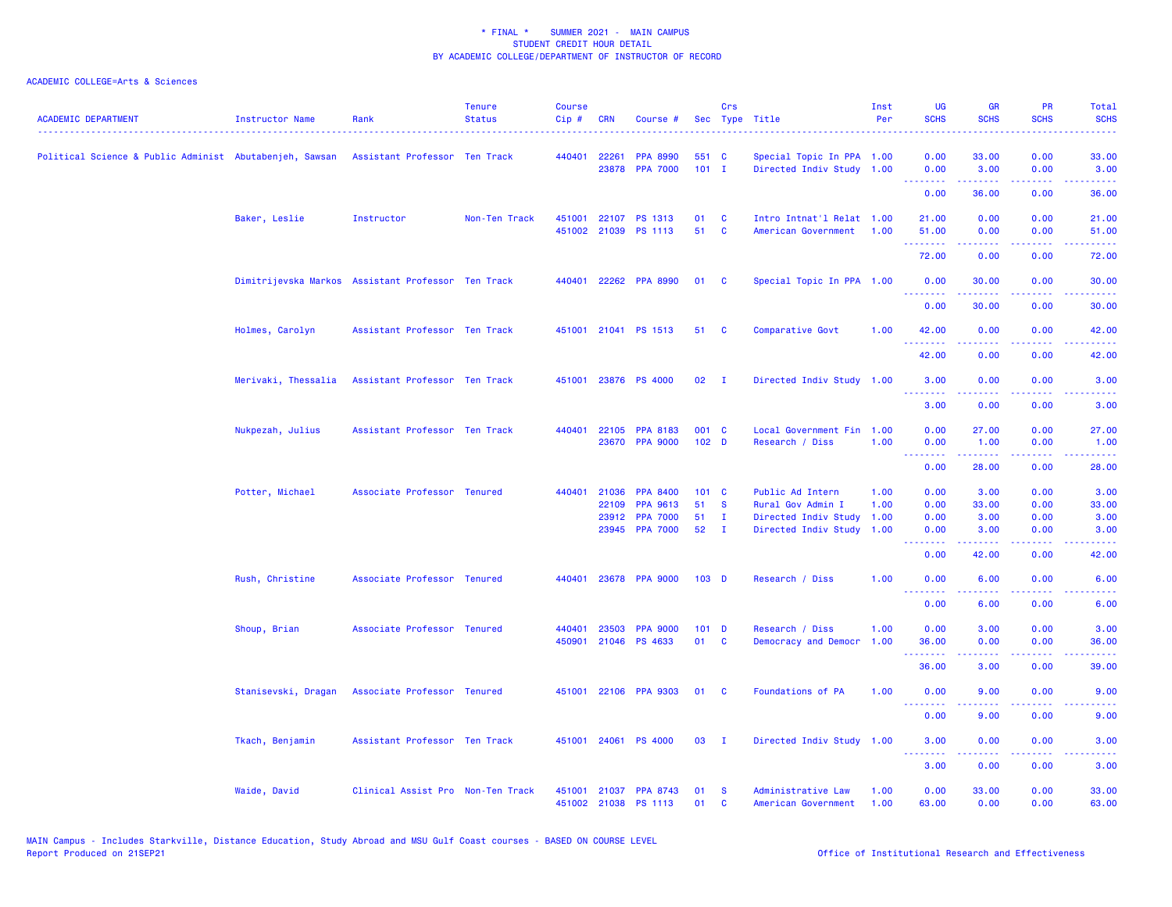| <b>ACADEMIC DEPARTMENT</b>                              | <b>Instructor Name</b>                             | Rank                              | <b>Tenure</b><br><b>Status</b> | <b>Course</b><br>Cip# | <b>CRN</b>   | Course #                              |                           | Crs<br>Sec Type Title | . <u>.</u> .                                           | Inst<br>Per  | <b>UG</b><br><b>SCHS</b>              | <b>GR</b><br><b>SCHS</b> | PR<br><b>SCHS</b><br>2222. | Total<br><b>SCHS</b><br>والمستحدث                                                                                                 |
|---------------------------------------------------------|----------------------------------------------------|-----------------------------------|--------------------------------|-----------------------|--------------|---------------------------------------|---------------------------|-----------------------|--------------------------------------------------------|--------------|---------------------------------------|--------------------------|----------------------------|-----------------------------------------------------------------------------------------------------------------------------------|
| Political Science & Public Administ Abutabenjeh, Sawsan |                                                    | Assistant Professor Ten Track     |                                | 440401                | 22261        | <b>PPA 8990</b><br>23878 PPA 7000     | 551 C<br>$101$ I          |                       | Special Topic In PPA 1.00<br>Directed Indiv Study 1.00 |              | 0.00<br>0.00                          | 33.00<br>3.00            | 0.00<br>0.00               | 33.00<br>3.00                                                                                                                     |
|                                                         |                                                    |                                   |                                |                       |              |                                       |                           |                       |                                                        |              | <b></b><br>0.00                       | .<br>36.00               | .<br>0.00                  | .<br>36.00                                                                                                                        |
|                                                         | Baker, Leslie                                      | Instructor                        | Non-Ten Track                  | 451001                |              | 22107 PS 1313<br>451002 21039 PS 1113 | 01<br>51                  | C<br><b>C</b>         | Intro Intnat'l Relat 1.00<br>American Government       | 1.00         | 21.00<br>51.00                        | 0.00<br>0.00             | 0.00<br>0.00               | 21.00<br>51.00                                                                                                                    |
|                                                         |                                                    |                                   |                                |                       |              |                                       |                           |                       |                                                        |              | <b></b><br>72.00                      | .<br>0.00                | د د د د<br>0.00            | .<br>72.00                                                                                                                        |
|                                                         | Dimitrijevska Markos Assistant Professor Ten Track |                                   |                                | 440401                |              | 22262 PPA 8990                        | 01                        | C                     | Special Topic In PPA 1.00                              |              | 0.00                                  | 30.00                    | 0.00                       | 30.00                                                                                                                             |
|                                                         |                                                    |                                   |                                |                       |              |                                       |                           |                       |                                                        |              | <u> - - - - - - - -</u><br>0.00       | .<br>30.00               | .<br>0.00                  | .<br>30.00                                                                                                                        |
|                                                         | Holmes, Carolyn                                    | Assistant Professor Ten Track     |                                |                       |              | 451001 21041 PS 1513                  | 51                        | <b>C</b>              | Comparative Govt                                       | 1.00         | 42.00                                 | 0.00                     | 0.00                       | 42.00                                                                                                                             |
|                                                         |                                                    |                                   |                                |                       |              |                                       |                           |                       |                                                        |              | --------<br>42.00                     | -----<br>0.00            | .<br>0.00                  | .<br>42.00                                                                                                                        |
|                                                         | Merivaki, Thessalia                                | Assistant Professor Ten Track     |                                | 451001                |              | 23876 PS 4000                         | 02                        | $\mathbf{I}$          | Directed Indiv Study 1.00                              |              | 3.00                                  | 0.00                     | 0.00                       | 3.00                                                                                                                              |
|                                                         |                                                    |                                   |                                |                       |              |                                       |                           |                       |                                                        |              | .<br>3.00                             | .<br>0.00                | بالمحام<br>0.00            | <u>.</u><br>3.00                                                                                                                  |
|                                                         | Nukpezah, Julius                                   | Assistant Professor Ten Track     |                                | 440401                | 22105        | <b>PPA 8183</b><br>23670 PPA 9000     | 001 C<br>102 <sub>D</sub> |                       | Local Government Fin 1.00<br>Research / Diss           | 1.00         | 0.00<br>0.00                          | 27.00<br>1.00            | 0.00<br>0.00               | 27.00<br>1.00                                                                                                                     |
|                                                         |                                                    |                                   |                                |                       |              |                                       |                           |                       |                                                        |              | <u>.</u><br>0.00                      | .<br>28.00               | د د د د<br>0.00            | $\sim$ $\sim$ $\sim$ $\sim$ $\sim$<br>28.00                                                                                       |
|                                                         | Potter, Michael                                    | Associate Professor Tenured       |                                |                       | 440401 21036 | <b>PPA 8400</b>                       | 101 C                     |                       | Public Ad Intern                                       | 1.00         | 0.00                                  | 3.00                     | 0.00                       | 3.00                                                                                                                              |
|                                                         |                                                    |                                   |                                |                       | 22109        | <b>PPA 9613</b>                       | 51                        | <b>S</b>              | Rural Gov Admin I                                      | 1.00         | 0.00                                  | 33.00                    | 0.00                       | 33.00                                                                                                                             |
|                                                         |                                                    |                                   |                                |                       | 23912        | <b>PPA 7000</b>                       | 51                        | п.                    | Directed Indiv Study                                   | 1.00         | 0.00                                  | 3.00                     | 0.00                       | 3.00                                                                                                                              |
|                                                         |                                                    |                                   |                                |                       |              | 23945 PPA 7000                        | 52                        | $\mathbf{I}$          | Directed Indiv Study                                   | 1.00         | 0.00<br><b></b>                       | 3.00                     | 0.00<br>.                  | 3.00<br>والمستناط                                                                                                                 |
|                                                         |                                                    |                                   |                                |                       |              |                                       |                           |                       |                                                        |              | 0.00                                  | 42.00                    | 0.00                       | 42.00                                                                                                                             |
|                                                         | Rush, Christine                                    | Associate Professor Tenured       |                                | 440401                |              | 23678 PPA 9000                        | 103 <sub>D</sub>          |                       | Research / Diss                                        | 1.00         | 0.00<br>.                             | 6.00<br>.                | 0.00<br>ن د د د            | 6.00<br>2222.                                                                                                                     |
|                                                         |                                                    |                                   |                                |                       |              |                                       |                           |                       |                                                        |              | 0.00                                  | 6.00                     | 0.00                       | 6.00                                                                                                                              |
|                                                         | Shoup, Brian                                       | Associate Professor Tenured       |                                | 440401                | 23503        | <b>PPA 9000</b>                       | $101$ D                   |                       | Research / Diss                                        | 1.00         | 0.00                                  | 3.00                     | 0.00                       | 3.00                                                                                                                              |
|                                                         |                                                    |                                   |                                | 450901                |              | 21046 PS 4633                         | 01                        | C                     | Democracy and Democr                                   | 1.00         | 36.00<br><b><i><u>AAAAAAA</u></i></b> | 0.00<br>.                | 0.00<br>.                  | 36.00<br>والمستحدث                                                                                                                |
|                                                         |                                                    |                                   |                                |                       |              |                                       |                           |                       |                                                        |              | 36.00                                 | 3.00                     | 0.00                       | 39.00                                                                                                                             |
|                                                         | Stanisevski, Dragan                                | Associate Professor Tenured       |                                |                       |              | 451001 22106 PPA 9303                 | 01                        | $\mathbf{C}$          | Foundations of PA                                      | 1.00         | 0.00<br><u>.</u>                      | 9.00<br>-----            | 0.00<br>د د د د            | 9.00<br>والمرامين منابذ                                                                                                           |
|                                                         |                                                    |                                   |                                |                       |              |                                       |                           |                       |                                                        |              | 0.00                                  | 9.00                     | 0.00                       | 9.00                                                                                                                              |
|                                                         | Tkach, Benjamin                                    | Assistant Professor Ten Track     |                                | 451001                | 24061        | <b>PS 4000</b>                        | 03                        | $\mathbf{I}$          | Directed Indiv Study                                   | 1.00         | 3.00<br><u>.</u>                      | 0.00<br>.                | 0.00<br>المالمات           | 3.00<br>$\frac{1}{2} \left( \frac{1}{2} \right) \left( \frac{1}{2} \right) \left( \frac{1}{2} \right) \left( \frac{1}{2} \right)$ |
|                                                         |                                                    |                                   |                                |                       |              |                                       |                           |                       |                                                        |              | 3.00                                  | 0.00                     | 0.00                       | 3.00                                                                                                                              |
|                                                         | Waide, David                                       | Clinical Assist Pro Non-Ten Track |                                | 451001<br>451002      |              | 21037 PPA 8743<br>21038 PS 1113       | 01<br>01                  | -S<br><b>C</b>        | Administrative Law<br>American Government              | 1.00<br>1.00 | 0.00<br>63.00                         | 33.00<br>0.00            | 0.00<br>0.00               | 33.00<br>63.00                                                                                                                    |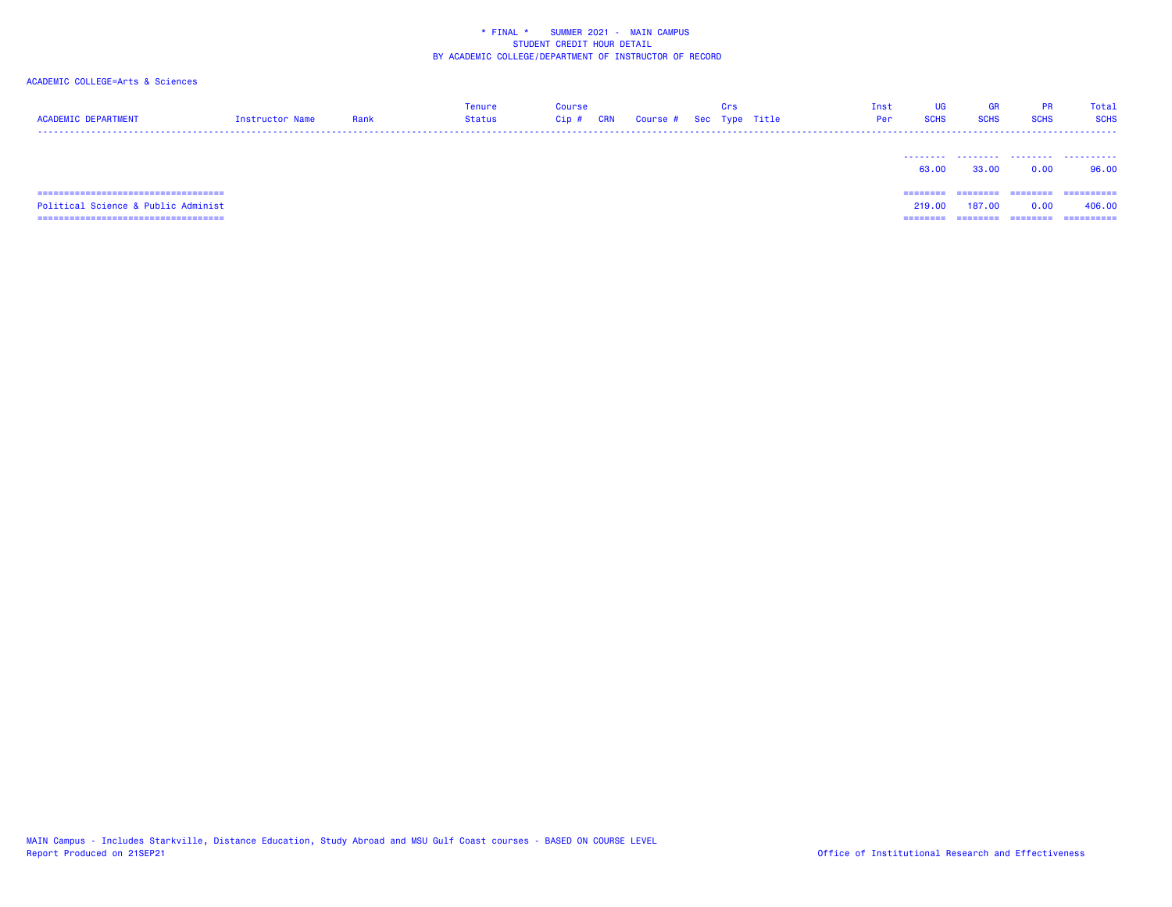| <b>ACADEMIC DEPARTMENT</b>             | Instructor Name | Rank | Tenure<br><b>Status</b> | Course<br><b>CRN</b><br>$Cip$ # | Course # | Crs | Sec Type Title | Inst<br>Per | <b>UG</b><br><b>SCHS</b> | GR<br><b>SCHS</b> | <b>PR</b><br><b>SCHS</b> | Total<br><b>SCHS</b> |
|----------------------------------------|-----------------|------|-------------------------|---------------------------------|----------|-----|----------------|-------------|--------------------------|-------------------|--------------------------|----------------------|
|                                        |                 |      |                         |                                 |          |     |                |             | 63.00                    | 33,00             | 0.00                     | .<br>96.00           |
| ====================================== |                 |      |                         |                                 |          |     |                |             | ========                 | ========          | --------                 | ==========           |
| Political Science & Public Administ    |                 |      |                         |                                 |          |     |                |             | 219.00                   | 187.00            | 0.00                     | 406.00               |
| -------------------------------------  |                 |      |                         |                                 |          |     |                |             | ========                 | ========          | ========                 | ==========           |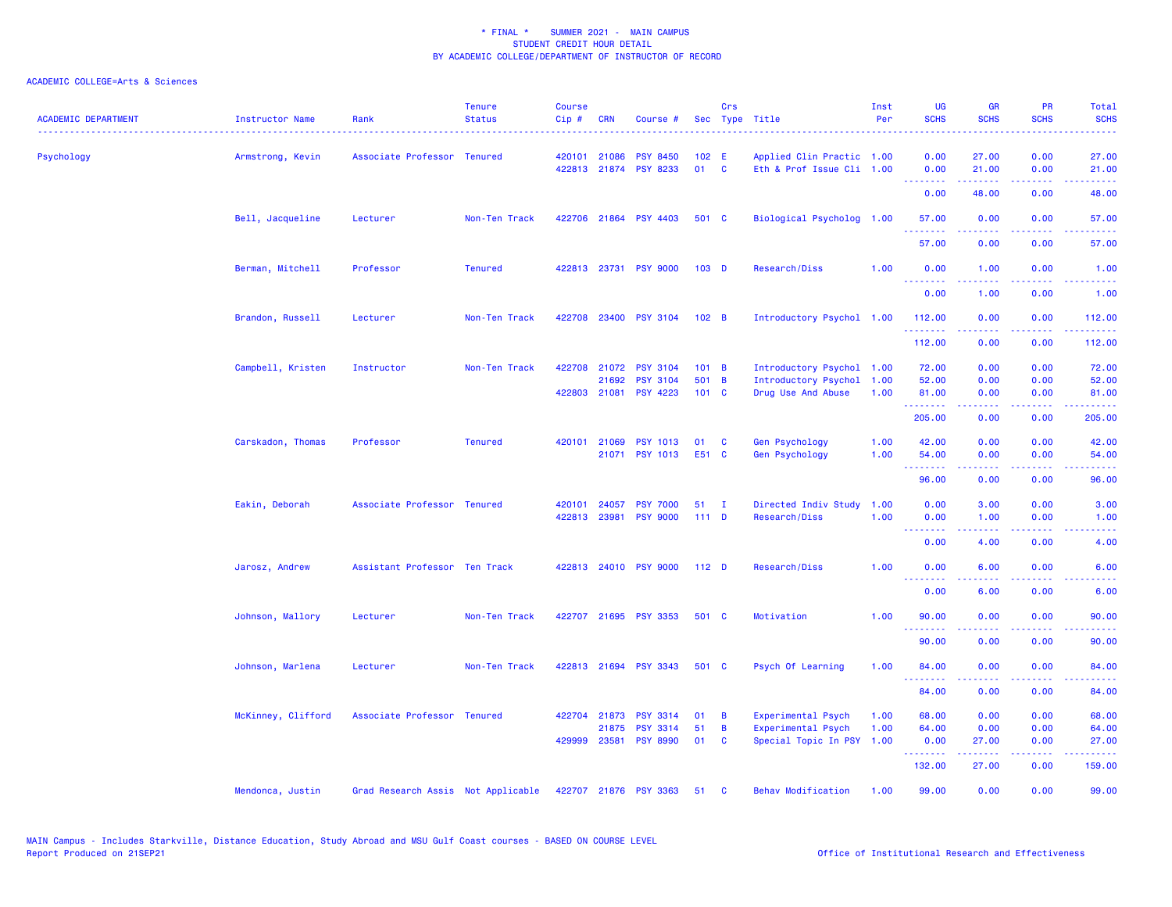| <b>ACADEMIC DEPARTMENT</b> | Instructor Name    | Rank                               | <b>Tenure</b><br><b>Status</b> | <b>Course</b><br>Cip# | <b>CRN</b>            | Course #                                                    |                         | Crs          | Sec Type Title                                                          | Inst<br>Per  | <b>UG</b><br><b>SCHS</b>                                           | <b>GR</b><br><b>SCHS</b>      | <b>PR</b><br><b>SCHS</b>                                                                                                          | Total<br><b>SCHS</b>                                                                                                              |
|----------------------------|--------------------|------------------------------------|--------------------------------|-----------------------|-----------------------|-------------------------------------------------------------|-------------------------|--------------|-------------------------------------------------------------------------|--------------|--------------------------------------------------------------------|-------------------------------|-----------------------------------------------------------------------------------------------------------------------------------|-----------------------------------------------------------------------------------------------------------------------------------|
| Psychology                 | Armstrong, Kevin   | Associate Professor Tenured        |                                | 420101                | 21086                 | <b>PSY 8450</b><br>422813 21874 PSY 8233                    | 102 E<br>01             | <b>C</b>     | Applied Clin Practic 1.00<br>Eth & Prof Issue Cli 1.00                  |              | 0.00<br>0.00                                                       | 27.00<br>21.00                | 0.00<br>0.00                                                                                                                      | 27.00<br>21.00                                                                                                                    |
|                            |                    |                                    |                                |                       |                       |                                                             |                         |              |                                                                         |              | <b></b><br>0.00                                                    | بالأباليات<br>48.00           | بالأباء<br>0.00                                                                                                                   | المستما<br>48.00                                                                                                                  |
|                            | Bell, Jacqueline   | Lecturer                           | Non-Ten Track                  | 422706                |                       | 21864 PSY 4403                                              | 501 C                   |              | Biological Psycholog 1.00                                               |              | 57.00                                                              | 0.00                          | 0.00                                                                                                                              | 57.00                                                                                                                             |
|                            |                    |                                    |                                |                       |                       |                                                             |                         |              |                                                                         |              | 57.00                                                              | 0.00                          | 0.00                                                                                                                              | 57.00                                                                                                                             |
|                            | Berman, Mitchell   | Professor                          | <b>Tenured</b>                 |                       |                       | 422813 23731 PSY 9000                                       | 103 <sub>D</sub>        |              | Research/Diss                                                           | 1.00         | 0.00<br><u>.</u>                                                   | 1.00<br>.                     | 0.00<br>$\frac{1}{2} \left( \frac{1}{2} \right) \left( \frac{1}{2} \right) \left( \frac{1}{2} \right) \left( \frac{1}{2} \right)$ | 1.00<br>$\frac{1}{2} \left( \frac{1}{2} \right) \left( \frac{1}{2} \right) \left( \frac{1}{2} \right) \left( \frac{1}{2} \right)$ |
|                            |                    |                                    |                                |                       |                       |                                                             |                         |              |                                                                         |              | 0.00                                                               | 1.00                          | 0.00                                                                                                                              | 1.00                                                                                                                              |
|                            | Brandon, Russell   | Lecturer                           | Non-Ten Track                  |                       |                       | 422708 23400 PSY 3104                                       | 102 B                   |              | Introductory Psychol 1.00                                               |              | 112.00<br><u>.</u>                                                 | 0.00<br>.                     | 0.00<br>.                                                                                                                         | 112.00<br>2.2222                                                                                                                  |
|                            |                    |                                    |                                |                       |                       |                                                             |                         |              |                                                                         |              | 112.00                                                             | 0.00                          | 0.00                                                                                                                              | 112.00                                                                                                                            |
|                            | Campbell, Kristen  | Instructor                         | Non-Ten Track                  | 422708                | 21072<br>21692        | <b>PSY 3104</b><br><b>PSY 3104</b><br>422803 21081 PSY 4223 | 101 B<br>501 B<br>101 C |              | Introductory Psychol 1.00<br>Introductory Psychol<br>Drug Use And Abuse | 1.00<br>1.00 | 72.00<br>52.00<br>81.00<br><b></b>                                 | 0.00<br>0.00<br>0.00<br>----- | 0.00<br>0.00<br>0.00<br>.                                                                                                         | 72.00<br>52.00<br>81.00<br>والمستوات المنابذ                                                                                      |
|                            |                    |                                    |                                |                       |                       |                                                             |                         |              |                                                                         |              | 205.00                                                             | 0.00                          | 0.00                                                                                                                              | 205.00                                                                                                                            |
|                            | Carskadon, Thomas  | Professor                          | <b>Tenured</b>                 | 420101                | 21069                 | <b>PSY 1013</b><br>21071 PSY 1013                           | 01<br>E51 C             | C            | Gen Psychology<br><b>Gen Psychology</b>                                 | 1.00<br>1.00 | 42.00<br>54.00                                                     | 0.00<br>0.00                  | 0.00<br>0.00                                                                                                                      | 42.00<br>54.00                                                                                                                    |
|                            |                    |                                    |                                |                       |                       |                                                             |                         |              |                                                                         |              | 96.00                                                              | 0.00                          | 0.00                                                                                                                              | 96.00                                                                                                                             |
|                            | Eakin, Deborah     | Associate Professor Tenured        |                                | 420101                | 422813 23981          | 24057 PSY 7000<br><b>PSY 9000</b>                           | 51<br>111D              | $\mathbf{I}$ | Directed Indiv Study<br>Research/Diss                                   | 1.00<br>1.00 | 0.00<br>0.00<br><b><i><u><u><b>A</b></u></u> A A A A A A A</i></b> | 3.00<br>1.00<br>22222         | 0.00<br>0.00<br>.                                                                                                                 | 3.00<br>1.00<br>2222.                                                                                                             |
|                            |                    |                                    |                                |                       |                       |                                                             |                         |              |                                                                         |              | 0.00                                                               | 4.00                          | 0.00                                                                                                                              | 4.00                                                                                                                              |
|                            | Jarosz, Andrew     | Assistant Professor Ten Track      |                                |                       |                       | 422813 24010 PSY 9000                                       | 112 <sub>D</sub>        |              | Research/Diss                                                           | 1.00         | 0.00<br>.                                                          | 6.00                          | 0.00                                                                                                                              | 6.00                                                                                                                              |
|                            |                    |                                    |                                |                       |                       |                                                             |                         |              |                                                                         |              | 0.00                                                               | 6.00                          | 0.00                                                                                                                              | 6.00                                                                                                                              |
|                            | Johnson, Mallory   | Lecturer                           | Non-Ten Track                  |                       |                       | 422707 21695 PSY 3353                                       | 501 C                   |              | Motivation                                                              | 1.00         | 90.00<br><u>.</u>                                                  | 0.00                          | 0.00<br>$\frac{1}{2} \left( \frac{1}{2} \right) \left( \frac{1}{2} \right) \left( \frac{1}{2} \right)$                            | 90.00                                                                                                                             |
|                            |                    |                                    |                                |                       |                       |                                                             |                         |              |                                                                         |              | 90.00                                                              | 0.00                          | 0.00                                                                                                                              | 90.00                                                                                                                             |
|                            | Johnson, Marlena   | Lecturer                           | Non-Ten Track                  |                       |                       | 422813 21694 PSY 3343                                       | 501 C                   |              | Psych Of Learning                                                       | 1.00         | 84.00<br>.                                                         | 0.00<br>.                     | 0.00<br>.                                                                                                                         | 84.00<br>.                                                                                                                        |
|                            |                    |                                    |                                |                       |                       |                                                             |                         |              |                                                                         |              | 84.00                                                              | 0.00                          | 0.00                                                                                                                              | 84.00                                                                                                                             |
|                            | McKinney, Clifford | Associate Professor Tenured        |                                | 422704                | 21873                 | <b>PSY 3314</b>                                             | 01                      | B            | Experimental Psych                                                      | 1.00         | 68.00                                                              | 0.00                          | 0.00                                                                                                                              | 68.00                                                                                                                             |
|                            |                    |                                    |                                |                       | 21875<br>429999 23581 | <b>PSY 3314</b><br><b>PSY 8990</b>                          | 51<br>01                | B<br>C       | Experimental Psych<br>Special Topic In PSY 1.00                         | 1.00         | 64.00<br>0.00                                                      | 0.00<br>27.00                 | 0.00<br>0.00                                                                                                                      | 64.00<br>27.00                                                                                                                    |
|                            |                    |                                    |                                |                       |                       |                                                             |                         |              |                                                                         |              | .<br>132.00                                                        | المتمامين<br>27.00            | .<br>0.00                                                                                                                         | .<br>159.00                                                                                                                       |
|                            | Mendonca, Justin   | Grad Research Assis Not Applicable |                                |                       |                       | 422707 21876 PSY 3363                                       | 51                      | C            | <b>Behav Modification</b>                                               | 1.00         | 99.00                                                              | 0.00                          | 0.00                                                                                                                              | 99.00                                                                                                                             |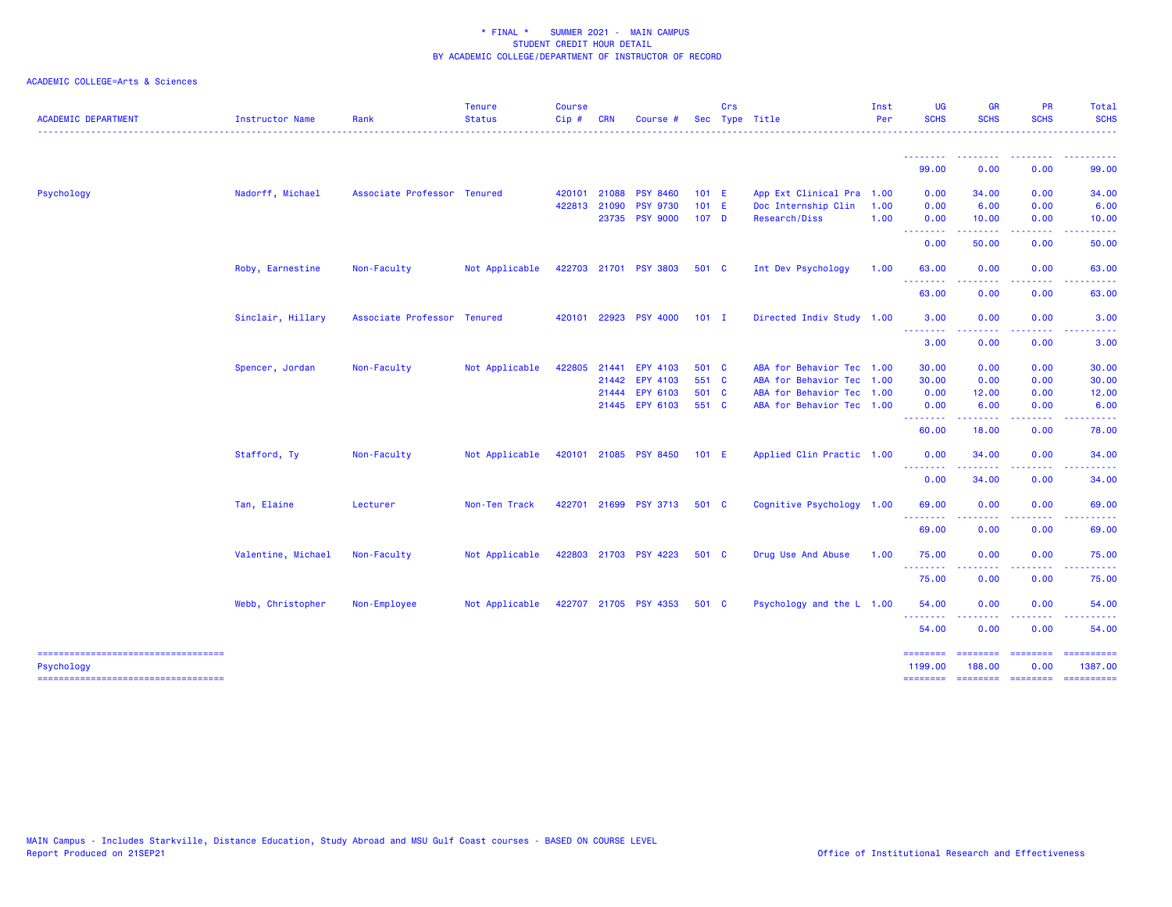| <b>ACADEMIC DEPARTMENT</b>                          | Instructor Name    | Rank                        | <b>Tenure</b><br><b>Status</b> | <b>Course</b><br>Cip# | <b>CRN</b> | Course #              |                  | Crs | Sec Type Title            | Inst<br>Per | <b>UG</b><br><b>SCHS</b>                                                                                                          | <b>GR</b><br><b>SCHS</b> | <b>PR</b><br><b>SCHS</b> | Total<br><b>SCHS</b>                                                                                                                                          |
|-----------------------------------------------------|--------------------|-----------------------------|--------------------------------|-----------------------|------------|-----------------------|------------------|-----|---------------------------|-------------|-----------------------------------------------------------------------------------------------------------------------------------|--------------------------|--------------------------|---------------------------------------------------------------------------------------------------------------------------------------------------------------|
|                                                     |                    |                             |                                |                       |            |                       |                  |     |                           |             | --------                                                                                                                          |                          |                          |                                                                                                                                                               |
|                                                     |                    |                             |                                |                       |            |                       |                  |     |                           |             | 99.00                                                                                                                             | 0.00                     | 0.00                     | 99.00                                                                                                                                                         |
| Psychology                                          | Nadorff, Michael   | Associate Professor Tenured |                                | 420101                | 21088      | <b>PSY 8460</b>       | $101$ E          |     | App Ext Clinical Pra 1.00 |             | 0.00                                                                                                                              | 34.00                    | 0.00                     | 34.00                                                                                                                                                         |
|                                                     |                    |                             |                                | 422813                | 21090      | <b>PSY 9730</b>       | $101$ E          |     | Doc Internship Clin       | 1.00        | 0.00                                                                                                                              | 6.00                     | 0.00                     | 6.00                                                                                                                                                          |
|                                                     |                    |                             |                                |                       |            | 23735 PSY 9000        | 107 <sub>D</sub> |     | Research/Diss             | 1.00        | 0.00                                                                                                                              | 10.00<br>.               | 0.00<br>د د د د          | 10.00<br>$\frac{1}{2} \left( \frac{1}{2} \right) \left( \frac{1}{2} \right) \left( \frac{1}{2} \right) \left( \frac{1}{2} \right) \left( \frac{1}{2} \right)$ |
|                                                     |                    |                             |                                |                       |            |                       |                  |     |                           |             | <b></b><br>0.00                                                                                                                   | 50.00                    | 0.00                     | 50.00                                                                                                                                                         |
|                                                     | Roby, Earnestine   | Non-Faculty                 | Not Applicable                 |                       |            | 422703 21701 PSY 3803 | 501 C            |     | Int Dev Psychology        | 1.00        | 63.00<br>$\sim$ $\sim$ $\sim$ $\sim$                                                                                              | 0.00                     | 0.00                     | 63.00                                                                                                                                                         |
|                                                     |                    |                             |                                |                       |            |                       |                  |     |                           |             | 63.00                                                                                                                             | 0.00                     | 0.00                     | 63.00                                                                                                                                                         |
|                                                     | Sinclair, Hillary  | Associate Professor Tenured |                                |                       |            | 420101 22923 PSY 4000 | $101$ I          |     | Directed Indiv Study 1.00 |             | 3.00<br><u>.</u>                                                                                                                  | 0.00                     | 0.00                     | 3.00                                                                                                                                                          |
|                                                     |                    |                             |                                |                       |            |                       |                  |     |                           |             | 3.00                                                                                                                              | 0.00                     | 0.00                     | 3.00                                                                                                                                                          |
|                                                     | Spencer, Jordan    | Non-Faculty                 | Not Applicable                 | 422805                | 21441      | EPY 4103              | 501 C            |     | ABA for Behavior Tec 1.00 |             | 30.00                                                                                                                             | 0.00                     | 0.00                     | 30.00                                                                                                                                                         |
|                                                     |                    |                             |                                |                       | 21442      | EPY 4103              | 551 C            |     | ABA for Behavior Tec 1.00 |             | 30.00                                                                                                                             | 0.00                     | 0.00                     | 30.00                                                                                                                                                         |
|                                                     |                    |                             |                                |                       |            | 21444 EPY 6103        | 501 C            |     | ABA for Behavior Tec 1.00 |             | 0.00                                                                                                                              | 12.00                    | 0.00                     | 12.00                                                                                                                                                         |
|                                                     |                    |                             |                                |                       |            | 21445 EPY 6103        | 551 C            |     | ABA for Behavior Tec 1.00 |             | 0.00                                                                                                                              | 6.00                     | 0.00                     | 6.00                                                                                                                                                          |
|                                                     |                    |                             |                                |                       |            |                       |                  |     |                           |             | .<br>60.00                                                                                                                        | 18.00                    | 0.00                     | 78.00                                                                                                                                                         |
|                                                     | Stafford, Ty       | Non-Faculty                 | Not Applicable                 |                       |            | 420101 21085 PSY 8450 | 101 E            |     | Applied Clin Practic 1.00 |             | 0.00<br>$\frac{1}{2} \left( \frac{1}{2} \right) \left( \frac{1}{2} \right) \left( \frac{1}{2} \right) \left( \frac{1}{2} \right)$ | 34.00                    | 0.00                     | 34.00                                                                                                                                                         |
|                                                     |                    |                             |                                |                       |            |                       |                  |     |                           |             | 0.00                                                                                                                              | 34.00                    | 0.00                     | 34.00                                                                                                                                                         |
|                                                     | Tan, Elaine        | Lecturer                    | Non-Ten Track                  |                       |            | 422701 21699 PSY 3713 | 501 C            |     | Cognitive Psychology 1.00 |             | 69.00<br>.                                                                                                                        | 0.00                     | 0.00                     | 69.00                                                                                                                                                         |
|                                                     |                    |                             |                                |                       |            |                       |                  |     |                           |             | 69.00                                                                                                                             | 0.00                     | 0.00                     | 69.00                                                                                                                                                         |
|                                                     | Valentine, Michael | Non-Faculty                 | Not Applicable                 |                       |            | 422803 21703 PSY 4223 | 501 C            |     | Drug Use And Abuse        | 1.00        | 75.00                                                                                                                             | 0.00                     | 0.00                     | 75.00                                                                                                                                                         |
|                                                     |                    |                             |                                |                       |            |                       |                  |     |                           |             | 75.00                                                                                                                             | 0.00                     | 0.00                     | 75.00                                                                                                                                                         |
|                                                     | Webb, Christopher  | Non-Employee                | Not Applicable                 |                       |            | 422707 21705 PSY 4353 | 501 C            |     | Psychology and the L 1.00 |             | 54.00<br>2.2.2.2.2.2.3                                                                                                            | 0.00                     | 0.00                     | 54.00                                                                                                                                                         |
|                                                     |                    |                             |                                |                       |            |                       |                  |     |                           |             | 54.00                                                                                                                             | 0.00                     | 0.00                     | 54.00                                                                                                                                                         |
| =====================================<br>Psychology |                    |                             |                                |                       |            |                       |                  |     |                           |             | ========<br>1199.00                                                                                                               | ========<br>188.00       | <b>ESSESSES</b><br>0.00  | ==========<br>1387.00                                                                                                                                         |
| ----------------------------------                  |                    |                             |                                |                       |            |                       |                  |     |                           |             |                                                                                                                                   |                          |                          | <u> sosooco osoooco osoooco osooocoo</u>                                                                                                                      |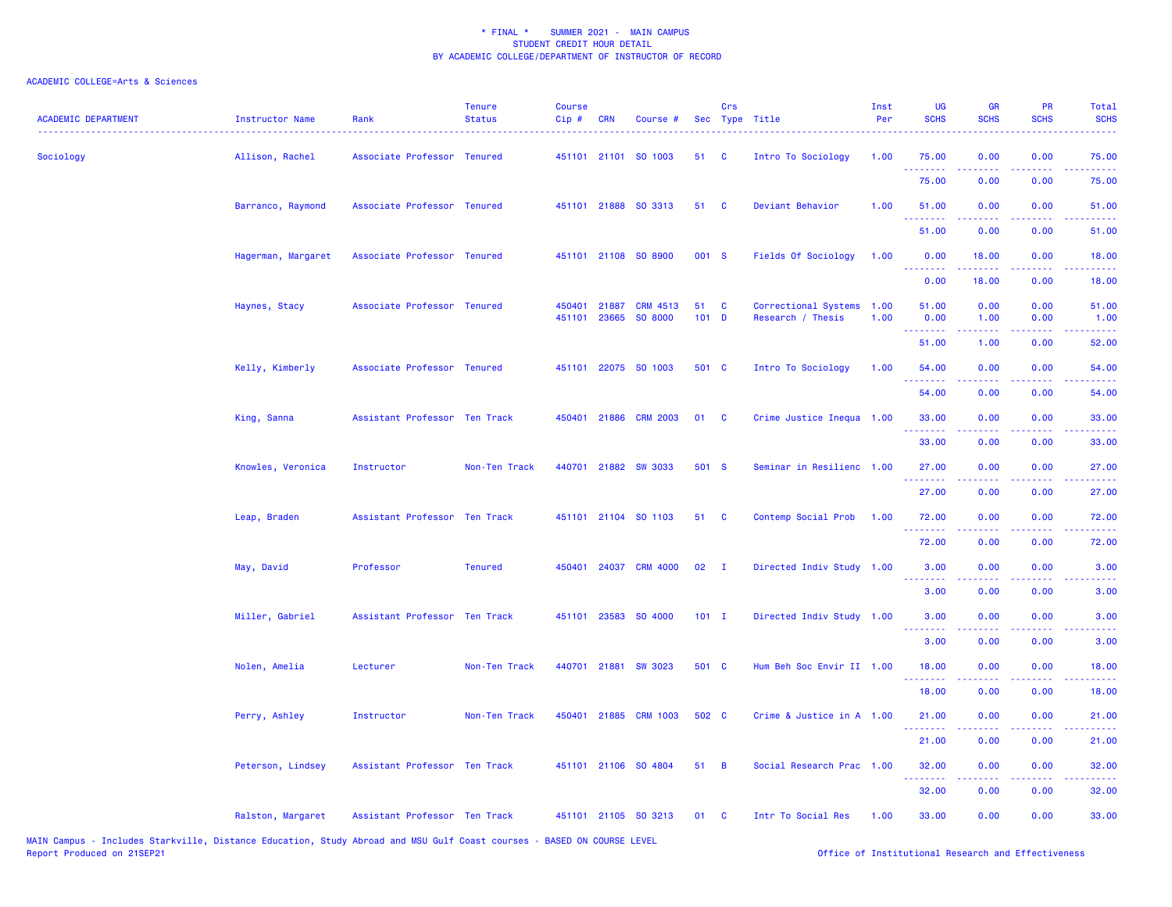| <b>ACADEMIC DEPARTMENT</b> | Instructor Name    | Rank                          | <b>Tenure</b><br><b>Status</b> | <b>Course</b><br>Cip# | CRN          | Course #                                |               | Crs                        | Sec Type Title                            | Inst<br>Per  | <b>UG</b><br><b>SCHS</b> | <b>GR</b><br><b>SCHS</b>                                                                                                                                      | <b>PR</b><br><b>SCHS</b>                                                                               | Total<br><b>SCHS</b>                                                                                                               |
|----------------------------|--------------------|-------------------------------|--------------------------------|-----------------------|--------------|-----------------------------------------|---------------|----------------------------|-------------------------------------------|--------------|--------------------------|---------------------------------------------------------------------------------------------------------------------------------------------------------------|--------------------------------------------------------------------------------------------------------|------------------------------------------------------------------------------------------------------------------------------------|
| Sociology                  | Allison, Rachel    | Associate Professor Tenured   |                                |                       |              | 451101 21101 S0 1003                    | 51            | $\overline{\phantom{a}}$ c | Intro To Sociology                        | 1.00         | 75.00<br>.               | 0.00                                                                                                                                                          | 0.00<br>$\sim$ $\sim$ $\sim$ $\sim$                                                                    | 75.00<br><u>.</u>                                                                                                                  |
|                            |                    |                               |                                |                       |              |                                         |               |                            |                                           |              | 75.00                    | 0.00                                                                                                                                                          | 0.00                                                                                                   | 75.00                                                                                                                              |
|                            | Barranco, Raymond  | Associate Professor Tenured   |                                |                       |              | 451101 21888 SO 3313                    | 51            | $\mathbf{C}$               | Deviant Behavior                          | 1.00         | 51.00<br>.               | 0.00                                                                                                                                                          | 0.00                                                                                                   | 51.00                                                                                                                              |
|                            |                    |                               |                                |                       |              |                                         |               |                            |                                           |              | 51.00                    | 0.00                                                                                                                                                          | 0.00                                                                                                   | 51.00                                                                                                                              |
|                            | Hagerman, Margaret | Associate Professor Tenured   |                                |                       |              | 451101 21108 SO 8900                    | 001 S         |                            | Fields Of Sociology                       | 1.00         | 0.00<br><u>.</u>         | 18.00<br>$\frac{1}{2} \left( \frac{1}{2} \right) \left( \frac{1}{2} \right) \left( \frac{1}{2} \right) \left( \frac{1}{2} \right) \left( \frac{1}{2} \right)$ | 0.00                                                                                                   | 18.00<br>د د د د د                                                                                                                 |
|                            |                    |                               |                                |                       |              |                                         |               |                            |                                           |              | 0.00                     | 18.00                                                                                                                                                         | 0.00                                                                                                   | 18.00                                                                                                                              |
|                            | Haynes, Stacy      | Associate Professor Tenured   |                                |                       | 450401 21887 | <b>CRM 4513</b><br>451101 23665 SO 8000 | 51<br>$101$ D | <b>C</b>                   | Correctional Systems<br>Research / Thesis | 1.00<br>1.00 | 51.00<br>0.00            | 0.00<br>1.00                                                                                                                                                  | 0.00<br>0.00                                                                                           | 51.00<br>1.00                                                                                                                      |
|                            |                    |                               |                                |                       |              |                                         |               |                            |                                           |              | .<br>51.00               | .<br>1.00                                                                                                                                                     | .<br>0.00                                                                                              | .<br>52.00                                                                                                                         |
|                            | Kelly, Kimberly    | Associate Professor Tenured   |                                |                       |              | 451101 22075 SO 1003                    | 501 C         |                            | Intro To Sociology                        | 1.00         | 54.00                    | 0.00                                                                                                                                                          | 0.00                                                                                                   | 54.00                                                                                                                              |
|                            |                    |                               |                                |                       |              |                                         |               |                            |                                           |              | .<br>54.00               | .<br>0.00                                                                                                                                                     | المتحدث<br>0.00                                                                                        | وعاعاتها<br>54.00                                                                                                                  |
|                            | King, Sanna        | Assistant Professor Ten Track |                                |                       |              | 450401 21886 CRM 2003                   | 01            | <b>C</b>                   | Crime Justice Inequa 1.00                 |              | 33.00                    | 0.00                                                                                                                                                          | 0.00                                                                                                   | 33.00                                                                                                                              |
|                            |                    |                               |                                |                       |              |                                         |               |                            |                                           |              | .<br>33.00               | .<br>0.00                                                                                                                                                     | $\sim$ $\sim$ $\sim$ $\sim$<br>0.00                                                                    | .<br>33.00                                                                                                                         |
|                            | Knowles, Veronica  | Instructor                    | Non-Ten Track                  |                       |              | 440701 21882 SW 3033                    | 501 S         |                            | Seminar in Resilienc 1.00                 |              | 27.00                    | 0.00                                                                                                                                                          | 0.00                                                                                                   | 27.00                                                                                                                              |
|                            |                    |                               |                                |                       |              |                                         |               |                            |                                           |              | .<br>27.00               | .<br>0.00                                                                                                                                                     | $\frac{1}{2} \left( \frac{1}{2} \right) \left( \frac{1}{2} \right) \left( \frac{1}{2} \right)$<br>0.00 | .<br>27.00                                                                                                                         |
|                            | Leap, Braden       | Assistant Professor Ten Track |                                |                       |              | 451101 21104 SO 1103                    | 51 C          |                            | Contemp Social Prob                       | 1.00         | 72.00                    | 0.00                                                                                                                                                          | 0.00                                                                                                   | 72.00                                                                                                                              |
|                            |                    |                               |                                |                       |              |                                         |               |                            |                                           |              | .<br>72.00               | 0.00                                                                                                                                                          | $  -$<br>0.00                                                                                          | .<br>72.00                                                                                                                         |
|                            | May, David         | Professor                     | <b>Tenured</b>                 |                       |              | 450401 24037 CRM 4000                   | 02            | $\blacksquare$             | Directed Indiv Study 1.00                 |              | 3.00                     | 0.00                                                                                                                                                          | 0.00                                                                                                   | 3.00                                                                                                                               |
|                            |                    |                               |                                |                       |              |                                         |               |                            |                                           |              | 3.00                     | 0.00                                                                                                                                                          | 0.00                                                                                                   | 3.00                                                                                                                               |
|                            | Miller, Gabriel    | Assistant Professor Ten Track |                                |                       |              | 451101 23583 SO 4000                    | $101$ I       |                            | Directed Indiv Study 1.00                 |              | 3.00                     | 0.00                                                                                                                                                          | 0.00                                                                                                   | 3.00                                                                                                                               |
|                            |                    |                               |                                |                       |              |                                         |               |                            |                                           |              | .<br>3.00                | 0.00                                                                                                                                                          | 0.00                                                                                                   | 3.00                                                                                                                               |
|                            | Nolen, Amelia      | Lecturer                      | Non-Ten Track                  |                       |              | 440701 21881 SW 3023                    | 501 C         |                            | Hum Beh Soc Envir II 1.00                 |              | 18.00                    | 0.00                                                                                                                                                          | 0.00                                                                                                   | 18.00                                                                                                                              |
|                            |                    |                               |                                |                       |              |                                         |               |                            |                                           |              | 18.00                    | 0.00                                                                                                                                                          | 0.00                                                                                                   | 18.00                                                                                                                              |
|                            | Perry, Ashley      | Instructor                    | Non-Ten Track                  |                       |              | 450401 21885 CRM 1003                   | 502 C         |                            | Crime & Justice in A 1.00                 |              | 21.00                    | 0.00                                                                                                                                                          | 0.00                                                                                                   | 21.00                                                                                                                              |
|                            |                    |                               |                                |                       |              |                                         |               |                            |                                           |              | .<br>21.00               | 0.00                                                                                                                                                          | 0.00                                                                                                   | 21.00                                                                                                                              |
|                            | Peterson, Lindsey  | Assistant Professor Ten Track |                                |                       |              | 451101 21106 SO 4804                    | 51            | $\overline{B}$             | Social Research Prac 1.00                 |              | 32.00<br>.               | 0.00                                                                                                                                                          | 0.00                                                                                                   | 32.00<br>$\frac{1}{2} \left( \frac{1}{2} \right) \left( \frac{1}{2} \right) \left( \frac{1}{2} \right) \left( \frac{1}{2} \right)$ |
|                            |                    |                               |                                |                       |              |                                         |               |                            |                                           |              | 32.00                    | 0.00                                                                                                                                                          | 0.00                                                                                                   | 32.00                                                                                                                              |
|                            | Ralston, Margaret  | Assistant Professor Ten Track |                                |                       |              | 451101 21105 SO 3213                    | 01            | $\mathbf{C}$               | Intr To Social Res                        | 1.00         | 33.00                    | 0.00                                                                                                                                                          | 0.00                                                                                                   | 33.00                                                                                                                              |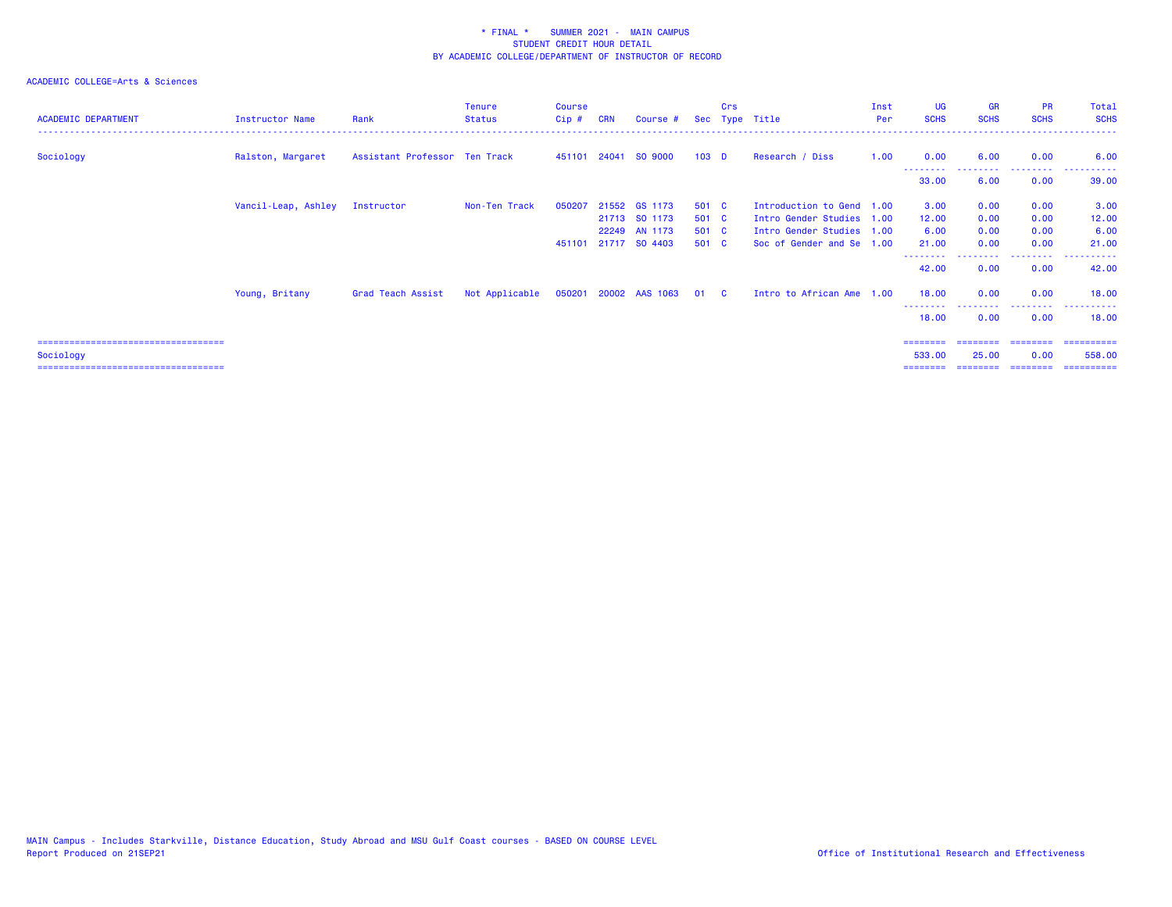| <b>ACADEMIC DEPARTMENT</b>            | Instructor Name                | Rank                          | <b>Tenure</b><br><b>Status</b> | Course<br>$Cip$ # | <b>CRN</b> | Course #                       |                  | Crs | Sec Type Title                                         | Inst<br>Per | <b>UG</b><br><b>SCHS</b> | <b>GR</b><br><b>SCHS</b>  | <b>PR</b><br><b>SCHS</b> | Total<br><b>SCHS</b> |
|---------------------------------------|--------------------------------|-------------------------------|--------------------------------|-------------------|------------|--------------------------------|------------------|-----|--------------------------------------------------------|-------------|--------------------------|---------------------------|--------------------------|----------------------|
| Sociology                             | Ralston, Margaret              | Assistant Professor Ten Track |                                |                   |            | 451101 24041 SO 9000           | 103 <sub>D</sub> |     | Research / Diss                                        | 1.00        | 0.00                     | 6.00                      | 0.00                     | 6.00                 |
|                                       |                                |                               |                                |                   |            |                                |                  |     |                                                        |             | 33.00                    | - - - - - - - - -<br>6.00 | .<br>0.00                | 39.00                |
|                                       | Vancil-Leap, Ashley Instructor |                               | Non-Ten Track                  | 050207            |            | 21552 GS 1173                  | 501 C            |     | Introduction to Gend 1.00                              |             | 3.00                     | 0.00                      | 0.00                     | 3.00                 |
|                                       |                                |                               |                                |                   |            | 21713 SO 1173<br>22249 AN 1173 | 501 C<br>501 C   |     | Intro Gender Studies 1.00<br>Intro Gender Studies 1.00 |             | 12.00<br>6.00            | 0.00<br>0.00              | 0.00<br>0.00             | 12.00<br>6.00        |
|                                       |                                |                               |                                | 451101            |            | 21717 SO 4403                  | 501 C            |     | Soc of Gender and Se 1.00                              |             | 21.00                    | 0.00                      | 0.00                     | 21.00                |
|                                       |                                |                               |                                |                   |            |                                |                  |     |                                                        |             | 42.00                    | 0.00                      | 0.00                     | 42.00                |
|                                       | Young, Britany                 | Grad Teach Assist             | Not Applicable                 |                   |            | 050201 20002 AAS 1063          | 01 C             |     | Intro to African Ame 1.00                              |             | 18.00                    | 0.00                      | 0.00                     | 18.00                |
|                                       |                                |                               |                                |                   |            |                                |                  |     |                                                        |             | --------<br>18.00        | 0.00                      | .<br>0.00                | ----------<br>18.00  |
| ====================================  |                                |                               |                                |                   |            |                                |                  |     |                                                        |             |                          |                           |                          |                      |
| Sociology                             |                                |                               |                                |                   |            |                                |                  |     |                                                        |             | 533.00                   | 25.00                     | 0.00                     | 558,00               |
| ===================================== |                                |                               |                                |                   |            |                                |                  |     |                                                        |             | ========                 | ========                  | ---------                | ==========           |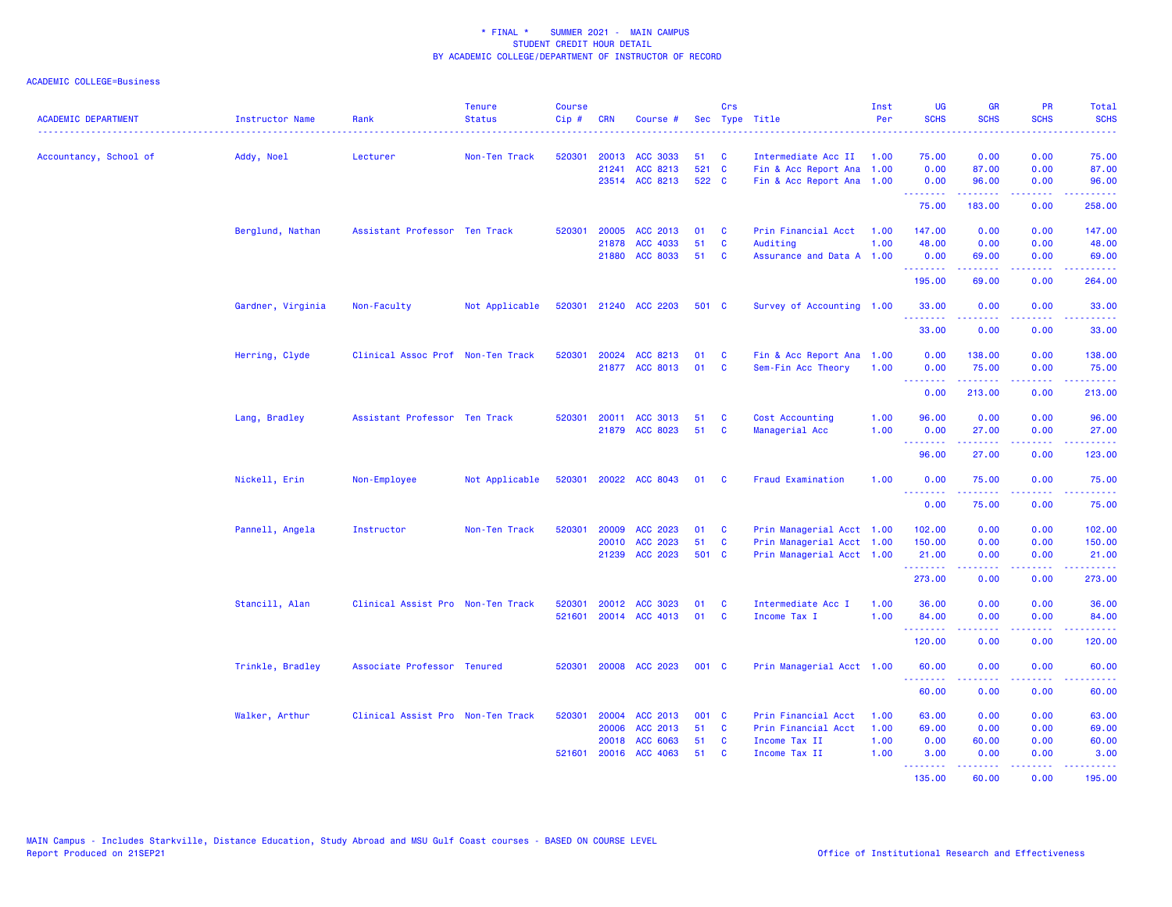ACADEMIC COLLEGE=Business

| <b>ACADEMIC DEPARTMENT</b> | <b>Instructor Name</b> | Rank                              | <b>Tenure</b><br><b>Status</b> | <b>Course</b><br>Cip# | <b>CRN</b> | Course #              |       | Crs          | Sec Type Title            | Inst<br>Per | <b>UG</b><br><b>SCHS</b>         | <b>GR</b><br><b>SCHS</b>                                                                                                                                                                                                                                                                                                                                                                                                                                                                        | <b>PR</b><br><b>SCHS</b> | Total<br><b>SCHS</b>                                                                                                                                          |
|----------------------------|------------------------|-----------------------------------|--------------------------------|-----------------------|------------|-----------------------|-------|--------------|---------------------------|-------------|----------------------------------|-------------------------------------------------------------------------------------------------------------------------------------------------------------------------------------------------------------------------------------------------------------------------------------------------------------------------------------------------------------------------------------------------------------------------------------------------------------------------------------------------|--------------------------|---------------------------------------------------------------------------------------------------------------------------------------------------------------|
| Accountancy, School of     | Addy, Noel             | Lecturer                          | Non-Ten Track                  | 520301                |            | 20013 ACC 3033        | 51    | <b>C</b>     | Intermediate Acc II 1.00  |             | 75.00                            | 0.00                                                                                                                                                                                                                                                                                                                                                                                                                                                                                            | 0.00                     | 75.00                                                                                                                                                         |
|                            |                        |                                   |                                |                       | 21241      | ACC 8213              | 521 C |              | Fin & Acc Report Ana 1.00 |             | 0.00                             | 87.00                                                                                                                                                                                                                                                                                                                                                                                                                                                                                           | 0.00                     | 87.00                                                                                                                                                         |
|                            |                        |                                   |                                |                       |            | 23514 ACC 8213        | 522 C |              | Fin & Acc Report Ana 1.00 |             | 0.00<br>.                        | 96.00<br>$\begin{array}{cccccccccc} \multicolumn{2}{c}{} & \multicolumn{2}{c}{} & \multicolumn{2}{c}{} & \multicolumn{2}{c}{} & \multicolumn{2}{c}{} & \multicolumn{2}{c}{} & \multicolumn{2}{c}{} & \multicolumn{2}{c}{} & \multicolumn{2}{c}{} & \multicolumn{2}{c}{} & \multicolumn{2}{c}{} & \multicolumn{2}{c}{} & \multicolumn{2}{c}{} & \multicolumn{2}{c}{} & \multicolumn{2}{c}{} & \multicolumn{2}{c}{} & \multicolumn{2}{c}{} & \multicolumn{2}{c}{} & \multicolumn{2}{c}{} & \mult$ | 0.00<br>.                | 96.00<br><u>.</u>                                                                                                                                             |
|                            |                        |                                   |                                |                       |            |                       |       |              |                           |             | 75.00                            | 183.00                                                                                                                                                                                                                                                                                                                                                                                                                                                                                          | 0.00                     | 258.00                                                                                                                                                        |
|                            | Berglund, Nathan       | Assistant Professor Ten Track     |                                | 520301                | 20005      | ACC 2013              | 01    | <b>C</b>     | Prin Financial Acct       | 1.00        | 147.00                           | 0.00                                                                                                                                                                                                                                                                                                                                                                                                                                                                                            | 0.00                     | 147.00                                                                                                                                                        |
|                            |                        |                                   |                                |                       | 21878      | ACC 4033              | 51    | C            | Auditing                  | 1.00        | 48.00                            | 0.00                                                                                                                                                                                                                                                                                                                                                                                                                                                                                            | 0.00                     | 48.00                                                                                                                                                         |
|                            |                        |                                   |                                |                       |            | 21880 ACC 8033        | 51    | <b>C</b>     | Assurance and Data A 1.00 |             | 0.00<br>.                        | 69.00<br>.                                                                                                                                                                                                                                                                                                                                                                                                                                                                                      | 0.00<br>.                | 69.00<br><b></b>                                                                                                                                              |
|                            |                        |                                   |                                |                       |            |                       |       |              |                           |             | 195.00                           | 69.00                                                                                                                                                                                                                                                                                                                                                                                                                                                                                           | 0.00                     | 264.00                                                                                                                                                        |
|                            | Gardner, Virginia      | Non-Faculty                       | Not Applicable                 |                       |            | 520301 21240 ACC 2203 | 501 C |              | Survey of Accounting 1.00 |             | 33.00<br>.                       | 0.00<br>22222                                                                                                                                                                                                                                                                                                                                                                                                                                                                                   | 0.00<br>الأعامات         | 33.00<br>.                                                                                                                                                    |
|                            |                        |                                   |                                |                       |            |                       |       |              |                           |             | 33.00                            | 0.00                                                                                                                                                                                                                                                                                                                                                                                                                                                                                            | 0.00                     | 33.00                                                                                                                                                         |
|                            | Herring, Clyde         | Clinical Assoc Prof Non-Ten Track |                                | 520301                |            | 20024 ACC 8213        | 01    | <b>C</b>     | Fin & Acc Report Ana 1.00 |             | 0.00                             | 138.00                                                                                                                                                                                                                                                                                                                                                                                                                                                                                          | 0.00                     | 138.00                                                                                                                                                        |
|                            |                        |                                   |                                |                       |            | 21877 ACC 8013        | 01    | C            | Sem-Fin Acc Theory        | 1.00        | 0.00<br>.                        | 75.00<br>. <u>.</u>                                                                                                                                                                                                                                                                                                                                                                                                                                                                             | 0.00<br>.                | 75.00<br>$\frac{1}{2} \left( \frac{1}{2} \right) \left( \frac{1}{2} \right) \left( \frac{1}{2} \right) \left( \frac{1}{2} \right) \left( \frac{1}{2} \right)$ |
|                            |                        |                                   |                                |                       |            |                       |       |              |                           |             | 0.00                             | 213.00                                                                                                                                                                                                                                                                                                                                                                                                                                                                                          | 0.00                     | 213.00                                                                                                                                                        |
|                            | Lang, Bradley          | Assistant Professor Ten Track     |                                | 520301                |            | 20011 ACC 3013        | 51    | C            | Cost Accounting           | 1.00        | 96.00                            | 0.00                                                                                                                                                                                                                                                                                                                                                                                                                                                                                            | 0.00                     | 96.00                                                                                                                                                         |
|                            |                        |                                   |                                |                       |            | 21879 ACC 8023        | 51    | <b>C</b>     | Managerial Acc            | 1.00        | 0.00                             | 27.00                                                                                                                                                                                                                                                                                                                                                                                                                                                                                           | 0.00                     | 27.00                                                                                                                                                         |
|                            |                        |                                   |                                |                       |            |                       |       |              |                           |             | <b>.</b> .<br>96.00              | المتمام المتمار<br>27.00                                                                                                                                                                                                                                                                                                                                                                                                                                                                        | .<br>0.00                | .<br>123.00                                                                                                                                                   |
|                            | Nickell, Erin          | Non-Employee                      | Not Applicable                 | 520301                |            | 20022 ACC 8043        | 01    | - C          | <b>Fraud Examination</b>  | 1.00        | 0.00                             | 75.00                                                                                                                                                                                                                                                                                                                                                                                                                                                                                           | 0.00<br>.                | 75.00                                                                                                                                                         |
|                            |                        |                                   |                                |                       |            |                       |       |              |                           |             | --------<br>0.00                 | .<br>75.00                                                                                                                                                                                                                                                                                                                                                                                                                                                                                      | 0.00                     | ------<br>75.00                                                                                                                                               |
|                            | Pannell, Angela        | Instructor                        | Non-Ten Track                  | 520301                | 20009      | ACC 2023              | 01    | <b>C</b>     | Prin Managerial Acct 1.00 |             | 102.00                           | 0.00                                                                                                                                                                                                                                                                                                                                                                                                                                                                                            | 0.00                     | 102.00                                                                                                                                                        |
|                            |                        |                                   |                                |                       | 20010      | ACC 2023              | 51    | C            | Prin Managerial Acct 1.00 |             | 150.00                           | 0.00                                                                                                                                                                                                                                                                                                                                                                                                                                                                                            | 0.00                     | 150.00                                                                                                                                                        |
|                            |                        |                                   |                                |                       | 21239      | <b>ACC 2023</b>       | 501 C |              | Prin Managerial Acct 1.00 |             | 21.00<br><b>.</b> .              | 0.00<br>$\frac{1}{2} \left( \frac{1}{2} \right) \left( \frac{1}{2} \right) \left( \frac{1}{2} \right) \left( \frac{1}{2} \right) \left( \frac{1}{2} \right)$                                                                                                                                                                                                                                                                                                                                    | 0.00<br>. <b>.</b> .     | 21.00<br>.                                                                                                                                                    |
|                            |                        |                                   |                                |                       |            |                       |       |              |                           |             | 273.00                           | 0.00                                                                                                                                                                                                                                                                                                                                                                                                                                                                                            | 0.00                     | 273.00                                                                                                                                                        |
|                            | Stancill, Alan         | Clinical Assist Pro Non-Ten Track |                                | 520301                |            | 20012 ACC 3023        | 01    | <b>C</b>     | Intermediate Acc I        | 1.00        | 36.00                            | 0.00                                                                                                                                                                                                                                                                                                                                                                                                                                                                                            | 0.00                     | 36.00                                                                                                                                                         |
|                            |                        |                                   |                                | 521601                |            | 20014 ACC 4013        | 01    | <b>C</b>     | Income Tax I              | 1.00        | 84.00<br><u> - - - - - - - -</u> | 0.00<br>2.2.2.2.2                                                                                                                                                                                                                                                                                                                                                                                                                                                                               | 0.00<br>22222            | 84.00<br>.                                                                                                                                                    |
|                            |                        |                                   |                                |                       |            |                       |       |              |                           |             | 120.00                           | 0.00                                                                                                                                                                                                                                                                                                                                                                                                                                                                                            | 0.00                     | 120.00                                                                                                                                                        |
|                            | Trinkle, Bradley       | Associate Professor Tenured       |                                | 520301                |            | 20008 ACC 2023        | 001 C |              | Prin Managerial Acct 1.00 |             | 60.00                            | 0.00                                                                                                                                                                                                                                                                                                                                                                                                                                                                                            | 0.00                     | 60.00                                                                                                                                                         |
|                            |                        |                                   |                                |                       |            |                       |       |              |                           |             | 60.00                            | 0.00                                                                                                                                                                                                                                                                                                                                                                                                                                                                                            | 0.00                     | 60.00                                                                                                                                                         |
|                            | Walker, Arthur         | Clinical Assist Pro Non-Ten Track |                                | 520301                |            | 20004 ACC 2013        | 001 C |              | Prin Financial Acct       | 1.00        | 63.00                            | 0.00                                                                                                                                                                                                                                                                                                                                                                                                                                                                                            | 0.00                     | 63.00                                                                                                                                                         |
|                            |                        |                                   |                                |                       | 20006      | ACC 2013              | 51    | <b>C</b>     | Prin Financial Acct       | 1.00        | 69.00                            | 0.00                                                                                                                                                                                                                                                                                                                                                                                                                                                                                            | 0.00                     | 69.00                                                                                                                                                         |
|                            |                        |                                   |                                |                       | 20018      | ACC 6063              | 51    | <b>C</b>     | Income Tax II             | 1.00        | 0.00                             | 60.00                                                                                                                                                                                                                                                                                                                                                                                                                                                                                           | 0.00                     | 60.00                                                                                                                                                         |
|                            |                        |                                   |                                | 521601                |            | 20016 ACC 4063        | 51    | $\mathbf{C}$ | Income Tax II             | 1.00        | 3.00<br>.                        | 0.00<br>د د د د د                                                                                                                                                                                                                                                                                                                                                                                                                                                                               | 0.00<br>بالمحامي         | 3.00<br>.                                                                                                                                                     |
|                            |                        |                                   |                                |                       |            |                       |       |              |                           |             | 135.00                           | 60.00                                                                                                                                                                                                                                                                                                                                                                                                                                                                                           | 0.00                     | 195.00                                                                                                                                                        |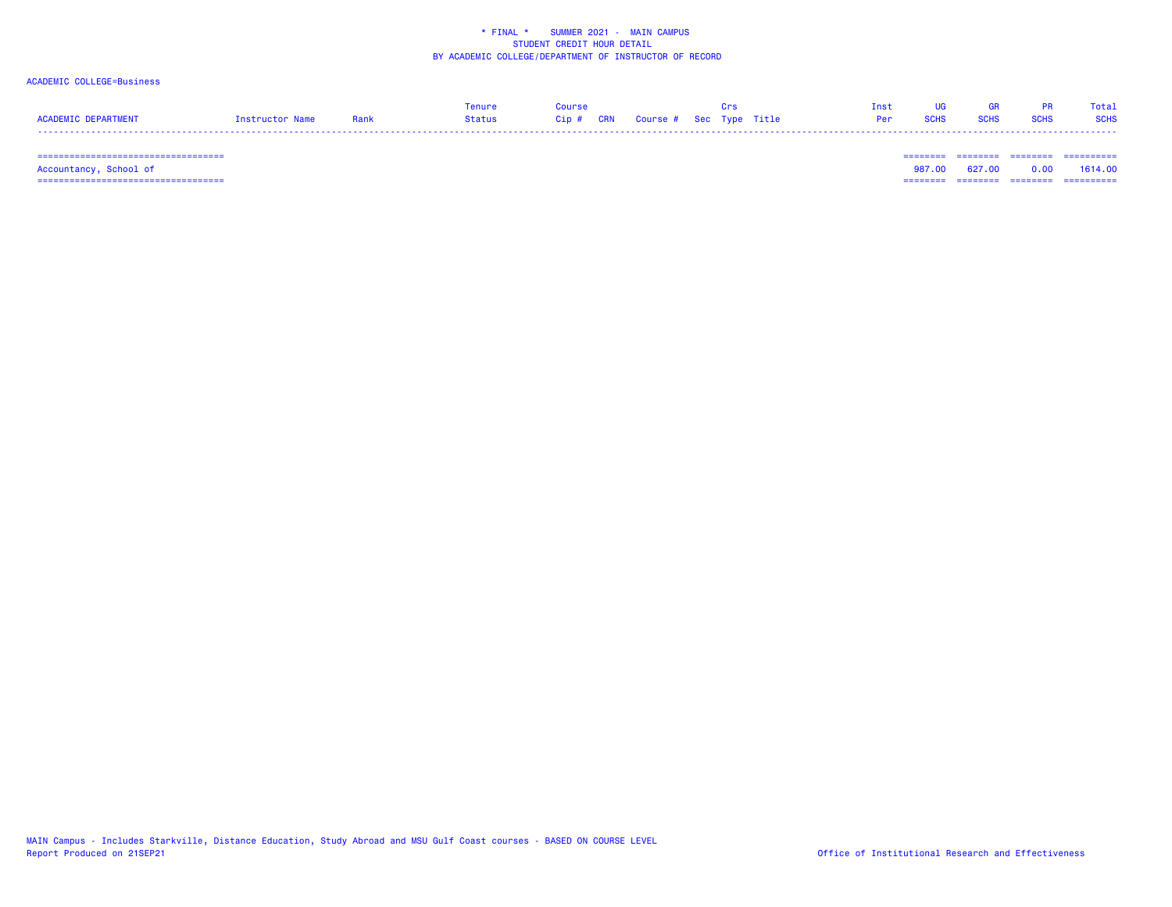### ACADEMIC COLLEGE=Business

|                     |                 |      | Tenure | Course                            |  |  |            |             | GR.         |      | Total       |
|---------------------|-----------------|------|--------|-----------------------------------|--|--|------------|-------------|-------------|------|-------------|
| ACADEMIC DEPARTMENT | Tostructor Name | Rank | Status | Cip # CRN Course # Sec Type Title |  |  | <b>Per</b> | <b>SCHS</b> | <b>SCHS</b> | SCHS | <b>SCHS</b> |
|                     |                 |      |        |                                   |  |  |            |             |             |      |             |

=================================== ======== ======== ======== ==========

 =================================== ======== ======== ======== ========== Accountancy, School of 987.00 627.00 0.00 1614.00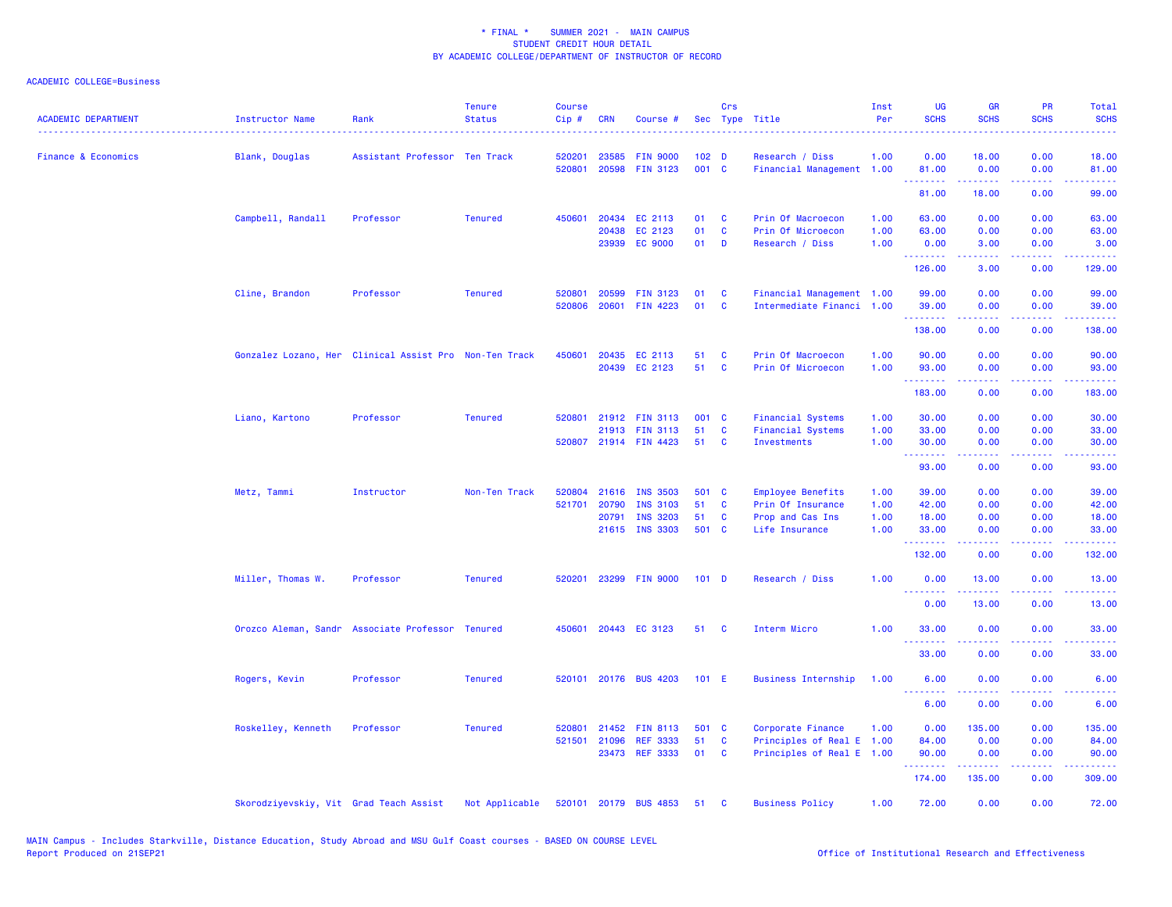### ACADEMIC COLLEGE=Business

| <b>ACADEMIC DEPARTMENT</b> | Instructor Name                        | Rank                                                   | <b>Tenure</b><br><b>Status</b> | <b>Course</b><br>Cip# | <b>CRN</b>     | Course #                           |                           | Crs      | Sec Type Title                               | Inst<br>Per  | <b>UG</b><br><b>SCHS</b> | <b>GR</b><br><b>SCHS</b>                                                                                                                                     | <b>PR</b><br><b>SCHS</b> | Total<br><b>SCHS</b><br>$\frac{1}{2} \left( \frac{1}{2} \right) \left( \frac{1}{2} \right) \left( \frac{1}{2} \right) \left( \frac{1}{2} \right)$             |
|----------------------------|----------------------------------------|--------------------------------------------------------|--------------------------------|-----------------------|----------------|------------------------------------|---------------------------|----------|----------------------------------------------|--------------|--------------------------|--------------------------------------------------------------------------------------------------------------------------------------------------------------|--------------------------|---------------------------------------------------------------------------------------------------------------------------------------------------------------|
| Finance & Economics        | Blank, Douglas                         | Assistant Professor Ten Track                          |                                | 520201<br>520801      | 23585<br>20598 | <b>FIN 9000</b><br><b>FIN 3123</b> | 102 <sub>D</sub><br>001 C |          | Research / Diss<br>Financial Management 1.00 | 1.00         | 0.00<br>81.00            | 18.00<br>0.00                                                                                                                                                | 0.00<br>0.00             | 18.00<br>81.00                                                                                                                                                |
|                            |                                        |                                                        |                                |                       |                |                                    |                           |          |                                              |              | .<br>81.00               | .<br>18.00                                                                                                                                                   | .<br>0.00                | .<br>99.00                                                                                                                                                    |
|                            |                                        |                                                        |                                |                       |                |                                    |                           |          |                                              |              |                          |                                                                                                                                                              |                          |                                                                                                                                                               |
|                            | Campbell, Randall                      | Professor                                              | <b>Tenured</b>                 | 450601                | 20434          | EC 2113                            | 01                        | <b>C</b> | Prin Of Macroecon                            | 1.00         | 63.00                    | 0.00                                                                                                                                                         | 0.00                     | 63.00                                                                                                                                                         |
|                            |                                        |                                                        |                                |                       | 20438<br>23939 | EC 2123<br><b>EC 9000</b>          | 01<br>01                  | C<br>D   | Prin Of Microecon<br>Research / Diss         | 1.00<br>1.00 | 63.00<br>0.00            | 0.00<br>3.00                                                                                                                                                 | 0.00<br>0.00             | 63.00<br>3.00                                                                                                                                                 |
|                            |                                        |                                                        |                                |                       |                |                                    |                           |          |                                              |              | .                        | $\frac{1}{2} \left( \frac{1}{2} \right) \left( \frac{1}{2} \right) \left( \frac{1}{2} \right) \left( \frac{1}{2} \right) \left( \frac{1}{2} \right)$         | .                        | $\frac{1}{2} \left( \frac{1}{2} \right) \left( \frac{1}{2} \right) \left( \frac{1}{2} \right) \left( \frac{1}{2} \right) \left( \frac{1}{2} \right)$          |
|                            |                                        |                                                        |                                |                       |                |                                    |                           |          |                                              |              | 126.00                   | 3.00                                                                                                                                                         | 0.00                     | 129.00                                                                                                                                                        |
|                            | Cline, Brandon                         | Professor                                              | <b>Tenured</b>                 | 520801                | 20599          | <b>FIN 3123</b>                    | 01                        | C        | Financial Management 1.00                    |              | 99.00                    | 0.00                                                                                                                                                         | 0.00                     | 99.00                                                                                                                                                         |
|                            |                                        |                                                        |                                | 520806                | 20601          | <b>FIN 4223</b>                    | 01                        | C        | Intermediate Financi 1.00                    |              | 39.00                    | 0.00                                                                                                                                                         | 0.00                     | 39.00                                                                                                                                                         |
|                            |                                        |                                                        |                                |                       |                |                                    |                           |          |                                              |              | .<br>138.00              | .<br>0.00                                                                                                                                                    | المتحدث<br>0.00          | .<br>138.00                                                                                                                                                   |
|                            |                                        | Gonzalez Lozano, Her Clinical Assist Pro Non-Ten Track |                                | 450601                | 20435          | EC 2113                            | 51                        | <b>C</b> | Prin Of Macroecon                            | 1.00         | 90.00                    | 0.00                                                                                                                                                         | 0.00                     | 90.00                                                                                                                                                         |
|                            |                                        |                                                        |                                |                       |                | 20439 EC 2123                      | 51                        | C        | Prin Of Microecon                            | 1.00         | 93.00                    | 0.00                                                                                                                                                         | 0.00                     | 93.00                                                                                                                                                         |
|                            |                                        |                                                        |                                |                       |                |                                    |                           |          |                                              |              | .                        |                                                                                                                                                              |                          |                                                                                                                                                               |
|                            |                                        |                                                        |                                |                       |                |                                    |                           |          |                                              |              | 183.00                   | 0.00                                                                                                                                                         | 0.00                     | 183.00                                                                                                                                                        |
|                            | Liano, Kartono                         | Professor                                              | <b>Tenured</b>                 |                       |                | 520801 21912 FIN 3113              | 001 C                     |          | <b>Financial Systems</b>                     | 1.00         | 30.00                    | 0.00                                                                                                                                                         | 0.00                     | 30.00                                                                                                                                                         |
|                            |                                        |                                                        |                                |                       | 21913          | <b>FIN 3113</b>                    | 51                        | C        | <b>Financial Systems</b>                     | 1.00         | 33.00                    | 0.00                                                                                                                                                         | 0.00                     | 33.00                                                                                                                                                         |
|                            |                                        |                                                        |                                |                       |                | 520807 21914 FIN 4423              | 51                        | <b>C</b> | Investments                                  | 1.00         | 30.00<br>.               | 0.00<br>.                                                                                                                                                    | 0.00                     | 30.00<br>$\frac{1}{2} \left( \frac{1}{2} \right) \left( \frac{1}{2} \right) \left( \frac{1}{2} \right) \left( \frac{1}{2} \right) \left( \frac{1}{2} \right)$ |
|                            |                                        |                                                        |                                |                       |                |                                    |                           |          |                                              |              | 93.00                    | 0.00                                                                                                                                                         | 0.00                     | 93.00                                                                                                                                                         |
|                            | Metz, Tammi                            | Instructor                                             | Non-Ten Track                  | 520804                |                | 21616 INS 3503                     | 501 C                     |          | <b>Employee Benefits</b>                     | 1.00         | 39.00                    | 0.00                                                                                                                                                         | 0.00                     | 39.00                                                                                                                                                         |
|                            |                                        |                                                        |                                | 521701                | 20790          | <b>INS 3103</b>                    | 51                        | C        | Prin Of Insurance                            | 1.00         | 42.00                    | 0.00                                                                                                                                                         | 0.00                     | 42.00                                                                                                                                                         |
|                            |                                        |                                                        |                                |                       | 20791          | <b>INS 3203</b>                    | 51                        | C        | Prop and Cas Ins                             | 1.00         | 18.00                    | 0.00                                                                                                                                                         | 0.00                     | 18.00                                                                                                                                                         |
|                            |                                        |                                                        |                                |                       |                | 21615 INS 3303                     | 501 C                     |          | Life Insurance                               | 1.00         | 33.00<br>.               | 0.00<br>$\frac{1}{2} \left( \frac{1}{2} \right) \left( \frac{1}{2} \right) \left( \frac{1}{2} \right) \left( \frac{1}{2} \right) \left( \frac{1}{2} \right)$ | 0.00<br>.                | 33.00<br>.                                                                                                                                                    |
|                            |                                        |                                                        |                                |                       |                |                                    |                           |          |                                              |              | 132.00                   | 0.00                                                                                                                                                         | 0.00                     | 132.00                                                                                                                                                        |
|                            | Miller, Thomas W.                      | Professor                                              | <b>Tenured</b>                 | 520201                |                | 23299 FIN 9000                     | $101$ D                   |          | Research / Diss                              | 1.00         | 0.00<br>.                | 13.00                                                                                                                                                        | 0.00                     | 13.00                                                                                                                                                         |
|                            |                                        |                                                        |                                |                       |                |                                    |                           |          |                                              |              | 0.00                     | 13.00                                                                                                                                                        | 0.00                     | 13.00                                                                                                                                                         |
|                            |                                        | Orozco Aleman, Sandr Associate Professor Tenured       |                                | 450601                |                | 20443 EC 3123                      | 51                        | <b>C</b> | Interm Micro                                 | 1.00         | 33.00                    | 0.00                                                                                                                                                         | 0.00                     | 33.00                                                                                                                                                         |
|                            |                                        |                                                        |                                |                       |                |                                    |                           |          |                                              |              | .<br>33.00               | 0.00                                                                                                                                                         | 0.00                     | 33.00                                                                                                                                                         |
|                            | Rogers, Kevin                          | Professor                                              | <b>Tenured</b>                 | 520101                |                | 20176 BUS 4203                     | 101 E                     |          | <b>Business Internship</b>                   | 1.00         | 6.00                     | 0.00                                                                                                                                                         | 0.00                     | 6.00                                                                                                                                                          |
|                            |                                        |                                                        |                                |                       |                |                                    |                           |          |                                              |              | .<br>6.00                | 0.00                                                                                                                                                         | 0.00                     | 6.00                                                                                                                                                          |
|                            |                                        |                                                        |                                |                       |                |                                    |                           |          |                                              |              |                          |                                                                                                                                                              |                          |                                                                                                                                                               |
|                            | Roskelley, Kenneth                     | Professor                                              | <b>Tenured</b>                 | 520801                | 21452          | <b>FIN 8113</b>                    | 501 C                     |          | Corporate Finance                            | 1.00         | 0.00                     | 135.00                                                                                                                                                       | 0.00                     | 135.00                                                                                                                                                        |
|                            |                                        |                                                        |                                |                       | 521501 21096   | <b>REF 3333</b>                    | 51                        | C        | Principles of Real E 1.00                    |              | 84.00                    | 0.00                                                                                                                                                         | 0.00                     | 84.00                                                                                                                                                         |
|                            |                                        |                                                        |                                |                       | 23473          | <b>REF 3333</b>                    | 01                        | <b>C</b> | Principles of Real E 1.00                    |              | 90.00<br>.               | 0.00<br>.                                                                                                                                                    | 0.00<br>.                | 90.00<br>.                                                                                                                                                    |
|                            |                                        |                                                        |                                |                       |                |                                    |                           |          |                                              |              | 174.00                   | 135.00                                                                                                                                                       | 0.00                     | 309.00                                                                                                                                                        |
|                            | Skorodziyevskiy, Vit Grad Teach Assist |                                                        | Not Applicable                 |                       |                | 520101 20179 BUS 4853              | 51                        | <b>C</b> | <b>Business Policy</b>                       | 1.00         | 72.00                    | 0.00                                                                                                                                                         | 0.00                     | 72.00                                                                                                                                                         |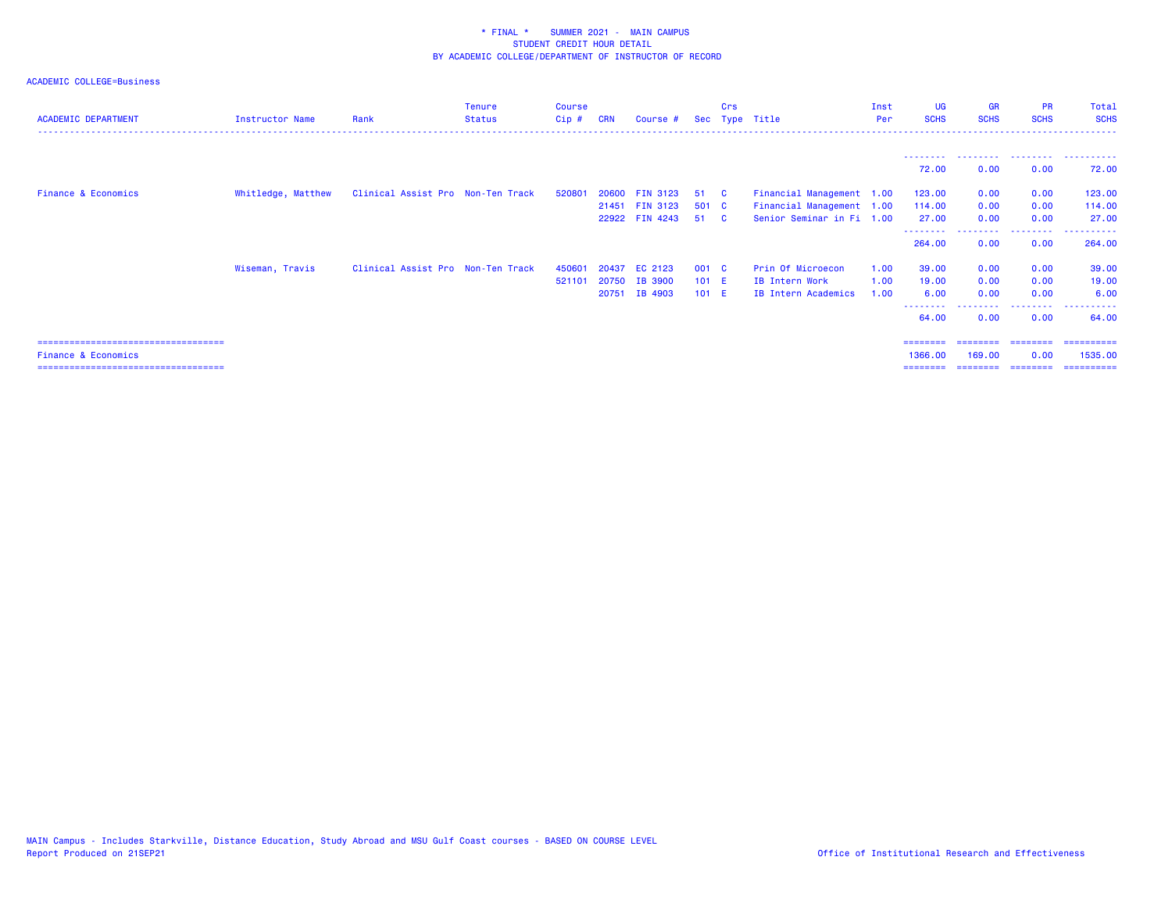| <b>ACADEMIC DEPARTMENT</b>                                               | <b>Instructor Name</b> | Rank                              | Tenure<br><b>Status</b> | Course<br>Cip# | <b>CRN</b>     | Course #                         |                  | Crs          | Sec Type Title                                         | Inst<br>Per  | UG<br><b>SCHS</b>           | <b>GR</b><br><b>SCHS</b>      | <b>PR</b><br><b>SCHS</b> | Total<br><b>SCHS</b>  |
|--------------------------------------------------------------------------|------------------------|-----------------------------------|-------------------------|----------------|----------------|----------------------------------|------------------|--------------|--------------------------------------------------------|--------------|-----------------------------|-------------------------------|--------------------------|-----------------------|
|                                                                          |                        |                                   |                         |                |                |                                  |                  |              |                                                        |              | --------- <b>-</b><br>72.00 | .<br>0.00                     | .<br>0.00                | .<br>72.00            |
| <b>Finance &amp; Economics</b>                                           | Whitledge, Matthew     | Clinical Assist Pro Non-Ten Track |                         | 520801         | 20600          | <b>FIN 3123</b>                  | 51               | - C          | Financial Management 1.00                              |              | 123.00                      | 0.00                          | 0.00                     | 123.00                |
|                                                                          |                        |                                   |                         |                |                | 21451 FIN 3123<br>22922 FIN 4243 | 501 C<br>51      | $\mathbf{c}$ | Financial Management 1.00<br>Senior Seminar in Fi 1.00 |              | 114.00<br>27.00             | 0.00<br>0.00                  | 0.00<br>0.00             | 114.00<br>27.00       |
|                                                                          |                        |                                   |                         |                |                |                                  |                  |              |                                                        |              | 264.00                      | 0.00                          | 0.00                     | 264.00                |
|                                                                          | Wiseman, Travis        | Clinical Assist Pro Non-Ten Track |                         | 450601         | 20437          | EC 2123                          | 001 C            |              | Prin Of Microecon                                      | 1.00         | 39.00                       | 0.00                          | 0.00                     | 39.00                 |
|                                                                          |                        |                                   |                         | 521101         | 20750<br>20751 | IB 3900<br>IB 4903               | $101$ E<br>101 E |              | IB Intern Work<br>IB Intern Academics                  | 1.00<br>1.00 | 19.00<br>6.00               | 0.00<br>0.00                  | 0.00<br>0.00             | 19.00<br>6.00         |
|                                                                          |                        |                                   |                         |                |                |                                  |                  |              |                                                        |              | --------<br>64.00           | 0.00                          | .<br>0.00                | .<br>64.00            |
| ======================================                                   |                        |                                   |                         |                |                |                                  |                  |              |                                                        |              | ========                    | ========                      | ---------                | -----------           |
| <b>Finance &amp; Economics</b><br>====================================== |                        |                                   |                         |                |                |                                  |                  |              |                                                        |              | 1366.00<br>---------        | 169.00<br>------------------- | 0.00                     | 1535.00<br>========== |
|                                                                          |                        |                                   |                         |                |                |                                  |                  |              |                                                        |              |                             |                               |                          |                       |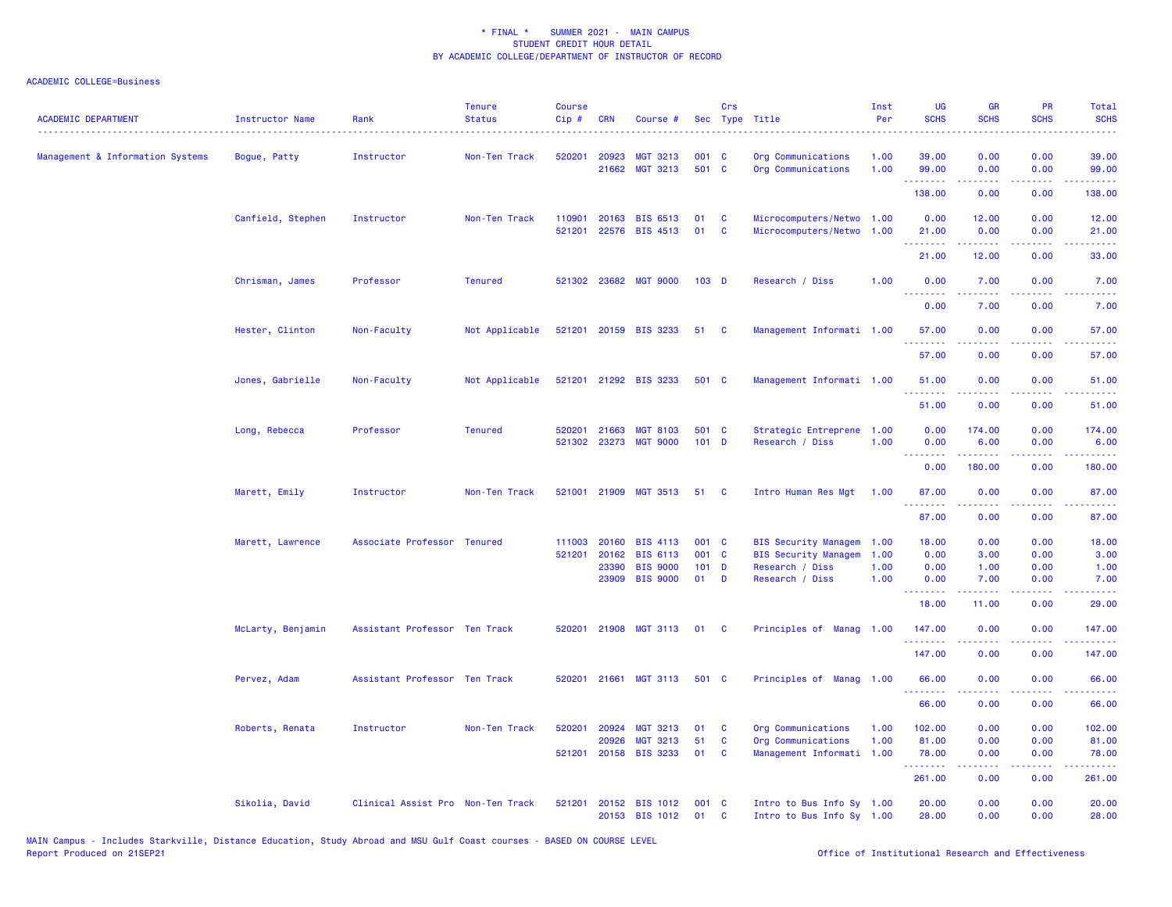| <b>ACADEMIC DEPARTMENT</b>       | <b>Instructor Name</b> | Rank                              | <b>Tenure</b><br><b>Status</b> | <b>Course</b><br>Cip# | <b>CRN</b>     | Course #                                 |                  | Crs          | Sec Type Title                                    | Inst<br>Per  | UG<br><b>SCHS</b>                                    | <b>GR</b><br><b>SCHS</b>                                                                                                                                     | PR<br><b>SCHS</b> | Total<br><b>SCHS</b> |
|----------------------------------|------------------------|-----------------------------------|--------------------------------|-----------------------|----------------|------------------------------------------|------------------|--------------|---------------------------------------------------|--------------|------------------------------------------------------|--------------------------------------------------------------------------------------------------------------------------------------------------------------|-------------------|----------------------|
| Management & Information Systems | Bogue, Patty           | Instructor                        | Non-Ten Track                  | 520201                | 20923<br>21662 | <b>MGT 3213</b><br>MGT 3213              | 001 C<br>501 C   |              | Org Communications<br>Org Communications          | 1.00<br>1.00 | 39.00<br>99.00                                       | 0.00<br>0.00                                                                                                                                                 | 0.00<br>0.00      | 39.00<br>99.00       |
|                                  |                        |                                   |                                |                       |                |                                          |                  |              |                                                   |              | .<br>138.00                                          | .<br>0.00                                                                                                                                                    | بالمحام<br>0.00   | .<br>138.00          |
|                                  |                        |                                   |                                |                       |                |                                          |                  |              |                                                   |              |                                                      |                                                                                                                                                              |                   |                      |
|                                  | Canfield, Stephen      | Instructor                        | Non-Ten Track                  | 110901<br>521201      | 20163          | <b>BIS 6513</b><br>22576 BIS 4513        | 01<br>01         | C<br>C       | Microcomputers/Netwo 1.00<br>Microcomputers/Netwo | 1.00         | 0.00<br>21.00                                        | 12.00<br>0.00                                                                                                                                                | 0.00<br>0.00      | 12.00<br>21.00       |
|                                  |                        |                                   |                                |                       |                |                                          |                  |              |                                                   |              | .                                                    | $\omega = \omega \left( \omega \right) \omega$                                                                                                               | د د د د .         | .                    |
|                                  |                        |                                   |                                |                       |                |                                          |                  |              |                                                   |              | 21.00                                                | 12.00                                                                                                                                                        | 0.00              | 33.00                |
|                                  | Chrisman, James        | Professor                         | <b>Tenured</b>                 | 521302                | 23682          | <b>MGT 9000</b>                          | $103$ D          |              | Research / Diss                                   | 1.00         | 0.00<br>.                                            | 7.00<br>.                                                                                                                                                    | 0.00<br>222 L     | 7.00<br>2222.        |
|                                  |                        |                                   |                                |                       |                |                                          |                  |              |                                                   |              | 0.00                                                 | 7.00                                                                                                                                                         | 0.00              | 7.00                 |
|                                  | Hester, Clinton        | Non-Faculty                       | Not Applicable                 | 521201                |                | 20159 BIS 3233                           | 51               | <b>C</b>     | Management Informati 1.00                         |              | 57.00                                                | 0.00                                                                                                                                                         | 0.00              | 57.00                |
|                                  |                        |                                   |                                |                       |                |                                          |                  |              |                                                   |              | 57.00                                                | 0.00                                                                                                                                                         | 0.00              | 57.00                |
|                                  | Jones, Gabrielle       | Non-Faculty                       | Not Applicable                 |                       |                | 521201 21292 BIS 3233                    | 501 C            |              | Management Informati 1.00                         |              | 51.00                                                | 0.00                                                                                                                                                         | 0.00              | 51.00                |
|                                  |                        |                                   |                                |                       |                |                                          |                  |              |                                                   |              | 51.00                                                | 0.00                                                                                                                                                         | 0.00              | 51.00                |
|                                  |                        |                                   |                                |                       |                |                                          |                  |              |                                                   |              |                                                      |                                                                                                                                                              |                   |                      |
|                                  | Long, Rebecca          | Professor                         | <b>Tenured</b>                 | 520201                | 21663          | <b>MGT 8103</b><br>521302 23273 MGT 9000 | 501 C<br>$101$ D |              | Strategic Entreprene<br>Research / Diss           | 1.00<br>1.00 | 0.00<br>0.00                                         | 174.00<br>6.00                                                                                                                                               | 0.00<br>0.00      | 174.00<br>6.00       |
|                                  |                        |                                   |                                |                       |                |                                          |                  |              |                                                   |              |                                                      |                                                                                                                                                              | والمحامر          |                      |
|                                  |                        |                                   |                                |                       |                |                                          |                  |              |                                                   |              | 0.00                                                 | 180.00                                                                                                                                                       | 0.00              | 180.00               |
|                                  | Marett, Emily          | Instructor                        | Non-Ten Track                  |                       |                | 521001 21909 MGT 3513                    | 51               | $\mathbf{C}$ | Intro Human Res Mgt                               | 1.00         | 87.00<br>.                                           | 0.00<br><u>.</u>                                                                                                                                             | 0.00<br>.         | 87.00<br>.           |
|                                  |                        |                                   |                                |                       |                |                                          |                  |              |                                                   |              | 87.00                                                | 0.00                                                                                                                                                         | 0.00              | 87.00                |
|                                  | Marett, Lawrence       | Associate Professor Tenured       |                                | 111003                | 20160          | <b>BIS 4113</b>                          | 001 C            |              | <b>BIS Security Managem</b>                       | 1.00         | 18.00                                                | 0.00                                                                                                                                                         | 0.00              | 18.00                |
|                                  |                        |                                   |                                | 521201                | 20162          | <b>BIS 6113</b>                          | 001 C            |              | <b>BIS Security Managem</b>                       | 1.00         | 0.00                                                 | 3.00                                                                                                                                                         | 0.00              | 3.00                 |
|                                  |                        |                                   |                                |                       | 23390          | <b>BIS 9000</b>                          | $101$ D          |              | Research / Diss                                   | 1.00         | 0.00                                                 | 1.00                                                                                                                                                         | 0.00              | 1.00                 |
|                                  |                        |                                   |                                |                       |                | 23909 BIS 9000                           | 01               | D            | Research / Diss                                   | 1.00         | 0.00<br>.                                            | 7.00<br>$\frac{1}{2} \left( \frac{1}{2} \right) \left( \frac{1}{2} \right) \left( \frac{1}{2} \right) \left( \frac{1}{2} \right) \left( \frac{1}{2} \right)$ | 0.00<br>.         | 7.00<br>المتمامين    |
|                                  |                        |                                   |                                |                       |                |                                          |                  |              |                                                   |              | 18.00                                                | 11.00                                                                                                                                                        | 0.00              | 29.00                |
|                                  | McLarty, Benjamin      | Assistant Professor Ten Track     |                                | 520201                | 21908          | <b>MGT 3113</b>                          | 01               | <b>C</b>     | Principles of Manag 1.00                          |              | 147.00<br><b><i><u><u> - - - - - - -</u></u></i></b> | 0.00<br>.                                                                                                                                                    | 0.00<br>بالمحام   | 147.00<br>22222      |
|                                  |                        |                                   |                                |                       |                |                                          |                  |              |                                                   |              | 147.00                                               | 0.00                                                                                                                                                         | 0.00              | 147.00               |
|                                  | Pervez, Adam           | Assistant Professor Ten Track     |                                | 520201                | 21661          | <b>MGT 3113</b>                          | 501 C            |              | Principles of Manag                               | 1.00         | 66.00                                                | 0.00                                                                                                                                                         | 0.00              | 66.00                |
|                                  |                        |                                   |                                |                       |                |                                          |                  |              |                                                   |              | .<br>66.00                                           | .<br>0.00                                                                                                                                                    | المتحدث<br>0.00   | .<br>66.00           |
|                                  | Roberts, Renata        | Instructor                        | Non-Ten Track                  | 520201                | 20924          | <b>MGT 3213</b>                          | 01               | C            | Org Communications                                | 1.00         | 102.00                                               | 0.00                                                                                                                                                         | 0.00              | 102.00               |
|                                  |                        |                                   |                                |                       | 20926          | <b>MGT 3213</b>                          | 51               | C            | Org Communications                                | 1.00         | 81.00                                                | 0.00                                                                                                                                                         | 0.00              | 81.00                |
|                                  |                        |                                   |                                | 521201                |                | 20158 BIS 3233                           | 01               | C            | Management Informati 1.00                         |              | 78.00                                                | 0.00                                                                                                                                                         | 0.00              | 78.00                |
|                                  |                        |                                   |                                |                       |                |                                          |                  |              |                                                   |              | .<br>261.00                                          | .<br>0.00                                                                                                                                                    | بالمحام<br>0.00   | .<br>261.00          |
|                                  | Sikolia, David         | Clinical Assist Pro Non-Ten Track |                                | 521201                |                | 20152 BIS 1012                           | 001 C            |              | Intro to Bus Info Sy 1.00                         |              | 20.00                                                | 0.00                                                                                                                                                         | 0.00              | 20.00                |
|                                  |                        |                                   |                                |                       |                | 20153 BIS 1012                           | 01               | C            | Intro to Bus Info Sy 1.00                         |              | 28.00                                                | 0.00                                                                                                                                                         | 0.00              | 28.00                |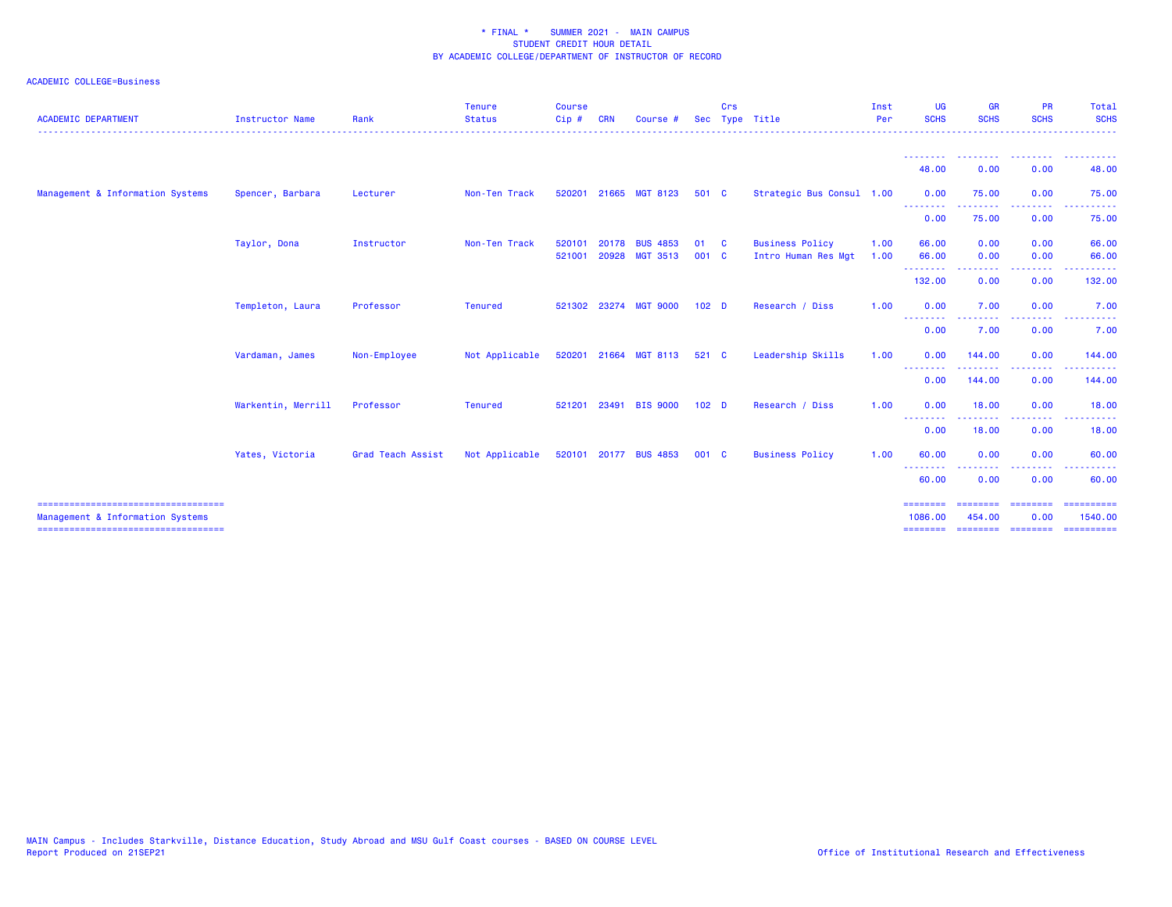| <b>ACADEMIC DEPARTMENT</b>                                                | <b>Instructor Name</b> | Rank                     | <b>Tenure</b><br><b>Status</b> | <b>Course</b><br>Cip# | <b>CRN</b>     | Course                             |                  | Crs | Sec Type Title                                | Inst<br>Per<br>. | <b>UG</b><br><b>SCHS</b> | <b>GR</b><br><b>SCHS</b> | <b>PR</b><br><b>SCHS</b> | Total<br><b>SCHS</b><br>.                                                                                                                                                                                                                                                                                                                                                                                                                                                              |
|---------------------------------------------------------------------------|------------------------|--------------------------|--------------------------------|-----------------------|----------------|------------------------------------|------------------|-----|-----------------------------------------------|------------------|--------------------------|--------------------------|--------------------------|----------------------------------------------------------------------------------------------------------------------------------------------------------------------------------------------------------------------------------------------------------------------------------------------------------------------------------------------------------------------------------------------------------------------------------------------------------------------------------------|
|                                                                           |                        |                          |                                |                       |                |                                    |                  |     |                                               |                  | --------<br>48.00        | <u>.</u><br>0.00         | 0.00                     | . <u>.</u> .<br>48.00                                                                                                                                                                                                                                                                                                                                                                                                                                                                  |
| Management & Information Systems                                          | Spencer, Barbara       | Lecturer                 | Non-Ten Track                  | 520201                | 21665          | MGT 8123                           | 501 C            |     | Strategic Bus Consul 1.00                     |                  | 0.00                     | 75.00                    | 0.00                     | 75.00                                                                                                                                                                                                                                                                                                                                                                                                                                                                                  |
|                                                                           |                        |                          |                                |                       |                |                                    |                  |     |                                               |                  | .<br>0.00                | .<br>75.00               | .<br>0.00                | .<br>75.00                                                                                                                                                                                                                                                                                                                                                                                                                                                                             |
|                                                                           | Taylor, Dona           | Instructor               | Non-Ten Track                  | 520101<br>521001      | 20178<br>20928 | <b>BUS 4853</b><br><b>MGT 3513</b> | 01<br>001 C      | - C | <b>Business Policy</b><br>Intro Human Res Mgt | 1.00<br>1.00     | 66.00<br>66.00           | 0.00<br>0.00             | 0.00<br>0.00             | 66.00<br>66.00                                                                                                                                                                                                                                                                                                                                                                                                                                                                         |
|                                                                           |                        |                          |                                |                       |                |                                    |                  |     |                                               |                  | 132.00                   | -----<br>0.00            | ----<br>0.00             | 132.00                                                                                                                                                                                                                                                                                                                                                                                                                                                                                 |
|                                                                           | Templeton, Laura       | Professor                | <b>Tenured</b>                 |                       |                | 521302 23274 MGT 9000              | 102 <sub>D</sub> |     | Research / Diss                               | 1.00             | 0.00                     | 7.00                     | 0.00<br>$  -$            | 7.00                                                                                                                                                                                                                                                                                                                                                                                                                                                                                   |
|                                                                           |                        |                          |                                |                       |                |                                    |                  |     |                                               |                  | .<br>0.00                | .<br>7.00                | 0.00                     | 7.00                                                                                                                                                                                                                                                                                                                                                                                                                                                                                   |
|                                                                           | Vardaman, James        | Non-Employee             | Not Applicable                 |                       |                | 520201 21664 MGT 8113              | 521 C            |     | Leadership Skills                             | 1.00             | 0.00<br>- - - - - - - -  | 144.00<br>.              | 0.00<br>. <u>.</u> .     | 144.00<br>. <b>.</b>                                                                                                                                                                                                                                                                                                                                                                                                                                                                   |
|                                                                           |                        |                          |                                |                       |                |                                    |                  |     |                                               |                  | 0.00                     | 144.00                   | 0.00                     | 144.00                                                                                                                                                                                                                                                                                                                                                                                                                                                                                 |
|                                                                           | Warkentin, Merrill     | Professor                | <b>Tenured</b>                 | 521201                | 23491          | <b>BIS 9000</b>                    | 102 <sub>D</sub> |     | Research / Diss                               | 1.00             | 0.00                     | 18.00                    | 0.00                     | 18.00                                                                                                                                                                                                                                                                                                                                                                                                                                                                                  |
|                                                                           |                        |                          |                                |                       |                |                                    |                  |     |                                               |                  | --------<br>0.00         | 18.00                    | 0.00                     | 18.00                                                                                                                                                                                                                                                                                                                                                                                                                                                                                  |
|                                                                           | Yates, Victoria        | <b>Grad Teach Assist</b> | Not Applicable                 |                       |                | 520101 20177 BUS 4853              | 001 C            |     | <b>Business Policy</b>                        | 1.00             | 60.00                    | 0.00                     | 0.00                     | 60.00                                                                                                                                                                                                                                                                                                                                                                                                                                                                                  |
|                                                                           |                        |                          |                                |                       |                |                                    |                  |     |                                               |                  | --------<br>60.00        | 0.00                     | 0.00                     | 60.00                                                                                                                                                                                                                                                                                                                                                                                                                                                                                  |
| =====================================<br>Management & Information Systems |                        |                          |                                |                       |                |                                    |                  |     |                                               |                  | ========<br>1086.00      | $=$ ========<br>454.00   | ---------<br>0.00        | 1540.00                                                                                                                                                                                                                                                                                                                                                                                                                                                                                |
| ====================================                                      |                        |                          |                                |                       |                |                                    |                  |     |                                               |                  | ========                 | $=$ =======              | $=$ ========             | $\begin{array}{cccccccccc} \multicolumn{2}{c}{} & \multicolumn{2}{c}{} & \multicolumn{2}{c}{} & \multicolumn{2}{c}{} & \multicolumn{2}{c}{} & \multicolumn{2}{c}{} & \multicolumn{2}{c}{} & \multicolumn{2}{c}{} & \multicolumn{2}{c}{} & \multicolumn{2}{c}{} & \multicolumn{2}{c}{} & \multicolumn{2}{c}{} & \multicolumn{2}{c}{} & \multicolumn{2}{c}{} & \multicolumn{2}{c}{} & \multicolumn{2}{c}{} & \multicolumn{2}{c}{} & \multicolumn{2}{c}{} & \multicolumn{2}{c}{} & \mult$ |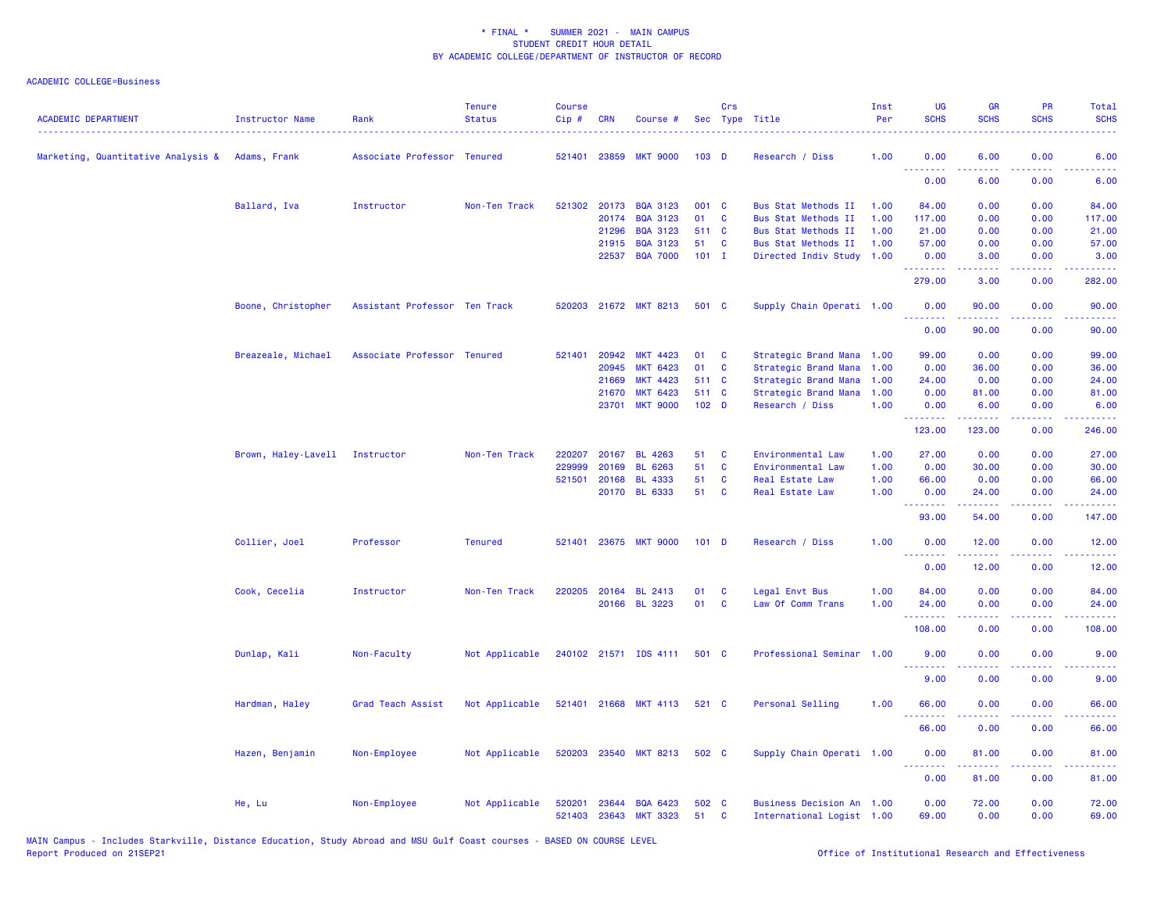| <b>ACADEMIC DEPARTMENT</b>                      | <b>Instructor Name</b>         | Rank                          | <b>Tenure</b><br><b>Status</b> | <b>Course</b><br>Cip#  | CRN   | Course #                           |                  | Crs          | Sec Type Title                                         | Inst<br>Per | UG<br><b>SCHS</b>  | <b>GR</b><br><b>SCHS</b>                                                                                                                                      | <b>PR</b><br><b>SCHS</b>     | Total<br><b>SCHS</b>                                                                                                               |
|-------------------------------------------------|--------------------------------|-------------------------------|--------------------------------|------------------------|-------|------------------------------------|------------------|--------------|--------------------------------------------------------|-------------|--------------------|---------------------------------------------------------------------------------------------------------------------------------------------------------------|------------------------------|------------------------------------------------------------------------------------------------------------------------------------|
|                                                 |                                |                               |                                |                        |       |                                    |                  |              |                                                        |             |                    |                                                                                                                                                               |                              |                                                                                                                                    |
| Marketing, Quantitative Analysis & Adams, Frank |                                | Associate Professor Tenured   |                                | 521401 23859           |       | <b>MKT 9000</b>                    | 103 <sub>D</sub> |              | Research / Diss                                        | 1.00        | 0.00               | 6.00                                                                                                                                                          | 0.00                         | 6.00                                                                                                                               |
|                                                 |                                |                               |                                |                        |       |                                    |                  |              |                                                        |             | .<br>0.00          | .<br>6.00                                                                                                                                                     | $- - - -$<br>0.00            | 6.00                                                                                                                               |
|                                                 | Ballard, Iva                   | Instructor                    | Non-Ten Track                  | 521302                 | 20173 | <b>BQA 3123</b>                    | 001 C            |              | Bus Stat Methods II                                    | 1.00        | 84.00              | 0.00                                                                                                                                                          | 0.00                         | 84.00                                                                                                                              |
|                                                 |                                |                               |                                |                        | 20174 | <b>BQA 3123</b>                    | 01               | C            | Bus Stat Methods II                                    | 1.00        | 117.00             | 0.00                                                                                                                                                          | 0.00                         | 117.00                                                                                                                             |
|                                                 |                                |                               |                                |                        | 21296 | <b>BQA 3123</b>                    | 511 C            |              | <b>Bus Stat Methods II</b>                             | 1.00        | 21.00              | 0.00                                                                                                                                                          | 0.00                         | 21.00                                                                                                                              |
|                                                 |                                |                               |                                |                        | 21915 | <b>BQA 3123</b>                    | 51               | $\mathbf{C}$ | Bus Stat Methods II                                    | 1.00        | 57.00              | 0.00                                                                                                                                                          | 0.00                         | 57.00                                                                                                                              |
|                                                 |                                |                               |                                |                        | 22537 | <b>BQA 7000</b>                    | $101$ I          |              | Directed Indiv Study                                   | 1.00        | 0.00<br>.          | 3.00                                                                                                                                                          | 0.00                         | 3.00                                                                                                                               |
|                                                 |                                |                               |                                |                        |       |                                    |                  |              |                                                        |             | 279.00             | 3.00                                                                                                                                                          | 0.00                         | 282.00                                                                                                                             |
|                                                 | Boone, Christopher             | Assistant Professor Ten Track |                                |                        |       | 520203 21672 MKT 8213              | 501 C            |              | Supply Chain Operati 1.00                              |             | 0.00               | 90.00                                                                                                                                                         | 0.00                         | 90.00                                                                                                                              |
|                                                 |                                |                               |                                |                        |       |                                    |                  |              |                                                        |             | . <b>.</b><br>0.00 | $\frac{1}{2} \left( \frac{1}{2} \right) \left( \frac{1}{2} \right) \left( \frac{1}{2} \right) \left( \frac{1}{2} \right) \left( \frac{1}{2} \right)$<br>90.00 | 0.00                         | $\frac{1}{2} \left( \frac{1}{2} \right) \left( \frac{1}{2} \right) \left( \frac{1}{2} \right) \left( \frac{1}{2} \right)$<br>90.00 |
|                                                 | Breazeale, Michael             | Associate Professor Tenured   |                                | 521401                 | 20942 | <b>MKT 4423</b>                    | 01               | C            | Strategic Brand Mana                                   | 1.00        | 99.00              | 0.00                                                                                                                                                          | 0.00                         | 99.00                                                                                                                              |
|                                                 |                                |                               |                                |                        | 20945 | <b>MKT 6423</b>                    | 01               | C            | Strategic Brand Mana                                   | 1.00        | 0.00               | 36.00                                                                                                                                                         | 0.00                         | 36.00                                                                                                                              |
|                                                 |                                |                               |                                |                        | 21669 | <b>MKT 4423</b>                    | 511 C            |              | Strategic Brand Mana                                   | 1.00        | 24.00              | 0.00                                                                                                                                                          | 0.00                         | 24.00                                                                                                                              |
|                                                 |                                |                               |                                |                        | 21670 | <b>MKT 6423</b>                    | 511 C            |              | Strategic Brand Mana                                   | 1.00        | 0.00               | 81.00                                                                                                                                                         | 0.00                         | 81.00                                                                                                                              |
|                                                 |                                |                               |                                |                        | 23701 | <b>MKT 9000</b>                    | 102 <sub>D</sub> |              | Research / Diss                                        | 1.00        | 0.00               | 6.00                                                                                                                                                          | 0.00                         | 6.00                                                                                                                               |
|                                                 |                                |                               |                                |                        |       |                                    |                  |              |                                                        |             | .<br>123.00        | .<br>123.00                                                                                                                                                   | .<br>0.00                    | .<br>246.00                                                                                                                        |
|                                                 | Brown, Haley-Lavell Instructor |                               | Non-Ten Track                  | 220207                 | 20167 | <b>BL 4263</b>                     | 51               | <b>C</b>     | Environmental Law                                      | 1.00        | 27.00              | 0.00                                                                                                                                                          | 0.00                         | 27.00                                                                                                                              |
|                                                 |                                |                               |                                | 229999                 | 20169 | <b>BL 6263</b>                     | 51               | C            | Environmental Law                                      | 1.00        | 0.00               | 30.00                                                                                                                                                         | 0.00                         | 30.00                                                                                                                              |
|                                                 |                                |                               |                                | 521501                 | 20168 | <b>BL 4333</b>                     | 51               | C            | Real Estate Law                                        | 1.00        | 66.00              | 0.00                                                                                                                                                          | 0.00                         | 66.00                                                                                                                              |
|                                                 |                                |                               |                                |                        |       | 20170 BL 6333                      | 51               | C            | Real Estate Law                                        | 1.00        | 0.00               | 24.00                                                                                                                                                         | 0.00                         | 24.00                                                                                                                              |
|                                                 |                                |                               |                                |                        |       |                                    |                  |              |                                                        |             | .<br>93.00         | .<br>54.00                                                                                                                                                    | .<br>0.00                    | .<br>147.00                                                                                                                        |
|                                                 | Collier, Joel                  | Professor                     | <b>Tenured</b>                 | 521401                 |       | 23675 MKT 9000                     | $101$ D          |              | Research / Diss                                        | 1.00        | 0.00               | 12.00                                                                                                                                                         | 0.00                         | 12.00                                                                                                                              |
|                                                 |                                |                               |                                |                        |       |                                    |                  |              |                                                        |             | .<br>0.00          | $\frac{1}{2} \left( \frac{1}{2} \right) \left( \frac{1}{2} \right) \left( \frac{1}{2} \right) \left( \frac{1}{2} \right) \left( \frac{1}{2} \right)$<br>12.00 | $\sim$ $\sim$ $\sim$<br>0.00 | 12.00                                                                                                                              |
|                                                 | Cook, Cecelia                  | Instructor                    | Non-Ten Track                  | 220205                 | 20164 | <b>BL 2413</b>                     | 01               | C            | Legal Envt Bus                                         | 1.00        | 84.00              | 0.00                                                                                                                                                          | 0.00                         | 84.00                                                                                                                              |
|                                                 |                                |                               |                                |                        |       | 20166 BL 3223                      | 01               | $\mathbf{C}$ | Law Of Comm Trans                                      | 1.00        | 24.00              | 0.00                                                                                                                                                          | 0.00                         | 24.00                                                                                                                              |
|                                                 |                                |                               |                                |                        |       |                                    |                  |              |                                                        |             | .<br>108.00        | 0.00                                                                                                                                                          | 0.00                         | 108.00                                                                                                                             |
|                                                 | Dunlap, Kali                   | Non-Faculty                   | Not Applicable                 |                        |       | 240102 21571 IDS 4111              | 501 C            |              | Professional Seminar                                   | 1.00        | 9.00               | 0.00                                                                                                                                                          | 0.00                         | 9.00                                                                                                                               |
|                                                 |                                |                               |                                |                        |       |                                    |                  |              |                                                        |             | .<br>9.00          | 0.00                                                                                                                                                          | 0.00                         | 9.00                                                                                                                               |
|                                                 |                                |                               |                                |                        |       |                                    |                  |              |                                                        |             |                    |                                                                                                                                                               |                              |                                                                                                                                    |
|                                                 | Hardman, Haley                 | Grad Teach Assist             | Not Applicable                 |                        |       | 521401 21668 MKT 4113              | 521 C            |              | Personal Selling                                       | 1.00        | 66.00              | 0.00                                                                                                                                                          | 0.00                         | 66.00                                                                                                                              |
|                                                 |                                |                               |                                |                        |       |                                    |                  |              |                                                        |             | 66.00              | 0.00                                                                                                                                                          | 0.00                         | 66.00                                                                                                                              |
|                                                 | Hazen, Benjamin                | Non-Employee                  | Not Applicable                 |                        |       | 520203 23540 MKT 8213              | 502 C            |              | Supply Chain Operati 1.00                              |             | 0.00<br>.          | 81.00<br>.                                                                                                                                                    | 0.00<br>.                    | 81.00                                                                                                                              |
|                                                 |                                |                               |                                |                        |       |                                    |                  |              |                                                        |             | 0.00               | 81.00                                                                                                                                                         | 0.00                         | 81.00                                                                                                                              |
|                                                 | He, Lu                         | Non-Employee                  | Not Applicable                 | 520201<br>521403 23643 | 23644 | <b>BQA 6423</b><br><b>MKT 3323</b> | 502 C<br>51      | C            | Business Decision An 1.00<br>International Logist 1.00 |             | 0.00<br>69.00      | 72.00<br>0.00                                                                                                                                                 | 0.00<br>0.00                 | 72.00<br>69.00                                                                                                                     |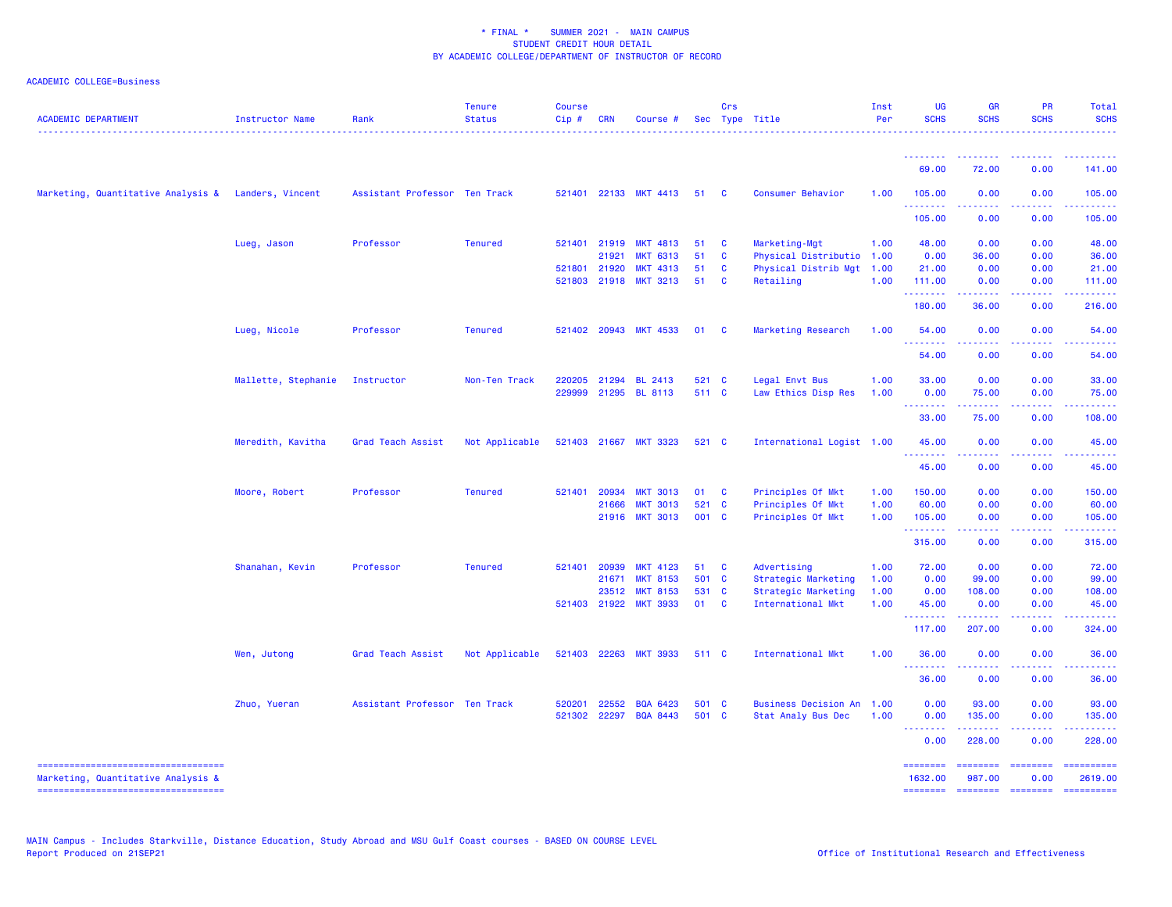| <b>ACADEMIC DEPARTMENT</b>                          | Instructor Name     | Rank                          | <b>Tenure</b><br><b>Status</b> | <b>Course</b><br>$Cip \#$ | CRN          | Course #              |       | Crs          | Sec Type Title              | Inst<br>Per | <b>UG</b><br><b>SCHS</b>                                                                                                                                                                                                                                                                                                                                                                                                                                                               | <b>GR</b><br><b>SCHS</b> | <b>PR</b><br><b>SCHS</b> | <b>Total</b><br><b>SCHS</b>                                                                                           |
|-----------------------------------------------------|---------------------|-------------------------------|--------------------------------|---------------------------|--------------|-----------------------|-------|--------------|-----------------------------|-------------|----------------------------------------------------------------------------------------------------------------------------------------------------------------------------------------------------------------------------------------------------------------------------------------------------------------------------------------------------------------------------------------------------------------------------------------------------------------------------------------|--------------------------|--------------------------|-----------------------------------------------------------------------------------------------------------------------|
|                                                     |                     |                               |                                |                           |              |                       |       |              |                             |             | 69.00                                                                                                                                                                                                                                                                                                                                                                                                                                                                                  | 72.00                    | 0.00                     | 141.00                                                                                                                |
| Marketing, Quantitative Analysis & Landers, Vincent |                     | Assistant Professor Ten Track |                                |                           |              | 521401 22133 MKT 4413 | 51    | $\mathbf{C}$ | Consumer Behavior           | 1.00        | 105.00                                                                                                                                                                                                                                                                                                                                                                                                                                                                                 | 0.00                     | 0.00                     | 105.00                                                                                                                |
|                                                     |                     |                               |                                |                           |              |                       |       |              |                             |             | 105.00                                                                                                                                                                                                                                                                                                                                                                                                                                                                                 | 0.00                     | 0.00                     | 105.00                                                                                                                |
|                                                     | Lueg, Jason         | Professor                     | <b>Tenured</b>                 |                           | 521401 21919 | <b>MKT 4813</b>       | 51    | $\mathbf{C}$ | Marketing-Mgt               | 1.00        | 48.00                                                                                                                                                                                                                                                                                                                                                                                                                                                                                  | 0.00                     | 0.00                     | 48.00                                                                                                                 |
|                                                     |                     |                               |                                |                           | 21921        | <b>MKT 6313</b>       | 51    | <b>C</b>     | Physical Distributio        | 1.00        | 0.00                                                                                                                                                                                                                                                                                                                                                                                                                                                                                   | 36.00                    | 0.00                     | 36.00                                                                                                                 |
|                                                     |                     |                               |                                | 521801                    | 21920        | <b>MKT 4313</b>       | 51    | $\mathbf{C}$ | Physical Distrib Mgt 1.00   |             | 21.00                                                                                                                                                                                                                                                                                                                                                                                                                                                                                  | 0.00                     | 0.00                     | 21.00                                                                                                                 |
|                                                     |                     |                               |                                |                           | 521803 21918 | <b>MKT 3213</b>       | 51    | $\mathbf{C}$ | Retailing                   | 1.00        | 111.00                                                                                                                                                                                                                                                                                                                                                                                                                                                                                 | 0.00                     | 0.00                     | 111.00                                                                                                                |
|                                                     |                     |                               |                                |                           |              |                       |       |              |                             |             | .<br>180.00                                                                                                                                                                                                                                                                                                                                                                                                                                                                            | .<br>36.00               | .<br>0.00                | .<br>216.00                                                                                                           |
|                                                     | Lueg, Nicole        | Professor                     | <b>Tenured</b>                 |                           | 521402 20943 | <b>MKT 4533</b>       | 01    | $\mathbf{C}$ | Marketing Research          | 1.00        | 54.00<br>.                                                                                                                                                                                                                                                                                                                                                                                                                                                                             | 0.00                     | 0.00                     | 54.00                                                                                                                 |
|                                                     |                     |                               |                                |                           |              |                       |       |              |                             |             | 54.00                                                                                                                                                                                                                                                                                                                                                                                                                                                                                  | 0.00                     | 0.00                     | 54.00                                                                                                                 |
|                                                     | Mallette, Stephanie | Instructor                    | Non-Ten Track                  | 220205                    | 21294        | BL 2413               | 521 C |              | Legal Envt Bus              | 1.00        | 33.00                                                                                                                                                                                                                                                                                                                                                                                                                                                                                  | 0.00                     | 0.00                     | 33.00                                                                                                                 |
|                                                     |                     |                               |                                | 229999                    |              | 21295 BL 8113         | 511 C |              | Law Ethics Disp Res         | 1.00        | 0.00                                                                                                                                                                                                                                                                                                                                                                                                                                                                                   | 75.00                    | 0.00                     | 75.00                                                                                                                 |
|                                                     |                     |                               |                                |                           |              |                       |       |              |                             |             | .<br>33.00                                                                                                                                                                                                                                                                                                                                                                                                                                                                             | .<br>75.00               | .<br>0.00                | .<br>108.00                                                                                                           |
|                                                     | Meredith, Kavitha   | Grad Teach Assist             | Not Applicable                 | 521403                    | 21667        | <b>MKT 3323</b>       | 521 C |              | International Logist 1.00   |             | 45.00                                                                                                                                                                                                                                                                                                                                                                                                                                                                                  | 0.00                     | 0.00                     | 45.00                                                                                                                 |
|                                                     |                     |                               |                                |                           |              |                       |       |              |                             |             | .<br>45.00                                                                                                                                                                                                                                                                                                                                                                                                                                                                             | 0.00                     | 0.00                     | 45.00                                                                                                                 |
|                                                     | Moore, Robert       | Professor                     | <b>Tenured</b>                 |                           | 521401 20934 | <b>MKT 3013</b>       | 01    | $\mathbf{C}$ | Principles Of Mkt           | 1.00        | 150.00                                                                                                                                                                                                                                                                                                                                                                                                                                                                                 | 0.00                     | 0.00                     | 150.00                                                                                                                |
|                                                     |                     |                               |                                |                           | 21666        | <b>MKT 3013</b>       | 521 C |              | Principles Of Mkt           | 1.00        | 60.00                                                                                                                                                                                                                                                                                                                                                                                                                                                                                  | 0.00                     | 0.00                     | 60.00                                                                                                                 |
|                                                     |                     |                               |                                |                           | 21916        | <b>MKT 3013</b>       | 001 C |              | Principles Of Mkt           | 1.00        | 105.00                                                                                                                                                                                                                                                                                                                                                                                                                                                                                 | 0.00                     | 0.00                     | 105.00                                                                                                                |
|                                                     |                     |                               |                                |                           |              |                       |       |              |                             |             | .<br>315.00                                                                                                                                                                                                                                                                                                                                                                                                                                                                            | .<br>0.00                | 22222<br>0.00            | $\begin{array}{cccccccccc} \bullet & \bullet & \bullet & \bullet & \bullet & \bullet & \bullet \end{array}$<br>315.00 |
|                                                     | Shanahan, Kevin     | Professor                     | <b>Tenured</b>                 | 521401                    | 20939        | <b>MKT 4123</b>       | 51    | $\mathbf{C}$ | Advertising                 | 1.00        | 72.00                                                                                                                                                                                                                                                                                                                                                                                                                                                                                  | 0.00                     | 0.00                     | 72.00                                                                                                                 |
|                                                     |                     |                               |                                |                           | 21671        | <b>MKT 8153</b>       | 501 C |              | Strategic Marketing         | 1.00        | 0.00                                                                                                                                                                                                                                                                                                                                                                                                                                                                                   | 99.00                    | 0.00                     | 99.00                                                                                                                 |
|                                                     |                     |                               |                                |                           | 23512        | <b>MKT 8153</b>       | 531 C |              | Strategic Marketing         | 1.00        | 0.00                                                                                                                                                                                                                                                                                                                                                                                                                                                                                   | 108.00                   | 0.00                     | 108.00                                                                                                                |
|                                                     |                     |                               |                                |                           | 521403 21922 | <b>MKT 3933</b>       | 01    | <b>C</b>     | International Mkt           | 1.00        | 45.00<br>.                                                                                                                                                                                                                                                                                                                                                                                                                                                                             | 0.00<br>.                | 0.00                     | 45.00                                                                                                                 |
|                                                     |                     |                               |                                |                           |              |                       |       |              |                             |             | 117.00                                                                                                                                                                                                                                                                                                                                                                                                                                                                                 | 207.00                   | 0.00                     | 324.00                                                                                                                |
|                                                     | Wen, Jutong         | Grad Teach Assist             | Not Applicable                 | 521403                    | 22263        | <b>MKT 3933</b>       | 511 C |              | <b>International Mkt</b>    | 1.00        | 36.00<br>.                                                                                                                                                                                                                                                                                                                                                                                                                                                                             | 0.00<br>.                | 0.00                     | 36.00                                                                                                                 |
|                                                     |                     |                               |                                |                           |              |                       |       |              |                             |             | 36.00                                                                                                                                                                                                                                                                                                                                                                                                                                                                                  | 0.00                     | 0.00                     | 36.00                                                                                                                 |
|                                                     | Zhuo, Yueran        | Assistant Professor Ten Track |                                | 520201                    | 22552        | <b>BQA 6423</b>       | 501 C |              | <b>Business Decision An</b> | 1.00        | 0.00                                                                                                                                                                                                                                                                                                                                                                                                                                                                                   | 93.00                    | 0.00                     | 93.00                                                                                                                 |
|                                                     |                     |                               |                                | 521302                    | 22297        | <b>BQA 8443</b>       | 501 C |              | Stat Analy Bus Dec          | 1.00        | 0.00<br><b><i><u><u><b>A</b></u></u> A A A A A A A</i></b>                                                                                                                                                                                                                                                                                                                                                                                                                             | 135.00                   | 0.00                     | 135.00                                                                                                                |
|                                                     |                     |                               |                                |                           |              |                       |       |              |                             |             | 0.00                                                                                                                                                                                                                                                                                                                                                                                                                                                                                   | 228.00                   | 0.00                     | 228.00                                                                                                                |
| Marketing, Quantitative Analysis &                  |                     |                               |                                |                           |              |                       |       |              |                             |             | ========<br>1632.00                                                                                                                                                                                                                                                                                                                                                                                                                                                                    | ========<br>987,00       | ========<br>0.00         | ==========<br>2619.00                                                                                                 |
| -----------------------------------                 |                     |                               |                                |                           |              |                       |       |              |                             |             | $\begin{array}{cccccccccc} \multicolumn{2}{c}{} & \multicolumn{2}{c}{} & \multicolumn{2}{c}{} & \multicolumn{2}{c}{} & \multicolumn{2}{c}{} & \multicolumn{2}{c}{} & \multicolumn{2}{c}{} & \multicolumn{2}{c}{} & \multicolumn{2}{c}{} & \multicolumn{2}{c}{} & \multicolumn{2}{c}{} & \multicolumn{2}{c}{} & \multicolumn{2}{c}{} & \multicolumn{2}{c}{} & \multicolumn{2}{c}{} & \multicolumn{2}{c}{} & \multicolumn{2}{c}{} & \multicolumn{2}{c}{} & \multicolumn{2}{c}{} & \mult$ | $= 1000000000$           | $= 1000000000$           |                                                                                                                       |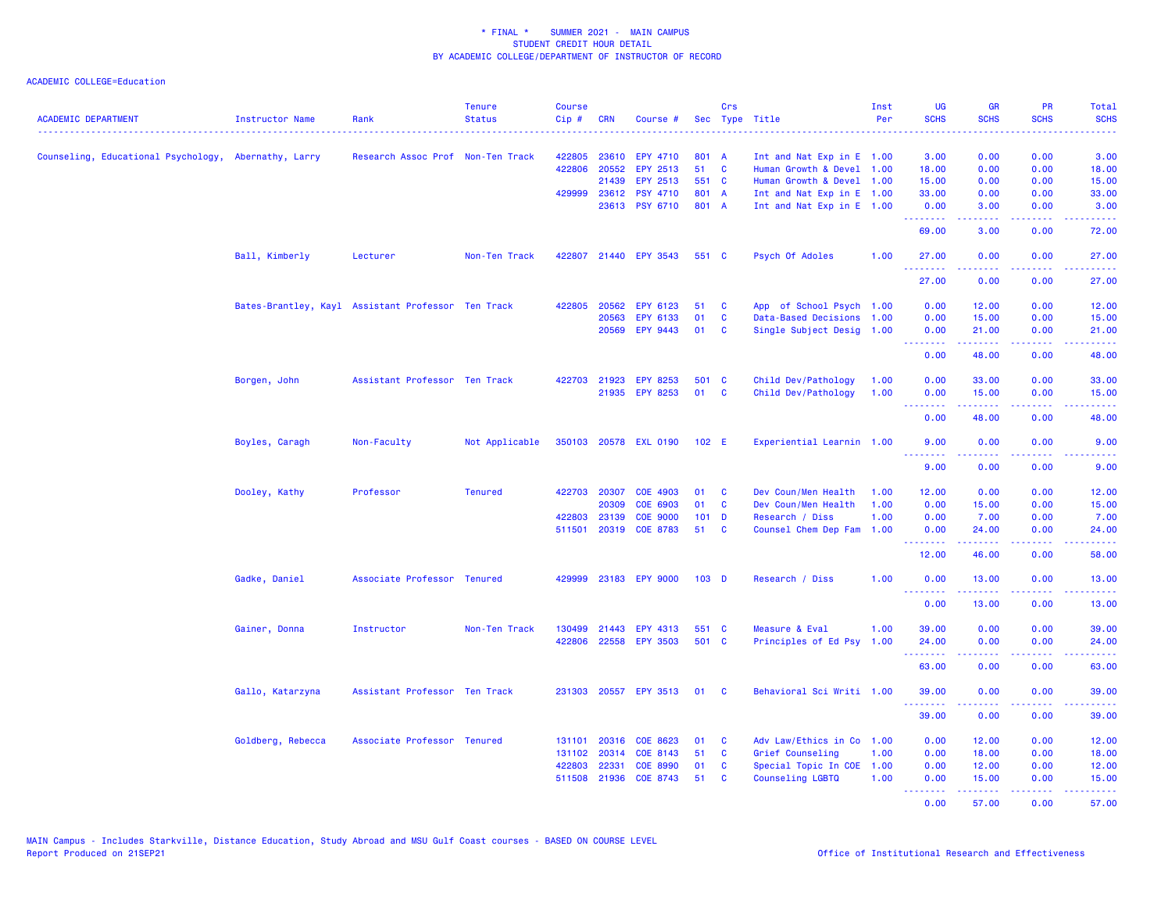| <b>ACADEMIC DEPARTMENT</b>                           | Instructor Name   | Rank                                               | <b>Tenure</b><br><b>Status</b> | <b>Course</b><br>$Cip \#$ | <b>CRN</b>   | Course #              |         | Crs          | Sec Type Title            | Inst<br>Per | <b>UG</b><br><b>SCHS</b>                           | <b>GR</b><br><b>SCHS</b> | <b>PR</b><br><b>SCHS</b>                                                                               | Total<br><b>SCHS</b>         |
|------------------------------------------------------|-------------------|----------------------------------------------------|--------------------------------|---------------------------|--------------|-----------------------|---------|--------------|---------------------------|-------------|----------------------------------------------------|--------------------------|--------------------------------------------------------------------------------------------------------|------------------------------|
| Counseling, Educational Psychology, Abernathy, Larry |                   | Research Assoc Prof Non-Ten Track                  |                                | 422805                    | 23610        | EPY 4710              | 801 A   |              | Int and Nat Exp in E 1.00 |             | 3.00                                               | 0.00                     | 0.00                                                                                                   | 3.00                         |
|                                                      |                   |                                                    |                                | 422806                    | 20552        | EPY 2513              | 51      | <b>C</b>     | Human Growth & Devel 1.00 |             | 18.00                                              | 0.00                     | 0.00                                                                                                   | 18.00                        |
|                                                      |                   |                                                    |                                |                           | 21439        | EPY 2513              | 551 C   |              | Human Growth & Devel 1.00 |             | 15.00                                              | 0.00                     | 0.00                                                                                                   | 15.00                        |
|                                                      |                   |                                                    |                                | 429999                    | 23612        | <b>PSY 4710</b>       | 801 A   |              | Int and Nat Exp in E 1.00 |             | 33.00                                              | 0.00                     | 0.00                                                                                                   | 33.00                        |
|                                                      |                   |                                                    |                                |                           |              | 23613 PSY 6710        | 801 A   |              | Int and Nat Exp in E 1.00 |             | 0.00<br>.                                          | 3.00<br>.                | 0.00<br>د د د د                                                                                        | 3.00<br>$\sim$ $\sim$ $\sim$ |
|                                                      |                   |                                                    |                                |                           |              |                       |         |              |                           |             | 69.00                                              | 3.00                     | 0.00                                                                                                   | 72.00                        |
|                                                      | Ball, Kimberly    | Lecturer                                           | Non-Ten Track                  | 422807                    |              | 21440 EPY 3543        | 551 C   |              | Psych Of Adoles           | 1.00        | 27.00<br>2.2.2.2.2.2                               | 0.00<br>.                | 0.00<br>$\frac{1}{2} \left( \frac{1}{2} \right) \left( \frac{1}{2} \right) \left( \frac{1}{2} \right)$ | 27.00<br>.                   |
|                                                      |                   |                                                    |                                |                           |              |                       |         |              |                           |             | 27.00                                              | 0.00                     | 0.00                                                                                                   | 27.00                        |
|                                                      |                   | Bates-Brantley, Kayl Assistant Professor Ten Track |                                | 422805                    | 20562        | EPY 6123              | 51      | C            | App of School Psych 1.00  |             | 0.00                                               | 12.00                    | 0.00                                                                                                   | 12.00                        |
|                                                      |                   |                                                    |                                |                           | 20563        | EPY 6133              | 01      | C            | Data-Based Decisions 1.00 |             | 0.00                                               | 15.00                    | 0.00                                                                                                   | 15.00                        |
|                                                      |                   |                                                    |                                |                           |              | 20569 EPY 9443        | 01      | C            | Single Subject Desig 1.00 |             | 0.00<br><b><i><u><u> - - - - - - -</u></u></i></b> | 21.00<br>.               | 0.00<br>22222                                                                                          | 21.00<br>.                   |
|                                                      |                   |                                                    |                                |                           |              |                       |         |              |                           |             | 0.00                                               | 48.00                    | 0.00                                                                                                   | 48.00                        |
|                                                      | Borgen, John      | Assistant Professor Ten Track                      |                                |                           | 422703 21923 | <b>EPY 8253</b>       | 501 C   |              | Child Dev/Pathology       | 1.00        | 0.00                                               | 33.00                    | 0.00                                                                                                   | 33.00                        |
|                                                      |                   |                                                    |                                |                           |              | 21935 EPY 8253        | 01      | $\mathbf{C}$ | Child Dev/Pathology       | 1.00        | 0.00                                               | 15.00                    | 0.00                                                                                                   | 15.00                        |
|                                                      |                   |                                                    |                                |                           |              |                       |         |              |                           |             | --------                                           | .                        | .                                                                                                      | .                            |
|                                                      |                   |                                                    |                                |                           |              |                       |         |              |                           |             | 0.00                                               | 48.00                    | 0.00                                                                                                   | 48.00                        |
|                                                      | Boyles, Caragh    | Non-Faculty                                        | Not Applicable                 |                           |              | 350103 20578 EXL 0190 | 102 E   |              | Experiential Learnin 1.00 |             | 9.00<br>1.1.1.1.1.1.1                              | 0.00                     | 0.00                                                                                                   | 9.00                         |
|                                                      |                   |                                                    |                                |                           |              |                       |         |              |                           |             | 9.00                                               | 0.00                     | 0.00                                                                                                   | 9.00                         |
|                                                      | Dooley, Kathy     | Professor                                          | <b>Tenured</b>                 |                           | 422703 20307 | COE 4903              | 01      | - C          | Dev Coun/Men Health       | 1.00        | 12.00                                              | 0.00                     | 0.00                                                                                                   | 12.00                        |
|                                                      |                   |                                                    |                                |                           | 20309        | COE 6903              | 01      | C            | Dev Coun/Men Health       | 1.00        | 0.00                                               | 15.00                    | 0.00                                                                                                   | 15.00                        |
|                                                      |                   |                                                    |                                | 422803                    | 23139        | <b>COE 9000</b>       | $101$ D |              | Research / Diss           | 1.00        | 0.00                                               | 7.00                     | 0.00                                                                                                   | 7.00                         |
|                                                      |                   |                                                    |                                |                           |              | 511501 20319 COE 8783 | 51      | <b>C</b>     | Counsel Chem Dep Fam 1.00 |             | 0.00<br>.                                          | 24.00<br>.               | 0.00<br>.                                                                                              | 24.00<br>.                   |
|                                                      |                   |                                                    |                                |                           |              |                       |         |              |                           |             | 12.00                                              | 46.00                    | 0.00                                                                                                   | 58.00                        |
|                                                      | Gadke, Daniel     | Associate Professor Tenured                        |                                | 429999                    |              | 23183 EPY 9000        | $103$ D |              | Research / Diss           | 1.00        | 0.00                                               | 13.00                    | 0.00                                                                                                   | 13.00                        |
|                                                      |                   |                                                    |                                |                           |              |                       |         |              |                           |             | .<br>0.00                                          | .<br>13.00               | .<br>0.00                                                                                              | .<br>13.00                   |
|                                                      | Gainer, Donna     | Instructor                                         | Non-Ten Track                  | 130499                    | 21443        | EPY 4313              | 551 C   |              | Measure & Eval            | 1.00        | 39.00                                              | 0.00                     | 0.00                                                                                                   | 39.00                        |
|                                                      |                   |                                                    |                                | 422806                    |              | 22558 EPY 3503        | 501 C   |              | Principles of Ed Psy 1.00 |             | 24.00                                              | 0.00                     | 0.00                                                                                                   | 24.00                        |
|                                                      |                   |                                                    |                                |                           |              |                       |         |              |                           |             | .                                                  | .                        | د د د د .<br>0.00                                                                                      | .                            |
|                                                      |                   |                                                    |                                |                           |              |                       |         |              |                           |             | 63.00                                              | 0.00                     |                                                                                                        | 63.00                        |
|                                                      | Gallo, Katarzyna  | Assistant Professor Ten Track                      |                                |                           |              | 231303 20557 EPY 3513 | 01      | <b>C</b>     | Behavioral Sci Writi 1.00 |             | 39.00<br>.                                         | 0.00<br>$- - - - -$      | 0.00<br>.                                                                                              | 39.00<br>.                   |
|                                                      |                   |                                                    |                                |                           |              |                       |         |              |                           |             | 39.00                                              | 0.00                     | 0.00                                                                                                   | 39.00                        |
|                                                      | Goldberg, Rebecca | Associate Professor Tenured                        |                                | 131101                    | 20316        | COE 8623              | 01      | C            | Adv Law/Ethics in Co 1.00 |             | 0.00                                               | 12.00                    | 0.00                                                                                                   | 12.00                        |
|                                                      |                   |                                                    |                                | 131102                    | 20314        | COE 8143              | 51      | C            | Grief Counseling          | 1.00        | 0.00                                               | 18.00                    | 0.00                                                                                                   | 18.00                        |
|                                                      |                   |                                                    |                                | 422803                    | 22331        | <b>COE 8990</b>       | 01      | C            | Special Topic In COE 1.00 |             | 0.00                                               | 12.00                    | 0.00                                                                                                   | 12.00                        |
|                                                      |                   |                                                    |                                | 511508                    | 21936        | COE 8743              | 51      | C            | Counseling LGBTQ          | 1.00        | 0.00                                               | 15.00                    | 0.00                                                                                                   | 15.00                        |
|                                                      |                   |                                                    |                                |                           |              |                       |         |              |                           |             | .<br>0.00                                          | .<br>57.00               | 22222<br>0.00                                                                                          | .<br>57.00                   |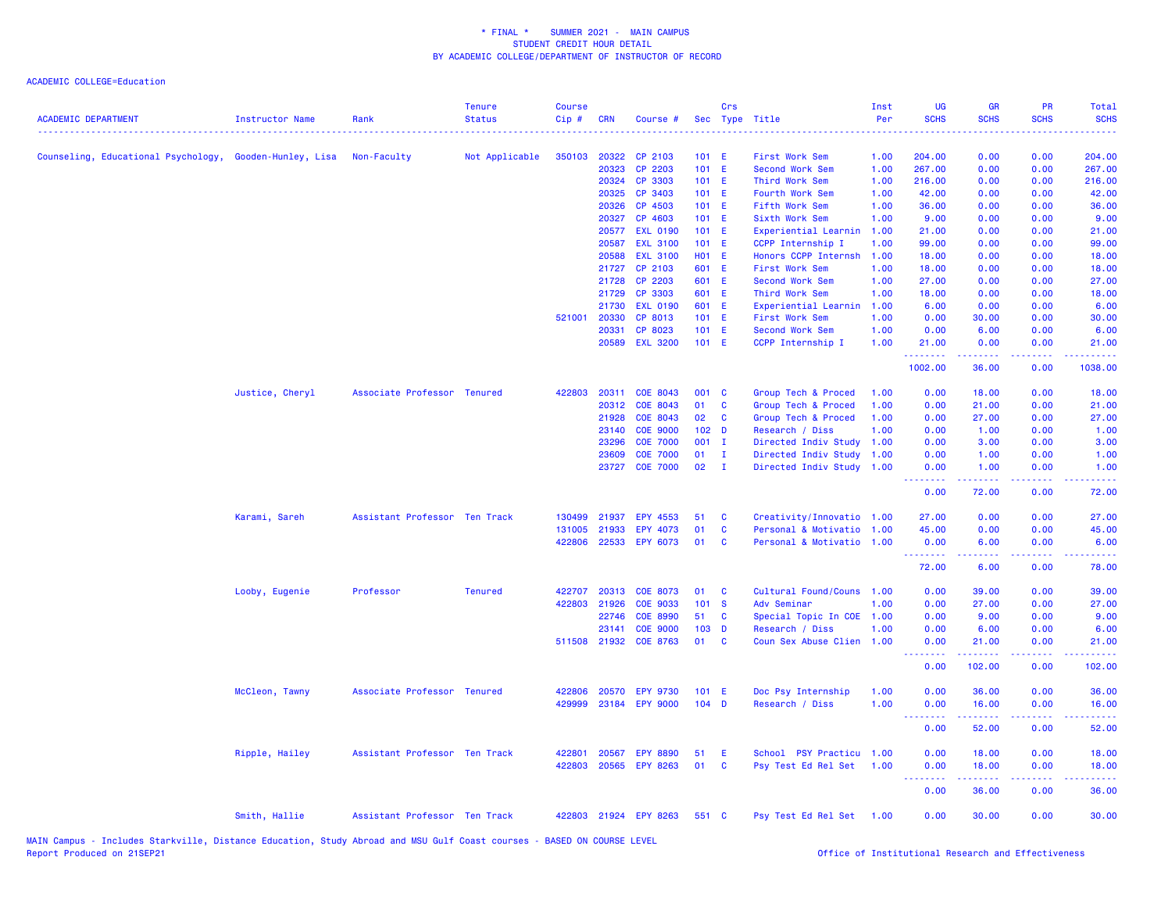ACADEMIC COLLEGE=Education

| <b>ACADEMIC DEPARTMENT</b>                              | <b>Instructor Name</b> | Rank                          | <b>Tenure</b><br><b>Status</b> | <b>Course</b><br>Cip# | <b>CRN</b> | Course #              |                  | Crs          | Sec Type Title            | Inst<br>Per | UG<br><b>SCHS</b>                                        | <b>GR</b><br><b>SCHS</b>                                                                                                                                     | <b>PR</b><br><b>SCHS</b> | <b>Total</b><br><b>SCHS</b> |
|---------------------------------------------------------|------------------------|-------------------------------|--------------------------------|-----------------------|------------|-----------------------|------------------|--------------|---------------------------|-------------|----------------------------------------------------------|--------------------------------------------------------------------------------------------------------------------------------------------------------------|--------------------------|-----------------------------|
| Counseling, Educational Psychology, Gooden-Hunley, Lisa |                        | Non-Faculty                   | Not Applicable                 | 350103                | 20322      | CP 2103               | 101 E            |              | First Work Sem            | 1.00        | 204.00                                                   | 0.00                                                                                                                                                         | 0.00                     | 204.00                      |
|                                                         |                        |                               |                                |                       | 20323      | CP 2203               | $101$ E          |              | Second Work Sem           | 1.00        | 267.00                                                   | 0.00                                                                                                                                                         | 0.00                     | 267.00                      |
|                                                         |                        |                               |                                |                       | 20324      | CP 3303               | $101$ E          |              | Third Work Sem            | 1.00        | 216.00                                                   | 0.00                                                                                                                                                         | 0.00                     | 216.00                      |
|                                                         |                        |                               |                                |                       | 20325      | CP 3403               | $101$ E          |              | Fourth Work Sem           | 1.00        | 42.00                                                    | 0.00                                                                                                                                                         | 0.00                     | 42.00                       |
|                                                         |                        |                               |                                |                       | 20326      | CP 4503               | $101$ E          |              | Fifth Work Sem            | 1.00        | 36.00                                                    | 0.00                                                                                                                                                         | 0.00                     | 36.00                       |
|                                                         |                        |                               |                                |                       | 20327      | CP 4603               | $101$ E          |              | Sixth Work Sem            | 1.00        | 9.00                                                     | 0.00                                                                                                                                                         | 0.00                     | 9.00                        |
|                                                         |                        |                               |                                |                       | 20577      | <b>EXL 0190</b>       | $101$ E          |              | Experiential Learnin      | 1.00        | 21.00                                                    | 0.00                                                                                                                                                         | 0.00                     | 21.00                       |
|                                                         |                        |                               |                                |                       | 20587      | <b>EXL 3100</b>       | 101 E            |              | CCPP Internship I         | 1.00        | 99.00                                                    | 0.00                                                                                                                                                         | 0.00                     | 99.00                       |
|                                                         |                        |                               |                                |                       | 20588      | <b>EXL 3100</b>       | <b>HO1 E</b>     |              | Honors CCPP Internsh      | 1.00        | 18.00                                                    | 0.00                                                                                                                                                         | 0.00                     | 18.00                       |
|                                                         |                        |                               |                                |                       | 21727      | CP 2103               | 601 E            |              | First Work Sem            | 1.00        | 18.00                                                    | 0.00                                                                                                                                                         | 0.00                     | 18.00                       |
|                                                         |                        |                               |                                |                       | 21728      | CP 2203               | 601 E            |              | Second Work Sem           | 1.00        | 27.00                                                    | 0.00                                                                                                                                                         | 0.00                     | 27.00                       |
|                                                         |                        |                               |                                |                       | 21729      | CP 3303               | 601 E            |              | Third Work Sem            | 1.00        | 18.00                                                    | 0.00                                                                                                                                                         | 0.00                     | 18.00                       |
|                                                         |                        |                               |                                |                       | 21730      | <b>EXL 0190</b>       | 601 E            |              | Experiential Learnin      | 1.00        | 6.00                                                     | 0.00                                                                                                                                                         | 0.00                     | 6.00                        |
|                                                         |                        |                               |                                | 521001                | 20330      | CP 8013               | $101$ E          |              | First Work Sem            | 1.00        | 0.00                                                     | 30.00                                                                                                                                                        | 0.00                     | 30.00                       |
|                                                         |                        |                               |                                |                       | 20331      | CP 8023               | 101 E            |              | Second Work Sem           | 1.00        | 0.00                                                     | 6.00                                                                                                                                                         | 0.00                     | 6.00                        |
|                                                         |                        |                               |                                |                       | 20589      | <b>EXL 3200</b>       | 101 E            |              | CCPP Internship I         | 1.00        | 21.00<br>.                                               | 0.00<br>22222                                                                                                                                                | 0.00<br>وعاويا           | 21.00<br>.                  |
|                                                         |                        |                               |                                |                       |            |                       |                  |              |                           |             | 1002.00                                                  | 36.00                                                                                                                                                        | 0.00                     | 1038.00                     |
|                                                         | Justice, Cheryl        | Associate Professor Tenured   |                                | 422803                | 20311      | COE 8043              | 001 C            |              | Group Tech & Proced       | 1.00        | 0.00                                                     | 18.00                                                                                                                                                        | 0.00                     | 18.00                       |
|                                                         |                        |                               |                                |                       | 20312      | COE 8043              | 01               | C            | Group Tech & Proced       | 1.00        | 0.00                                                     | 21.00                                                                                                                                                        | 0.00                     | 21.00                       |
|                                                         |                        |                               |                                |                       | 21928      | COE 8043              | 02               | C            | Group Tech & Proced       | 1.00        | 0.00                                                     | 27.00                                                                                                                                                        | 0.00                     | 27.00                       |
|                                                         |                        |                               |                                |                       | 23140      | <b>COE 9000</b>       | 102 <sub>D</sub> |              | Research / Diss           | 1.00        | 0.00                                                     | 1.00                                                                                                                                                         | 0.00                     | 1.00                        |
|                                                         |                        |                               |                                |                       | 23296      | <b>COE 7000</b>       | 001 I            |              | Directed Indiv Study      | 1.00        | 0.00                                                     | 3.00                                                                                                                                                         | 0.00                     | 3.00                        |
|                                                         |                        |                               |                                |                       | 23609      | <b>COE 7000</b>       | 01               | Ι.           | Directed Indiv Study      | 1.00        | 0.00                                                     | 1.00                                                                                                                                                         | 0.00                     | 1.00                        |
|                                                         |                        |                               |                                |                       | 23727      | <b>COE 7000</b>       | 02               | $\mathbf{I}$ | Directed Indiv Study 1.00 |             | 0.00<br>.                                                | 1.00<br>المتمام والمناور                                                                                                                                     | 0.00<br>.                | 1.00<br>.                   |
|                                                         |                        |                               |                                |                       |            |                       |                  |              |                           |             | 0.00                                                     | 72.00                                                                                                                                                        | 0.00                     | 72.00                       |
|                                                         | Karami, Sareh          | Assistant Professor Ten Track |                                | 130499                | 21937      | EPY 4553              | 51               | C            | Creativity/Innovatio 1.00 |             | 27.00                                                    | 0.00                                                                                                                                                         | 0.00                     | 27.00                       |
|                                                         |                        |                               |                                | 131005                | 21933      | EPY 4073              | 01               | C            | Personal & Motivatio 1.00 |             | 45.00                                                    | 0.00                                                                                                                                                         | 0.00                     | 45.00                       |
|                                                         |                        |                               |                                | 422806                |            | 22533 EPY 6073        | 01               | C            | Personal & Motivatio 1.00 |             | 0.00<br>.                                                | 6.00<br>$\frac{1}{2} \left( \frac{1}{2} \right) \left( \frac{1}{2} \right) \left( \frac{1}{2} \right) \left( \frac{1}{2} \right) \left( \frac{1}{2} \right)$ | 0.00<br>.                | 6.00<br>.                   |
|                                                         |                        |                               |                                |                       |            |                       |                  |              |                           |             | 72.00                                                    | 6.00                                                                                                                                                         | 0.00                     | 78.00                       |
|                                                         | Looby, Eugenie         | Professor                     | <b>Tenured</b>                 | 422707                | 20313      | <b>COE 8073</b>       | 01               | C            | Cultural Found/Couns      | 1.00        | 0.00                                                     | 39.00                                                                                                                                                        | 0.00                     | 39.00                       |
|                                                         |                        |                               |                                | 422803                | 21926      | COE 9033              | 101 S            |              | Adv Seminar               | 1.00        | 0.00                                                     | 27.00                                                                                                                                                        | 0.00                     | 27.00                       |
|                                                         |                        |                               |                                |                       | 22746      | <b>COE 8990</b>       | 51               | C            | Special Topic In COE      | 1.00        | 0.00                                                     | 9.00                                                                                                                                                         | 0.00                     | 9.00                        |
|                                                         |                        |                               |                                |                       | 23141      | <b>COE 9000</b>       | 103 <sub>D</sub> |              | Research / Diss           | 1.00        | 0.00                                                     | 6.00                                                                                                                                                         | 0.00                     | 6.00                        |
|                                                         |                        |                               |                                |                       |            | 511508 21932 COE 8763 | 01               | C            | Coun Sex Abuse Clien 1.00 |             | 0.00<br>المتمام المتاب                                   | 21.00<br>.                                                                                                                                                   | 0.00<br>وبالأباد         | 21,00<br>.                  |
|                                                         |                        |                               |                                |                       |            |                       |                  |              |                           |             | 0.00                                                     | 102.00                                                                                                                                                       | 0.00                     | 102.00                      |
|                                                         | McCleon, Tawny         | Associate Professor Tenured   |                                | 422806                | 20570      | <b>EPY 9730</b>       | 101 E            |              | Doc Psy Internship        | 1.00        | 0.00                                                     | 36.00                                                                                                                                                        | 0.00                     | 36.00                       |
|                                                         |                        |                               |                                | 429999                | 23184      | <b>EPY 9000</b>       | $104$ D          |              | Research / Diss           | 1.00        | 0.00                                                     | 16.00                                                                                                                                                        | 0.00                     | 16.00                       |
|                                                         |                        |                               |                                |                       |            |                       |                  |              |                           |             | .                                                        | .                                                                                                                                                            | .                        | .                           |
|                                                         |                        |                               |                                |                       |            |                       |                  |              |                           |             | 0.00                                                     | 52.00                                                                                                                                                        | 0.00                     | 52.00                       |
|                                                         | Ripple, Hailey         | Assistant Professor Ten Track |                                | 422801                | 20567      | <b>EPY 8890</b>       | 51               | Æ            | School PSY Practicu 1.00  |             | 0.00                                                     | 18.00                                                                                                                                                        | 0.00                     | 18.00                       |
|                                                         |                        |                               |                                | 422803                | 20565      | EPY 8263              | 01               | C            | Psy Test Ed Rel Set       | 1.00        | 0.00<br><b><i><u><u><b>Little Little</b></u></u></i></b> | 18.00                                                                                                                                                        | 0.00<br>.                | 18.00<br>.                  |
|                                                         |                        |                               |                                |                       |            |                       |                  |              |                           |             | 0.00                                                     | 36.00                                                                                                                                                        | 0.00                     | 36.00                       |
|                                                         | Smith, Hallie          | Assistant Professor Ten Track |                                |                       |            | 422803 21924 EPY 8263 | 551 C            |              | Psy Test Ed Rel Set 1.00  |             | 0.00                                                     | 30.00                                                                                                                                                        | 0.00                     | 30.00                       |

MAIN Campus - Includes Starkville, Distance Education, Study Abroad and MSU Gulf Coast courses - BASED ON COURSE LEVEL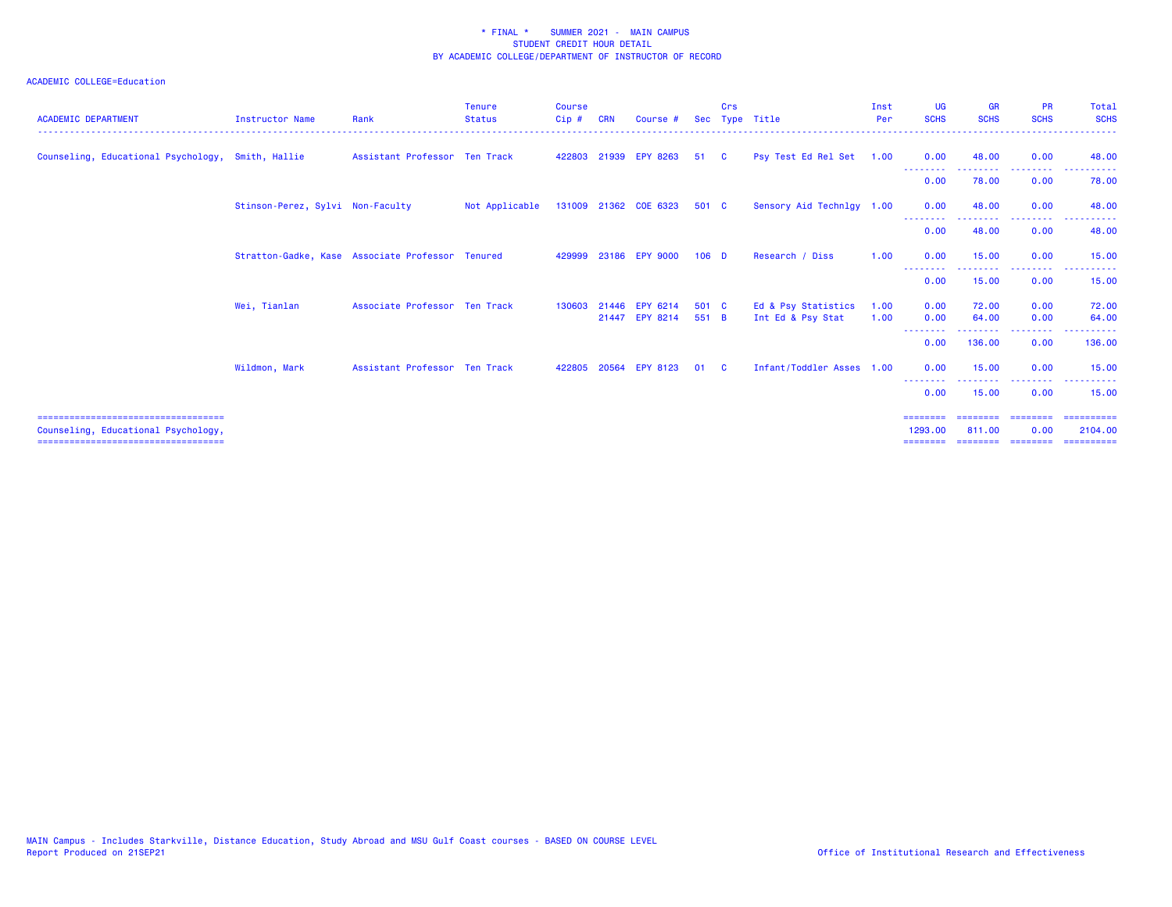| <b>ACADEMIC DEPARTMENT</b>                                                                                            | <b>Instructor Name</b>                           | Rank                          | <b>Tenure</b><br><b>Status</b> | <b>Course</b><br>$Cip$ # | <b>CRN</b> | Course #                         |                | Crs      | Sec Type Title                           | Inst<br>Per  | <b>UG</b><br><b>SCHS</b>                 | <b>GR</b><br><b>SCHS</b>                | <b>PR</b><br><b>SCHS</b>     | <b>Total</b><br><b>SCHS</b>                                                                                                                                                                                                                                                                                                                                                                                                                                                                                     |
|-----------------------------------------------------------------------------------------------------------------------|--------------------------------------------------|-------------------------------|--------------------------------|--------------------------|------------|----------------------------------|----------------|----------|------------------------------------------|--------------|------------------------------------------|-----------------------------------------|------------------------------|-----------------------------------------------------------------------------------------------------------------------------------------------------------------------------------------------------------------------------------------------------------------------------------------------------------------------------------------------------------------------------------------------------------------------------------------------------------------------------------------------------------------|
| Counseling, Educational Psychology, Smith, Hallie                                                                     |                                                  | Assistant Professor Ten Track |                                |                          |            | 422803 21939 EPY 8263            | 51             | <b>C</b> | Psy Test Ed Rel Set 1.00                 |              | 0.00                                     | 48.00                                   | 0.00                         | 48.00                                                                                                                                                                                                                                                                                                                                                                                                                                                                                                           |
|                                                                                                                       |                                                  |                               |                                |                          |            |                                  |                |          |                                          |              | 0.00                                     | 78.00                                   | 0.00                         | 78.00                                                                                                                                                                                                                                                                                                                                                                                                                                                                                                           |
|                                                                                                                       | Stinson-Perez, Sylvi Non-Faculty                 |                               | Not Applicable                 |                          |            | 131009 21362 COE 6323            | 501 C          |          | Sensory Aid Technlgy 1.00                |              | 0.00                                     | 48.00                                   | 0.00                         | 48.00                                                                                                                                                                                                                                                                                                                                                                                                                                                                                                           |
|                                                                                                                       |                                                  |                               |                                |                          |            |                                  |                |          |                                          |              | 0.00                                     | 48.00                                   | 0.00                         | 48.00                                                                                                                                                                                                                                                                                                                                                                                                                                                                                                           |
|                                                                                                                       | Stratton-Gadke, Kase Associate Professor Tenured |                               |                                | 429999                   |            | 23186 EPY 9000                   | $106$ D        |          | Research / Diss                          | 1.00         | 0.00                                     | 15.00                                   | 0.00                         | 15.00                                                                                                                                                                                                                                                                                                                                                                                                                                                                                                           |
|                                                                                                                       |                                                  |                               |                                |                          |            |                                  |                |          |                                          |              | --------<br>0.00                         | .<br>15.00                              | . <b>.</b> .<br>0.00         | 15.00                                                                                                                                                                                                                                                                                                                                                                                                                                                                                                           |
|                                                                                                                       | Wei, Tianlan                                     | Associate Professor Ten Track |                                | 130603                   |            | 21446 EPY 6214<br>21447 EPY 8214 | 501 C<br>551 B |          | Ed & Psy Statistics<br>Int Ed & Psy Stat | 1.00<br>1.00 | 0.00<br>0.00                             | 72.00<br>64.00                          | 0.00<br>0.00                 | 72.00<br>64.00                                                                                                                                                                                                                                                                                                                                                                                                                                                                                                  |
|                                                                                                                       |                                                  |                               |                                |                          |            |                                  |                |          |                                          |              | --------<br>0.00                         | <b><i><u><u>.</u></u></i></b><br>136.00 | .<br>0.00                    | 136.00                                                                                                                                                                                                                                                                                                                                                                                                                                                                                                          |
|                                                                                                                       | Wildmon, Mark                                    | Assistant Professor Ten Track |                                | 422805                   |            | 20564 EPY 8123                   | 01             | - C      | Infant/Toddler Asses 1.00                |              | 0.00                                     | 15.00                                   | 0.00                         | 15.00                                                                                                                                                                                                                                                                                                                                                                                                                                                                                                           |
|                                                                                                                       |                                                  |                               |                                |                          |            |                                  |                |          |                                          |              | --------<br>0.00                         | 15.00                                   | .<br>0.00                    | 15.00                                                                                                                                                                                                                                                                                                                                                                                                                                                                                                           |
| =====================================<br>Counseling, Educational Psychology,<br>===================================== |                                                  |                               |                                |                          |            |                                  |                |          |                                          |              | ========<br>1293.00<br>$=$ = = = = = = = | ========<br>811,00<br>========          | ========<br>0.00<br>======== | $\begin{array}{cccccccccc} \multicolumn{2}{c}{} & \multicolumn{2}{c}{} & \multicolumn{2}{c}{} & \multicolumn{2}{c}{} & \multicolumn{2}{c}{} & \multicolumn{2}{c}{} & \multicolumn{2}{c}{} & \multicolumn{2}{c}{} & \multicolumn{2}{c}{} & \multicolumn{2}{c}{} & \multicolumn{2}{c}{} & \multicolumn{2}{c}{} & \multicolumn{2}{c}{} & \multicolumn{2}{c}{} & \multicolumn{2}{c}{} & \multicolumn{2}{c}{} & \multicolumn{2}{c}{} & \multicolumn{2}{c}{} & \multicolumn{2}{c}{} & \mult$<br>2104.00<br>========== |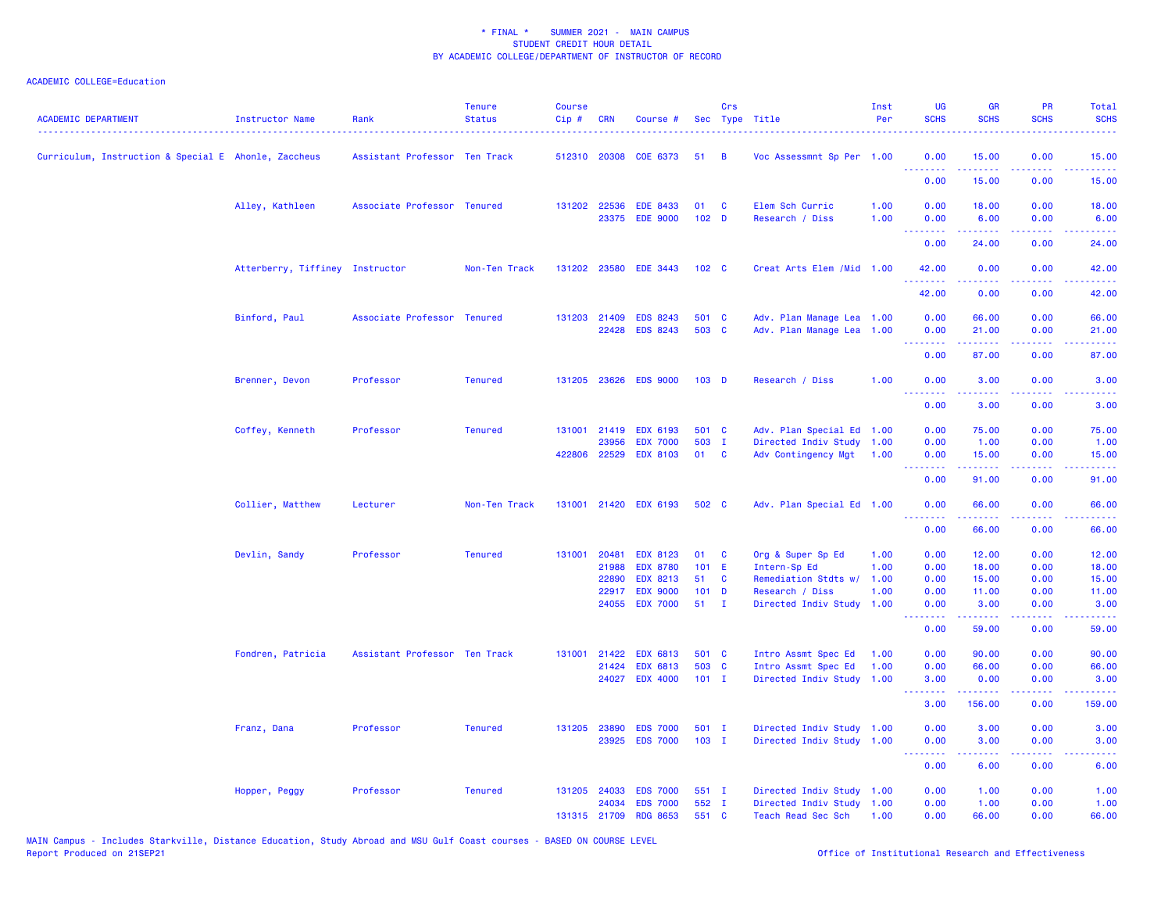| <b>ACADEMIC DEPARTMENT</b>                           | <b>Instructor Name</b>          | Rank                          | <b>Tenure</b><br><b>Status</b> | <b>Course</b><br>Cip# | CRN          | Course #                          |                  | Crs         | Sec Type Title                               | Inst<br>Per | <b>UG</b><br><b>SCHS</b>        | GR<br><b>SCHS</b>                                                                                                                                            | <b>PR</b><br><b>SCHS</b>            | Total<br><b>SCHS</b>                                                                                                              |
|------------------------------------------------------|---------------------------------|-------------------------------|--------------------------------|-----------------------|--------------|-----------------------------------|------------------|-------------|----------------------------------------------|-------------|---------------------------------|--------------------------------------------------------------------------------------------------------------------------------------------------------------|-------------------------------------|-----------------------------------------------------------------------------------------------------------------------------------|
| Curriculum, Instruction & Special E Ahonle, Zaccheus |                                 | Assistant Professor Ten Track |                                |                       | 512310 20308 | COE 6373                          | 51               | B           | Voc Assessmnt Sp Per 1.00                    |             | 0.00<br>.                       | 15.00<br>بالأبالات                                                                                                                                           | 0.00                                | 15.00<br>المتمامين                                                                                                                |
|                                                      |                                 |                               |                                |                       |              |                                   |                  |             |                                              |             | 0.00                            | 15.00                                                                                                                                                        | 0.00                                | 15.00                                                                                                                             |
|                                                      | Alley, Kathleen                 | Associate Professor Tenured   |                                |                       | 131202 22536 | <b>EDE 8433</b>                   | 01               | C           | Elem Sch Curric                              | 1.00        | 0.00                            | 18.00                                                                                                                                                        | 0.00                                | 18.00                                                                                                                             |
|                                                      |                                 |                               |                                |                       |              | 23375 EDE 9000                    | 102 <sub>D</sub> |             | Research / Diss                              | 1.00        | 0.00<br><u>.</u>                | 6.00<br>.                                                                                                                                                    | 0.00<br>.                           | 6.00<br>.                                                                                                                         |
|                                                      |                                 |                               |                                |                       |              |                                   |                  |             |                                              |             | 0.00                            | 24.00                                                                                                                                                        | 0.00                                | 24.00                                                                                                                             |
|                                                      | Atterberry, Tiffiney Instructor |                               | Non-Ten Track                  |                       | 131202 23580 | <b>EDE 3443</b>                   | 102 <sub>c</sub> |             | Creat Arts Elem / Mid 1.00                   |             | 42.00<br>.                      | 0.00<br>$\frac{1}{2} \left( \frac{1}{2} \right) \left( \frac{1}{2} \right) \left( \frac{1}{2} \right) \left( \frac{1}{2} \right) \left( \frac{1}{2} \right)$ | 0.00<br>المتمامين                   | 42.00<br>.                                                                                                                        |
|                                                      |                                 |                               |                                |                       |              |                                   |                  |             |                                              |             | 42.00                           | 0.00                                                                                                                                                         | 0.00                                | 42.00                                                                                                                             |
|                                                      | Binford, Paul                   | Associate Professor Tenured   |                                |                       | 131203 21409 | <b>EDS 8243</b>                   | 501 C            |             | Adv. Plan Manage Lea 1.00                    |             | 0.00                            | 66.00                                                                                                                                                        | 0.00                                | 66.00                                                                                                                             |
|                                                      |                                 |                               |                                |                       | 22428        | <b>EDS 8243</b>                   | 503 C            |             | Adv. Plan Manage Lea 1.00                    |             | 0.00<br><b>.</b> .              | 21.00<br>د د د د د                                                                                                                                           | 0.00<br>.                           | 21.00<br>المتمامين                                                                                                                |
|                                                      |                                 |                               |                                |                       |              |                                   |                  |             |                                              |             | 0.00                            | 87.00                                                                                                                                                        | 0.00                                | 87.00                                                                                                                             |
|                                                      | Brenner, Devon                  | Professor                     | <b>Tenured</b>                 |                       |              | 131205 23626 EDS 9000             | 103 <sub>D</sub> |             | Research / Diss                              | 1.00        | 0.00                            | 3.00                                                                                                                                                         | 0.00                                | 3.00                                                                                                                              |
|                                                      |                                 |                               |                                |                       |              |                                   |                  |             |                                              |             | .<br>0.00                       | $\frac{1}{2} \left( \frac{1}{2} \right) \left( \frac{1}{2} \right) \left( \frac{1}{2} \right) \left( \frac{1}{2} \right) \left( \frac{1}{2} \right)$<br>3.00 | د د د د<br>0.00                     | والمستناط<br>3.00                                                                                                                 |
|                                                      | Coffey, Kenneth                 | Professor                     | <b>Tenured</b>                 | 131001                | 21419        | EDX 6193                          | 501 C            |             | Adv. Plan Special Ed 1.00                    |             | 0.00                            | 75.00                                                                                                                                                        | 0.00                                | 75.00                                                                                                                             |
|                                                      |                                 |                               |                                |                       | 23956        | <b>EDX 7000</b>                   | 503 I            |             | Directed Indiv Study 1.00                    |             | 0.00                            | 1.00                                                                                                                                                         | 0.00                                | 1.00                                                                                                                              |
|                                                      |                                 |                               |                                |                       | 422806 22529 | <b>EDX 8103</b>                   | 01 C             |             | Adv Contingency Mgt                          | 1.00        | 0.00<br>د د د د                 | 15.00                                                                                                                                                        | 0.00<br>$\sim$ $\sim$ $\sim$ $\sim$ | 15.00<br>المتمامين                                                                                                                |
|                                                      |                                 |                               |                                |                       |              |                                   |                  |             |                                              |             | 0.00                            | 91.00                                                                                                                                                        | 0.00                                | 91.00                                                                                                                             |
|                                                      | Collier, Matthew                | Lecturer                      | Non-Ten Track                  |                       |              | 131001 21420 EDX 6193             | 502 C            |             | Adv. Plan Special Ed 1.00                    |             | 0.00<br><u>.</u>                | 66.00                                                                                                                                                        | 0.00                                | 66.00                                                                                                                             |
|                                                      |                                 |                               |                                |                       |              |                                   |                  |             |                                              |             | 0.00                            | 66.00                                                                                                                                                        | 0.00                                | 66.00                                                                                                                             |
|                                                      | Devlin, Sandy                   | Professor                     | <b>Tenured</b>                 |                       | 131001 20481 | <b>EDX 8123</b>                   | 01               | <b>C</b>    | Org & Super Sp Ed                            | 1.00        | 0.00                            | 12.00                                                                                                                                                        | 0.00                                | 12.00                                                                                                                             |
|                                                      |                                 |                               |                                |                       | 21988        | <b>EDX 8780</b>                   | 101 E            |             | Intern-Sp Ed                                 | 1.00        | 0.00                            | 18.00                                                                                                                                                        | 0.00                                | 18.00                                                                                                                             |
|                                                      |                                 |                               |                                |                       | 22890        | <b>EDX 8213</b>                   | 51               | C           | Remediation Stdts w/                         | 1.00        | 0.00                            | 15.00                                                                                                                                                        | 0.00                                | 15.00                                                                                                                             |
|                                                      |                                 |                               |                                |                       | 22917        | <b>EDX 9000</b><br>24055 EDX 7000 | $101$ D<br>51    | $\mathbf I$ | Research / Diss<br>Directed Indiv Study 1.00 | 1.00        | 0.00<br>0.00                    | 11.00<br>3.00                                                                                                                                                | 0.00<br>0.00                        | 11.00<br>3.00                                                                                                                     |
|                                                      |                                 |                               |                                |                       |              |                                   |                  |             |                                              |             | <b>.</b> .<br>0.00              | .<br>59.00                                                                                                                                                   | .<br>0.00                           | .<br>59.00                                                                                                                        |
|                                                      | Fondren, Patricia               | Assistant Professor Ten Track |                                |                       | 131001 21422 | <b>EDX 6813</b>                   | 501 C            |             | Intro Assmt Spec Ed                          | 1.00        | 0.00                            | 90.00                                                                                                                                                        | 0.00                                | 90.00                                                                                                                             |
|                                                      |                                 |                               |                                |                       | 21424        | <b>EDX 6813</b>                   | 503 C            |             | Intro Assmt Spec Ed                          | 1.00        | 0.00                            | 66.00                                                                                                                                                        | 0.00                                | 66.00                                                                                                                             |
|                                                      |                                 |                               |                                |                       |              | 24027 EDX 4000                    | $101$ I          |             | Directed Indiv Study 1.00                    |             | 3.00                            | 0.00<br>$- - - - -$                                                                                                                                          | 0.00<br>.                           | 3.00<br>.                                                                                                                         |
|                                                      |                                 |                               |                                |                       |              |                                   |                  |             |                                              |             | .<br>3.00                       | 156.00                                                                                                                                                       | 0.00                                | 159.00                                                                                                                            |
|                                                      | Franz, Dana                     | Professor                     | <b>Tenured</b>                 |                       | 131205 23890 | <b>EDS 7000</b>                   | $501$ I          |             | Directed Indiv Study 1.00                    |             | 0.00                            | 3.00                                                                                                                                                         | 0.00                                | 3.00                                                                                                                              |
|                                                      |                                 |                               |                                |                       |              | 23925 EDS 7000                    | $103$ I          |             | Directed Indiv Study 1.00                    |             | 0.00<br><u> - - - - - - - -</u> | 3.00<br>$\frac{1}{2} \left( \frac{1}{2} \right) \left( \frac{1}{2} \right) \left( \frac{1}{2} \right) \left( \frac{1}{2} \right) \left( \frac{1}{2} \right)$ | 0.00<br>.                           | 3.00<br>$\frac{1}{2} \left( \frac{1}{2} \right) \left( \frac{1}{2} \right) \left( \frac{1}{2} \right) \left( \frac{1}{2} \right)$ |
|                                                      |                                 |                               |                                |                       |              |                                   |                  |             |                                              |             | 0.00                            | 6.00                                                                                                                                                         | 0.00                                | 6.00                                                                                                                              |
|                                                      | Hopper, Peggy                   | Professor                     | <b>Tenured</b>                 |                       | 131205 24033 | <b>EDS 7000</b>                   | 551 I            |             | Directed Indiv Study 1.00                    |             | 0.00                            | 1.00                                                                                                                                                         | 0.00                                | 1.00                                                                                                                              |
|                                                      |                                 |                               |                                |                       | 24034        | <b>EDS 7000</b>                   | 552 I            |             | Directed Indiv Study 1.00                    |             | 0.00                            | 1.00                                                                                                                                                         | 0.00                                | 1.00                                                                                                                              |
|                                                      |                                 |                               |                                |                       | 131315 21709 | <b>RDG 8653</b>                   | 551 C            |             | Teach Read Sec Sch                           | 1.00        | 0.00                            | 66.00                                                                                                                                                        | 0.00                                | 66.00                                                                                                                             |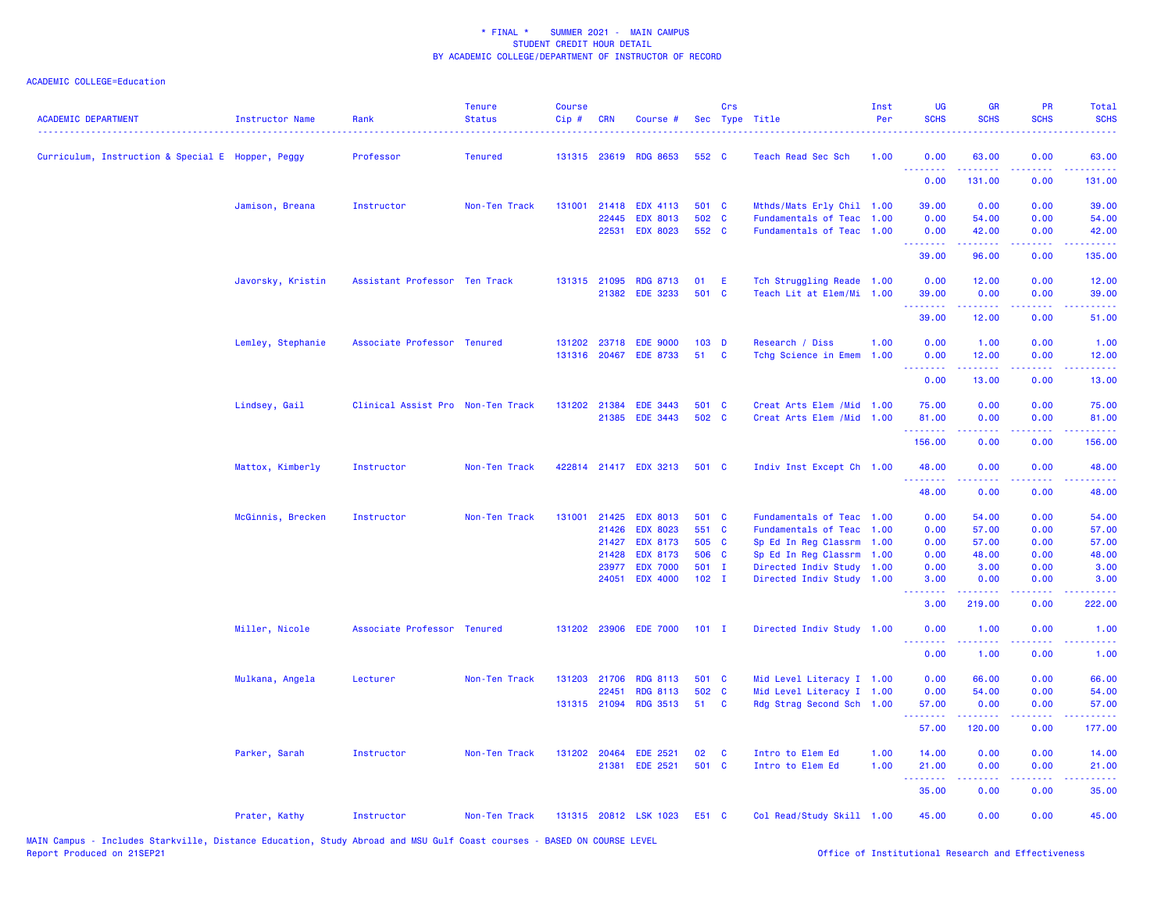| 552 C<br>Curriculum, Instruction & Special E Hopper, Peggy<br>Professor<br><b>Tenured</b><br>131315 23619<br><b>RDG 8653</b><br>Teach Read Sec Sch<br>1.00<br>0.00<br>63.00<br>0.00<br>63.00<br>.<br>0.00<br>131.00<br>0.00<br>131.00<br>131001<br>21418<br><b>EDX 4113</b><br>501 C<br>Mthds/Mats Erly Chil 1.00<br>39.00<br>0.00<br>0.00<br>39.00<br>Jamison, Breana<br>Instructor<br>Non-Ten Track<br>502 C<br>22445<br><b>EDX 8013</b><br>Fundamentals of Teac<br>0.00<br>0.00<br>1.00<br>54.00<br>54.00<br>552 C<br>22531<br><b>EDX 8023</b><br>Fundamentals of Teac 1.00<br>0.00<br>42.00<br>0.00<br>42.00<br>.<br>.<br>.<br>.<br>39.00<br>96.00<br>0.00<br>135.00<br>Javorsky, Kristin<br>Assistant Professor Ten Track<br>131315 21095<br><b>RDG 8713</b><br>01<br>E<br>Tch Struggling Reade 1.00<br>0.00<br>12.00<br>0.00<br>12.00<br><b>EDE 3233</b><br>501 C<br>21382<br>Teach Lit at Elem/Mi 1.00<br>39.00<br>0.00<br>0.00<br>39.00<br>.<br>39.00<br>12.00<br>0.00<br>51.00<br>Associate Professor Tenured<br>131202 23718<br><b>EDE 9000</b><br>103 D<br>Research / Diss<br>1.00<br>0.00<br>1.00<br>0.00<br>Lemley, Stephanie<br>1.00<br>131316 20467<br><b>EDE 8733</b><br>51<br>1.00<br><b>C</b><br>Tchg Science in Emem<br>0.00<br>12.00<br>0.00<br>12.00<br><u>.</u><br>.<br>0.00<br>13.00<br>0.00<br>13.00<br>Lindsey, Gail<br>131202 21384<br>501 C<br>Creat Arts Elem / Mid 1.00<br>75.00<br>0.00<br>0.00<br>75.00<br>Clinical Assist Pro Non-Ten Track<br><b>EDE 3443</b><br>502 C<br>21385<br><b>EDE 3443</b><br>Creat Arts Elem / Mid<br>1.00<br>81.00<br>0.00<br>0.00<br>81.00<br>2.2.2.2.2.2.2<br>22222<br>د د د د .<br>.<br>156.00<br>0.00<br>0.00<br>156.00<br>Mattox, Kimberly<br>Instructor<br>Non-Ten Track<br>422814 21417 EDX 3213<br>501 C<br>Indiv Inst Except Ch 1.00<br>48.00<br>0.00<br>0.00<br>48.00<br>.<br>.<br>$\frac{1}{2} \left( \frac{1}{2} \right) \left( \frac{1}{2} \right) \left( \frac{1}{2} \right) \left( \frac{1}{2} \right)$<br>.<br>48.00<br>0.00<br>0.00<br>48.00<br>21425<br><b>EDX 8013</b><br>501 C<br>0.00<br>0.00<br>McGinnis, Brecken<br>Instructor<br>Non-Ten Track<br>131001<br>Fundamentals of Teac<br>1.00<br>54.00<br>54.00<br><b>EDX 8023</b><br>551 C<br>21426<br>Fundamentals of Teac 1.00<br>0.00<br>57.00<br>0.00<br>57.00<br>505 C<br>Sp Ed In Reg Classrm 1.00<br>21427<br><b>EDX 8173</b><br>0.00<br>57.00<br>0.00<br>57.00<br>506 C<br>21428<br><b>EDX 8173</b><br>Sp Ed In Reg Classrm 1.00<br>0.00<br>48.00<br>0.00<br>48.00<br><b>EDX 7000</b><br>501 I<br>Directed Indiv Study 1.00<br>0.00<br>0.00<br>3.00<br>23977<br>3.00<br>24051<br><b>EDX 4000</b><br>$102$ I<br>Directed Indiv Study 1.00<br>3.00<br>0.00<br>0.00<br>3.00<br>.<br>.<br>$\sim$ $\sim$ $\sim$<br>.<br>3.00<br>219.00<br>0.00<br>222.00<br>131202 23906<br>Miller, Nicole<br>Associate Professor Tenured<br><b>EDE 7000</b><br>$101$ I<br>Directed Indiv Study 1.00<br>0.00<br>1.00<br>0.00<br>1.00<br><u>.</u><br>.<br>.<br>$   -$<br>0.00<br>0.00<br>1.00<br>1.00<br>131203 21706<br>0.00<br>0.00<br>66.00<br>Mulkana, Angela<br>Lecturer<br><b>RDG 8113</b><br>501 C<br>Mid Level Literacy I 1.00<br>66.00<br>Non-Ten Track<br>502 C<br>Mid Level Literacy I 1.00<br>22451<br><b>RDG 8113</b><br>0.00<br>54.00<br>0.00<br>54.00<br><b>RDG 3513</b><br>131315 21094<br>51<br><b>C</b><br>Rdg Strag Second Sch 1.00<br>57.00<br>0.00<br>0.00<br>57.00<br>.<br>57.00<br>120.00<br>0.00<br>177.00<br>Parker, Sarah<br>131202 20464<br><b>EDE 2521</b><br>02<br>Intro to Elem Ed<br>1.00<br>14.00<br>0.00<br>0.00<br>14.00<br>Instructor<br>Non-Ten Track<br><b>C</b><br>21381<br><b>EDE 2521</b><br>501 C<br>Intro to Elem Ed<br>1.00<br>21.00<br>0.00<br>0.00<br>21.00<br>.<br>.<br>35.00<br>0.00<br>0.00<br>35.00<br>131315 20812 LSK 1023<br>Col Read/Study Skill 1.00<br>45.00<br>0.00<br>0.00<br>45.00<br>Prater, Kathy<br>Instructor<br>Non-Ten Track<br>E51 C | <b>ACADEMIC DEPARTMENT</b> | Instructor Name | Rank | <b>Tenure</b><br><b>Status</b> | <b>Course</b><br>Cip# | <b>CRN</b> | Course # | Crs | Sec Type Title | Inst<br>Per | <b>UG</b><br><b>SCHS</b> | <b>GR</b><br><b>SCHS</b> | PR<br><b>SCHS</b> | Total<br><b>SCHS</b> |
|------------------------------------------------------------------------------------------------------------------------------------------------------------------------------------------------------------------------------------------------------------------------------------------------------------------------------------------------------------------------------------------------------------------------------------------------------------------------------------------------------------------------------------------------------------------------------------------------------------------------------------------------------------------------------------------------------------------------------------------------------------------------------------------------------------------------------------------------------------------------------------------------------------------------------------------------------------------------------------------------------------------------------------------------------------------------------------------------------------------------------------------------------------------------------------------------------------------------------------------------------------------------------------------------------------------------------------------------------------------------------------------------------------------------------------------------------------------------------------------------------------------------------------------------------------------------------------------------------------------------------------------------------------------------------------------------------------------------------------------------------------------------------------------------------------------------------------------------------------------------------------------------------------------------------------------------------------------------------------------------------------------------------------------------------------------------------------------------------------------------------------------------------------------------------------------------------------------------------------------------------------------------------------------------------------------------------------------------------------------------------------------------------------------------------------------------------------------------------------------------------------------------------------------------------------------------------------------------------------------------------------------------------------------------------------------------------------------------------------------------------------------------------------------------------------------------------------------------------------------------------------------------------------------------------------------------------------------------------------------------------------------------------------------------------------------------------------------------------------------------------------------------------------------------------------------------------------------------------------------------------------------------------------------------------------------------------------------------------------------------------------------------------------------------------------------------------------------------------------------------------------------------------------------------------------------------------------------------------------------------------------------------------------------------------------------------------------------------------------------------------------------------------------------------------------------------------------------------------------------------------------------------------------------------|----------------------------|-----------------|------|--------------------------------|-----------------------|------------|----------|-----|----------------|-------------|--------------------------|--------------------------|-------------------|----------------------|
|                                                                                                                                                                                                                                                                                                                                                                                                                                                                                                                                                                                                                                                                                                                                                                                                                                                                                                                                                                                                                                                                                                                                                                                                                                                                                                                                                                                                                                                                                                                                                                                                                                                                                                                                                                                                                                                                                                                                                                                                                                                                                                                                                                                                                                                                                                                                                                                                                                                                                                                                                                                                                                                                                                                                                                                                                                                                                                                                                                                                                                                                                                                                                                                                                                                                                                                                                                                                                                                                                                                                                                                                                                                                                                                                                                                                                                                                                                                        |                            |                 |      |                                |                       |            |          |     |                |             |                          |                          |                   |                      |
|                                                                                                                                                                                                                                                                                                                                                                                                                                                                                                                                                                                                                                                                                                                                                                                                                                                                                                                                                                                                                                                                                                                                                                                                                                                                                                                                                                                                                                                                                                                                                                                                                                                                                                                                                                                                                                                                                                                                                                                                                                                                                                                                                                                                                                                                                                                                                                                                                                                                                                                                                                                                                                                                                                                                                                                                                                                                                                                                                                                                                                                                                                                                                                                                                                                                                                                                                                                                                                                                                                                                                                                                                                                                                                                                                                                                                                                                                                                        |                            |                 |      |                                |                       |            |          |     |                |             |                          |                          |                   |                      |
|                                                                                                                                                                                                                                                                                                                                                                                                                                                                                                                                                                                                                                                                                                                                                                                                                                                                                                                                                                                                                                                                                                                                                                                                                                                                                                                                                                                                                                                                                                                                                                                                                                                                                                                                                                                                                                                                                                                                                                                                                                                                                                                                                                                                                                                                                                                                                                                                                                                                                                                                                                                                                                                                                                                                                                                                                                                                                                                                                                                                                                                                                                                                                                                                                                                                                                                                                                                                                                                                                                                                                                                                                                                                                                                                                                                                                                                                                                                        |                            |                 |      |                                |                       |            |          |     |                |             |                          |                          |                   |                      |
|                                                                                                                                                                                                                                                                                                                                                                                                                                                                                                                                                                                                                                                                                                                                                                                                                                                                                                                                                                                                                                                                                                                                                                                                                                                                                                                                                                                                                                                                                                                                                                                                                                                                                                                                                                                                                                                                                                                                                                                                                                                                                                                                                                                                                                                                                                                                                                                                                                                                                                                                                                                                                                                                                                                                                                                                                                                                                                                                                                                                                                                                                                                                                                                                                                                                                                                                                                                                                                                                                                                                                                                                                                                                                                                                                                                                                                                                                                                        |                            |                 |      |                                |                       |            |          |     |                |             |                          |                          |                   |                      |
|                                                                                                                                                                                                                                                                                                                                                                                                                                                                                                                                                                                                                                                                                                                                                                                                                                                                                                                                                                                                                                                                                                                                                                                                                                                                                                                                                                                                                                                                                                                                                                                                                                                                                                                                                                                                                                                                                                                                                                                                                                                                                                                                                                                                                                                                                                                                                                                                                                                                                                                                                                                                                                                                                                                                                                                                                                                                                                                                                                                                                                                                                                                                                                                                                                                                                                                                                                                                                                                                                                                                                                                                                                                                                                                                                                                                                                                                                                                        |                            |                 |      |                                |                       |            |          |     |                |             |                          |                          |                   |                      |
|                                                                                                                                                                                                                                                                                                                                                                                                                                                                                                                                                                                                                                                                                                                                                                                                                                                                                                                                                                                                                                                                                                                                                                                                                                                                                                                                                                                                                                                                                                                                                                                                                                                                                                                                                                                                                                                                                                                                                                                                                                                                                                                                                                                                                                                                                                                                                                                                                                                                                                                                                                                                                                                                                                                                                                                                                                                                                                                                                                                                                                                                                                                                                                                                                                                                                                                                                                                                                                                                                                                                                                                                                                                                                                                                                                                                                                                                                                                        |                            |                 |      |                                |                       |            |          |     |                |             |                          |                          |                   |                      |
|                                                                                                                                                                                                                                                                                                                                                                                                                                                                                                                                                                                                                                                                                                                                                                                                                                                                                                                                                                                                                                                                                                                                                                                                                                                                                                                                                                                                                                                                                                                                                                                                                                                                                                                                                                                                                                                                                                                                                                                                                                                                                                                                                                                                                                                                                                                                                                                                                                                                                                                                                                                                                                                                                                                                                                                                                                                                                                                                                                                                                                                                                                                                                                                                                                                                                                                                                                                                                                                                                                                                                                                                                                                                                                                                                                                                                                                                                                                        |                            |                 |      |                                |                       |            |          |     |                |             |                          |                          |                   |                      |
|                                                                                                                                                                                                                                                                                                                                                                                                                                                                                                                                                                                                                                                                                                                                                                                                                                                                                                                                                                                                                                                                                                                                                                                                                                                                                                                                                                                                                                                                                                                                                                                                                                                                                                                                                                                                                                                                                                                                                                                                                                                                                                                                                                                                                                                                                                                                                                                                                                                                                                                                                                                                                                                                                                                                                                                                                                                                                                                                                                                                                                                                                                                                                                                                                                                                                                                                                                                                                                                                                                                                                                                                                                                                                                                                                                                                                                                                                                                        |                            |                 |      |                                |                       |            |          |     |                |             |                          |                          |                   |                      |
|                                                                                                                                                                                                                                                                                                                                                                                                                                                                                                                                                                                                                                                                                                                                                                                                                                                                                                                                                                                                                                                                                                                                                                                                                                                                                                                                                                                                                                                                                                                                                                                                                                                                                                                                                                                                                                                                                                                                                                                                                                                                                                                                                                                                                                                                                                                                                                                                                                                                                                                                                                                                                                                                                                                                                                                                                                                                                                                                                                                                                                                                                                                                                                                                                                                                                                                                                                                                                                                                                                                                                                                                                                                                                                                                                                                                                                                                                                                        |                            |                 |      |                                |                       |            |          |     |                |             |                          |                          |                   |                      |
|                                                                                                                                                                                                                                                                                                                                                                                                                                                                                                                                                                                                                                                                                                                                                                                                                                                                                                                                                                                                                                                                                                                                                                                                                                                                                                                                                                                                                                                                                                                                                                                                                                                                                                                                                                                                                                                                                                                                                                                                                                                                                                                                                                                                                                                                                                                                                                                                                                                                                                                                                                                                                                                                                                                                                                                                                                                                                                                                                                                                                                                                                                                                                                                                                                                                                                                                                                                                                                                                                                                                                                                                                                                                                                                                                                                                                                                                                                                        |                            |                 |      |                                |                       |            |          |     |                |             |                          |                          |                   |                      |
|                                                                                                                                                                                                                                                                                                                                                                                                                                                                                                                                                                                                                                                                                                                                                                                                                                                                                                                                                                                                                                                                                                                                                                                                                                                                                                                                                                                                                                                                                                                                                                                                                                                                                                                                                                                                                                                                                                                                                                                                                                                                                                                                                                                                                                                                                                                                                                                                                                                                                                                                                                                                                                                                                                                                                                                                                                                                                                                                                                                                                                                                                                                                                                                                                                                                                                                                                                                                                                                                                                                                                                                                                                                                                                                                                                                                                                                                                                                        |                            |                 |      |                                |                       |            |          |     |                |             |                          |                          |                   |                      |
|                                                                                                                                                                                                                                                                                                                                                                                                                                                                                                                                                                                                                                                                                                                                                                                                                                                                                                                                                                                                                                                                                                                                                                                                                                                                                                                                                                                                                                                                                                                                                                                                                                                                                                                                                                                                                                                                                                                                                                                                                                                                                                                                                                                                                                                                                                                                                                                                                                                                                                                                                                                                                                                                                                                                                                                                                                                                                                                                                                                                                                                                                                                                                                                                                                                                                                                                                                                                                                                                                                                                                                                                                                                                                                                                                                                                                                                                                                                        |                            |                 |      |                                |                       |            |          |     |                |             |                          |                          |                   |                      |
|                                                                                                                                                                                                                                                                                                                                                                                                                                                                                                                                                                                                                                                                                                                                                                                                                                                                                                                                                                                                                                                                                                                                                                                                                                                                                                                                                                                                                                                                                                                                                                                                                                                                                                                                                                                                                                                                                                                                                                                                                                                                                                                                                                                                                                                                                                                                                                                                                                                                                                                                                                                                                                                                                                                                                                                                                                                                                                                                                                                                                                                                                                                                                                                                                                                                                                                                                                                                                                                                                                                                                                                                                                                                                                                                                                                                                                                                                                                        |                            |                 |      |                                |                       |            |          |     |                |             |                          |                          |                   |                      |
|                                                                                                                                                                                                                                                                                                                                                                                                                                                                                                                                                                                                                                                                                                                                                                                                                                                                                                                                                                                                                                                                                                                                                                                                                                                                                                                                                                                                                                                                                                                                                                                                                                                                                                                                                                                                                                                                                                                                                                                                                                                                                                                                                                                                                                                                                                                                                                                                                                                                                                                                                                                                                                                                                                                                                                                                                                                                                                                                                                                                                                                                                                                                                                                                                                                                                                                                                                                                                                                                                                                                                                                                                                                                                                                                                                                                                                                                                                                        |                            |                 |      |                                |                       |            |          |     |                |             |                          |                          |                   |                      |
|                                                                                                                                                                                                                                                                                                                                                                                                                                                                                                                                                                                                                                                                                                                                                                                                                                                                                                                                                                                                                                                                                                                                                                                                                                                                                                                                                                                                                                                                                                                                                                                                                                                                                                                                                                                                                                                                                                                                                                                                                                                                                                                                                                                                                                                                                                                                                                                                                                                                                                                                                                                                                                                                                                                                                                                                                                                                                                                                                                                                                                                                                                                                                                                                                                                                                                                                                                                                                                                                                                                                                                                                                                                                                                                                                                                                                                                                                                                        |                            |                 |      |                                |                       |            |          |     |                |             |                          |                          |                   |                      |
|                                                                                                                                                                                                                                                                                                                                                                                                                                                                                                                                                                                                                                                                                                                                                                                                                                                                                                                                                                                                                                                                                                                                                                                                                                                                                                                                                                                                                                                                                                                                                                                                                                                                                                                                                                                                                                                                                                                                                                                                                                                                                                                                                                                                                                                                                                                                                                                                                                                                                                                                                                                                                                                                                                                                                                                                                                                                                                                                                                                                                                                                                                                                                                                                                                                                                                                                                                                                                                                                                                                                                                                                                                                                                                                                                                                                                                                                                                                        |                            |                 |      |                                |                       |            |          |     |                |             |                          |                          |                   |                      |
|                                                                                                                                                                                                                                                                                                                                                                                                                                                                                                                                                                                                                                                                                                                                                                                                                                                                                                                                                                                                                                                                                                                                                                                                                                                                                                                                                                                                                                                                                                                                                                                                                                                                                                                                                                                                                                                                                                                                                                                                                                                                                                                                                                                                                                                                                                                                                                                                                                                                                                                                                                                                                                                                                                                                                                                                                                                                                                                                                                                                                                                                                                                                                                                                                                                                                                                                                                                                                                                                                                                                                                                                                                                                                                                                                                                                                                                                                                                        |                            |                 |      |                                |                       |            |          |     |                |             |                          |                          |                   |                      |
|                                                                                                                                                                                                                                                                                                                                                                                                                                                                                                                                                                                                                                                                                                                                                                                                                                                                                                                                                                                                                                                                                                                                                                                                                                                                                                                                                                                                                                                                                                                                                                                                                                                                                                                                                                                                                                                                                                                                                                                                                                                                                                                                                                                                                                                                                                                                                                                                                                                                                                                                                                                                                                                                                                                                                                                                                                                                                                                                                                                                                                                                                                                                                                                                                                                                                                                                                                                                                                                                                                                                                                                                                                                                                                                                                                                                                                                                                                                        |                            |                 |      |                                |                       |            |          |     |                |             |                          |                          |                   |                      |
|                                                                                                                                                                                                                                                                                                                                                                                                                                                                                                                                                                                                                                                                                                                                                                                                                                                                                                                                                                                                                                                                                                                                                                                                                                                                                                                                                                                                                                                                                                                                                                                                                                                                                                                                                                                                                                                                                                                                                                                                                                                                                                                                                                                                                                                                                                                                                                                                                                                                                                                                                                                                                                                                                                                                                                                                                                                                                                                                                                                                                                                                                                                                                                                                                                                                                                                                                                                                                                                                                                                                                                                                                                                                                                                                                                                                                                                                                                                        |                            |                 |      |                                |                       |            |          |     |                |             |                          |                          |                   |                      |
|                                                                                                                                                                                                                                                                                                                                                                                                                                                                                                                                                                                                                                                                                                                                                                                                                                                                                                                                                                                                                                                                                                                                                                                                                                                                                                                                                                                                                                                                                                                                                                                                                                                                                                                                                                                                                                                                                                                                                                                                                                                                                                                                                                                                                                                                                                                                                                                                                                                                                                                                                                                                                                                                                                                                                                                                                                                                                                                                                                                                                                                                                                                                                                                                                                                                                                                                                                                                                                                                                                                                                                                                                                                                                                                                                                                                                                                                                                                        |                            |                 |      |                                |                       |            |          |     |                |             |                          |                          |                   |                      |
|                                                                                                                                                                                                                                                                                                                                                                                                                                                                                                                                                                                                                                                                                                                                                                                                                                                                                                                                                                                                                                                                                                                                                                                                                                                                                                                                                                                                                                                                                                                                                                                                                                                                                                                                                                                                                                                                                                                                                                                                                                                                                                                                                                                                                                                                                                                                                                                                                                                                                                                                                                                                                                                                                                                                                                                                                                                                                                                                                                                                                                                                                                                                                                                                                                                                                                                                                                                                                                                                                                                                                                                                                                                                                                                                                                                                                                                                                                                        |                            |                 |      |                                |                       |            |          |     |                |             |                          |                          |                   |                      |
|                                                                                                                                                                                                                                                                                                                                                                                                                                                                                                                                                                                                                                                                                                                                                                                                                                                                                                                                                                                                                                                                                                                                                                                                                                                                                                                                                                                                                                                                                                                                                                                                                                                                                                                                                                                                                                                                                                                                                                                                                                                                                                                                                                                                                                                                                                                                                                                                                                                                                                                                                                                                                                                                                                                                                                                                                                                                                                                                                                                                                                                                                                                                                                                                                                                                                                                                                                                                                                                                                                                                                                                                                                                                                                                                                                                                                                                                                                                        |                            |                 |      |                                |                       |            |          |     |                |             |                          |                          |                   |                      |
|                                                                                                                                                                                                                                                                                                                                                                                                                                                                                                                                                                                                                                                                                                                                                                                                                                                                                                                                                                                                                                                                                                                                                                                                                                                                                                                                                                                                                                                                                                                                                                                                                                                                                                                                                                                                                                                                                                                                                                                                                                                                                                                                                                                                                                                                                                                                                                                                                                                                                                                                                                                                                                                                                                                                                                                                                                                                                                                                                                                                                                                                                                                                                                                                                                                                                                                                                                                                                                                                                                                                                                                                                                                                                                                                                                                                                                                                                                                        |                            |                 |      |                                |                       |            |          |     |                |             |                          |                          |                   |                      |
|                                                                                                                                                                                                                                                                                                                                                                                                                                                                                                                                                                                                                                                                                                                                                                                                                                                                                                                                                                                                                                                                                                                                                                                                                                                                                                                                                                                                                                                                                                                                                                                                                                                                                                                                                                                                                                                                                                                                                                                                                                                                                                                                                                                                                                                                                                                                                                                                                                                                                                                                                                                                                                                                                                                                                                                                                                                                                                                                                                                                                                                                                                                                                                                                                                                                                                                                                                                                                                                                                                                                                                                                                                                                                                                                                                                                                                                                                                                        |                            |                 |      |                                |                       |            |          |     |                |             |                          |                          |                   |                      |
|                                                                                                                                                                                                                                                                                                                                                                                                                                                                                                                                                                                                                                                                                                                                                                                                                                                                                                                                                                                                                                                                                                                                                                                                                                                                                                                                                                                                                                                                                                                                                                                                                                                                                                                                                                                                                                                                                                                                                                                                                                                                                                                                                                                                                                                                                                                                                                                                                                                                                                                                                                                                                                                                                                                                                                                                                                                                                                                                                                                                                                                                                                                                                                                                                                                                                                                                                                                                                                                                                                                                                                                                                                                                                                                                                                                                                                                                                                                        |                            |                 |      |                                |                       |            |          |     |                |             |                          |                          |                   |                      |
|                                                                                                                                                                                                                                                                                                                                                                                                                                                                                                                                                                                                                                                                                                                                                                                                                                                                                                                                                                                                                                                                                                                                                                                                                                                                                                                                                                                                                                                                                                                                                                                                                                                                                                                                                                                                                                                                                                                                                                                                                                                                                                                                                                                                                                                                                                                                                                                                                                                                                                                                                                                                                                                                                                                                                                                                                                                                                                                                                                                                                                                                                                                                                                                                                                                                                                                                                                                                                                                                                                                                                                                                                                                                                                                                                                                                                                                                                                                        |                            |                 |      |                                |                       |            |          |     |                |             |                          |                          |                   |                      |
|                                                                                                                                                                                                                                                                                                                                                                                                                                                                                                                                                                                                                                                                                                                                                                                                                                                                                                                                                                                                                                                                                                                                                                                                                                                                                                                                                                                                                                                                                                                                                                                                                                                                                                                                                                                                                                                                                                                                                                                                                                                                                                                                                                                                                                                                                                                                                                                                                                                                                                                                                                                                                                                                                                                                                                                                                                                                                                                                                                                                                                                                                                                                                                                                                                                                                                                                                                                                                                                                                                                                                                                                                                                                                                                                                                                                                                                                                                                        |                            |                 |      |                                |                       |            |          |     |                |             |                          |                          |                   |                      |
|                                                                                                                                                                                                                                                                                                                                                                                                                                                                                                                                                                                                                                                                                                                                                                                                                                                                                                                                                                                                                                                                                                                                                                                                                                                                                                                                                                                                                                                                                                                                                                                                                                                                                                                                                                                                                                                                                                                                                                                                                                                                                                                                                                                                                                                                                                                                                                                                                                                                                                                                                                                                                                                                                                                                                                                                                                                                                                                                                                                                                                                                                                                                                                                                                                                                                                                                                                                                                                                                                                                                                                                                                                                                                                                                                                                                                                                                                                                        |                            |                 |      |                                |                       |            |          |     |                |             |                          |                          |                   |                      |
|                                                                                                                                                                                                                                                                                                                                                                                                                                                                                                                                                                                                                                                                                                                                                                                                                                                                                                                                                                                                                                                                                                                                                                                                                                                                                                                                                                                                                                                                                                                                                                                                                                                                                                                                                                                                                                                                                                                                                                                                                                                                                                                                                                                                                                                                                                                                                                                                                                                                                                                                                                                                                                                                                                                                                                                                                                                                                                                                                                                                                                                                                                                                                                                                                                                                                                                                                                                                                                                                                                                                                                                                                                                                                                                                                                                                                                                                                                                        |                            |                 |      |                                |                       |            |          |     |                |             |                          |                          |                   |                      |
|                                                                                                                                                                                                                                                                                                                                                                                                                                                                                                                                                                                                                                                                                                                                                                                                                                                                                                                                                                                                                                                                                                                                                                                                                                                                                                                                                                                                                                                                                                                                                                                                                                                                                                                                                                                                                                                                                                                                                                                                                                                                                                                                                                                                                                                                                                                                                                                                                                                                                                                                                                                                                                                                                                                                                                                                                                                                                                                                                                                                                                                                                                                                                                                                                                                                                                                                                                                                                                                                                                                                                                                                                                                                                                                                                                                                                                                                                                                        |                            |                 |      |                                |                       |            |          |     |                |             |                          |                          |                   |                      |
|                                                                                                                                                                                                                                                                                                                                                                                                                                                                                                                                                                                                                                                                                                                                                                                                                                                                                                                                                                                                                                                                                                                                                                                                                                                                                                                                                                                                                                                                                                                                                                                                                                                                                                                                                                                                                                                                                                                                                                                                                                                                                                                                                                                                                                                                                                                                                                                                                                                                                                                                                                                                                                                                                                                                                                                                                                                                                                                                                                                                                                                                                                                                                                                                                                                                                                                                                                                                                                                                                                                                                                                                                                                                                                                                                                                                                                                                                                                        |                            |                 |      |                                |                       |            |          |     |                |             |                          |                          |                   |                      |
|                                                                                                                                                                                                                                                                                                                                                                                                                                                                                                                                                                                                                                                                                                                                                                                                                                                                                                                                                                                                                                                                                                                                                                                                                                                                                                                                                                                                                                                                                                                                                                                                                                                                                                                                                                                                                                                                                                                                                                                                                                                                                                                                                                                                                                                                                                                                                                                                                                                                                                                                                                                                                                                                                                                                                                                                                                                                                                                                                                                                                                                                                                                                                                                                                                                                                                                                                                                                                                                                                                                                                                                                                                                                                                                                                                                                                                                                                                                        |                            |                 |      |                                |                       |            |          |     |                |             |                          |                          |                   |                      |
|                                                                                                                                                                                                                                                                                                                                                                                                                                                                                                                                                                                                                                                                                                                                                                                                                                                                                                                                                                                                                                                                                                                                                                                                                                                                                                                                                                                                                                                                                                                                                                                                                                                                                                                                                                                                                                                                                                                                                                                                                                                                                                                                                                                                                                                                                                                                                                                                                                                                                                                                                                                                                                                                                                                                                                                                                                                                                                                                                                                                                                                                                                                                                                                                                                                                                                                                                                                                                                                                                                                                                                                                                                                                                                                                                                                                                                                                                                                        |                            |                 |      |                                |                       |            |          |     |                |             |                          |                          |                   |                      |
|                                                                                                                                                                                                                                                                                                                                                                                                                                                                                                                                                                                                                                                                                                                                                                                                                                                                                                                                                                                                                                                                                                                                                                                                                                                                                                                                                                                                                                                                                                                                                                                                                                                                                                                                                                                                                                                                                                                                                                                                                                                                                                                                                                                                                                                                                                                                                                                                                                                                                                                                                                                                                                                                                                                                                                                                                                                                                                                                                                                                                                                                                                                                                                                                                                                                                                                                                                                                                                                                                                                                                                                                                                                                                                                                                                                                                                                                                                                        |                            |                 |      |                                |                       |            |          |     |                |             |                          |                          |                   |                      |
|                                                                                                                                                                                                                                                                                                                                                                                                                                                                                                                                                                                                                                                                                                                                                                                                                                                                                                                                                                                                                                                                                                                                                                                                                                                                                                                                                                                                                                                                                                                                                                                                                                                                                                                                                                                                                                                                                                                                                                                                                                                                                                                                                                                                                                                                                                                                                                                                                                                                                                                                                                                                                                                                                                                                                                                                                                                                                                                                                                                                                                                                                                                                                                                                                                                                                                                                                                                                                                                                                                                                                                                                                                                                                                                                                                                                                                                                                                                        |                            |                 |      |                                |                       |            |          |     |                |             |                          |                          |                   |                      |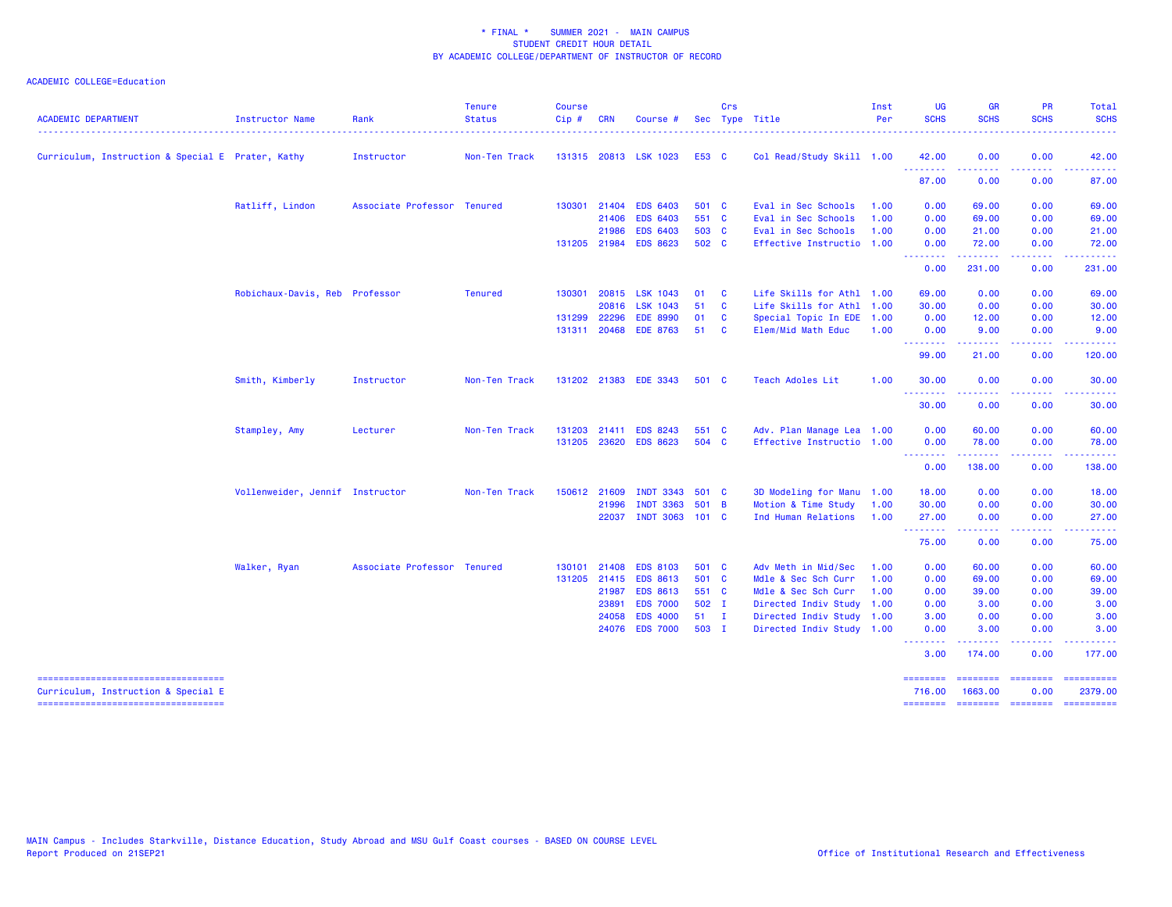| <b>ACADEMIC DEPARTMENT</b>                                                   | <b>Instructor Name</b>          | Rank                        | <b>Tenure</b><br><b>Status</b> | <b>Course</b><br>Cip# | <b>CRN</b>   | Course #              |               | Crs          | Sec Type Title            | Inst<br>Per | UG<br><b>SCHS</b>  | <b>GR</b><br><b>SCHS</b> | <b>PR</b><br><b>SCHS</b>                                                                                                          | Total<br><b>SCHS</b>                                                                          |
|------------------------------------------------------------------------------|---------------------------------|-----------------------------|--------------------------------|-----------------------|--------------|-----------------------|---------------|--------------|---------------------------|-------------|--------------------|--------------------------|-----------------------------------------------------------------------------------------------------------------------------------|-----------------------------------------------------------------------------------------------|
| Curriculum, Instruction & Special E Prater, Kathy                            |                                 | Instructor                  | Non-Ten Track                  |                       |              | 131315 20813 LSK 1023 | E53 C         |              | Col Read/Study Skill 1.00 |             | 42.00              | 0.00                     | 0.00                                                                                                                              | 42.00                                                                                         |
|                                                                              |                                 |                             |                                |                       |              |                       |               |              |                           |             | .<br>87.00         | <u>.</u><br>0.00         | $\frac{1}{2} \left( \frac{1}{2} \right) \left( \frac{1}{2} \right) \left( \frac{1}{2} \right) \left( \frac{1}{2} \right)$<br>0.00 | 87.00                                                                                         |
|                                                                              | Ratliff, Lindon                 | Associate Professor Tenured |                                |                       | 130301 21404 | <b>EDS 6403</b>       | 501 C         |              | Eval in Sec Schools       | 1.00        | 0.00               | 69.00                    | 0.00                                                                                                                              | 69.00                                                                                         |
|                                                                              |                                 |                             |                                |                       | 21406        | <b>EDS 6403</b>       | 551 C         |              | Eval in Sec Schools       | 1.00        | 0.00               | 69.00                    | 0.00                                                                                                                              | 69.00                                                                                         |
|                                                                              |                                 |                             |                                |                       | 21986        | <b>EDS 6403</b>       | 503 C         |              | Eval in Sec Schools       | 1.00        | 0.00               | 21.00                    | 0.00                                                                                                                              | 21.00                                                                                         |
|                                                                              |                                 |                             |                                |                       | 131205 21984 | <b>EDS 8623</b>       | 502 C         |              | Effective Instructio 1.00 |             | 0.00               | 72.00                    | 0.00                                                                                                                              | 72.00                                                                                         |
|                                                                              |                                 |                             |                                |                       |              |                       |               |              |                           |             | <u>.</u><br>0.00   | 222222<br>231.00         | المتحدث<br>0.00                                                                                                                   | 231.00                                                                                        |
|                                                                              | Robichaux-Davis, Reb Professor  |                             | <b>Tenured</b>                 | 130301                | 20815        | <b>LSK 1043</b>       | 01            | $\mathbf{C}$ | Life Skills for Athl 1.00 |             | 69.00              | 0.00                     | 0.00                                                                                                                              | 69.00                                                                                         |
|                                                                              |                                 |                             |                                |                       | 20816        | <b>LSK 1043</b>       | 51            | $\mathbf{C}$ | Life Skills for Athl 1.00 |             | 30.00              | 0.00                     | 0.00                                                                                                                              | 30.00                                                                                         |
|                                                                              |                                 |                             |                                |                       | 131299 22296 | <b>EDE 8990</b>       | 01            | $\mathbf{C}$ | Special Topic In EDE 1.00 |             | 0.00               | 12.00                    | 0.00                                                                                                                              | 12.00                                                                                         |
|                                                                              |                                 |                             |                                |                       | 131311 20468 | <b>EDE 8763</b>       | 51            | <b>C</b>     | <b>Elem/Mid Math Educ</b> | 1.00        | 0.00<br><u>.</u>   | 9.00<br>.                | 0.00<br>.                                                                                                                         | 9.00<br>.                                                                                     |
|                                                                              |                                 |                             |                                |                       |              |                       |               |              |                           |             | 99.00              | 21.00                    | 0.00                                                                                                                              | 120.00                                                                                        |
|                                                                              | Smith, Kimberly                 | Instructor                  | Non-Ten Track                  |                       |              | 131202 21383 EDE 3343 | 501 C         |              | Teach Adoles Lit          | 1.00        | 30.00<br>.         | 0.00<br>.                | 0.00<br>.                                                                                                                         | 30.00<br>.                                                                                    |
|                                                                              |                                 |                             |                                |                       |              |                       |               |              |                           |             | 30.00              | 0.00                     | 0.00                                                                                                                              | 30.00                                                                                         |
|                                                                              | Stampley, Amy                   | Lecturer                    | Non-Ten Track                  | 131203                | 21411        | <b>EDS 8243</b>       | 551 C         |              | Adv. Plan Manage Lea 1.00 |             | 0.00               | 60.00                    | 0.00                                                                                                                              | 60.00                                                                                         |
|                                                                              |                                 |                             |                                |                       | 131205 23620 | <b>EDS 8623</b>       | 504 C         |              | Effective Instructio 1.00 |             | 0.00               | 78.00                    | 0.00<br>د د د د                                                                                                                   | 78.00                                                                                         |
|                                                                              |                                 |                             |                                |                       |              |                       |               |              |                           |             | .<br>0.00          | 138.00                   | 0.00                                                                                                                              | 138.00                                                                                        |
|                                                                              | Vollenweider, Jennif Instructor |                             | Non-Ten Track                  |                       | 150612 21609 | <b>INDT 3343</b>      | 501 C         |              | 3D Modeling for Manu 1.00 |             | 18.00              | 0.00                     | 0.00                                                                                                                              | 18.00                                                                                         |
|                                                                              |                                 |                             |                                |                       | 21996        | <b>INDT 3363</b>      | 501 B         |              | Motion & Time Study       | 1.00        | 30.00              | 0.00                     | 0.00                                                                                                                              | 30.00                                                                                         |
|                                                                              |                                 |                             |                                |                       | 22037        | <b>INDT 3063</b>      | $101 \quad C$ |              | Ind Human Relations       | 1.00        | 27.00<br>.         | 0.00<br>.                | 0.00<br>.                                                                                                                         | 27.00<br>.                                                                                    |
|                                                                              |                                 |                             |                                |                       |              |                       |               |              |                           |             | 75.00              | 0.00                     | 0.00                                                                                                                              | 75.00                                                                                         |
|                                                                              | Walker, Ryan                    | Associate Professor Tenured |                                | 130101                | 21408        | <b>EDS 8103</b>       | 501 C         |              | Adv Meth in Mid/Sec       | 1.00        | 0.00               | 60.00                    | 0.00                                                                                                                              | 60.00                                                                                         |
|                                                                              |                                 |                             |                                |                       | 131205 21415 | <b>EDS 8613</b>       | 501 C         |              | Mdle & Sec Sch Curr       | 1.00        | 0.00               | 69.00                    | 0.00                                                                                                                              | 69.00                                                                                         |
|                                                                              |                                 |                             |                                |                       | 21987        | <b>EDS 8613</b>       | 551 C         |              | Mdle & Sec Sch Curr       | 1.00        | 0.00               | 39.00                    | 0.00                                                                                                                              | 39.00                                                                                         |
|                                                                              |                                 |                             |                                |                       | 23891        | <b>EDS 7000</b>       | 502 I         |              | Directed Indiv Study 1.00 |             | 0.00               | 3.00                     | 0.00                                                                                                                              | 3.00                                                                                          |
|                                                                              |                                 |                             |                                |                       | 24058        | <b>EDS 4000</b>       | $51 \quad I$  |              | Directed Indiv Study 1.00 |             | 3.00               | 0.00                     | 0.00                                                                                                                              | 3.00                                                                                          |
|                                                                              |                                 |                             |                                |                       | 24076        | <b>EDS 7000</b>       | 503 I         |              | Directed Indiv Study 1.00 |             | 0.00<br>.          | 3.00                     | 0.00                                                                                                                              | 3.00                                                                                          |
|                                                                              |                                 |                             |                                |                       |              |                       |               |              |                           |             | 3.00               | 174.00                   | 0.00                                                                                                                              | 177.00                                                                                        |
| =====================================<br>Curriculum, Instruction & Special E |                                 |                             |                                |                       |              |                       |               |              |                           |             | ========<br>716.00 | ========<br>1663.00      | <b>SEESEESE</b><br>0.00                                                                                                           | 2379.00                                                                                       |
| ----------------------------------                                           |                                 |                             |                                |                       |              |                       |               |              |                           |             | --------           | ======== =======         |                                                                                                                                   | $\begin{array}{c} \texttt{m} = \texttt{m} = \texttt{m} = \texttt{m} = \texttt{m} \end{array}$ |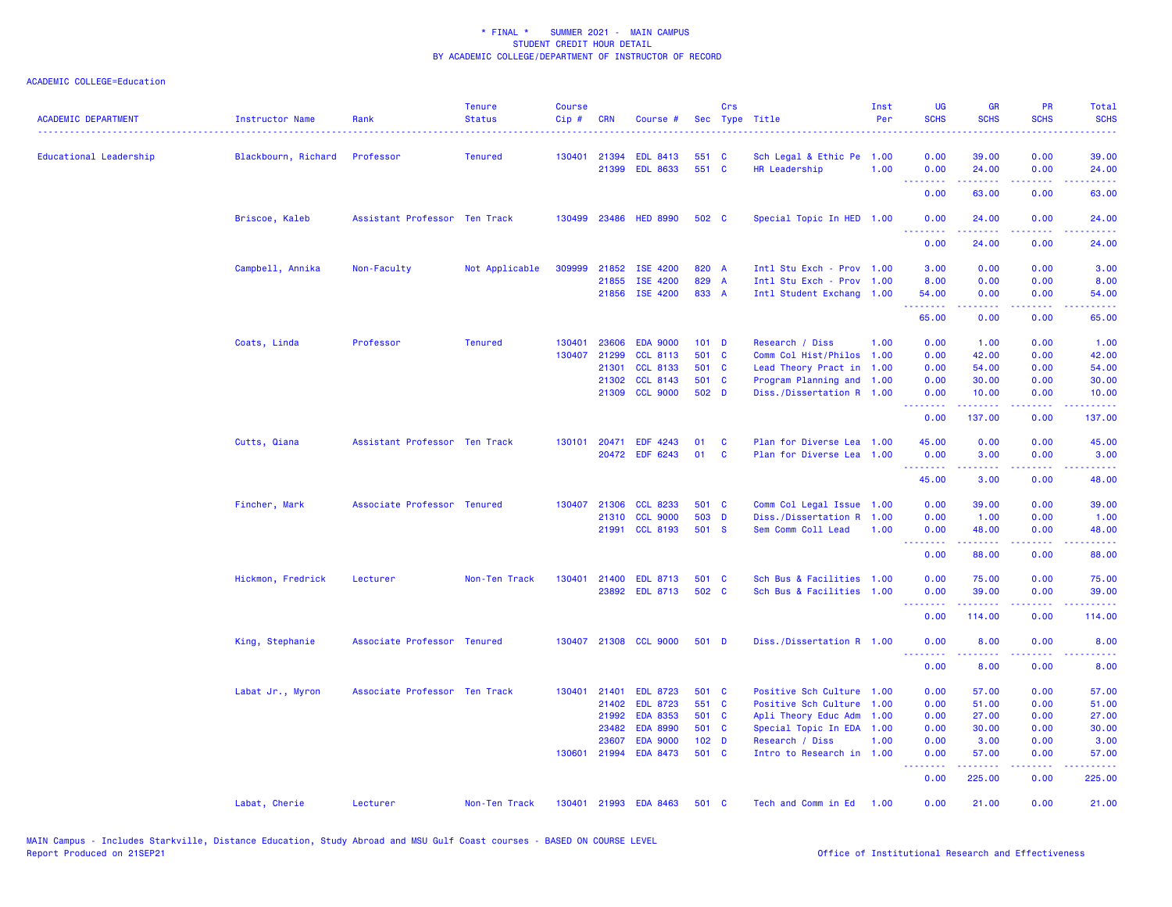| <b>ACADEMIC DEPARTMENT</b> | <b>Instructor Name</b> | Rank                          | <b>Tenure</b><br><b>Status</b> | <b>Course</b><br>Cip# | <b>CRN</b>            | Course #                           |                  | Crs | Sec Type Title                                         | Inst<br>Per  | <b>UG</b><br><b>SCHS</b> | <b>GR</b><br><b>SCHS</b>                                                                                                                                       | PR<br><b>SCHS</b>              | Total<br><b>SCHS</b> |
|----------------------------|------------------------|-------------------------------|--------------------------------|-----------------------|-----------------------|------------------------------------|------------------|-----|--------------------------------------------------------|--------------|--------------------------|----------------------------------------------------------------------------------------------------------------------------------------------------------------|--------------------------------|----------------------|
| Educational Leadership     | Blackbourn, Richard    | Professor                     | <b>Tenured</b>                 |                       | 130401 21394<br>21399 | <b>EDL 8413</b><br><b>EDL 8633</b> | 551 C<br>551 C   |     | Sch Legal & Ethic Pe<br>HR Leadership                  | 1.00<br>1.00 | 0.00<br>0.00             | 39.00<br>24.00                                                                                                                                                 | 0.00<br>0.00                   | 39.00<br>24.00       |
|                            |                        |                               |                                |                       |                       |                                    |                  |     |                                                        |              | .<br>0.00                | 63.00                                                                                                                                                          | $\sim$ $\sim$ $\sim$ .<br>0.00 | 63.00                |
|                            | Briscoe, Kaleb         | Assistant Professor Ten Track |                                |                       |                       | 130499 23486 HED 8990              | 502 C            |     | Special Topic In HED 1.00                              |              | 0.00                     | 24.00                                                                                                                                                          | 0.00                           | 24.00                |
|                            |                        |                               |                                |                       |                       |                                    |                  |     |                                                        |              | .<br>0.00                | $\frac{1}{2} \left( \frac{1}{2} \right) \left( \frac{1}{2} \right) \left( \frac{1}{2} \right) \left( \frac{1}{2} \right) \left( \frac{1}{2} \right)$<br>24.00  | بالأباب<br>0.00                | المتمامين<br>24.00   |
|                            | Campbell, Annika       | Non-Faculty                   | Not Applicable                 | 309999                | 21852                 | ISE 4200                           | 820 A            |     | Intl Stu Exch - Prov 1.00                              |              | 3.00                     | 0.00                                                                                                                                                           | 0.00                           | 3.00                 |
|                            |                        |                               |                                |                       | 21855                 | ISE 4200<br>21856 ISE 4200         | 829 A<br>833 A   |     | Intl Stu Exch - Prov 1.00<br>Intl Student Exchang 1.00 |              | 8.00<br>54.00            | 0.00<br>0.00                                                                                                                                                   | 0.00<br>0.00                   | 8.00<br>54.00        |
|                            |                        |                               |                                |                       |                       |                                    |                  |     |                                                        |              | <b></b><br>65.00         | -----<br>0.00                                                                                                                                                  | .<br>0.00                      | .<br>65.00           |
|                            | Coats, Linda           | Professor                     | <b>Tenured</b>                 | 130401                | 23606                 | <b>EDA 9000</b>                    | $101$ D          |     | Research / Diss                                        | 1.00         | 0.00                     | 1.00                                                                                                                                                           | 0.00                           | 1.00                 |
|                            |                        |                               |                                | 130407                | 21299                 | <b>CCL 8113</b>                    | 501 C            |     | Comm Col Hist/Philos                                   | 1.00         | 0.00                     | 42.00                                                                                                                                                          | 0.00                           | 42.00                |
|                            |                        |                               |                                |                       | 21301                 | <b>CCL 8133</b>                    | 501 C            |     | Lead Theory Pract in 1.00                              |              | 0.00                     | 54.00                                                                                                                                                          | 0.00                           | 54.00                |
|                            |                        |                               |                                |                       | 21302                 | <b>CCL 8143</b>                    | 501 C            |     | Program Planning and 1.00                              |              | 0.00                     | 30.00                                                                                                                                                          | 0.00                           | 30.00                |
|                            |                        |                               |                                |                       |                       | 21309 CCL 9000                     | 502 D            |     | Diss./Dissertation R 1.00                              |              | 0.00<br>.                | 10.00<br>$\frac{1}{2} \left( \frac{1}{2} \right) \left( \frac{1}{2} \right) \left( \frac{1}{2} \right) \left( \frac{1}{2} \right)$                             | 0.00<br>د د د د                | 10.00<br>.           |
|                            |                        |                               |                                |                       |                       |                                    |                  |     |                                                        |              | 0.00                     | 137.00                                                                                                                                                         | 0.00                           | 137.00               |
|                            | Cutts, Qiana           | Assistant Professor Ten Track |                                | 130101                | 20471                 | <b>EDF 4243</b>                    | 01               | C   | Plan for Diverse Lea 1.00                              |              | 45.00                    | 0.00                                                                                                                                                           | 0.00                           | 45.00                |
|                            |                        |                               |                                |                       |                       | 20472 EDF 6243                     | 01               | C   | Plan for Diverse Lea 1.00                              |              | 0.00<br>--------         | 3.00<br>-----                                                                                                                                                  | 0.00<br>.                      | 3.00<br>.            |
|                            |                        |                               |                                |                       |                       |                                    |                  |     |                                                        |              | 45.00                    | 3.00                                                                                                                                                           | 0.00                           | 48.00                |
|                            | Fincher, Mark          | Associate Professor Tenured   |                                | 130407                | 21306                 | <b>CCL 8233</b>                    | 501 C            |     | Comm Col Legal Issue 1.00                              |              | 0.00                     | 39.00                                                                                                                                                          | 0.00                           | 39.00                |
|                            |                        |                               |                                |                       | 21310                 | <b>CCL 9000</b>                    | 503 D            |     | Diss./Dissertation R                                   | 1.00         | 0.00                     | 1.00                                                                                                                                                           | 0.00                           | 1.00                 |
|                            |                        |                               |                                |                       |                       | 21991 CCL 8193                     | 501 S            |     | Sem Comm Coll Lead                                     | 1.00         | 0.00<br><u>.</u>         | 48.00<br>$\frac{1}{2} \left( \frac{1}{2} \right) \left( \frac{1}{2} \right) \left( \frac{1}{2} \right) \left( \frac{1}{2} \right) \left( \frac{1}{2} \right)$  | 0.00<br>د د د د                | 48.00<br>وعاعاتها    |
|                            |                        |                               |                                |                       |                       |                                    |                  |     |                                                        |              | 0.00                     | 88.00                                                                                                                                                          | 0.00                           | 88.00                |
|                            | Hickmon, Fredrick      | Lecturer                      | Non-Ten Track                  | 130401                | 21400                 | <b>EDL 8713</b>                    | 501 C            |     | Sch Bus & Facilities 1.00                              |              | 0.00                     | 75.00                                                                                                                                                          | 0.00                           | 75.00                |
|                            |                        |                               |                                |                       |                       | 23892 EDL 8713                     | 502 C            |     | Sch Bus & Facilities 1.00                              |              | 0.00<br><b></b>          | 39.00                                                                                                                                                          | 0.00<br>والمحامر               | 39.00<br>د د د د     |
|                            |                        |                               |                                |                       |                       |                                    |                  |     |                                                        |              | 0.00                     | 114.00                                                                                                                                                         | 0.00                           | 114.00               |
|                            | King, Stephanie        | Associate Professor Tenured   |                                |                       |                       | 130407 21308 CCL 9000              | 501 D            |     | Diss./Dissertation R 1.00                              |              | 0.00<br><u>.</u>         | 8.00                                                                                                                                                           | 0.00                           | 8.00                 |
|                            |                        |                               |                                |                       |                       |                                    |                  |     |                                                        |              | 0.00                     | 8.00                                                                                                                                                           | 0.00                           | 8.00                 |
|                            | Labat Jr., Myron       | Associate Professor Ten Track |                                | 130401                | 21401                 | <b>EDL 8723</b>                    | 501 C            |     | Positive Sch Culture 1.00                              |              | 0.00                     | 57.00                                                                                                                                                          | 0.00                           | 57.00                |
|                            |                        |                               |                                |                       | 21402                 | <b>EDL 8723</b>                    | 551 C            |     | Positive Sch Culture                                   | 1.00         | 0.00                     | 51.00                                                                                                                                                          | 0.00                           | 51.00                |
|                            |                        |                               |                                |                       | 21992                 | <b>EDA 8353</b>                    | 501 C            |     | Apli Theory Educ Adm                                   | 1.00         | 0.00                     | 27.00                                                                                                                                                          | 0.00                           | 27.00                |
|                            |                        |                               |                                |                       | 23482                 | <b>EDA 8990</b>                    | 501 C            |     | Special Topic In EDA 1.00                              |              | 0.00                     | 30.00                                                                                                                                                          | 0.00                           | 30.00                |
|                            |                        |                               |                                |                       | 23607                 | <b>EDA 9000</b>                    | 102 <sub>D</sub> |     | Research / Diss                                        | 1.00         | 0.00                     | 3.00                                                                                                                                                           | 0.00                           | 3.00                 |
|                            |                        |                               |                                | 130601                | 21994                 | <b>EDA 8473</b>                    | 501 C            |     | Intro to Research in 1.00                              |              | 0.00                     | 57.00                                                                                                                                                          | 0.00                           | 57.00                |
|                            |                        |                               |                                |                       |                       |                                    |                  |     |                                                        |              | .<br>0.00                | $\frac{1}{2} \left( \frac{1}{2} \right) \left( \frac{1}{2} \right) \left( \frac{1}{2} \right) \left( \frac{1}{2} \right) \left( \frac{1}{2} \right)$<br>225.00 | .<br>0.00                      | .<br>225.00          |
|                            | Labat, Cherie          | Lecturer                      | Non-Ten Track                  |                       |                       | 130401 21993 EDA 8463              | 501 C            |     | Tech and Comm in Ed                                    | 1.00         | 0.00                     | 21.00                                                                                                                                                          | 0.00                           | 21.00                |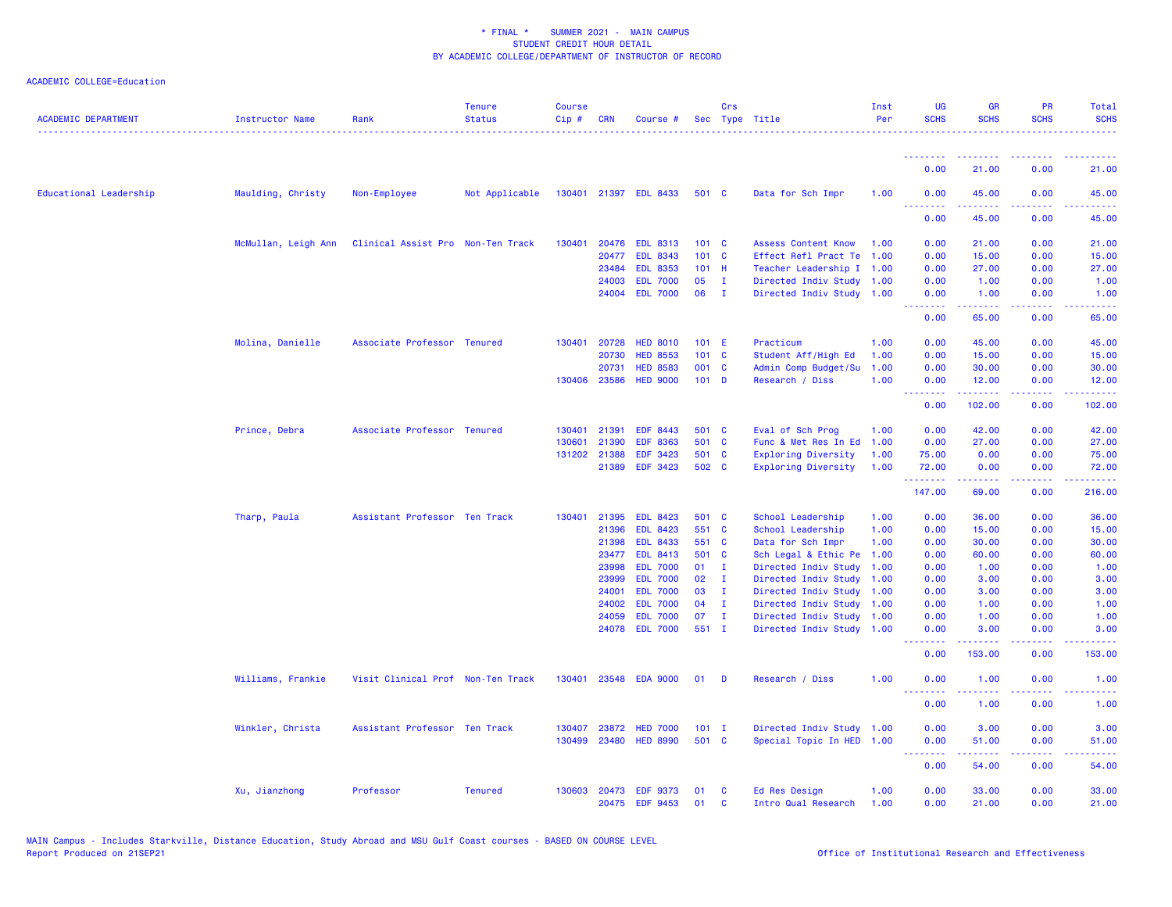| <b>ACADEMIC DEPARTMENT</b> | Instructor Name     | Rank                              | <b>Tenure</b><br><b>Status</b> | <b>Course</b><br>$Cip \#$ | CRN          | Course #              |         | Crs          | Sec Type Title             | Inst<br>Per | <b>UG</b><br><b>SCHS</b> | <b>GR</b><br><b>SCHS</b>                                                                                                          | <b>PR</b><br><b>SCHS</b>            | Total<br><b>SCHS</b>                   |
|----------------------------|---------------------|-----------------------------------|--------------------------------|---------------------------|--------------|-----------------------|---------|--------------|----------------------------|-------------|--------------------------|-----------------------------------------------------------------------------------------------------------------------------------|-------------------------------------|----------------------------------------|
|                            |                     |                                   |                                |                           |              |                       |         |              |                            |             | <u>.</u>                 |                                                                                                                                   |                                     |                                        |
|                            |                     |                                   |                                |                           |              |                       |         |              |                            |             | 0.00                     | 21.00                                                                                                                             | 0.00                                | 21.00                                  |
| Educational Leadership     | Maulding, Christy   | Non-Employee                      | Not Applicable                 |                           |              | 130401 21397 EDL 8433 | 501 C   |              | Data for Sch Impr          | 1.00        | 0.00<br><u>.</u>         | 45.00<br>.                                                                                                                        | 0.00<br>.                           | 45.00<br>.                             |
|                            |                     |                                   |                                |                           |              |                       |         |              |                            |             | 0.00                     | 45.00                                                                                                                             | 0.00                                | 45.00                                  |
|                            | McMullan, Leigh Ann | Clinical Assist Pro Non-Ten Track |                                | 130401                    |              | 20476 EDL 8313        | 101 C   |              | <b>Assess Content Know</b> | 1.00        | 0.00                     | 21.00                                                                                                                             | 0.00                                | 21.00                                  |
|                            |                     |                                   |                                |                           | 20477        | <b>EDL 8343</b>       | 101 C   |              | Effect Refl Pract Te       | 1.00        | 0.00                     | 15.00                                                                                                                             | 0.00                                | 15.00                                  |
|                            |                     |                                   |                                |                           | 23484        | <b>EDL 8353</b>       | $101$ H |              | Teacher Leadership I 1.00  |             | 0.00                     | 27.00                                                                                                                             | 0.00                                | 27.00                                  |
|                            |                     |                                   |                                |                           | 24003        | <b>EDL 7000</b>       | 05      | Ι.           | Directed Indiv Study 1.00  |             | 0.00                     | 1.00                                                                                                                              | 0.00                                | 1.00                                   |
|                            |                     |                                   |                                |                           | 24004        | <b>EDL 7000</b>       | 06      | $\mathbf{I}$ | Directed Indiv Study 1.00  |             | 0.00<br><b>.</b> .       | 1.00<br>المتمامين                                                                                                                 | 0.00<br>.                           | 1.00<br>.                              |
|                            |                     |                                   |                                |                           |              |                       |         |              |                            |             | 0.00                     | 65.00                                                                                                                             | 0.00                                | 65.00                                  |
|                            | Molina, Danielle    | Associate Professor Tenured       |                                | 130401                    | 20728        | <b>HED 8010</b>       | 101 E   |              | Practicum                  | 1.00        | 0.00                     | 45.00                                                                                                                             | 0.00                                | 45.00                                  |
|                            |                     |                                   |                                |                           | 20730        | <b>HED 8553</b>       | 101 C   |              | Student Aff/High Ed        | 1.00        | 0.00                     | 15.00                                                                                                                             | 0.00                                | 15.00                                  |
|                            |                     |                                   |                                |                           | 20731        | <b>HED 8583</b>       | 001 C   |              | Admin Comp Budget/Su       | 1.00        | 0.00                     | 30.00                                                                                                                             | 0.00                                | 30.00                                  |
|                            |                     |                                   |                                |                           | 130406 23586 | <b>HED 9000</b>       | $101$ D |              | Research / Diss            | 1.00        | 0.00<br>.                | 12.00<br><u>.</u>                                                                                                                 | 0.00<br>$\sim$ $\sim$ $\sim$ $\sim$ | 12.00<br>.                             |
|                            |                     |                                   |                                |                           |              |                       |         |              |                            |             | 0.00                     | 102.00                                                                                                                            | 0.00                                | 102.00                                 |
|                            | Prince, Debra       | Associate Professor Tenured       |                                | 130401                    | 21391        | EDF 8443              | 501 C   |              | Eval of Sch Prog           | 1.00        | 0.00                     | 42.00                                                                                                                             | 0.00                                | 42.00                                  |
|                            |                     |                                   |                                | 130601                    | 21390        | <b>EDF 8363</b>       | 501 C   |              | Func & Met Res In Ed       | 1.00        | 0.00                     | 27.00                                                                                                                             | 0.00                                | 27.00                                  |
|                            |                     |                                   |                                | 131202                    | 21388        | <b>EDF 3423</b>       | 501 C   |              | <b>Exploring Diversity</b> | 1.00        | 75.00                    | 0.00                                                                                                                              | 0.00                                | 75.00                                  |
|                            |                     |                                   |                                |                           | 21389        | EDF 3423              | 502 C   |              | <b>Exploring Diversity</b> | 1.00        | 72.00<br>.               | 0.00<br>.                                                                                                                         | 0.00<br>.                           | 72.00<br><b><i><u><u>.</u></u></i></b> |
|                            |                     |                                   |                                |                           |              |                       |         |              |                            |             | 147.00                   | 69.00                                                                                                                             | 0.00                                | 216.00                                 |
|                            | Tharp, Paula        | Assistant Professor Ten Track     |                                | 130401                    | 21395        | <b>EDL 8423</b>       | 501     | <b>C</b>     | School Leadership          | 1.00        | 0.00                     | 36.00                                                                                                                             | 0.00                                | 36.00                                  |
|                            |                     |                                   |                                |                           | 21396        | <b>EDL 8423</b>       | 551 C   |              | School Leadership          | 1.00        | 0.00                     | 15.00                                                                                                                             | 0.00                                | 15.00                                  |
|                            |                     |                                   |                                |                           | 21398        | <b>EDL 8433</b>       | 551 C   |              | Data for Sch Impr          | 1.00        | 0.00                     | 30.00                                                                                                                             | 0.00                                | 30.00                                  |
|                            |                     |                                   |                                |                           | 23477        | <b>EDL 8413</b>       | 501 C   |              | Sch Legal & Ethic Pe       | 1.00        | 0.00                     | 60.00                                                                                                                             | 0.00                                | 60.00                                  |
|                            |                     |                                   |                                |                           | 23998        | <b>EDL 7000</b>       | 01      | п.           | Directed Indiv Study       | 1.00        | 0.00                     | 1.00                                                                                                                              | 0.00                                | 1.00                                   |
|                            |                     |                                   |                                |                           | 23999        | <b>EDL 7000</b>       | 02      | - I          | Directed Indiv Study       | 1.00        | 0.00                     | 3.00                                                                                                                              | 0.00                                | 3.00                                   |
|                            |                     |                                   |                                |                           | 24001        | <b>EDL 7000</b>       | 03      | п.           | Directed Indiv Study       | 1.00        | 0.00                     | 3.00                                                                                                                              | 0.00                                | 3.00                                   |
|                            |                     |                                   |                                |                           | 24002        | <b>EDL 7000</b>       | 04      | Ι.           | Directed Indiv Study 1.00  |             | 0.00                     | 1.00                                                                                                                              | 0.00                                | 1.00                                   |
|                            |                     |                                   |                                |                           | 24059        | <b>EDL 7000</b>       | 07      | $\mathbf{I}$ | Directed Indiv Study       | 1.00        | 0.00                     | 1.00                                                                                                                              | 0.00                                | 1.00                                   |
|                            |                     |                                   |                                |                           | 24078        | <b>EDL 7000</b>       | 551 I   |              | Directed Indiv Study       | 1.00        | 0.00                     | 3.00                                                                                                                              | 0.00                                | 3.00                                   |
|                            |                     |                                   |                                |                           |              |                       |         |              |                            |             | 0.00                     | 153.00                                                                                                                            | 0.00                                | 153.00                                 |
|                            | Williams, Frankie   | Visit Clinical Prof Non-Ten Track |                                | 130401                    | 23548        | <b>EDA 9000</b>       | 01      | - D          | Research / Diss            | 1.00        | 0.00<br>.                | 1.00<br>$\frac{1}{2} \left( \frac{1}{2} \right) \left( \frac{1}{2} \right) \left( \frac{1}{2} \right) \left( \frac{1}{2} \right)$ | 0.00                                | 1.00<br>$\omega$ is a $\omega$ .       |
|                            |                     |                                   |                                |                           |              |                       |         |              |                            |             | 0.00                     | 1.00                                                                                                                              | 0.00                                | 1.00                                   |
|                            | Winkler, Christa    | Assistant Professor Ten Track     |                                | 130407                    | 23872        | <b>HED 7000</b>       | 101     | - I          | Directed Indiv Study 1.00  |             | 0.00                     | 3.00                                                                                                                              | 0.00                                | 3.00                                   |
|                            |                     |                                   |                                | 130499                    | 23480        | <b>HED 8990</b>       | 501 C   |              | Special Topic In HED 1.00  |             | 0.00<br><u>.</u>         | 51.00<br>المتمامين                                                                                                                | 0.00<br>د د د د                     | 51.00<br>المتمامين                     |
|                            |                     |                                   |                                |                           |              |                       |         |              |                            |             | 0.00                     | 54.00                                                                                                                             | 0.00                                | 54.00                                  |
|                            | Xu, Jianzhong       | Professor                         | <b>Tenured</b>                 | 130603                    | 20473        | <b>EDF 9373</b>       | 01      | C            | Ed Res Design              | 1.00        | 0.00                     | 33.00                                                                                                                             | 0.00                                | 33.00                                  |
|                            |                     |                                   |                                |                           | 20475        | <b>EDF 9453</b>       | 01      | <b>C</b>     | Intro Qual Research        | 1.00        | 0.00                     | 21.00                                                                                                                             | 0.00                                | 21.00                                  |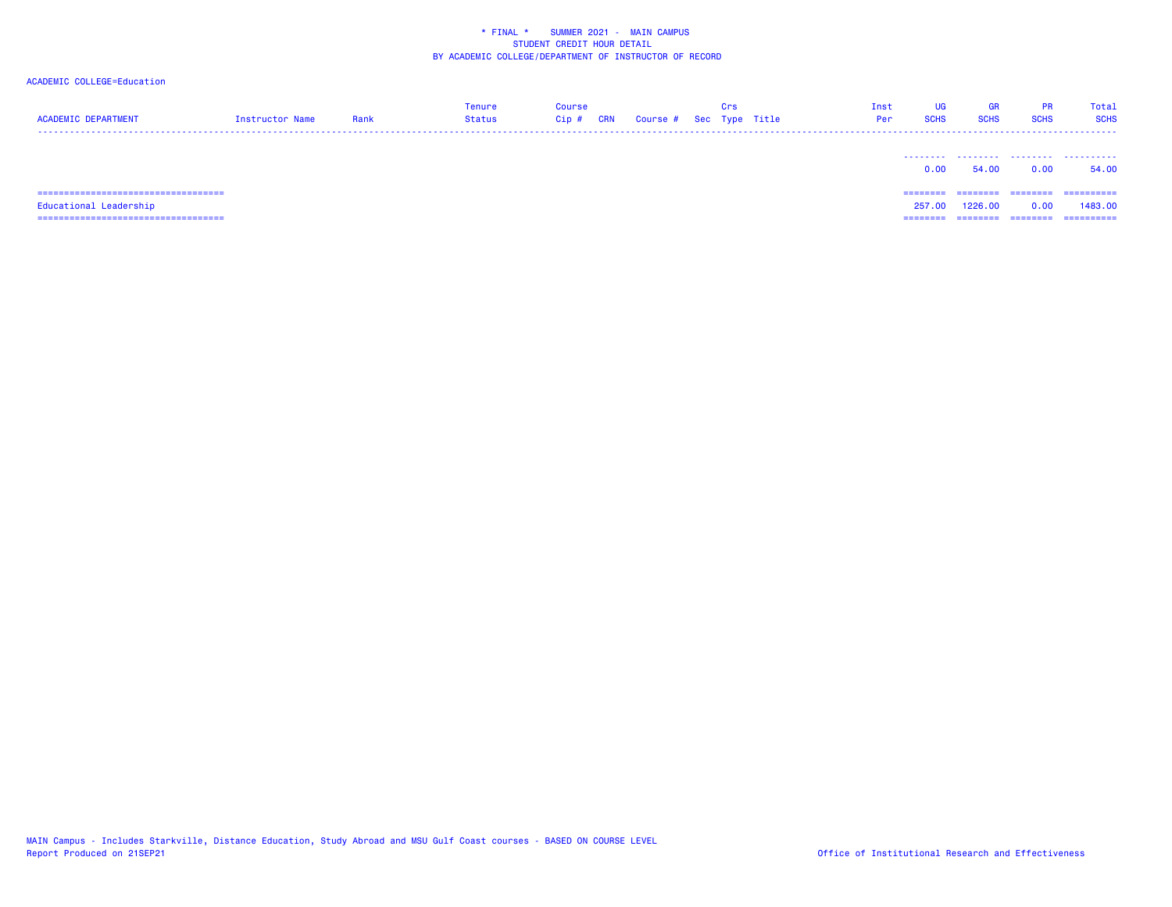### ACADEMIC COLLEGE=Education

| <b>ACADEMIC DEPARTMENT</b> | Instructor Name | Rank | <b>Tenure</b><br><b>Status</b> | <b>Course</b><br>$Cip$ #<br>CRN | Course # Sec Type Title | Crs | Inst<br>Per | <b>UG</b><br><b>SCHS</b> | GR<br><b>SCHS</b> | <b>PR</b><br><b>SCHS</b> | Total<br><b>SCHS</b> |
|----------------------------|-----------------|------|--------------------------------|---------------------------------|-------------------------|-----|-------------|--------------------------|-------------------|--------------------------|----------------------|
|                            |                 |      |                                |                                 |                         |     |             | 0.00                     | 54.00             | 0.00                     | .<br>54.00           |
|                            |                 |      |                                |                                 |                         |     |             | =======                  | ========          | --------                 | ==========           |
| Educational Leadership     |                 |      |                                |                                 |                         |     |             | 257,00                   | 1226,00           | 0.00                     | 1483.00              |
|                            |                 |      |                                |                                 |                         |     |             | ========                 | ========          | ========                 | ==========           |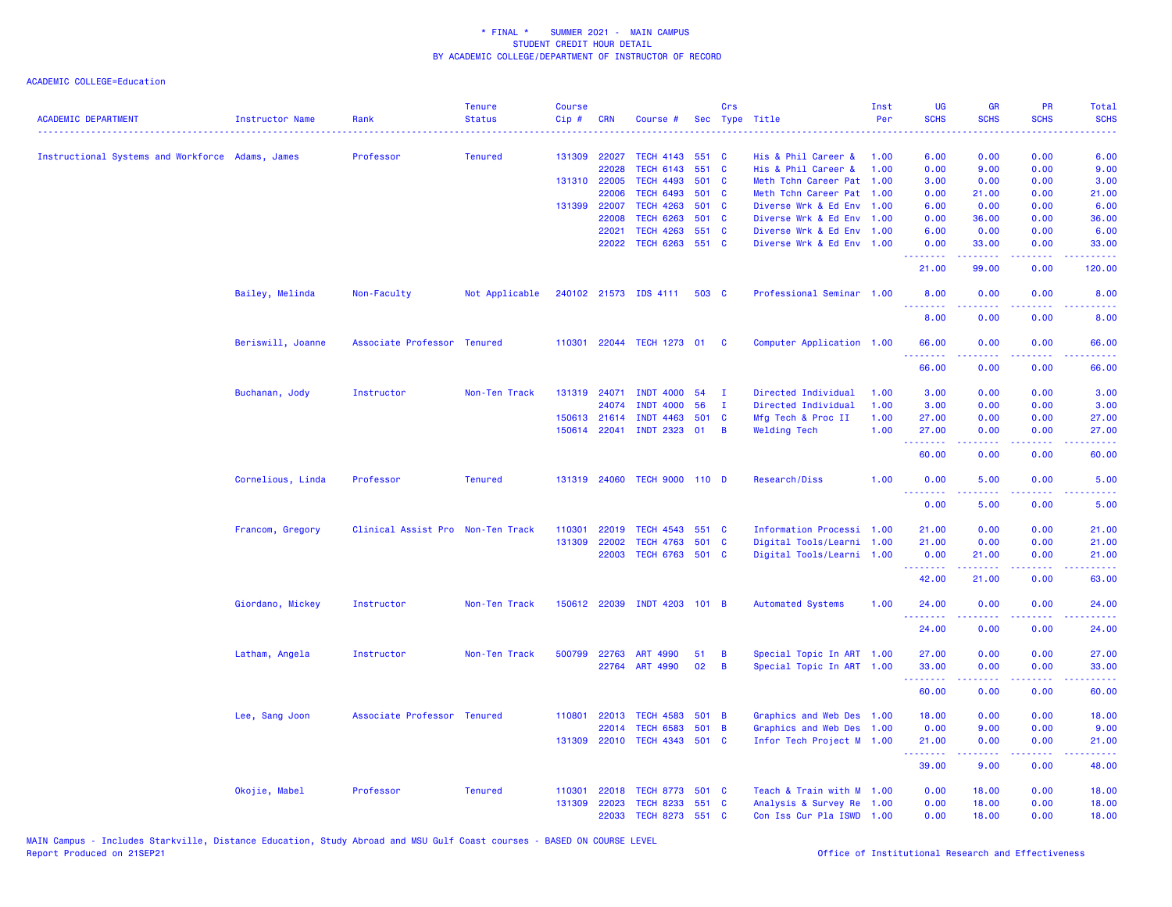| <b>ACADEMIC DEPARTMENT</b>                       | Instructor Name   | Rank                              | <b>Tenure</b><br><b>Status</b> | <b>Course</b><br>Cip# | <b>CRN</b>   | Course #                     |       | Crs            | Sec Type Title                                         | Inst<br>Per  | <b>UG</b><br><b>SCHS</b>                                                                                                          | <b>GR</b><br><b>SCHS</b>                                                                                                                                     | <b>PR</b><br><b>SCHS</b> | <b>Total</b><br><b>SCHS</b>                                                                            |
|--------------------------------------------------|-------------------|-----------------------------------|--------------------------------|-----------------------|--------------|------------------------------|-------|----------------|--------------------------------------------------------|--------------|-----------------------------------------------------------------------------------------------------------------------------------|--------------------------------------------------------------------------------------------------------------------------------------------------------------|--------------------------|--------------------------------------------------------------------------------------------------------|
| Instructional Systems and Workforce Adams, James |                   | Professor                         |                                |                       | 131309 22027 | <b>TECH 4143</b>             | 551 C |                | His & Phil Career &                                    | 1.00         | $\frac{1}{2} \left( \frac{1}{2} \right) \left( \frac{1}{2} \right) \left( \frac{1}{2} \right) \left( \frac{1}{2} \right)$<br>6.00 | 0.00                                                                                                                                                         | 0.00                     | .<br>6.00                                                                                              |
|                                                  |                   |                                   | <b>Tenured</b>                 |                       | 22028        | <b>TECH 6143</b>             | 551   | $\mathbf{C}$   |                                                        |              |                                                                                                                                   |                                                                                                                                                              | 0.00                     |                                                                                                        |
|                                                  |                   |                                   |                                |                       | 131310 22005 | <b>TECH 4493</b>             | 501 C |                | His & Phil Career &<br>Meth Tchn Career Pat            | 1.00<br>1.00 | 0.00<br>3.00                                                                                                                      | 9.00<br>0.00                                                                                                                                                 | 0.00                     | 9.00<br>3.00                                                                                           |
|                                                  |                   |                                   |                                |                       | 22006        | <b>TECH 6493</b>             | 501 C |                | Meth Tchn Career Pat                                   | 1.00         | 0.00                                                                                                                              | 21.00                                                                                                                                                        | 0.00                     | 21.00                                                                                                  |
|                                                  |                   |                                   |                                | 131399 22007          |              | <b>TECH 4263</b>             | 501 C |                | Diverse Wrk & Ed Env 1.00                              |              | 6.00                                                                                                                              | 0.00                                                                                                                                                         | 0.00                     | 6.00                                                                                                   |
|                                                  |                   |                                   |                                |                       | 22008        | <b>TECH 6263</b>             | 501 C |                | Diverse Wrk & Ed Env 1.00                              |              | 0.00                                                                                                                              | 36.00                                                                                                                                                        | 0.00                     | 36.00                                                                                                  |
|                                                  |                   |                                   |                                |                       | 22021        | <b>TECH 4263</b>             | 551 C |                |                                                        |              | 6.00                                                                                                                              | 0.00                                                                                                                                                         | 0.00                     | 6.00                                                                                                   |
|                                                  |                   |                                   |                                |                       | 22022        | <b>TECH 6263</b>             | 551 C |                | Diverse Wrk & Ed Env 1.00<br>Diverse Wrk & Ed Env 1.00 |              | 0.00                                                                                                                              | 33.00                                                                                                                                                        | 0.00                     | 33.00                                                                                                  |
|                                                  |                   |                                   |                                |                       |              |                              |       |                |                                                        |              | .<br>21.00                                                                                                                        | $\frac{1}{2} \left( \frac{1}{2} \right) \left( \frac{1}{2} \right) \left( \frac{1}{2} \right) \left( \frac{1}{2} \right)$<br>99.00                           | $  -$<br>0.00            | 120.00                                                                                                 |
|                                                  | Bailey, Melinda   | Non-Faculty                       | Not Applicable                 |                       |              | 240102 21573 IDS 4111        | 503 C |                | Professional Seminar 1.00                              |              | 8.00                                                                                                                              | 0.00                                                                                                                                                         | 0.00                     | 8.00                                                                                                   |
|                                                  |                   |                                   |                                |                       |              |                              |       |                |                                                        |              | 8.00                                                                                                                              | 0.00                                                                                                                                                         | 0.00                     | 8.00                                                                                                   |
|                                                  | Beriswill, Joanne | Associate Professor Tenured       |                                |                       |              | 110301 22044 TECH 1273 01    |       | $\mathbf{C}$   | Computer Application 1.00                              |              | 66.00                                                                                                                             | 0.00                                                                                                                                                         | 0.00                     | 66.00                                                                                                  |
|                                                  |                   |                                   |                                |                       |              |                              |       |                |                                                        |              | .<br>66.00                                                                                                                        | 0.00                                                                                                                                                         | 0.00                     | 66.00                                                                                                  |
|                                                  | Buchanan, Jody    | Instructor                        | Non-Ten Track                  |                       | 131319 24071 | <b>INDT 4000</b>             | 54    | $\mathbf I$    | Directed Individual                                    | 1.00         | 3.00                                                                                                                              | 0.00                                                                                                                                                         | 0.00                     | 3.00                                                                                                   |
|                                                  |                   |                                   |                                |                       | 24074        | <b>INDT 4000</b>             | 56    | $\mathbf{I}$   | Directed Individual                                    | 1.00         | 3.00                                                                                                                              | 0.00                                                                                                                                                         | 0.00                     | 3.00                                                                                                   |
|                                                  |                   |                                   |                                |                       | 150613 21614 | <b>INDT 4463</b>             | 501 C |                | Mfg Tech & Proc II                                     | 1.00         | 27.00                                                                                                                             | 0.00                                                                                                                                                         | 0.00                     | 27.00                                                                                                  |
|                                                  |                   |                                   |                                |                       |              | 150614 22041 INDT 2323 01    |       | $\overline{B}$ | <b>Welding Tech</b>                                    | 1.00         | 27.00                                                                                                                             | 0.00                                                                                                                                                         | 0.00                     | 27.00                                                                                                  |
|                                                  |                   |                                   |                                |                       |              |                              |       |                |                                                        |              | .<br>60.00                                                                                                                        | 0.00                                                                                                                                                         | 0.00                     | 60.00                                                                                                  |
|                                                  | Cornelious, Linda | Professor                         | <b>Tenured</b>                 |                       |              | 131319 24060 TECH 9000 110 D |       |                | Research/Diss                                          | 1.00         | 0.00<br>.                                                                                                                         | 5.00<br>.                                                                                                                                                    | 0.00<br>.                | 5.00<br>$\frac{1}{2} \left( \frac{1}{2} \right) \left( \frac{1}{2} \right) \left( \frac{1}{2} \right)$ |
|                                                  |                   |                                   |                                |                       |              |                              |       |                |                                                        |              | 0.00                                                                                                                              | 5.00                                                                                                                                                         | 0.00                     | 5.00                                                                                                   |
|                                                  | Francom, Gregory  | Clinical Assist Pro Non-Ten Track |                                | 110301                | 22019        | <b>TECH 4543</b>             | 551 C |                | Information Processi 1.00                              |              | 21.00                                                                                                                             | 0.00                                                                                                                                                         | 0.00                     | 21.00                                                                                                  |
|                                                  |                   |                                   |                                | 131309                | 22002        | <b>TECH 4763</b>             | 501 C |                | Digital Tools/Learni 1.00                              |              | 21.00                                                                                                                             | 0.00                                                                                                                                                         | 0.00                     | 21.00                                                                                                  |
|                                                  |                   |                                   |                                |                       | 22003        | TECH 6763 501 C              |       |                | Digital Tools/Learni 1.00                              |              | 0.00<br>.                                                                                                                         | 21.00                                                                                                                                                        | 0.00<br>.                | 21.00                                                                                                  |
|                                                  |                   |                                   |                                |                       |              |                              |       |                |                                                        |              | 42.00                                                                                                                             | المتمامين<br>21.00                                                                                                                                           | 0.00                     | .<br>63.00                                                                                             |
|                                                  | Giordano, Mickey  | Instructor                        | Non-Ten Track                  |                       |              | 150612 22039 INDT 4203 101 B |       |                | <b>Automated Systems</b>                               | 1.00         | 24.00                                                                                                                             | 0.00                                                                                                                                                         | 0.00                     | 24.00                                                                                                  |
|                                                  |                   |                                   |                                |                       |              |                              |       |                |                                                        |              | 24.00                                                                                                                             | 0.00                                                                                                                                                         | 0.00                     | 24.00                                                                                                  |
|                                                  | Latham, Angela    | Instructor                        | Non-Ten Track                  |                       | 500799 22763 | ART 4990                     | 51    | B              | Special Topic In ART 1.00                              |              | 27.00                                                                                                                             | 0.00                                                                                                                                                         | 0.00                     | 27.00                                                                                                  |
|                                                  |                   |                                   |                                |                       | 22764        | ART 4990                     | 02    | B              | Special Topic In ART 1.00                              |              | 33.00                                                                                                                             | 0.00                                                                                                                                                         | 0.00                     | 33.00                                                                                                  |
|                                                  |                   |                                   |                                |                       |              |                              |       |                |                                                        |              | .<br>60.00                                                                                                                        | $\frac{1}{2} \left( \frac{1}{2} \right) \left( \frac{1}{2} \right) \left( \frac{1}{2} \right) \left( \frac{1}{2} \right) \left( \frac{1}{2} \right)$<br>0.00 | .<br>0.00                | .<br>60.00                                                                                             |
|                                                  | Lee, Sang Joon    | Associate Professor Tenured       |                                | 110801                | 22013        | <b>TECH 4583</b>             | 501 B |                | Graphics and Web Des 1.00                              |              | 18.00                                                                                                                             | 0.00                                                                                                                                                         | 0.00                     | 18.00                                                                                                  |
|                                                  |                   |                                   |                                |                       | 22014        | <b>TECH 6583</b>             | 501 B |                | Graphics and Web Des 1.00                              |              | 0.00                                                                                                                              | 9.00                                                                                                                                                         | 0.00                     | 9.00                                                                                                   |
|                                                  |                   |                                   |                                |                       |              | 131309 22010 TECH 4343 501 C |       |                | Infor Tech Project M 1.00                              |              | 21.00<br>.                                                                                                                        | 0.00<br>$\frac{1}{2} \left( \frac{1}{2} \right) \left( \frac{1}{2} \right) \left( \frac{1}{2} \right) \left( \frac{1}{2} \right) \left( \frac{1}{2} \right)$ | 0.00<br>.                | 21.00<br>.                                                                                             |
|                                                  |                   |                                   |                                |                       |              |                              |       |                |                                                        |              | 39.00                                                                                                                             | 9.00                                                                                                                                                         | 0.00                     | 48.00                                                                                                  |
|                                                  | Okojie, Mabel     | Professor                         | <b>Tenured</b>                 | 110301                | 22018        | TECH 8773 501 C              |       |                | Teach & Train with M 1.00                              |              | 0.00                                                                                                                              | 18.00                                                                                                                                                        | 0.00                     | 18.00                                                                                                  |
|                                                  |                   |                                   |                                | 131309                | 22023        | <b>TECH 8233</b>             | 551 C |                | Analysis & Survey Re 1.00                              |              | 0.00                                                                                                                              | 18.00                                                                                                                                                        | 0.00                     | 18.00                                                                                                  |
|                                                  |                   |                                   |                                |                       | 22033        | <b>TECH 8273</b>             | 551 C |                | Con Iss Cur Pla ISWD 1.00                              |              | 0.00                                                                                                                              | 18.00                                                                                                                                                        | 0.00                     | 18.00                                                                                                  |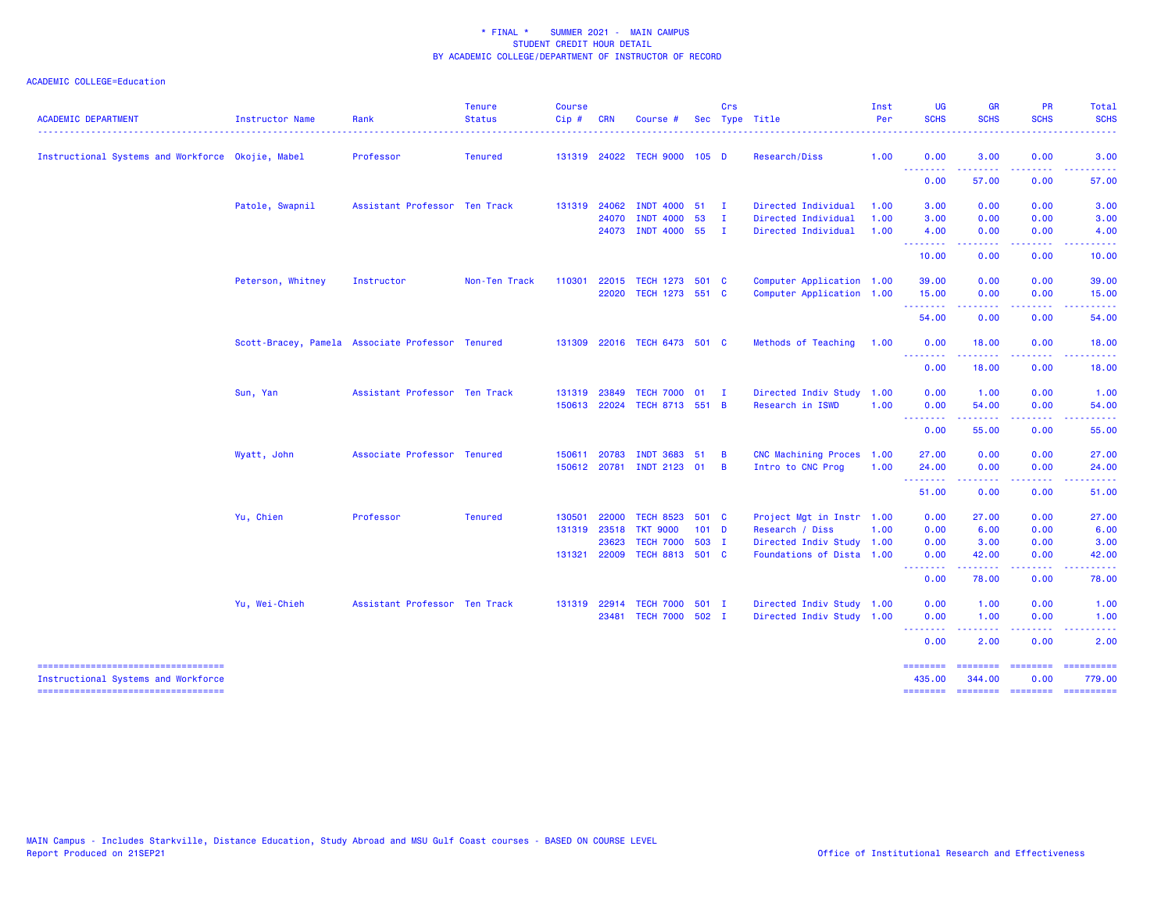| <b>ACADEMIC DEPARTMENT</b>                                                 | Instructor Name   | Rank                                             | <b>Tenure</b><br><b>Status</b> | <b>Course</b><br>$Cip$ # | <b>CRN</b>   | Course #                     |         | Crs            | Sec Type Title            | Inst<br>Per | <b>UG</b><br><b>SCHS</b> | <b>GR</b><br><b>SCHS</b>                                                                                                                                     | PR<br><b>SCHS</b>       | Total<br><b>SCHS</b>                                                                                                                                                                                                                                                                                                                                                                                                                                                                             |
|----------------------------------------------------------------------------|-------------------|--------------------------------------------------|--------------------------------|--------------------------|--------------|------------------------------|---------|----------------|---------------------------|-------------|--------------------------|--------------------------------------------------------------------------------------------------------------------------------------------------------------|-------------------------|--------------------------------------------------------------------------------------------------------------------------------------------------------------------------------------------------------------------------------------------------------------------------------------------------------------------------------------------------------------------------------------------------------------------------------------------------------------------------------------------------|
| Instructional Systems and Workforce Okojie, Mabel                          |                   | Professor                                        | <b>Tenured</b>                 |                          |              | 131319 24022 TECH 9000 105 D |         |                | Research/Diss             | 1.00        | 0.00                     | 3.00                                                                                                                                                         | 0.00                    | 3.00                                                                                                                                                                                                                                                                                                                                                                                                                                                                                             |
|                                                                            |                   |                                                  |                                |                          |              |                              |         |                |                           |             | .<br>0.00                | .<br>57.00                                                                                                                                                   | .<br>0.00               | .<br>57.00                                                                                                                                                                                                                                                                                                                                                                                                                                                                                       |
|                                                                            | Patole, Swapnil   | Assistant Professor Ten Track                    |                                |                          | 131319 24062 | <b>INDT 4000</b>             | $51$ I  |                | Directed Individual       | 1.00        | 3.00                     | 0.00                                                                                                                                                         | 0.00                    | 3.00                                                                                                                                                                                                                                                                                                                                                                                                                                                                                             |
|                                                                            |                   |                                                  |                                |                          | 24070        | <b>INDT 4000</b>             | 53      | $\mathbf{I}$   | Directed Individual       | 1.00        | 3.00                     | 0.00                                                                                                                                                         | 0.00                    | 3.00                                                                                                                                                                                                                                                                                                                                                                                                                                                                                             |
|                                                                            |                   |                                                  |                                |                          | 24073        | <b>INDT 4000</b>             | 55      | $\blacksquare$ | Directed Individual       | 1.00        | 4.00<br>--------         | 0.00                                                                                                                                                         | 0.00                    | 4.00                                                                                                                                                                                                                                                                                                                                                                                                                                                                                             |
|                                                                            |                   |                                                  |                                |                          |              |                              |         |                |                           |             | 10.00                    | 0.00                                                                                                                                                         | 0.00                    | 10.00                                                                                                                                                                                                                                                                                                                                                                                                                                                                                            |
|                                                                            | Peterson, Whitney | Instructor                                       | Non-Ten Track                  | 110301                   | 22015        | TECH 1273 501 C              |         |                | Computer Application 1.00 |             | 39.00                    | 0.00                                                                                                                                                         | 0.00                    | 39.00                                                                                                                                                                                                                                                                                                                                                                                                                                                                                            |
|                                                                            |                   |                                                  |                                |                          | 22020        | TECH 1273 551 C              |         |                | Computer Application 1.00 |             | 15.00<br><u>.</u>        | 0.00<br>$\frac{1}{2} \left( \frac{1}{2} \right) \left( \frac{1}{2} \right) \left( \frac{1}{2} \right) \left( \frac{1}{2} \right) \left( \frac{1}{2} \right)$ | 0.00<br>.               | 15.00<br>$\frac{1}{2} \left( \frac{1}{2} \right) \left( \frac{1}{2} \right) \left( \frac{1}{2} \right) \left( \frac{1}{2} \right) \left( \frac{1}{2} \right)$                                                                                                                                                                                                                                                                                                                                    |
|                                                                            |                   |                                                  |                                |                          |              |                              |         |                |                           |             | 54.00                    | 0.00                                                                                                                                                         | 0.00                    | 54.00                                                                                                                                                                                                                                                                                                                                                                                                                                                                                            |
|                                                                            |                   | Scott-Bracey, Pamela Associate Professor Tenured |                                |                          |              | 131309 22016 TECH 6473 501 C |         |                | Methods of Teaching       | 1.00        | 0.00                     | 18.00                                                                                                                                                        | 0.00                    | 18.00                                                                                                                                                                                                                                                                                                                                                                                                                                                                                            |
|                                                                            |                   |                                                  |                                |                          |              |                              |         |                |                           |             | .<br>0.00                | .<br>18.00                                                                                                                                                   | د د د د<br>0.00         | 18.00                                                                                                                                                                                                                                                                                                                                                                                                                                                                                            |
|                                                                            | Sun, Yan          | Assistant Professor Ten Track                    |                                | 131319                   | 23849        | <b>TECH 7000 01</b>          |         | $\mathbf{I}$   | Directed Indiv Study 1.00 |             | 0.00                     | 1.00                                                                                                                                                         | 0.00                    | 1.00                                                                                                                                                                                                                                                                                                                                                                                                                                                                                             |
|                                                                            |                   |                                                  |                                |                          | 150613 22024 | TECH 8713 551 B              |         |                | Research in ISWD          | 1.00        | 0.00<br>.                | 54.00<br>.                                                                                                                                                   | 0.00<br>.               | 54.00<br>.                                                                                                                                                                                                                                                                                                                                                                                                                                                                                       |
|                                                                            |                   |                                                  |                                |                          |              |                              |         |                |                           |             | 0.00                     | 55.00                                                                                                                                                        | 0.00                    | 55.00                                                                                                                                                                                                                                                                                                                                                                                                                                                                                            |
|                                                                            | Wyatt, John       | Associate Professor Tenured                      |                                | 150611                   | 20783        | <b>INDT 3683</b>             | 51      | $\overline{B}$ | CNC Machining Proces 1.00 |             | 27.00                    | 0.00                                                                                                                                                         | 0.00                    | 27.00                                                                                                                                                                                                                                                                                                                                                                                                                                                                                            |
|                                                                            |                   |                                                  |                                |                          | 150612 20781 | INDT 2123 01                 |         | $\overline{B}$ | Intro to CNC Prog         | 1.00        | 24.00<br>--------        | 0.00<br>-----                                                                                                                                                | 0.00<br>د د د د         | 24.00<br>.                                                                                                                                                                                                                                                                                                                                                                                                                                                                                       |
|                                                                            |                   |                                                  |                                |                          |              |                              |         |                |                           |             | 51.00                    | 0.00                                                                                                                                                         | 0.00                    | 51.00                                                                                                                                                                                                                                                                                                                                                                                                                                                                                            |
|                                                                            | Yu, Chien         | Professor                                        | <b>Tenured</b>                 | 130501                   | 22000        | <b>TECH 8523</b>             | 501 C   |                | Project Mgt in Instr 1.00 |             | 0.00                     | 27.00                                                                                                                                                        | 0.00                    | 27.00                                                                                                                                                                                                                                                                                                                                                                                                                                                                                            |
|                                                                            |                   |                                                  |                                | 131319                   | 23518        | <b>TKT 9000</b>              | $101$ D |                | Research / Diss           | 1.00        | 0.00                     | 6.00                                                                                                                                                         | 0.00                    | 6.00                                                                                                                                                                                                                                                                                                                                                                                                                                                                                             |
|                                                                            |                   |                                                  |                                |                          | 23623        | <b>TECH 7000</b>             | 503 I   |                | Directed Indiv Study 1.00 |             | 0.00                     | 3.00                                                                                                                                                         | 0.00                    | 3.00                                                                                                                                                                                                                                                                                                                                                                                                                                                                                             |
|                                                                            |                   |                                                  |                                |                          | 131321 22009 | TECH 8813 501 C              |         |                | Foundations of Dista 1.00 |             | 0.00<br>.                | 42.00                                                                                                                                                        | 0.00                    | 42.00                                                                                                                                                                                                                                                                                                                                                                                                                                                                                            |
|                                                                            |                   |                                                  |                                |                          |              |                              |         |                |                           |             | 0.00                     | 78.00                                                                                                                                                        | 0.00                    | 78.00                                                                                                                                                                                                                                                                                                                                                                                                                                                                                            |
|                                                                            | Yu, Wei-Chieh     | Assistant Professor Ten Track                    |                                |                          | 131319 22914 | <b>TECH 7000</b>             | 501 I   |                | Directed Indiv Study 1.00 |             | 0.00                     | 1.00                                                                                                                                                         | 0.00                    | 1.00                                                                                                                                                                                                                                                                                                                                                                                                                                                                                             |
|                                                                            |                   |                                                  |                                |                          | 23481        | TECH 7000 502 I              |         |                | Directed Indiv Study 1.00 |             | 0.00<br>--------         | 1.00<br>------                                                                                                                                               | 0.00<br>-----           | 1.00                                                                                                                                                                                                                                                                                                                                                                                                                                                                                             |
|                                                                            |                   |                                                  |                                |                          |              |                              |         |                |                           |             | 0.00                     | 2.00                                                                                                                                                         | 0.00                    | 2.00                                                                                                                                                                                                                                                                                                                                                                                                                                                                                             |
| -----------------------------------<br>Instructional Systems and Workforce |                   |                                                  |                                |                          |              |                              |         |                |                           |             | ========<br>435.00       | <b>EEEEEEEE</b><br>344.00                                                                                                                                    | <b>EBBERSER</b><br>0.00 | $\begin{array}{cccccccccc} \multicolumn{2}{c}{} & \multicolumn{2}{c}{} & \multicolumn{2}{c}{} & \multicolumn{2}{c}{} & \multicolumn{2}{c}{} & \multicolumn{2}{c}{} & \multicolumn{2}{c}{} & \multicolumn{2}{c}{} & \multicolumn{2}{c}{} & \multicolumn{2}{c}{} & \multicolumn{2}{c}{} & \multicolumn{2}{c}{} & \multicolumn{2}{c}{} & \multicolumn{2}{c}{} & \multicolumn{2}{c}{} & \multicolumn{2}{c}{} & \multicolumn{2}{c}{} & \multicolumn{2}{c}{} & \multicolumn{2}{c}{} & \mult$<br>779.00 |
| =====================================                                      |                   |                                                  |                                |                          |              |                              |         |                |                           |             | ========                 | <b>ESSESSED SESSESSE</b>                                                                                                                                     |                         | $\begin{array}{cccccccccc} \multicolumn{2}{c}{} & \multicolumn{2}{c}{} & \multicolumn{2}{c}{} & \multicolumn{2}{c}{} & \multicolumn{2}{c}{} & \multicolumn{2}{c}{} & \multicolumn{2}{c}{} & \multicolumn{2}{c}{} & \multicolumn{2}{c}{} & \multicolumn{2}{c}{} & \multicolumn{2}{c}{} & \multicolumn{2}{c}{} & \multicolumn{2}{c}{} & \multicolumn{2}{c}{} & \multicolumn{2}{c}{} & \multicolumn{2}{c}{} & \multicolumn{2}{c}{} & \multicolumn{2}{c}{} & \multicolumn{2}{c}{} & \mult$           |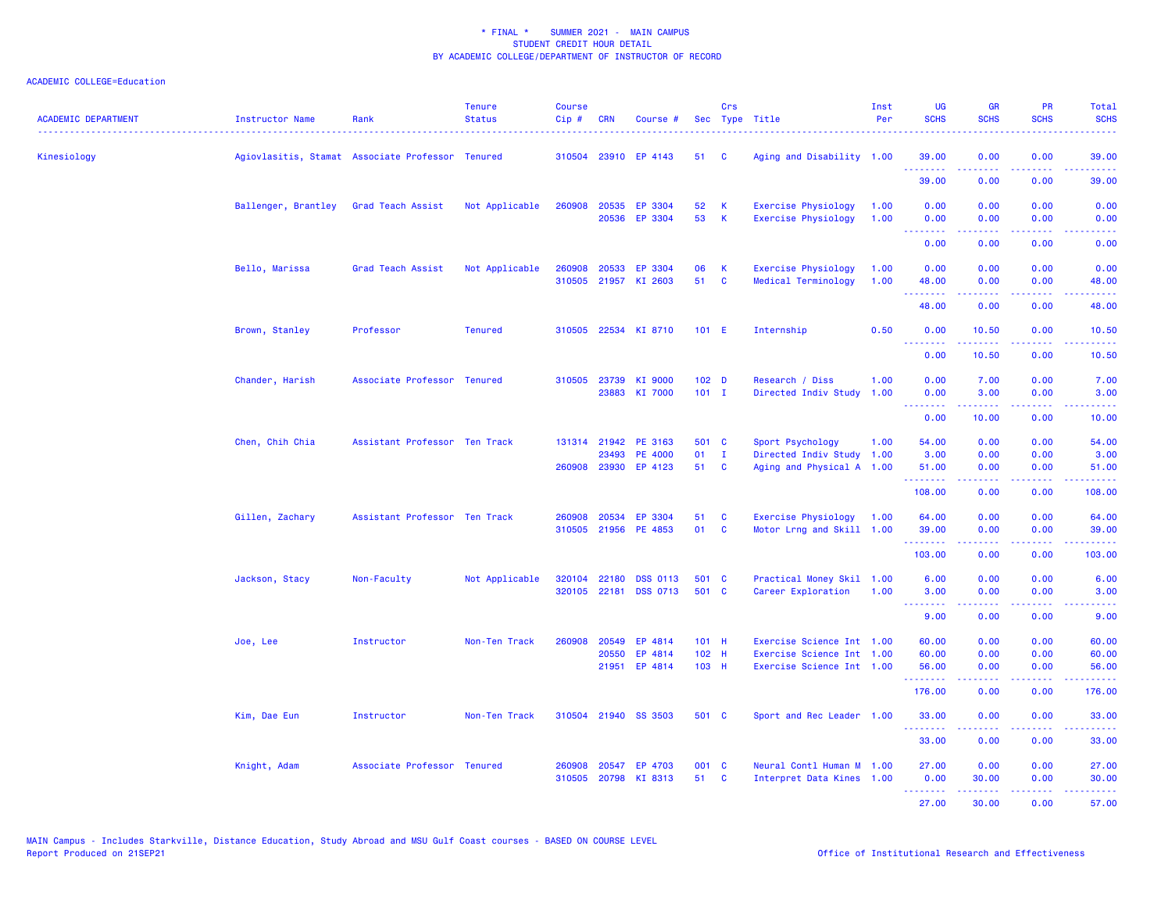| <b>ACADEMIC DEPARTMENT</b> | <b>Instructor Name</b> | Rank                                             | <b>Tenure</b><br><b>Status</b> | <b>Course</b><br>Cip# | <b>CRN</b>              | Course #                                                      |                             | Crs                        | Sec Type Title                                                                      | Inst<br>Per  | UG<br><b>SCHS</b>                                           | <b>GR</b><br><b>SCHS</b> | PR<br><b>SCHS</b>                                                                                                                 | Total<br><b>SCHS</b><br>$\frac{1}{2} \left( \frac{1}{2} \right) \left( \frac{1}{2} \right) \left( \frac{1}{2} \right) \left( \frac{1}{2} \right)$ |
|----------------------------|------------------------|--------------------------------------------------|--------------------------------|-----------------------|-------------------------|---------------------------------------------------------------|-----------------------------|----------------------------|-------------------------------------------------------------------------------------|--------------|-------------------------------------------------------------|--------------------------|-----------------------------------------------------------------------------------------------------------------------------------|---------------------------------------------------------------------------------------------------------------------------------------------------|
| Kinesiology                |                        | Agiovlasitis, Stamat Associate Professor Tenured |                                |                       |                         | 310504 23910 EP 4143                                          | 51                          | C                          | Aging and Disability 1.00                                                           |              | 39.00<br>.                                                  | 0.00<br>.                | 0.00<br>د د د د                                                                                                                   | 39.00<br>المتمامي                                                                                                                                 |
|                            |                        |                                                  |                                |                       |                         |                                                               |                             |                            |                                                                                     |              | 39.00                                                       | 0.00                     | 0.00                                                                                                                              | 39.00                                                                                                                                             |
|                            | Ballenger, Brantley    | Grad Teach Assist                                | Not Applicable                 | 260908                | 20535                   | EP 3304<br>20536 EP 3304                                      | 52<br>53                    | к<br>K                     | Exercise Physiology<br><b>Exercise Physiology</b>                                   | 1.00<br>1.00 | 0.00<br>0.00                                                | 0.00<br>0.00             | 0.00<br>0.00                                                                                                                      | 0.00<br>0.00                                                                                                                                      |
|                            |                        |                                                  |                                |                       |                         |                                                               |                             |                            |                                                                                     |              | <b><i><u><u><b>A</b></u></u> A A A A A A A</i></b><br>0.00  | 22222<br>0.00            | .<br>0.00                                                                                                                         | -----<br>0.00                                                                                                                                     |
|                            | Bello, Marissa         | Grad Teach Assist                                | Not Applicable                 | 260908                |                         | 20533 EP 3304<br>310505 21957 KI 2603                         | 06<br>51                    | К<br>$\mathbf{C}$          | <b>Exercise Physiology</b><br>Medical Terminology                                   | 1.00<br>1.00 | 0.00<br>48.00                                               | 0.00<br>0.00             | 0.00<br>0.00                                                                                                                      | 0.00<br>48.00                                                                                                                                     |
|                            |                        |                                                  |                                |                       |                         |                                                               |                             |                            |                                                                                     |              | <b><i><u><u><b>A</b></u></u> A A A A A A A</i></b><br>48.00 | <b>.</b><br>0.00         | .<br>0.00                                                                                                                         | .<br>48.00                                                                                                                                        |
|                            | Brown, Stanley         | Professor                                        | <b>Tenured</b>                 |                       |                         | 310505 22534 KI 8710                                          | 101 E                       |                            | Internship                                                                          | 0.50         | 0.00<br><b><i><u><u> - - - - - - -</u></u></i></b>          | 10.50<br>.               | 0.00<br>.                                                                                                                         | 10.50<br>.                                                                                                                                        |
|                            |                        |                                                  |                                |                       |                         |                                                               |                             |                            |                                                                                     |              | 0.00                                                        | 10.50                    | 0.00                                                                                                                              | 10.50                                                                                                                                             |
|                            | Chander, Harish        | Associate Professor Tenured                      |                                | 310505                |                         | 23739 KI 9000<br>23883 KI 7000                                | 102 <sub>D</sub><br>$101$ I |                            | Research / Diss<br>Directed Indiv Study                                             | 1.00<br>1.00 | 0.00<br>0.00<br><u> - - - - - - - -</u>                     | 7.00<br>3.00<br><u>.</u> | 0.00<br>0.00<br>.                                                                                                                 | 7.00<br>3.00<br>.                                                                                                                                 |
|                            |                        |                                                  |                                |                       |                         |                                                               |                             |                            |                                                                                     |              | 0.00                                                        | 10.00                    | 0.00                                                                                                                              | 10.00                                                                                                                                             |
|                            | Chen, Chih Chia        | Assistant Professor Ten Track                    |                                |                       |                         | 131314 21942 PE 3163<br>23493 PE 4000<br>260908 23930 EP 4123 | 501 C<br>01<br>51           | $\blacksquare$<br><b>C</b> | Sport Psychology<br>Directed Indiv Study 1.00<br>Aging and Physical A 1.00          | 1.00         | 54.00<br>3.00<br>51.00                                      | 0.00<br>0.00<br>0.00     | 0.00<br>0.00<br>0.00                                                                                                              | 54.00<br>3.00<br>51.00                                                                                                                            |
|                            |                        |                                                  |                                |                       |                         |                                                               |                             |                            |                                                                                     |              | .<br>108.00                                                 | 0.00                     | والمحامر<br>0.00                                                                                                                  | .<br>108.00                                                                                                                                       |
|                            | Gillen, Zachary        | Assistant Professor Ten Track                    |                                | 260908                | 20534                   | EP 3304<br>310505 21956 PE 4853                               | 51<br>01                    | C<br>C                     | Exercise Physiology<br>Motor Lrng and Skill 1.00                                    | 1.00         | 64.00<br>39.00                                              | 0.00<br>0.00             | 0.00<br>0.00                                                                                                                      | 64.00<br>39.00                                                                                                                                    |
|                            |                        |                                                  |                                |                       |                         |                                                               |                             |                            |                                                                                     |              | .<br>103.00                                                 | -----<br>0.00            | .<br>0.00                                                                                                                         | .<br>103.00                                                                                                                                       |
|                            | Jackson, Stacy         | Non-Faculty                                      | Not Applicable                 | 320104                | 22180                   | <b>DSS 0113</b><br>320105 22181 DSS 0713                      | 501 C<br>501 C              |                            | Practical Money Skil 1.00<br>Career Exploration                                     | 1.00         | 6.00<br>3.00                                                | 0.00<br>0.00             | 0.00<br>0.00                                                                                                                      | 6.00<br>3.00                                                                                                                                      |
|                            |                        |                                                  |                                |                       |                         |                                                               |                             |                            |                                                                                     |              | <b><i><u><u> - - - - - - -</u></u></i></b><br>9.00          | .<br>0.00                | $\frac{1}{2} \left( \frac{1}{2} \right) \left( \frac{1}{2} \right) \left( \frac{1}{2} \right) \left( \frac{1}{2} \right)$<br>0.00 | .<br>9.00                                                                                                                                         |
|                            | Joe, Lee               | Instructor                                       | Non-Ten Track                  | 260908                | 20549<br>20550<br>21951 | EP 4814<br>EP 4814<br>EP 4814                                 | $101$ H<br>102 H<br>103 H   |                            | Exercise Science Int 1.00<br>Exercise Science Int 1.00<br>Exercise Science Int 1.00 |              | 60.00<br>60.00<br>56.00                                     | 0.00<br>0.00<br>0.00     | 0.00<br>0.00<br>0.00                                                                                                              | 60.00<br>60.00<br>56.00                                                                                                                           |
|                            |                        |                                                  |                                |                       |                         |                                                               |                             |                            |                                                                                     |              | 176.00                                                      | 0.00                     | .<br>0.00                                                                                                                         | $\omega$ is $\omega$ in .<br>176.00                                                                                                               |
|                            | Kim, Dae Eun           | Instructor                                       | Non-Ten Track                  |                       |                         | 310504 21940 SS 3503                                          | 501 C                       |                            | Sport and Rec Leader 1.00                                                           |              | 33.00                                                       | 0.00                     | 0.00                                                                                                                              | 33.00                                                                                                                                             |
|                            |                        |                                                  |                                |                       |                         |                                                               |                             |                            |                                                                                     |              | .<br>33.00                                                  | .<br>0.00                | بالمحام<br>0.00                                                                                                                   | .<br>33.00                                                                                                                                        |
|                            | Knight, Adam           | Associate Professor Tenured                      |                                | 260908<br>310505      | 20547                   | EP 4703<br>20798 KI 8313                                      | 001 C<br>51                 | <b>C</b>                   | Neural Contl Human M 1.00<br>Interpret Data Kines 1.00                              |              | 27.00<br>0.00                                               | 0.00<br>30.00            | 0.00<br>0.00                                                                                                                      | 27.00<br>30.00                                                                                                                                    |
|                            |                        |                                                  |                                |                       |                         |                                                               |                             |                            |                                                                                     |              | .<br>27.00                                                  | .<br>30.00               | د د د د .<br>0.00                                                                                                                 | .<br>57.00                                                                                                                                        |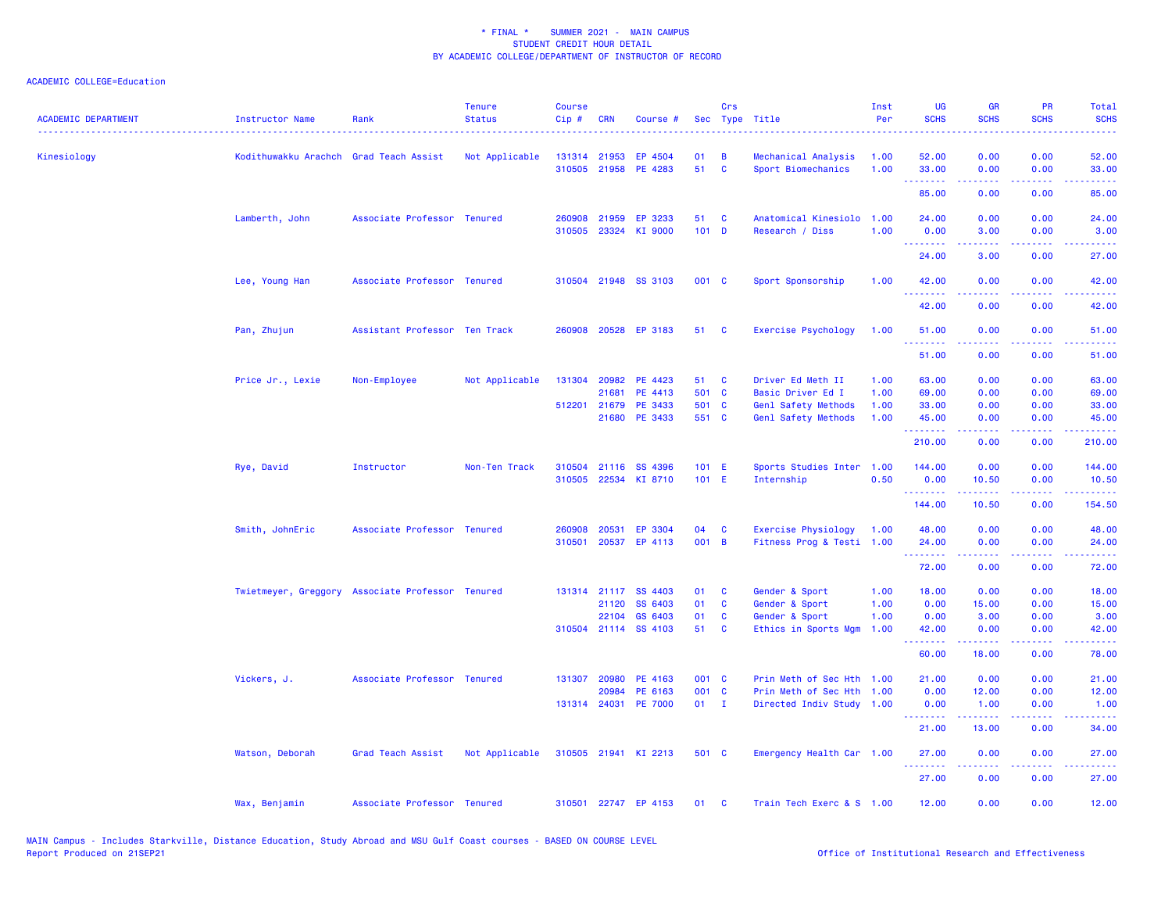| <b>ACADEMIC DEPARTMENT</b> | <b>Instructor Name</b>                           | Rank                          | <b>Tenure</b><br><b>Status</b> | <b>Course</b><br>Cip# | <b>CRN</b>   | Course #             |         | Crs          | Sec Type Title            | Inst<br>Per | <b>UG</b><br><b>SCHS</b> | <b>GR</b><br><b>SCHS</b>                                                                                                                                     | <b>PR</b><br><b>SCHS</b> | Total<br><b>SCHS</b> |
|----------------------------|--------------------------------------------------|-------------------------------|--------------------------------|-----------------------|--------------|----------------------|---------|--------------|---------------------------|-------------|--------------------------|--------------------------------------------------------------------------------------------------------------------------------------------------------------|--------------------------|----------------------|
| Kinesiology                | Kodithuwakku Arachch                             | Grad Teach Assist             | Not Applicable                 |                       | 131314 21953 | EP 4504              | 01      | B            | Mechanical Analysis       | 1.00        | 52.00                    | 0.00                                                                                                                                                         | 0.00                     | 52.00                |
|                            |                                                  |                               |                                |                       |              | 310505 21958 PE 4283 | 51      | $\mathbf{C}$ | Sport Biomechanics        | 1.00        | 33.00<br>.               | 0.00<br><u>.</u>                                                                                                                                             | 0.00<br>.                | 33.00<br>.           |
|                            |                                                  |                               |                                |                       |              |                      |         |              |                           |             | 85.00                    | 0.00                                                                                                                                                         | 0.00                     | 85.00                |
|                            | Lamberth, John                                   | Associate Professor Tenured   |                                | 260908                | 21959        | EP 3233              | 51      | C            | Anatomical Kinesiolo      | 1.00        | 24.00                    | 0.00                                                                                                                                                         | 0.00                     | 24.00                |
|                            |                                                  |                               |                                | 310505                | 23324        | KI 9000              | $101$ D |              | Research / Diss           | 1.00        | 0.00<br>.                | 3.00                                                                                                                                                         | 0.00                     | 3.00                 |
|                            |                                                  |                               |                                |                       |              |                      |         |              |                           |             | 24.00                    | 3.00                                                                                                                                                         | 0.00                     | 27.00                |
|                            | Lee, Young Han                                   | Associate Professor Tenured   |                                |                       |              | 310504 21948 SS 3103 | 001 C   |              | Sport Sponsorship         | 1.00        | 42.00<br>.               | 0.00                                                                                                                                                         | 0.00                     | 42.00<br>والمستبدات  |
|                            |                                                  |                               |                                |                       |              |                      |         |              |                           |             | 42.00                    | 0.00                                                                                                                                                         | 0.00                     | 42.00                |
|                            | Pan, Zhujun                                      | Assistant Professor Ten Track |                                |                       |              | 260908 20528 EP 3183 | 51      | <b>C</b>     | Exercise Psychology       | 1.00        | 51.00                    | 0.00                                                                                                                                                         | 0.00                     | 51.00                |
|                            |                                                  |                               |                                |                       |              |                      |         |              |                           |             | 51.00                    | 0.00                                                                                                                                                         | 0.00                     | 51.00                |
|                            | Price Jr., Lexie                                 | Non-Employee                  | Not Applicable                 | 131304                | 20982        | PE 4423              | 51      | C            | Driver Ed Meth II         | 1.00        | 63.00                    | 0.00                                                                                                                                                         | 0.00                     | 63.00                |
|                            |                                                  |                               |                                |                       | 21681        | PE 4413              | 501 C   |              | Basic Driver Ed I         | 1.00        | 69.00                    | 0.00                                                                                                                                                         | 0.00                     | 69.00                |
|                            |                                                  |                               |                                | 512201                | 21679        | PE 3433              | 501 C   |              | Genl Safety Methods       | 1.00        | 33.00                    | 0.00                                                                                                                                                         | 0.00                     | 33.00                |
|                            |                                                  |                               |                                |                       | 21680        | PE 3433              | 551 C   |              | Genl Safety Methods       | 1.00        | 45.00<br>.               | 0.00<br>.                                                                                                                                                    | 0.00<br>.                | 45.00<br>.           |
|                            |                                                  |                               |                                |                       |              |                      |         |              |                           |             | 210.00                   | 0.00                                                                                                                                                         | 0.00                     | 210.00               |
|                            | Rye, David                                       | Instructor                    | Non-Ten Track                  | 310504                |              | 21116 SS 4396        | 101 E   |              | Sports Studies Inter      | 1.00        | 144.00                   | 0.00                                                                                                                                                         | 0.00                     | 144.00               |
|                            |                                                  |                               |                                | 310505                |              | 22534 KI 8710        | 101 E   |              | Internship                | 0.50        | 0.00<br>.                | 10.50                                                                                                                                                        | 0.00                     | 10.50                |
|                            |                                                  |                               |                                |                       |              |                      |         |              |                           |             | 144.00                   | 10.50                                                                                                                                                        | 0.00                     | 154.50               |
|                            | Smith, JohnEric                                  | Associate Professor Tenured   |                                | 260908                | 20531        | EP 3304              | 04      | C            | Exercise Physiology       | 1.00        | 48.00                    | 0.00                                                                                                                                                         | 0.00                     | 48.00                |
|                            |                                                  |                               |                                | 310501                |              | 20537 EP 4113        | 001 B   |              | Fitness Prog & Testi 1.00 |             | 24.00<br>.               | 0.00<br>22222                                                                                                                                                | 0.00<br>.                | 24.00<br>.           |
|                            |                                                  |                               |                                |                       |              |                      |         |              |                           |             | 72.00                    | 0.00                                                                                                                                                         | 0.00                     | 72.00                |
|                            | Twietmeyer, Greggory Associate Professor Tenured |                               |                                |                       |              | 131314 21117 SS 4403 | 01      | C            | Gender & Sport            | 1.00        | 18.00                    | 0.00                                                                                                                                                         | 0.00                     | 18.00                |
|                            |                                                  |                               |                                |                       | 21120        | SS 6403              | 01      | <b>C</b>     | Gender & Sport            | 1.00        | 0.00                     | 15.00                                                                                                                                                        | 0.00                     | 15.00                |
|                            |                                                  |                               |                                |                       | 22104        | GS 6403              | 01      | C            | Gender & Sport            | 1.00        | 0.00                     | 3.00                                                                                                                                                         | 0.00                     | 3.00                 |
|                            |                                                  |                               |                                |                       |              | 310504 21114 SS 4103 | 51      | C            | Ethics in Sports Mgm      | 1.00        | 42.00<br>.               | 0.00<br>$\frac{1}{2} \left( \frac{1}{2} \right) \left( \frac{1}{2} \right) \left( \frac{1}{2} \right) \left( \frac{1}{2} \right) \left( \frac{1}{2} \right)$ | 0.00<br>الدعاعات         | 42.00<br>والمالمات   |
|                            |                                                  |                               |                                |                       |              |                      |         |              |                           |             | 60.00                    | 18.00                                                                                                                                                        | 0.00                     | 78.00                |
|                            | Vickers, J.                                      | Associate Professor Tenured   |                                | 131307                | 20980        | PE 4163              | 001 C   |              | Prin Meth of Sec Hth 1.00 |             | 21.00                    | 0.00                                                                                                                                                         | 0.00                     | 21.00                |
|                            |                                                  |                               |                                |                       | 20984        | PE 6163              | 001 C   |              | Prin Meth of Sec Hth 1.00 |             | 0.00                     | 12.00                                                                                                                                                        | 0.00                     | 12.00                |
|                            |                                                  |                               |                                |                       |              | 131314 24031 PE 7000 | $01$ I  |              | Directed Indiv Study 1.00 |             | 0.00<br>.                | 1.00<br>.                                                                                                                                                    | 0.00<br>.                | 1.00<br>.            |
|                            |                                                  |                               |                                |                       |              |                      |         |              |                           |             | 21.00                    | 13.00                                                                                                                                                        | 0.00                     | 34.00                |
|                            | Watson, Deborah                                  | Grad Teach Assist             | Not Applicable                 |                       |              | 310505 21941 KI 2213 | 501 C   |              | Emergency Health Car 1.00 |             | 27,00<br>.               | 0.00<br>.                                                                                                                                                    | 0.00<br>المتمامين        | 27.00<br>.           |
|                            |                                                  |                               |                                |                       |              |                      |         |              |                           |             | 27.00                    | 0.00                                                                                                                                                         | 0.00                     | 27.00                |
|                            | Wax, Benjamin                                    | Associate Professor Tenured   |                                | 310501                |              | 22747 EP 4153        | 01      | C            | Train Tech Exerc & S 1.00 |             | 12.00                    | 0.00                                                                                                                                                         | 0.00                     | 12.00                |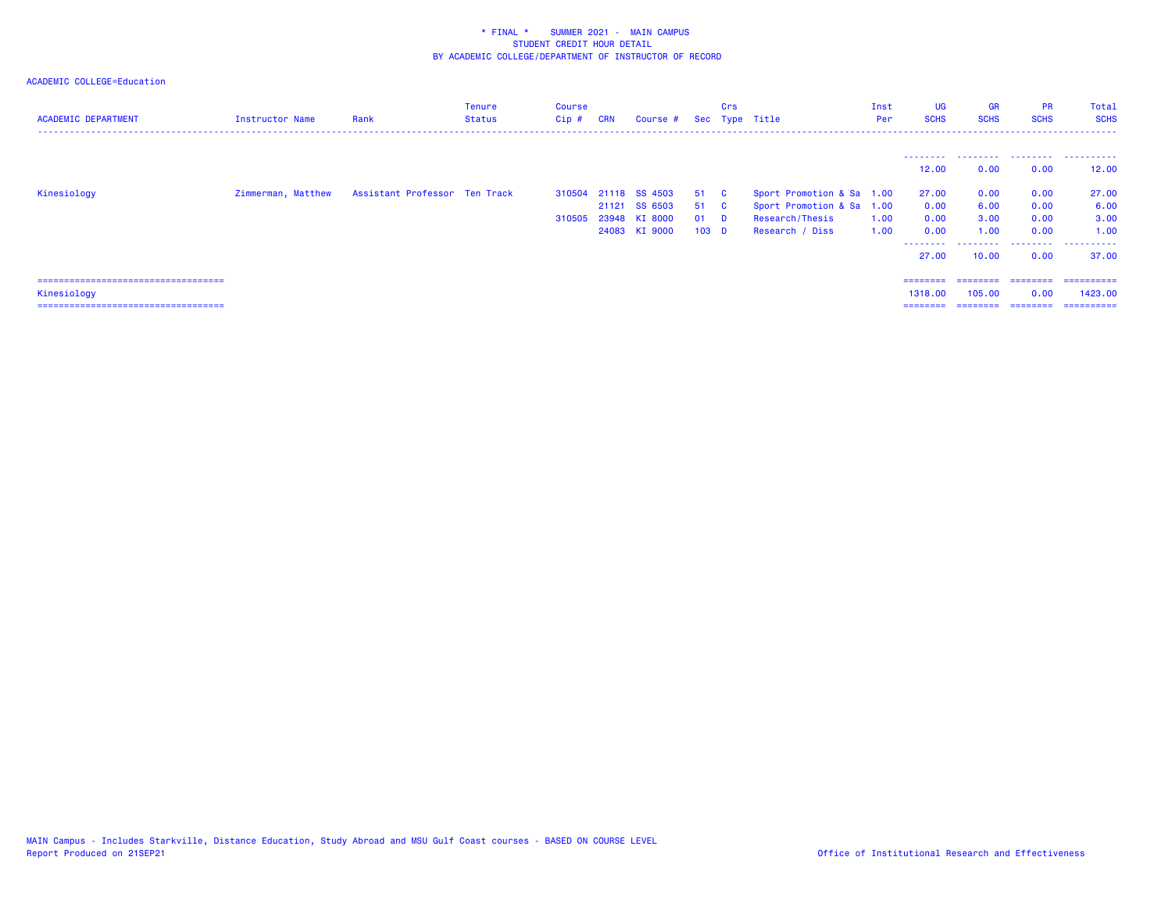| <b>ACADEMIC DEPARTMENT</b>             | Instructor Name    | Rank                          | <b>Tenure</b><br>Status | Course<br>Cip # | <b>CRN</b> | Course #             |                  | Crs      | Sec Type Title            | Inst<br>Per | <b>UG</b><br><b>SCHS</b> | <b>GR</b><br><b>SCHS</b> | <b>PR</b><br><b>SCHS</b> | Total<br><b>SCHS</b> |
|----------------------------------------|--------------------|-------------------------------|-------------------------|-----------------|------------|----------------------|------------------|----------|---------------------------|-------------|--------------------------|--------------------------|--------------------------|----------------------|
|                                        |                    |                               |                         |                 |            |                      |                  |          |                           |             | --------                 | .                        | .                        | .                    |
|                                        |                    |                               |                         |                 |            |                      |                  |          |                           |             | 12.00                    | 0.00                     | 0.00                     | 12,00                |
| Kinesiology                            | Zimmerman, Matthew | Assistant Professor Ten Track |                         |                 |            | 310504 21118 SS 4503 | 51 C             |          | Sport Promotion & Sa 1.00 |             | 27.00                    | 0.00                     | 0.00                     | 27.00                |
|                                        |                    |                               |                         |                 |            | 21121 SS 6503        | 51 C             |          | Sport Promotion & Sa 1.00 |             | 0.00                     | 6.00                     | 0.00                     | 6.00                 |
|                                        |                    |                               |                         | 310505          |            | 23948 KI 8000        | 01               | <b>D</b> | Research/Thesis           | 1.00        | 0.00                     | 3.00                     | 0.00                     | 3.00                 |
|                                        |                    |                               |                         |                 |            | 24083 KI 9000        | 103 <sub>D</sub> |          | Research / Diss           | 1.00        | 0.00<br>---------        | 1.00<br>.                | 0.00                     | 1.00                 |
|                                        |                    |                               |                         |                 |            |                      |                  |          |                           |             | 27.00                    | 10.00                    | 0.00                     | 37.00                |
| ====================================== |                    |                               |                         |                 |            |                      |                  |          |                           |             | ========                 | ========                 | ========                 | -----------          |
| Kinesiology                            |                    |                               |                         |                 |            |                      |                  |          |                           |             | 1318.00                  | 105.00                   | 0.00                     | 1423.00              |
| =====================================  |                    |                               |                         |                 |            |                      |                  |          |                           |             | ========                 |                          | ========                 | ==========           |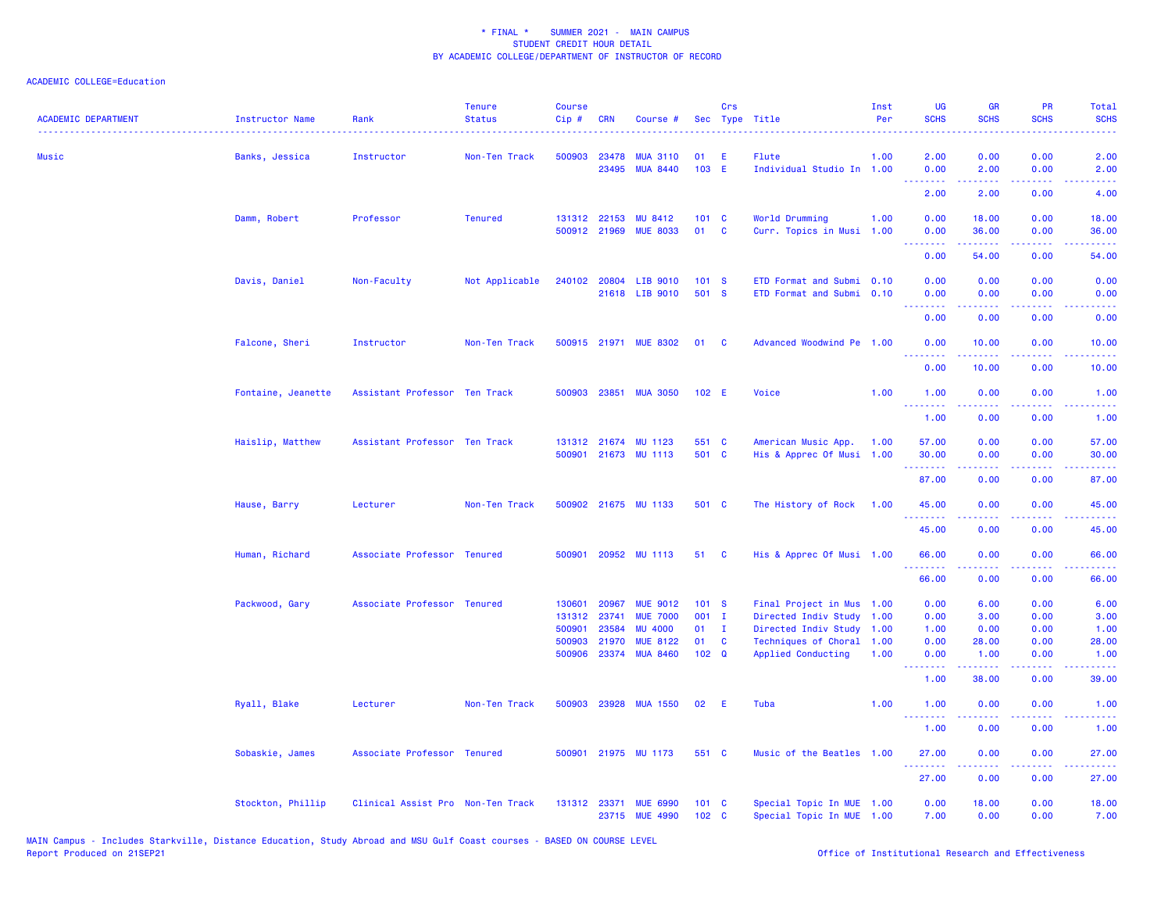| <b>ACADEMIC DEPARTMENT</b> | <b>Instructor Name</b> | Rank                              | <b>Tenure</b><br><b>Status</b> | <b>Course</b><br>Cip# | <b>CRN</b>     | Course #                           | Sec                 | Crs            | Type Title                                             | Inst<br>Per  | <b>UG</b><br><b>SCHS</b>       | <b>GR</b><br><b>SCHS</b>                                                                                                                                      | PR<br><b>SCHS</b>                   | <b>Total</b><br><b>SCHS</b>                    |
|----------------------------|------------------------|-----------------------------------|--------------------------------|-----------------------|----------------|------------------------------------|---------------------|----------------|--------------------------------------------------------|--------------|--------------------------------|---------------------------------------------------------------------------------------------------------------------------------------------------------------|-------------------------------------|------------------------------------------------|
| Music                      | Banks, Jessica         | Instructor                        | Non-Ten Track                  | 500903                | 23478<br>23495 | <b>MUA 3110</b><br><b>MUA 8440</b> | 01<br>103 E         | E              | Flute<br>Individual Studio In 1.00                     | 1.00         | 2.00<br>0.00                   | 0.00<br>2.00                                                                                                                                                  | 0.00<br>0.00                        | 2.00<br>2.00                                   |
|                            |                        |                                   |                                |                       |                |                                    |                     |                |                                                        |              | .<br>2.00                      | -----<br>2.00                                                                                                                                                 | والمستناء<br>0.00                   | -----<br>4.00                                  |
|                            |                        |                                   | <b>Tenured</b>                 |                       | 131312 22153   | <b>MU 8412</b>                     | 101 C               |                |                                                        | 1.00         | 0.00                           | 18.00                                                                                                                                                         | 0.00                                | 18.00                                          |
|                            | Damm, Robert           | Professor                         |                                |                       | 500912 21969   | <b>MUE 8033</b>                    | 01                  | $\mathbf{C}$   | World Drumming<br>Curr. Topics in Musi 1.00            |              | 0.00                           | 36.00                                                                                                                                                         | 0.00                                | 36.00                                          |
|                            |                        |                                   |                                |                       |                |                                    |                     |                |                                                        |              | $\omega$ is a $\omega$<br>0.00 | $\frac{1}{2} \left( \frac{1}{2} \right) \left( \frac{1}{2} \right) \left( \frac{1}{2} \right) \left( \frac{1}{2} \right) \left( \frac{1}{2} \right)$<br>54.00 | والمحامر<br>0.00                    | $\omega_{\rm c}$ and $\omega_{\rm c}$<br>54.00 |
|                            |                        |                                   |                                |                       |                |                                    |                     |                |                                                        |              |                                |                                                                                                                                                               |                                     |                                                |
|                            | Davis, Daniel          | Non-Faculty                       | Not Applicable                 | 240102                |                | 20804 LIB 9010<br>21618 LIB 9010   | 101 S<br>501 S      |                | ETD Format and Submi<br>ETD Format and Submi 0.10      | 0.10         | 0.00<br>0.00                   | 0.00<br>0.00                                                                                                                                                  | 0.00<br>0.00                        | 0.00<br>0.00                                   |
|                            |                        |                                   |                                |                       |                |                                    |                     |                |                                                        |              | <u>.</u>                       |                                                                                                                                                               |                                     |                                                |
|                            |                        |                                   |                                |                       |                |                                    |                     |                |                                                        |              | 0.00                           | 0.00                                                                                                                                                          | 0.00                                | 0.00                                           |
|                            | Falcone, Sheri         | Instructor                        | Non-Ten Track                  |                       | 500915 21971   | <b>MUE 8302</b>                    | 01                  | C              | Advanced Woodwind Pe 1.00                              |              | 0.00                           | 10.00                                                                                                                                                         | 0.00                                | 10.00                                          |
|                            |                        |                                   |                                |                       |                |                                    |                     |                |                                                        |              | 0.00                           | 10.00                                                                                                                                                         | 0.00                                | 10.00                                          |
|                            | Fontaine, Jeanette     | Assistant Professor Ten Track     |                                | 500903                | 23851          | <b>MUA 3050</b>                    | 102 E               |                | Voice                                                  | 1.00         | 1.00<br><b></b>                | 0.00<br>.                                                                                                                                                     | 0.00<br>----                        | 1.00<br>.                                      |
|                            |                        |                                   |                                |                       |                |                                    |                     |                |                                                        |              | 1.00                           | 0.00                                                                                                                                                          | 0.00                                | 1.00                                           |
|                            | Haislip, Matthew       | Assistant Professor Ten Track     |                                |                       |                | 131312 21674 MU 1123               | 551 C               |                | American Music App.                                    | 1.00         | 57.00                          | 0.00                                                                                                                                                          | 0.00                                | 57.00                                          |
|                            |                        |                                   |                                | 500901                |                | 21673 MU 1113                      | 501 C               |                | His & Apprec Of Musi                                   | 1.00         | 30.00                          | 0.00                                                                                                                                                          | 0.00                                | 30.00                                          |
|                            |                        |                                   |                                |                       |                |                                    |                     |                |                                                        |              | <u>.</u><br>87.00              | بالأباب<br>0.00                                                                                                                                               | $\sim$ $\sim$ $\sim$ $\sim$<br>0.00 | المستما<br>87.00                               |
|                            | Hause, Barry           | Lecturer                          | Non-Ten Track                  | 500902                |                | 21675 MU 1133                      | 501 C               |                | The History of Rock                                    | 1.00         | 45.00                          | 0.00                                                                                                                                                          | 0.00                                | 45.00                                          |
|                            |                        |                                   |                                |                       |                |                                    |                     |                |                                                        |              | .<br>45.00                     | . <u>.</u> .<br>0.00                                                                                                                                          | ----<br>0.00                        | .<br>45.00                                     |
|                            | Human, Richard         | Associate Professor Tenured       |                                | 500901                |                | 20952 MU 1113                      | 51                  | <b>C</b>       | His & Apprec Of Musi 1.00                              |              | 66.00                          | 0.00                                                                                                                                                          | 0.00                                | 66.00                                          |
|                            |                        |                                   |                                |                       |                |                                    |                     |                |                                                        |              | 66.00                          | 0.00                                                                                                                                                          | 0.00                                | 66.00                                          |
|                            | Packwood, Gary         | Associate Professor Tenured       |                                | 130601                | 20967          | <b>MUE 9012</b>                    | 101 S               |                | Final Project in Mus 1.00                              |              | 0.00                           | 6.00                                                                                                                                                          | 0.00                                | 6.00                                           |
|                            |                        |                                   |                                | 131312                | 23741          | <b>MUE 7000</b>                    | 001 I               |                | Directed Indiv Study 1.00                              |              | 0.00                           | 3.00                                                                                                                                                          | 0.00                                | 3.00                                           |
|                            |                        |                                   |                                | 500901                | 23584          | <b>MU 4000</b>                     | 01                  | $\blacksquare$ | Directed Indiv Study                                   | 1.00         | 1.00                           | 0.00                                                                                                                                                          | 0.00                                | 1.00                                           |
|                            |                        |                                   |                                | 500903<br>500906      | 21970          | <b>MUE 8122</b><br>23374 MUA 8460  | 01<br>$102 \quad Q$ | C              | Techniques of Choral<br>Applied Conducting             | 1.00<br>1.00 | 0.00<br>0.00                   | 28.00<br>1.00                                                                                                                                                 | 0.00<br>0.00                        | 28.00<br>1.00                                  |
|                            |                        |                                   |                                |                       |                |                                    |                     |                |                                                        |              | .<br>1.00                      | $\frac{1}{2} \left( \frac{1}{2} \right) \left( \frac{1}{2} \right) \left( \frac{1}{2} \right) \left( \frac{1}{2} \right)$<br>38.00                            | د د د د<br>0.00                     | المتمامين<br>39.00                             |
|                            | Ryall, Blake           | Lecturer                          | Non-Ten Track                  | 500903                | 23928          | <b>MUA 1550</b>                    | 02                  | E              | Tuba                                                   | 1.00         | 1.00                           | 0.00                                                                                                                                                          | 0.00                                | 1.00                                           |
|                            |                        |                                   |                                |                       |                |                                    |                     |                |                                                        |              | .                              |                                                                                                                                                               | .                                   | 22220                                          |
|                            |                        |                                   |                                |                       |                |                                    |                     |                |                                                        |              | 1.00                           | 0.00                                                                                                                                                          | 0.00                                | 1.00                                           |
|                            | Sobaskie, James        | Associate Professor Tenured       |                                | 500901                |                | 21975 MU 1173                      | 551 C               |                | Music of the Beatles 1.00                              |              | 27.00                          | 0.00                                                                                                                                                          | 0.00<br>$\sim$ $\sim$ $\sim$        | 27.00                                          |
|                            |                        |                                   |                                |                       |                |                                    |                     |                |                                                        |              | 27.00                          | 0.00                                                                                                                                                          | 0.00                                | 27.00                                          |
|                            | Stockton, Phillip      | Clinical Assist Pro Non-Ten Track |                                |                       | 131312 23371   | <b>MUE 6990</b><br>23715 MUE 4990  | 101 C<br>102 C      |                | Special Topic In MUE 1.00<br>Special Topic In MUE 1.00 |              | 0.00<br>7.00                   | 18.00<br>0.00                                                                                                                                                 | 0.00<br>0.00                        | 18.00<br>7.00                                  |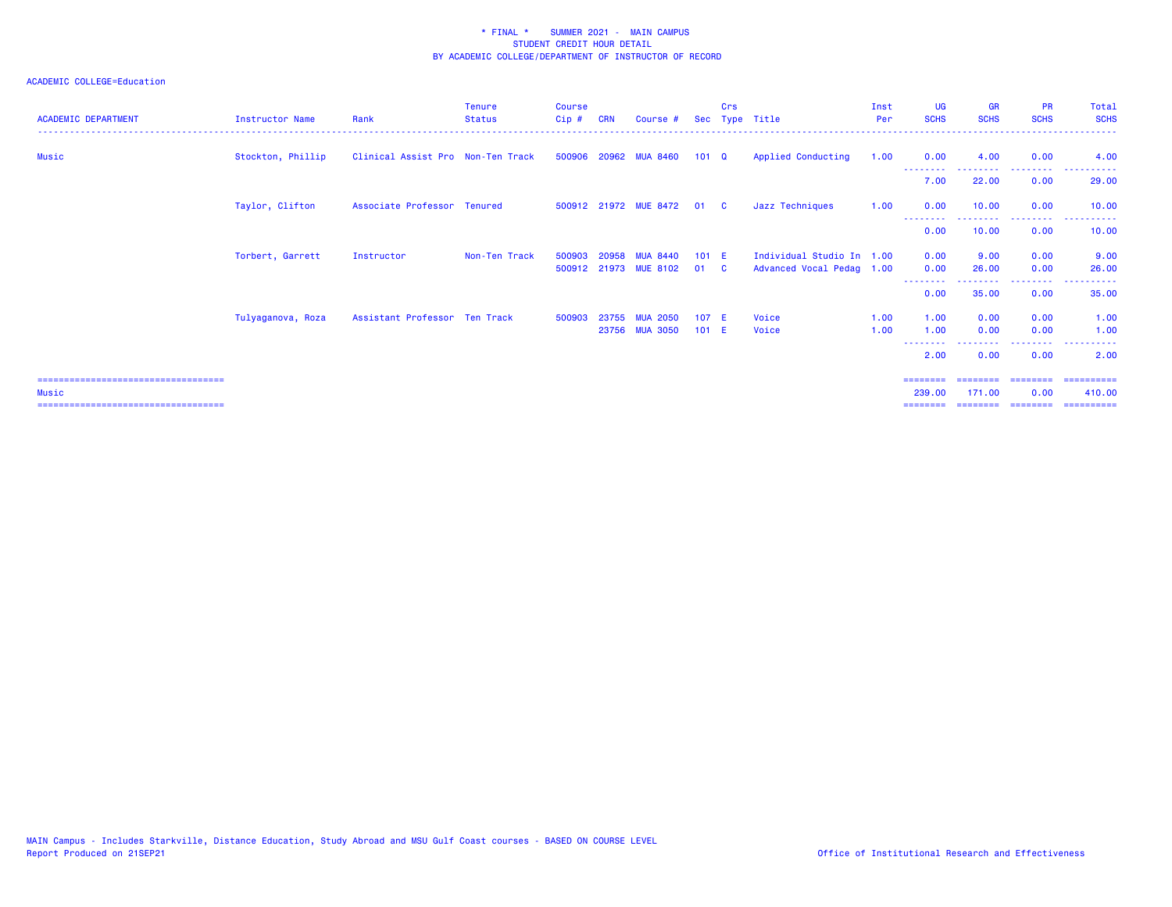| <b>ACADEMIC DEPARTMENT</b>                                                             | <b>Instructor Name</b> | Rank                              | <b>Tenure</b><br><b>Status</b> | <b>Course</b><br>$C$ ip $#$ | <b>CRN</b> | Course #                                 |                  | Crs          | Sec Type Title                                         | Inst<br>Per  | <b>UG</b><br><b>SCHS</b> | <b>GR</b><br><b>SCHS</b> | <b>PR</b><br><b>SCHS</b> | Total<br><b>SCHS</b>                                                                                   |
|----------------------------------------------------------------------------------------|------------------------|-----------------------------------|--------------------------------|-----------------------------|------------|------------------------------------------|------------------|--------------|--------------------------------------------------------|--------------|--------------------------|--------------------------|--------------------------|--------------------------------------------------------------------------------------------------------|
| Music                                                                                  | Stockton, Phillip      | Clinical Assist Pro Non-Ten Track |                                |                             |            | 500906 20962 MUA 8460                    | $101 \quad Q$    |              | Applied Conducting                                     | 1.00         | 0.00                     | 4.00                     | 0.00                     | 4.00                                                                                                   |
|                                                                                        |                        |                                   |                                |                             |            |                                          |                  |              |                                                        |              | 7.00                     | 22.00                    | 0.00                     | 29.00                                                                                                  |
|                                                                                        | Taylor, Clifton        | Associate Professor Tenured       |                                |                             |            | 500912 21972 MUE 8472                    | 01 C             |              | Jazz Techniques                                        | 1.00         | 0.00                     | 10.00                    | 0.00                     | 10.00                                                                                                  |
|                                                                                        |                        |                                   |                                |                             |            |                                          |                  |              |                                                        |              | 0.00                     | <u>.</u><br>10.00        | .<br>0.00                | 10.00                                                                                                  |
|                                                                                        | Torbert, Garrett       | Instructor                        | Non-Ten Track                  | 500903                      | 20958      | <b>MUA 8440</b><br>500912 21973 MUE 8102 | 101 E<br>01      | $\mathbf{C}$ | Individual Studio In 1.00<br>Advanced Vocal Pedag 1.00 |              | 0.00<br>0.00             | 9.00<br>26.00            | 0.00<br>0.00             | 9.00<br>26.00                                                                                          |
|                                                                                        |                        |                                   |                                |                             |            |                                          |                  |              |                                                        |              | .<br>0.00                | 35.00                    | . <b>.</b> .<br>0.00     | 35.00                                                                                                  |
|                                                                                        | Tulyaganova, Roza      | Assistant Professor Ten Track     |                                | 500903                      |            | 23755 MUA 2050<br>23756 MUA 3050         | 107 E<br>$101$ E |              | Voice<br>Voice                                         | 1.00<br>1.00 | 1.00<br>1.00             | 0.00<br>0.00             | 0.00<br>0.00             | 1.00<br>1.00                                                                                           |
|                                                                                        |                        |                                   |                                |                             |            |                                          |                  |              |                                                        |              | --------<br>2.00         | 0.00                     | .<br>0.00                | $\frac{1}{2} \left( \frac{1}{2} \right) \left( \frac{1}{2} \right) \left( \frac{1}{2} \right)$<br>2.00 |
| =====================================<br>Music<br>==================================== |                        |                                   |                                |                             |            |                                          |                  |              |                                                        |              | 239,00                   | 171.00                   | 0.00                     | 410.00<br>==========                                                                                   |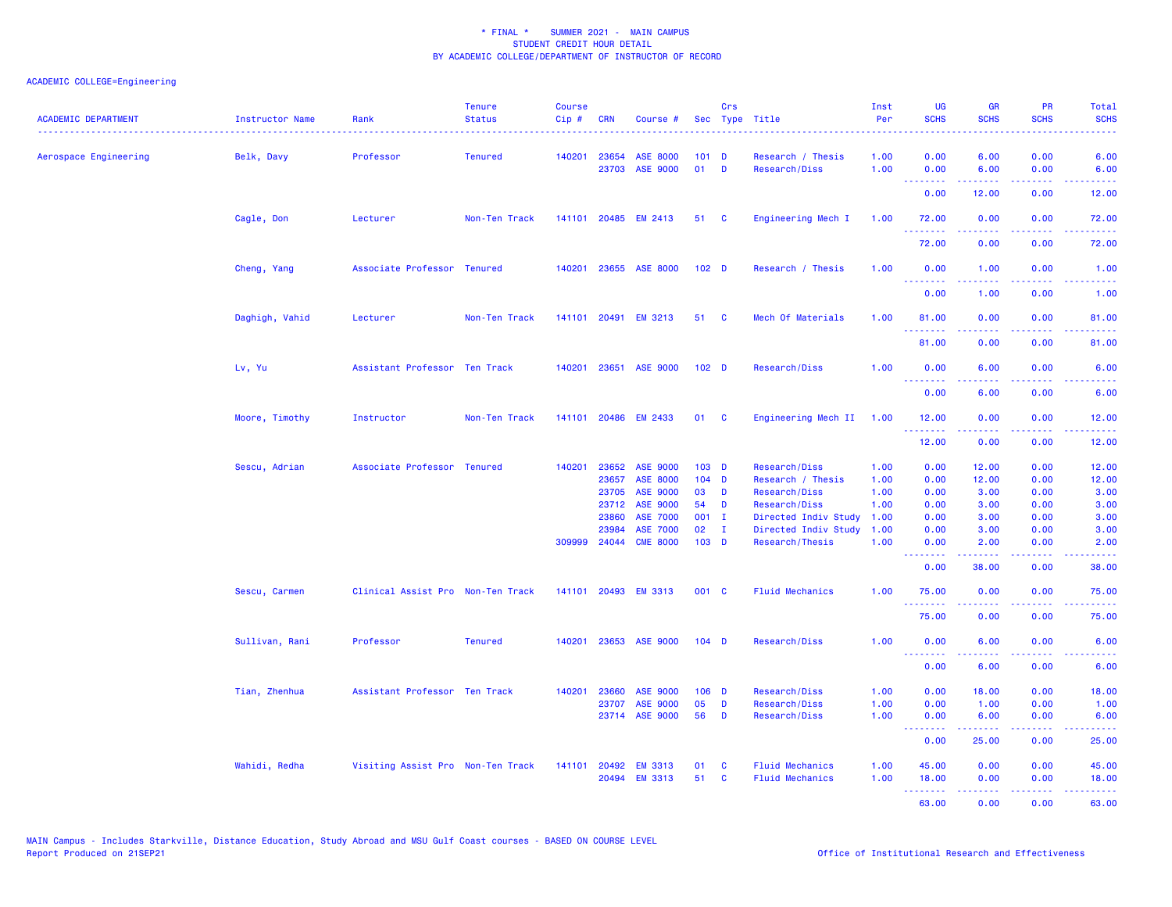| <b>ACADEMIC DEPARTMENT</b> | Instructor Name | Rank                              | <b>Tenure</b><br><b>Status</b> | <b>Course</b><br>Cip# | <b>CRN</b>     | Course #                           |                  | Crs               | Sec Type Title                     | Inst<br>Per  | <b>UG</b><br><b>SCHS</b>        | <b>GR</b><br><b>SCHS</b> | PR<br><b>SCHS</b>                                                                                                                 | Total<br><b>SCHS</b>                                                                                                                                         |
|----------------------------|-----------------|-----------------------------------|--------------------------------|-----------------------|----------------|------------------------------------|------------------|-------------------|------------------------------------|--------------|---------------------------------|--------------------------|-----------------------------------------------------------------------------------------------------------------------------------|--------------------------------------------------------------------------------------------------------------------------------------------------------------|
| Aerospace Engineering      | Belk, Davy      | Professor                         | <b>Tenured</b>                 | 140201                | 23654<br>23703 | <b>ASE 8000</b><br><b>ASE 9000</b> | 101<br>01        | D<br>$\mathbf{D}$ | Research / Thesis<br>Research/Diss | 1.00<br>1.00 | 0.00<br>0.00                    | 6.00<br>6.00             | 0.00<br>0.00                                                                                                                      | 6.00<br>6.00                                                                                                                                                 |
|                            |                 |                                   |                                |                       |                |                                    |                  |                   |                                    |              | <u> - - - - - - - -</u><br>0.00 | .<br>12.00               | .<br>0.00                                                                                                                         | $\frac{1}{2} \left( \frac{1}{2} \right) \left( \frac{1}{2} \right) \left( \frac{1}{2} \right) \left( \frac{1}{2} \right)$<br>12.00                           |
|                            | Cagle, Don      | Lecturer                          | Non-Ten Track                  | 141101                |                | 20485 EM 2413                      | 51               | $\mathbf{C}$      | Engineering Mech I                 | 1.00         | 72.00                           | 0.00                     | 0.00                                                                                                                              | 72.00                                                                                                                                                        |
|                            |                 |                                   |                                |                       |                |                                    |                  |                   |                                    |              | <u>.</u><br>72.00               | .<br>0.00                | $\frac{1}{2} \left( \frac{1}{2} \right) \left( \frac{1}{2} \right) \left( \frac{1}{2} \right) \left( \frac{1}{2} \right)$<br>0.00 | د د د د د<br>72.00                                                                                                                                           |
|                            | Cheng, Yang     | Associate Professor Tenured       |                                |                       |                | 140201 23655 ASE 8000              | 102 <sub>D</sub> |                   | Research / Thesis                  | 1.00         | 0.00                            | 1.00                     | 0.00                                                                                                                              | 1.00                                                                                                                                                         |
|                            |                 |                                   |                                |                       |                |                                    |                  |                   |                                    |              | <u>.</u><br>0.00                | 1.00                     | 0.00                                                                                                                              | $\frac{1}{2} \left( \frac{1}{2} \right) \left( \frac{1}{2} \right) \left( \frac{1}{2} \right) \left( \frac{1}{2} \right)$<br>1.00                            |
|                            | Daghigh, Vahid  | Lecturer                          | Non-Ten Track                  |                       |                | 141101 20491 EM 3213               | 51               | <b>C</b>          | Mech Of Materials                  | 1.00         | 81.00<br>.                      | 0.00<br>.                | 0.00<br>المتحدث                                                                                                                   | 81.00<br>وعاعاها                                                                                                                                             |
|                            |                 |                                   |                                |                       |                |                                    |                  |                   |                                    |              | 81.00                           | 0.00                     | 0.00                                                                                                                              | 81.00                                                                                                                                                        |
|                            | Lv, Yu          | Assistant Professor Ten Track     |                                | 140201                |                | 23651 ASE 9000                     | 102 <sub>D</sub> |                   | Research/Diss                      | 1.00         | 0.00<br><u> - - - - - - - -</u> | 6.00<br><b>.</b>         | 0.00<br>.                                                                                                                         | 6.00<br>$\frac{1}{2} \left( \frac{1}{2} \right) \left( \frac{1}{2} \right) \left( \frac{1}{2} \right) \left( \frac{1}{2} \right)$                            |
|                            |                 |                                   |                                |                       |                |                                    |                  |                   |                                    |              | 0.00                            | 6.00                     | 0.00                                                                                                                              | 6.00                                                                                                                                                         |
|                            | Moore, Timothy  | Instructor                        | Non-Ten Track                  | 141101                |                | 20486 EM 2433                      | 01               | <b>C</b>          | Engineering Mech II                | 1.00         | 12.00<br>.                      | 0.00<br>.                | 0.00<br>د د د د .                                                                                                                 | 12.00<br>.                                                                                                                                                   |
|                            |                 |                                   |                                |                       |                |                                    |                  |                   |                                    |              | 12.00                           | 0.00                     | 0.00                                                                                                                              | 12.00                                                                                                                                                        |
|                            | Sescu, Adrian   | Associate Professor Tenured       |                                | 140201                | 23652          | <b>ASE 9000</b>                    | 103 <sub>D</sub> |                   | <b>Research/Diss</b>               | 1.00         | 0.00                            | 12.00                    | 0.00                                                                                                                              | 12.00                                                                                                                                                        |
|                            |                 |                                   |                                |                       | 23657          | <b>ASE 8000</b>                    | $104$ D          |                   | Research / Thesis                  | 1.00         | 0.00                            | 12.00                    | 0.00                                                                                                                              | 12.00                                                                                                                                                        |
|                            |                 |                                   |                                |                       | 23705          | <b>ASE 9000</b>                    | 03               | <b>D</b>          | Research/Diss                      | 1.00         | 0.00                            | 3.00                     | 0.00                                                                                                                              | 3.00                                                                                                                                                         |
|                            |                 |                                   |                                |                       | 23712          | <b>ASE 9000</b>                    | 54               | D                 | <b>Research/Diss</b>               | 1.00         | 0.00                            | 3.00                     | 0.00                                                                                                                              | 3.00                                                                                                                                                         |
|                            |                 |                                   |                                |                       | 23860          | <b>ASE 7000</b>                    | $001$ I          |                   | Directed Indiv Study               | 1.00         | 0.00                            | 3.00                     | 0.00                                                                                                                              | 3.00                                                                                                                                                         |
|                            |                 |                                   |                                |                       | 23984          | <b>ASE 7000</b>                    | 02 <sub>o</sub>  | $\mathbf{I}$      | Directed Indiv Study               | 1.00         | 0.00                            | 3.00                     | 0.00                                                                                                                              | 3.00                                                                                                                                                         |
|                            |                 |                                   |                                | 309999                | 24044          | <b>CME 8000</b>                    | $103$ D          |                   | Research/Thesis                    | 1.00         | 0.00<br>.                       | 2.00<br>.                | 0.00<br>.                                                                                                                         | 2.00<br>$\frac{1}{2} \left( \frac{1}{2} \right) \left( \frac{1}{2} \right) \left( \frac{1}{2} \right) \left( \frac{1}{2} \right) \left( \frac{1}{2} \right)$ |
|                            |                 |                                   |                                |                       |                |                                    |                  |                   |                                    |              | 0.00                            | 38.00                    | 0.00                                                                                                                              | 38.00                                                                                                                                                        |
|                            | Sescu, Carmen   | Clinical Assist Pro Non-Ten Track |                                |                       |                | 141101 20493 EM 3313               | 001 C            |                   | <b>Fluid Mechanics</b>             | 1.00         | 75.00<br>.                      | 0.00                     | 0.00                                                                                                                              | 75.00<br>.                                                                                                                                                   |
|                            |                 |                                   |                                |                       |                |                                    |                  |                   |                                    |              | 75.00                           | 0.00                     | 0.00                                                                                                                              | 75.00                                                                                                                                                        |
|                            | Sullivan, Rani  | Professor                         | <b>Tenured</b>                 | 140201                |                | 23653 ASE 9000                     | $104$ D          |                   | <b>Research/Diss</b>               | 1.00         | 0.00<br>.                       | 6.00<br>.                | 0.00<br>$\frac{1}{2} \left( \frac{1}{2} \right) \left( \frac{1}{2} \right) \left( \frac{1}{2} \right)$                            | 6.00<br>.                                                                                                                                                    |
|                            |                 |                                   |                                |                       |                |                                    |                  |                   |                                    |              | 0.00                            | 6.00                     | 0.00                                                                                                                              | 6.00                                                                                                                                                         |
|                            | Tian, Zhenhua   | Assistant Professor Ten Track     |                                | 140201                | 23660          | ASE 9000                           | $106$ D          |                   | <b>Research/Diss</b>               | 1.00         | 0.00                            | 18.00                    | 0.00                                                                                                                              | 18.00                                                                                                                                                        |
|                            |                 |                                   |                                |                       | 23707          | ASE 9000                           | 05               | D                 | <b>Research/Diss</b>               | 1.00         | 0.00                            | 1.00                     | 0.00                                                                                                                              | 1.00                                                                                                                                                         |
|                            |                 |                                   |                                |                       |                | 23714 ASE 9000                     | 56               | D                 | <b>Research/Diss</b>               | 1.00         | 0.00<br><b>.</b> .              | 6.00<br>الدامات مال      | 0.00<br>.                                                                                                                         | 6.00<br>.                                                                                                                                                    |
|                            |                 |                                   |                                |                       |                |                                    |                  |                   |                                    |              | 0.00                            | 25.00                    | 0.00                                                                                                                              | 25.00                                                                                                                                                        |
|                            | Wahidi, Redha   | Visiting Assist Pro Non-Ten Track |                                | 141101                | 20492          | <b>EM 3313</b>                     | 01               | C                 | <b>Fluid Mechanics</b>             | 1.00         | 45.00                           | 0.00                     | 0.00                                                                                                                              | 45.00                                                                                                                                                        |
|                            |                 |                                   |                                |                       | 20494          | <b>EM 3313</b>                     | 51               | <b>C</b>          | <b>Fluid Mechanics</b>             | 1.00         | 18.00                           | 0.00                     | 0.00                                                                                                                              | 18.00                                                                                                                                                        |
|                            |                 |                                   |                                |                       |                |                                    |                  |                   |                                    |              | .                               | 22222                    | 22222                                                                                                                             | .                                                                                                                                                            |
|                            |                 |                                   |                                |                       |                |                                    |                  |                   |                                    |              | 63.00                           | 0.00                     | 0.00                                                                                                                              | 63.00                                                                                                                                                        |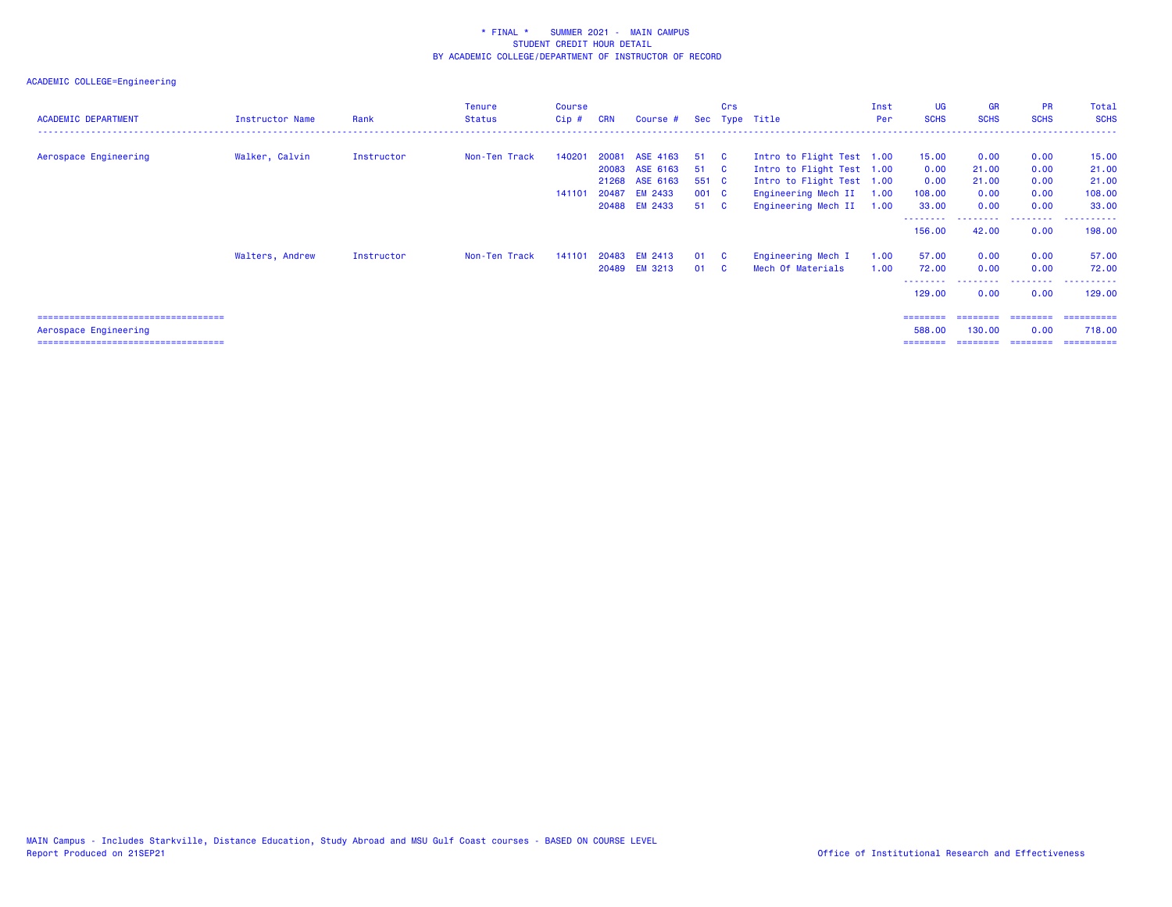| <b>ACADEMIC DEPARTMENT</b>                                      | <b>Instructor Name</b> | Rank       | <b>Tenure</b><br><b>Status</b> | Course<br>$Cip$ # | <b>CRN</b> | Course #                                          |                        | Crs                            | Sec Type Title                                                          | Inst<br>Per  | <b>UG</b><br><b>SCHS</b>       | <b>GR</b><br><b>SCHS</b>       | <b>PR</b><br><b>SCHS</b>       | <b>Total</b><br><b>SCHS</b>        |
|-----------------------------------------------------------------|------------------------|------------|--------------------------------|-------------------|------------|---------------------------------------------------|------------------------|--------------------------------|-------------------------------------------------------------------------|--------------|--------------------------------|--------------------------------|--------------------------------|------------------------------------|
| Aerospace Engineering                                           | Walker, Calvin         | Instructor | Non-Ten Track                  | 140201            | 20081      | ASE 4163<br>20083 ASE 6163                        | 51<br>51               | $\mathbf{C}$<br>$\overline{c}$ | Intro to Flight Test 1.00<br>Intro to Flight Test 1.00                  |              | 15.00<br>0.00                  | 0.00<br>21.00                  | 0.00<br>0.00                   | 15.00<br>21.00                     |
|                                                                 |                        |            |                                | 141101            | 20487      | 21268 ASE 6163<br><b>EM 2433</b><br>20488 EM 2433 | 551 C<br>001 C<br>51 C |                                | Intro to Flight Test 1.00<br>Engineering Mech II<br>Engineering Mech II | 1.00<br>1.00 | 0.00<br>108.00<br>33.00        | 21.00<br>0.00<br>0.00          | 0.00<br>0.00<br>0.00           | 21.00<br>108.00<br>33.00           |
|                                                                 |                        |            |                                |                   |            |                                                   |                        |                                |                                                                         |              | - - - - - - - -<br>156.00      | 42.00                          | 0.00                           | 198.00                             |
|                                                                 | Walters, Andrew        | Instructor | Non-Ten Track                  | 141101            |            | 20483 EM 2413<br>20489 EM 3213                    | 01<br>01               | - C<br>- C                     | Engineering Mech I<br>Mech Of Materials                                 | 1.00<br>1.00 | 57.00<br>72.00<br>129.00       | 0.00<br>0.00<br>0.00           | 0.00<br>0.00<br>0.00           | 57.00<br>72.00<br>129,00           |
| Aerospace Engineering<br>====================================== |                        |            |                                |                   |            |                                                   |                        |                                |                                                                         |              | ========<br>588,00<br>======== | ========<br>130.00<br>======== | ---------<br>0.00<br>--------- | ==========<br>718.00<br>========== |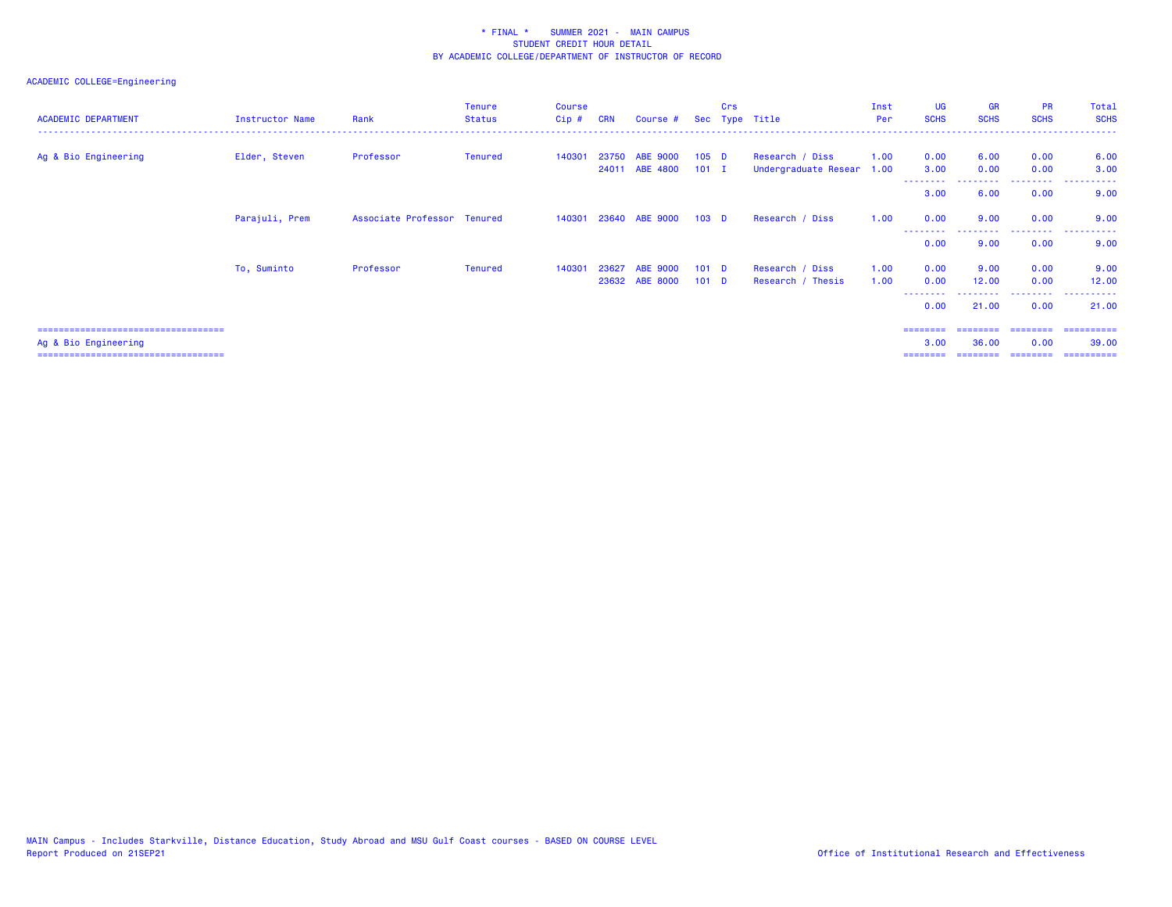## ACADEMIC COLLEGE=Engineering

| <b>ACADEMIC DEPARTMENT</b> | Instructor Name | Rank                        | Tenure<br><b>Status</b> | Course<br>Cip # | <b>CRN</b> | Course #       |                  | Crs | Sec Type Title            | Inst<br>Per | <b>UG</b><br><b>SCHS</b> | <b>GR</b><br><b>SCHS</b> | <b>PR</b><br><b>SCHS</b> | Total<br><b>SCHS</b> |
|----------------------------|-----------------|-----------------------------|-------------------------|-----------------|------------|----------------|------------------|-----|---------------------------|-------------|--------------------------|--------------------------|--------------------------|----------------------|
| Ag & Bio Engineering       | Elder, Steven   | Professor                   | Tenured                 | 140301          |            | 23750 ABE 9000 | 105 <sub>D</sub> |     | Research / Diss           | 1.00        | 0.00                     | 6.00                     | 0.00                     | 6.00                 |
|                            |                 |                             |                         |                 |            | 24011 ABE 4800 | $101$ I          |     | Undergraduate Resear 1.00 |             | 3.00<br>--------         | 0.00                     | 0.00                     | 3.00                 |
|                            |                 |                             |                         |                 |            |                |                  |     |                           |             | 3.00                     | 6.00                     | 0.00                     | 9.00                 |
|                            | Parajuli, Prem  | Associate Professor Tenured |                         | 140301          |            | 23640 ABE 9000 | 103 <sub>D</sub> |     | Research / Diss           | 1.00        | 0.00                     | 9.00                     | 0.00                     | 9.00                 |
|                            |                 |                             |                         |                 |            |                |                  |     |                           |             | --------<br>0.00         | 9.00                     | 0.00                     | 9.00                 |
|                            | To, Suminto     | Professor                   | Tenured                 | 140301          | 23627      | ABE 9000       | 101 <sub>D</sub> |     | Research / Diss           | 1.00        | 0.00                     | 9.00                     | 0.00                     | 9.00                 |
|                            |                 |                             |                         |                 |            | 23632 ABE 8000 | $101$ D          |     | Research / Thesis         | 1.00        | 0.00<br>.                | 12.00<br>---------       | 0.00<br>.                | 12.00<br>.           |
|                            |                 |                             |                         |                 |            |                |                  |     |                           |             | 0.00                     | 21.00                    | 0.00                     | 21,00                |

=================================== ======== ======== ======== ==========

 Ag & Bio Engineering 3.00 36.00 0.00 39.00 =================================== ======== ======== ======== ==========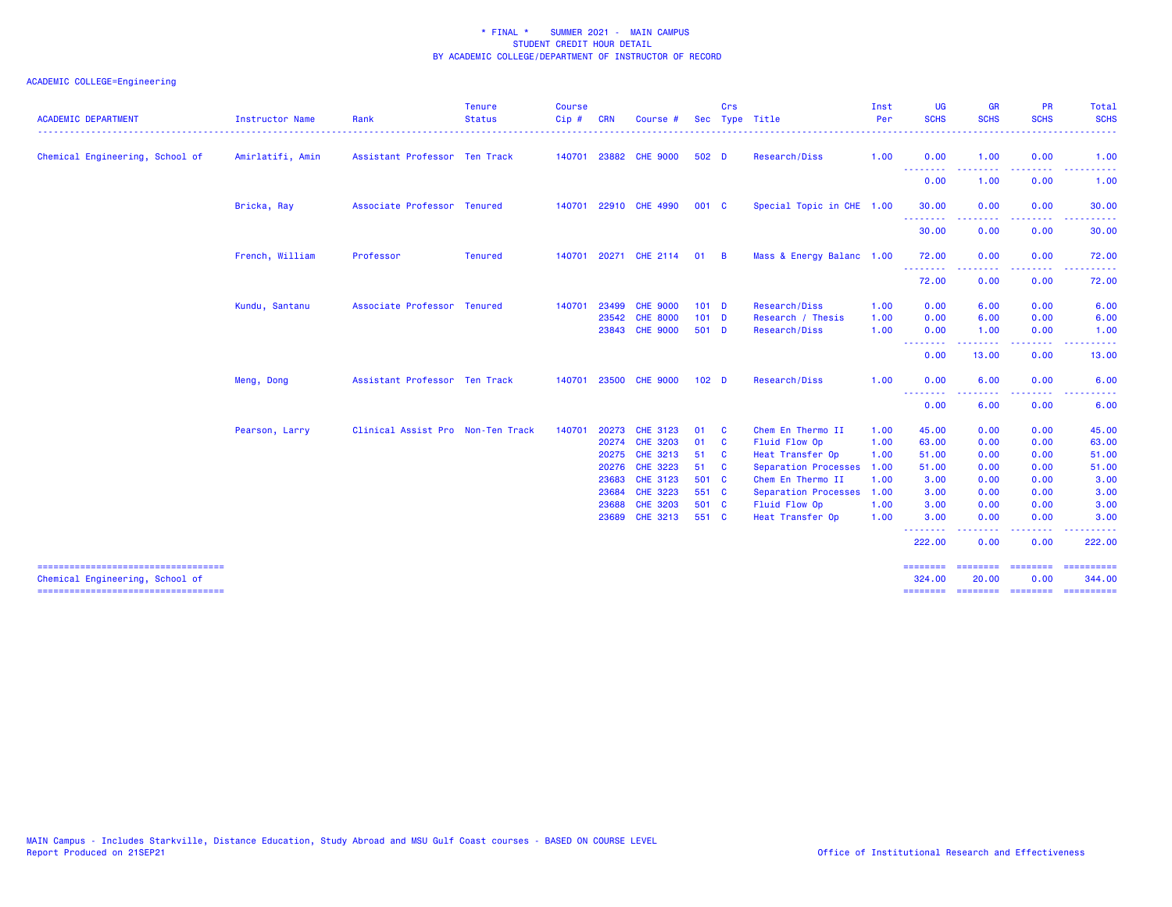| <b>ACADEMIC DEPARTMENT</b>                                               | Instructor Name  | Rank                              | <b>Tenure</b><br><b>Status</b> | <b>Course</b><br>Cip# | <b>CRN</b>     | Course                      |                  | Crs          | Sec Type Title                    | Inst<br>Per  | <b>UG</b><br><b>SCHS</b>                                    | <b>GR</b><br><b>SCHS</b>                                                                                                                                     | <b>PR</b><br><b>SCHS</b> | Total<br><b>SCHS</b><br>$   -$ |
|--------------------------------------------------------------------------|------------------|-----------------------------------|--------------------------------|-----------------------|----------------|-----------------------------|------------------|--------------|-----------------------------------|--------------|-------------------------------------------------------------|--------------------------------------------------------------------------------------------------------------------------------------------------------------|--------------------------|--------------------------------|
| Chemical Engineering, School of                                          | Amirlatifi, Amin | Assistant Professor Ten Track     |                                |                       |                | 140701 23882 CHE 9000       | 502 D            |              | Research/Diss                     | 1.00         | 0.00                                                        | 1.00                                                                                                                                                         | 0.00<br>.                | 1.00                           |
|                                                                          |                  |                                   |                                |                       |                |                             |                  |              |                                   |              | 0.00                                                        | $\frac{1}{2} \left( \frac{1}{2} \right) \left( \frac{1}{2} \right) \left( \frac{1}{2} \right) \left( \frac{1}{2} \right) \left( \frac{1}{2} \right)$<br>1.00 | 0.00                     | . <u>.</u> .<br>1.00           |
|                                                                          | Bricka, Ray      | Associate Professor Tenured       |                                |                       |                | 140701 22910 CHE 4990       | 001 C            |              | Special Topic in CHE 1.00         |              | 30.00                                                       | 0.00                                                                                                                                                         | 0.00                     | 30.00                          |
|                                                                          |                  |                                   |                                |                       |                |                             |                  |              |                                   |              | <u>.</u><br>30.00                                           | -----<br>0.00                                                                                                                                                | $- - - -$<br>0.00        | -----<br>30.00                 |
|                                                                          | French, William  | Professor                         | <b>Tenured</b>                 |                       |                | 140701 20271 CHE 2114 01    |                  | <b>B</b>     | Mass & Energy Balanc 1.00         |              | 72.00                                                       | 0.00                                                                                                                                                         | 0.00                     | 72.00                          |
|                                                                          |                  |                                   |                                |                       |                |                             |                  |              |                                   |              | <b><i><u><u><b>A</b></u></u> A A A A A A A</i></b><br>72.00 | -----<br>0.00                                                                                                                                                | 0.00                     | 72.00                          |
|                                                                          | Kundu, Santanu   | Associate Professor Tenured       |                                | 140701                | 23499          | <b>CHE 9000</b>             | $101$ D          |              | Research/Diss                     | 1.00         | 0.00                                                        | 6.00                                                                                                                                                         | 0.00                     | 6.00                           |
|                                                                          |                  |                                   |                                |                       |                | 23542 CHE 8000              | $101$ D          |              | Research / Thesis                 | 1.00         | 0.00                                                        | 6.00                                                                                                                                                         | 0.00                     | 6.00                           |
|                                                                          |                  |                                   |                                |                       |                | 23843 CHE 9000              | 501 D            |              | Research/Diss                     | 1.00         | 0.00<br>.                                                   | 1.00<br>.                                                                                                                                                    | 0.00<br>المستمال         | 1.00                           |
|                                                                          |                  |                                   |                                |                       |                |                             |                  |              |                                   |              | 0.00                                                        | 13.00                                                                                                                                                        | 0.00                     | 13.00                          |
|                                                                          | Meng, Dong       | Assistant Professor Ten Track     |                                |                       |                | 140701 23500 CHE 9000       | 102 <sub>D</sub> |              | Research/Diss                     | 1.00         | 0.00                                                        | 6.00                                                                                                                                                         | 0.00                     | 6.00                           |
|                                                                          |                  |                                   |                                |                       |                |                             |                  |              |                                   |              | الداعات عادة<br>0.00                                        | 6.00                                                                                                                                                         | 0.00                     | 6.00                           |
|                                                                          | Pearson, Larry   | Clinical Assist Pro Non-Ten Track |                                | 140701                | 20273          | <b>CHE 3123</b>             | 01               | <b>C</b>     | Chem En Thermo II                 | 1.00         | 45.00                                                       | 0.00                                                                                                                                                         | 0.00                     | 45.00                          |
|                                                                          |                  |                                   |                                |                       |                | 20274 CHE 3203              | 01               | $\mathbf{C}$ | Fluid Flow Op                     | 1.00         | 63.00                                                       | 0.00                                                                                                                                                         | 0.00                     | 63.00                          |
|                                                                          |                  |                                   |                                |                       |                | 20275 CHE 3213              | 51               | $\mathbf{C}$ | Heat Transfer Op                  | 1.00         | 51.00                                                       | 0.00                                                                                                                                                         | 0.00                     | 51.00                          |
|                                                                          |                  |                                   |                                |                       |                | 20276 CHE 3223              | 51 C             |              | Separation Processes              | 1.00         | 51.00                                                       | 0.00                                                                                                                                                         | 0.00                     | 51.00                          |
|                                                                          |                  |                                   |                                |                       | 23683          | CHE 3123                    | 501 C            |              | Chem En Thermo II                 | 1.00         | 3.00                                                        | 0.00                                                                                                                                                         | 0.00                     | 3.00                           |
|                                                                          |                  |                                   |                                |                       | 23684          | <b>CHE 3223</b>             | 551 C            |              | <b>Separation Processes</b>       | 1.00         | 3.00                                                        | 0.00                                                                                                                                                         | 0.00                     | 3.00                           |
|                                                                          |                  |                                   |                                |                       | 23688<br>23689 | <b>CHE 3203</b><br>CHE 3213 | 501 C<br>551 C   |              | Fluid Flow Op<br>Heat Transfer Op | 1.00<br>1.00 | 3.00<br>3.00                                                | 0.00<br>0.00                                                                                                                                                 | 0.00<br>0.00             | 3.00<br>3.00                   |
|                                                                          |                  |                                   |                                |                       |                |                             |                  |              |                                   |              | .                                                           | . <b>.</b> .                                                                                                                                                 | .                        | ------                         |
|                                                                          |                  |                                   |                                |                       |                |                             |                  |              |                                   |              | 222.00                                                      | 0.00                                                                                                                                                         | 0.00                     | 222.00                         |
| =====================================<br>Chemical Engineering, School of |                  |                                   |                                |                       |                |                             |                  |              |                                   |              | $=$ = = = = = = =<br>324.00                                 | 20.00                                                                                                                                                        | ========<br>0.00         | ==========<br>344.00           |
| =====================================                                    |                  |                                   |                                |                       |                |                             |                  |              |                                   |              | ========                                                    | <b>ESSESSES</b>                                                                                                                                              | <b>CONSISTER</b>         | ==========                     |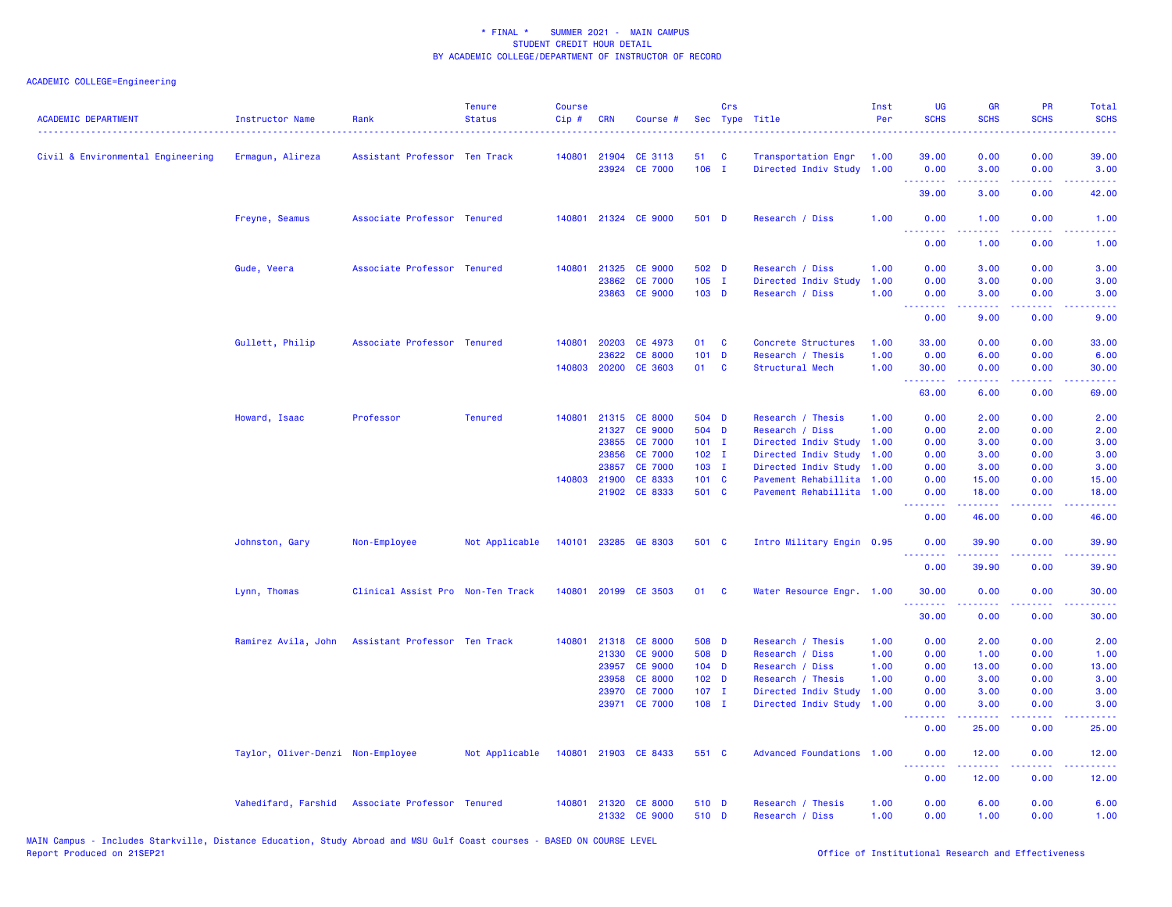| <b>ACADEMIC DEPARTMENT</b><br>------------------------------------ | <b>Instructor Name</b><br><u>.</u> | Rank                                            | <b>Tenure</b><br><b>Status</b> | <b>Course</b><br>Cip# | <b>CRN</b>   | Course #             |                  | Crs      | Sec Type Title            | Inst<br>Per | UG<br><b>SCHS</b>                                  | <b>GR</b><br><b>SCHS</b>                                                                                                                                      | PR<br><b>SCHS</b>                   | Total<br><b>SCHS</b>                                                                                                              |
|--------------------------------------------------------------------|------------------------------------|-------------------------------------------------|--------------------------------|-----------------------|--------------|----------------------|------------------|----------|---------------------------|-------------|----------------------------------------------------|---------------------------------------------------------------------------------------------------------------------------------------------------------------|-------------------------------------|-----------------------------------------------------------------------------------------------------------------------------------|
| Civil & Environmental Engineering                                  | Ermagun, Alireza                   | Assistant Professor Ten Track                   |                                |                       | 140801 21904 | CE 3113              | 51               | C        | Transportation Engr       | 1.00        | 39.00                                              | 0.00                                                                                                                                                          | 0.00                                | 39.00                                                                                                                             |
|                                                                    |                                    |                                                 |                                |                       | 23924        | <b>CE 7000</b>       | $106$ I          |          | Directed Indiv Study 1.00 |             | 0.00<br>.                                          | 3.00<br>.                                                                                                                                                     | 0.00<br>$\sim$ $\sim$ $\sim$ $\sim$ | 3.00<br>وعاعاتها                                                                                                                  |
|                                                                    |                                    |                                                 |                                |                       |              |                      |                  |          |                           |             | 39.00                                              | 3.00                                                                                                                                                          | 0.00                                | 42.00                                                                                                                             |
|                                                                    | Freyne, Seamus                     | Associate Professor Tenured                     |                                | 140801                |              | 21324 CE 9000        | 501 D            |          | Research / Diss           | 1.00        | 0.00                                               | 1.00                                                                                                                                                          | 0.00<br>.                           | 1.00<br>المالمانية الم                                                                                                            |
|                                                                    |                                    |                                                 |                                |                       |              |                      |                  |          |                           |             | <u> - - - - - - - -</u><br>0.00                    | .<br>1.00                                                                                                                                                     | 0.00                                | 1.00                                                                                                                              |
|                                                                    | Gude, Veera                        | Associate Professor Tenured                     |                                |                       |              | 140801 21325 CE 9000 | 502 D            |          | Research / Diss           | 1.00        | 0.00                                               | 3.00                                                                                                                                                          | 0.00                                | 3.00                                                                                                                              |
|                                                                    |                                    |                                                 |                                |                       | 23862        | <b>CE 7000</b>       | $105$ I          |          | Directed Indiv Study      | 1.00        | 0.00                                               | 3.00                                                                                                                                                          | 0.00                                | 3.00                                                                                                                              |
|                                                                    |                                    |                                                 |                                |                       |              | 23863 CE 9000        | 103 D            |          | Research / Diss           | 1.00        | 0.00<br><b><i><u><u> - - - - - - -</u></u></i></b> | 3.00<br>.                                                                                                                                                     | 0.00<br>والمحامر                    | 3.00<br>2222.                                                                                                                     |
|                                                                    |                                    |                                                 |                                |                       |              |                      |                  |          |                           |             | 0.00                                               | 9.00                                                                                                                                                          | 0.00                                | 9.00                                                                                                                              |
|                                                                    | Gullett, Philip                    | Associate Professor Tenured                     |                                | 140801                | 20203        | CE 4973              | 01               | C        | Concrete Structures       | 1.00        | 33.00                                              | 0.00                                                                                                                                                          | 0.00                                | 33.00                                                                                                                             |
|                                                                    |                                    |                                                 |                                |                       | 23622        | <b>CE 8000</b>       | 101              | <b>D</b> | Research / Thesis         | 1.00        | 0.00                                               | 6.00                                                                                                                                                          | 0.00                                | 6.00                                                                                                                              |
|                                                                    |                                    |                                                 |                                | 140803                | 20200        | CE 3603              | 01               | C        | Structural Mech           | 1.00        | 30.00<br>.                                         | 0.00                                                                                                                                                          | 0.00<br>.                           | 30.00<br>$\omega_{\rm c}$ and $\omega_{\rm c}$                                                                                    |
|                                                                    |                                    |                                                 |                                |                       |              |                      |                  |          |                           |             | 63.00                                              | 6.00                                                                                                                                                          | 0.00                                | 69.00                                                                                                                             |
|                                                                    | Howard, Isaac                      | Professor                                       | <b>Tenured</b>                 | 140801                |              | 21315 CE 8000        | 504 D            |          | Research / Thesis         | 1.00        | 0.00                                               | 2.00                                                                                                                                                          | 0.00                                | 2.00                                                                                                                              |
|                                                                    |                                    |                                                 |                                |                       | 21327        | <b>CE 9000</b>       | 504 D            |          | Research / Diss           | 1.00        | 0.00                                               | 2.00                                                                                                                                                          | 0.00                                | 2.00                                                                                                                              |
|                                                                    |                                    |                                                 |                                |                       | 23855        | <b>CE 7000</b>       | $101$ I          |          | Directed Indiv Study      | 1.00        | 0.00                                               | 3.00                                                                                                                                                          | 0.00                                | 3.00                                                                                                                              |
|                                                                    |                                    |                                                 |                                |                       | 23856        | <b>CE 7000</b>       | $102$ I          |          | Directed Indiv Study      | 1.00        | 0.00                                               | 3.00                                                                                                                                                          | 0.00                                | 3.00                                                                                                                              |
|                                                                    |                                    |                                                 |                                |                       | 23857        | <b>CE 7000</b>       | $103$ I          |          | Directed Indiv Study      | 1.00        | 0.00                                               | 3.00                                                                                                                                                          | 0.00                                | 3.00                                                                                                                              |
|                                                                    |                                    |                                                 |                                |                       | 140803 21900 | CE 8333              | 101 C            |          | Pavement Rehabillita      | 1.00        | 0.00                                               | 15.00                                                                                                                                                         | 0.00                                | 15.00                                                                                                                             |
|                                                                    |                                    |                                                 |                                |                       |              | 21902 CE 8333        | 501 C            |          | Pavement Rehabillita 1.00 |             | 0.00<br>.                                          | 18.00<br>$\frac{1}{2} \left( \frac{1}{2} \right) \left( \frac{1}{2} \right) \left( \frac{1}{2} \right) \left( \frac{1}{2} \right) \left( \frac{1}{2} \right)$ | 0.00<br>.                           | 18.00<br>وبالأباب                                                                                                                 |
|                                                                    |                                    |                                                 |                                |                       |              |                      |                  |          |                           |             | 0.00                                               | 46.00                                                                                                                                                         | 0.00                                | 46.00                                                                                                                             |
|                                                                    | Johnston, Gary                     | Non-Employee                                    | Not Applicable                 | 140101                |              | 23285 GE 8303        | 501 C            |          | Intro Military Engin 0.95 |             | 0.00<br>.                                          | 39.90<br>22222                                                                                                                                                | 0.00<br>$\sim$ $\sim$ $\sim$ $\sim$ | 39.90<br>.                                                                                                                        |
|                                                                    |                                    |                                                 |                                |                       |              |                      |                  |          |                           |             | 0.00                                               | 39.90                                                                                                                                                         | 0.00                                | 39.90                                                                                                                             |
|                                                                    | Lynn, Thomas                       | Clinical Assist Pro Non-Ten Track               |                                | 140801                |              | 20199 CE 3503        | 01               | <b>C</b> | Water Resource Engr. 1.00 |             | 30.00                                              | 0.00                                                                                                                                                          | 0.00                                | 30.00                                                                                                                             |
|                                                                    |                                    |                                                 |                                |                       |              |                      |                  |          |                           |             | 30.00                                              | 0.00                                                                                                                                                          | 0.00                                | 30.00                                                                                                                             |
|                                                                    | Ramirez Avila, John                | Assistant Professor Ten Track                   |                                | 140801                |              | 21318 CE 8000        | 508 D            |          | Research / Thesis         | 1.00        | 0.00                                               | 2.00                                                                                                                                                          | 0.00                                | 2.00                                                                                                                              |
|                                                                    |                                    |                                                 |                                |                       | 21330        | <b>CE 9000</b>       | 508 D            |          | Research / Diss           | 1.00        | 0.00                                               | 1.00                                                                                                                                                          | 0.00                                | 1.00                                                                                                                              |
|                                                                    |                                    |                                                 |                                |                       | 23957        | <b>CE 9000</b>       | $104$ D          |          | Research / Diss           | 1.00        | 0.00                                               | 13.00                                                                                                                                                         | 0.00                                | 13.00                                                                                                                             |
|                                                                    |                                    |                                                 |                                |                       | 23958        | <b>CE 8000</b>       | 102 <sub>D</sub> |          | Research / Thesis         | 1.00        | 0.00                                               | 3.00                                                                                                                                                          | 0.00                                | 3.00                                                                                                                              |
|                                                                    |                                    |                                                 |                                |                       | 23970        | <b>CE 7000</b>       | $107$ I          |          | Directed Indiv Study      | 1.00        | 0.00                                               | 3.00                                                                                                                                                          | 0.00                                | 3.00                                                                                                                              |
|                                                                    |                                    |                                                 |                                |                       |              | 23971 CE 7000        | $108$ I          |          | Directed Indiv Study 1.00 |             | 0.00<br><u> - - - - - - - -</u>                    | 3.00<br><u>.</u>                                                                                                                                              | 0.00<br>.                           | 3.00<br>$\frac{1}{2} \left( \frac{1}{2} \right) \left( \frac{1}{2} \right) \left( \frac{1}{2} \right) \left( \frac{1}{2} \right)$ |
|                                                                    |                                    |                                                 |                                |                       |              |                      |                  |          |                           |             | 0.00                                               | 25.00                                                                                                                                                         | 0.00                                | 25.00                                                                                                                             |
|                                                                    | Taylor, Oliver-Denzi Non-Employee  |                                                 | Not Applicable                 | 140801                |              | 21903 CE 8433        | 551 C            |          | Advanced Foundations 1.00 |             | 0.00                                               | 12.00                                                                                                                                                         | 0.00                                | 12.00                                                                                                                             |
|                                                                    |                                    |                                                 |                                |                       |              |                      |                  |          |                           |             | د د د د<br>0.00                                    | 12.00                                                                                                                                                         | د د د د<br>0.00                     | الداعات عاد<br>12.00                                                                                                              |
|                                                                    |                                    | Vahedifard, Farshid Associate Professor Tenured |                                | 140801                |              | 21320 CE 8000        | 510 D            |          | Research / Thesis         | 1.00        | 0.00                                               | 6.00                                                                                                                                                          | 0.00                                | 6.00                                                                                                                              |
|                                                                    |                                    |                                                 |                                |                       |              | 21332 CE 9000        | 510 D            |          | Research / Diss           | 1.00        | 0.00                                               | 1.00                                                                                                                                                          | 0.00                                | 1.00                                                                                                                              |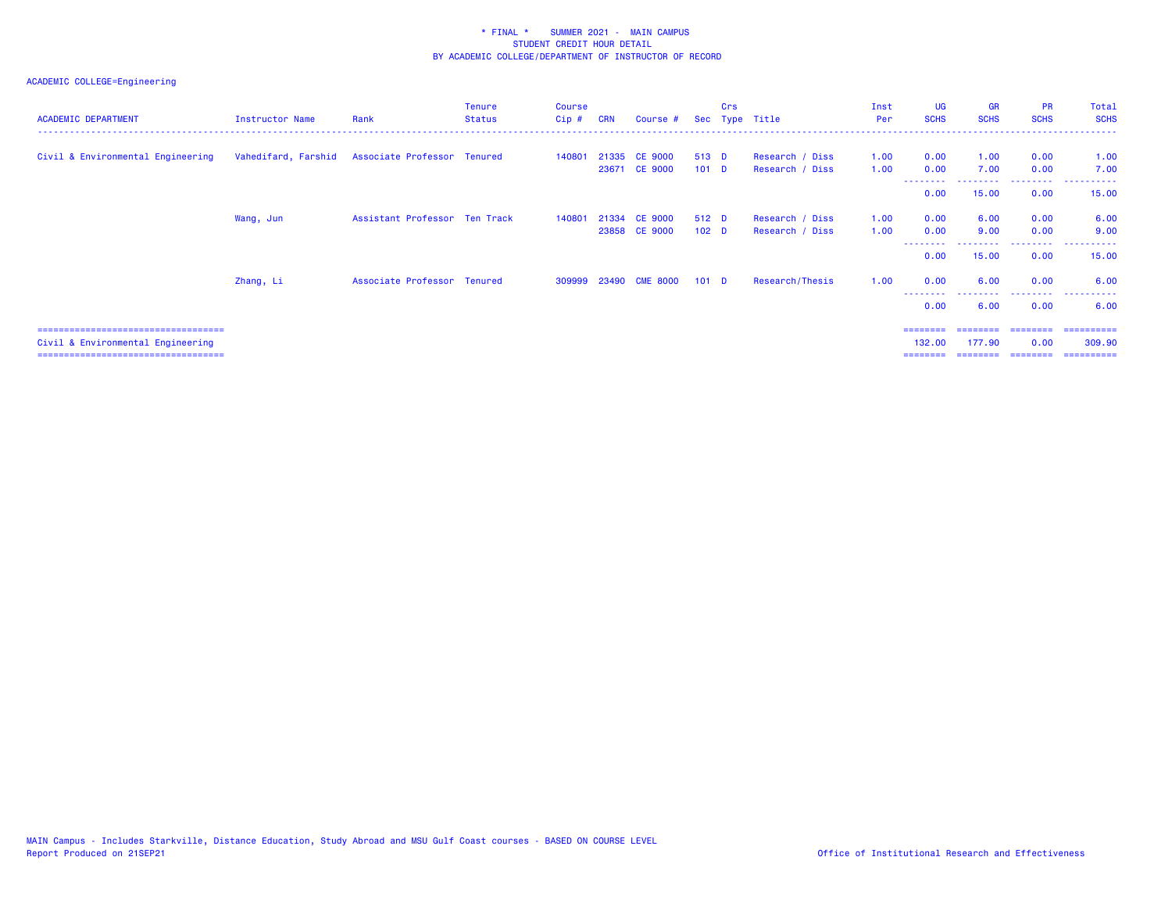## ACADEMIC COLLEGE=Engineering

| <b>ACADEMIC DEPARTMENT</b>          | Instructor Name | Rank                                            | <b>Tenure</b><br><b>Status</b> | <b>Course</b><br>$Cip$ # | <b>CRN</b> | Course #              |                  | <b>Crs</b> | Sec Type Title  | Inst<br>Per | <b>UG</b><br><b>SCHS</b> | <b>GR</b><br><b>SCHS</b> | <b>PR</b><br><b>SCHS</b> | Total<br><b>SCHS</b>  |
|-------------------------------------|-----------------|-------------------------------------------------|--------------------------------|--------------------------|------------|-----------------------|------------------|------------|-----------------|-------------|--------------------------|--------------------------|--------------------------|-----------------------|
| Civil & Environmental Engineering   |                 | Vahedifard, Farshid Associate Professor Tenured |                                | 140801                   |            | 21335 CE 9000         | 513 D            |            | Research / Diss | 1.00        | 0.00                     | 1.00                     | 0.00                     | 1.00                  |
|                                     |                 |                                                 |                                |                          |            | 23671 CE 9000         | 101 <sub>D</sub> |            | Research / Diss | 1.00        | 0.00                     | 7.00                     | 0.00                     | 7.00                  |
|                                     |                 |                                                 |                                |                          |            |                       |                  |            |                 |             | 0.00                     | 15.00                    | .<br>0.00                | . <u>.</u> .<br>15.00 |
|                                     | Wang, Jun       | Assistant Professor Ten Track                   |                                | 140801                   |            | 21334 CE 9000         | 512 D            |            | Research / Diss | 1.00        | 0.00                     | 6.00                     | 0.00                     | 6.00                  |
|                                     |                 |                                                 |                                |                          |            | 23858 CE 9000         | 102 <sub>D</sub> |            | Research / Diss | 1.00        | 0.00                     | 9.00                     | 0.00                     | 9.00                  |
|                                     |                 |                                                 |                                |                          |            |                       |                  |            |                 |             | 0.00                     | 15.00                    | .<br>0.00                | ----------<br>15.00   |
|                                     | Zhang, Li       | Associate Professor Tenured                     |                                |                          |            | 309999 23490 CME 8000 | 101 <sub>D</sub> |            | Research/Thesis | 1.00        | 0.00                     | 6.00                     | 0.00                     | 6.00                  |
|                                     |                 |                                                 |                                |                          |            |                       |                  |            |                 |             | 0.00                     | 6.00                     | 0.00                     | 6.00                  |
| =================================== |                 |                                                 |                                |                          |            |                       |                  |            |                 |             |                          |                          | ========                 | =========             |

 Civil & Environmental Engineering 132.00 177.90 0.00 309.90 =================================== ======== ======== ======== ==========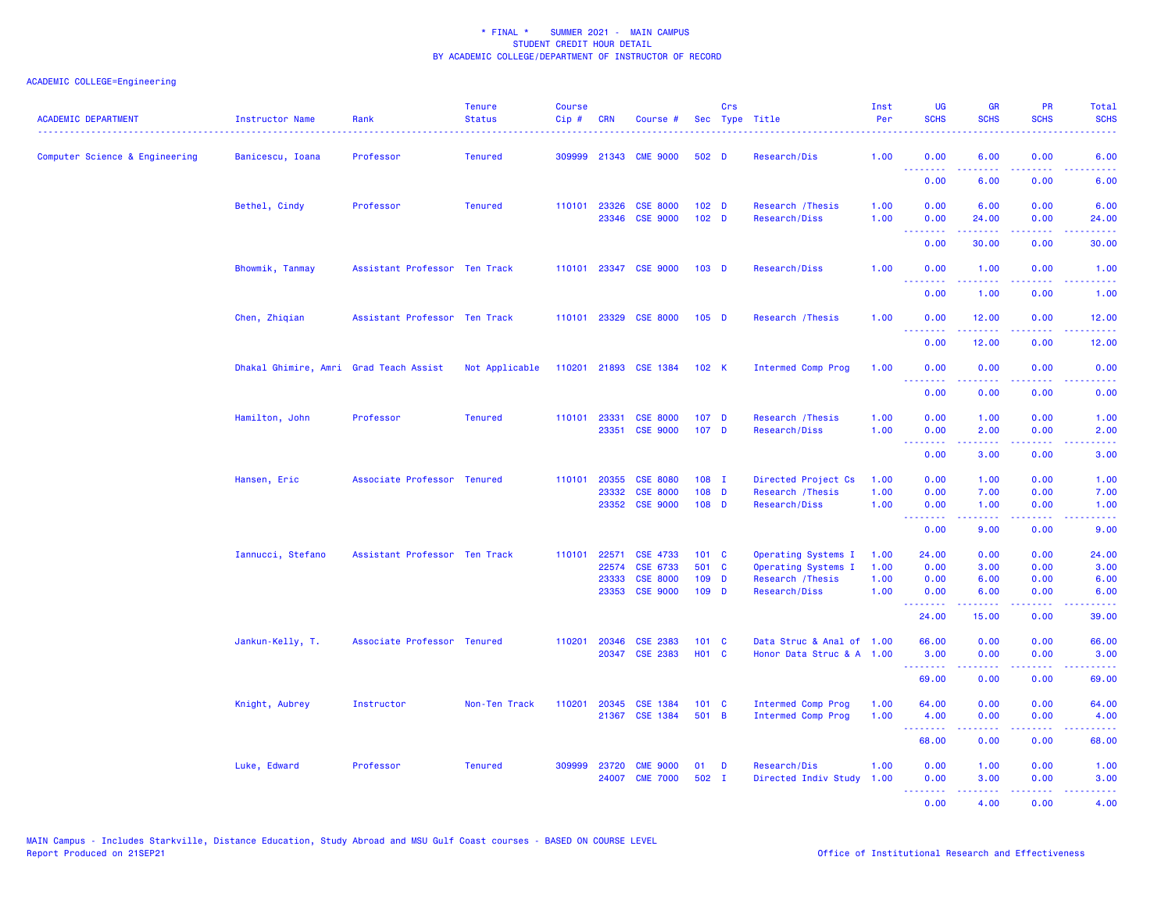| <b>ACADEMIC DEPARTMENT</b>     | Instructor Name                        | Rank                          | <b>Tenure</b><br><b>Status</b> | <b>Course</b><br>Cip# | <b>CRN</b> | Course #                           |                                      | Crs | Sec Type Title                     | Inst<br>Per  | <b>UG</b><br><b>SCHS</b>                           | <b>GR</b><br><b>SCHS</b> | PR<br><b>SCHS</b>                   | <b>Total</b><br><b>SCHS</b>                                                                                                                                  |
|--------------------------------|----------------------------------------|-------------------------------|--------------------------------|-----------------------|------------|------------------------------------|--------------------------------------|-----|------------------------------------|--------------|----------------------------------------------------|--------------------------|-------------------------------------|--------------------------------------------------------------------------------------------------------------------------------------------------------------|
| Computer Science & Engineering | Banicescu, Ioana                       | Professor                     | <b>Tenured</b>                 | 309999                |            | 21343 CME 9000                     | 502 D                                |     | Research/Dis                       | 1.00         | 0.00<br><u>.</u>                                   | 6.00                     | 0.00<br>.                           | 6.00                                                                                                                                                         |
|                                |                                        |                               |                                |                       |            |                                    |                                      |     |                                    |              | 0.00                                               | 6.00                     | 0.00                                | 6.00                                                                                                                                                         |
|                                | Bethel, Cindy                          | Professor                     | <b>Tenured</b>                 | 110101 23326          | 23346      | <b>CSE 8000</b><br><b>CSE 9000</b> | 102 <sub>D</sub><br>102 <sub>D</sub> |     | Research / Thesis<br>Research/Diss | 1.00<br>1.00 | 0.00<br>0.00                                       | 6.00<br>24.00            | 0.00<br>0.00                        | 6.00<br>24.00                                                                                                                                                |
|                                |                                        |                               |                                |                       |            |                                    |                                      |     |                                    |              | .<br>0.00                                          | 30.00                    | $\sim$ $\sim$ $\sim$ $\sim$<br>0.00 | 2222.<br>30.00                                                                                                                                               |
|                                | Bhowmik, Tanmay                        | Assistant Professor Ten Track |                                |                       |            | 110101 23347 CSE 9000              | 103 <sub>D</sub>                     |     | Research/Diss                      | 1.00         | 0.00<br><b><i><u><u> - - - - - - -</u></u></i></b> | 1.00                     | 0.00                                | 1.00<br>$\sim$ $\sim$ $\sim$ $\sim$ $\sim$                                                                                                                   |
|                                |                                        |                               |                                |                       |            |                                    |                                      |     |                                    |              | 0.00                                               | 1.00                     | 0.00                                | 1.00                                                                                                                                                         |
|                                | Chen, Zhiqian                          | Assistant Professor Ten Track |                                |                       |            | 110101 23329 CSE 8000              | $105$ D                              |     | Research / Thesis                  | 1.00         | 0.00<br><u>.</u>                                   | 12.00                    | 0.00<br>.                           | 12.00                                                                                                                                                        |
|                                |                                        |                               |                                |                       |            |                                    |                                      |     |                                    |              | 0.00                                               | 12.00                    | 0.00                                | 12.00                                                                                                                                                        |
|                                | Dhakal Ghimire, Amri Grad Teach Assist |                               | Not Applicable                 |                       |            | 110201 21893 CSE 1384 102 K        |                                      |     | <b>Intermed Comp Prog</b>          | 1.00         | 0.00<br><b><i><u>AAAAAAA</u></i></b>               | 0.00<br>2.2.2.2.2        | 0.00<br>22222                       | 0.00<br>$\frac{1}{2} \left( \frac{1}{2} \right) \left( \frac{1}{2} \right) \left( \frac{1}{2} \right) \left( \frac{1}{2} \right)$                            |
|                                |                                        |                               |                                |                       |            |                                    |                                      |     |                                    |              | 0.00                                               | 0.00                     | 0.00                                | 0.00                                                                                                                                                         |
|                                | Hamilton, John                         | Professor                     | <b>Tenured</b>                 | 110101                | 23331      | <b>CSE 8000</b><br>23351 CSE 9000  | 107 <sub>D</sub><br>107 <sub>D</sub> |     | Research / Thesis<br>Research/Diss | 1.00<br>1.00 | 0.00<br>0.00                                       | 1.00<br>2.00             | 0.00<br>0.00                        | 1.00<br>2.00                                                                                                                                                 |
|                                |                                        |                               |                                |                       |            |                                    |                                      |     |                                    |              | <b><i><u><u> - - - - - - -</u></u></i></b><br>0.00 | .<br>3.00                | .<br>0.00                           | $\frac{1}{2} \left( \frac{1}{2} \right) \left( \frac{1}{2} \right) \left( \frac{1}{2} \right) \left( \frac{1}{2} \right) \left( \frac{1}{2} \right)$<br>3.00 |
|                                | Hansen, Eric                           | Associate Professor Tenured   |                                | 110101                | 20355      | <b>CSE 8080</b>                    | 108 I                                |     | Directed Project Cs                | 1.00         | 0.00                                               | 1.00                     | 0.00                                | 1.00                                                                                                                                                         |
|                                |                                        |                               |                                |                       | 23332      | <b>CSE 8000</b>                    | 108 D                                |     | Research / Thesis                  | 1.00         | 0.00                                               | 7.00                     | 0.00                                | 7.00                                                                                                                                                         |
|                                |                                        |                               |                                |                       | 23352      | <b>CSE 9000</b>                    | $108$ D                              |     | Research/Diss                      | 1.00         | 0.00<br>.                                          | 1.00                     | 0.00<br>.                           | 1.00<br>وبالاناداد                                                                                                                                           |
|                                |                                        |                               |                                |                       |            |                                    |                                      |     |                                    |              | 0.00                                               | 9.00                     | 0.00                                | 9.00                                                                                                                                                         |
|                                | Iannucci, Stefano                      | Assistant Professor Ten Track |                                | 110101                | 22571      | <b>CSE 4733</b>                    | $101 \quad C$                        |     | Operating Systems I                | 1.00         | 24.00                                              | 0.00                     | 0.00                                | 24.00                                                                                                                                                        |
|                                |                                        |                               |                                |                       | 22574      | CSE 6733                           | 501 C                                |     | Operating Systems I                | 1.00         | 0.00                                               | 3.00                     | 0.00                                | 3.00                                                                                                                                                         |
|                                |                                        |                               |                                |                       | 23333      | <b>CSE 8000</b><br>23353 CSE 9000  | 109 D<br>109 D                       |     | Research / Thesis<br>Research/Diss | 1.00<br>1.00 | 0.00<br>0.00                                       | 6.00<br>6.00             | 0.00<br>0.00                        | 6.00<br>6.00                                                                                                                                                 |
|                                |                                        |                               |                                |                       |            |                                    |                                      |     |                                    |              | <b></b><br>24.00                                   | .<br>15.00               | د د د د<br>0.00                     | والمستحيل<br>39.00                                                                                                                                           |
|                                | Jankun-Kelly, T.                       | Associate Professor Tenured   |                                |                       |            | 110201 20346 CSE 2383              | 101 C                                |     | Data Struc & Anal of 1.00          |              | 66.00                                              | 0.00                     | 0.00                                | 66.00                                                                                                                                                        |
|                                |                                        |                               |                                |                       |            | 20347 CSE 2383                     | H01 C                                |     | Honor Data Struc & A 1.00          |              | 3.00<br><b><i><u><u> - - - - - - -</u></u></i></b> | 0.00<br>بالأباب          | 0.00<br>.                           | 3.00<br>$\frac{1}{2} \left( \frac{1}{2} \right) \left( \frac{1}{2} \right) \left( \frac{1}{2} \right) \left( \frac{1}{2} \right) \left( \frac{1}{2} \right)$ |
|                                |                                        |                               |                                |                       |            |                                    |                                      |     |                                    |              | 69.00                                              | 0.00                     | 0.00                                | 69.00                                                                                                                                                        |
|                                | Knight, Aubrey                         | Instructor                    | Non-Ten Track                  | 110201                | 20345      | <b>CSE 1384</b>                    | 101 C                                |     | <b>Intermed Comp Prog</b>          | 1.00         | 64.00                                              | 0.00                     | 0.00                                | 64.00                                                                                                                                                        |
|                                |                                        |                               |                                |                       |            | 21367 CSE 1384                     | 501 B                                |     | <b>Intermed Comp Prog</b>          | 1.00         | 4.00<br><b>.</b> .                                 | 0.00<br>.                | 0.00<br>.                           | 4.00<br>.                                                                                                                                                    |
|                                |                                        |                               |                                |                       |            |                                    |                                      |     |                                    |              | 68.00                                              | 0.00                     | 0.00                                | 68.00                                                                                                                                                        |
|                                | Luke, Edward                           | Professor                     | <b>Tenured</b>                 | 309999                | 23720      | <b>CME 9000</b>                    | 01                                   | D   | Research/Dis                       | 1.00         | 0.00                                               | 1.00                     | 0.00                                | 1.00                                                                                                                                                         |
|                                |                                        |                               |                                |                       | 24007      | <b>CME 7000</b>                    | 502 I                                |     | Directed Indiv Study               | 1.00         | 0.00<br>.                                          | 3.00<br>.                | 0.00<br>د د د د                     | 3.00<br>2222.                                                                                                                                                |
|                                |                                        |                               |                                |                       |            |                                    |                                      |     |                                    |              | 0.00                                               | 4.00                     | 0.00                                | 4.00                                                                                                                                                         |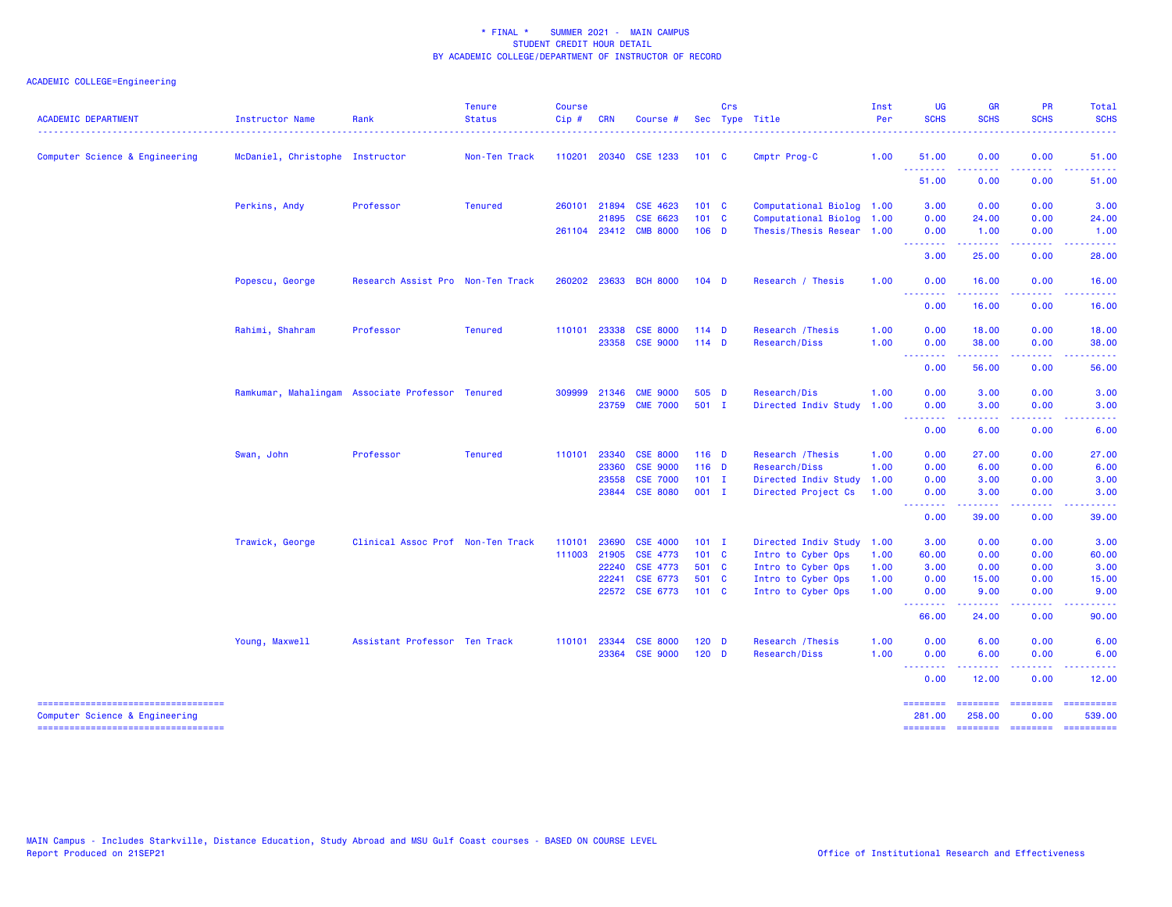| <b>ACADEMIC DEPARTMENT</b>                                           | Instructor Name                 | Rank                                             | <b>Tenure</b><br><b>Status</b> | <b>Course</b><br>$Cip$ # | <b>CRN</b>   | Course #                   |                | Crs | Sec Type Title                           | Inst<br>Per  | <b>UG</b><br><b>SCHS</b>                                    | <b>GR</b><br><b>SCHS</b>                                                                                                                                     | PR<br><b>SCHS</b>       | Total<br><b>SCHS</b>                                                                                                                                                                                                                                                                                                                                                                                                                                                                             |
|----------------------------------------------------------------------|---------------------------------|--------------------------------------------------|--------------------------------|--------------------------|--------------|----------------------------|----------------|-----|------------------------------------------|--------------|-------------------------------------------------------------|--------------------------------------------------------------------------------------------------------------------------------------------------------------|-------------------------|--------------------------------------------------------------------------------------------------------------------------------------------------------------------------------------------------------------------------------------------------------------------------------------------------------------------------------------------------------------------------------------------------------------------------------------------------------------------------------------------------|
| Computer Science & Engineering                                       | McDaniel, Christophe Instructor |                                                  | Non-Ten Track                  | 110201                   |              | 20340 CSE 1233             | $101 \quad C$  |     | Cmptr Prog-C                             | 1.00         | 51.00                                                       | 0.00                                                                                                                                                         | 0.00                    | 51.00                                                                                                                                                                                                                                                                                                                                                                                                                                                                                            |
|                                                                      |                                 |                                                  |                                |                          |              |                            |                |     |                                          |              | .<br>51.00                                                  | 0.00                                                                                                                                                         | 0.00                    | 51.00                                                                                                                                                                                                                                                                                                                                                                                                                                                                                            |
|                                                                      | Perkins, Andy                   | Professor                                        | <b>Tenured</b>                 | 260101                   | 21894        | CSE 4623                   | 101 C          |     | Computational Biolog                     | 1.00         | 3.00                                                        | 0.00                                                                                                                                                         | 0.00                    | 3.00                                                                                                                                                                                                                                                                                                                                                                                                                                                                                             |
|                                                                      |                                 |                                                  |                                |                          | 21895        | CSE 6623                   | 101 C          |     | Computational Biolog                     | 1.00         | 0.00                                                        | 24.00                                                                                                                                                        | 0.00                    | 24.00                                                                                                                                                                                                                                                                                                                                                                                                                                                                                            |
|                                                                      |                                 |                                                  |                                |                          | 261104 23412 | <b>CMB 8000</b>            | $106$ D        |     | Thesis/Thesis Resear 1.00                |              | 0.00<br>.                                                   | 1.00                                                                                                                                                         | 0.00                    | 1.00                                                                                                                                                                                                                                                                                                                                                                                                                                                                                             |
|                                                                      |                                 |                                                  |                                |                          |              |                            |                |     |                                          |              | 3.00                                                        | 25.00                                                                                                                                                        | 0.00                    | 28.00                                                                                                                                                                                                                                                                                                                                                                                                                                                                                            |
|                                                                      | Popescu, George                 | Research Assist Pro Non-Ten Track                |                                |                          |              | 260202 23633 BCH 8000      | $104$ D        |     | Research / Thesis                        | 1.00         | 0.00<br><u> - - - - - - - -</u>                             | 16.00<br>. <u>.</u> .                                                                                                                                        | 0.00<br>. <b>.</b>      | 16.00<br>. <b>.</b>                                                                                                                                                                                                                                                                                                                                                                                                                                                                              |
|                                                                      |                                 |                                                  |                                |                          |              |                            |                |     |                                          |              | 0.00                                                        | 16.00                                                                                                                                                        | 0.00                    | 16.00                                                                                                                                                                                                                                                                                                                                                                                                                                                                                            |
|                                                                      | Rahimi, Shahram                 | Professor                                        | <b>Tenured</b>                 | 110101                   | 23338        | <b>CSE 8000</b>            | $114$ D        |     | Research / Thesis                        | 1.00         | 0.00                                                        | 18.00                                                                                                                                                        | 0.00                    | 18.00                                                                                                                                                                                                                                                                                                                                                                                                                                                                                            |
|                                                                      |                                 |                                                  |                                |                          | 23358        | <b>CSE 9000</b>            | $114$ D        |     | Research/Diss                            | 1.00         | 0.00<br>.                                                   | 38.00                                                                                                                                                        | 0.00                    | 38.00                                                                                                                                                                                                                                                                                                                                                                                                                                                                                            |
|                                                                      |                                 |                                                  |                                |                          |              |                            |                |     |                                          |              | 0.00                                                        | 56.00                                                                                                                                                        | 0.00                    | 56.00                                                                                                                                                                                                                                                                                                                                                                                                                                                                                            |
|                                                                      |                                 | Ramkumar, Mahalingam Associate Professor Tenured |                                | 309999                   | 21346        | <b>CME 9000</b>            | 505 D          |     | Research/Dis                             | 1.00         | 0.00                                                        | 3.00                                                                                                                                                         | 0.00                    | 3.00                                                                                                                                                                                                                                                                                                                                                                                                                                                                                             |
|                                                                      |                                 |                                                  |                                |                          |              | 23759 CME 7000             | 501 I          |     | Directed Indiv Study                     | 1.00         | 0.00<br>$\sim$ $\sim$ $\sim$<br>$\sim$ $\sim$ $\sim$ $\sim$ | 3.00                                                                                                                                                         | 0.00                    | 3.00                                                                                                                                                                                                                                                                                                                                                                                                                                                                                             |
|                                                                      |                                 |                                                  |                                |                          |              |                            |                |     |                                          |              | 0.00                                                        | 6.00                                                                                                                                                         | 0.00                    | 6.00                                                                                                                                                                                                                                                                                                                                                                                                                                                                                             |
|                                                                      | Swan, John                      | Professor                                        | <b>Tenured</b>                 | 110101                   | 23340        | <b>CSE 8000</b>            | $116$ D        |     | Research / Thesis                        | 1.00         | 0.00                                                        | 27.00                                                                                                                                                        | 0.00                    | 27.00                                                                                                                                                                                                                                                                                                                                                                                                                                                                                            |
|                                                                      |                                 |                                                  |                                |                          | 23360        | <b>CSE 9000</b>            | $116$ D        |     | Research/Diss                            | 1.00         | 0.00                                                        | 6.00                                                                                                                                                         | 0.00                    | 6.00                                                                                                                                                                                                                                                                                                                                                                                                                                                                                             |
|                                                                      |                                 |                                                  |                                |                          | 23558        | <b>CSE 7000</b>            | $101$ I        |     | Directed Indiv Study                     | 1.00         | 0.00                                                        | 3.00                                                                                                                                                         | 0.00                    | 3.00                                                                                                                                                                                                                                                                                                                                                                                                                                                                                             |
|                                                                      |                                 |                                                  |                                |                          | 23844        | <b>CSE 8080</b>            | $001$ I        |     | Directed Project Cs                      | 1.00         | 0.00<br>.                                                   | 3.00<br>$\frac{1}{2} \left( \frac{1}{2} \right) \left( \frac{1}{2} \right) \left( \frac{1}{2} \right) \left( \frac{1}{2} \right) \left( \frac{1}{2} \right)$ | 0.00<br>د د د د         | 3.00                                                                                                                                                                                                                                                                                                                                                                                                                                                                                             |
|                                                                      |                                 |                                                  |                                |                          |              |                            |                |     |                                          |              | 0.00                                                        | 39.00                                                                                                                                                        | 0.00                    | 39.00                                                                                                                                                                                                                                                                                                                                                                                                                                                                                            |
|                                                                      | Trawick, George                 | Clinical Assoc Prof Non-Ten Track                |                                | 110101                   | 23690        | <b>CSE 4000</b>            | $101$ I        |     | Directed Indiv Study                     | 1.00         | 3.00                                                        | 0.00                                                                                                                                                         | 0.00                    | 3.00                                                                                                                                                                                                                                                                                                                                                                                                                                                                                             |
|                                                                      |                                 |                                                  |                                | 111003                   | 21905        | CSE 4773                   | 101 C          |     | Intro to Cyber Ops                       | 1.00         | 60.00                                                       | 0.00                                                                                                                                                         | 0.00                    | 60.00                                                                                                                                                                                                                                                                                                                                                                                                                                                                                            |
|                                                                      |                                 |                                                  |                                |                          | 22240        | <b>CSE 4773</b>            | 501 C          |     | Intro to Cyber Ops                       | 1.00         | 3.00                                                        | 0.00                                                                                                                                                         | 0.00                    | 3.00                                                                                                                                                                                                                                                                                                                                                                                                                                                                                             |
|                                                                      |                                 |                                                  |                                |                          | 22241        | CSE 6773<br>22572 CSE 6773 | 501 C<br>101 C |     | Intro to Cyber Ops<br>Intro to Cyber Ops | 1.00<br>1.00 | 0.00<br>0.00                                                | 15.00<br>9.00                                                                                                                                                | 0.00<br>0.00            | 15.00<br>9.00                                                                                                                                                                                                                                                                                                                                                                                                                                                                                    |
|                                                                      |                                 |                                                  |                                |                          |              |                            |                |     |                                          |              | .<br>66.00                                                  | 24.00                                                                                                                                                        | 0.00                    | 90.00                                                                                                                                                                                                                                                                                                                                                                                                                                                                                            |
|                                                                      | Young, Maxwell                  | Assistant Professor Ten Track                    |                                | 110101                   | 23344        | <b>CSE 8000</b>            | $120$ D        |     | Research / Thesis                        | 1.00         | 0.00                                                        | 6.00                                                                                                                                                         | 0.00                    | 6.00                                                                                                                                                                                                                                                                                                                                                                                                                                                                                             |
|                                                                      |                                 |                                                  |                                |                          |              | 23364 CSE 9000             | $120$ D        |     | Research/Diss                            | 1.00         | 0.00<br><b></b>                                             | 6.00<br>.                                                                                                                                                    | 0.00<br>.               | 6.00<br>.                                                                                                                                                                                                                                                                                                                                                                                                                                                                                        |
|                                                                      |                                 |                                                  |                                |                          |              |                            |                |     |                                          |              | 0.00                                                        | 12.00                                                                                                                                                        | 0.00                    | 12.00                                                                                                                                                                                                                                                                                                                                                                                                                                                                                            |
| ----------------------------------<br>Computer Science & Engineering |                                 |                                                  |                                |                          |              |                            |                |     |                                          |              | <b>SESSESSE</b><br>281.00                                   | ========<br>258.00                                                                                                                                           | <b>ESSESSED</b><br>0.00 | $\begin{array}{cccccccccc} \multicolumn{2}{c}{} & \multicolumn{2}{c}{} & \multicolumn{2}{c}{} & \multicolumn{2}{c}{} & \multicolumn{2}{c}{} & \multicolumn{2}{c}{} & \multicolumn{2}{c}{} & \multicolumn{2}{c}{} & \multicolumn{2}{c}{} & \multicolumn{2}{c}{} & \multicolumn{2}{c}{} & \multicolumn{2}{c}{} & \multicolumn{2}{c}{} & \multicolumn{2}{c}{} & \multicolumn{2}{c}{} & \multicolumn{2}{c}{} & \multicolumn{2}{c}{} & \multicolumn{2}{c}{} & \multicolumn{2}{c}{} & \mult$<br>539.00 |
| ----------------------------------                                   |                                 |                                                  |                                |                          |              |                            |                |     |                                          |              | <b>SESSESSE</b>                                             |                                                                                                                                                              |                         |                                                                                                                                                                                                                                                                                                                                                                                                                                                                                                  |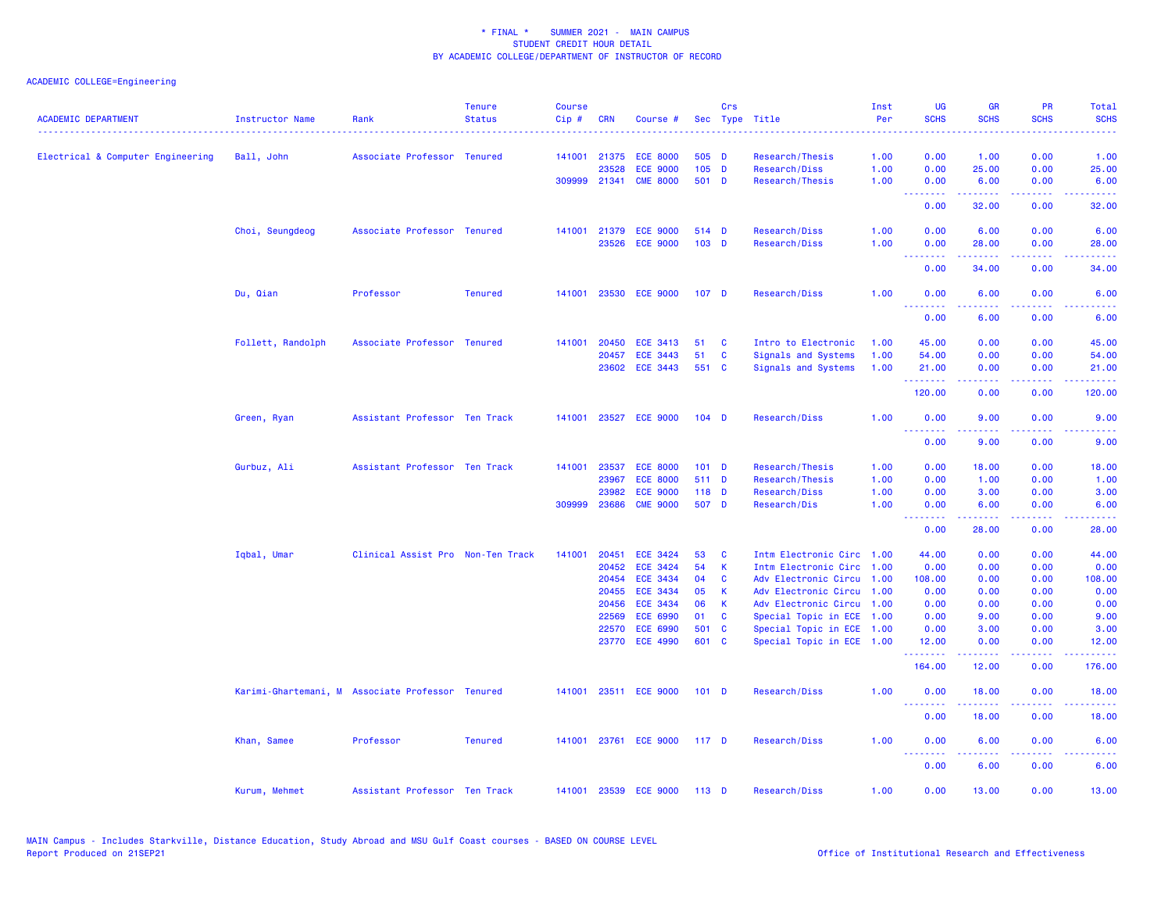| <b>ACADEMIC DEPARTMENT</b>        | <b>Instructor Name</b> | Rank                                             | <b>Tenure</b><br><b>Status</b> | <b>Course</b><br>Cip# | <b>CRN</b>     | Course #                           |                  | Crs           | Sec Type Title                                         | Inst<br>Per | <b>UG</b><br><b>SCHS</b>                                   | <b>GR</b><br><b>SCHS</b>                                                                                                                                     | PR<br><b>SCHS</b>                                                                                                                 | Total<br><b>SCHS</b>                                                                                                              |
|-----------------------------------|------------------------|--------------------------------------------------|--------------------------------|-----------------------|----------------|------------------------------------|------------------|---------------|--------------------------------------------------------|-------------|------------------------------------------------------------|--------------------------------------------------------------------------------------------------------------------------------------------------------------|-----------------------------------------------------------------------------------------------------------------------------------|-----------------------------------------------------------------------------------------------------------------------------------|
|                                   |                        |                                                  |                                |                       |                |                                    |                  |               |                                                        |             | .                                                          |                                                                                                                                                              |                                                                                                                                   | $\frac{1}{2} \left( \frac{1}{2} \right) \left( \frac{1}{2} \right) \left( \frac{1}{2} \right) \left( \frac{1}{2} \right)$         |
| Electrical & Computer Engineering | Ball, John             | Associate Professor Tenured                      |                                |                       | 141001 21375   | <b>ECE 8000</b>                    | 505 D            |               | Research/Thesis                                        | 1.00        | 0.00                                                       | 1.00                                                                                                                                                         | 0.00                                                                                                                              | 1.00                                                                                                                              |
|                                   |                        |                                                  |                                |                       | 23528          | <b>ECE 9000</b>                    | $105$ D          |               | Research/Diss                                          | 1.00        | 0.00                                                       | 25.00                                                                                                                                                        | 0.00                                                                                                                              | 25.00                                                                                                                             |
|                                   |                        |                                                  |                                | 309999 21341          |                | <b>CME 8000</b>                    | 501 D            |               | Research/Thesis                                        | 1.00        | 0.00<br><b><i><u><u> - - - - - - -</u></u></i></b>         | 6.00<br>$\frac{1}{2} \left( \frac{1}{2} \right) \left( \frac{1}{2} \right) \left( \frac{1}{2} \right) \left( \frac{1}{2} \right) \left( \frac{1}{2} \right)$ | 0.00<br>والمحامر                                                                                                                  | 6.00<br>المتمامين                                                                                                                 |
|                                   |                        |                                                  |                                |                       |                |                                    |                  |               |                                                        |             | 0.00                                                       | 32.00                                                                                                                                                        | 0.00                                                                                                                              | 32.00                                                                                                                             |
|                                   | Choi, Seungdeog        | Associate Professor Tenured                      |                                | 141001                | 21379          | <b>ECE 9000</b>                    | 514 D            |               | Research/Diss                                          | 1.00        | 0.00                                                       | 6.00                                                                                                                                                         | 0.00                                                                                                                              | 6.00                                                                                                                              |
|                                   |                        |                                                  |                                |                       |                | 23526 ECE 9000                     | 103 D            |               | Research/Diss                                          | 1.00        | 0.00                                                       | 28.00                                                                                                                                                        | 0.00<br>22222                                                                                                                     | 28.00                                                                                                                             |
|                                   |                        |                                                  |                                |                       |                |                                    |                  |               |                                                        |             | <b><i><u><u><b>a</b></u></u> a a a a a a a</i></b><br>0.00 | <u>.</u><br>34.00                                                                                                                                            | 0.00                                                                                                                              | .<br>34.00                                                                                                                        |
|                                   | Du, Qian               | Professor                                        | <b>Tenured</b>                 | 141001                |                | 23530 ECE 9000                     | 107 <sub>D</sub> |               | Research/Diss                                          | 1.00        | 0.00                                                       | 6.00                                                                                                                                                         | 0.00                                                                                                                              | 6.00                                                                                                                              |
|                                   |                        |                                                  |                                |                       |                |                                    |                  |               |                                                        |             | <u>.</u><br>0.00                                           | .<br>6.00                                                                                                                                                    | .<br>0.00                                                                                                                         | $\frac{1}{2} \left( \frac{1}{2} \right) \left( \frac{1}{2} \right) \left( \frac{1}{2} \right) \left( \frac{1}{2} \right)$<br>6.00 |
|                                   | Follett, Randolph      | Associate Professor Tenured                      |                                | 141001                | 20450          | <b>ECE 3413</b>                    | 51               | <b>C</b>      | Intro to Electronic                                    | 1.00        | 45.00                                                      | 0.00                                                                                                                                                         | 0.00                                                                                                                              | 45.00                                                                                                                             |
|                                   |                        |                                                  |                                |                       | 20457          | <b>ECE 3443</b>                    | 51               | C             | Signals and Systems                                    | 1.00        | 54.00                                                      | 0.00                                                                                                                                                         | 0.00                                                                                                                              | 54.00                                                                                                                             |
|                                   |                        |                                                  |                                |                       |                | 23602 ECE 3443                     | 551 C            |               | Signals and Systems                                    | 1.00        | 21.00<br>.                                                 | 0.00<br>22222                                                                                                                                                | 0.00<br>.                                                                                                                         | 21.00<br>.                                                                                                                        |
|                                   |                        |                                                  |                                |                       |                |                                    |                  |               |                                                        |             | 120.00                                                     | 0.00                                                                                                                                                         | 0.00                                                                                                                              | 120.00                                                                                                                            |
|                                   | Green, Ryan            | Assistant Professor Ten Track                    |                                | 141001                |                | 23527 ECE 9000                     | $104$ D          |               | Research/Diss                                          | 1.00        | 0.00                                                       | 9.00                                                                                                                                                         | 0.00                                                                                                                              | 9.00                                                                                                                              |
|                                   |                        |                                                  |                                |                       |                |                                    |                  |               |                                                        |             | 0.00                                                       | 9.00                                                                                                                                                         | 0.00                                                                                                                              | 9.00                                                                                                                              |
|                                   | Gurbuz, Ali            | Assistant Professor Ten Track                    |                                | 141001                |                | 23537 ECE 8000                     | $101$ D          |               | Research/Thesis                                        | 1.00        | 0.00                                                       | 18.00                                                                                                                                                        | 0.00                                                                                                                              | 18.00                                                                                                                             |
|                                   |                        |                                                  |                                |                       | 23967          | <b>ECE 8000</b>                    | 511 D            |               | Research/Thesis                                        | 1.00        | 0.00                                                       | 1.00                                                                                                                                                         | 0.00                                                                                                                              | 1.00                                                                                                                              |
|                                   |                        |                                                  |                                |                       | 23982          | <b>ECE 9000</b>                    | 118 D            |               | Research/Diss                                          | 1.00        | 0.00                                                       | 3.00                                                                                                                                                         | 0.00                                                                                                                              | 3.00                                                                                                                              |
|                                   |                        |                                                  |                                | 309999                | 23686          | <b>CME 9000</b>                    | 507 D            |               | Research/Dis                                           | 1.00        | 0.00<br>.                                                  | 6.00<br>.                                                                                                                                                    | 0.00<br>.                                                                                                                         | 6.00<br>.                                                                                                                         |
|                                   |                        |                                                  |                                |                       |                |                                    |                  |               |                                                        |             | 0.00                                                       | 28.00                                                                                                                                                        | 0.00                                                                                                                              | 28.00                                                                                                                             |
|                                   | Iqbal, Umar            | Clinical Assist Pro Non-Ten Track                |                                | 141001                | 20451          | <b>ECE 3424</b>                    | 53               | C             | Intm Electronic Circ 1.00                              |             | 44.00                                                      | 0.00                                                                                                                                                         | 0.00                                                                                                                              | 44.00                                                                                                                             |
|                                   |                        |                                                  |                                |                       | 20452          | <b>ECE 3424</b>                    | 54               | K             | Intm Electronic Circ 1.00                              |             | 0.00                                                       | 0.00                                                                                                                                                         | 0.00                                                                                                                              | 0.00                                                                                                                              |
|                                   |                        |                                                  |                                |                       | 20454          | <b>ECE 3434</b>                    | 04               | C             | Adv Electronic Circu 1.00                              |             | 108.00                                                     | 0.00                                                                                                                                                         | 0.00                                                                                                                              | 108.00                                                                                                                            |
|                                   |                        |                                                  |                                |                       | 20455          | <b>ECE 3434</b>                    | 05               | K             | Adv Electronic Circu                                   | 1.00        | 0.00                                                       | 0.00                                                                                                                                                         | 0.00                                                                                                                              | 0.00                                                                                                                              |
|                                   |                        |                                                  |                                |                       | 20456          | <b>ECE 3434</b>                    | 06               | $\mathsf K$   | Adv Electronic Circu 1.00                              |             | 0.00                                                       | 0.00                                                                                                                                                         | 0.00                                                                                                                              | 0.00                                                                                                                              |
|                                   |                        |                                                  |                                |                       | 22569          | <b>ECE 6990</b>                    | 01<br>501        | <b>C</b><br>C | Special Topic in ECE 1.00                              |             | 0.00<br>0.00                                               | 9.00                                                                                                                                                         | 0.00                                                                                                                              | 9.00                                                                                                                              |
|                                   |                        |                                                  |                                |                       | 22570<br>23770 | <b>ECE 6990</b><br><b>ECE 4990</b> | 601 C            |               | Special Topic in ECE 1.00<br>Special Topic in ECE 1.00 |             | 12.00                                                      | 3.00<br>0.00                                                                                                                                                 | 0.00<br>0.00                                                                                                                      | 3.00<br>12.00                                                                                                                     |
|                                   |                        |                                                  |                                |                       |                |                                    |                  |               |                                                        |             | .<br>164.00                                                | 22222<br>12.00                                                                                                                                               | .<br>0.00                                                                                                                         | .<br>176.00                                                                                                                       |
|                                   |                        | Karimi-Ghartemani, M Associate Professor Tenured |                                |                       |                | 141001 23511 ECE 9000              | $101$ D          |               | Research/Diss                                          | 1.00        | 0.00                                                       | 18.00                                                                                                                                                        | 0.00                                                                                                                              | 18.00                                                                                                                             |
|                                   |                        |                                                  |                                |                       |                |                                    |                  |               |                                                        |             | .<br>0.00                                                  | 18.00                                                                                                                                                        | $\frac{1}{2} \left( \frac{1}{2} \right) \left( \frac{1}{2} \right) \left( \frac{1}{2} \right) \left( \frac{1}{2} \right)$<br>0.00 | 18.00                                                                                                                             |
|                                   | Khan, Samee            | Professor                                        | <b>Tenured</b>                 | 141001                |                | 23761 ECE 9000                     | 117 D            |               | Research/Diss                                          | 1.00        | 0.00                                                       | 6.00                                                                                                                                                         | 0.00                                                                                                                              | 6.00                                                                                                                              |
|                                   |                        |                                                  |                                |                       |                |                                    |                  |               |                                                        |             | 1.1.1.1.1.1.1<br>0.00                                      | .<br>6.00                                                                                                                                                    | .<br>0.00                                                                                                                         | 6.00                                                                                                                              |
|                                   | Kurum, Mehmet          | Assistant Professor Ten Track                    |                                | 141001                |                | 23539 ECE 9000                     | 113 D            |               | Research/Diss                                          | 1.00        | 0.00                                                       | 13.00                                                                                                                                                        | 0.00                                                                                                                              | 13.00                                                                                                                             |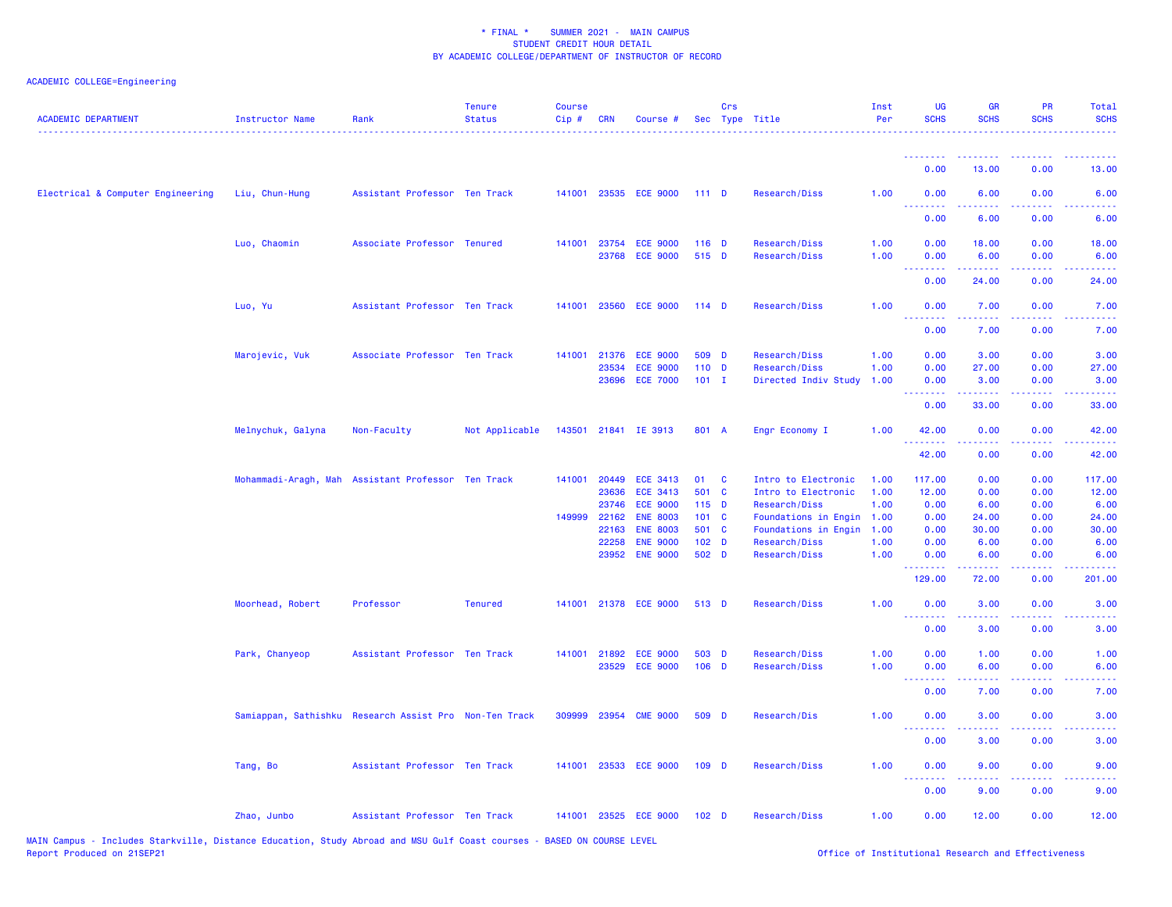| <b>ACADEMIC DEPARTMENT</b>        | <b>Instructor Name</b>                                 | Rank                          | <b>Tenure</b><br><b>Status</b> | <b>Course</b><br>Cip# | <b>CRN</b>            | Course #                           |                  | Crs | Sec Type Title                               | Inst<br>Per  | <b>UG</b><br><b>SCHS</b> | <b>GR</b><br><b>SCHS</b> | <b>PR</b><br><b>SCHS</b>                                                                                                          | Total<br><b>SCHS</b> |
|-----------------------------------|--------------------------------------------------------|-------------------------------|--------------------------------|-----------------------|-----------------------|------------------------------------|------------------|-----|----------------------------------------------|--------------|--------------------------|--------------------------|-----------------------------------------------------------------------------------------------------------------------------------|----------------------|
|                                   |                                                        |                               |                                |                       |                       |                                    |                  |     |                                              |              | <u> - - - - - - - -</u>  | .                        |                                                                                                                                   |                      |
|                                   |                                                        |                               |                                |                       |                       |                                    |                  |     |                                              |              | 0.00                     | 13.00                    | 0.00                                                                                                                              | 13.00                |
| Electrical & Computer Engineering | Liu, Chun-Hung                                         | Assistant Professor Ten Track |                                |                       |                       | 141001 23535 ECE 9000              | 111D             |     | Research/Diss                                | 1.00         | 0.00                     | 6.00                     | 0.00                                                                                                                              | 6.00                 |
|                                   |                                                        |                               |                                |                       |                       |                                    |                  |     |                                              |              | 0.00                     | 6.00                     | 0.00                                                                                                                              | 6.00                 |
|                                   | Luo, Chaomin                                           | Associate Professor Tenured   |                                | 141001                | 23754                 | <b>ECE 9000</b>                    | 116 D            |     | Research/Diss                                | 1.00         | 0.00                     | 18.00                    | 0.00                                                                                                                              | 18.00                |
|                                   |                                                        |                               |                                |                       | 23768                 | <b>ECE 9000</b>                    | 515 D            |     | Research/Diss                                | 1.00         | 0.00<br>.                | 6.00                     | 0.00                                                                                                                              | 6.00                 |
|                                   |                                                        |                               |                                |                       |                       |                                    |                  |     |                                              |              | 0.00                     | 24.00                    | 0.00                                                                                                                              | 24.00                |
|                                   | Luo, Yu                                                | Assistant Professor Ten Track |                                | 141001                |                       | 23560 ECE 9000                     | $114$ D          |     | Research/Diss                                | 1.00         | 0.00                     | 7.00                     | 0.00                                                                                                                              | 7.00                 |
|                                   |                                                        |                               |                                |                       |                       |                                    |                  |     |                                              |              | 0.00                     | 7.00                     | 0.00                                                                                                                              | 7.00                 |
|                                   | Marojevic, Vuk                                         | Associate Professor Ten Track |                                | 141001                | 21376                 | <b>ECE 9000</b>                    | 509 D            |     | Research/Diss                                | 1.00         | 0.00                     | 3.00                     | 0.00                                                                                                                              | 3.00                 |
|                                   |                                                        |                               |                                |                       | 23534                 | <b>ECE 9000</b>                    | $110$ D          |     | Research/Diss                                | 1.00         | 0.00                     | 27.00                    | 0.00                                                                                                                              | 27.00                |
|                                   |                                                        |                               |                                |                       | 23696                 | <b>ECE 7000</b>                    | $101$ I          |     | Directed Indiv Study                         | 1.00         | 0.00<br>.                | 3.00                     | 0.00                                                                                                                              | 3.00                 |
|                                   |                                                        |                               |                                |                       |                       |                                    |                  |     |                                              |              | 0.00                     | 33.00                    | 0.00                                                                                                                              | 33.00                |
|                                   | Melnychuk, Galyna                                      | Non-Faculty                   | Not Applicable                 |                       |                       | 143501 21841 IE 3913               | 801 A            |     | Engr Economy I                               | 1.00         | 42.00<br>.               | 0.00                     | 0.00                                                                                                                              | 42.00                |
|                                   |                                                        |                               |                                |                       |                       |                                    |                  |     |                                              |              | 42.00                    | 0.00                     | 0.00                                                                                                                              | 42.00                |
|                                   | Mohammadi-Aragh, Mah                                   | Assistant Professor Ten Track |                                | 141001                | 20449                 | <b>ECE 3413</b>                    | 01               | C   | Intro to Electronic                          | 1.00         | 117.00                   | 0.00                     | 0.00                                                                                                                              | 117.00               |
|                                   |                                                        |                               |                                |                       | 23636                 | <b>ECE 3413</b>                    | 501 C            |     | Intro to Electronic                          | 1.00         | 12.00                    | 0.00                     | 0.00                                                                                                                              | 12.00                |
|                                   |                                                        |                               |                                |                       | 23746<br>149999 22162 | <b>ECE 9000</b><br><b>ENE 8003</b> | $115$ D<br>101 C |     | Research/Diss                                | 1.00         | 0.00                     | 6.00                     | 0.00                                                                                                                              | 6.00<br>24.00        |
|                                   |                                                        |                               |                                |                       | 22163                 | <b>ENE 8003</b>                    | 501 C            |     | Foundations in Engin<br>Foundations in Engin | 1.00<br>1.00 | 0.00<br>0.00             | 24.00<br>30.00           | 0.00<br>0.00                                                                                                                      | 30.00                |
|                                   |                                                        |                               |                                |                       | 22258                 | <b>ENE 9000</b>                    | 102 <sub>D</sub> |     | Research/Diss                                | 1.00         | 0.00                     | 6.00                     | 0.00                                                                                                                              | 6.00                 |
|                                   |                                                        |                               |                                |                       | 23952                 | <b>ENE 9000</b>                    | 502 D            |     | Research/Diss                                | 1.00         | 0.00                     | 6.00                     | 0.00                                                                                                                              | 6.00                 |
|                                   |                                                        |                               |                                |                       |                       |                                    |                  |     |                                              |              | .<br>129.00              | $- - - - -$<br>72.00     | الداعات بال<br>0.00                                                                                                               | .<br>201.00          |
|                                   | Moorhead, Robert                                       | Professor                     | <b>Tenured</b>                 | 141001                |                       | 21378 ECE 9000                     | 513 D            |     | Research/Diss                                | 1.00         | 0.00                     | 3.00                     | 0.00                                                                                                                              | 3.00                 |
|                                   |                                                        |                               |                                |                       |                       |                                    |                  |     |                                              |              | .<br>0.00                | .<br>3.00                | $\frac{1}{2} \left( \frac{1}{2} \right) \left( \frac{1}{2} \right) \left( \frac{1}{2} \right) \left( \frac{1}{2} \right)$<br>0.00 | .<br>3.00            |
|                                   | Park, Chanyeop                                         | Assistant Professor Ten Track |                                | 141001                | 21892                 | <b>ECE 9000</b>                    | 503 D            |     | Research/Diss                                | 1.00         | 0.00                     | 1.00                     | 0.00                                                                                                                              | 1.00                 |
|                                   |                                                        |                               |                                |                       |                       | 23529 ECE 9000                     | $106$ D          |     | Research/Diss                                | 1.00         | 0.00                     | 6.00                     | 0.00                                                                                                                              | 6.00                 |
|                                   |                                                        |                               |                                |                       |                       |                                    |                  |     |                                              |              | 0.00                     | 7.00                     | 0.00                                                                                                                              | 7.00                 |
|                                   | Samiappan, Sathishku Research Assist Pro Non-Ten Track |                               |                                | 309999                | 23954                 | <b>CME 9000</b>                    | 509 D            |     | Research/Dis                                 | 1.00         | 0.00                     | 3.00                     | 0.00                                                                                                                              | 3.00                 |
|                                   |                                                        |                               |                                |                       |                       |                                    |                  |     |                                              |              | 0.00                     | 3.00                     | 0.00                                                                                                                              | 3.00                 |
|                                   | Tang, Bo                                               | Assistant Professor Ten Track |                                |                       |                       | 141001 23533 ECE 9000              | $109$ D          |     | Research/Diss                                | 1.00         | 0.00<br>.                | 9.00                     | 0.00                                                                                                                              | 9.00                 |
|                                   |                                                        |                               |                                |                       |                       |                                    |                  |     |                                              |              | 0.00                     | 9.00                     | 0.00                                                                                                                              | 9.00                 |
|                                   | Zhao, Junbo                                            | Assistant Professor Ten Track |                                |                       |                       | 141001 23525 ECE 9000              | 102 <sub>D</sub> |     | Research/Diss                                | 1.00         | 0.00                     | 12.00                    | 0.00                                                                                                                              | 12.00                |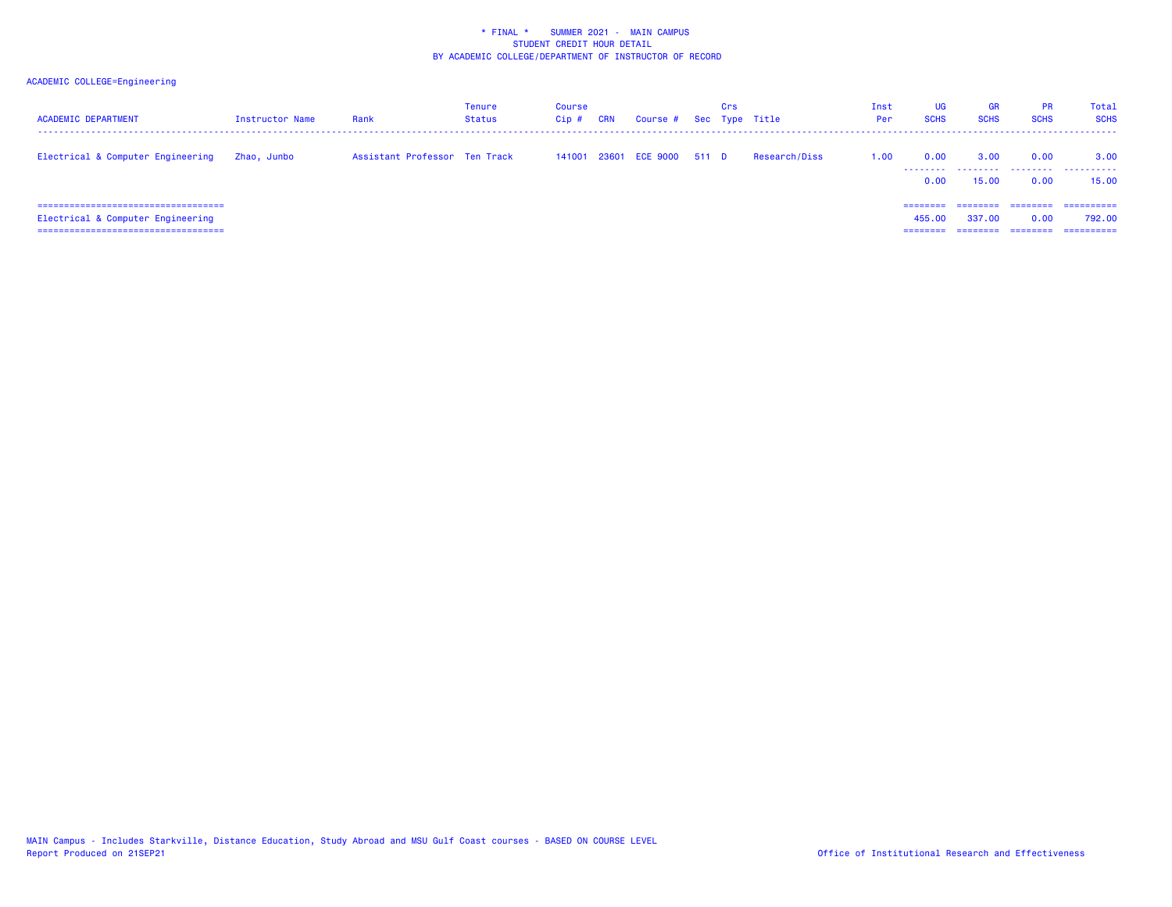| <b>ACADEMIC DEPARTMENT</b>                                                                                           | Instructor Name | Rank                          | <b>Tenure</b><br>Status | Course<br>Cip # | CRN | Course # Sec Type Title     | Crs |               | Inst<br>Per | <b>UG</b><br><b>SCHS</b>    | <b>GR</b><br><b>SCHS</b>      | <b>PR</b><br><b>SCHS</b>     | Total<br><b>SCHS</b>               |
|----------------------------------------------------------------------------------------------------------------------|-----------------|-------------------------------|-------------------------|-----------------|-----|-----------------------------|-----|---------------|-------------|-----------------------------|-------------------------------|------------------------------|------------------------------------|
| Electrical & Computer Engineering                                                                                    | Zhao, Junbo     | Assistant Professor Ten Track |                         |                 |     | 141001 23601 ECE 9000 511 D |     | Research/Diss | 1.00        | 0.00<br>0.00                | 3.00<br>15.00                 | 0.00<br>0.00                 | 3.00<br>15.00                      |
| =====================================<br>Electrical & Computer Engineering<br>====================================== |                 |                               |                         |                 |     |                             |     |               |             | ========<br>455,00<br>----- | ========<br>337,00<br>------- | ========<br>0.00<br>======== | ==========<br>792.00<br>========== |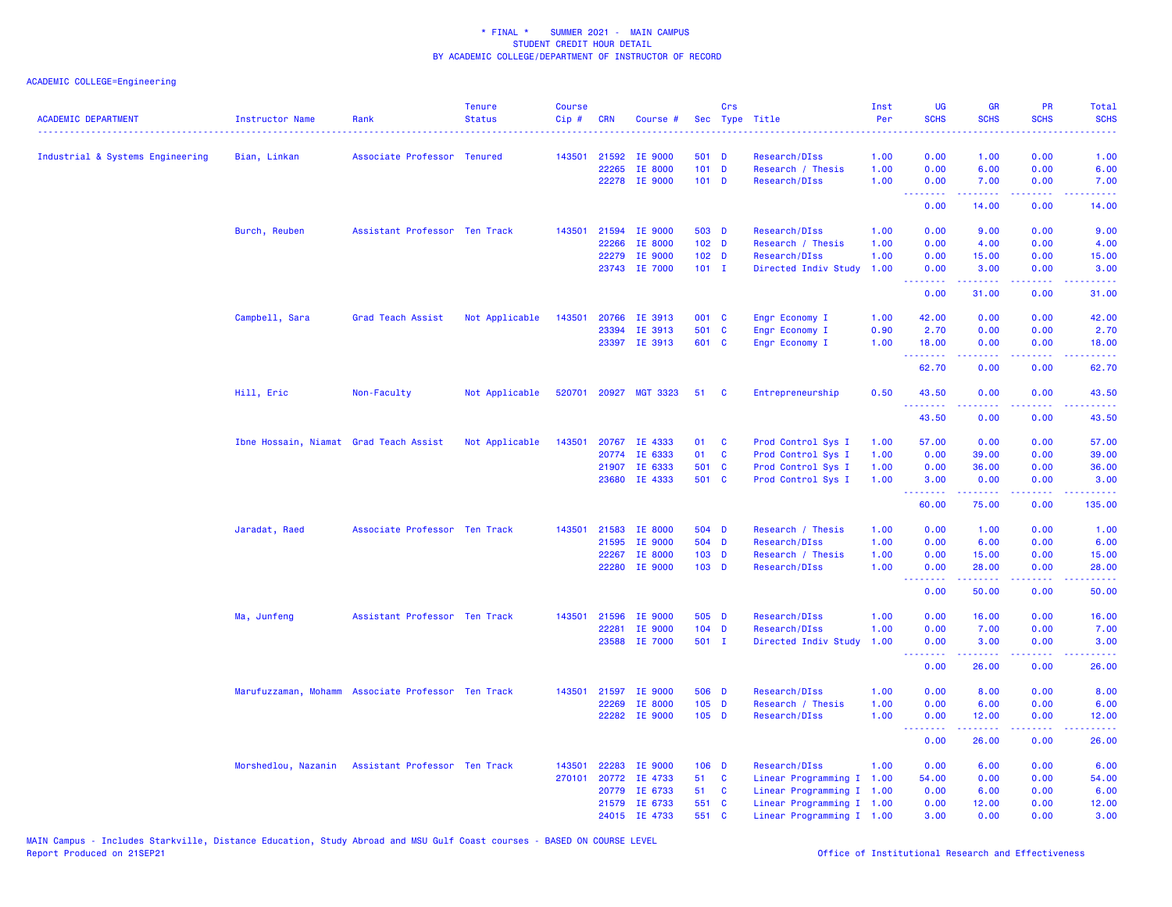| <b>ACADEMIC DEPARTMENT</b>       | Instructor Name                                    | Rank                          | <b>Tenure</b><br><b>Status</b> | <b>Course</b><br>$Cip$ # | <b>CRN</b> | Course #              |                  | Crs          | Sec Type Title            | Inst<br>Per | <b>UG</b><br><b>SCHS</b>                                                                                                                                                                                                                                                                                                                                                                                                                                                                        | <b>GR</b><br><b>SCHS</b>                                                                                                                                     | <b>PR</b><br><b>SCHS</b>            | Total<br><b>SCHS</b><br>.                                                                                                         |
|----------------------------------|----------------------------------------------------|-------------------------------|--------------------------------|--------------------------|------------|-----------------------|------------------|--------------|---------------------------|-------------|-------------------------------------------------------------------------------------------------------------------------------------------------------------------------------------------------------------------------------------------------------------------------------------------------------------------------------------------------------------------------------------------------------------------------------------------------------------------------------------------------|--------------------------------------------------------------------------------------------------------------------------------------------------------------|-------------------------------------|-----------------------------------------------------------------------------------------------------------------------------------|
| Industrial & Systems Engineering | Bian, Linkan                                       | Associate Professor Tenured   |                                |                          |            | 143501 21592 IE 9000  | 501 D            |              | Research/DIss             | 1.00        | 0.00                                                                                                                                                                                                                                                                                                                                                                                                                                                                                            | 1.00                                                                                                                                                         | 0.00                                | 1.00                                                                                                                              |
|                                  |                                                    |                               |                                |                          | 22265      | IE 8000               | $101$ D          |              | Research / Thesis         | 1.00        | 0.00                                                                                                                                                                                                                                                                                                                                                                                                                                                                                            | 6.00                                                                                                                                                         | 0.00                                | 6.00                                                                                                                              |
|                                  |                                                    |                               |                                |                          |            | 22278 IE 9000         | $101$ D          |              | Research/DIss             | 1.00        | 0.00                                                                                                                                                                                                                                                                                                                                                                                                                                                                                            | 7.00                                                                                                                                                         | 0.00                                | 7.00                                                                                                                              |
|                                  |                                                    |                               |                                |                          |            |                       |                  |              |                           |             | <u>.</u><br>0.00                                                                                                                                                                                                                                                                                                                                                                                                                                                                                | $\frac{1}{2} \left( \frac{1}{2} \right) \left( \frac{1}{2} \right) \left( \frac{1}{2} \right) \left( \frac{1}{2} \right)$<br>14.00                           | د د د د<br>0.00                     | وعاعاها<br>14.00                                                                                                                  |
|                                  | Burch, Reuben                                      | Assistant Professor Ten Track |                                | 143501                   |            | 21594 IE 9000         | 503 D            |              | Research/DIss             | 1.00        | 0.00                                                                                                                                                                                                                                                                                                                                                                                                                                                                                            | 9.00                                                                                                                                                         | 0.00                                | 9.00                                                                                                                              |
|                                  |                                                    |                               |                                |                          | 22266      | <b>IE 8000</b>        | 102 <sub>D</sub> |              | Research / Thesis         | 1.00        | 0.00                                                                                                                                                                                                                                                                                                                                                                                                                                                                                            | 4.00                                                                                                                                                         | 0.00                                | 4.00                                                                                                                              |
|                                  |                                                    |                               |                                |                          | 22279      | <b>IE 9000</b>        | 102 <sub>D</sub> |              | Research/DIss             | 1.00        | 0.00                                                                                                                                                                                                                                                                                                                                                                                                                                                                                            | 15.00                                                                                                                                                        | 0.00                                | 15.00                                                                                                                             |
|                                  |                                                    |                               |                                |                          |            | 23743 IE 7000         | $101$ I          |              | Directed Indiv Study      | 1.00        | 0.00<br>.                                                                                                                                                                                                                                                                                                                                                                                                                                                                                       | 3.00<br>$\frac{1}{2} \left( \frac{1}{2} \right) \left( \frac{1}{2} \right) \left( \frac{1}{2} \right) \left( \frac{1}{2} \right) \left( \frac{1}{2} \right)$ | 0.00<br>$\omega$ is a $\omega$      | 3.00<br>$\frac{1}{2} \left( \frac{1}{2} \right) \left( \frac{1}{2} \right) \left( \frac{1}{2} \right) \left( \frac{1}{2} \right)$ |
|                                  |                                                    |                               |                                |                          |            |                       |                  |              |                           |             | 0.00                                                                                                                                                                                                                                                                                                                                                                                                                                                                                            | 31.00                                                                                                                                                        | 0.00                                | 31.00                                                                                                                             |
|                                  | Campbell, Sara                                     | Grad Teach Assist             | Not Applicable                 | 143501                   | 20766      | IE 3913               | 001 C            |              | Engr Economy I            | 1.00        | 42.00                                                                                                                                                                                                                                                                                                                                                                                                                                                                                           | 0.00                                                                                                                                                         | 0.00                                | 42.00                                                                                                                             |
|                                  |                                                    |                               |                                |                          | 23394      | IE 3913               | 501 C            |              | Engr Economy I            | 0.90        | 2.70                                                                                                                                                                                                                                                                                                                                                                                                                                                                                            | 0.00                                                                                                                                                         | 0.00                                | 2.70                                                                                                                              |
|                                  |                                                    |                               |                                |                          |            | 23397 IE 3913         | 601 C            |              | Engr Economy I            | 1.00        | 18.00<br>.                                                                                                                                                                                                                                                                                                                                                                                                                                                                                      | 0.00                                                                                                                                                         | 0.00<br>$\sim$ $\sim$ $\sim$ $\sim$ | 18.00                                                                                                                             |
|                                  |                                                    |                               |                                |                          |            |                       |                  |              |                           |             | 62.70                                                                                                                                                                                                                                                                                                                                                                                                                                                                                           | 0.00                                                                                                                                                         | 0.00                                | 62.70                                                                                                                             |
|                                  | Hill, Eric                                         | Non-Faculty                   | Not Applicable                 |                          |            | 520701 20927 MGT 3323 | 51 C             |              | Entrepreneurship          | 0.50        | 43.50<br><u> - - - - - - - -</u>                                                                                                                                                                                                                                                                                                                                                                                                                                                                | 0.00<br><u>.</u>                                                                                                                                             | 0.00<br>.                           | 43.50<br>.                                                                                                                        |
|                                  |                                                    |                               |                                |                          |            |                       |                  |              |                           |             | 43.50                                                                                                                                                                                                                                                                                                                                                                                                                                                                                           | 0.00                                                                                                                                                         | 0.00                                | 43.50                                                                                                                             |
|                                  | Ibne Hossain, Niamat Grad Teach Assist             |                               | Not Applicable                 | 143501                   |            | 20767 IE 4333         | 01               | $\mathbf{C}$ | Prod Control Sys I        | 1.00        | 57.00                                                                                                                                                                                                                                                                                                                                                                                                                                                                                           | 0.00                                                                                                                                                         | 0.00                                | 57.00                                                                                                                             |
|                                  |                                                    |                               |                                |                          |            | 20774 IE 6333         | 01               | <b>C</b>     | Prod Control Sys I        | 1.00        | 0.00                                                                                                                                                                                                                                                                                                                                                                                                                                                                                            | 39.00                                                                                                                                                        | 0.00                                | 39.00                                                                                                                             |
|                                  |                                                    |                               |                                |                          |            | 21907 IE 6333         | 501 C            |              | Prod Control Sys I        | 1.00        | 0.00                                                                                                                                                                                                                                                                                                                                                                                                                                                                                            | 36.00                                                                                                                                                        | 0.00                                | 36.00                                                                                                                             |
|                                  |                                                    |                               |                                |                          |            | 23680 IE 4333         | 501 C            |              | Prod Control Sys I        | 1.00        | 3.00                                                                                                                                                                                                                                                                                                                                                                                                                                                                                            | 0.00<br>.                                                                                                                                                    | 0.00<br>د د د د                     | 3.00<br>.                                                                                                                         |
|                                  |                                                    |                               |                                |                          |            |                       |                  |              |                           |             | $\begin{array}{cccccccccccccc} \multicolumn{2}{c}{} & \multicolumn{2}{c}{} & \multicolumn{2}{c}{} & \multicolumn{2}{c}{} & \multicolumn{2}{c}{} & \multicolumn{2}{c}{} & \multicolumn{2}{c}{} & \multicolumn{2}{c}{} & \multicolumn{2}{c}{} & \multicolumn{2}{c}{} & \multicolumn{2}{c}{} & \multicolumn{2}{c}{} & \multicolumn{2}{c}{} & \multicolumn{2}{c}{} & \multicolumn{2}{c}{} & \multicolumn{2}{c}{} & \multicolumn{2}{c}{} & \multicolumn{2}{c}{} & \multicolumn{2}{c}{} & \$<br>60.00 | 75.00                                                                                                                                                        | 0.00                                | 135.00                                                                                                                            |
|                                  | Jaradat, Raed                                      | Associate Professor Ten Track |                                | 143501                   | 21583      | <b>IE 8000</b>        | 504 D            |              | Research / Thesis         | 1.00        | 0.00                                                                                                                                                                                                                                                                                                                                                                                                                                                                                            | 1.00                                                                                                                                                         | 0.00                                | 1.00                                                                                                                              |
|                                  |                                                    |                               |                                |                          | 21595      | IE 9000               | 504 D            |              | Research/DIss             | 1.00        | 0.00                                                                                                                                                                                                                                                                                                                                                                                                                                                                                            | 6.00                                                                                                                                                         | 0.00                                | 6.00                                                                                                                              |
|                                  |                                                    |                               |                                |                          | 22267      | <b>IE 8000</b>        | 103 D            |              | Research / Thesis         | 1.00        | 0.00                                                                                                                                                                                                                                                                                                                                                                                                                                                                                            | 15.00                                                                                                                                                        | 0.00                                | 15.00                                                                                                                             |
|                                  |                                                    |                               |                                |                          |            | 22280 IE 9000         | 103 D            |              | Research/DIss             | 1.00        | 0.00<br><u>.</u>                                                                                                                                                                                                                                                                                                                                                                                                                                                                                | 28.00<br>د د د د د                                                                                                                                           | 0.00<br>د د د د                     | 28.00<br>.                                                                                                                        |
|                                  |                                                    |                               |                                |                          |            |                       |                  |              |                           |             | 0.00                                                                                                                                                                                                                                                                                                                                                                                                                                                                                            | 50.00                                                                                                                                                        | 0.00                                | 50.00                                                                                                                             |
|                                  | Ma, Junfeng                                        | Assistant Professor Ten Track |                                | 143501                   | 21596      | IE 9000               | 505 D            |              | Research/DIss             | 1.00        | 0.00                                                                                                                                                                                                                                                                                                                                                                                                                                                                                            | 16.00                                                                                                                                                        | 0.00                                | 16.00                                                                                                                             |
|                                  |                                                    |                               |                                |                          | 22281      | <b>IE 9000</b>        | $104$ D          |              | Research/DIss             | 1.00        | 0.00                                                                                                                                                                                                                                                                                                                                                                                                                                                                                            | 7.00                                                                                                                                                         | 0.00                                | 7.00                                                                                                                              |
|                                  |                                                    |                               |                                |                          |            | 23588 IE 7000         | $501$ I          |              | Directed Indiv Study      | 1.00        | 0.00<br>$\begin{array}{cccccccccccccc} \multicolumn{2}{c}{} & \multicolumn{2}{c}{} & \multicolumn{2}{c}{} & \multicolumn{2}{c}{} & \multicolumn{2}{c}{} & \multicolumn{2}{c}{} & \multicolumn{2}{c}{} & \multicolumn{2}{c}{} & \multicolumn{2}{c}{} & \multicolumn{2}{c}{} & \multicolumn{2}{c}{} & \multicolumn{2}{c}{} & \multicolumn{2}{c}{} & \multicolumn{2}{c}{} & \multicolumn{2}{c}{} & \multicolumn{2}{c}{} & \multicolumn{2}{c}{} & \multicolumn{2}{c}{} & \multicolumn{2}{c}{} & \$  | 3.00<br>$\frac{1}{2} \left( \frac{1}{2} \right) \left( \frac{1}{2} \right) \left( \frac{1}{2} \right) \left( \frac{1}{2} \right) \left( \frac{1}{2} \right)$ | 0.00<br>.                           | 3.00<br>.                                                                                                                         |
|                                  |                                                    |                               |                                |                          |            |                       |                  |              |                           |             | 0.00                                                                                                                                                                                                                                                                                                                                                                                                                                                                                            | 26.00                                                                                                                                                        | 0.00                                | 26.00                                                                                                                             |
|                                  | Marufuzzaman, Mohamm Associate Professor Ten Track |                               |                                |                          |            | 143501 21597 IE 9000  | 506 D            |              | Research/DIss             | 1.00        | 0.00                                                                                                                                                                                                                                                                                                                                                                                                                                                                                            | 8.00                                                                                                                                                         | 0.00                                | 8.00                                                                                                                              |
|                                  |                                                    |                               |                                |                          | 22269      | <b>IE 8000</b>        | $105$ D          |              | Research / Thesis         | 1.00        | 0.00                                                                                                                                                                                                                                                                                                                                                                                                                                                                                            | 6.00                                                                                                                                                         | 0.00                                | 6.00                                                                                                                              |
|                                  |                                                    |                               |                                |                          |            | 22282 IE 9000         | $105$ D          |              | Research/DIss             | 1.00        | 0.00                                                                                                                                                                                                                                                                                                                                                                                                                                                                                            | 12.00                                                                                                                                                        | 0.00                                | 12.00                                                                                                                             |
|                                  |                                                    |                               |                                |                          |            |                       |                  |              |                           |             | $\begin{array}{cccccccccccccc} \multicolumn{2}{c}{} & \multicolumn{2}{c}{} & \multicolumn{2}{c}{} & \multicolumn{2}{c}{} & \multicolumn{2}{c}{} & \multicolumn{2}{c}{} & \multicolumn{2}{c}{} & \multicolumn{2}{c}{} & \multicolumn{2}{c}{} & \multicolumn{2}{c}{} & \multicolumn{2}{c}{} & \multicolumn{2}{c}{} & \multicolumn{2}{c}{} & \multicolumn{2}{c}{} & \multicolumn{2}{c}{} & \multicolumn{2}{c}{} & \multicolumn{2}{c}{} & \multicolumn{2}{c}{} & \multicolumn{2}{c}{} & \$<br>0.00  | .<br>26.00                                                                                                                                                   | .<br>0.00                           | .<br>26.00                                                                                                                        |
|                                  | Morshedlou, Nazanin                                | Assistant Professor Ten Track |                                | 143501                   | 22283      | <b>IE 9000</b>        | $106$ D          |              | Research/DIss             | 1.00        | 0.00                                                                                                                                                                                                                                                                                                                                                                                                                                                                                            | 6.00                                                                                                                                                         | 0.00                                | 6.00                                                                                                                              |
|                                  |                                                    |                               |                                | 270101                   |            | 20772 IE 4733         | 51               | $\mathbf{C}$ | Linear Programming I 1.00 |             | 54.00                                                                                                                                                                                                                                                                                                                                                                                                                                                                                           | 0.00                                                                                                                                                         | 0.00                                | 54.00                                                                                                                             |
|                                  |                                                    |                               |                                |                          | 20779      | IE 6733               | 51               | $\mathbf{C}$ | Linear Programming I 1.00 |             | 0.00                                                                                                                                                                                                                                                                                                                                                                                                                                                                                            | 6.00                                                                                                                                                         | 0.00                                | 6.00                                                                                                                              |
|                                  |                                                    |                               |                                |                          |            | 21579 IE 6733         | 551 C            |              | Linear Programming I 1.00 |             | 0.00                                                                                                                                                                                                                                                                                                                                                                                                                                                                                            | 12.00                                                                                                                                                        | 0.00                                | 12.00                                                                                                                             |
|                                  |                                                    |                               |                                |                          |            | 24015 IE 4733         | 551 C            |              | Linear Programming I 1.00 |             | 3.00                                                                                                                                                                                                                                                                                                                                                                                                                                                                                            | 0.00                                                                                                                                                         | 0.00                                | 3.00                                                                                                                              |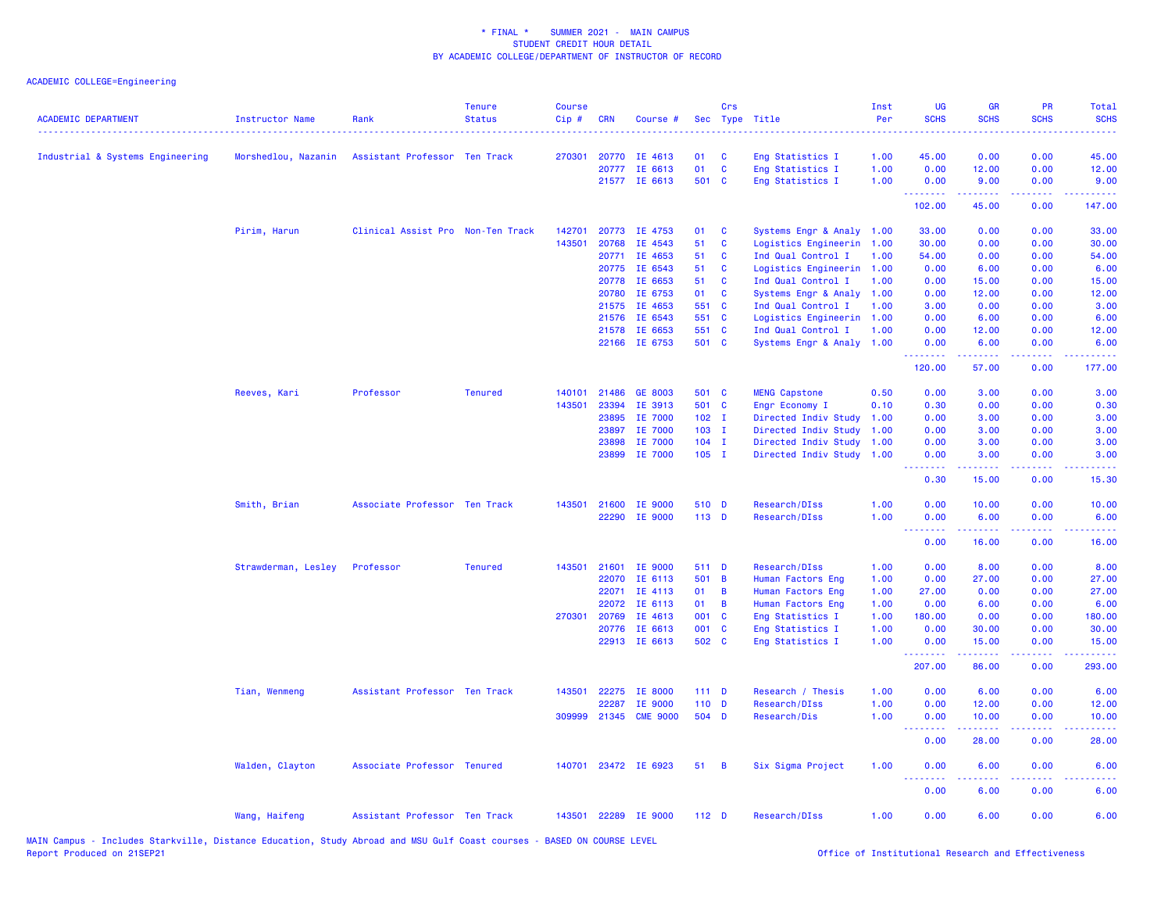## ACADEMIC COLLEGE=Engineering

| <b>ACADEMIC DEPARTMENT</b>       | Instructor Name<br>. | Rank                              | <b>Tenure</b><br><b>Status</b> | <b>Course</b><br>$Cip$ # | <b>CRN</b>     | Course #              |                  | Crs          | Sec Type Title                             | Inst<br>Per  | UG<br><b>SCHS</b> | <b>GR</b><br><b>SCHS</b>                                                                                                                                      | PR<br><b>SCHS</b>              | Total<br><b>SCHS</b><br>.                                                                                                                                      |
|----------------------------------|----------------------|-----------------------------------|--------------------------------|--------------------------|----------------|-----------------------|------------------|--------------|--------------------------------------------|--------------|-------------------|---------------------------------------------------------------------------------------------------------------------------------------------------------------|--------------------------------|----------------------------------------------------------------------------------------------------------------------------------------------------------------|
| Industrial & Systems Engineering | Morshedlou, Nazanin  | Assistant Professor Ten Track     |                                | 270301                   |                | 20770 IE 4613         | 01               | C            | Eng Statistics I                           | 1.00         | 45.00             | 0.00                                                                                                                                                          | 0.00                           | 45.00                                                                                                                                                          |
|                                  |                      |                                   |                                |                          | 20777          | IE 6613               | 01               | $\mathbf{C}$ | Eng Statistics I                           | 1.00         | 0.00              | 12.00                                                                                                                                                         | 0.00                           | 12.00                                                                                                                                                          |
|                                  |                      |                                   |                                |                          |                | 21577 IE 6613         | 501 C            |              | Eng Statistics I                           | 1.00         | 0.00<br><u>.</u>  | 9.00<br>بالمستبط                                                                                                                                              | 0.00<br>.                      | 9.00<br>.                                                                                                                                                      |
|                                  |                      |                                   |                                |                          |                |                       |                  |              |                                            |              | 102.00            | 45.00                                                                                                                                                         | 0.00                           | 147.00                                                                                                                                                         |
|                                  | Pirim, Harun         | Clinical Assist Pro Non-Ten Track |                                | 142701                   | 20773          | IE 4753               | 01               | C            | Systems Engr & Analy 1.00                  |              | 33.00             | 0.00                                                                                                                                                          | 0.00                           | 33.00                                                                                                                                                          |
|                                  |                      |                                   |                                | 143501                   | 20768          | IE 4543               | 51               | C            | Logistics Engineerin                       | 1.00         | 30.00             | 0.00                                                                                                                                                          | 0.00                           | 30.00                                                                                                                                                          |
|                                  |                      |                                   |                                |                          | 20771          | IE 4653               | 51               | C            | Ind Qual Control I                         | 1.00         | 54.00             | 0.00                                                                                                                                                          | 0.00                           | 54.00                                                                                                                                                          |
|                                  |                      |                                   |                                |                          |                | 20775 IE 6543         | 51               | C            | Logistics Engineerin                       | 1.00         | 0.00              | 6.00                                                                                                                                                          | 0.00                           | 6.00                                                                                                                                                           |
|                                  |                      |                                   |                                |                          | 20778          | IE 6653               | 51               | C            | Ind Qual Control I                         | 1.00         | 0.00              | 15.00                                                                                                                                                         | 0.00                           | 15.00                                                                                                                                                          |
|                                  |                      |                                   |                                |                          | 20780          | IE 6753<br>IE 4653    | 01<br>551 C      | C            | Systems Engr & Analy                       | 1.00         | 0.00              | 12.00                                                                                                                                                         | 0.00                           | 12.00                                                                                                                                                          |
|                                  |                      |                                   |                                |                          | 21575<br>21576 | IE 6543               | 551 C            |              | Ind Qual Control I<br>Logistics Engineerin | 1.00<br>1.00 | 3.00<br>0.00      | 0.00<br>6.00                                                                                                                                                  | 0.00<br>0.00                   | 3.00<br>6.00                                                                                                                                                   |
|                                  |                      |                                   |                                |                          | 21578          | IE 6653               | 551 C            |              | Ind Qual Control I                         | 1.00         | 0.00              | 12.00                                                                                                                                                         | 0.00                           | 12.00                                                                                                                                                          |
|                                  |                      |                                   |                                |                          |                | 22166 IE 6753         | 501 C            |              | Systems Engr & Analy 1.00                  |              | 0.00              | 6.00                                                                                                                                                          | 0.00                           | 6.00                                                                                                                                                           |
|                                  |                      |                                   |                                |                          |                |                       |                  |              |                                            |              | .<br>120.00       | بالأباليات<br>57.00                                                                                                                                           | .<br>0.00                      | $\frac{1}{2} \left( \frac{1}{2} \right) \left( \frac{1}{2} \right) \left( \frac{1}{2} \right) \left( \frac{1}{2} \right) \left( \frac{1}{2} \right)$<br>177.00 |
|                                  | Reeves, Kari         | Professor                         | <b>Tenured</b>                 | 140101                   | 21486          | GE 8003               | 501 C            |              | <b>MENG Capstone</b>                       | 0.50         | 0.00              | 3.00                                                                                                                                                          | 0.00                           | 3.00                                                                                                                                                           |
|                                  |                      |                                   |                                | 143501                   | 23394          | IE 3913               | 501 C            |              | Engr Economy I                             | 0.10         | 0.30              | 0.00                                                                                                                                                          | 0.00                           | 0.30                                                                                                                                                           |
|                                  |                      |                                   |                                |                          | 23895          | IE 7000               | $102$ I          |              | Directed Indiv Study                       | 1.00         | 0.00              | 3.00                                                                                                                                                          | 0.00                           | 3.00                                                                                                                                                           |
|                                  |                      |                                   |                                |                          | 23897          | IE 7000               | $103$ I          |              | Directed Indiv Study                       | 1.00         | 0.00              | 3.00                                                                                                                                                          | 0.00                           | 3.00                                                                                                                                                           |
|                                  |                      |                                   |                                |                          | 23898          | IE 7000               | $104$ I          |              | Directed Indiv Study                       | 1.00         | 0.00              | 3.00                                                                                                                                                          | 0.00                           | 3.00                                                                                                                                                           |
|                                  |                      |                                   |                                |                          | 23899          | IE 7000               | $105$ I          |              | Directed Indiv Study 1.00                  |              | 0.00              | 3.00                                                                                                                                                          | 0.00                           | 3.00                                                                                                                                                           |
|                                  |                      |                                   |                                |                          |                |                       |                  |              |                                            |              | .<br>0.30         | <u>.</u><br>15.00                                                                                                                                             | .<br>0.00                      | $- - - -$<br>15.30                                                                                                                                             |
|                                  | Smith, Brian         | Associate Professor Ten Track     |                                | 143501                   | 21600          | <b>IE 9000</b>        | 510 D            |              | Research/DIss                              | 1.00         | 0.00              | 10.00                                                                                                                                                         | 0.00                           | 10.00                                                                                                                                                          |
|                                  |                      |                                   |                                |                          |                | 22290 IE 9000         | 113 D            |              | Research/DIss                              | 1.00         | 0.00              | 6.00                                                                                                                                                          | 0.00                           | 6.00                                                                                                                                                           |
|                                  |                      |                                   |                                |                          |                |                       |                  |              |                                            |              | .<br>0.00         | 16.00                                                                                                                                                         | والمحامل<br>0.00               | $\frac{1}{2} \left( \frac{1}{2} \right) \left( \frac{1}{2} \right) \left( \frac{1}{2} \right) \left( \frac{1}{2} \right)$<br>16.00                             |
|                                  | Strawderman, Lesley  | Professor                         | <b>Tenured</b>                 | 143501                   | 21601          | IE 9000               | 511 D            |              | Research/DIss                              | 1.00         | 0.00              | 8.00                                                                                                                                                          | 0.00                           | 8.00                                                                                                                                                           |
|                                  |                      |                                   |                                |                          | 22070          | IE 6113               | 501              | B            | Human Factors Eng                          | 1.00         | 0.00              | 27.00                                                                                                                                                         | 0.00                           | 27.00                                                                                                                                                          |
|                                  |                      |                                   |                                |                          | 22071          | IE 4113               | 01               | B            | Human Factors Eng                          | 1.00         | 27.00             | 0.00                                                                                                                                                          | 0.00                           | 27.00                                                                                                                                                          |
|                                  |                      |                                   |                                |                          | 22072          | IE 6113               | 01               | B            | Human Factors Eng                          | 1.00         | 0.00              | 6.00                                                                                                                                                          | 0.00                           | 6.00                                                                                                                                                           |
|                                  |                      |                                   |                                | 270301                   | 20769          | IE 4613               | 001 C            |              | Eng Statistics I                           | 1.00         | 180.00            | 0.00                                                                                                                                                          | 0.00                           | 180.00                                                                                                                                                         |
|                                  |                      |                                   |                                |                          | 20776          | IE 6613               | 001 C            |              | Eng Statistics I                           | 1.00         | 0.00              | 30.00                                                                                                                                                         | 0.00                           | 30.00                                                                                                                                                          |
|                                  |                      |                                   |                                |                          | 22913          | IE 6613               | 502 C            |              | Eng Statistics I                           | 1.00         | 0.00<br>.         | 15.00<br>$\frac{1}{2} \left( \frac{1}{2} \right) \left( \frac{1}{2} \right) \left( \frac{1}{2} \right) \left( \frac{1}{2} \right) \left( \frac{1}{2} \right)$ | 0.00<br>د د د د .              | 15.00<br>.                                                                                                                                                     |
|                                  |                      |                                   |                                |                          |                |                       |                  |              |                                            |              | 207.00            | 86.00                                                                                                                                                         | 0.00                           | 293.00                                                                                                                                                         |
|                                  | Tian, Wenmeng        | Assistant Professor Ten Track     |                                | 143501                   | 22275          | IE 8000               | $111$ D          |              | Research / Thesis                          | 1.00         | 0.00              | 6.00                                                                                                                                                          | 0.00                           | 6.00                                                                                                                                                           |
|                                  |                      |                                   |                                |                          | 22287          | IE 9000               | $110$ D          |              | Research/DIss                              | 1.00         | 0.00              | 12.00                                                                                                                                                         | 0.00                           | 12.00                                                                                                                                                          |
|                                  |                      |                                   |                                |                          |                | 309999 21345 CME 9000 | 504 D            |              | Research/Dis                               | 1.00         | 0.00<br>وبالاناد  | 10.00<br>بالأباب                                                                                                                                              | 0.00<br>$\sim$ $\sim$ $\sim$ . | 10.00                                                                                                                                                          |
|                                  |                      |                                   |                                |                          |                |                       |                  |              |                                            |              | 0.00              | 28.00                                                                                                                                                         | 0.00                           | 28.00                                                                                                                                                          |
|                                  | Walden, Clayton      | Associate Professor Tenured       |                                |                          |                | 140701 23472 IE 6923  | 51               | B            | Six Sigma Project                          | 1.00         | 0.00<br><b></b>   | 6.00<br>.                                                                                                                                                     | 0.00<br>.                      | 6.00                                                                                                                                                           |
|                                  |                      |                                   |                                |                          |                |                       |                  |              |                                            |              | 0.00              | 6.00                                                                                                                                                          | 0.00                           | 6.00                                                                                                                                                           |
|                                  | Wang, Haifeng        | Assistant Professor Ten Track     |                                |                          |                | 143501 22289 IE 9000  | 112 <sub>D</sub> |              | Research/DIss                              | 1.00         | 0.00              | 6.00                                                                                                                                                          | 0.00                           | 6.00                                                                                                                                                           |

MAIN Campus - Includes Starkville, Distance Education, Study Abroad and MSU Gulf Coast courses - BASED ON COURSE LEVEL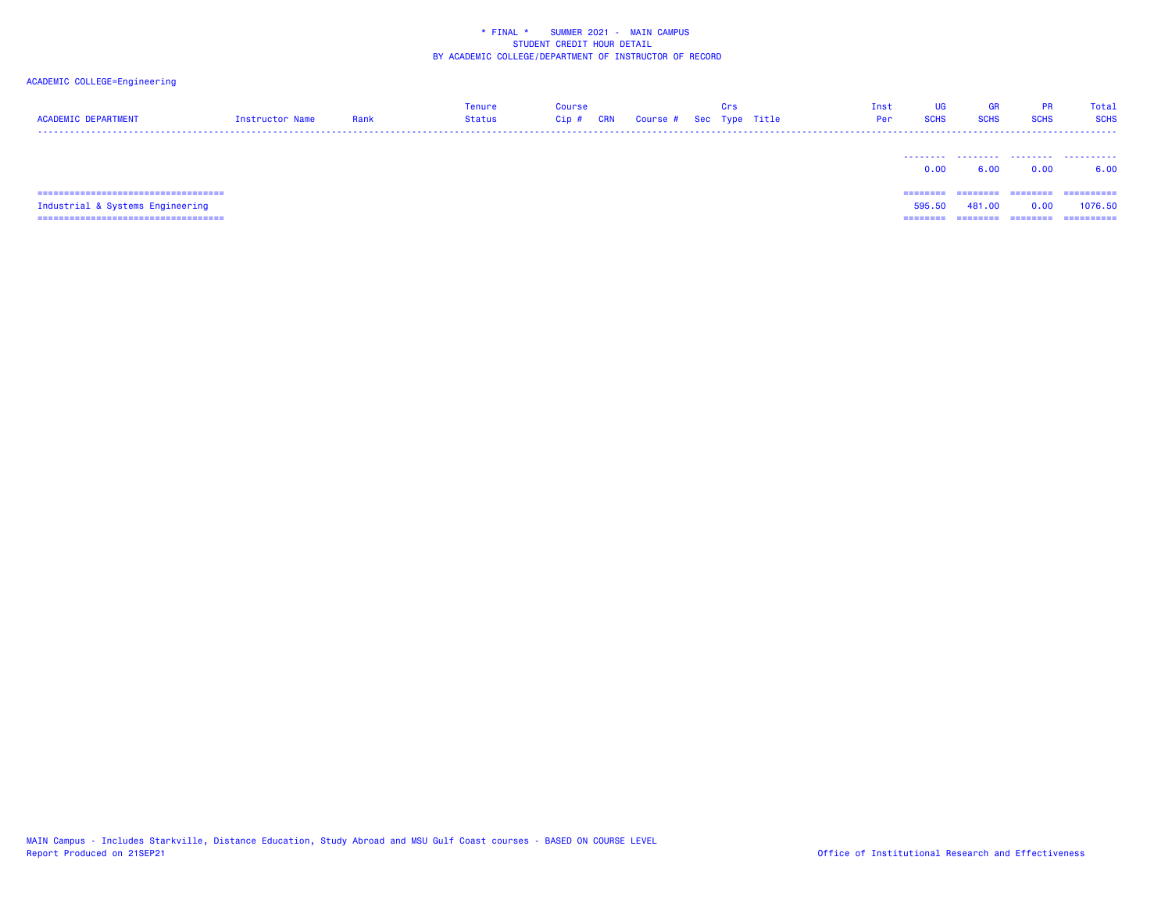| <b>ACADEMIC DEPARTMENT</b>             | Instructor Name | Rank | <b>Tenure</b><br><b>Status</b> | <b>Course</b><br>$Cip$ #<br>CRN | Course # Sec Type Title | Crs | Inst<br>Per | <b>UG</b><br><b>SCHS</b> | GR<br><b>SCHS</b> | <b>PR</b><br><b>SCHS</b> | Total<br><b>SCHS</b> |
|----------------------------------------|-----------------|------|--------------------------------|---------------------------------|-------------------------|-----|-------------|--------------------------|-------------------|--------------------------|----------------------|
|                                        |                 |      |                                |                                 |                         |     |             | 0.00                     | 6.00              | 0.00                     | .<br>6.00            |
|                                        |                 |      |                                |                                 |                         |     |             | ========                 | ========          | --------                 | ==========           |
| Industrial & Systems Engineering       |                 |      |                                |                                 |                         |     |             | 595.50                   | 481.00            | 0.00                     | 1076.50              |
| ====================================== |                 |      |                                |                                 |                         |     |             | ========                 | ========          | ========                 | ==========           |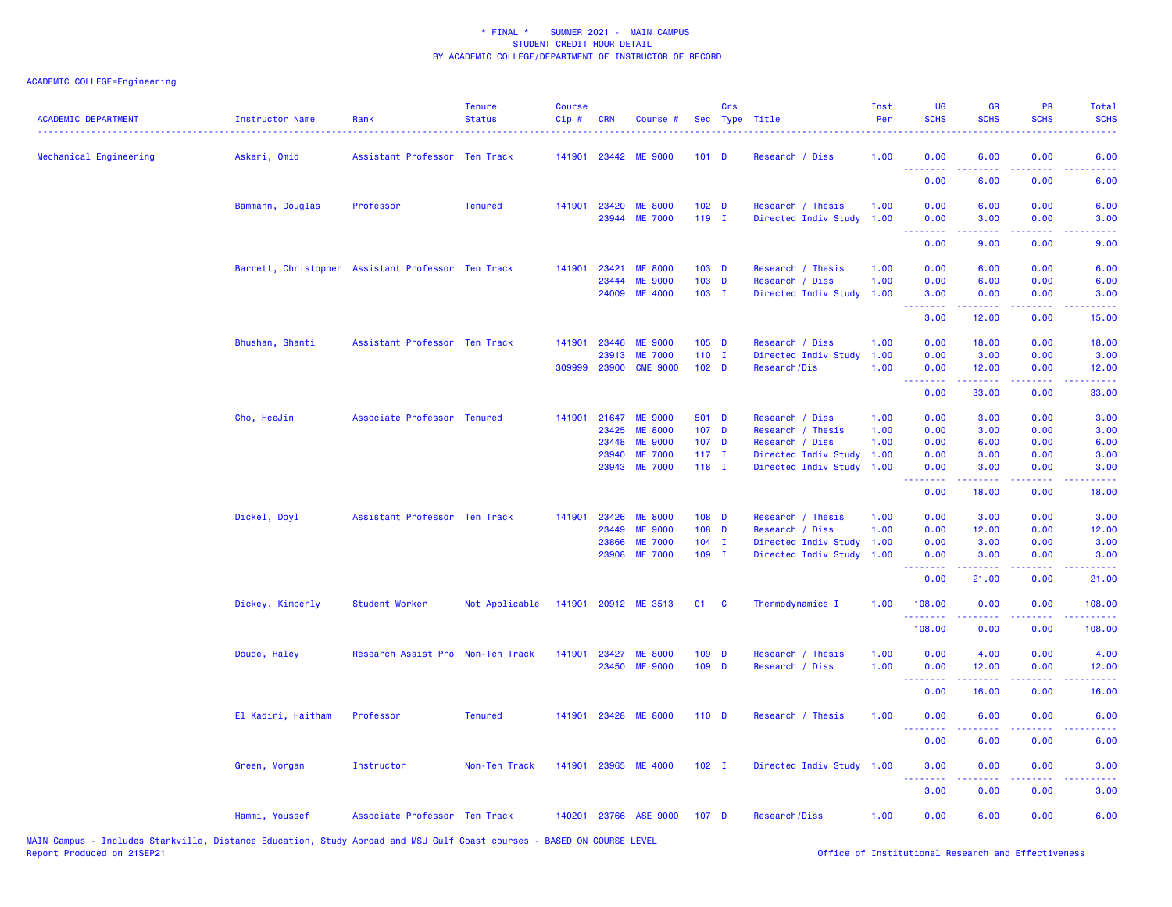| <b>ACADEMIC DEPARTMENT</b> | Instructor Name                                    | Rank                              | <b>Tenure</b><br><b>Status</b> | <b>Course</b><br>Cip# | <b>CRN</b>     | Course #                         |                    | Crs      | Sec Type Title                          | Inst<br>Per  | UG<br><b>SCHS</b>                                                                                                                                                                                                                                                                                                                                                                                                                                                                              | <b>GR</b><br><b>SCHS</b> | <b>PR</b><br><b>SCHS</b>    | Total<br><b>SCHS</b> |
|----------------------------|----------------------------------------------------|-----------------------------------|--------------------------------|-----------------------|----------------|----------------------------------|--------------------|----------|-----------------------------------------|--------------|------------------------------------------------------------------------------------------------------------------------------------------------------------------------------------------------------------------------------------------------------------------------------------------------------------------------------------------------------------------------------------------------------------------------------------------------------------------------------------------------|--------------------------|-----------------------------|----------------------|
| Mechanical Engineering     | Askari, Omid                                       | Assistant Professor Ten Track     |                                | 141901                |                | 23442 ME 9000                    | $101$ D            |          | Research / Diss                         | 1.00         | 0.00<br><u>.</u>                                                                                                                                                                                                                                                                                                                                                                                                                                                                               | 6.00                     | 0.00<br>$   -$              | 6.00                 |
|                            |                                                    |                                   |                                |                       |                |                                  |                    |          |                                         |              | 0.00                                                                                                                                                                                                                                                                                                                                                                                                                                                                                           | 6.00                     | 0.00                        | 6.00                 |
|                            | Bammann, Douglas                                   | Professor                         | <b>Tenured</b>                 | 141901                | 23420          | <b>ME 8000</b>                   | 102 <sub>D</sub>   |          | Research / Thesis                       | 1.00         | 0.00                                                                                                                                                                                                                                                                                                                                                                                                                                                                                           | 6.00                     | 0.00                        | 6.00                 |
|                            |                                                    |                                   |                                |                       |                | 23944 ME 7000                    | 119 I              |          | Directed Indiv Study                    | 1.00         | 0.00<br><b><i><u><u> - - - - - - -</u></u></i></b>                                                                                                                                                                                                                                                                                                                                                                                                                                             | 3.00<br>.                | 0.00<br>د د د د             | 3.00<br>----         |
|                            |                                                    |                                   |                                |                       |                |                                  |                    |          |                                         |              | 0.00                                                                                                                                                                                                                                                                                                                                                                                                                                                                                           | 9.00                     | 0.00                        | 9.00                 |
|                            | Barrett, Christopher Assistant Professor Ten Track |                                   |                                | 141901                | 23421          | <b>ME 8000</b>                   | 103 D              |          | Research / Thesis                       | 1.00         | 0.00                                                                                                                                                                                                                                                                                                                                                                                                                                                                                           | 6.00                     | 0.00                        | 6.00                 |
|                            |                                                    |                                   |                                |                       | 23444<br>24009 | <b>ME 9000</b><br><b>ME 4000</b> | $103$ D<br>$103$ I |          | Research / Diss<br>Directed Indiv Study | 1.00<br>1.00 | 0.00<br>3.00                                                                                                                                                                                                                                                                                                                                                                                                                                                                                   | 6.00<br>0.00             | 0.00<br>0.00                | 6.00<br>3.00         |
|                            |                                                    |                                   |                                |                       |                |                                  |                    |          |                                         |              | <b><i><u><u> - - - - - - -</u></u></i></b><br>3.00                                                                                                                                                                                                                                                                                                                                                                                                                                             | 22222<br>12.00           | 0.00                        | 15.00                |
|                            | Bhushan, Shanti                                    | Assistant Professor Ten Track     |                                | 141901                | 23446          | <b>ME 9000</b>                   | $105$ D            |          | Research / Diss                         | 1.00         | 0.00                                                                                                                                                                                                                                                                                                                                                                                                                                                                                           | 18.00                    | 0.00                        | 18.00                |
|                            |                                                    |                                   |                                |                       | 23913          | <b>ME 7000</b>                   | $110$ I            |          | Directed Indiv Study                    | 1.00         | 0.00                                                                                                                                                                                                                                                                                                                                                                                                                                                                                           | 3.00                     | 0.00                        | 3.00                 |
|                            |                                                    |                                   |                                | 309999                | 23900          | <b>CME 9000</b>                  | 102 <sub>D</sub>   |          | Research/Dis                            | 1.00         | 0.00<br>.                                                                                                                                                                                                                                                                                                                                                                                                                                                                                      | 12.00<br>المتمامين       | 0.00<br>.                   | 12.00<br>.           |
|                            |                                                    |                                   |                                |                       |                |                                  |                    |          |                                         |              | 0.00                                                                                                                                                                                                                                                                                                                                                                                                                                                                                           | 33.00                    | 0.00                        | 33.00                |
|                            | Cho, HeeJin                                        | Associate Professor Tenured       |                                | 141901                | 21647          | <b>ME 9000</b>                   | 501 D              |          | Research / Diss                         | 1.00         | 0.00                                                                                                                                                                                                                                                                                                                                                                                                                                                                                           | 3.00                     | 0.00                        | 3.00                 |
|                            |                                                    |                                   |                                |                       | 23425          | <b>ME 8000</b>                   | 107 D              |          | Research / Thesis                       | 1.00         | 0.00                                                                                                                                                                                                                                                                                                                                                                                                                                                                                           | 3.00                     | 0.00                        | 3.00                 |
|                            |                                                    |                                   |                                |                       | 23448          | <b>ME 9000</b>                   | 107 <sub>D</sub>   |          | Research / Diss                         | 1.00         | 0.00                                                                                                                                                                                                                                                                                                                                                                                                                                                                                           | 6.00                     | 0.00                        | 6.00                 |
|                            |                                                    |                                   |                                |                       | 23940          | <b>ME 7000</b>                   | $117$ I            |          | Directed Indiv Study                    | 1.00         | 0.00                                                                                                                                                                                                                                                                                                                                                                                                                                                                                           | 3.00                     | 0.00                        | 3.00                 |
|                            |                                                    |                                   |                                |                       | 23943          | <b>ME 7000</b>                   | $118$ I            |          | Directed Indiv Study                    | 1.00         | 0.00<br>.                                                                                                                                                                                                                                                                                                                                                                                                                                                                                      | 3.00                     | 0.00                        | 3.00                 |
|                            |                                                    |                                   |                                |                       |                |                                  |                    |          |                                         |              | 0.00                                                                                                                                                                                                                                                                                                                                                                                                                                                                                           | 18.00                    | 0.00                        | 18.00                |
|                            | Dickel, Doyl                                       | Assistant Professor Ten Track     |                                | 141901                | 23426          | <b>ME 8000</b>                   | 108 D              |          | Research / Thesis                       | 1.00         | 0.00                                                                                                                                                                                                                                                                                                                                                                                                                                                                                           | 3.00                     | 0.00                        | 3.00                 |
|                            |                                                    |                                   |                                |                       | 23449          | <b>ME 9000</b>                   | 108 D              |          | Research / Diss                         | 1.00         | 0.00                                                                                                                                                                                                                                                                                                                                                                                                                                                                                           | 12.00                    | 0.00                        | 12.00                |
|                            |                                                    |                                   |                                |                       | 23866          | <b>ME 7000</b>                   | $104$ I            |          | Directed Indiv Study                    | 1.00         | 0.00                                                                                                                                                                                                                                                                                                                                                                                                                                                                                           | 3.00                     | 0.00                        | 3.00                 |
|                            |                                                    |                                   |                                |                       | 23908          | <b>ME 7000</b>                   | $109$ I            |          | Directed Indiv Study                    | 1.00         | 0.00<br>.                                                                                                                                                                                                                                                                                                                                                                                                                                                                                      | 3.00<br><b></b>          | 0.00<br>د د د د             | 3.00<br>بالأساس      |
|                            |                                                    |                                   |                                |                       |                |                                  |                    |          |                                         |              | 0.00                                                                                                                                                                                                                                                                                                                                                                                                                                                                                           | 21.00                    | 0.00                        | 21.00                |
|                            | Dickey, Kimberly                                   | Student Worker                    | Not Applicable                 | 141901                |                | 20912 ME 3513                    | 01                 | <b>C</b> | Thermodynamics I                        | 1.00         | 108.00<br>.                                                                                                                                                                                                                                                                                                                                                                                                                                                                                    | 0.00                     | 0.00                        | 108.00               |
|                            |                                                    |                                   |                                |                       |                |                                  |                    |          |                                         |              | 108.00                                                                                                                                                                                                                                                                                                                                                                                                                                                                                         | 0.00                     | 0.00                        | 108.00               |
|                            | Doude, Haley                                       | Research Assist Pro Non-Ten Track |                                | 141901                | 23427          | <b>ME 8000</b>                   | 109 D              |          | Research / Thesis                       | 1.00         | 0.00                                                                                                                                                                                                                                                                                                                                                                                                                                                                                           | 4.00                     | 0.00                        | 4.00                 |
|                            |                                                    |                                   |                                |                       |                | 23450 ME 9000                    | 109 D              |          | Research / Diss                         | 1.00         | 0.00<br><u>.</u>                                                                                                                                                                                                                                                                                                                                                                                                                                                                               | 12.00<br><b></b>         | 0.00<br>.                   | 12.00<br>.           |
|                            |                                                    |                                   |                                |                       |                |                                  |                    |          |                                         |              | 0.00                                                                                                                                                                                                                                                                                                                                                                                                                                                                                           | 16.00                    | 0.00                        | 16.00                |
|                            | El Kadiri, Haitham                                 | Professor                         | <b>Tenured</b>                 | 141901                |                | 23428 ME 8000                    | $110$ D            |          | Research / Thesis                       | 1.00         | 0.00<br>--------                                                                                                                                                                                                                                                                                                                                                                                                                                                                               | 6.00                     | 0.00<br>$\omega = \omega$ . | 6.00                 |
|                            |                                                    |                                   |                                |                       |                |                                  |                    |          |                                         |              | 0.00                                                                                                                                                                                                                                                                                                                                                                                                                                                                                           | 6.00                     | 0.00                        | 6.00                 |
|                            | Green, Morgan                                      | Instructor                        | Non-Ten Track                  |                       |                | 141901 23965 ME 4000             | $102$ I            |          | Directed Indiv Study 1.00               |              | 3.00<br>$\begin{array}{cccccccccccccc} \multicolumn{2}{c}{} & \multicolumn{2}{c}{} & \multicolumn{2}{c}{} & \multicolumn{2}{c}{} & \multicolumn{2}{c}{} & \multicolumn{2}{c}{} & \multicolumn{2}{c}{} & \multicolumn{2}{c}{} & \multicolumn{2}{c}{} & \multicolumn{2}{c}{} & \multicolumn{2}{c}{} & \multicolumn{2}{c}{} & \multicolumn{2}{c}{} & \multicolumn{2}{c}{} & \multicolumn{2}{c}{} & \multicolumn{2}{c}{} & \multicolumn{2}{c}{} & \multicolumn{2}{c}{} & \multicolumn{2}{c}{} & \$ | 0.00<br>-----            | 0.00<br>.                   | 3.00<br>----         |
|                            |                                                    |                                   |                                |                       |                |                                  |                    |          |                                         |              | 3.00                                                                                                                                                                                                                                                                                                                                                                                                                                                                                           | 0.00                     | 0.00                        | 3.00                 |
|                            | Hammi, Youssef                                     | Associate Professor Ten Track     |                                |                       |                | 140201 23766 ASE 9000            | 107 <sub>D</sub>   |          | Research/Diss                           | 1.00         | 0.00                                                                                                                                                                                                                                                                                                                                                                                                                                                                                           | 6.00                     | 0.00                        | 6.00                 |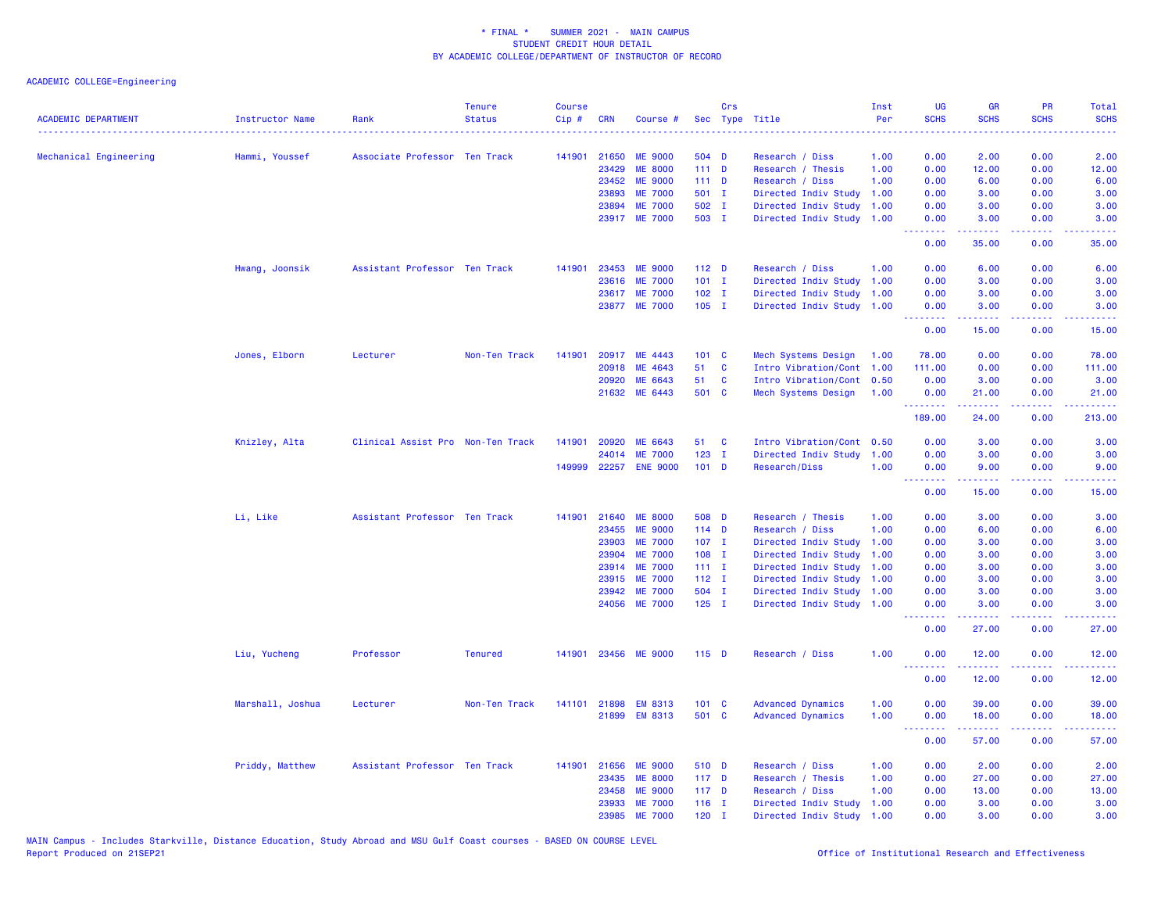## ACADEMIC COLLEGE=Engineering

| <b>ACADEMIC DEPARTMENT</b> | <b>Instructor Name</b> | Rank                              | <b>Tenure</b><br><b>Status</b> | <b>Course</b><br>Cip# | <b>CRN</b> | Course #       |                  | <b>Crs</b> | Sec Type Title            | Inst<br>Per | <b>UG</b><br><b>SCHS</b>                           | <b>GR</b><br><b>SCHS</b>                                                                                                                                     | PR<br><b>SCHS</b>  | Total<br><b>SCHS</b>                                                                                                              |
|----------------------------|------------------------|-----------------------------------|--------------------------------|-----------------------|------------|----------------|------------------|------------|---------------------------|-------------|----------------------------------------------------|--------------------------------------------------------------------------------------------------------------------------------------------------------------|--------------------|-----------------------------------------------------------------------------------------------------------------------------------|
|                            | .                      |                                   |                                |                       |            |                |                  |            |                           |             |                                                    |                                                                                                                                                              |                    | .                                                                                                                                 |
| Mechanical Engineering     | Hammi, Youssef         | Associate Professor Ten Track     |                                | 141901                | 21650      | <b>ME 9000</b> | 504 D            |            | Research / Diss           | 1.00        | 0.00                                               | 2.00                                                                                                                                                         | 0.00               | 2.00                                                                                                                              |
|                            |                        |                                   |                                |                       | 23429      | <b>ME 8000</b> | 111D             |            | Research / Thesis         | 1.00        | 0.00                                               | 12.00                                                                                                                                                        | 0.00               | 12.00                                                                                                                             |
|                            |                        |                                   |                                |                       | 23452      | <b>ME 9000</b> | 111D             |            | Research / Diss           | 1.00        | 0.00                                               | 6.00                                                                                                                                                         | 0.00               | 6.00                                                                                                                              |
|                            |                        |                                   |                                |                       | 23893      | <b>ME 7000</b> | 501 I            |            | Directed Indiv Study      | 1.00        | 0.00                                               | 3.00                                                                                                                                                         | 0.00               | 3.00                                                                                                                              |
|                            |                        |                                   |                                |                       | 23894      | <b>ME 7000</b> | 502 I            |            | Directed Indiv Study      | 1.00        | 0.00                                               | 3.00                                                                                                                                                         | 0.00               | 3.00                                                                                                                              |
|                            |                        |                                   |                                |                       |            | 23917 ME 7000  | 503 I            |            | Directed Indiv Study 1.00 |             | 0.00<br><u> - - - - - - - -</u>                    | 3.00<br>$\frac{1}{2} \left( \frac{1}{2} \right) \left( \frac{1}{2} \right) \left( \frac{1}{2} \right) \left( \frac{1}{2} \right) \left( \frac{1}{2} \right)$ | 0.00<br>ت با با با | 3.00<br>$\frac{1}{2} \left( \frac{1}{2} \right) \left( \frac{1}{2} \right) \left( \frac{1}{2} \right) \left( \frac{1}{2} \right)$ |
|                            |                        |                                   |                                |                       |            |                |                  |            |                           |             | 0.00                                               | 35.00                                                                                                                                                        | 0.00               | 35.00                                                                                                                             |
|                            | Hwang, Joonsik         | Assistant Professor Ten Track     |                                | 141901                | 23453      | <b>ME 9000</b> | 112 <sub>D</sub> |            | Research / Diss           | 1.00        | 0.00                                               | 6.00                                                                                                                                                         | 0.00               | 6.00                                                                                                                              |
|                            |                        |                                   |                                |                       | 23616      | <b>ME 7000</b> | $101$ I          |            | Directed Indiv Study      | 1.00        | 0.00                                               | 3.00                                                                                                                                                         | 0.00               | 3.00                                                                                                                              |
|                            |                        |                                   |                                |                       |            | 23617 ME 7000  | $102$ I          |            | Directed Indiv Study      | 1.00        | 0.00                                               | 3.00                                                                                                                                                         | 0.00               | 3.00                                                                                                                              |
|                            |                        |                                   |                                |                       |            | 23877 ME 7000  | $105$ I          |            | Directed Indiv Study 1.00 |             | 0.00<br><u>.</u>                                   | 3.00<br>$\frac{1}{2} \left( \frac{1}{2} \right) \left( \frac{1}{2} \right) \left( \frac{1}{2} \right) \left( \frac{1}{2} \right) \left( \frac{1}{2} \right)$ | 0.00<br>د د د د    | 3.00<br>$\frac{1}{2} \left( \frac{1}{2} \right) \left( \frac{1}{2} \right) \left( \frac{1}{2} \right) \left( \frac{1}{2} \right)$ |
|                            |                        |                                   |                                |                       |            |                |                  |            |                           |             | 0.00                                               | 15.00                                                                                                                                                        | 0.00               | 15.00                                                                                                                             |
|                            | Jones, Elborn          | Lecturer                          | Non-Ten Track                  | 141901                | 20917      | ME 4443        | 101 C            |            | Mech Systems Design       | 1.00        | 78.00                                              | 0.00                                                                                                                                                         | 0.00               | 78.00                                                                                                                             |
|                            |                        |                                   |                                |                       | 20918      | ME 4643        | 51               | C          | Intro Vibration/Cont      | 1.00        | 111.00                                             | 0.00                                                                                                                                                         | 0.00               | 111.00                                                                                                                            |
|                            |                        |                                   |                                |                       | 20920      | ME 6643        | 51               | C          | Intro Vibration/Cont 0.50 |             | 0.00                                               | 3.00                                                                                                                                                         | 0.00               | 3.00                                                                                                                              |
|                            |                        |                                   |                                |                       |            | 21632 ME 6443  | 501 C            |            | Mech Systems Design       | 1.00        | 0.00                                               | 21.00                                                                                                                                                        | 0.00               | 21.00                                                                                                                             |
|                            |                        |                                   |                                |                       |            |                |                  |            |                           |             | <u> 22222222</u><br>189.00                         | <u>.</u><br>24.00                                                                                                                                            | .<br>0.00          | .<br>213.00                                                                                                                       |
|                            | Knizley, Alta          | Clinical Assist Pro Non-Ten Track |                                | 141901                | 20920      | ME 6643        | 51               | C          | Intro Vibration/Cont      | 0.50        | 0.00                                               | 3.00                                                                                                                                                         | 0.00               | 3.00                                                                                                                              |
|                            |                        |                                   |                                |                       | 24014      | <b>ME 7000</b> | $123$ I          |            | Directed Indiv Study      | 1.00        | 0.00                                               | 3.00                                                                                                                                                         | 0.00               | 3.00                                                                                                                              |
|                            |                        |                                   |                                | 149999                |            | 22257 ENE 9000 | $101$ D          |            | Research/Diss             | 1.00        | 0.00<br><u>.</u>                                   | 9.00<br>.                                                                                                                                                    | 0.00<br>.          | 9.00<br><u>.</u>                                                                                                                  |
|                            |                        |                                   |                                |                       |            |                |                  |            |                           |             | 0.00                                               | 15.00                                                                                                                                                        | 0.00               | 15.00                                                                                                                             |
|                            | Li, Like               | Assistant Professor Ten Track     |                                | 141901                | 21640      | <b>ME 8000</b> | 508 D            |            | Research / Thesis         | 1.00        | 0.00                                               | 3.00                                                                                                                                                         | 0.00               | 3.00                                                                                                                              |
|                            |                        |                                   |                                |                       | 23455      | <b>ME 9000</b> | $114$ D          |            | Research / Diss           | 1.00        | 0.00                                               | 6.00                                                                                                                                                         | 0.00               | 6.00                                                                                                                              |
|                            |                        |                                   |                                |                       | 23903      | <b>ME 7000</b> | $107$ I          |            | Directed Indiv Study      | 1.00        | 0.00                                               | 3.00                                                                                                                                                         | 0.00               | 3.00                                                                                                                              |
|                            |                        |                                   |                                |                       | 23904      | <b>ME 7000</b> | 108 I            |            | Directed Indiv Study      | 1.00        | 0.00                                               | 3.00                                                                                                                                                         | 0.00               | 3.00                                                                                                                              |
|                            |                        |                                   |                                |                       | 23914      | <b>ME 7000</b> | $111 \quad I$    |            | Directed Indiv Study      | 1.00        | 0.00                                               | 3.00                                                                                                                                                         | 0.00               | 3.00                                                                                                                              |
|                            |                        |                                   |                                |                       | 23915      | <b>ME 7000</b> | $112$ I          |            | Directed Indiv Study      | 1.00        | 0.00                                               | 3.00                                                                                                                                                         | 0.00               | 3.00                                                                                                                              |
|                            |                        |                                   |                                |                       | 23942      | <b>ME 7000</b> | 504 I            |            | Directed Indiv Study      | 1.00        | 0.00                                               | 3.00                                                                                                                                                         | 0.00               | 3.00                                                                                                                              |
|                            |                        |                                   |                                |                       |            | 24056 ME 7000  | $125$ I          |            | Directed Indiv Study      | 1.00        | 0.00<br>.                                          | 3.00                                                                                                                                                         | 0.00<br>والأمام    | 3.00<br>2222                                                                                                                      |
|                            |                        |                                   |                                |                       |            |                |                  |            |                           |             | 0.00                                               | 27.00                                                                                                                                                        | 0.00               | 27.00                                                                                                                             |
|                            | Liu, Yucheng           | Professor                         | <b>Tenured</b>                 | 141901                |            | 23456 ME 9000  | $115$ D          |            | Research / Diss           | 1.00        | 0.00<br>.                                          | 12.00<br>.                                                                                                                                                   | 0.00<br>بالأباد    | 12.00<br>وعاديات                                                                                                                  |
|                            |                        |                                   |                                |                       |            |                |                  |            |                           |             | 0.00                                               | 12.00                                                                                                                                                        | 0.00               | 12.00                                                                                                                             |
|                            | Marshall, Joshua       | Lecturer                          | Non-Ten Track                  | 141101                | 21898      | <b>EM 8313</b> | 101 C            |            | <b>Advanced Dynamics</b>  | 1.00        | 0.00                                               | 39.00                                                                                                                                                        | 0.00               | 39.00                                                                                                                             |
|                            |                        |                                   |                                |                       |            | 21899 EM 8313  | 501 C            |            | <b>Advanced Dynamics</b>  | 1.00        | 0.00<br><b><i><u><u> - - - - - - -</u></u></i></b> | 18.00<br>.                                                                                                                                                   | 0.00<br>د د د د .  | 18.00<br>.                                                                                                                        |
|                            |                        |                                   |                                |                       |            |                |                  |            |                           |             | 0.00                                               | 57.00                                                                                                                                                        | 0.00               | 57.00                                                                                                                             |
|                            | Priddy, Matthew        | Assistant Professor Ten Track     |                                | 141901                | 21656      | <b>ME 9000</b> | 510 D            |            | Research / Diss           | 1.00        | 0.00                                               | 2.00                                                                                                                                                         | 0.00               | 2.00                                                                                                                              |
|                            |                        |                                   |                                |                       | 23435      | <b>ME 8000</b> | 117 <sub>D</sub> |            | Research / Thesis         | 1.00        | 0.00                                               | 27.00                                                                                                                                                        | 0.00               | 27.00                                                                                                                             |
|                            |                        |                                   |                                |                       | 23458      | <b>ME 9000</b> | 117 <sub>D</sub> |            | Research / Diss           | 1.00        | 0.00                                               | 13.00                                                                                                                                                        | 0.00               | 13.00                                                                                                                             |
|                            |                        |                                   |                                |                       | 23933      | <b>ME 7000</b> | $116$ I          |            | Directed Indiv Study      | 1.00        | 0.00                                               | 3.00                                                                                                                                                         | 0.00               | 3.00                                                                                                                              |
|                            |                        |                                   |                                |                       | 23985      | <b>ME 7000</b> | $120$ I          |            | Directed Indiv Study      | 1.00        | 0.00                                               | 3.00                                                                                                                                                         | 0.00               | 3.00                                                                                                                              |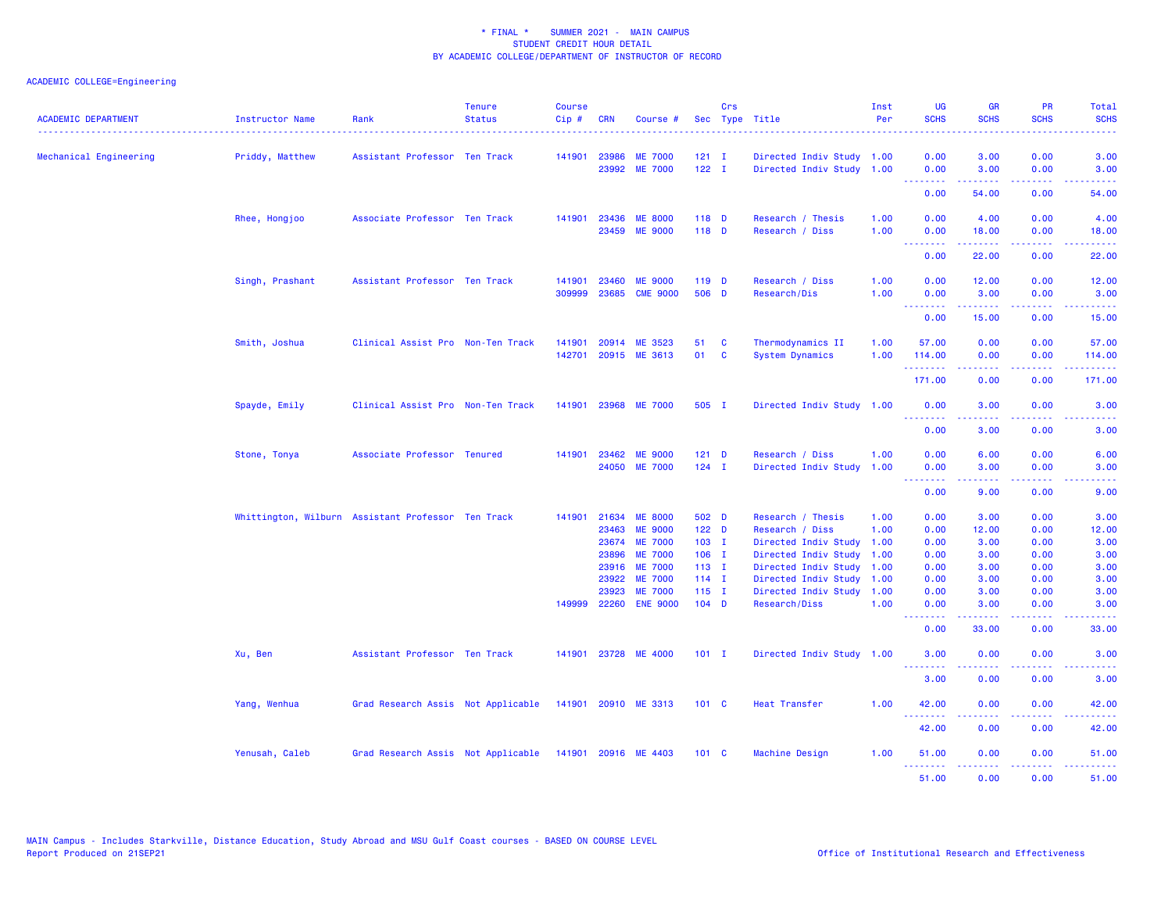## ACADEMIC COLLEGE=Engineering

| <b>ACADEMIC DEPARTMENT</b> | Instructor Name                                    | Rank                               | <b>Tenure</b><br><b>Status</b> | <b>Course</b><br>Cip# | <b>CRN</b>              | Course #                                           |                               | Crs                      | Sec Type Title                                                            | Inst<br>Per          | <b>UG</b><br><b>SCHS</b>                                                                                                                                                                                                                                                                                                                                                                                                                                                                       | <b>GR</b><br><b>SCHS</b>                                                                                                                                     | <b>PR</b><br><b>SCHS</b>                    | Total<br><b>SCHS</b>                                                                                                                                                    |
|----------------------------|----------------------------------------------------|------------------------------------|--------------------------------|-----------------------|-------------------------|----------------------------------------------------|-------------------------------|--------------------------|---------------------------------------------------------------------------|----------------------|------------------------------------------------------------------------------------------------------------------------------------------------------------------------------------------------------------------------------------------------------------------------------------------------------------------------------------------------------------------------------------------------------------------------------------------------------------------------------------------------|--------------------------------------------------------------------------------------------------------------------------------------------------------------|---------------------------------------------|-------------------------------------------------------------------------------------------------------------------------------------------------------------------------|
| Mechanical Engineering     | Priddy, Matthew                                    | Assistant Professor Ten Track      |                                | 141901                | 23986<br>23992          | <b>ME 7000</b><br><b>ME 7000</b>                   | $121$ I<br>$122$ I            |                          | Directed Indiv Study 1.00<br>Directed Indiv Study 1.00                    |                      | 0.00<br>0.00                                                                                                                                                                                                                                                                                                                                                                                                                                                                                   | 3.00<br>3.00                                                                                                                                                 | 0.00<br>0.00                                | 3.00<br>3.00                                                                                                                                                            |
|                            |                                                    |                                    |                                |                       |                         |                                                    |                               |                          |                                                                           |                      | .<br>0.00                                                                                                                                                                                                                                                                                                                                                                                                                                                                                      | 22222<br>54.00                                                                                                                                               | بالانادا<br>0.00                            | $\sim$ $\sim$ $\sim$ $\sim$ $\sim$<br>54.00                                                                                                                             |
|                            | Rhee, Hongjoo                                      | Associate Professor Ten Track      |                                | 141901                | 23436                   | <b>ME 8000</b><br>23459 ME 9000                    | 118 D<br>118 D                |                          | Research / Thesis<br>Research / Diss                                      | 1.00<br>1.00         | 0.00<br>0.00                                                                                                                                                                                                                                                                                                                                                                                                                                                                                   | 4.00<br>18.00                                                                                                                                                | 0.00<br>0.00                                | 4.00<br>18.00                                                                                                                                                           |
|                            |                                                    |                                    |                                |                       |                         |                                                    |                               |                          |                                                                           |                      | 0.00                                                                                                                                                                                                                                                                                                                                                                                                                                                                                           | المتمام المتمار<br>22.00                                                                                                                                     | المستمال<br>0.00                            | د د د د د<br>22.00                                                                                                                                                      |
|                            | Singh, Prashant                                    | Assistant Professor Ten Track      |                                | 141901<br>309999      | 23460<br>23685          | <b>ME 9000</b><br><b>CME 9000</b>                  | $119$ D<br>506 D              |                          | Research / Diss<br>Research/Dis                                           | 1.00<br>1.00         | 0.00<br>0.00                                                                                                                                                                                                                                                                                                                                                                                                                                                                                   | 12.00<br>3.00                                                                                                                                                | 0.00<br>0.00                                | 12.00<br>3.00                                                                                                                                                           |
|                            |                                                    |                                    |                                |                       |                         |                                                    |                               |                          |                                                                           |                      | $\begin{array}{cccccccccccccc} \multicolumn{2}{c}{} & \multicolumn{2}{c}{} & \multicolumn{2}{c}{} & \multicolumn{2}{c}{} & \multicolumn{2}{c}{} & \multicolumn{2}{c}{} & \multicolumn{2}{c}{} & \multicolumn{2}{c}{} & \multicolumn{2}{c}{} & \multicolumn{2}{c}{} & \multicolumn{2}{c}{} & \multicolumn{2}{c}{} & \multicolumn{2}{c}{} & \multicolumn{2}{c}{} & \multicolumn{2}{c}{} & \multicolumn{2}{c}{} & \multicolumn{2}{c}{} & \multicolumn{2}{c}{} & \multicolumn{2}{c}{} & \$<br>0.00 | د د د د د<br>15.00                                                                                                                                           | .<br>0.00                                   | وعامات<br>15.00                                                                                                                                                         |
|                            | Smith, Joshua                                      | Clinical Assist Pro Non-Ten Track  |                                | 141901<br>142701      | 20914                   | ME 3523<br>20915 ME 3613                           | 51<br>01                      | $\mathbf{C}$<br><b>C</b> | Thermodynamics II<br><b>System Dynamics</b>                               | 1.00<br>1.00         | 57.00<br>114.00<br><b>.</b> .                                                                                                                                                                                                                                                                                                                                                                                                                                                                  | 0.00<br>0.00<br>22222                                                                                                                                        | 0.00<br>0.00<br>د د د د                     | 57.00<br>114.00<br>$\frac{1}{2} \left( \frac{1}{2} \right) \left( \frac{1}{2} \right) \left( \frac{1}{2} \right) \left( \frac{1}{2} \right) \left( \frac{1}{2} \right)$ |
|                            |                                                    |                                    |                                |                       |                         |                                                    |                               |                          |                                                                           |                      | 171.00                                                                                                                                                                                                                                                                                                                                                                                                                                                                                         | 0.00                                                                                                                                                         | 0.00                                        | 171.00                                                                                                                                                                  |
|                            | Spayde, Emily                                      | Clinical Assist Pro Non-Ten Track  |                                |                       |                         | 141901 23968 ME 7000                               | 505 I                         |                          | Directed Indiv Study 1.00                                                 |                      | 0.00<br>--------                                                                                                                                                                                                                                                                                                                                                                                                                                                                               | 3.00<br>.                                                                                                                                                    | 0.00<br>$\omega$ is a $\omega$              | 3.00<br>$\frac{1}{2} \left( \frac{1}{2} \right) \left( \frac{1}{2} \right) \left( \frac{1}{2} \right) \left( \frac{1}{2} \right)$                                       |
|                            |                                                    |                                    |                                |                       |                         |                                                    |                               |                          |                                                                           |                      | 0.00                                                                                                                                                                                                                                                                                                                                                                                                                                                                                           | 3.00                                                                                                                                                         | 0.00                                        | 3.00                                                                                                                                                                    |
|                            | Stone, Tonya                                       | Associate Professor Tenured        |                                | 141901                | 23462                   | <b>ME 9000</b><br>24050 ME 7000                    | $121$ D<br>$124$ I            |                          | Research / Diss<br>Directed Indiv Study                                   | 1.00<br>1.00         | 0.00<br>0.00<br>المتمام المنابي                                                                                                                                                                                                                                                                                                                                                                                                                                                                | 6.00<br>3.00                                                                                                                                                 | 0.00<br>0.00<br>$\sim$ $\sim$ $\sim$ $\sim$ | 6.00<br>3.00                                                                                                                                                            |
|                            |                                                    |                                    |                                |                       |                         |                                                    |                               |                          |                                                                           |                      | 0.00                                                                                                                                                                                                                                                                                                                                                                                                                                                                                           | 9.00                                                                                                                                                         | 0.00                                        | 9.00                                                                                                                                                                    |
|                            | Whittington, Wilburn Assistant Professor Ten Track |                                    |                                | 141901                | 23463<br>23674          | 21634 ME 8000<br><b>ME 9000</b><br><b>ME 7000</b>  | 502 D<br>$122$ D<br>$103$ I   |                          | Research / Thesis<br>Research / Diss<br>Directed Indiv Study              | 1.00<br>1.00<br>1.00 | 0.00<br>0.00<br>0.00                                                                                                                                                                                                                                                                                                                                                                                                                                                                           | 3.00<br>12.00<br>3.00                                                                                                                                        | 0.00<br>0.00<br>0.00                        | 3.00<br>12.00<br>3.00                                                                                                                                                   |
|                            |                                                    |                                    |                                |                       | 23896<br>23916<br>23922 | <b>ME 7000</b><br><b>ME 7000</b><br><b>ME 7000</b> | $106$ I<br>$113$ I<br>$114$ I |                          | Directed Indiv Study<br>Directed Indiv Study 1.00<br>Directed Indiv Study | 1.00<br>1.00         | 0.00<br>0.00<br>0.00                                                                                                                                                                                                                                                                                                                                                                                                                                                                           | 3.00<br>3.00<br>3.00                                                                                                                                         | 0.00<br>0.00<br>0.00                        | 3.00<br>3.00<br>3.00                                                                                                                                                    |
|                            |                                                    |                                    |                                | 149999                | 23923                   | <b>ME 7000</b><br>22260 ENE 9000                   | $115$ I<br>$104$ D            |                          | Directed Indiv Study<br>Research/Diss                                     | 1.00<br>1.00         | 0.00<br>0.00                                                                                                                                                                                                                                                                                                                                                                                                                                                                                   | 3.00<br>3.00                                                                                                                                                 | 0.00<br>0.00                                | 3.00<br>3.00                                                                                                                                                            |
|                            |                                                    |                                    |                                |                       |                         |                                                    |                               |                          |                                                                           |                      | .<br>0.00                                                                                                                                                                                                                                                                                                                                                                                                                                                                                      | 2.2.2.2.2<br>33.00                                                                                                                                           | .<br>0.00                                   | .<br>33.00                                                                                                                                                              |
|                            | Xu, Ben                                            | Assistant Professor Ten Track      |                                | 141901                |                         | 23728 ME 4000                                      | $101$ I                       |                          | Directed Indiv Study 1.00                                                 |                      | 3.00                                                                                                                                                                                                                                                                                                                                                                                                                                                                                           | 0.00                                                                                                                                                         | 0.00                                        | 3.00                                                                                                                                                                    |
|                            |                                                    |                                    |                                |                       |                         |                                                    |                               |                          |                                                                           |                      | 3.00                                                                                                                                                                                                                                                                                                                                                                                                                                                                                           | $\frac{1}{2} \left( \frac{1}{2} \right) \left( \frac{1}{2} \right) \left( \frac{1}{2} \right) \left( \frac{1}{2} \right) \left( \frac{1}{2} \right)$<br>0.00 | .<br>0.00                                   | والمستناط<br>3.00                                                                                                                                                       |
|                            | Yang, Wenhua                                       | Grad Research Assis Not Applicable |                                |                       |                         | 141901 20910 ME 3313                               | $101 \quad C$                 |                          | <b>Heat Transfer</b>                                                      | 1.00                 | 42.00                                                                                                                                                                                                                                                                                                                                                                                                                                                                                          | 0.00                                                                                                                                                         | 0.00                                        | 42.00<br>المتمام                                                                                                                                                        |
|                            |                                                    |                                    |                                |                       |                         |                                                    |                               |                          |                                                                           |                      | 42.00                                                                                                                                                                                                                                                                                                                                                                                                                                                                                          | 0.00                                                                                                                                                         | 0.00                                        | 42.00                                                                                                                                                                   |
|                            | Yenusah, Caleb                                     | Grad Research Assis Not Applicable |                                |                       |                         | 141901 20916 ME 4403                               | $101 \quad C$                 |                          | Machine Design                                                            | 1.00                 | 51.00<br><u>.</u>                                                                                                                                                                                                                                                                                                                                                                                                                                                                              | 0.00<br><u>.</u>                                                                                                                                             | 0.00<br>.                                   | 51.00<br>.                                                                                                                                                              |
|                            |                                                    |                                    |                                |                       |                         |                                                    |                               |                          |                                                                           |                      | 51,00                                                                                                                                                                                                                                                                                                                                                                                                                                                                                          | 0.00                                                                                                                                                         | 0.00                                        | 51.00                                                                                                                                                                   |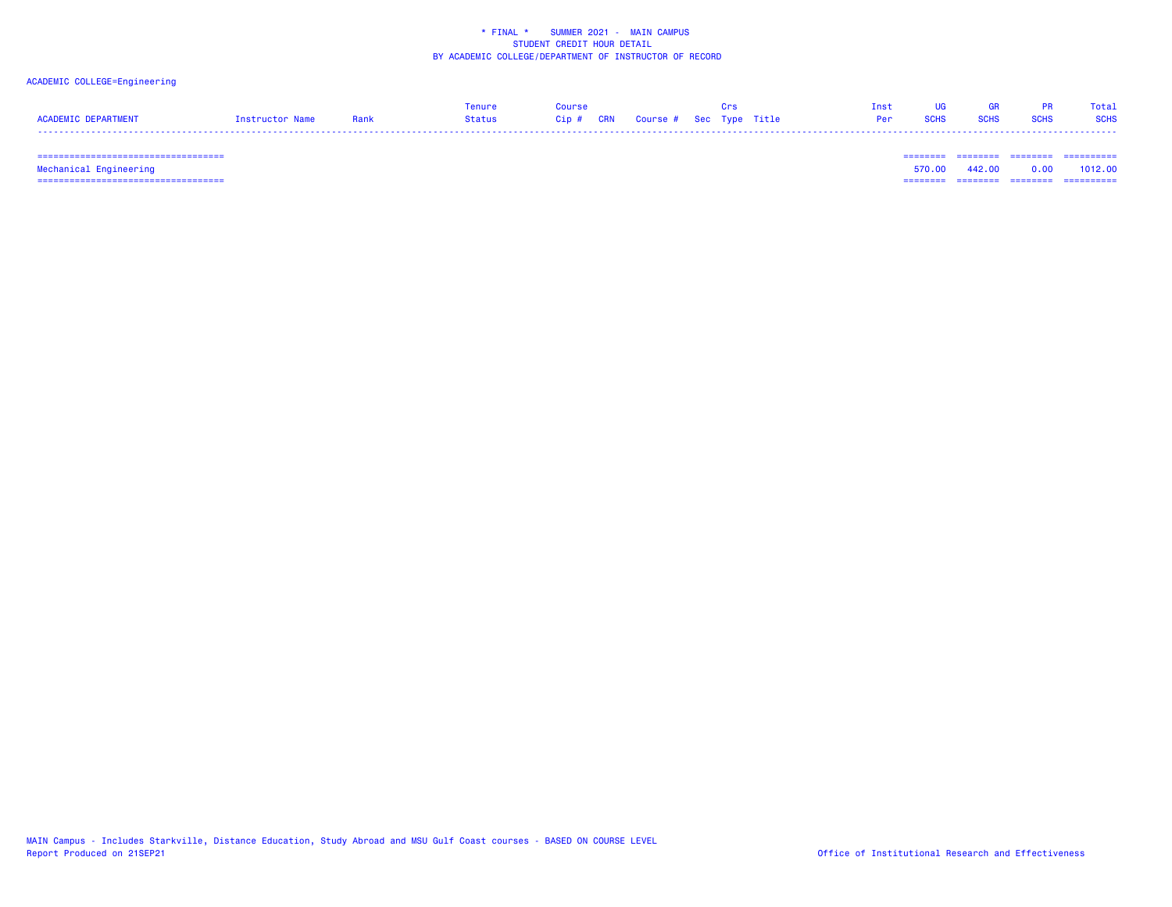## ACADEMIC COLLEGE=Engineering

|                     |                 |      | Tenure | aanin? |                                   |  | Tnst | <b>LIG</b> | <b>GR</b> |                | Total |
|---------------------|-----------------|------|--------|--------|-----------------------------------|--|------|------------|-----------|----------------|-------|
| ACADEMIC DEPARTMENT | Instructor Name | Rank | Status |        | Cip # CRN Course # Sec Type Title |  |      | Per SCHS   |           | SCHS SCHS SCHS |       |
|                     |                 |      |        |        |                                   |  |      |            |           |                |       |

=================================== ======== ======== ======== ==========

 =================================== ======== ======== ======== ========== Mechanical Engineering 570.00 442.00 0.00 1012.00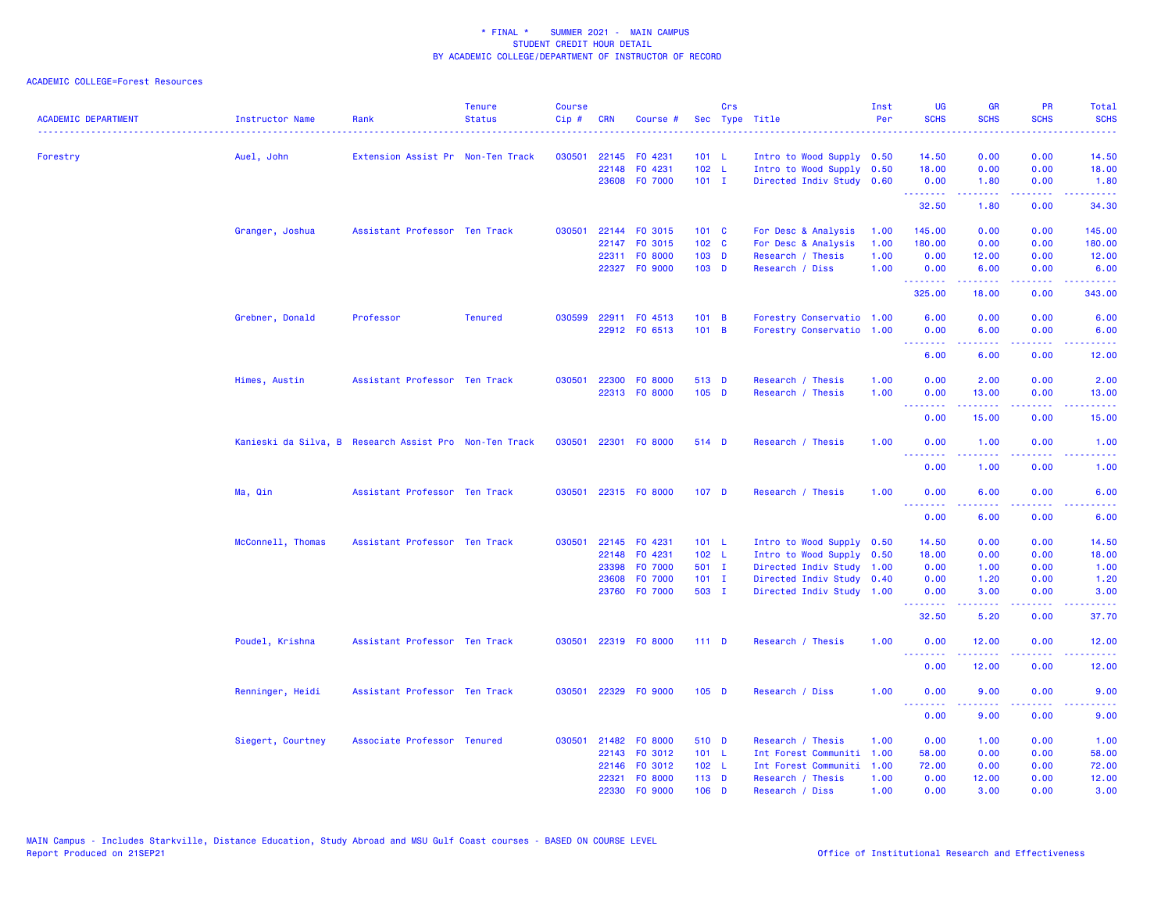| <b>ACADEMIC DEPARTMENT</b> | Instructor Name                                        | Rank                              | <b>Tenure</b><br><b>Status</b> | <b>Course</b><br>Cip# | <b>CRN</b> | Course #             |                  | Crs | Sec Type Title            | Inst<br>Per | UG<br><b>SCHS</b>                                                                                                                                                                                                                                                                                                                                                                                                                                                                              | <b>GR</b><br><b>SCHS</b>                                                                                                                                     | <b>PR</b><br><b>SCHS</b>                                                                               | Total<br><b>SCHS</b> |
|----------------------------|--------------------------------------------------------|-----------------------------------|--------------------------------|-----------------------|------------|----------------------|------------------|-----|---------------------------|-------------|------------------------------------------------------------------------------------------------------------------------------------------------------------------------------------------------------------------------------------------------------------------------------------------------------------------------------------------------------------------------------------------------------------------------------------------------------------------------------------------------|--------------------------------------------------------------------------------------------------------------------------------------------------------------|--------------------------------------------------------------------------------------------------------|----------------------|
| Forestry                   | Auel, John                                             | Extension Assist Pr Non-Ten Track |                                | 030501                |            | 22145 FO 4231        | 101 L            |     | Intro to Wood Supply 0.50 |             | 14.50                                                                                                                                                                                                                                                                                                                                                                                                                                                                                          | 0.00                                                                                                                                                         | 0.00                                                                                                   | 14.50                |
|                            |                                                        |                                   |                                |                       |            | 22148 FO 4231        | 102 L            |     | Intro to Wood Supply 0.50 |             | 18.00                                                                                                                                                                                                                                                                                                                                                                                                                                                                                          | 0.00                                                                                                                                                         | 0.00                                                                                                   | 18.00                |
|                            |                                                        |                                   |                                |                       |            | 23608 FO 7000        | $101$ I          |     | Directed Indiv Study 0.60 |             | 0.00                                                                                                                                                                                                                                                                                                                                                                                                                                                                                           | 1.80                                                                                                                                                         | 0.00                                                                                                   | 1.80                 |
|                            |                                                        |                                   |                                |                       |            |                      |                  |     |                           |             | --------<br>32.50                                                                                                                                                                                                                                                                                                                                                                                                                                                                              | المتمام المتمار<br>1.80                                                                                                                                      | .<br>0.00                                                                                              | .<br>34.30           |
|                            | Granger, Joshua                                        | Assistant Professor Ten Track     |                                | 030501                |            | 22144 FO 3015        | $101 \quad C$    |     | For Desc & Analysis       | 1.00        | 145.00                                                                                                                                                                                                                                                                                                                                                                                                                                                                                         | 0.00                                                                                                                                                         | 0.00                                                                                                   | 145.00               |
|                            |                                                        |                                   |                                |                       |            | 22147 FO 3015        | 102 <sub>c</sub> |     | For Desc & Analysis       | 1.00        | 180.00                                                                                                                                                                                                                                                                                                                                                                                                                                                                                         | 0.00                                                                                                                                                         | 0.00                                                                                                   | 180.00               |
|                            |                                                        |                                   |                                |                       |            | 22311 FO 8000        | 103 D            |     | Research / Thesis         | 1.00        | 0.00                                                                                                                                                                                                                                                                                                                                                                                                                                                                                           | 12.00                                                                                                                                                        | 0.00                                                                                                   | 12.00                |
|                            |                                                        |                                   |                                |                       |            | 22327 FO 9000        | $103$ D          |     | Research / Diss           | 1.00        | 0.00<br>.                                                                                                                                                                                                                                                                                                                                                                                                                                                                                      | 6.00<br>22222                                                                                                                                                | 0.00<br>$\frac{1}{2} \left( \frac{1}{2} \right) \left( \frac{1}{2} \right) \left( \frac{1}{2} \right)$ | 6.00<br>.            |
|                            |                                                        |                                   |                                |                       |            |                      |                  |     |                           |             | 325.00                                                                                                                                                                                                                                                                                                                                                                                                                                                                                         | 18.00                                                                                                                                                        | 0.00                                                                                                   | 343.00               |
|                            | Grebner, Donald                                        | Professor                         | <b>Tenured</b>                 | 030599                |            | 22911 FO 4513        | 101 B            |     | Forestry Conservatio 1.00 |             | 6.00                                                                                                                                                                                                                                                                                                                                                                                                                                                                                           | 0.00                                                                                                                                                         | 0.00                                                                                                   | 6.00                 |
|                            |                                                        |                                   |                                |                       |            | 22912 FO 6513        | 101 B            |     | Forestry Conservatio 1.00 |             | 0.00<br>.                                                                                                                                                                                                                                                                                                                                                                                                                                                                                      | 6.00<br>.                                                                                                                                                    | 0.00<br>.                                                                                              | 6.00<br>وعاماما      |
|                            |                                                        |                                   |                                |                       |            |                      |                  |     |                           |             | 6.00                                                                                                                                                                                                                                                                                                                                                                                                                                                                                           | 6.00                                                                                                                                                         | 0.00                                                                                                   | 12.00                |
|                            | Himes, Austin                                          | Assistant Professor Ten Track     |                                | 030501                |            | 22300 FO 8000        | 513 D            |     | Research / Thesis         | 1.00        | 0.00                                                                                                                                                                                                                                                                                                                                                                                                                                                                                           | 2.00                                                                                                                                                         | 0.00                                                                                                   | 2.00                 |
|                            |                                                        |                                   |                                |                       |            | 22313 FO 8000        | $105$ D          |     | Research / Thesis         | 1.00        | 0.00<br>$\begin{array}{cccccccccccccc} \multicolumn{2}{c}{} & \multicolumn{2}{c}{} & \multicolumn{2}{c}{} & \multicolumn{2}{c}{} & \multicolumn{2}{c}{} & \multicolumn{2}{c}{} & \multicolumn{2}{c}{} & \multicolumn{2}{c}{} & \multicolumn{2}{c}{} & \multicolumn{2}{c}{} & \multicolumn{2}{c}{} & \multicolumn{2}{c}{} & \multicolumn{2}{c}{} & \multicolumn{2}{c}{} & \multicolumn{2}{c}{} & \multicolumn{2}{c}{} & \multicolumn{2}{c}{} & \multicolumn{2}{c}{} & \multicolumn{2}{c}{} & \$ | 13.00<br>.                                                                                                                                                   | 0.00<br>المتمالين                                                                                      | 13.00<br>وعاماما     |
|                            |                                                        |                                   |                                |                       |            |                      |                  |     |                           |             | 0.00                                                                                                                                                                                                                                                                                                                                                                                                                                                                                           | 15.00                                                                                                                                                        | 0.00                                                                                                   | 15.00                |
|                            | Kanieski da Silva, B Research Assist Pro Non-Ten Track |                                   |                                |                       |            | 030501 22301 F0 8000 | 514 D            |     | Research / Thesis         | 1.00        | 0.00<br><u>.</u>                                                                                                                                                                                                                                                                                                                                                                                                                                                                               | 1.00<br><u>.</u>                                                                                                                                             | 0.00<br>$\sim$ $\sim$ $\sim$ $\sim$                                                                    | 1.00<br>.            |
|                            |                                                        |                                   |                                |                       |            |                      |                  |     |                           |             | 0.00                                                                                                                                                                                                                                                                                                                                                                                                                                                                                           | 1.00                                                                                                                                                         | 0.00                                                                                                   | 1.00                 |
|                            | Ma, Qin                                                | Assistant Professor Ten Track     |                                | 030501                |            | 22315 FO 8000        | 107 <sub>D</sub> |     | Research / Thesis         | 1.00        | 0.00<br><u>.</u>                                                                                                                                                                                                                                                                                                                                                                                                                                                                               | 6.00                                                                                                                                                         | 0.00<br>222                                                                                            | 6.00                 |
|                            |                                                        |                                   |                                |                       |            |                      |                  |     |                           |             | 0.00                                                                                                                                                                                                                                                                                                                                                                                                                                                                                           | 6.00                                                                                                                                                         | 0.00                                                                                                   | 6.00                 |
|                            | McConnell, Thomas                                      | Assistant Professor Ten Track     |                                | 030501                |            | 22145 FO 4231        | 101 L            |     | Intro to Wood Supply 0.50 |             | 14.50                                                                                                                                                                                                                                                                                                                                                                                                                                                                                          | 0.00                                                                                                                                                         | 0.00                                                                                                   | 14.50                |
|                            |                                                        |                                   |                                |                       |            | 22148 FO 4231        | 102 L            |     | Intro to Wood Supply 0.50 |             | 18.00                                                                                                                                                                                                                                                                                                                                                                                                                                                                                          | 0.00                                                                                                                                                         | 0.00                                                                                                   | 18.00                |
|                            |                                                        |                                   |                                |                       |            | 23398 F0 7000        | 501 I            |     | Directed Indiv Study 1.00 |             | 0.00                                                                                                                                                                                                                                                                                                                                                                                                                                                                                           | 1.00                                                                                                                                                         | 0.00                                                                                                   | 1.00                 |
|                            |                                                        |                                   |                                |                       | 23608      | F0 7000              | $101$ I          |     | Directed Indiv Study      | 0.40        | 0.00                                                                                                                                                                                                                                                                                                                                                                                                                                                                                           | 1.20                                                                                                                                                         | 0.00                                                                                                   | 1.20                 |
|                            |                                                        |                                   |                                |                       |            | 23760 FO 7000        | 503 I            |     | Directed Indiv Study      | 1.00        | 0.00<br>.                                                                                                                                                                                                                                                                                                                                                                                                                                                                                      | 3.00<br>$\frac{1}{2} \left( \frac{1}{2} \right) \left( \frac{1}{2} \right) \left( \frac{1}{2} \right) \left( \frac{1}{2} \right) \left( \frac{1}{2} \right)$ | 0.00<br>.                                                                                              | 3.00<br>.            |
|                            |                                                        |                                   |                                |                       |            |                      |                  |     |                           |             | 32.50                                                                                                                                                                                                                                                                                                                                                                                                                                                                                          | 5.20                                                                                                                                                         | 0.00                                                                                                   | 37.70                |
|                            | Poudel, Krishna                                        | Assistant Professor Ten Track     |                                | 030501                |            | 22319 FO 8000        | $111$ D          |     | Research / Thesis         | 1.00        | 0.00<br><b><i><u><u><b>Little Little</b></u></u></i></b>                                                                                                                                                                                                                                                                                                                                                                                                                                       | 12.00<br><u>.</u>                                                                                                                                            | 0.00<br>$\frac{1}{2} \left( \frac{1}{2} \right) \left( \frac{1}{2} \right) \left( \frac{1}{2} \right)$ | 12.00<br>.           |
|                            |                                                        |                                   |                                |                       |            |                      |                  |     |                           |             | 0.00                                                                                                                                                                                                                                                                                                                                                                                                                                                                                           | 12.00                                                                                                                                                        | 0.00                                                                                                   | 12.00                |
|                            | Renninger, Heidi                                       | Assistant Professor Ten Track     |                                | 030501                |            | 22329 FO 9000        | $105$ D          |     | Research / Diss           | 1.00        | 0.00<br><u>.</u>                                                                                                                                                                                                                                                                                                                                                                                                                                                                               | 9.00<br>.                                                                                                                                                    | 0.00<br>الأعامات                                                                                       | 9.00<br>وعاديات      |
|                            |                                                        |                                   |                                |                       |            |                      |                  |     |                           |             | 0.00                                                                                                                                                                                                                                                                                                                                                                                                                                                                                           | 9.00                                                                                                                                                         | 0.00                                                                                                   | 9.00                 |
|                            | Siegert, Courtney                                      | Associate Professor Tenured       |                                | 030501                |            | 21482 FO 8000        | 510 D            |     | Research / Thesis         | 1.00        | 0.00                                                                                                                                                                                                                                                                                                                                                                                                                                                                                           | 1.00                                                                                                                                                         | 0.00                                                                                                   | 1.00                 |
|                            |                                                        |                                   |                                |                       |            | 22143 FO 3012        | 101 L            |     | Int Forest Communiti 1.00 |             | 58.00                                                                                                                                                                                                                                                                                                                                                                                                                                                                                          | 0.00                                                                                                                                                         | 0.00                                                                                                   | 58.00                |
|                            |                                                        |                                   |                                |                       |            | 22146 FO 3012        | 102 L            |     | Int Forest Communiti      | 1.00        | 72.00                                                                                                                                                                                                                                                                                                                                                                                                                                                                                          | 0.00                                                                                                                                                         | 0.00                                                                                                   | 72.00                |
|                            |                                                        |                                   |                                |                       |            | 22321 FO 8000        | $113$ D          |     | Research / Thesis         | 1.00        | 0.00                                                                                                                                                                                                                                                                                                                                                                                                                                                                                           | 12.00                                                                                                                                                        | 0.00                                                                                                   | 12.00                |
|                            |                                                        |                                   |                                |                       |            | 22330 FO 9000        | $106$ D          |     | Research / Diss           | 1.00        | 0.00                                                                                                                                                                                                                                                                                                                                                                                                                                                                                           | 3.00                                                                                                                                                         | 0.00                                                                                                   | 3.00                 |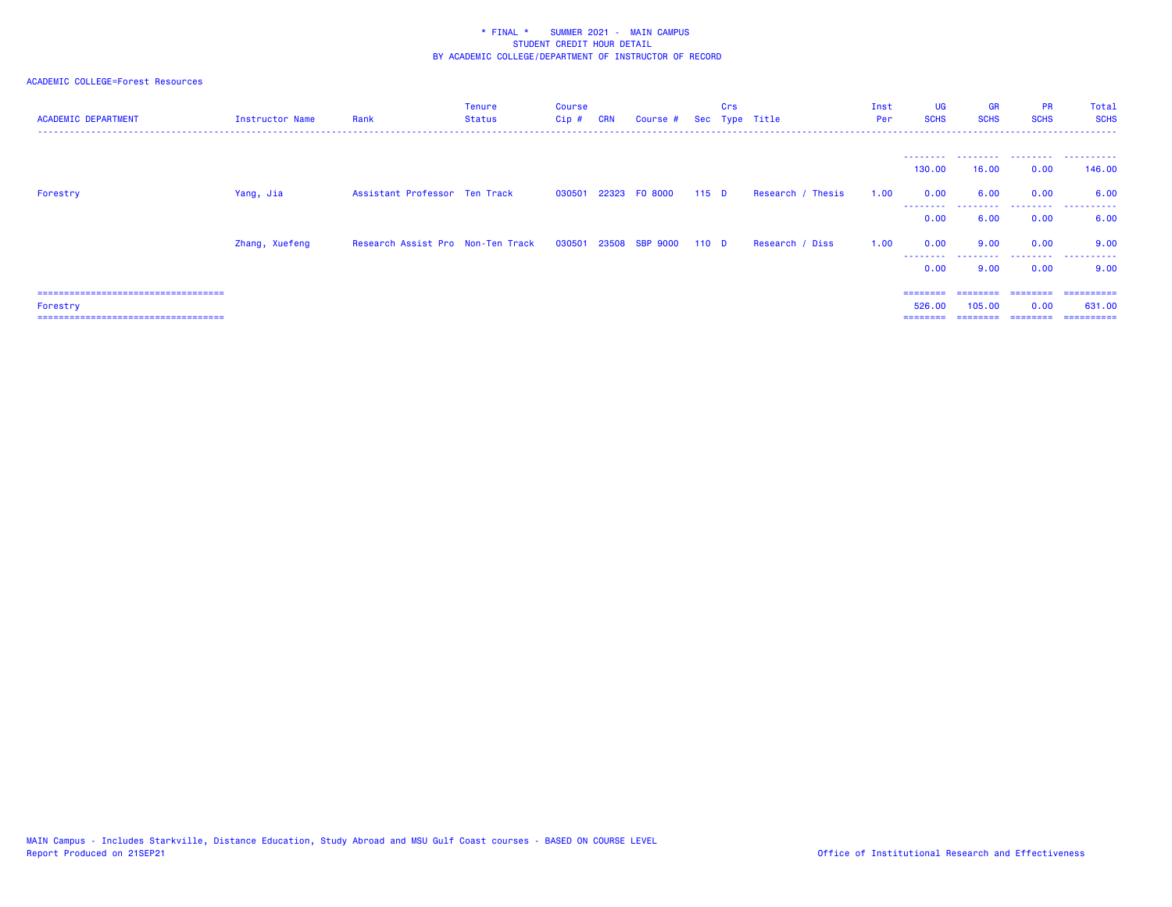| <b>ACADEMIC DEPARTMENT</b>            | Instructor Name | Rank                              | <b>Tenure</b><br>Status | <b>Course</b><br>$Cip$ # | <b>CRN</b> | Course # Sec Type Title |                  | Crs |                   | Inst<br>Per | <b>UG</b><br><b>SCHS</b> | <b>GR</b><br><b>SCHS</b> | <b>PR</b><br><b>SCHS</b> | Total<br><b>SCHS</b> |
|---------------------------------------|-----------------|-----------------------------------|-------------------------|--------------------------|------------|-------------------------|------------------|-----|-------------------|-------------|--------------------------|--------------------------|--------------------------|----------------------|
|                                       |                 |                                   |                         |                          |            |                         |                  |     |                   |             | ---------<br>130.00      | 16.00                    | .<br>0.00                | .<br>146.00          |
| Forestry                              | Yang, Jia       | Assistant Professor Ten Track     |                         |                          |            | 030501 22323 F0 8000    | $115$ D          |     | Research / Thesis | 1.00        | 0.00                     | 6.00                     | 0.00                     | 6.00                 |
|                                       |                 |                                   |                         |                          |            |                         |                  |     |                   |             | ---------<br>0.00        | 6.00                     | .<br>0.00                | .<br>6.00            |
|                                       | Zhang, Xuefeng  | Research Assist Pro Non-Ten Track |                         |                          |            | 030501 23508 SBP 9000   | 110 <sub>D</sub> |     | Research / Diss   | 1.00        | 0.00<br>.                | 9.00<br>.                | 0.00<br>.                | 9.00<br>.            |
|                                       |                 |                                   |                         |                          |            |                         |                  |     |                   |             | 0.00                     | 9.00                     | 0.00                     | 9.00                 |
| ===================================== |                 |                                   |                         |                          |            |                         |                  |     |                   |             | ========                 |                          |                          | ==========           |
| Forestry                              |                 |                                   |                         |                          |            |                         |                  |     |                   |             | 526.00                   | 105.00                   | 0.00                     | 631,00               |
| ===================================== |                 |                                   |                         |                          |            |                         |                  |     |                   |             | ========                 | ========                 | ========                 | -----------          |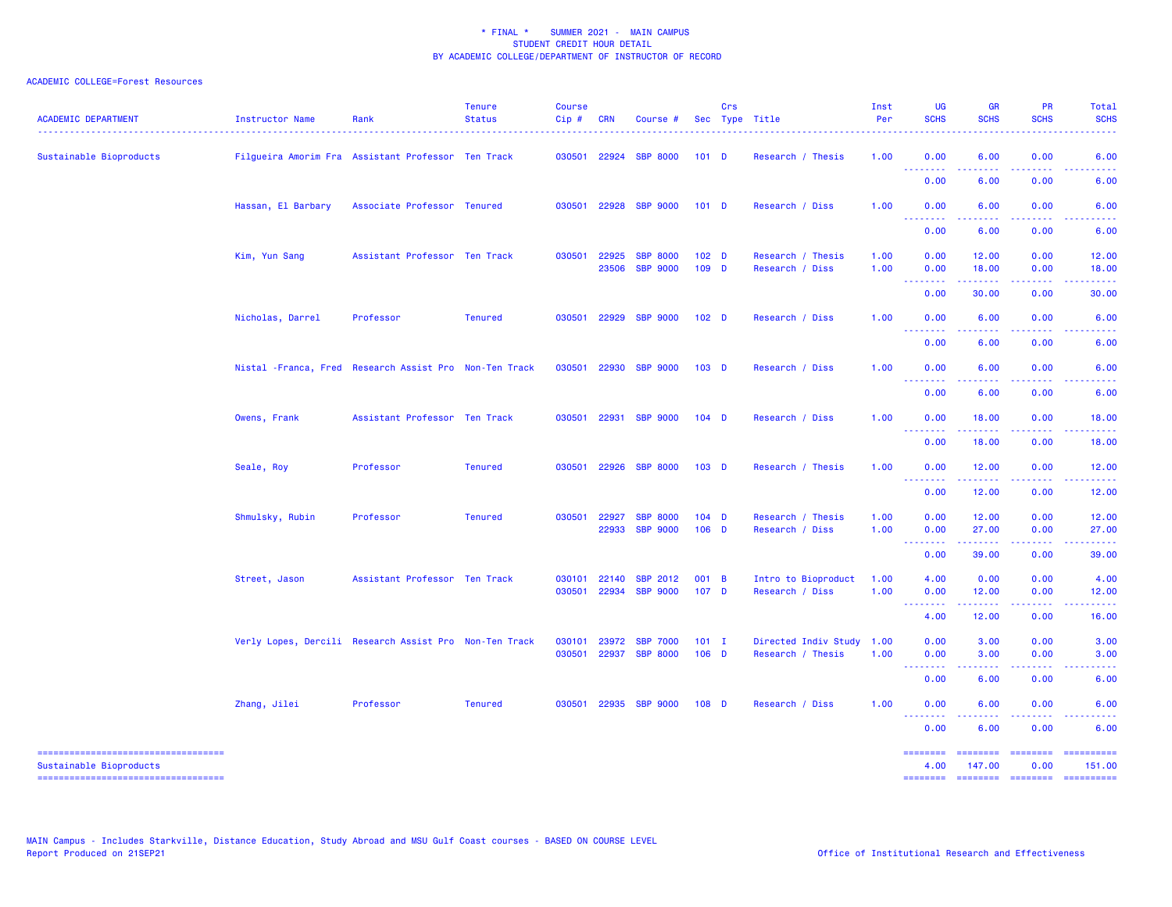| <b>ACADEMIC DEPARTMENT</b>                                                                          | <b>Instructor Name</b> | Rank                                                    | <b>Tenure</b><br><b>Status</b> | <b>Course</b><br>Cip# | <b>CRN</b>     | Course #                           |                    | Crs | Sec Type Title                         | Inst<br>Per  | <b>UG</b><br><b>SCHS</b>                           | <b>GR</b><br><b>SCHS</b>                                                                                                                                      | <b>PR</b><br><b>SCHS</b>            | Total<br><b>SCHS</b>                                                                                                              |
|-----------------------------------------------------------------------------------------------------|------------------------|---------------------------------------------------------|--------------------------------|-----------------------|----------------|------------------------------------|--------------------|-----|----------------------------------------|--------------|----------------------------------------------------|---------------------------------------------------------------------------------------------------------------------------------------------------------------|-------------------------------------|-----------------------------------------------------------------------------------------------------------------------------------|
| Sustainable Bioproducts                                                                             |                        | Filgueira Amorim Fra Assistant Professor Ten Track      |                                |                       |                | 030501 22924 SBP 8000              | $101$ D            |     | Research / Thesis                      | 1.00         | 0.00<br>.                                          | 6.00<br>.                                                                                                                                                     | 0.00<br>2222                        | 6.00                                                                                                                              |
|                                                                                                     |                        |                                                         |                                |                       |                |                                    |                    |     |                                        |              | 0.00                                               | 6.00                                                                                                                                                          | 0.00                                | 6.00                                                                                                                              |
|                                                                                                     | Hassan, El Barbary     | Associate Professor Tenured                             |                                |                       | 030501 22928   | <b>SBP 9000</b>                    | $101$ D            |     | Research / Diss                        | 1.00         | 0.00<br>.                                          | 6.00                                                                                                                                                          | 0.00                                | 6.00                                                                                                                              |
|                                                                                                     |                        |                                                         |                                |                       |                |                                    |                    |     |                                        |              | 0.00                                               | 6.00                                                                                                                                                          | 0.00                                | 6.00                                                                                                                              |
|                                                                                                     | Kim, Yun Sang          | Assistant Professor Ten Track                           |                                | 030501                | 22925<br>23506 | <b>SBP 8000</b><br><b>SBP 9000</b> | 102 <sub>D</sub>   |     | Research / Thesis                      | 1.00<br>1.00 | 0.00<br>0.00                                       | 12.00<br>18.00                                                                                                                                                | 0.00<br>0.00                        | 12.00                                                                                                                             |
|                                                                                                     |                        |                                                         |                                |                       |                |                                    | 109 D              |     | Research / Diss                        |              | <b><i><u><u> - - - - - - -</u></u></i></b>         | .                                                                                                                                                             | .                                   | 18.00<br>.                                                                                                                        |
|                                                                                                     |                        |                                                         |                                |                       |                |                                    |                    |     |                                        |              | 0.00                                               | 30.00                                                                                                                                                         | 0.00                                | 30.00                                                                                                                             |
|                                                                                                     | Nicholas, Darrel       | Professor                                               | <b>Tenured</b>                 | 030501                | 22929          | <b>SBP 9000</b>                    | 102 <sub>D</sub>   |     | Research / Diss                        | 1.00         | 0.00<br>.                                          | 6.00                                                                                                                                                          | 0.00                                | 6.00                                                                                                                              |
|                                                                                                     |                        |                                                         |                                |                       |                |                                    |                    |     |                                        |              | 0.00                                               | 6.00                                                                                                                                                          | 0.00                                | 6.00                                                                                                                              |
|                                                                                                     |                        | Nistal - Franca, Fred Research Assist Pro Non-Ten Track |                                |                       | 030501 22930   | <b>SBP 9000</b>                    | $103$ D            |     | Research / Diss                        | 1.00         | 0.00<br>.                                          | 6.00                                                                                                                                                          | 0.00<br>.                           | 6.00                                                                                                                              |
|                                                                                                     |                        |                                                         |                                |                       |                |                                    |                    |     |                                        |              | 0.00                                               | 6.00                                                                                                                                                          | 0.00                                | 6.00                                                                                                                              |
|                                                                                                     | Owens, Frank           | Assistant Professor Ten Track                           |                                |                       | 030501 22931   | <b>SBP 9000</b>                    | $104$ D            |     | Research / Diss                        | 1.00         | 0.00<br><u> - - - - - - - -</u>                    | 18.00                                                                                                                                                         | 0.00                                | 18.00                                                                                                                             |
|                                                                                                     |                        |                                                         |                                |                       |                |                                    |                    |     |                                        |              | 0.00                                               | 18.00                                                                                                                                                         | 0.00                                | 18.00                                                                                                                             |
|                                                                                                     | Seale, Roy             | Professor                                               | <b>Tenured</b>                 | 030501                | 22926          | <b>SBP 8000</b>                    | 103 <sub>D</sub>   |     | Research / Thesis                      | 1.00         | 0.00<br>$\omega \equiv \omega$ .<br>.              | 12.00<br>$\frac{1}{2} \left( \frac{1}{2} \right) \left( \frac{1}{2} \right) \left( \frac{1}{2} \right) \left( \frac{1}{2} \right) \left( \frac{1}{2} \right)$ | 0.00<br>والمستناء                   | 12.00                                                                                                                             |
|                                                                                                     |                        |                                                         |                                |                       |                |                                    |                    |     |                                        |              | 0.00                                               | 12.00                                                                                                                                                         | 0.00                                | 12.00                                                                                                                             |
|                                                                                                     | Shmulsky, Rubin        | Professor                                               | <b>Tenured</b>                 | 030501                | 22927<br>22933 | <b>SBP 8000</b><br><b>SBP 9000</b> | $104$ D<br>$106$ D |     | Research / Thesis<br>Research / Diss   | 1.00<br>1.00 | 0.00<br>0.00                                       | 12.00<br>27.00                                                                                                                                                | 0.00<br>0.00                        | 12.00<br>27.00                                                                                                                    |
|                                                                                                     |                        |                                                         |                                |                       |                |                                    |                    |     |                                        |              | <u>.</u>                                           | .                                                                                                                                                             | .                                   | .                                                                                                                                 |
|                                                                                                     |                        |                                                         |                                |                       |                |                                    |                    |     |                                        |              | 0.00                                               | 39.00                                                                                                                                                         | 0.00                                | 39.00                                                                                                                             |
|                                                                                                     | Street, Jason          | Assistant Professor Ten Track                           |                                | 030101<br>030501      | 22140<br>22934 | <b>SBP 2012</b><br><b>SBP 9000</b> | 001 B<br>107 D     |     | Intro to Bioproduct<br>Research / Diss | 1.00<br>1.00 | 4.00<br>0.00                                       | 0.00<br>12.00                                                                                                                                                 | 0.00<br>0.00                        | 4.00<br>12.00                                                                                                                     |
|                                                                                                     |                        |                                                         |                                |                       |                |                                    |                    |     |                                        |              | <b></b><br>4.00                                    | 12.00                                                                                                                                                         | 0.00                                | 16.00                                                                                                                             |
|                                                                                                     |                        | Verly Lopes, Dercili Research Assist Pro Non-Ten Track  |                                | 030101                | 23972          | <b>SBP 7000</b>                    | $101$ I            |     | Directed Indiv Study 1.00              |              | 0.00                                               | 3.00                                                                                                                                                          | 0.00                                | 3.00                                                                                                                              |
|                                                                                                     |                        |                                                         |                                | 030501                | 22937          | <b>SBP 8000</b>                    | $106$ D            |     | Research / Thesis                      | 1.00         | 0.00<br><b><i><u><u> - - - - - - -</u></u></i></b> | 3.00<br>$\frac{1}{2} \left( \frac{1}{2} \right) \left( \frac{1}{2} \right) \left( \frac{1}{2} \right) \left( \frac{1}{2} \right) \left( \frac{1}{2} \right)$  | 0.00<br>.                           | 3.00<br>$\frac{1}{2} \left( \frac{1}{2} \right) \left( \frac{1}{2} \right) \left( \frac{1}{2} \right) \left( \frac{1}{2} \right)$ |
|                                                                                                     |                        |                                                         |                                |                       |                |                                    |                    |     |                                        |              | 0.00                                               | 6.00                                                                                                                                                          | 0.00                                | 6.00                                                                                                                              |
|                                                                                                     | Zhang, Jilei           | Professor                                               | <b>Tenured</b>                 | 030501                | 22935          | <b>SBP 9000</b>                    | 108 D              |     | Research / Diss                        | 1.00         | 0.00<br><u>.</u>                                   | 6.00                                                                                                                                                          | 0.00                                | 6.00                                                                                                                              |
|                                                                                                     |                        |                                                         |                                |                       |                |                                    |                    |     |                                        |              | 0.00                                               | 6.00                                                                                                                                                          | 0.00                                | 6.00                                                                                                                              |
| ----------------------------------<br>Sustainable Bioproducts<br>---------------------------------- |                        |                                                         |                                |                       |                |                                    |                    |     |                                        |              | <b>ESSESSES</b><br>4.00<br><b>SESSESSE</b>         | ========<br>147.00<br>$=$ = = = = = = =                                                                                                                       | <b>ESSESSES</b><br>0.00<br>======== | ==========<br>151.00<br>==========                                                                                                |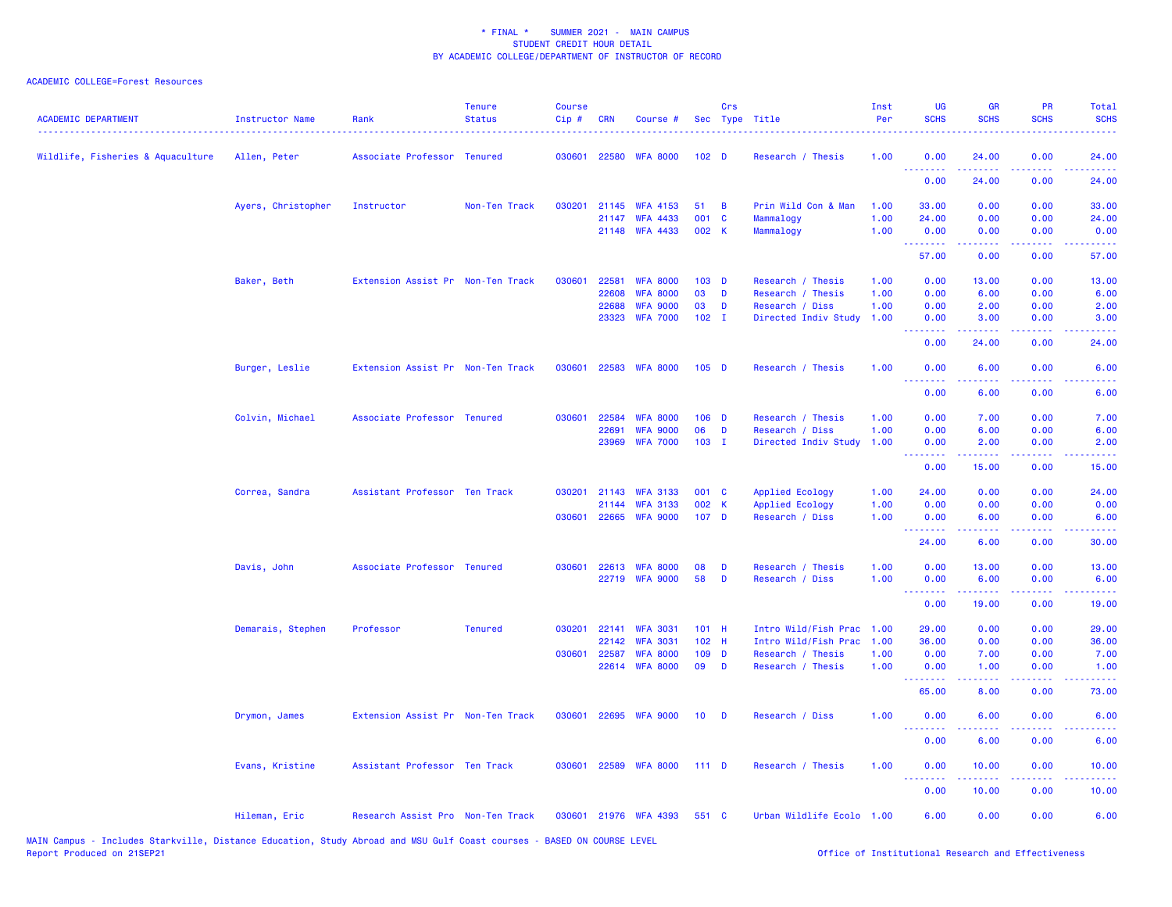| Wildlife, Fisheries & Aquaculture<br>030601<br>22580<br><b>WFA 8000</b><br>1.00<br>0.00<br>24.00<br>0.00<br>24.00<br>Allen, Peter<br>Associate Professor Tenured<br>102 <sub>D</sub><br>Research / Thesis<br><u>.</u><br>0.00<br>24.00<br>0.00<br>24.00<br>Ayers, Christopher<br>Instructor<br>Non-Ten Track<br>030201<br>21145<br><b>WFA 4153</b><br>51<br>B<br>Prin Wild Con & Man<br>1.00<br>33.00<br>0.00<br>0.00<br>33,00<br>001<br>21147<br><b>WFA 4433</b><br>C<br>Mammalogy<br>1.00<br>24.00<br>0.00<br>0.00<br>24.00<br>21148 WFA 4433<br>002 K<br>Mammalogy<br>1.00<br>0.00<br>0.00<br>0.00<br>0.00<br><b>.</b> .<br>.<br>.<br>المستملك<br>0.00<br>57.00<br>0.00<br>57.00<br>Baker, Beth<br>Extension Assist Pr Non-Ten Track<br>030601<br>22581<br><b>WFA 8000</b><br>$103$ D<br>Research / Thesis<br>1.00<br>0.00<br>13.00<br>0.00<br>13.00<br>22608<br><b>WFA 8000</b><br>03<br>1.00<br>D<br>Research / Thesis<br>0.00<br>6.00<br>0.00<br>6.00<br>03<br>1.00<br>22688<br><b>WFA 9000</b><br>D<br>Research / Diss<br>0.00<br>2.00<br>0.00<br>2.00<br>$102$ I<br>23323<br><b>WFA 7000</b><br>Directed Indiv Study<br>1.00<br>0.00<br>3.00<br>0.00<br>3.00<br>.<br>د د د د د<br>.<br>$\frac{1}{2} \left( \frac{1}{2} \right) \left( \frac{1}{2} \right) \left( \frac{1}{2} \right) \left( \frac{1}{2} \right)$<br>0.00<br>24.00<br>0.00<br>24.00<br>22583 WFA 8000<br>Burger, Leslie<br>Extension Assist Pr Non-Ten Track<br>030601<br>$105$ D<br>Research / Thesis<br>1.00<br>0.00<br>6.00<br>0.00<br>6.00<br>بالأباء<br>.<br>بالمحامي<br>$\frac{1}{2} \left( \frac{1}{2} \right) \left( \frac{1}{2} \right) \left( \frac{1}{2} \right) \left( \frac{1}{2} \right)$<br>0.00<br>6.00<br>0.00<br>6.00<br>Colvin, Michael<br>Associate Professor Tenured<br>030601<br>22584<br><b>WFA 8000</b><br>$106$ D<br>Research / Thesis<br>1.00<br>0.00<br>7.00<br>0.00<br>7.00<br>22691<br><b>WFA 9000</b><br>06<br>D<br>Research / Diss<br>1.00<br>0.00<br>6.00<br>0.00<br>6.00<br><b>WFA 7000</b><br>$103$ I<br>Directed Indiv Study<br>23969<br>1.00<br>0.00<br>2.00<br>0.00<br>2.00<br><u>.</u><br>.<br>.<br>.<br>15.00<br>0.00<br>0.00<br>15.00<br>Correa, Sandra<br>Assistant Professor Ten Track<br>030201<br>21143<br><b>WFA 3133</b><br>001 C<br>Applied Ecology<br>1.00<br>24.00<br>0.00<br>0.00<br>24.00<br>002 K<br>1.00<br>0.00<br>0.00<br>0.00<br>21144<br><b>WFA 3133</b><br><b>Applied Ecology</b><br>0.00<br>030601 22665 WFA 9000<br>107 D<br>Research / Diss<br>1.00<br>0.00<br>6.00<br>0.00<br>6.00<br>.<br><b><i><u><u> - - - - -</u></u></i></b><br>.<br>.<br>6.00<br>24.00<br>0.00<br>30.00<br>Davis, John<br>Associate Professor Tenured<br>030601<br>22613<br>1.00<br>0.00<br>13.00<br>0.00<br><b>WFA 8000</b><br>08<br>D<br>Research / Thesis<br>13.00<br>58<br>22719 WFA 9000<br>D<br>Research / Diss<br>1.00<br>0.00<br>6.00<br>0.00<br>6.00<br>.<br>.<br>0.00<br>19.00<br>0.00<br>19.00<br>Demarais, Stephen<br>Professor<br><b>Tenured</b><br>030201<br>22141<br><b>WFA 3031</b><br>$101$ H<br>Intro Wild/Fish Prac<br>1.00<br>29.00<br>0.00<br>0.00<br>29.00<br><b>WFA 3031</b><br>22142<br>102 H<br>Intro Wild/Fish Prac<br>1.00<br>36.00<br>0.00<br>0.00<br>36.00<br>030601 22587<br><b>WFA 8000</b><br>109 <sub>D</sub><br>Research / Thesis<br>1.00<br>0.00<br>7.00<br>0.00<br>7.00<br>22614 WFA 8000<br>09<br>1.00<br><b>D</b><br>Research / Thesis<br>0.00<br>1.00<br>0.00<br>1.00<br><u>.</u><br>وعاويا<br>الداعات بال<br>65.00<br>8.00<br>0.00<br>73.00<br>Drymon, James<br>Extension Assist Pr Non-Ten Track<br>030601 22695 WFA 9000<br>10 <sub>1</sub><br>Research / Diss<br>1.00<br>0.00<br>6.00<br>0.00<br>6.00<br><b>D</b><br>.<br>$\sim$ $\sim$ $\sim$ $\sim$<br>$\sim$ $\sim$ $\sim$ $\sim$<br>0.00<br>6.00<br>0.00<br>6.00<br>Assistant Professor Ten Track<br>030601<br>22589<br><b>WFA 8000</b><br>1.00<br>0.00<br>10.00<br>Evans, Kristine<br>111D<br>Research / Thesis<br>0.00<br>10.00<br><b><i><u><u><b>Little Little</b></u></u></i></b><br>0.00<br>10.00<br>0.00<br>10.00<br>Urban Wildlife Ecolo 1.00<br>0.00<br>Hileman, Eric<br>Research Assist Pro Non-Ten Track<br>030601 21976 WFA 4393<br>551 C<br>6.00<br>0.00<br>6.00 | <b>ACADEMIC DEPARTMENT</b> | <b>Instructor Name</b> | Rank | <b>Tenure</b><br><b>Status</b> | <b>Course</b><br>$Cip$ # | <b>CRN</b> | Course # | Crs | Sec Type Title | Inst<br>Per | UG<br><b>SCHS</b> | <b>GR</b><br><b>SCHS</b> | <b>PR</b><br><b>SCHS</b> | Total<br><b>SCHS</b> |
|----------------------------------------------------------------------------------------------------------------------------------------------------------------------------------------------------------------------------------------------------------------------------------------------------------------------------------------------------------------------------------------------------------------------------------------------------------------------------------------------------------------------------------------------------------------------------------------------------------------------------------------------------------------------------------------------------------------------------------------------------------------------------------------------------------------------------------------------------------------------------------------------------------------------------------------------------------------------------------------------------------------------------------------------------------------------------------------------------------------------------------------------------------------------------------------------------------------------------------------------------------------------------------------------------------------------------------------------------------------------------------------------------------------------------------------------------------------------------------------------------------------------------------------------------------------------------------------------------------------------------------------------------------------------------------------------------------------------------------------------------------------------------------------------------------------------------------------------------------------------------------------------------------------------------------------------------------------------------------------------------------------------------------------------------------------------------------------------------------------------------------------------------------------------------------------------------------------------------------------------------------------------------------------------------------------------------------------------------------------------------------------------------------------------------------------------------------------------------------------------------------------------------------------------------------------------------------------------------------------------------------------------------------------------------------------------------------------------------------------------------------------------------------------------------------------------------------------------------------------------------------------------------------------------------------------------------------------------------------------------------------------------------------------------------------------------------------------------------------------------------------------------------------------------------------------------------------------------------------------------------------------------------------------------------------------------------------------------------------------------------------------------------------------------------------------------------------------------------------------------------------------------------------------------------------------------------------------------------------------------------------------------------------------------------------------------------------------------------------------------------------------------------------------------------------------------------------------------------------------------------------------------------------------------------------------------------------------------------------------------------------------------------------------------------------------------------------------------------------------------------------------------------------------------------------------|----------------------------|------------------------|------|--------------------------------|--------------------------|------------|----------|-----|----------------|-------------|-------------------|--------------------------|--------------------------|----------------------|
|                                                                                                                                                                                                                                                                                                                                                                                                                                                                                                                                                                                                                                                                                                                                                                                                                                                                                                                                                                                                                                                                                                                                                                                                                                                                                                                                                                                                                                                                                                                                                                                                                                                                                                                                                                                                                                                                                                                                                                                                                                                                                                                                                                                                                                                                                                                                                                                                                                                                                                                                                                                                                                                                                                                                                                                                                                                                                                                                                                                                                                                                                                                                                                                                                                                                                                                                                                                                                                                                                                                                                                                                                                                                                                                                                                                                                                                                                                                                                                                                                                                                                                                                                                                        |                            |                        |      |                                |                          |            |          |     |                |             |                   |                          |                          |                      |
|                                                                                                                                                                                                                                                                                                                                                                                                                                                                                                                                                                                                                                                                                                                                                                                                                                                                                                                                                                                                                                                                                                                                                                                                                                                                                                                                                                                                                                                                                                                                                                                                                                                                                                                                                                                                                                                                                                                                                                                                                                                                                                                                                                                                                                                                                                                                                                                                                                                                                                                                                                                                                                                                                                                                                                                                                                                                                                                                                                                                                                                                                                                                                                                                                                                                                                                                                                                                                                                                                                                                                                                                                                                                                                                                                                                                                                                                                                                                                                                                                                                                                                                                                                                        |                            |                        |      |                                |                          |            |          |     |                |             |                   |                          |                          |                      |
|                                                                                                                                                                                                                                                                                                                                                                                                                                                                                                                                                                                                                                                                                                                                                                                                                                                                                                                                                                                                                                                                                                                                                                                                                                                                                                                                                                                                                                                                                                                                                                                                                                                                                                                                                                                                                                                                                                                                                                                                                                                                                                                                                                                                                                                                                                                                                                                                                                                                                                                                                                                                                                                                                                                                                                                                                                                                                                                                                                                                                                                                                                                                                                                                                                                                                                                                                                                                                                                                                                                                                                                                                                                                                                                                                                                                                                                                                                                                                                                                                                                                                                                                                                                        |                            |                        |      |                                |                          |            |          |     |                |             |                   |                          |                          |                      |
|                                                                                                                                                                                                                                                                                                                                                                                                                                                                                                                                                                                                                                                                                                                                                                                                                                                                                                                                                                                                                                                                                                                                                                                                                                                                                                                                                                                                                                                                                                                                                                                                                                                                                                                                                                                                                                                                                                                                                                                                                                                                                                                                                                                                                                                                                                                                                                                                                                                                                                                                                                                                                                                                                                                                                                                                                                                                                                                                                                                                                                                                                                                                                                                                                                                                                                                                                                                                                                                                                                                                                                                                                                                                                                                                                                                                                                                                                                                                                                                                                                                                                                                                                                                        |                            |                        |      |                                |                          |            |          |     |                |             |                   |                          |                          |                      |
|                                                                                                                                                                                                                                                                                                                                                                                                                                                                                                                                                                                                                                                                                                                                                                                                                                                                                                                                                                                                                                                                                                                                                                                                                                                                                                                                                                                                                                                                                                                                                                                                                                                                                                                                                                                                                                                                                                                                                                                                                                                                                                                                                                                                                                                                                                                                                                                                                                                                                                                                                                                                                                                                                                                                                                                                                                                                                                                                                                                                                                                                                                                                                                                                                                                                                                                                                                                                                                                                                                                                                                                                                                                                                                                                                                                                                                                                                                                                                                                                                                                                                                                                                                                        |                            |                        |      |                                |                          |            |          |     |                |             |                   |                          |                          |                      |
|                                                                                                                                                                                                                                                                                                                                                                                                                                                                                                                                                                                                                                                                                                                                                                                                                                                                                                                                                                                                                                                                                                                                                                                                                                                                                                                                                                                                                                                                                                                                                                                                                                                                                                                                                                                                                                                                                                                                                                                                                                                                                                                                                                                                                                                                                                                                                                                                                                                                                                                                                                                                                                                                                                                                                                                                                                                                                                                                                                                                                                                                                                                                                                                                                                                                                                                                                                                                                                                                                                                                                                                                                                                                                                                                                                                                                                                                                                                                                                                                                                                                                                                                                                                        |                            |                        |      |                                |                          |            |          |     |                |             |                   |                          |                          |                      |
|                                                                                                                                                                                                                                                                                                                                                                                                                                                                                                                                                                                                                                                                                                                                                                                                                                                                                                                                                                                                                                                                                                                                                                                                                                                                                                                                                                                                                                                                                                                                                                                                                                                                                                                                                                                                                                                                                                                                                                                                                                                                                                                                                                                                                                                                                                                                                                                                                                                                                                                                                                                                                                                                                                                                                                                                                                                                                                                                                                                                                                                                                                                                                                                                                                                                                                                                                                                                                                                                                                                                                                                                                                                                                                                                                                                                                                                                                                                                                                                                                                                                                                                                                                                        |                            |                        |      |                                |                          |            |          |     |                |             |                   |                          |                          |                      |
|                                                                                                                                                                                                                                                                                                                                                                                                                                                                                                                                                                                                                                                                                                                                                                                                                                                                                                                                                                                                                                                                                                                                                                                                                                                                                                                                                                                                                                                                                                                                                                                                                                                                                                                                                                                                                                                                                                                                                                                                                                                                                                                                                                                                                                                                                                                                                                                                                                                                                                                                                                                                                                                                                                                                                                                                                                                                                                                                                                                                                                                                                                                                                                                                                                                                                                                                                                                                                                                                                                                                                                                                                                                                                                                                                                                                                                                                                                                                                                                                                                                                                                                                                                                        |                            |                        |      |                                |                          |            |          |     |                |             |                   |                          |                          |                      |
|                                                                                                                                                                                                                                                                                                                                                                                                                                                                                                                                                                                                                                                                                                                                                                                                                                                                                                                                                                                                                                                                                                                                                                                                                                                                                                                                                                                                                                                                                                                                                                                                                                                                                                                                                                                                                                                                                                                                                                                                                                                                                                                                                                                                                                                                                                                                                                                                                                                                                                                                                                                                                                                                                                                                                                                                                                                                                                                                                                                                                                                                                                                                                                                                                                                                                                                                                                                                                                                                                                                                                                                                                                                                                                                                                                                                                                                                                                                                                                                                                                                                                                                                                                                        |                            |                        |      |                                |                          |            |          |     |                |             |                   |                          |                          |                      |
|                                                                                                                                                                                                                                                                                                                                                                                                                                                                                                                                                                                                                                                                                                                                                                                                                                                                                                                                                                                                                                                                                                                                                                                                                                                                                                                                                                                                                                                                                                                                                                                                                                                                                                                                                                                                                                                                                                                                                                                                                                                                                                                                                                                                                                                                                                                                                                                                                                                                                                                                                                                                                                                                                                                                                                                                                                                                                                                                                                                                                                                                                                                                                                                                                                                                                                                                                                                                                                                                                                                                                                                                                                                                                                                                                                                                                                                                                                                                                                                                                                                                                                                                                                                        |                            |                        |      |                                |                          |            |          |     |                |             |                   |                          |                          |                      |
|                                                                                                                                                                                                                                                                                                                                                                                                                                                                                                                                                                                                                                                                                                                                                                                                                                                                                                                                                                                                                                                                                                                                                                                                                                                                                                                                                                                                                                                                                                                                                                                                                                                                                                                                                                                                                                                                                                                                                                                                                                                                                                                                                                                                                                                                                                                                                                                                                                                                                                                                                                                                                                                                                                                                                                                                                                                                                                                                                                                                                                                                                                                                                                                                                                                                                                                                                                                                                                                                                                                                                                                                                                                                                                                                                                                                                                                                                                                                                                                                                                                                                                                                                                                        |                            |                        |      |                                |                          |            |          |     |                |             |                   |                          |                          |                      |
|                                                                                                                                                                                                                                                                                                                                                                                                                                                                                                                                                                                                                                                                                                                                                                                                                                                                                                                                                                                                                                                                                                                                                                                                                                                                                                                                                                                                                                                                                                                                                                                                                                                                                                                                                                                                                                                                                                                                                                                                                                                                                                                                                                                                                                                                                                                                                                                                                                                                                                                                                                                                                                                                                                                                                                                                                                                                                                                                                                                                                                                                                                                                                                                                                                                                                                                                                                                                                                                                                                                                                                                                                                                                                                                                                                                                                                                                                                                                                                                                                                                                                                                                                                                        |                            |                        |      |                                |                          |            |          |     |                |             |                   |                          |                          |                      |
|                                                                                                                                                                                                                                                                                                                                                                                                                                                                                                                                                                                                                                                                                                                                                                                                                                                                                                                                                                                                                                                                                                                                                                                                                                                                                                                                                                                                                                                                                                                                                                                                                                                                                                                                                                                                                                                                                                                                                                                                                                                                                                                                                                                                                                                                                                                                                                                                                                                                                                                                                                                                                                                                                                                                                                                                                                                                                                                                                                                                                                                                                                                                                                                                                                                                                                                                                                                                                                                                                                                                                                                                                                                                                                                                                                                                                                                                                                                                                                                                                                                                                                                                                                                        |                            |                        |      |                                |                          |            |          |     |                |             |                   |                          |                          |                      |
|                                                                                                                                                                                                                                                                                                                                                                                                                                                                                                                                                                                                                                                                                                                                                                                                                                                                                                                                                                                                                                                                                                                                                                                                                                                                                                                                                                                                                                                                                                                                                                                                                                                                                                                                                                                                                                                                                                                                                                                                                                                                                                                                                                                                                                                                                                                                                                                                                                                                                                                                                                                                                                                                                                                                                                                                                                                                                                                                                                                                                                                                                                                                                                                                                                                                                                                                                                                                                                                                                                                                                                                                                                                                                                                                                                                                                                                                                                                                                                                                                                                                                                                                                                                        |                            |                        |      |                                |                          |            |          |     |                |             |                   |                          |                          |                      |
|                                                                                                                                                                                                                                                                                                                                                                                                                                                                                                                                                                                                                                                                                                                                                                                                                                                                                                                                                                                                                                                                                                                                                                                                                                                                                                                                                                                                                                                                                                                                                                                                                                                                                                                                                                                                                                                                                                                                                                                                                                                                                                                                                                                                                                                                                                                                                                                                                                                                                                                                                                                                                                                                                                                                                                                                                                                                                                                                                                                                                                                                                                                                                                                                                                                                                                                                                                                                                                                                                                                                                                                                                                                                                                                                                                                                                                                                                                                                                                                                                                                                                                                                                                                        |                            |                        |      |                                |                          |            |          |     |                |             |                   |                          |                          |                      |
|                                                                                                                                                                                                                                                                                                                                                                                                                                                                                                                                                                                                                                                                                                                                                                                                                                                                                                                                                                                                                                                                                                                                                                                                                                                                                                                                                                                                                                                                                                                                                                                                                                                                                                                                                                                                                                                                                                                                                                                                                                                                                                                                                                                                                                                                                                                                                                                                                                                                                                                                                                                                                                                                                                                                                                                                                                                                                                                                                                                                                                                                                                                                                                                                                                                                                                                                                                                                                                                                                                                                                                                                                                                                                                                                                                                                                                                                                                                                                                                                                                                                                                                                                                                        |                            |                        |      |                                |                          |            |          |     |                |             |                   |                          |                          |                      |
|                                                                                                                                                                                                                                                                                                                                                                                                                                                                                                                                                                                                                                                                                                                                                                                                                                                                                                                                                                                                                                                                                                                                                                                                                                                                                                                                                                                                                                                                                                                                                                                                                                                                                                                                                                                                                                                                                                                                                                                                                                                                                                                                                                                                                                                                                                                                                                                                                                                                                                                                                                                                                                                                                                                                                                                                                                                                                                                                                                                                                                                                                                                                                                                                                                                                                                                                                                                                                                                                                                                                                                                                                                                                                                                                                                                                                                                                                                                                                                                                                                                                                                                                                                                        |                            |                        |      |                                |                          |            |          |     |                |             |                   |                          |                          |                      |
|                                                                                                                                                                                                                                                                                                                                                                                                                                                                                                                                                                                                                                                                                                                                                                                                                                                                                                                                                                                                                                                                                                                                                                                                                                                                                                                                                                                                                                                                                                                                                                                                                                                                                                                                                                                                                                                                                                                                                                                                                                                                                                                                                                                                                                                                                                                                                                                                                                                                                                                                                                                                                                                                                                                                                                                                                                                                                                                                                                                                                                                                                                                                                                                                                                                                                                                                                                                                                                                                                                                                                                                                                                                                                                                                                                                                                                                                                                                                                                                                                                                                                                                                                                                        |                            |                        |      |                                |                          |            |          |     |                |             |                   |                          |                          |                      |
|                                                                                                                                                                                                                                                                                                                                                                                                                                                                                                                                                                                                                                                                                                                                                                                                                                                                                                                                                                                                                                                                                                                                                                                                                                                                                                                                                                                                                                                                                                                                                                                                                                                                                                                                                                                                                                                                                                                                                                                                                                                                                                                                                                                                                                                                                                                                                                                                                                                                                                                                                                                                                                                                                                                                                                                                                                                                                                                                                                                                                                                                                                                                                                                                                                                                                                                                                                                                                                                                                                                                                                                                                                                                                                                                                                                                                                                                                                                                                                                                                                                                                                                                                                                        |                            |                        |      |                                |                          |            |          |     |                |             |                   |                          |                          |                      |
|                                                                                                                                                                                                                                                                                                                                                                                                                                                                                                                                                                                                                                                                                                                                                                                                                                                                                                                                                                                                                                                                                                                                                                                                                                                                                                                                                                                                                                                                                                                                                                                                                                                                                                                                                                                                                                                                                                                                                                                                                                                                                                                                                                                                                                                                                                                                                                                                                                                                                                                                                                                                                                                                                                                                                                                                                                                                                                                                                                                                                                                                                                                                                                                                                                                                                                                                                                                                                                                                                                                                                                                                                                                                                                                                                                                                                                                                                                                                                                                                                                                                                                                                                                                        |                            |                        |      |                                |                          |            |          |     |                |             |                   |                          |                          |                      |
|                                                                                                                                                                                                                                                                                                                                                                                                                                                                                                                                                                                                                                                                                                                                                                                                                                                                                                                                                                                                                                                                                                                                                                                                                                                                                                                                                                                                                                                                                                                                                                                                                                                                                                                                                                                                                                                                                                                                                                                                                                                                                                                                                                                                                                                                                                                                                                                                                                                                                                                                                                                                                                                                                                                                                                                                                                                                                                                                                                                                                                                                                                                                                                                                                                                                                                                                                                                                                                                                                                                                                                                                                                                                                                                                                                                                                                                                                                                                                                                                                                                                                                                                                                                        |                            |                        |      |                                |                          |            |          |     |                |             |                   |                          |                          |                      |
|                                                                                                                                                                                                                                                                                                                                                                                                                                                                                                                                                                                                                                                                                                                                                                                                                                                                                                                                                                                                                                                                                                                                                                                                                                                                                                                                                                                                                                                                                                                                                                                                                                                                                                                                                                                                                                                                                                                                                                                                                                                                                                                                                                                                                                                                                                                                                                                                                                                                                                                                                                                                                                                                                                                                                                                                                                                                                                                                                                                                                                                                                                                                                                                                                                                                                                                                                                                                                                                                                                                                                                                                                                                                                                                                                                                                                                                                                                                                                                                                                                                                                                                                                                                        |                            |                        |      |                                |                          |            |          |     |                |             |                   |                          |                          |                      |
|                                                                                                                                                                                                                                                                                                                                                                                                                                                                                                                                                                                                                                                                                                                                                                                                                                                                                                                                                                                                                                                                                                                                                                                                                                                                                                                                                                                                                                                                                                                                                                                                                                                                                                                                                                                                                                                                                                                                                                                                                                                                                                                                                                                                                                                                                                                                                                                                                                                                                                                                                                                                                                                                                                                                                                                                                                                                                                                                                                                                                                                                                                                                                                                                                                                                                                                                                                                                                                                                                                                                                                                                                                                                                                                                                                                                                                                                                                                                                                                                                                                                                                                                                                                        |                            |                        |      |                                |                          |            |          |     |                |             |                   |                          |                          |                      |
|                                                                                                                                                                                                                                                                                                                                                                                                                                                                                                                                                                                                                                                                                                                                                                                                                                                                                                                                                                                                                                                                                                                                                                                                                                                                                                                                                                                                                                                                                                                                                                                                                                                                                                                                                                                                                                                                                                                                                                                                                                                                                                                                                                                                                                                                                                                                                                                                                                                                                                                                                                                                                                                                                                                                                                                                                                                                                                                                                                                                                                                                                                                                                                                                                                                                                                                                                                                                                                                                                                                                                                                                                                                                                                                                                                                                                                                                                                                                                                                                                                                                                                                                                                                        |                            |                        |      |                                |                          |            |          |     |                |             |                   |                          |                          |                      |
|                                                                                                                                                                                                                                                                                                                                                                                                                                                                                                                                                                                                                                                                                                                                                                                                                                                                                                                                                                                                                                                                                                                                                                                                                                                                                                                                                                                                                                                                                                                                                                                                                                                                                                                                                                                                                                                                                                                                                                                                                                                                                                                                                                                                                                                                                                                                                                                                                                                                                                                                                                                                                                                                                                                                                                                                                                                                                                                                                                                                                                                                                                                                                                                                                                                                                                                                                                                                                                                                                                                                                                                                                                                                                                                                                                                                                                                                                                                                                                                                                                                                                                                                                                                        |                            |                        |      |                                |                          |            |          |     |                |             |                   |                          |                          |                      |
|                                                                                                                                                                                                                                                                                                                                                                                                                                                                                                                                                                                                                                                                                                                                                                                                                                                                                                                                                                                                                                                                                                                                                                                                                                                                                                                                                                                                                                                                                                                                                                                                                                                                                                                                                                                                                                                                                                                                                                                                                                                                                                                                                                                                                                                                                                                                                                                                                                                                                                                                                                                                                                                                                                                                                                                                                                                                                                                                                                                                                                                                                                                                                                                                                                                                                                                                                                                                                                                                                                                                                                                                                                                                                                                                                                                                                                                                                                                                                                                                                                                                                                                                                                                        |                            |                        |      |                                |                          |            |          |     |                |             |                   |                          |                          |                      |
|                                                                                                                                                                                                                                                                                                                                                                                                                                                                                                                                                                                                                                                                                                                                                                                                                                                                                                                                                                                                                                                                                                                                                                                                                                                                                                                                                                                                                                                                                                                                                                                                                                                                                                                                                                                                                                                                                                                                                                                                                                                                                                                                                                                                                                                                                                                                                                                                                                                                                                                                                                                                                                                                                                                                                                                                                                                                                                                                                                                                                                                                                                                                                                                                                                                                                                                                                                                                                                                                                                                                                                                                                                                                                                                                                                                                                                                                                                                                                                                                                                                                                                                                                                                        |                            |                        |      |                                |                          |            |          |     |                |             |                   |                          |                          |                      |
|                                                                                                                                                                                                                                                                                                                                                                                                                                                                                                                                                                                                                                                                                                                                                                                                                                                                                                                                                                                                                                                                                                                                                                                                                                                                                                                                                                                                                                                                                                                                                                                                                                                                                                                                                                                                                                                                                                                                                                                                                                                                                                                                                                                                                                                                                                                                                                                                                                                                                                                                                                                                                                                                                                                                                                                                                                                                                                                                                                                                                                                                                                                                                                                                                                                                                                                                                                                                                                                                                                                                                                                                                                                                                                                                                                                                                                                                                                                                                                                                                                                                                                                                                                                        |                            |                        |      |                                |                          |            |          |     |                |             |                   |                          |                          |                      |
|                                                                                                                                                                                                                                                                                                                                                                                                                                                                                                                                                                                                                                                                                                                                                                                                                                                                                                                                                                                                                                                                                                                                                                                                                                                                                                                                                                                                                                                                                                                                                                                                                                                                                                                                                                                                                                                                                                                                                                                                                                                                                                                                                                                                                                                                                                                                                                                                                                                                                                                                                                                                                                                                                                                                                                                                                                                                                                                                                                                                                                                                                                                                                                                                                                                                                                                                                                                                                                                                                                                                                                                                                                                                                                                                                                                                                                                                                                                                                                                                                                                                                                                                                                                        |                            |                        |      |                                |                          |            |          |     |                |             |                   |                          |                          |                      |
|                                                                                                                                                                                                                                                                                                                                                                                                                                                                                                                                                                                                                                                                                                                                                                                                                                                                                                                                                                                                                                                                                                                                                                                                                                                                                                                                                                                                                                                                                                                                                                                                                                                                                                                                                                                                                                                                                                                                                                                                                                                                                                                                                                                                                                                                                                                                                                                                                                                                                                                                                                                                                                                                                                                                                                                                                                                                                                                                                                                                                                                                                                                                                                                                                                                                                                                                                                                                                                                                                                                                                                                                                                                                                                                                                                                                                                                                                                                                                                                                                                                                                                                                                                                        |                            |                        |      |                                |                          |            |          |     |                |             |                   |                          |                          |                      |
|                                                                                                                                                                                                                                                                                                                                                                                                                                                                                                                                                                                                                                                                                                                                                                                                                                                                                                                                                                                                                                                                                                                                                                                                                                                                                                                                                                                                                                                                                                                                                                                                                                                                                                                                                                                                                                                                                                                                                                                                                                                                                                                                                                                                                                                                                                                                                                                                                                                                                                                                                                                                                                                                                                                                                                                                                                                                                                                                                                                                                                                                                                                                                                                                                                                                                                                                                                                                                                                                                                                                                                                                                                                                                                                                                                                                                                                                                                                                                                                                                                                                                                                                                                                        |                            |                        |      |                                |                          |            |          |     |                |             |                   |                          |                          |                      |
|                                                                                                                                                                                                                                                                                                                                                                                                                                                                                                                                                                                                                                                                                                                                                                                                                                                                                                                                                                                                                                                                                                                                                                                                                                                                                                                                                                                                                                                                                                                                                                                                                                                                                                                                                                                                                                                                                                                                                                                                                                                                                                                                                                                                                                                                                                                                                                                                                                                                                                                                                                                                                                                                                                                                                                                                                                                                                                                                                                                                                                                                                                                                                                                                                                                                                                                                                                                                                                                                                                                                                                                                                                                                                                                                                                                                                                                                                                                                                                                                                                                                                                                                                                                        |                            |                        |      |                                |                          |            |          |     |                |             |                   |                          |                          |                      |
|                                                                                                                                                                                                                                                                                                                                                                                                                                                                                                                                                                                                                                                                                                                                                                                                                                                                                                                                                                                                                                                                                                                                                                                                                                                                                                                                                                                                                                                                                                                                                                                                                                                                                                                                                                                                                                                                                                                                                                                                                                                                                                                                                                                                                                                                                                                                                                                                                                                                                                                                                                                                                                                                                                                                                                                                                                                                                                                                                                                                                                                                                                                                                                                                                                                                                                                                                                                                                                                                                                                                                                                                                                                                                                                                                                                                                                                                                                                                                                                                                                                                                                                                                                                        |                            |                        |      |                                |                          |            |          |     |                |             |                   |                          |                          |                      |
|                                                                                                                                                                                                                                                                                                                                                                                                                                                                                                                                                                                                                                                                                                                                                                                                                                                                                                                                                                                                                                                                                                                                                                                                                                                                                                                                                                                                                                                                                                                                                                                                                                                                                                                                                                                                                                                                                                                                                                                                                                                                                                                                                                                                                                                                                                                                                                                                                                                                                                                                                                                                                                                                                                                                                                                                                                                                                                                                                                                                                                                                                                                                                                                                                                                                                                                                                                                                                                                                                                                                                                                                                                                                                                                                                                                                                                                                                                                                                                                                                                                                                                                                                                                        |                            |                        |      |                                |                          |            |          |     |                |             |                   |                          |                          |                      |
|                                                                                                                                                                                                                                                                                                                                                                                                                                                                                                                                                                                                                                                                                                                                                                                                                                                                                                                                                                                                                                                                                                                                                                                                                                                                                                                                                                                                                                                                                                                                                                                                                                                                                                                                                                                                                                                                                                                                                                                                                                                                                                                                                                                                                                                                                                                                                                                                                                                                                                                                                                                                                                                                                                                                                                                                                                                                                                                                                                                                                                                                                                                                                                                                                                                                                                                                                                                                                                                                                                                                                                                                                                                                                                                                                                                                                                                                                                                                                                                                                                                                                                                                                                                        |                            |                        |      |                                |                          |            |          |     |                |             |                   |                          |                          |                      |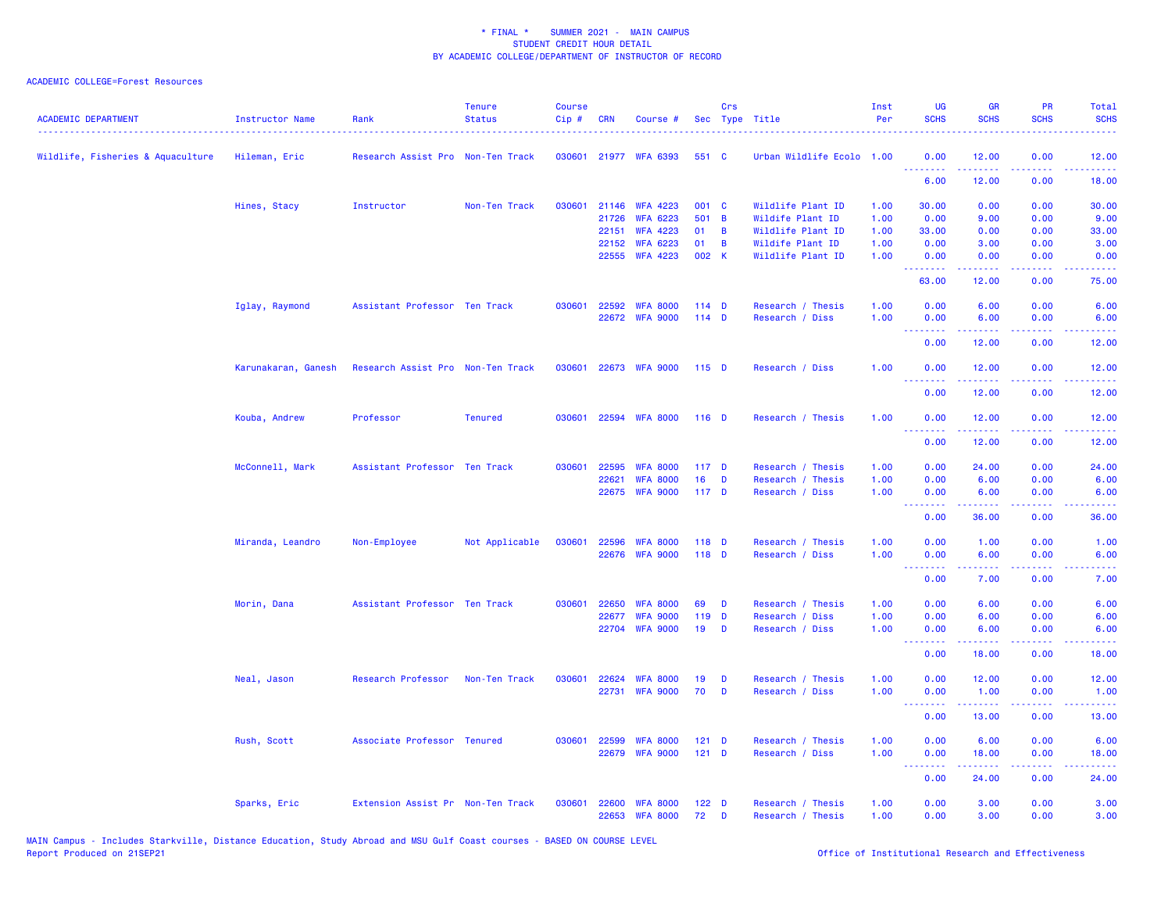| <b>ACADEMIC DEPARTMENT</b>        | Instructor Name     | Rank                              | <b>Tenure</b><br><b>Status</b> | <b>Course</b><br>Cip# | <b>CRN</b> | Course #                          |                  | Crs      | Sec Type Title                       | Inst<br>Per  | UG<br><b>SCHS</b>                                          | <b>GR</b><br><b>SCHS</b>              | <b>PR</b><br><b>SCHS</b>                                                                               | Total<br><b>SCHS</b>                                                                                                              |
|-----------------------------------|---------------------|-----------------------------------|--------------------------------|-----------------------|------------|-----------------------------------|------------------|----------|--------------------------------------|--------------|------------------------------------------------------------|---------------------------------------|--------------------------------------------------------------------------------------------------------|-----------------------------------------------------------------------------------------------------------------------------------|
| Wildlife, Fisheries & Aquaculture | Hileman, Eric       | Research Assist Pro Non-Ten Track |                                |                       |            | 030601 21977 WFA 6393             | 551 C            |          | Urban Wildlife Ecolo 1.00            |              | 0.00<br><u>.</u>                                           | 12.00                                 | 0.00                                                                                                   | 12.00<br>.                                                                                                                        |
|                                   |                     |                                   |                                |                       |            |                                   |                  |          |                                      |              | 6.00                                                       | 12.00                                 | 0.00                                                                                                   | 18.00                                                                                                                             |
|                                   | Hines, Stacy        | Instructor                        | Non-Ten Track                  | 030601                | 21146      | <b>WFA 4223</b>                   | 001 C            |          | Wildlife Plant ID                    | 1.00         | 30.00                                                      | 0.00                                  | 0.00                                                                                                   | 30.00                                                                                                                             |
|                                   |                     |                                   |                                |                       |            | 21726 WFA 6223                    | 501 B            |          | Wildife Plant ID                     | 1.00         | 0.00                                                       | 9.00                                  | 0.00                                                                                                   | 9.00                                                                                                                              |
|                                   |                     |                                   |                                |                       | 22151      | <b>WFA 4223</b>                   | 01               | <b>B</b> | Wildlife Plant ID                    | 1.00         | 33.00                                                      | 0.00                                  | 0.00                                                                                                   | 33.00                                                                                                                             |
|                                   |                     |                                   |                                |                       | 22152      | <b>WFA 6223</b>                   | 01               | <b>B</b> | Wildife Plant ID                     | 1.00         | 0.00                                                       | 3.00                                  | 0.00                                                                                                   | 3.00                                                                                                                              |
|                                   |                     |                                   |                                |                       |            | 22555 WFA 4223                    | 002 K            |          | Wildlife Plant ID                    | 1.00         | 0.00<br><b><i><u><u> - - - - - - -</u></u></i></b>         | 0.00<br>22222                         | 0.00<br>$\sim$ $\sim$ $\sim$ $\sim$                                                                    | 0.00<br>.                                                                                                                         |
|                                   |                     |                                   |                                |                       |            |                                   |                  |          |                                      |              | 63.00                                                      | 12.00                                 | 0.00                                                                                                   | 75.00                                                                                                                             |
|                                   | Iglay, Raymond      | Assistant Professor Ten Track     |                                | 030601                |            | 22592 WFA 8000                    | $114$ D          |          | Research / Thesis                    | 1.00         | 0.00                                                       | 6.00                                  | 0.00                                                                                                   | 6.00                                                                                                                              |
|                                   |                     |                                   |                                |                       |            | 22672 WFA 9000                    | $114$ D          |          | Research / Diss                      | 1.00         | 0.00<br><u>.</u>                                           | 6.00<br><b><i><u><u>.</u></u></i></b> | 0.00<br>$\frac{1}{2} \left( \frac{1}{2} \right) \left( \frac{1}{2} \right) \left( \frac{1}{2} \right)$ | 6.00<br>$\frac{1}{2} \left( \frac{1}{2} \right) \left( \frac{1}{2} \right) \left( \frac{1}{2} \right) \left( \frac{1}{2} \right)$ |
|                                   |                     |                                   |                                |                       |            |                                   |                  |          |                                      |              | 0.00                                                       | 12.00                                 | 0.00                                                                                                   | 12.00                                                                                                                             |
|                                   | Karunakaran, Ganesh | Research Assist Pro Non-Ten Track |                                | 030601                |            | 22673 WFA 9000                    | $115$ D          |          | Research / Diss                      | 1.00         | 0.00                                                       | 12.00                                 | 0.00                                                                                                   | 12.00                                                                                                                             |
|                                   |                     |                                   |                                |                       |            |                                   |                  |          |                                      |              | .<br>0.00                                                  | 22222<br>12.00                        | $\sim$ $\sim$ $\sim$<br>0.00                                                                           | .<br>12.00                                                                                                                        |
|                                   | Kouba, Andrew       | Professor                         | <b>Tenured</b>                 | 030601                |            | 22594 WFA 8000                    | $116$ D          |          | Research / Thesis                    | 1.00         | 0.00                                                       | 12.00                                 | 0.00                                                                                                   | 12.00                                                                                                                             |
|                                   |                     |                                   |                                |                       |            |                                   |                  |          |                                      |              | <b>.</b><br>0.00                                           | .<br>12.00                            | .<br>0.00                                                                                              | 12.00                                                                                                                             |
|                                   | McConnell, Mark     | Assistant Professor Ten Track     |                                | 030601                | 22595      | <b>WFA 8000</b>                   | $117$ D          |          | Research / Thesis                    | 1.00         | 0.00                                                       | 24.00                                 | 0.00                                                                                                   | 24.00                                                                                                                             |
|                                   |                     |                                   |                                |                       | 22621      | <b>WFA 8000</b>                   | 16               | D        | Research / Thesis                    | 1.00         | 0.00                                                       | 6.00                                  | 0.00                                                                                                   | 6.00                                                                                                                              |
|                                   |                     |                                   |                                |                       |            | 22675 WFA 9000                    | 117 <sub>D</sub> |          | Research / Diss                      | 1.00         | 0.00                                                       | 6.00                                  | 0.00                                                                                                   | 6.00                                                                                                                              |
|                                   |                     |                                   |                                |                       |            |                                   |                  |          |                                      |              | <b><i><u><u><b>Little Little</b></u></u></i></b><br>0.00   | .<br>36.00                            | د د د د .<br>0.00                                                                                      | المتمامين<br>36.00                                                                                                                |
|                                   |                     |                                   |                                |                       |            |                                   |                  |          |                                      |              |                                                            |                                       |                                                                                                        |                                                                                                                                   |
|                                   | Miranda, Leandro    | Non-Employee                      | Not Applicable                 | 030601                | 22596      | <b>WFA 8000</b><br>22676 WFA 9000 | 118 D<br>118 D   |          | Research / Thesis<br>Research / Diss | 1.00<br>1.00 | 0.00<br>0.00                                               | 1.00<br>6.00                          | 0.00<br>0.00                                                                                           | 1.00<br>6.00                                                                                                                      |
|                                   |                     |                                   |                                |                       |            |                                   |                  |          |                                      |              | <u>.</u>                                                   | .                                     | .                                                                                                      |                                                                                                                                   |
|                                   |                     |                                   |                                |                       |            |                                   |                  |          |                                      |              | 0.00                                                       | 7.00                                  | 0.00                                                                                                   | 7.00                                                                                                                              |
|                                   | Morin, Dana         | Assistant Professor Ten Track     |                                | 030601                | 22650      | <b>WFA 8000</b>                   | 69               | D        | Research / Thesis                    | 1.00         | 0.00                                                       | 6.00                                  | 0.00                                                                                                   | 6.00                                                                                                                              |
|                                   |                     |                                   |                                |                       |            | 22677 WFA 9000                    | 119 D            |          | Research / Diss                      | 1.00         | 0.00                                                       | 6.00                                  | 0.00                                                                                                   | 6.00                                                                                                                              |
|                                   |                     |                                   |                                |                       |            | 22704 WFA 9000                    | 19               | D        | Research / Diss                      | 1.00         | 0.00<br><b><i><u><u><b>A</b></u></u> A A A A A A A</i></b> | 6.00<br>.                             | 0.00<br>.                                                                                              | 6.00<br>وعاعاها                                                                                                                   |
|                                   |                     |                                   |                                |                       |            |                                   |                  |          |                                      |              | 0.00                                                       | 18.00                                 | 0.00                                                                                                   | 18.00                                                                                                                             |
|                                   | Neal, Jason         | Research Professor                | Non-Ten Track                  | 030601                | 22624      | <b>WFA 8000</b>                   | 19               | D        | Research / Thesis                    | 1.00         | 0.00                                                       | 12.00                                 | 0.00                                                                                                   | 12.00                                                                                                                             |
|                                   |                     |                                   |                                |                       |            | 22731 WFA 9000                    | 70               | D        | Research / Diss                      | 1.00         | 0.00<br><b><i><u><u> - - - - - - -</u></u></i></b>         | 1.00<br>.                             | 0.00<br>.                                                                                              | 1.00<br>.                                                                                                                         |
|                                   |                     |                                   |                                |                       |            |                                   |                  |          |                                      |              | 0.00                                                       | 13.00                                 | 0.00                                                                                                   | 13.00                                                                                                                             |
|                                   | Rush, Scott         | Associate Professor Tenured       |                                | 030601                | 22599      | <b>WFA 8000</b>                   | $121$ D          |          | Research / Thesis                    | 1.00         | 0.00                                                       | 6.00                                  | 0.00                                                                                                   | 6.00                                                                                                                              |
|                                   |                     |                                   |                                |                       |            | 22679 WFA 9000                    | $121$ D          |          | Research / Diss                      | 1.00         | 0.00<br><b>.</b>                                           | 18.00<br>.                            | 0.00<br>.                                                                                              | 18.00<br>.                                                                                                                        |
|                                   |                     |                                   |                                |                       |            |                                   |                  |          |                                      |              | 0.00                                                       | 24.00                                 | 0.00                                                                                                   | 24.00                                                                                                                             |
|                                   | Sparks, Eric        | Extension Assist Pr Non-Ten Track |                                | 030601                | 22600      | <b>WFA 8000</b>                   | 122 <sub>D</sub> |          | Research / Thesis                    | 1.00         | 0.00                                                       | 3.00                                  | 0.00                                                                                                   | 3.00                                                                                                                              |
|                                   |                     |                                   |                                |                       |            | 22653 WFA 8000                    | 72               | D        | Research / Thesis                    | 1.00         | 0.00                                                       | 3.00                                  | 0.00                                                                                                   | 3.00                                                                                                                              |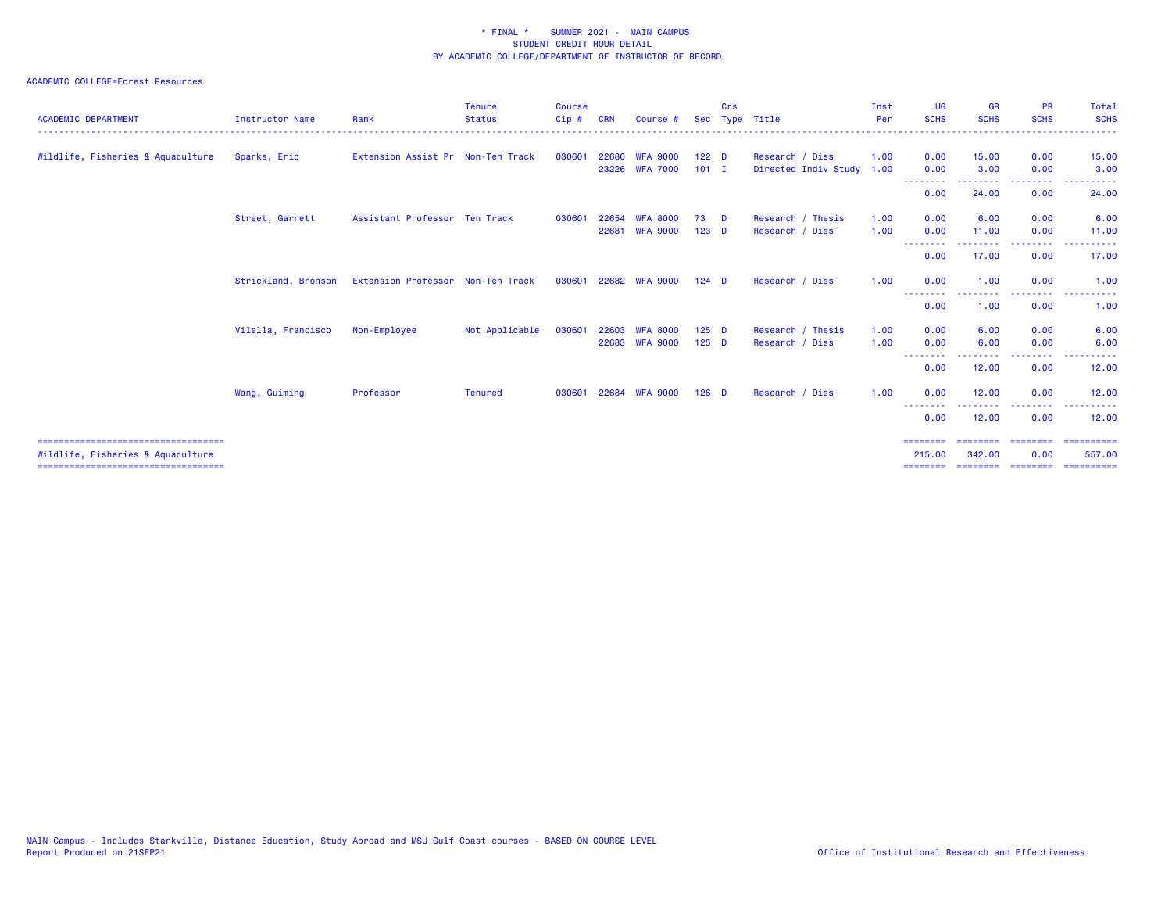| <b>ACADEMIC DEPARTMENT</b>                                                | <b>Instructor Name</b> | Rank                              | <b>Tenure</b><br><b>Status</b> | <b>Course</b><br>$Cip$ # | <b>CRN</b> | Course #        | Sec              | Crs      | Type Title           | Inst<br>Per | <b>UG</b><br><b>SCHS</b>  | <b>GR</b><br><b>SCHS</b> | <b>PR</b><br><b>SCHS</b> | Total<br><b>SCHS</b>                                                                                                                                                  |
|---------------------------------------------------------------------------|------------------------|-----------------------------------|--------------------------------|--------------------------|------------|-----------------|------------------|----------|----------------------|-------------|---------------------------|--------------------------|--------------------------|-----------------------------------------------------------------------------------------------------------------------------------------------------------------------|
| Wildlife, Fisheries & Aquaculture                                         | Sparks, Eric           | Extension Assist Pr Non-Ten Track |                                | 030601                   |            | 22680 WFA 9000  | 122 <sub>D</sub> |          | Research / Diss      | 1.00        | 0.00                      | 15.00                    | 0.00                     | 15.00                                                                                                                                                                 |
|                                                                           |                        |                                   |                                |                          |            | 23226 WFA 7000  | $101$ I          |          | Directed Indiv Study | 1.00        | 0.00<br>- - - - - - - - - | 3.00                     | 0.00<br>--------         | 3.00                                                                                                                                                                  |
|                                                                           |                        |                                   |                                |                          |            |                 |                  |          |                      |             | 0.00                      | 24.00                    | 0.00                     | 24.00                                                                                                                                                                 |
|                                                                           | Street, Garrett        | Assistant Professor Ten Track     |                                | 030601                   | 22654      | WFA 8000        | 73               | <b>D</b> | Research / Thesis    | 1.00        | 0.00                      | 6.00                     | 0.00                     | 6.00                                                                                                                                                                  |
|                                                                           |                        |                                   |                                |                          | 22681      | <b>WFA 9000</b> | $123$ D          |          | Research / Diss      | 1.00        | 0.00                      | 11.00                    | 0.00                     | 11.00                                                                                                                                                                 |
|                                                                           |                        |                                   |                                |                          |            |                 |                  |          |                      |             | --------<br>0.00          | . <u>.</u><br>17.00      | ---------<br>0.00        | 17.00                                                                                                                                                                 |
|                                                                           | Strickland, Bronson    | Extension Professor Non-Ten Track |                                | 030601                   |            | 22682 WFA 9000  | $124$ D          |          | Research / Diss      | 1.00        | 0.00                      | 1.00                     | 0.00                     | 1.00                                                                                                                                                                  |
|                                                                           |                        |                                   |                                |                          |            |                 |                  |          |                      |             | $- - -$<br>0.00           | -----<br>1.00            | .<br>0.00                | $\frac{1}{2} \left( \frac{1}{2} \right) \left( \frac{1}{2} \right) \left( \frac{1}{2} \right) \left( \frac{1}{2} \right) \left( \frac{1}{2} \right)$<br>$  -$<br>1.00 |
|                                                                           | Vilella, Francisco     | Non-Employee                      | Not Applicable                 | 030601                   | 22603      | <b>WEA 8000</b> | $125$ D          |          | Research / Thesis    | 1.00        | 0.00                      | 6.00                     | 0.00                     | 6.00                                                                                                                                                                  |
|                                                                           |                        |                                   |                                |                          |            | 22683 WFA 9000  | $125$ D          |          | Research / Diss      | 1.00        | 0.00                      | 6.00                     | 0.00                     | 6.00                                                                                                                                                                  |
|                                                                           |                        |                                   |                                |                          |            |                 |                  |          |                      |             | ---------<br>0.00         | 12.00                    | 0.00                     | 12.00                                                                                                                                                                 |
|                                                                           | Wang, Guiming          | Professor                         | <b>Tenured</b>                 | 030601                   |            | 22684 WFA 9000  | $126$ D          |          | Research / Diss      | 1.00        | 0.00                      | 12.00                    | 0.00                     | 12.00                                                                                                                                                                 |
|                                                                           |                        |                                   |                                |                          |            |                 |                  |          |                      |             | 0.00                      | 12.00                    | .<br>0.00                | 12.00                                                                                                                                                                 |
| ====================================                                      |                        |                                   |                                |                          |            |                 |                  |          |                      |             | ========                  | ---------                | ---------                | ==========                                                                                                                                                            |
| Wildlife, Fisheries & Aquaculture<br>==================================== |                        |                                   |                                |                          |            |                 |                  |          |                      |             | 215.00                    | 342,00<br>========       | 0.00<br>---------        | 557.00<br>==========                                                                                                                                                  |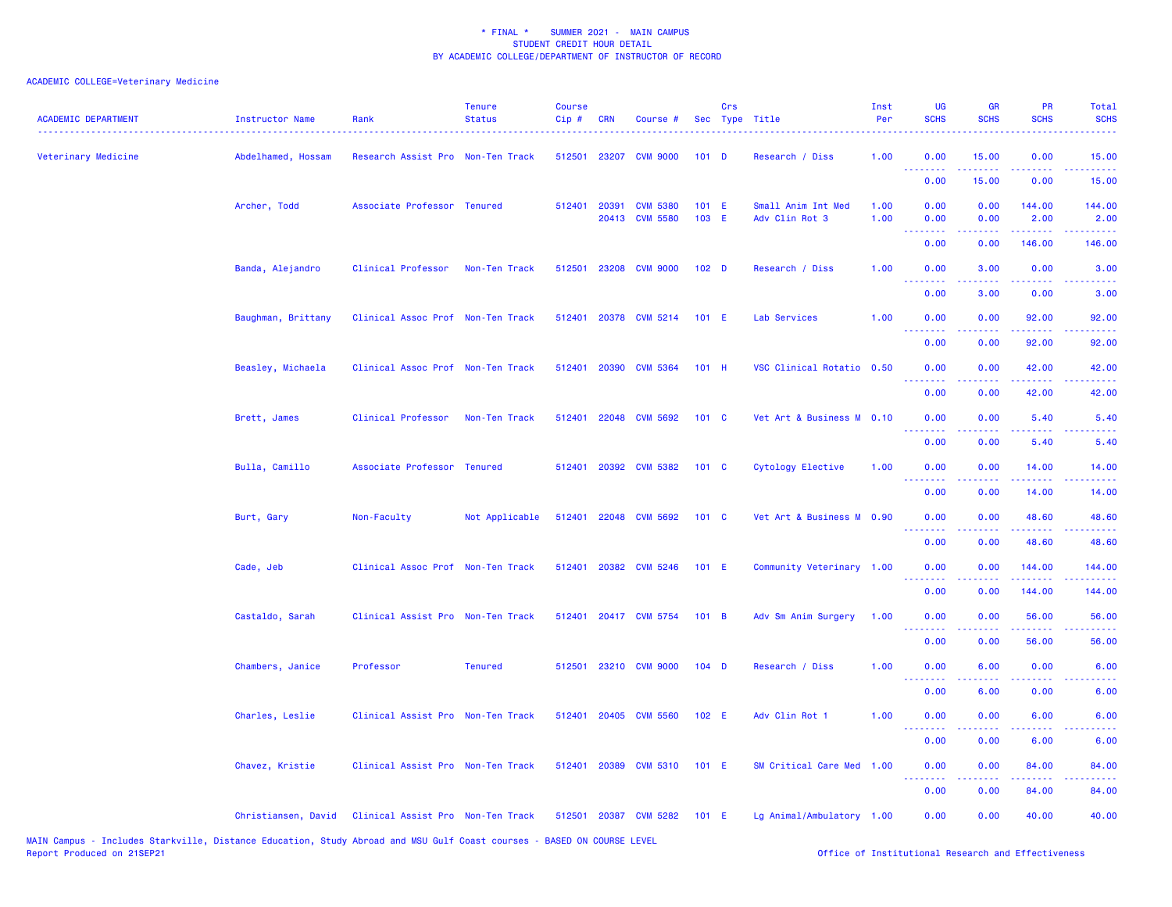| <b>ACADEMIC DEPARTMENT</b> | <b>Instructor Name</b> | Rank                              | <b>Tenure</b><br><b>Status</b> | <b>Course</b><br>Cip# | <b>CRN</b>   | Course #                          |                  | Crs | Sec Type Title                       | Inst<br>Per  | UG<br><b>SCHS</b>                                                                                                                 | <b>GR</b><br><b>SCHS</b> | PR<br><b>SCHS</b>                                                                                                                                             | Total<br><b>SCHS</b>            |
|----------------------------|------------------------|-----------------------------------|--------------------------------|-----------------------|--------------|-----------------------------------|------------------|-----|--------------------------------------|--------------|-----------------------------------------------------------------------------------------------------------------------------------|--------------------------|---------------------------------------------------------------------------------------------------------------------------------------------------------------|---------------------------------|
| Veterinary Medicine        | Abdelhamed, Hossam     | Research Assist Pro Non-Ten Track |                                | 512501                | 23207        | <b>CVM 9000</b>                   | 101 <sub>D</sub> |     | Research / Diss                      | 1.00         | 0.00<br><u>.</u>                                                                                                                  | 15.00                    | 0.00                                                                                                                                                          | 15.00                           |
|                            |                        |                                   |                                |                       |              |                                   |                  |     |                                      |              | 0.00                                                                                                                              | 15.00                    | 0.00                                                                                                                                                          | 15.00                           |
|                            | Archer, Todd           | Associate Professor Tenured       |                                |                       | 512401 20391 | <b>CVM 5380</b><br>20413 CVM 5580 | 101 E<br>103 E   |     | Small Anim Int Med<br>Adv Clin Rot 3 | 1.00<br>1.00 | 0.00<br>0.00                                                                                                                      | 0.00<br>0.00             | 144.00<br>2.00                                                                                                                                                | 144.00<br>2.00                  |
|                            |                        |                                   |                                |                       |              |                                   |                  |     |                                      |              | 0.00                                                                                                                              | 0.00                     | 146.00                                                                                                                                                        | 146.00                          |
|                            | Banda, Alejandro       | Clinical Professor                | Non-Ten Track                  | 512501                |              | 23208 CVM 9000                    | 102 <sub>D</sub> |     | Research / Diss                      | 1.00         | 0.00<br>$\frac{1}{2} \left( \frac{1}{2} \right) \left( \frac{1}{2} \right) \left( \frac{1}{2} \right) \left( \frac{1}{2} \right)$ | 3.00                     | 0.00<br>والمناصب                                                                                                                                              | 3.00                            |
|                            |                        |                                   |                                |                       |              |                                   |                  |     |                                      |              | 0.00                                                                                                                              | 3.00                     | 0.00                                                                                                                                                          | 3.00                            |
|                            | Baughman, Brittany     | Clinical Assoc Prof Non-Ten Track |                                | 512401                |              | 20378 CVM 5214                    | $101$ E          |     | Lab Services                         | 1.00         | 0.00<br>.                                                                                                                         | 0.00<br>.                | 92.00<br>$\frac{1}{2} \left( \frac{1}{2} \right) \left( \frac{1}{2} \right) \left( \frac{1}{2} \right) \left( \frac{1}{2} \right) \left( \frac{1}{2} \right)$ | 92.00<br>.                      |
|                            |                        |                                   |                                |                       |              |                                   |                  |     |                                      |              | 0.00                                                                                                                              | 0.00                     | 92.00                                                                                                                                                         | 92.00                           |
|                            | Beasley, Michaela      | Clinical Assoc Prof Non-Ten Track |                                | 512401                | 20390        | <b>CVM 5364</b>                   | $101$ H          |     | VSC Clinical Rotatio 0.50            |              | 0.00<br>الأعامات                                                                                                                  | 0.00<br>.                | 42.00<br>.                                                                                                                                                    | 42.00<br>$\omega$ is $\omega$ . |
|                            |                        |                                   |                                |                       |              |                                   |                  |     |                                      |              | 0.00                                                                                                                              | 0.00                     | 42.00                                                                                                                                                         | 42.00                           |
|                            | Brett, James           | Clinical Professor                | Non-Ten Track                  | 512401                |              | 22048 CVM 5692                    | 101 C            |     | Vet Art & Business M 0.10            |              | 0.00<br>الأعامات                                                                                                                  | 0.00<br>د د د د          | 5.40                                                                                                                                                          | 5.40<br>المتمام                 |
|                            |                        |                                   |                                |                       |              |                                   |                  |     |                                      |              | 0.00                                                                                                                              | 0.00                     | 5.40                                                                                                                                                          | 5.40                            |
|                            | Bulla, Camillo         | Associate Professor Tenured       |                                | 512401                |              | 20392 CVM 5382                    | 101 C            |     | Cytology Elective                    | 1.00         | 0.00<br>.                                                                                                                         | 0.00<br>.                | 14.00<br>$\frac{1}{2} \left( \frac{1}{2} \right) \left( \frac{1}{2} \right) \left( \frac{1}{2} \right) \left( \frac{1}{2} \right) \left( \frac{1}{2} \right)$ | 14.00<br>.                      |
|                            |                        |                                   |                                |                       |              |                                   |                  |     |                                      |              | 0.00                                                                                                                              | 0.00                     | 14.00                                                                                                                                                         | 14.00                           |
|                            | Burt, Gary             | Non-Faculty                       | Not Applicable                 | 512401                |              | 22048 CVM 5692                    | 101 C            |     | Vet Art & Business M 0.90            |              | 0.00<br>.                                                                                                                         | 0.00                     | 48.60<br>2.2.2.2.2                                                                                                                                            | 48.60<br>.                      |
|                            |                        |                                   |                                |                       |              |                                   |                  |     |                                      |              | 0.00                                                                                                                              | 0.00                     | 48.60                                                                                                                                                         | 48.60                           |
|                            | Cade, Jeb              | Clinical Assoc Prof Non-Ten Track |                                | 512401                |              | 20382 CVM 5246                    | $101$ E          |     | Community Veterinary 1.00            |              | 0.00<br>.                                                                                                                         | 0.00                     | 144.00                                                                                                                                                        | 144.00                          |
|                            |                        |                                   |                                |                       |              |                                   |                  |     |                                      |              | 0.00                                                                                                                              | 0.00                     | 144.00                                                                                                                                                        | 144.00                          |
|                            | Castaldo, Sarah        | Clinical Assist Pro Non-Ten Track |                                | 512401                |              | 20417 CVM 5754                    | 101 B            |     | Adv Sm Anim Surgery                  | 1.00         | 0.00                                                                                                                              | 0.00                     | 56.00                                                                                                                                                         | 56.00                           |
|                            |                        |                                   |                                |                       |              |                                   |                  |     |                                      |              | 0.00                                                                                                                              | 0.00                     | 56.00                                                                                                                                                         | 56.00                           |
|                            | Chambers, Janice       | Professor                         | <b>Tenured</b>                 | 512501                |              | 23210 CVM 9000                    | $104$ D          |     | Research / Diss                      | 1.00         | 0.00<br><u> - - - - - - - -</u>                                                                                                   | 6.00                     | 0.00                                                                                                                                                          | 6.00                            |
|                            |                        |                                   |                                |                       |              |                                   |                  |     |                                      |              | 0.00                                                                                                                              | 6.00                     | 0.00                                                                                                                                                          | 6.00                            |
|                            | Charles, Leslie        | Clinical Assist Pro Non-Ten Track |                                |                       |              | 512401 20405 CVM 5560             | 102 E            |     | Adv Clin Rot 1                       | 1.00         | 0.00                                                                                                                              | 0.00                     | 6.00                                                                                                                                                          | 6.00                            |
|                            |                        |                                   |                                |                       |              |                                   |                  |     |                                      |              | 0.00                                                                                                                              | 0.00                     | 6.00                                                                                                                                                          | 6.00                            |
|                            | Chavez, Kristie        | Clinical Assist Pro Non-Ten Track |                                | 512401                | 20389        | <b>CVM 5310</b>                   | 101 E            |     | SM Critical Care Med 1.00            |              | 0.00<br><u>.</u>                                                                                                                  | 0.00                     | 84.00                                                                                                                                                         | 84.00                           |
|                            |                        |                                   |                                |                       |              |                                   |                  |     |                                      |              | 0.00                                                                                                                              | 0.00                     | 84.00                                                                                                                                                         | 84.00                           |
|                            | Christiansen, David    | Clinical Assist Pro Non-Ten Track |                                |                       |              | 512501 20387 CVM 5282             | 101 E            |     | Lg Animal/Ambulatory 1.00            |              | 0.00                                                                                                                              | 0.00                     | 40.00                                                                                                                                                         | 40.00                           |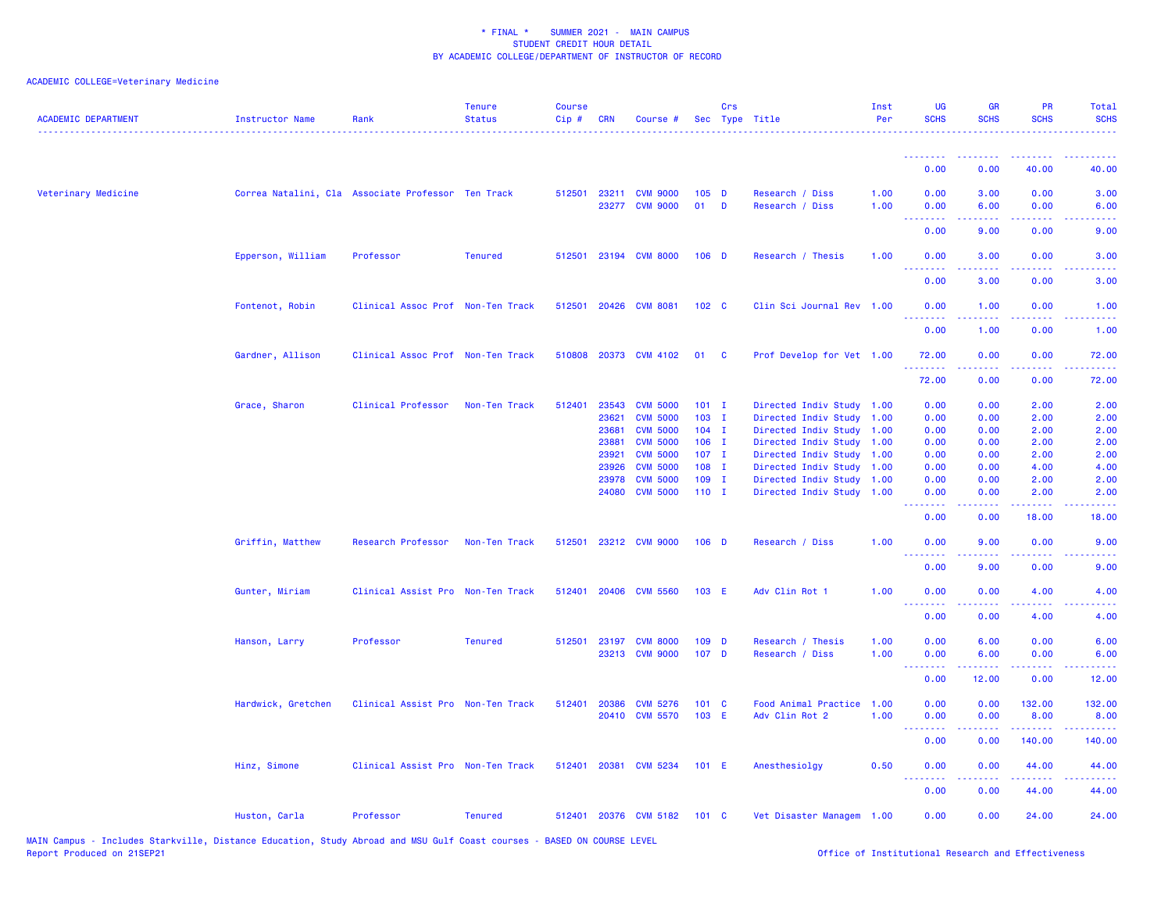| <b>ACADEMIC DEPARTMENT</b> | <b>Instructor Name</b> | Rank                                               | <b>Tenure</b><br><b>Status</b> | <b>Course</b><br>Cip# | <b>CRN</b> | Course #                                |                  | Crs          | Sec Type Title                     | Inst<br>Per  | <b>UG</b><br><b>SCHS</b>                                                                               | <b>GR</b><br><b>SCHS</b>                                                                                                                                     | <b>PR</b><br><b>SCHS</b>                                                                                                          | Total<br><b>SCHS</b>                                                                                                              |
|----------------------------|------------------------|----------------------------------------------------|--------------------------------|-----------------------|------------|-----------------------------------------|------------------|--------------|------------------------------------|--------------|--------------------------------------------------------------------------------------------------------|--------------------------------------------------------------------------------------------------------------------------------------------------------------|-----------------------------------------------------------------------------------------------------------------------------------|-----------------------------------------------------------------------------------------------------------------------------------|
|                            |                        |                                                    |                                |                       |            |                                         |                  |              |                                    |              | 0.00                                                                                                   | 0.00                                                                                                                                                         | 40.00                                                                                                                             | 40.00                                                                                                                             |
| Veterinary Medicine        |                        | Correa Natalini, Cla Associate Professor Ten Track |                                |                       |            | 512501 23211 CVM 9000<br>23277 CVM 9000 | $105$ D<br>01    | D            | Research / Diss<br>Research / Diss | 1.00<br>1.00 | 0.00<br>0.00                                                                                           | 3.00<br>6.00                                                                                                                                                 | 0.00<br>0.00                                                                                                                      | 3.00<br>6.00                                                                                                                      |
|                            |                        |                                                    |                                |                       |            |                                         |                  |              |                                    |              | .<br>0.00                                                                                              | .<br>9.00                                                                                                                                                    | $\frac{1}{2} \left( \frac{1}{2} \right) \left( \frac{1}{2} \right) \left( \frac{1}{2} \right) \left( \frac{1}{2} \right)$<br>0.00 | ----<br>9.00                                                                                                                      |
|                            | Epperson, William      | Professor                                          | <b>Tenured</b>                 |                       |            | 512501 23194 CVM 8000                   | $106$ D          |              | Research / Thesis                  | 1.00         | 0.00                                                                                                   | 3.00                                                                                                                                                         | 0.00                                                                                                                              | 3.00                                                                                                                              |
|                            |                        |                                                    |                                |                       |            |                                         |                  |              |                                    |              | $\frac{1}{2} \left( \frac{1}{2} \right) \left( \frac{1}{2} \right) \left( \frac{1}{2} \right)$<br>0.00 | 3.00                                                                                                                                                         | 0.00                                                                                                                              | 3.00                                                                                                                              |
|                            | Fontenot, Robin        | Clinical Assoc Prof Non-Ten Track                  |                                |                       |            | 512501 20426 CVM 8081                   | 102 <sub>c</sub> |              | Clin Sci Journal Rev 1.00          |              | 0.00<br>$\sim$ $\sim$ $\sim$ $\sim$                                                                    | 1.00                                                                                                                                                         | 0.00<br>$\frac{1}{2} \left( \frac{1}{2} \right) \left( \frac{1}{2} \right) \left( \frac{1}{2} \right)$                            | 1.00                                                                                                                              |
|                            |                        |                                                    |                                |                       |            |                                         |                  |              |                                    |              | 0.00                                                                                                   | 1.00                                                                                                                                                         | 0.00                                                                                                                              | 1.00                                                                                                                              |
|                            | Gardner, Allison       | Clinical Assoc Prof Non-Ten Track                  |                                |                       |            | 510808 20373 CVM 4102                   | 01               | $\mathbf{C}$ | Prof Develop for Vet 1.00          |              | 72.00<br><u>.</u>                                                                                      | 0.00<br>$\frac{1}{2} \left( \frac{1}{2} \right) \left( \frac{1}{2} \right) \left( \frac{1}{2} \right) \left( \frac{1}{2} \right) \left( \frac{1}{2} \right)$ | 0.00<br>.                                                                                                                         | 72.00<br>.                                                                                                                        |
|                            |                        |                                                    |                                |                       |            |                                         |                  |              |                                    |              | 72.00                                                                                                  | 0.00                                                                                                                                                         | 0.00                                                                                                                              | 72.00                                                                                                                             |
|                            | Grace, Sharon          | Clinical Professor                                 | Non-Ten Track                  | 512401 23543          |            | <b>CVM 5000</b>                         | $101$ I          |              | Directed Indiv Study               | 1.00         | 0.00                                                                                                   | 0.00                                                                                                                                                         | 2.00                                                                                                                              | 2.00                                                                                                                              |
|                            |                        |                                                    |                                |                       | 23621      | <b>CVM 5000</b>                         | $103$ I          |              | Directed Indiv Study               | 1.00         | 0.00                                                                                                   | 0.00                                                                                                                                                         | 2.00                                                                                                                              | 2.00                                                                                                                              |
|                            |                        |                                                    |                                |                       | 23681      | <b>CVM 5000</b>                         | $104$ I          |              | Directed Indiv Study               | 1.00         | 0.00                                                                                                   | 0.00                                                                                                                                                         | 2.00                                                                                                                              | 2.00                                                                                                                              |
|                            |                        |                                                    |                                |                       | 23881      | <b>CVM 5000</b>                         | $106$ I          |              | Directed Indiv Study               | 1.00         | 0.00                                                                                                   | 0.00                                                                                                                                                         | 2.00                                                                                                                              | 2.00                                                                                                                              |
|                            |                        |                                                    |                                |                       | 23921      | <b>CVM 5000</b>                         | $107$ I          |              | Directed Indiv Study               | 1.00         | 0.00                                                                                                   | 0.00                                                                                                                                                         | 2.00                                                                                                                              | 2.00                                                                                                                              |
|                            |                        |                                                    |                                |                       | 23926      | <b>CVM 5000</b>                         | $108$ I          |              | Directed Indiv Study               | 1.00         | 0.00                                                                                                   | 0.00                                                                                                                                                         | 4.00                                                                                                                              | 4.00                                                                                                                              |
|                            |                        |                                                    |                                |                       | 23978      | <b>CVM 5000</b>                         | $109$ I          |              | Directed Indiv Study 1.00          |              | 0.00                                                                                                   | 0.00                                                                                                                                                         | 2.00                                                                                                                              | 2.00                                                                                                                              |
|                            |                        |                                                    |                                |                       | 24080      | <b>CVM 5000</b>                         | $110$ I          |              | Directed Indiv Study 1.00          |              | 0.00<br>.                                                                                              | 0.00<br>2.2.2.2.2                                                                                                                                            | 2.00<br>.                                                                                                                         | 2.00<br>$\frac{1}{2} \left( \frac{1}{2} \right) \left( \frac{1}{2} \right) \left( \frac{1}{2} \right)$                            |
|                            |                        |                                                    |                                |                       |            |                                         |                  |              |                                    |              | 0.00                                                                                                   | 0.00                                                                                                                                                         | 18.00                                                                                                                             | 18.00                                                                                                                             |
|                            | Griffin, Matthew       | Research Professor                                 | Non-Ten Track                  | 512501                |            | 23212 CVM 9000                          | $106$ D          |              | Research / Diss                    | 1.00         | 0.00<br>.                                                                                              | 9.00                                                                                                                                                         | 0.00<br>$\sim$ $\sim$ $\sim$ $\sim$                                                                                               | 9.00                                                                                                                              |
|                            |                        |                                                    |                                |                       |            |                                         |                  |              |                                    |              | 0.00                                                                                                   | 9.00                                                                                                                                                         | 0.00                                                                                                                              | 9.00                                                                                                                              |
|                            | Gunter, Miriam         | Clinical Assist Pro Non-Ten Track                  |                                | 512401                | 20406      | <b>CVM 5560</b>                         | 103 E            |              | Adv Clin Rot 1                     | 1.00         | 0.00<br>.                                                                                              | 0.00<br>$\frac{1}{2} \left( \frac{1}{2} \right) \left( \frac{1}{2} \right) \left( \frac{1}{2} \right) \left( \frac{1}{2} \right) \left( \frac{1}{2} \right)$ | 4.00<br>.                                                                                                                         | 4.00<br>$\frac{1}{2} \left( \frac{1}{2} \right) \left( \frac{1}{2} \right) \left( \frac{1}{2} \right) \left( \frac{1}{2} \right)$ |
|                            |                        |                                                    |                                |                       |            |                                         |                  |              |                                    |              | 0.00                                                                                                   | 0.00                                                                                                                                                         | 4.00                                                                                                                              | 4.00                                                                                                                              |
|                            | Hanson, Larry          | Professor                                          | <b>Tenured</b>                 | 512501                | 23197      | <b>CVM 8000</b>                         | 109 D            |              | Research / Thesis                  | 1.00         | 0.00                                                                                                   | 6.00                                                                                                                                                         | 0.00                                                                                                                              | 6.00                                                                                                                              |
|                            |                        |                                                    |                                |                       |            | 23213 CVM 9000                          | 107 D            |              | Research / Diss                    | 1.00         | 0.00<br>.                                                                                              | 6.00<br>$\frac{1}{2} \left( \frac{1}{2} \right) \left( \frac{1}{2} \right) \left( \frac{1}{2} \right) \left( \frac{1}{2} \right) \left( \frac{1}{2} \right)$ | 0.00                                                                                                                              | 6.00<br>المتمام المالي                                                                                                            |
|                            |                        |                                                    |                                |                       |            |                                         |                  |              |                                    |              | 0.00                                                                                                   | 12.00                                                                                                                                                        | 0.00                                                                                                                              | 12.00                                                                                                                             |
|                            | Hardwick, Gretchen     | Clinical Assist Pro Non-Ten Track                  |                                | 512401                | 20386      | <b>CVM 5276</b>                         | 101 C            |              | Food Animal Practice               | 1.00         | 0.00                                                                                                   | 0.00                                                                                                                                                         | 132.00                                                                                                                            | 132.00                                                                                                                            |
|                            |                        |                                                    |                                |                       |            | 20410 CVM 5570                          | 103 E            |              | Adv Clin Rot 2                     | 1.00         | 0.00<br>$\sim$ $\sim$ $\sim$ $\sim$                                                                    | 0.00                                                                                                                                                         | 8.00                                                                                                                              | 8.00<br>.                                                                                                                         |
|                            |                        |                                                    |                                |                       |            |                                         |                  |              |                                    |              | 0.00                                                                                                   | 0.00                                                                                                                                                         | 140.00                                                                                                                            | 140.00                                                                                                                            |
|                            | Hinz, Simone           | Clinical Assist Pro Non-Ten Track                  |                                |                       |            | 512401 20381 CVM 5234                   | 101 E            |              | Anesthesiolgy                      | 0.50         | 0.00<br>.                                                                                              | 0.00<br>.                                                                                                                                                    | 44.00<br>.                                                                                                                        | 44.00<br>.                                                                                                                        |
|                            |                        |                                                    |                                |                       |            |                                         |                  |              |                                    |              | 0.00                                                                                                   | 0.00                                                                                                                                                         | 44.00                                                                                                                             | 44.00                                                                                                                             |
|                            | Huston, Carla          | Professor                                          | <b>Tenured</b>                 |                       |            | 512401 20376 CVM 5182                   | 101 <sub>C</sub> |              | Vet Disaster Managem 1.00          |              | 0.00                                                                                                   | 0.00                                                                                                                                                         | 24.00                                                                                                                             | 24.00                                                                                                                             |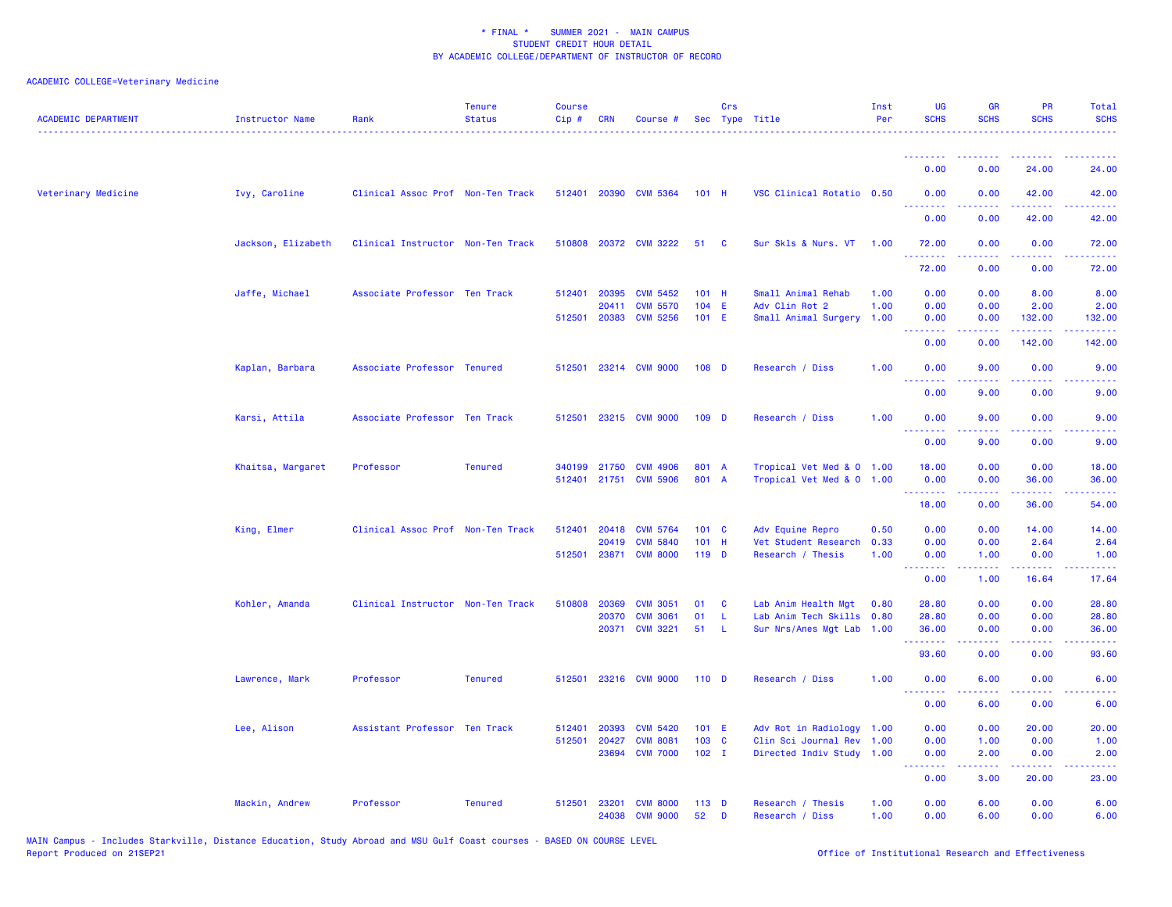| <b>ACADEMIC DEPARTMENT</b> | <b>Instructor Name</b> | Rank                              | <b>Tenure</b><br><b>Status</b> | <b>Course</b><br>Cip# | CRN   | Course #              |                  | Crs         | Sec Type Title            | Inst<br>Per | <b>UG</b><br><b>SCHS</b>                           | <b>GR</b><br><b>SCHS</b> | <b>PR</b><br><b>SCHS</b>                                                                                                                                      | <b>Total</b><br><b>SCHS</b>                                                                                                        |
|----------------------------|------------------------|-----------------------------------|--------------------------------|-----------------------|-------|-----------------------|------------------|-------------|---------------------------|-------------|----------------------------------------------------|--------------------------|---------------------------------------------------------------------------------------------------------------------------------------------------------------|------------------------------------------------------------------------------------------------------------------------------------|
|                            |                        |                                   |                                |                       |       |                       |                  |             |                           |             | <u> - - - - - - - -</u>                            |                          |                                                                                                                                                               |                                                                                                                                    |
|                            |                        |                                   |                                |                       |       |                       |                  |             |                           |             | 0.00                                               | 0.00                     | 24.00                                                                                                                                                         | 24.00                                                                                                                              |
| Veterinary Medicine        | Ivy, Caroline          | Clinical Assoc Prof Non-Ten Track |                                |                       |       | 512401 20390 CVM 5364 | $101$ H          |             | VSC Clinical Rotatio 0.50 |             | 0.00                                               | 0.00                     | 42.00                                                                                                                                                         | 42.00                                                                                                                              |
|                            |                        |                                   |                                |                       |       |                       |                  |             |                           |             | 0.00                                               | 0.00                     | 42.00                                                                                                                                                         | 42.00                                                                                                                              |
|                            | Jackson, Elizabeth     | Clinical Instructor Non-Ten Track |                                |                       |       | 510808 20372 CVM 3222 | 51               | C           | Sur Skls & Nurs. VT       | 1.00        | 72.00<br>.                                         | 0.00<br>.                | 0.00<br>$\frac{1}{2} \left( \frac{1}{2} \right) \left( \frac{1}{2} \right) \left( \frac{1}{2} \right) \left( \frac{1}{2} \right)$                             | 72.00<br>.                                                                                                                         |
|                            |                        |                                   |                                |                       |       |                       |                  |             |                           |             | 72.00                                              | 0.00                     | 0.00                                                                                                                                                          | 72.00                                                                                                                              |
|                            | Jaffe, Michael         | Associate Professor Ten Track     |                                | 512401                | 20395 | <b>CVM 5452</b>       | 101 H            |             | Small Animal Rehab        | 1.00        | 0.00                                               | 0.00                     | 8.00                                                                                                                                                          | 8.00                                                                                                                               |
|                            |                        |                                   |                                |                       | 20411 | <b>CVM 5570</b>       | 104 E            |             | Adv Clin Rot 2            | 1.00        | 0.00                                               | 0.00                     | 2.00                                                                                                                                                          | 2.00                                                                                                                               |
|                            |                        |                                   |                                |                       |       | 512501 20383 CVM 5256 | 101 E            |             | Small Animal Surgery      | 1.00        | 0.00                                               | 0.00                     | 132.00<br>.                                                                                                                                                   | 132.00<br>.                                                                                                                        |
|                            |                        |                                   |                                |                       |       |                       |                  |             |                           |             | 0.00                                               | 0.00                     | 142.00                                                                                                                                                        | 142.00                                                                                                                             |
|                            | Kaplan, Barbara        | Associate Professor Tenured       |                                | 512501                |       | 23214 CVM 9000        | 108 D            |             | Research / Diss           | 1.00        | 0.00<br><u>.</u>                                   | 9.00                     | 0.00                                                                                                                                                          | 9.00                                                                                                                               |
|                            |                        |                                   |                                |                       |       |                       |                  |             |                           |             | 0.00                                               | 9.00                     | 0.00                                                                                                                                                          | 9.00                                                                                                                               |
|                            | Karsi, Attila          | Associate Professor Ten Track     |                                | 512501                |       | 23215 CVM 9000        | 109 D            |             | Research / Diss           | 1.00        | 0.00                                               | 9.00                     | 0.00                                                                                                                                                          | 9.00                                                                                                                               |
|                            |                        |                                   |                                |                       |       |                       |                  |             |                           |             | 0.00                                               | 9.00                     | 0.00                                                                                                                                                          | 9.00                                                                                                                               |
|                            | Khaitsa, Margaret      | Professor                         | <b>Tenured</b>                 | 340199                | 21750 | <b>CVM 4906</b>       | 801 A            |             | Tropical Vet Med & 0 1.00 |             | 18.00                                              | 0.00                     | 0.00                                                                                                                                                          | 18.00                                                                                                                              |
|                            |                        |                                   |                                |                       |       | 512401 21751 CVM 5906 | 801 A            |             | Tropical Vet Med & 0 1.00 |             | 0.00<br>.                                          | 0.00<br>.                | 36.00<br>$\frac{1}{2} \left( \frac{1}{2} \right) \left( \frac{1}{2} \right) \left( \frac{1}{2} \right) \left( \frac{1}{2} \right) \left( \frac{1}{2} \right)$ | 36.00<br>.                                                                                                                         |
|                            |                        |                                   |                                |                       |       |                       |                  |             |                           |             | 18.00                                              | 0.00                     | 36.00                                                                                                                                                         | 54.00                                                                                                                              |
|                            | King, Elmer            | Clinical Assoc Prof Non-Ten Track |                                | 512401                | 20418 | <b>CVM 5764</b>       | 101 C            |             | Adv Equine Repro          | 0.50        | 0.00                                               | 0.00                     | 14.00                                                                                                                                                         | 14.00                                                                                                                              |
|                            |                        |                                   |                                |                       | 20419 | <b>CVM 5840</b>       | 101 H            |             | Vet Student Research      | 0.33        | 0.00                                               | 0.00                     | 2.64                                                                                                                                                          | 2.64                                                                                                                               |
|                            |                        |                                   |                                | 512501                |       | 23871 CVM 8000        | 119 D            |             | Research / Thesis         | 1.00        | 0.00<br><u>.</u>                                   | 1.00<br>22222            | 0.00<br>$\frac{1}{2} \left( \frac{1}{2} \right) \left( \frac{1}{2} \right) \left( \frac{1}{2} \right) \left( \frac{1}{2} \right) \left( \frac{1}{2} \right)$  | 1.00<br>وساعات                                                                                                                     |
|                            |                        |                                   |                                |                       |       |                       |                  |             |                           |             | 0.00                                               | 1.00                     | 16.64                                                                                                                                                         | 17.64                                                                                                                              |
|                            | Kohler, Amanda         | Clinical Instructor Non-Ten Track |                                | 510808                | 20369 | <b>CVM 3051</b>       | 01               | C           | Lab Anim Health Mgt       | 0.80        | 28.80                                              | 0.00                     | 0.00                                                                                                                                                          | 28.80                                                                                                                              |
|                            |                        |                                   |                                |                       | 20370 | <b>CVM 3061</b>       | 01               | $\mathsf L$ | Lab Anim Tech Skills 0.80 |             | 28.80                                              | 0.00                     | 0.00                                                                                                                                                          | 28.80                                                                                                                              |
|                            |                        |                                   |                                |                       |       | 20371 CVM 3221        | 51               | -L          | Sur Nrs/Anes Mgt Lab      | 1.00        | 36.00<br>.                                         | 0.00                     | 0.00<br>----                                                                                                                                                  | 36.00<br>$\frac{1}{2} \left( \frac{1}{2} \right) \left( \frac{1}{2} \right) \left( \frac{1}{2} \right) \left( \frac{1}{2} \right)$ |
|                            |                        |                                   |                                |                       |       |                       |                  |             |                           |             | 93.60                                              | 0.00                     | 0.00                                                                                                                                                          | 93.60                                                                                                                              |
|                            | Lawrence, Mark         | Professor                         | <b>Tenured</b>                 | 512501                |       | 23216 CVM 9000        | 110 <sub>D</sub> |             | Research / Diss           | 1.00        | 0.00<br><b><i><u><u> - - - - - - -</u></u></i></b> | 6.00                     | 0.00                                                                                                                                                          | 6.00                                                                                                                               |
|                            |                        |                                   |                                |                       |       |                       |                  |             |                           |             | 0.00                                               | 6.00                     | 0.00                                                                                                                                                          | 6.00                                                                                                                               |
|                            | Lee, Alison            | Assistant Professor Ten Track     |                                | 512401                | 20393 | <b>CVM 5420</b>       | 101 E            |             | Adv Rot in Radiology 1.00 |             | 0.00                                               | 0.00                     | 20.00                                                                                                                                                         | 20.00                                                                                                                              |
|                            |                        |                                   |                                | 512501                | 20427 | <b>CVM 8081</b>       | 103 C            |             | Clin Sci Journal Rev      | 1.00        | 0.00                                               | 1.00                     | 0.00                                                                                                                                                          | 1.00                                                                                                                               |
|                            |                        |                                   |                                |                       | 23694 | <b>CVM 7000</b>       | $102 \quad I$    |             | Directed Indiv Study 1.00 |             | 0.00<br>.                                          | 2.00<br>.                | 0.00<br>بالأباد                                                                                                                                               | 2.00<br>2222                                                                                                                       |
|                            |                        |                                   |                                |                       |       |                       |                  |             |                           |             | 0.00                                               | 3.00                     | 20.00                                                                                                                                                         | 23.00                                                                                                                              |
|                            | Mackin, Andrew         | Professor                         | <b>Tenured</b>                 | 512501                | 23201 | <b>CVM 8000</b>       | $113$ D          |             | Research / Thesis         | 1.00        | 0.00                                               | 6.00                     | 0.00                                                                                                                                                          | 6.00                                                                                                                               |
|                            |                        |                                   |                                |                       |       | 24038 CVM 9000        | 52               | D           | Research / Diss           | 1.00        | 0.00                                               | 6.00                     | 0.00                                                                                                                                                          | 6.00                                                                                                                               |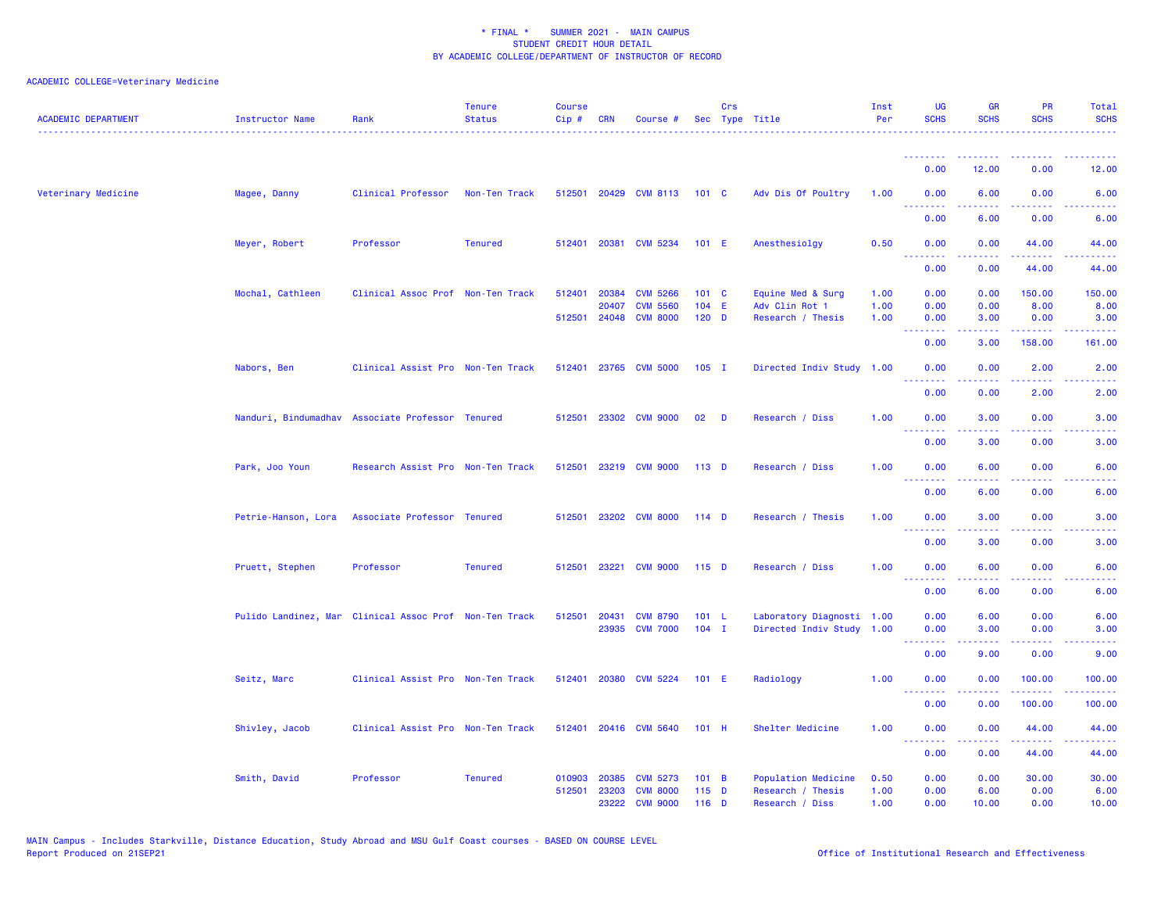| <b>ACADEMIC DEPARTMENT</b> | Instructor Name     | Rank                                                   | <b>Tenure</b><br><b>Status</b> | <b>Course</b><br>Cip# | <b>CRN</b> | Course #              |                  | Crs | Sec Type Title            | Inst<br>Per | <b>UG</b><br><b>SCHS</b>                                   | <b>GR</b><br><b>SCHS</b> | PR<br><b>SCHS</b>                                                                                                                 | Total<br><b>SCHS</b> |
|----------------------------|---------------------|--------------------------------------------------------|--------------------------------|-----------------------|------------|-----------------------|------------------|-----|---------------------------|-------------|------------------------------------------------------------|--------------------------|-----------------------------------------------------------------------------------------------------------------------------------|----------------------|
|                            |                     |                                                        |                                |                       |            |                       |                  |     |                           |             | <u>.</u>                                                   |                          |                                                                                                                                   |                      |
|                            |                     |                                                        |                                |                       |            |                       |                  |     |                           |             | 0.00                                                       | 12.00                    | 0.00                                                                                                                              | 12.00                |
| Veterinary Medicine        | Magee, Danny        | Clinical Professor                                     | Non-Ten Track                  |                       |            | 512501 20429 CVM 8113 | 101 <sub>C</sub> |     | Adv Dis Of Poultry        | 1.00        | 0.00<br><b><i><u><u> - - - - - - -</u></u></i></b>         | 6.00<br>.                | 0.00<br>$\frac{1}{2} \left( \frac{1}{2} \right) \left( \frac{1}{2} \right) \left( \frac{1}{2} \right) \left( \frac{1}{2} \right)$ | 6.00                 |
|                            |                     |                                                        |                                |                       |            |                       |                  |     |                           |             | 0.00                                                       | 6.00                     | 0.00                                                                                                                              | 6.00                 |
|                            | Meyer, Robert       | Professor                                              | <b>Tenured</b>                 |                       |            | 512401 20381 CVM 5234 | 101 E            |     | Anesthesiolgy             | 0.50        | 0.00<br>.                                                  | 0.00<br>.                | 44.00<br>.                                                                                                                        | 44.00<br>.           |
|                            |                     |                                                        |                                |                       |            |                       |                  |     |                           |             | 0.00                                                       | 0.00                     | 44.00                                                                                                                             | 44.00                |
|                            | Mochal, Cathleen    | Clinical Assoc Prof Non-Ten Track                      |                                | 512401                | 20384      | <b>CVM 5266</b>       | 101 C            |     | Equine Med & Surg         | 1.00        | 0.00                                                       | 0.00                     | 150.00                                                                                                                            | 150.00               |
|                            |                     |                                                        |                                |                       | 20407      | <b>CVM 5560</b>       | 104 E            |     | Adv Clin Rot 1            | 1.00        | 0.00                                                       | 0.00                     | 8.00                                                                                                                              | 8.00                 |
|                            |                     |                                                        |                                | 512501                |            | 24048 CVM 8000        | $120$ D          |     | Research / Thesis         | 1.00        | 0.00                                                       | 3.00                     | 0.00                                                                                                                              | 3.00                 |
|                            |                     |                                                        |                                |                       |            |                       |                  |     |                           |             | 0.00                                                       | 3.00                     | 158.00                                                                                                                            | 161.00               |
|                            | Nabors, Ben         | Clinical Assist Pro Non-Ten Track                      |                                |                       |            | 512401 23765 CVM 5000 | $105$ I          |     | Directed Indiv Study 1.00 |             | 0.00<br><u>.</u>                                           | 0.00<br>.                | 2.00<br>د د د د                                                                                                                   | 2.00                 |
|                            |                     |                                                        |                                |                       |            |                       |                  |     |                           |             | 0.00                                                       | 0.00                     | 2.00                                                                                                                              | 2.00                 |
|                            |                     | Nanduri, Bindumadhav Associate Professor Tenured       |                                | 512501                |            | 23302 CVM 9000        | 02               | D   | Research / Diss           | 1.00        | 0.00<br>.                                                  | 3.00                     | 0.00                                                                                                                              | 3.00                 |
|                            |                     |                                                        |                                |                       |            |                       |                  |     |                           |             | 0.00                                                       | 3.00                     | 0.00                                                                                                                              | 3.00                 |
|                            | Park, Joo Youn      | Research Assist Pro Non-Ten Track                      |                                |                       |            | 512501 23219 CVM 9000 | $113$ D          |     | Research / Diss           | 1.00        | 0.00<br>$\sim$ $\sim$ $\sim$ $\sim$                        | 6.00                     | 0.00                                                                                                                              | 6.00                 |
|                            |                     |                                                        |                                |                       |            |                       |                  |     |                           |             | 0.00                                                       | 6.00                     | 0.00                                                                                                                              | 6.00                 |
|                            | Petrie-Hanson, Lora | Associate Professor Tenured                            |                                | 512501                |            | 23202 CVM 8000        | $114$ D          |     | Research / Thesis         | 1.00        | 0.00<br><b><i><u><u><b>a</b></u></u> a a a a a a a</i></b> | 3.00<br>.                | 0.00<br>$- - -$                                                                                                                   | 3.00                 |
|                            |                     |                                                        |                                |                       |            |                       |                  |     |                           |             | 0.00                                                       | 3.00                     | 0.00                                                                                                                              | 3.00                 |
|                            | Pruett, Stephen     | Professor                                              | <b>Tenured</b>                 | 512501                |            | 23221 CVM 9000        | $115$ D          |     | Research / Diss           | 1.00        | 0.00<br><u> - - - - - - - -</u>                            | 6.00<br>.                | 0.00<br>.                                                                                                                         | 6.00<br>----         |
|                            |                     |                                                        |                                |                       |            |                       |                  |     |                           |             | 0.00                                                       | 6.00                     | 0.00                                                                                                                              | 6.00                 |
|                            |                     | Pulido Landinez, Mar Clinical Assoc Prof Non-Ten Track |                                | 512501                | 20431      | <b>CVM 8790</b>       | 101 L            |     | Laboratory Diagnosti 1.00 |             | 0.00                                                       | 6.00                     | 0.00                                                                                                                              | 6.00                 |
|                            |                     |                                                        |                                |                       |            | 23935 CVM 7000        | $104$ I          |     | Directed Indiv Study 1.00 |             | 0.00                                                       | 3.00                     | 0.00                                                                                                                              | 3.00                 |
|                            |                     |                                                        |                                |                       |            |                       |                  |     |                           |             | <b></b><br>0.00                                            | 9.00                     | 0.00                                                                                                                              | 9.00                 |
|                            | Seitz, Marc         | Clinical Assist Pro Non-Ten Track                      |                                | 512401                |            | 20380 CVM 5224        | 101 E            |     | Radiology                 | 1.00        | 0.00                                                       | 0.00                     | 100.00                                                                                                                            | 100.00               |
|                            |                     |                                                        |                                |                       |            |                       |                  |     |                           |             | <b><i><u><u> - - - - - - -</u></u></i></b><br>0.00         | 0.00                     | 22222<br>100.00                                                                                                                   | 22222.<br>100.00     |
|                            | Shivley, Jacob      | Clinical Assist Pro Non-Ten Track                      |                                |                       |            | 512401 20416 CVM 5640 | $101$ H          |     | Shelter Medicine          | 1.00        | 0.00                                                       | 0.00                     | 44.00                                                                                                                             | 44.00                |
|                            |                     |                                                        |                                |                       |            |                       |                  |     |                           |             | <b><i><u><u>ALLERS A</u></u></i></b><br>0.00               | -----<br>0.00            | .<br>44.00                                                                                                                        | .<br>44.00           |
|                            | Smith, David        | Professor                                              | <b>Tenured</b>                 | 010903                | 20385      | <b>CVM 5273</b>       | 101 B            |     | Population Medicine       | 0.50        | 0.00                                                       | 0.00                     | 30.00                                                                                                                             | 30.00                |
|                            |                     |                                                        |                                | 512501                | 23203      | <b>CVM 8000</b>       | $115$ D          |     | Research / Thesis         | 1.00        | 0.00                                                       | 6.00                     | 0.00                                                                                                                              | 6.00                 |
|                            |                     |                                                        |                                |                       | 23222      | <b>CVM 9000</b>       | 116 D            |     | Research / Diss           | 1.00        | 0.00                                                       | 10.00                    | 0.00                                                                                                                              | 10.00                |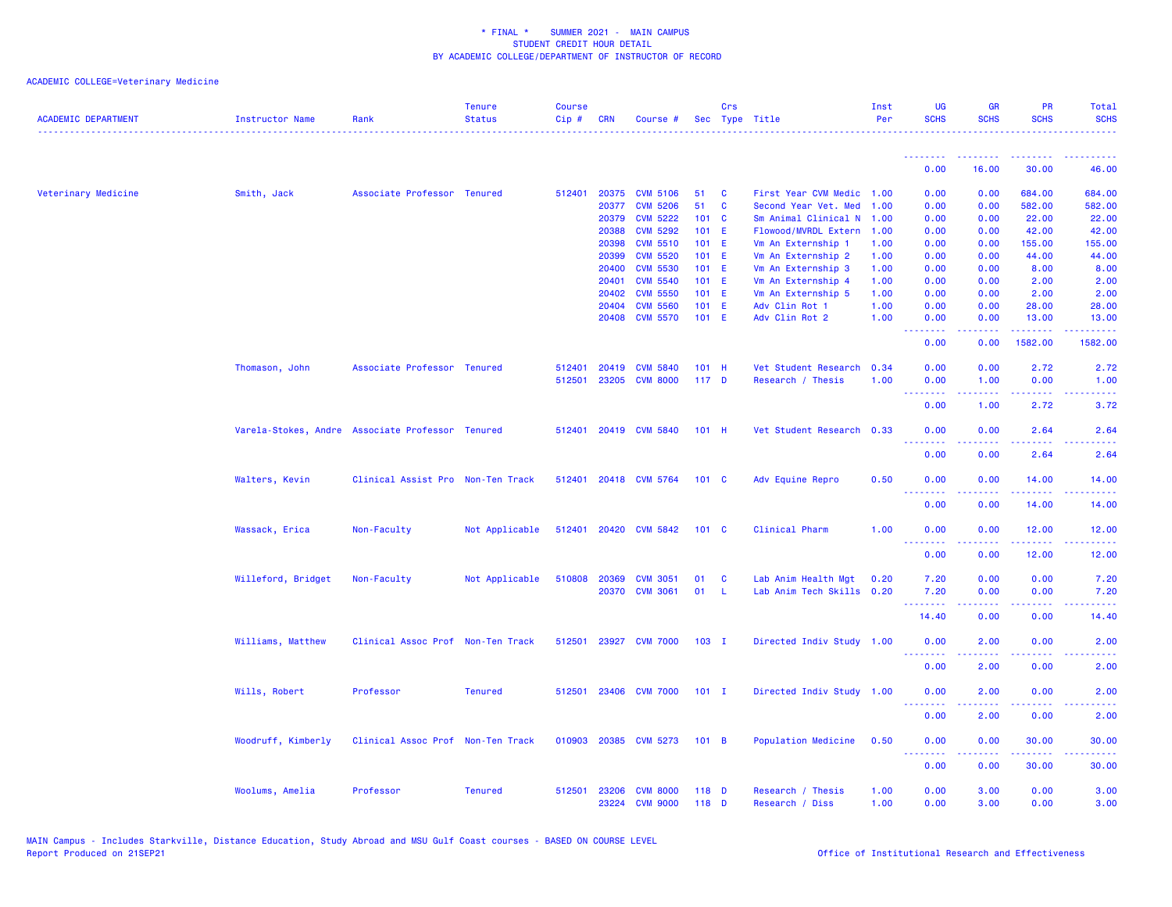| <b>ACADEMIC DEPARTMENT</b> | Instructor Name                                  | Rank                              | <b>Tenure</b><br><b>Status</b> | <b>Course</b><br>Cip# | <b>CRN</b> | Course #                          |               | <b>Crs</b>     | Sec Type Title            | Inst<br>Per  | <b>UG</b><br><b>SCHS</b> | <b>GR</b><br><b>SCHS</b> | <b>PR</b><br><b>SCHS</b> | <b>Total</b><br><b>SCHS</b>                                                                                                       |
|----------------------------|--------------------------------------------------|-----------------------------------|--------------------------------|-----------------------|------------|-----------------------------------|---------------|----------------|---------------------------|--------------|--------------------------|--------------------------|--------------------------|-----------------------------------------------------------------------------------------------------------------------------------|
|                            |                                                  |                                   |                                |                       |            |                                   |               |                |                           |              | 0.00                     | 16.00                    | 30.00                    | 46.00                                                                                                                             |
| Veterinary Medicine        |                                                  | Associate Professor Tenured       |                                | 512401                | 20375      | <b>CVM 5106</b>                   | 51            | <b>C</b>       | First Year CVM Medic      | 1.00         | 0.00                     | 0.00                     | 684.00                   | 684.00                                                                                                                            |
|                            | Smith, Jack                                      |                                   |                                |                       | 20377      | <b>CVM 5206</b>                   | 51            | C              | Second Year Vet. Med      | 1.00         | 0.00                     | 0.00                     | 582.00                   | 582.00                                                                                                                            |
|                            |                                                  |                                   |                                |                       | 20379      | <b>CVM 5222</b>                   | $101 \quad C$ |                | Sm Animal Clinical N      | 1.00         | 0.00                     | 0.00                     | 22.00                    | 22.00                                                                                                                             |
|                            |                                                  |                                   |                                |                       | 20388      | <b>CVM 5292</b>                   | $101$ E       |                | Flowood/MVRDL Extern      | 1.00         | 0.00                     | 0.00                     | 42.00                    | 42.00                                                                                                                             |
|                            |                                                  |                                   |                                |                       | 20398      | <b>CVM 5510</b>                   | 101 E         |                | Vm An Externship 1        | 1.00         | 0.00                     | 0.00                     | 155.00                   | 155.00                                                                                                                            |
|                            |                                                  |                                   |                                |                       | 20399      | <b>CVM 5520</b>                   | $101$ E       |                | Vm An Externship 2        | 1.00         | 0.00                     | 0.00                     | 44.00                    | 44.00                                                                                                                             |
|                            |                                                  |                                   |                                |                       | 20400      | <b>CVM 5530</b>                   | $101$ E       |                | Vm An Externship 3        | 1.00         | 0.00                     | 0.00                     | 8.00                     | 8.00                                                                                                                              |
|                            |                                                  |                                   |                                |                       | 20401      | <b>CVM 5540</b>                   | $101$ E       |                | Vm An Externship 4        | 1.00         | 0.00                     | 0.00                     | 2.00                     | 2.00                                                                                                                              |
|                            |                                                  |                                   |                                |                       | 20402      | <b>CVM 5550</b>                   | 101 E         |                | Vm An Externship 5        | 1.00         | 0.00                     | 0.00                     | 2.00                     | 2.00                                                                                                                              |
|                            |                                                  |                                   |                                |                       | 20404      | <b>CVM 5560</b>                   | 101 E         |                | Adv Clin Rot 1            | 1.00         | 0.00                     | 0.00                     | 28.00                    | 28.00                                                                                                                             |
|                            |                                                  |                                   |                                |                       |            | 20408 CVM 5570                    | $101$ E       |                | Adv Clin Rot 2            | 1.00         | 0.00                     | 0.00                     | 13.00                    | 13.00                                                                                                                             |
|                            |                                                  |                                   |                                |                       |            |                                   |               |                |                           |              | .<br>0.00                | 0.00                     | د د د د د<br>1582.00     | .<br>1582.00                                                                                                                      |
|                            |                                                  |                                   |                                |                       |            |                                   |               |                |                           |              |                          |                          |                          |                                                                                                                                   |
|                            | Thomason, John                                   | Associate Professor Tenured       |                                | 512401                | 20419      | <b>CVM 5840</b>                   | $101$ H       |                | Vet Student Research      | 0.34         | 0.00                     | 0.00                     | 2.72                     | 2.72                                                                                                                              |
|                            |                                                  |                                   |                                | 512501                | 23205      | <b>CVM 8000</b>                   | $117$ D       |                | Research / Thesis         | 1.00         | 0.00                     | 1.00                     | 0.00                     | 1.00                                                                                                                              |
|                            |                                                  |                                   |                                |                       |            |                                   |               |                |                           |              | .<br>0.00                | .<br>1.00                | د د د د<br>2.72          | 2222.<br>3.72                                                                                                                     |
|                            |                                                  |                                   |                                |                       |            |                                   |               |                |                           |              |                          |                          |                          |                                                                                                                                   |
|                            | Varela-Stokes, Andre Associate Professor Tenured |                                   |                                | 512401                |            | 20419 CVM 5840                    | $101$ H       |                | Vet Student Research 0.33 |              | 0.00                     | 0.00                     | 2.64                     | 2.64                                                                                                                              |
|                            |                                                  |                                   |                                |                       |            |                                   |               |                |                           |              | .<br>0.00                | 0.00                     | .<br>2.64                | والمواليات<br>2.64                                                                                                                |
|                            |                                                  |                                   |                                |                       |            |                                   |               |                |                           |              |                          |                          |                          |                                                                                                                                   |
|                            | Walters, Kevin                                   | Clinical Assist Pro Non-Ten Track |                                | 512401                |            | 20418 CVM 5764                    | $101 \quad C$ |                | Adv Equine Repro          | 0.50         | 0.00<br>.                | 0.00                     | 14.00<br>وعاماما         | 14.00<br>والمالمات                                                                                                                |
|                            |                                                  |                                   |                                |                       |            |                                   |               |                |                           |              | 0.00                     | 0.00                     | 14.00                    | 14.00                                                                                                                             |
|                            |                                                  |                                   |                                |                       |            |                                   |               |                |                           |              |                          |                          |                          |                                                                                                                                   |
|                            | Wassack, Erica                                   | Non-Faculty                       | Not Applicable                 |                       |            | 512401 20420 CVM 5842             | 101 C         |                | Clinical Pharm            | 1.00         | 0.00<br>.                | 0.00                     | 12.00<br>.               | 12.00<br>المتمامين                                                                                                                |
|                            |                                                  |                                   |                                |                       |            |                                   |               |                |                           |              | 0.00                     | 0.00                     | 12.00                    | 12.00                                                                                                                             |
|                            |                                                  |                                   |                                |                       |            |                                   |               |                |                           |              |                          |                          |                          |                                                                                                                                   |
|                            | Willeford, Bridget                               | Non-Faculty                       | Not Applicable                 | 510808                | 20369      | <b>CVM 3051</b><br>20370 CVM 3061 | 01<br>01      | <b>C</b><br>-L | Lab Anim Health Mgt       | 0.20<br>0.20 | 7.20<br>7.20             | 0.00<br>0.00             | 0.00<br>0.00             | 7.20                                                                                                                              |
|                            |                                                  |                                   |                                |                       |            |                                   |               |                | Lab Anim Tech Skills      |              | <b></b>                  |                          | $- - -$                  | 7.20<br>$\frac{1}{2} \left( \frac{1}{2} \right) \left( \frac{1}{2} \right) \left( \frac{1}{2} \right) \left( \frac{1}{2} \right)$ |
|                            |                                                  |                                   |                                |                       |            |                                   |               |                |                           |              | 14.40                    | 0.00                     | 0.00                     | 14.40                                                                                                                             |
|                            | Williams, Matthew                                | Clinical Assoc Prof Non-Ten Track |                                | 512501                |            | 23927 CVM 7000                    | $103$ I       |                | Directed Indiv Study 1.00 |              | 0.00                     | 2.00                     | 0.00                     | 2.00                                                                                                                              |
|                            |                                                  |                                   |                                |                       |            |                                   |               |                |                           |              | .                        |                          |                          | .                                                                                                                                 |
|                            |                                                  |                                   |                                |                       |            |                                   |               |                |                           |              | 0.00                     | 2.00                     | 0.00                     | 2.00                                                                                                                              |
|                            | Wills, Robert                                    | Professor                         | <b>Tenured</b>                 | 512501                |            | 23406 CVM 7000                    | $101$ I       |                | Directed Indiv Study 1.00 |              | 0.00                     | 2.00                     | 0.00                     | 2.00                                                                                                                              |
|                            |                                                  |                                   |                                |                       |            |                                   |               |                |                           |              |                          |                          |                          |                                                                                                                                   |
|                            |                                                  |                                   |                                |                       |            |                                   |               |                |                           |              | 0.00                     | 2.00                     | 0.00                     | 2.00                                                                                                                              |
|                            | Woodruff, Kimberly                               | Clinical Assoc Prof Non-Ten Track |                                |                       |            | 010903 20385 CVM 5273             | 101 B         |                | Population Medicine       | 0.50         | 0.00                     | 0.00                     | 30.00                    | 30.00                                                                                                                             |
|                            |                                                  |                                   |                                |                       |            |                                   |               |                |                           |              | .                        |                          | 22222                    | $\frac{1}{2} \left( \frac{1}{2} \right) \left( \frac{1}{2} \right) \left( \frac{1}{2} \right) \left( \frac{1}{2} \right)$         |
|                            |                                                  |                                   |                                |                       |            |                                   |               |                |                           |              | 0.00                     | 0.00                     | 30.00                    | 30.00                                                                                                                             |
|                            | Woolums, Amelia                                  | Professor                         | <b>Tenured</b>                 | 512501                | 23206      | <b>CVM 8000</b>                   | $118$ D       |                | Research / Thesis         | 1.00         | 0.00                     | 3.00                     | 0.00                     | 3.00                                                                                                                              |
|                            |                                                  |                                   |                                |                       |            | 23224 CVM 9000                    | $118$ D       |                | Research / Diss           | 1.00         | 0.00                     | 3.00                     | 0.00                     | 3.00                                                                                                                              |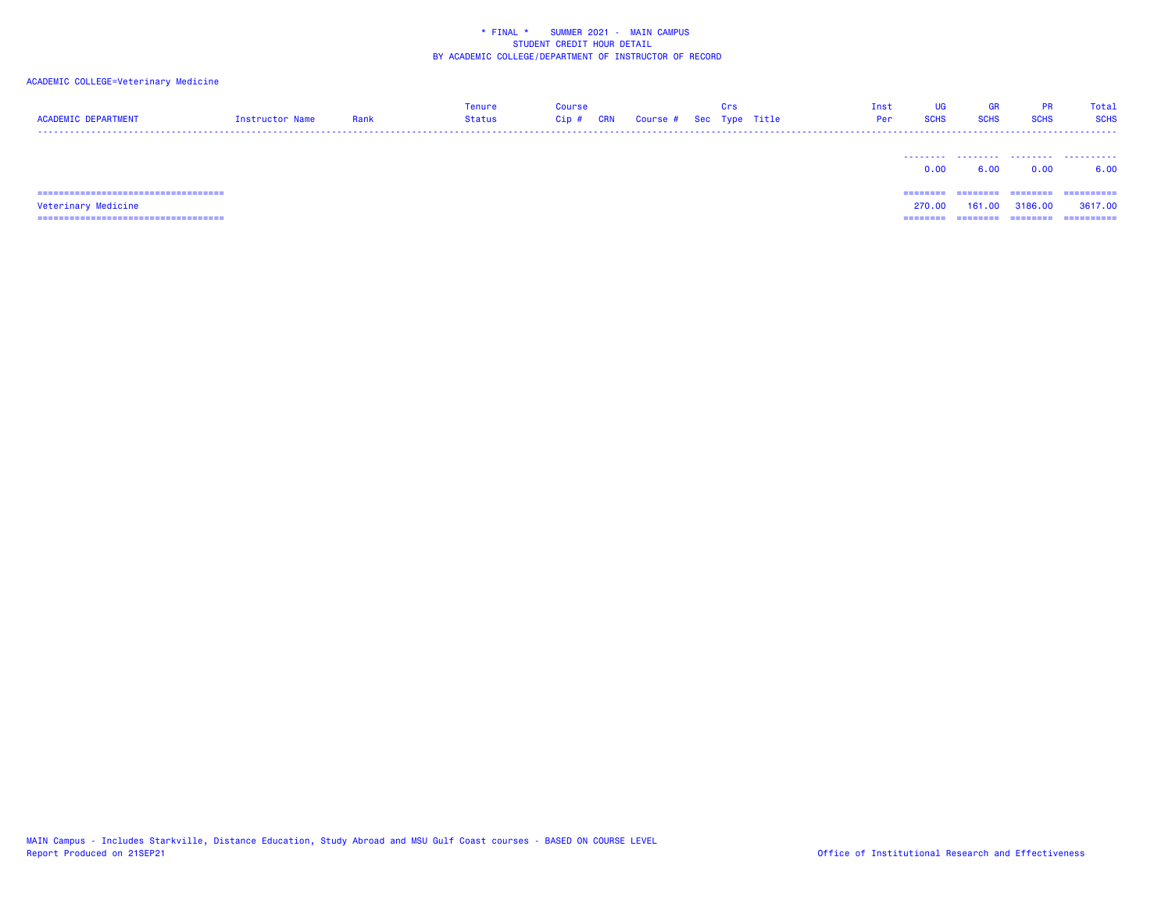## ACADEMIC COLLEGE=Veterinary Medicine

| <b>ACADEMIC DEPARTMENT</b>             | Instructor Name | Rank | <b>Tenure</b><br><b>Status</b> | <b>Course</b><br>$Cip$ #<br>CRN | Course # Sec Type Title | Crs | Inst<br>Per | <b>UG</b><br><b>SCHS</b> | GR<br><b>SCHS</b> | <b>PR</b><br><b>SCHS</b> | Total<br><b>SCHS</b> |
|----------------------------------------|-----------------|------|--------------------------------|---------------------------------|-------------------------|-----|-------------|--------------------------|-------------------|--------------------------|----------------------|
|                                        |                 |      |                                |                                 |                         |     |             | 0.00                     | 6.00              | 0.00                     | .<br>6.00            |
| ====================================== |                 |      |                                |                                 |                         |     |             | ========                 | ========          | ---------                | ==========           |
| Veterinary Medicine                    |                 |      |                                |                                 |                         |     |             | 270.00                   | 161.00            | 3186.00                  | 3617,00              |
| ====================================== |                 |      |                                |                                 |                         |     |             | ========                 | ========          | ========                 | ==========           |

MAIN Campus - Includes Starkville, Distance Education, Study Abroad and MSU Gulf Coast courses - BASED ON COURSE LEVEL